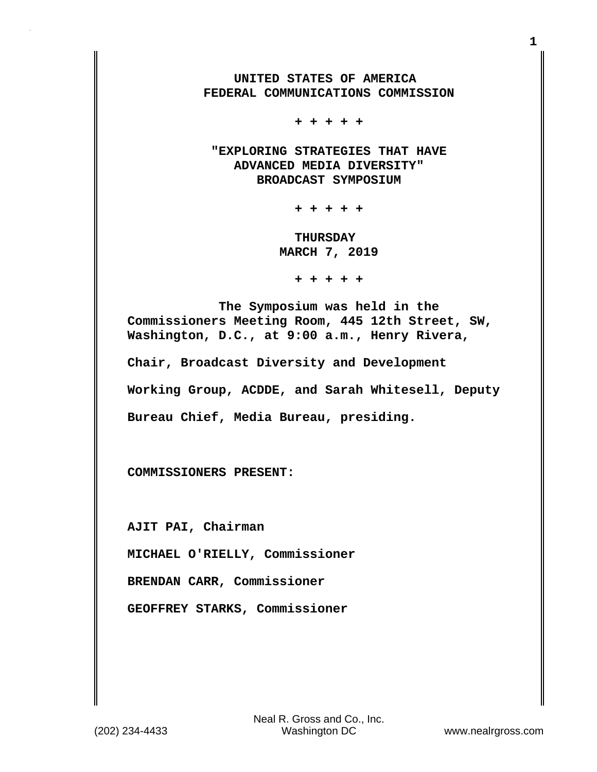**UNITED STATES OF AMERICA FEDERAL COMMUNICATIONS COMMISSION**

 **+ + + + +**

 **"EXPLORING STRATEGIES THAT HAVE ADVANCED MEDIA DIVERSITY" BROADCAST SYMPOSIUM**

 **+ + + + +**

 **THURSDAY MARCH 7, 2019**

 **+ + + + +**

 **The Symposium was held in the Commissioners Meeting Room, 445 12th Street, SW, Washington, D.C., at 9:00 a.m., Henry Rivera,**

**Chair, Broadcast Diversity and Development**

**Working Group, ACDDE, and Sarah Whitesell, Deputy**

**Bureau Chief, Media Bureau, presiding.**

**COMMISSIONERS PRESENT:**

**AJIT PAI, Chairman**

**MICHAEL O'RIELLY, Commissioner**

**BRENDAN CARR, Commissioner**

**GEOFFREY STARKS, Commissioner**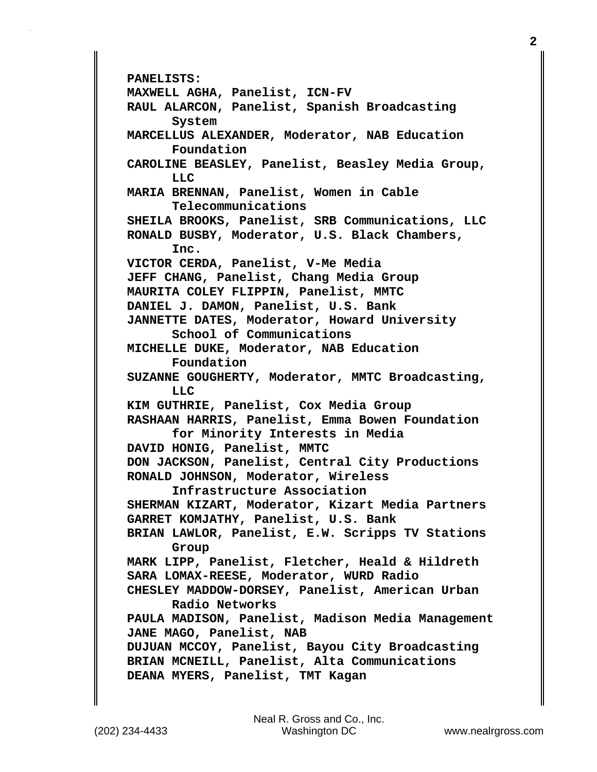**PANELISTS: MAXWELL AGHA, Panelist, ICN-FV RAUL ALARCON, Panelist, Spanish Broadcasting System MARCELLUS ALEXANDER, Moderator, NAB Education Foundation CAROLINE BEASLEY, Panelist, Beasley Media Group, LLC MARIA BRENNAN, Panelist, Women in Cable Telecommunications SHEILA BROOKS, Panelist, SRB Communications, LLC RONALD BUSBY, Moderator, U.S. Black Chambers, Inc. VICTOR CERDA, Panelist, V-Me Media JEFF CHANG, Panelist, Chang Media Group MAURITA COLEY FLIPPIN, Panelist, MMTC DANIEL J. DAMON, Panelist, U.S. Bank JANNETTE DATES, Moderator, Howard University School of Communications MICHELLE DUKE, Moderator, NAB Education Foundation SUZANNE GOUGHERTY, Moderator, MMTC Broadcasting, LLC KIM GUTHRIE, Panelist, Cox Media Group RASHAAN HARRIS, Panelist, Emma Bowen Foundation for Minority Interests in Media DAVID HONIG, Panelist, MMTC DON JACKSON, Panelist, Central City Productions RONALD JOHNSON, Moderator, Wireless Infrastructure Association SHERMAN KIZART, Moderator, Kizart Media Partners GARRET KOMJATHY, Panelist, U.S. Bank BRIAN LAWLOR, Panelist, E.W. Scripps TV Stations Group MARK LIPP, Panelist, Fletcher, Heald & Hildreth SARA LOMAX-REESE, Moderator, WURD Radio CHESLEY MADDOW-DORSEY, Panelist, American Urban Radio Networks PAULA MADISON, Panelist, Madison Media Management JANE MAGO, Panelist, NAB DUJUAN MCCOY, Panelist, Bayou City Broadcasting BRIAN MCNEILL, Panelist, Alta Communications DEANA MYERS, Panelist, TMT Kagan**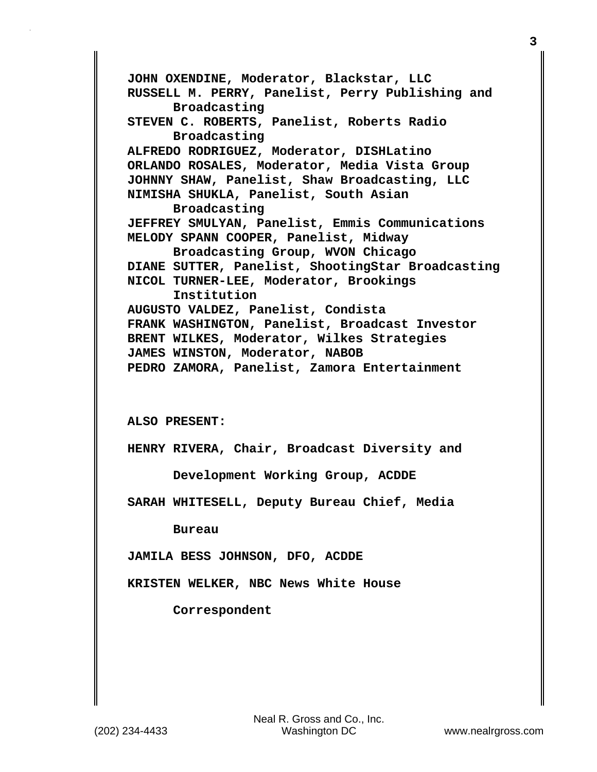**JOHN OXENDINE, Moderator, Blackstar, LLC RUSSELL M. PERRY, Panelist, Perry Publishing and Broadcasting STEVEN C. ROBERTS, Panelist, Roberts Radio Broadcasting ALFREDO RODRIGUEZ, Moderator, DISHLatino ORLANDO ROSALES, Moderator, Media Vista Group JOHNNY SHAW, Panelist, Shaw Broadcasting, LLC NIMISHA SHUKLA, Panelist, South Asian Broadcasting JEFFREY SMULYAN, Panelist, Emmis Communications MELODY SPANN COOPER, Panelist, Midway Broadcasting Group, WVON Chicago DIANE SUTTER, Panelist, ShootingStar Broadcasting NICOL TURNER-LEE, Moderator, Brookings Institution AUGUSTO VALDEZ, Panelist, Condista FRANK WASHINGTON, Panelist, Broadcast Investor BRENT WILKES, Moderator, Wilkes Strategies JAMES WINSTON, Moderator, NABOB PEDRO ZAMORA, Panelist, Zamora Entertainment ALSO PRESENT: HENRY RIVERA, Chair, Broadcast Diversity and Development Working Group, ACDDE SARAH WHITESELL, Deputy Bureau Chief, Media Bureau JAMILA BESS JOHNSON, DFO, ACDDE KRISTEN WELKER, NBC News White House**

 **Correspondent**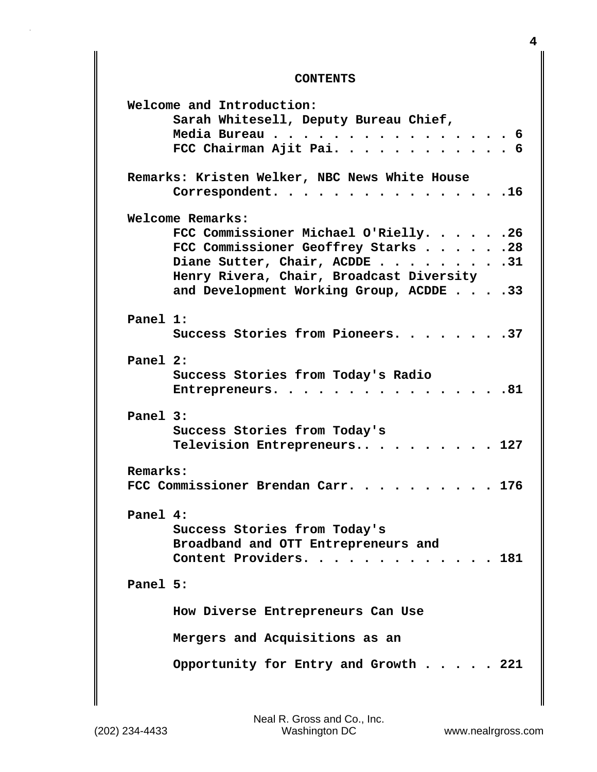## **CONTENTS**

|          | Welcome and Introduction:                                                                                                                 |
|----------|-------------------------------------------------------------------------------------------------------------------------------------------|
|          | Sarah Whitesell, Deputy Bureau Chief,                                                                                                     |
|          | Media Bureau<br>. 6<br>$\sim$ $\sim$ $\sim$                                                                                               |
|          | FCC Chairman Ajit Pai. 6                                                                                                                  |
|          |                                                                                                                                           |
|          | Remarks: Kristen Welker, NBC News White House<br>Correspondent.<br>. 16                                                                   |
|          |                                                                                                                                           |
|          | Welcome Remarks:                                                                                                                          |
|          | FCC Commissioner Michael O'Rielly. 26                                                                                                     |
|          | FCC Commissioner Geoffrey Starks 28                                                                                                       |
|          | Diane Sutter, Chair, ACDDE 31                                                                                                             |
|          | Henry Rivera, Chair, Broadcast Diversity                                                                                                  |
|          | and Development Working Group, ACDDE 33                                                                                                   |
|          |                                                                                                                                           |
| Panel 1: |                                                                                                                                           |
|          | Success Stories from Pioneers. 37                                                                                                         |
|          |                                                                                                                                           |
| Panel 2: |                                                                                                                                           |
|          | Success Stories from Today's Radio                                                                                                        |
|          | . 81<br>Entrepreneurs.<br>$\begin{array}{cccccccccccccc} \bullet & \bullet & \bullet & \bullet & \bullet & \bullet & \bullet \end{array}$ |
|          |                                                                                                                                           |
| Panel 3: |                                                                                                                                           |
|          | Success Stories from Today's                                                                                                              |
|          | Television Entrepreneurs<br>$\cdots$ $\cdots$ 127                                                                                         |
|          |                                                                                                                                           |
| Remarks: |                                                                                                                                           |
|          | FCC Commissioner Brendan Carr. 176                                                                                                        |
|          |                                                                                                                                           |
| Panel 4: |                                                                                                                                           |
|          |                                                                                                                                           |
|          | Success Stories from Today's                                                                                                              |
|          | Broadband and OTT Entrepreneurs and                                                                                                       |
|          | Content Providers.<br>. 181                                                                                                               |
|          |                                                                                                                                           |
| Panel 5: |                                                                                                                                           |
|          |                                                                                                                                           |
|          | How Diverse Entrepreneurs Can Use                                                                                                         |
|          |                                                                                                                                           |
|          | Mergers and Acquisitions as an                                                                                                            |
|          | Opportunity for Entry and Growth $\ldots$ 221                                                                                             |
|          |                                                                                                                                           |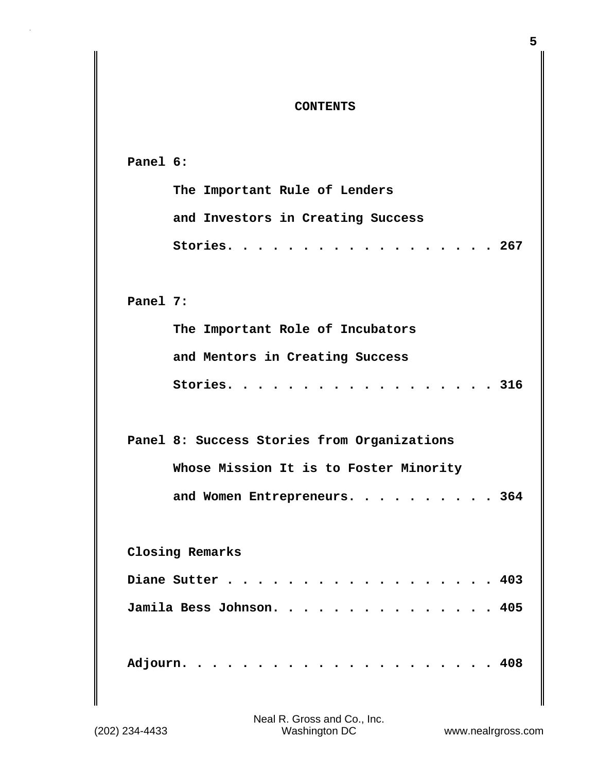## **CONTENTS**

| Panel 6:                                    |
|---------------------------------------------|
| The Important Rule of Lenders               |
| and Investors in Creating Success           |
| Stories. 267                                |
|                                             |
| Panel 7:                                    |
| The Important Role of Incubators            |
| and Mentors in Creating Success             |
| Stories. 316                                |
|                                             |
| Panel 8: Success Stories from Organizations |
| Whose Mission It is to Foster Minority      |
| and Women Entrepreneurs. 364                |
|                                             |
| Closing Remarks                             |
| Diane Sutter<br>403                         |
| Jamila Bess Johnson. 405                    |
|                                             |
| 408<br>Adjourn                              |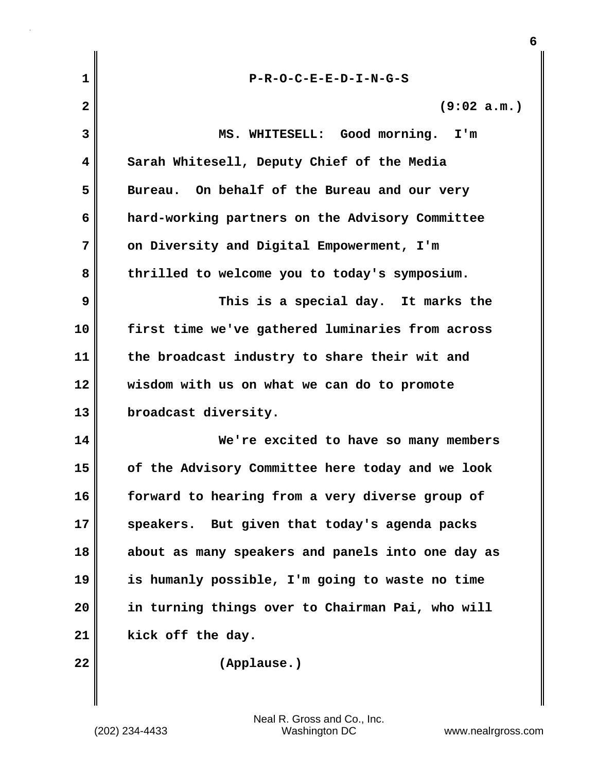| 1            | $P-R-O-C-E-E-D-I-N-G-S$                           |
|--------------|---------------------------------------------------|
| $\mathbf{2}$ | (9:02 a.m.)                                       |
| 3            | MS. WHITESELL: Good morning. I'm                  |
| 4            | Sarah Whitesell, Deputy Chief of the Media        |
| 5            | Bureau. On behalf of the Bureau and our very      |
| 6            | hard-working partners on the Advisory Committee   |
| 7            | on Diversity and Digital Empowerment, I'm         |
| 8            | thrilled to welcome you to today's symposium.     |
| 9            | This is a special day. It marks the               |
| 10           | first time we've gathered luminaries from across  |
| 11           | the broadcast industry to share their wit and     |
| 12           | wisdom with us on what we can do to promote       |
| 13           | broadcast diversity.                              |
| 14           | We're excited to have so many members             |
| 15           | of the Advisory Committee here today and we look  |
| 16           | forward to hearing from a very diverse group of   |
| 17           | But given that today's agenda packs<br>speakers.  |
| 18           | about as many speakers and panels into one day as |
| 19           | is humanly possible, I'm going to waste no time   |
| 20           | in turning things over to Chairman Pai, who will  |
| 21           | kick off the day.                                 |
| 22           | (Applause.)                                       |
|              |                                                   |

**6**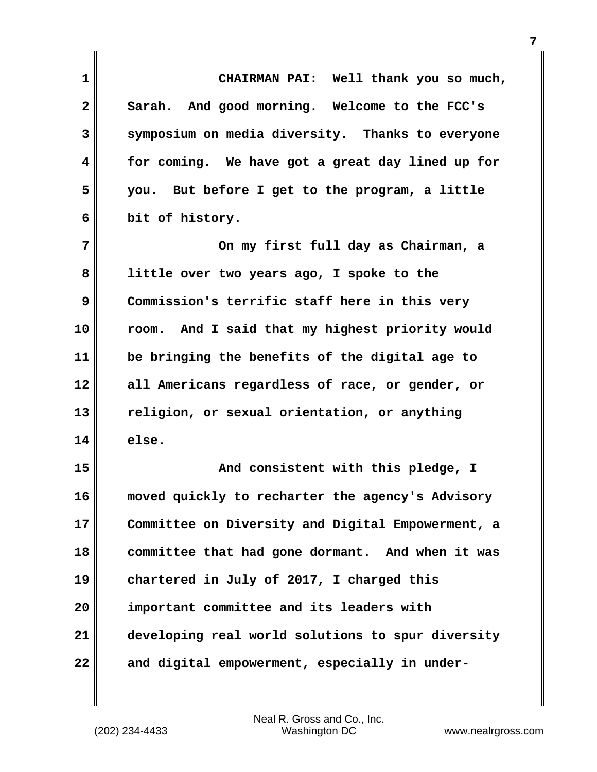| 1            | CHAIRMAN PAI: Well thank you so much,             |
|--------------|---------------------------------------------------|
| $\mathbf{2}$ | Sarah. And good morning. Welcome to the FCC's     |
| 3            | symposium on media diversity. Thanks to everyone  |
| 4            | for coming. We have got a great day lined up for  |
| 5            | you. But before I get to the program, a little    |
| 6            | bit of history.                                   |
| 7            | On my first full day as Chairman, a               |
| 8            | little over two years ago, I spoke to the         |
| 9            | Commission's terrific staff here in this very     |
| 10           | room. And I said that my highest priority would   |
| 11           | be bringing the benefits of the digital age to    |
| 12           | all Americans regardless of race, or gender, or   |
| 13           | religion, or sexual orientation, or anything      |
| 14           | else.                                             |
| 15           | And consistent with this pledge, I                |
| 16           | moved quickly to recharter the agency's Advisory  |
| 17           | Committee on Diversity and Digital Empowerment, a |
| 18           | committee that had gone dormant. And when it was  |
| 19           | chartered in July of 2017, I charged this         |
| 20           | important committee and its leaders with          |
| 21           | developing real world solutions to spur diversity |
| 22           | and digital empowerment, especially in under-     |

 $\mathbf{I}$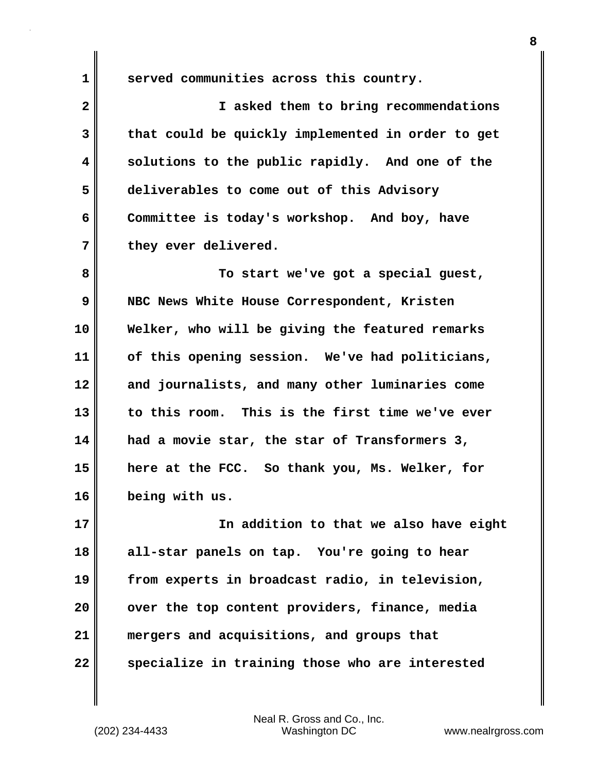**1 served communities across this country.**

**2 I asked them to bring recommendations 3 that could be quickly implemented in order to get 4 solutions to the public rapidly. And one of the 5 deliverables to come out of this Advisory 6 Committee is today's workshop. And boy, have 7 they ever delivered.**

**8 To start we've got a special guest, 9 NBC News White House Correspondent, Kristen 10 Welker, who will be giving the featured remarks 11 of this opening session. We've had politicians, 12 and journalists, and many other luminaries come 13 to this room. This is the first time we've ever 14 had a movie star, the star of Transformers 3, 15 here at the FCC. So thank you, Ms. Welker, for 16 being with us.**

**17 In addition to that we also have eight 18 all-star panels on tap. You're going to hear 19 from experts in broadcast radio, in television, 20 over the top content providers, finance, media 21 mergers and acquisitions, and groups that 22 specialize in training those who are interested**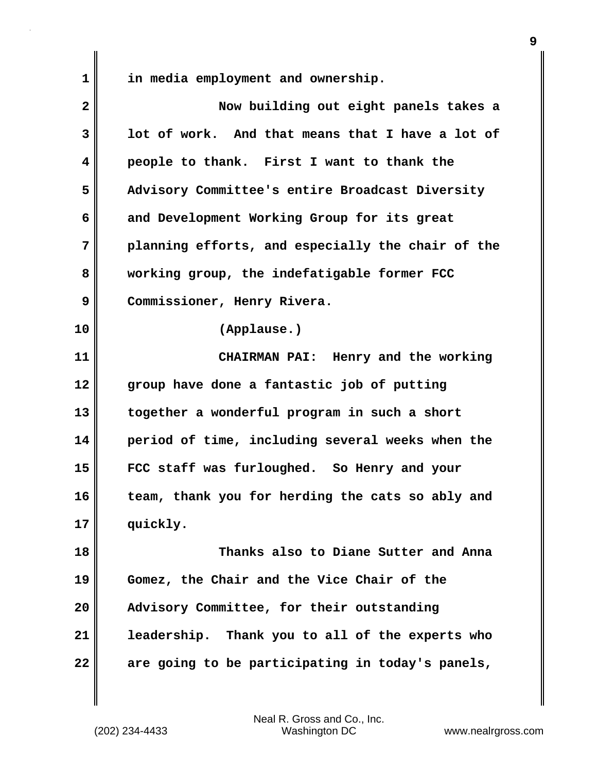| 1            | in media employment and ownership.                |
|--------------|---------------------------------------------------|
| $\mathbf{2}$ | Now building out eight panels takes a             |
| 3            | lot of work. And that means that I have a lot of  |
| 4            | people to thank. First I want to thank the        |
| 5            | Advisory Committee's entire Broadcast Diversity   |
| 6            | and Development Working Group for its great       |
| 7            | planning efforts, and especially the chair of the |
| 8            | working group, the indefatigable former FCC       |
| 9            | Commissioner, Henry Rivera.                       |
| 10           | (Applause.)                                       |
| 11           | CHAIRMAN PAI: Henry and the working               |
| 12           | group have done a fantastic job of putting        |
| 13           | together a wonderful program in such a short      |
| 14           | period of time, including several weeks when the  |
| 15           | FCC staff was furloughed. So Henry and your       |
| 16           | team, thank you for herding the cats so ably and  |
| 17           | quickly.                                          |
|              |                                                   |

**18 Thanks also to Diane Sutter and Anna 19 Gomez, the Chair and the Vice Chair of the 20 Advisory Committee, for their outstanding 21 leadership. Thank you to all of the experts who 22 are going to be participating in today's panels,**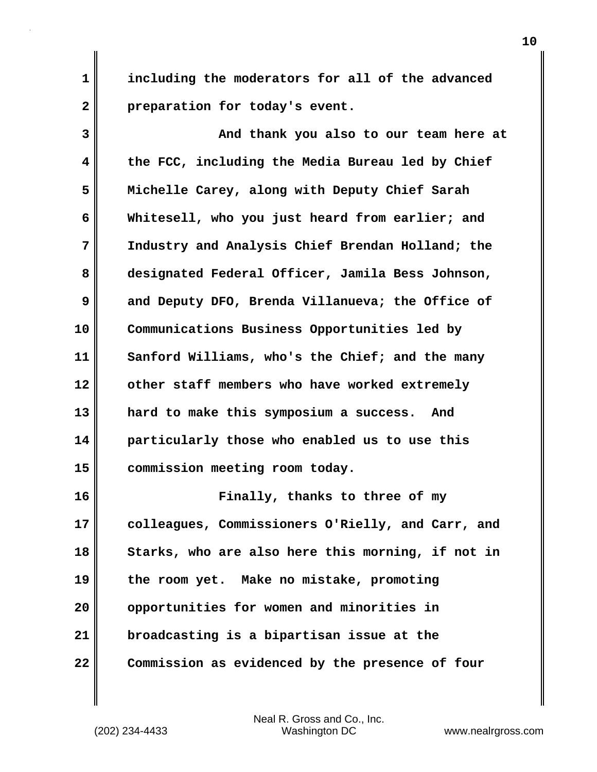**1 including the moderators for all of the advanced 2 preparation for today's event.**

**3 And thank you also to our team here at 4 the FCC, including the Media Bureau led by Chief 5 Michelle Carey, along with Deputy Chief Sarah 6 Whitesell, who you just heard from earlier; and 7 Industry and Analysis Chief Brendan Holland; the 8 designated Federal Officer, Jamila Bess Johnson, 9 and Deputy DFO, Brenda Villanueva; the Office of 10 Communications Business Opportunities led by 11 Sanford Williams, who's the Chief; and the many 12 other staff members who have worked extremely 13 hard to make this symposium a success. And 14 particularly those who enabled us to use this 15 commission meeting room today.**

**16 Finally, thanks to three of my 17 colleagues, Commissioners O'Rielly, and Carr, and 18 Starks, who are also here this morning, if not in 19 the room yet. Make no mistake, promoting 20 opportunities for women and minorities in 21 broadcasting is a bipartisan issue at the 22 Commission as evidenced by the presence of four**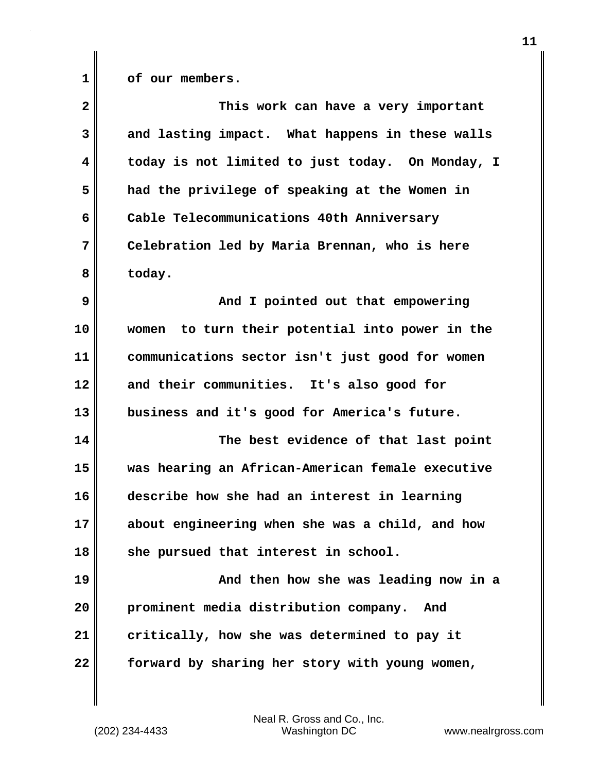**1 of our members.**

| $\overline{\mathbf{2}}$ | This work can have a very important              |
|-------------------------|--------------------------------------------------|
| 3                       | and lasting impact. What happens in these walls  |
| $\overline{\mathbf{4}}$ | today is not limited to just today. On Monday, I |
| 5                       | had the privilege of speaking at the Women in    |
| 6                       | Cable Telecommunications 40th Anniversary        |
| 7                       | Celebration led by Maria Brennan, who is here    |
| 8                       | today.                                           |
| 9                       | And I pointed out that empowering                |
| 10                      | women to turn their potential into power in the  |
| 11                      | communications sector isn't just good for women  |
| 12                      | and their communities. It's also good for        |
| 13                      | business and it's good for America's future.     |
| 14                      | The best evidence of that last point             |
| 15                      | was hearing an African-American female executive |
| 16                      | describe how she had an interest in learning     |
| 17                      | about engineering when she was a child, and how  |
| 18                      | she pursued that interest in school.             |
| 19                      | And then how she was leading now in a            |
| 20                      | prominent media distribution company. And        |
| 21                      | critically, how she was determined to pay it     |
| 22                      | forward by sharing her story with young women,   |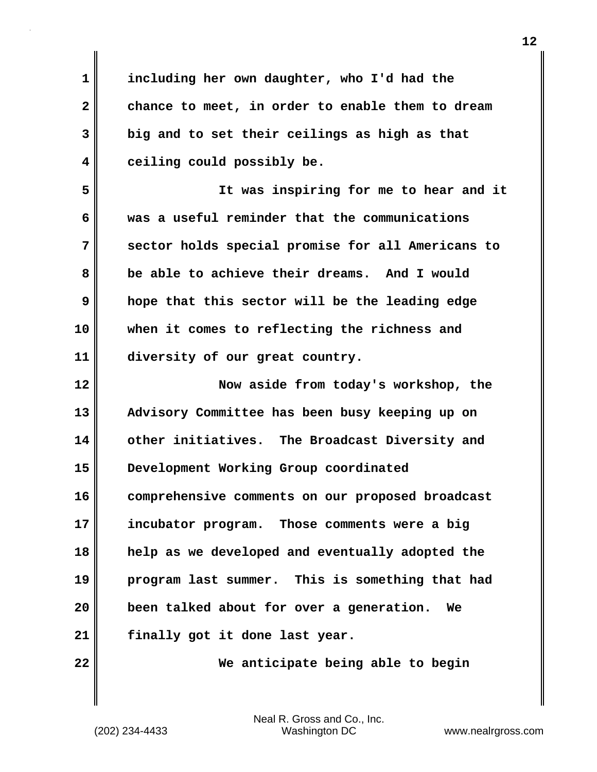**1 including her own daughter, who I'd had the 2 chance to meet, in order to enable them to dream 3 big and to set their ceilings as high as that 4 ceiling could possibly be.**

**5 It was inspiring for me to hear and it 6 was a useful reminder that the communications 7 sector holds special promise for all Americans to 8 be able to achieve their dreams. And I would 9 hope that this sector will be the leading edge 10 when it comes to reflecting the richness and 11 diversity of our great country.**

**12 Now aside from today's workshop, the 13 Advisory Committee has been busy keeping up on 14 other initiatives. The Broadcast Diversity and 15 Development Working Group coordinated 16 comprehensive comments on our proposed broadcast 17 incubator program. Those comments were a big 18 help as we developed and eventually adopted the 19 program last summer. This is something that had 20 been talked about for over a generation. We 21 finally got it done last year.**

**22 We anticipate being able to begin**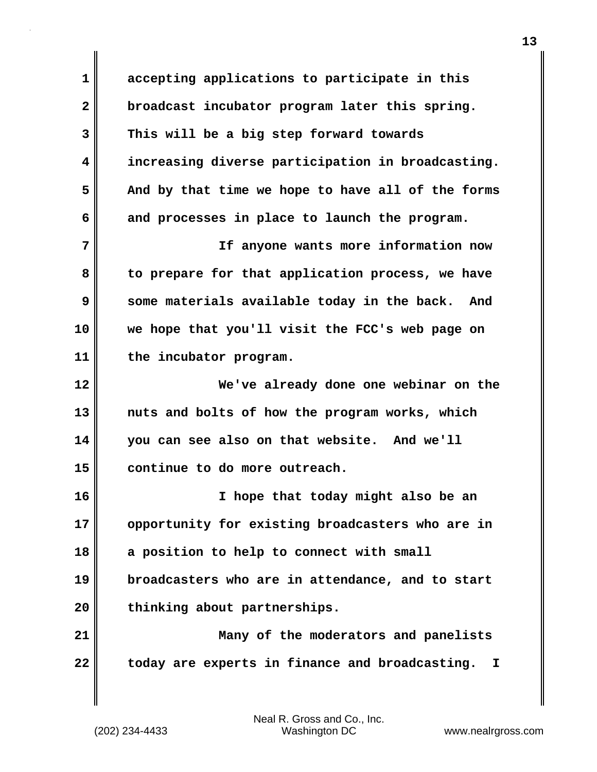**1 accepting applications to participate in this 2 broadcast incubator program later this spring. 3 This will be a big step forward towards 4 increasing diverse participation in broadcasting. 5 And by that time we hope to have all of the forms 6 and processes in place to launch the program. 7 If anyone wants more information now 8 to prepare for that application process, we have 9 some materials available today in the back. And 10 we hope that you'll visit the FCC's web page on 11 the incubator program. 12 We've already done one webinar on the 13 nuts and bolts of how the program works, which 14 you can see also on that website. And we'll 15 continue to do more outreach. 16 I hope that today might also be an 17 opportunity for existing broadcasters who are in 18 a position to help to connect with small 19 broadcasters who are in attendance, and to start 20 thinking about partnerships. 21 Many of the moderators and panelists 22 today are experts in finance and broadcasting. I**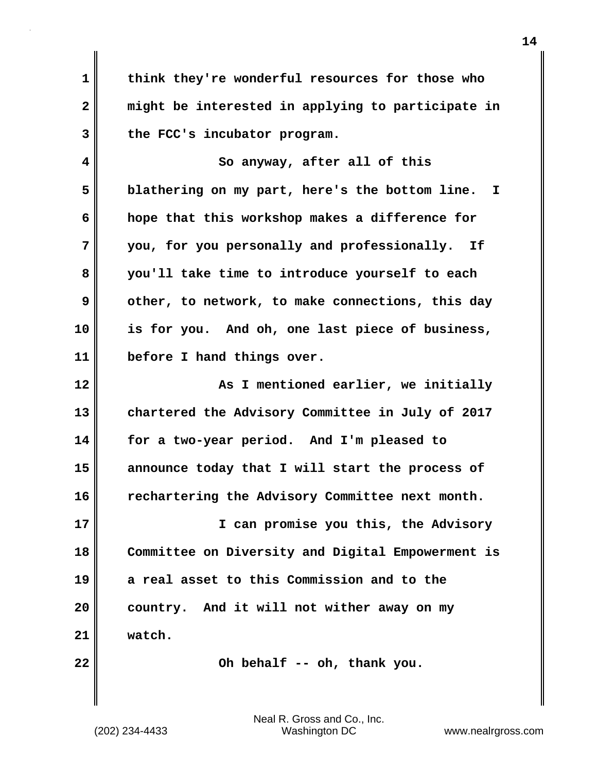**1 think they're wonderful resources for those who 2 might be interested in applying to participate in 3 the FCC's incubator program.**

**4 So anyway, after all of this 5 blathering on my part, here's the bottom line. I 6 hope that this workshop makes a difference for 7 you, for you personally and professionally. If 8 you'll take time to introduce yourself to each 9 other, to network, to make connections, this day 10 is for you. And oh, one last piece of business, 11 before I hand things over.**

**12 As I** mentioned earlier, we initially **13 chartered the Advisory Committee in July of 2017 14 for a two-year period. And I'm pleased to 15 announce today that I will start the process of 16 rechartering the Advisory Committee next month.**

**17 I can promise you this, the Advisory 18 Committee on Diversity and Digital Empowerment is 19 a real asset to this Commission and to the 20 country. And it will not wither away on my 21 watch.**

**22 Oh behalf -- oh, thank you.**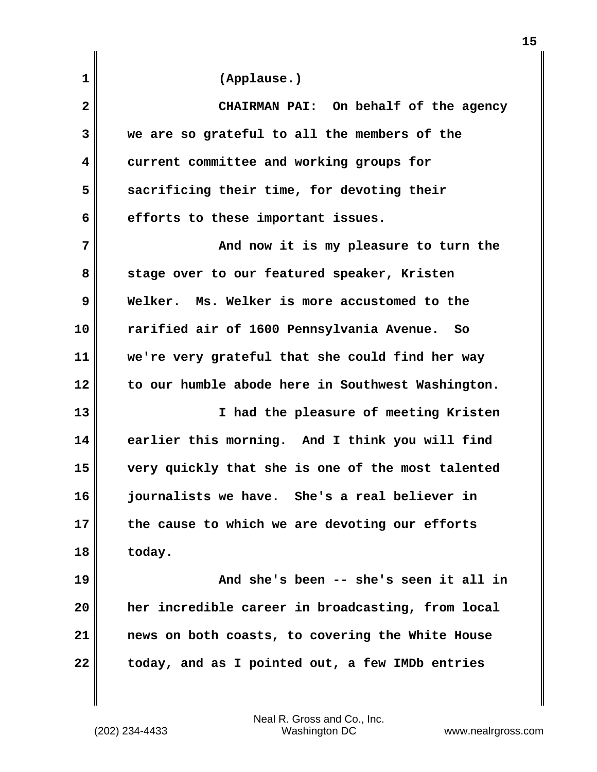| 1            | (Applause.)                                       |
|--------------|---------------------------------------------------|
| $\mathbf{2}$ | CHAIRMAN PAI: On behalf of the agency             |
| 3            | we are so grateful to all the members of the      |
| 4            | current committee and working groups for          |
| 5            | sacrificing their time, for devoting their        |
| 6            | efforts to these important issues.                |
| 7            | And now it is my pleasure to turn the             |
| 8            | stage over to our featured speaker, Kristen       |
| 9            | Welker. Ms. Welker is more accustomed to the      |
| 10           | rarified air of 1600 Pennsylvania Avenue.<br>So   |
| 11           | we're very grateful that she could find her way   |
| 12           | to our humble abode here in Southwest Washington. |
| 13           | I had the pleasure of meeting Kristen             |
| 14           | earlier this morning. And I think you will find   |
| 15           | very quickly that she is one of the most talented |
| 16           | journalists we have. She's a real believer in     |
| 17           | the cause to which we are devoting our efforts    |
| 18           | today.                                            |
| 19           | And she's been -- she's seen it all in            |
| 20           | her incredible career in broadcasting, from local |
| 21           | news on both coasts, to covering the White House  |
| 22           | today, and as I pointed out, a few IMDb entries   |
|              |                                                   |

**15**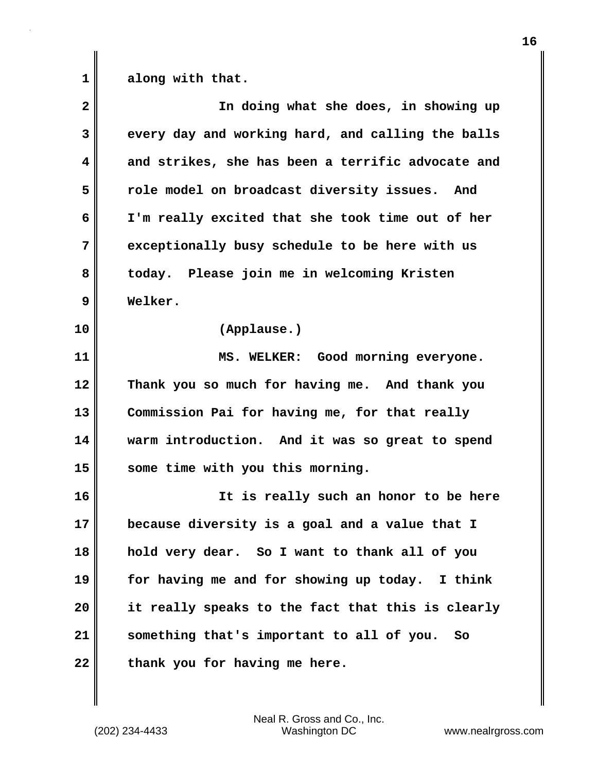1 along with that.

| $\mathbf{2}$ | In doing what she does, in showing up             |
|--------------|---------------------------------------------------|
| 3            | every day and working hard, and calling the balls |
| 4            | and strikes, she has been a terrific advocate and |
| 5            | role model on broadcast diversity issues. And     |
| 6            | I'm really excited that she took time out of her  |
| 7            | exceptionally busy schedule to be here with us    |
| 8            | today. Please join me in welcoming Kristen        |
| 9            | Welker.                                           |
| 10           | (Applause.)                                       |
| 11           | MS. WELKER: Good morning everyone.                |
| 12           | Thank you so much for having me. And thank you    |
| 13           | Commission Pai for having me, for that really     |
| 14           | warm introduction. And it was so great to spend   |
| 15           | some time with you this morning.                  |
| 16           | It is really such an honor to be here             |
| 17           | because diversity is a goal and a value that I    |
| 18           | hold very dear. So I want to thank all of you     |
| 19           | for having me and for showing up today. I think   |
| 20           | it really speaks to the fact that this is clearly |
| 21           | something that's important to all of you. So      |
| 22           | thank you for having me here.                     |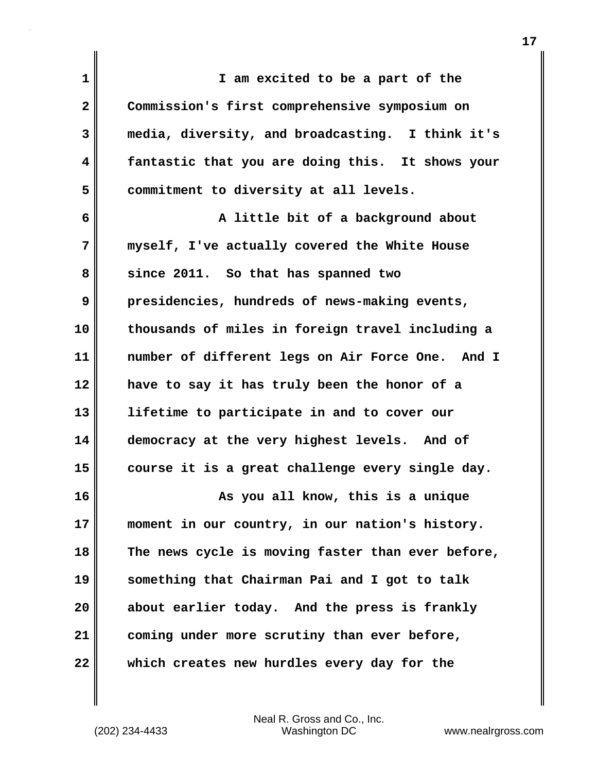| 1  | I am excited to be a part of the                  |
|----|---------------------------------------------------|
| 2  | Commission's first comprehensive symposium on     |
| 3  | media, diversity, and broadcasting. I think it's  |
| 4  | fantastic that you are doing this. It shows your  |
| 5  | commitment to diversity at all levels.            |
| 6  | A little bit of a background about                |
| 7  | myself, I've actually covered the White House     |
| 8  | since 2011. So that has spanned two               |
| 9  | presidencies, hundreds of news-making events,     |
| 10 | thousands of miles in foreign travel including a  |
| 11 | number of different legs on Air Force One. And I  |
| 12 | have to say it has truly been the honor of a      |
| 13 | lifetime to participate in and to cover our       |
| 14 | democracy at the very highest levels. And of      |
| 15 | course it is a great challenge every single day.  |
| 16 | As you all know, this is a unique                 |
| 17 | moment in our country, in our nation's history.   |
| 18 | The news cycle is moving faster than ever before, |
| 19 | something that Chairman Pai and I got to talk     |
| 20 | about earlier today. And the press is frankly     |
| 21 | coming under more scrutiny than ever before,      |
| 22 | which creates new hurdles every day for the       |

(202) 234-4433 Washington DC www.nealrgross.com Neal R. Gross and Co., Inc.

 $\mathbf{I}$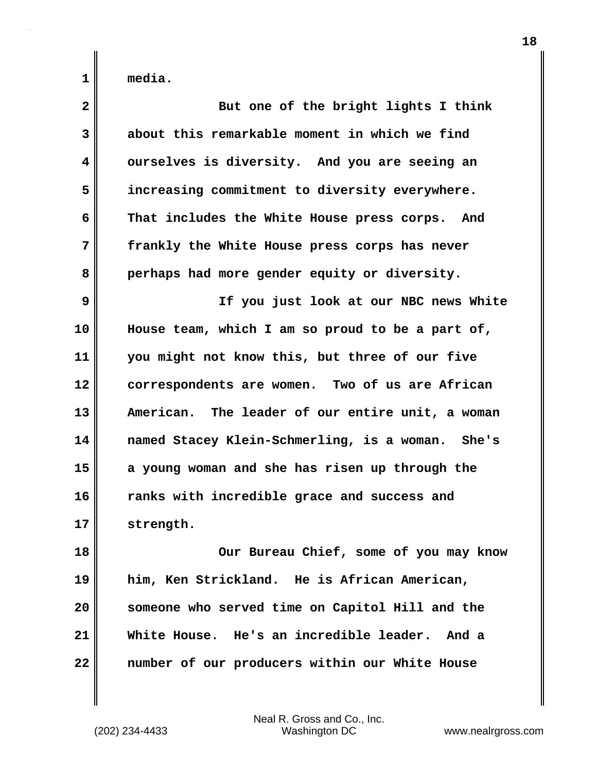| $\overline{\mathbf{2}}$ | But one of the bright lights I think             |
|-------------------------|--------------------------------------------------|
| 3                       | about this remarkable moment in which we find    |
| 4                       | ourselves is diversity. And you are seeing an    |
| 5                       | increasing commitment to diversity everywhere.   |
| 6                       | That includes the White House press corps. And   |
| 7                       | frankly the White House press corps has never    |
| 8                       | perhaps had more gender equity or diversity.     |
| 9                       | If you just look at our NBC news White           |
| 10                      | House team, which I am so proud to be a part of, |
| 11                      | you might not know this, but three of our five   |
| 12                      | correspondents are women. Two of us are African  |
| 13                      | American. The leader of our entire unit, a woman |
| 14                      | named Stacey Klein-Schmerling, is a woman. She's |
| 15                      | a young woman and she has risen up through the   |
| 16                      | ranks with incredible grace and success and      |
| 17                      | strength.                                        |
| 18                      | Our Bureau Chief, some of you may know           |
| 19                      | him, Ken Strickland. He is African American,     |
| 20                      | someone who served time on Capitol Hill and the  |
| 21                      | White House. He's an incredible leader. And a    |
| 22                      | number of our producers within our White House   |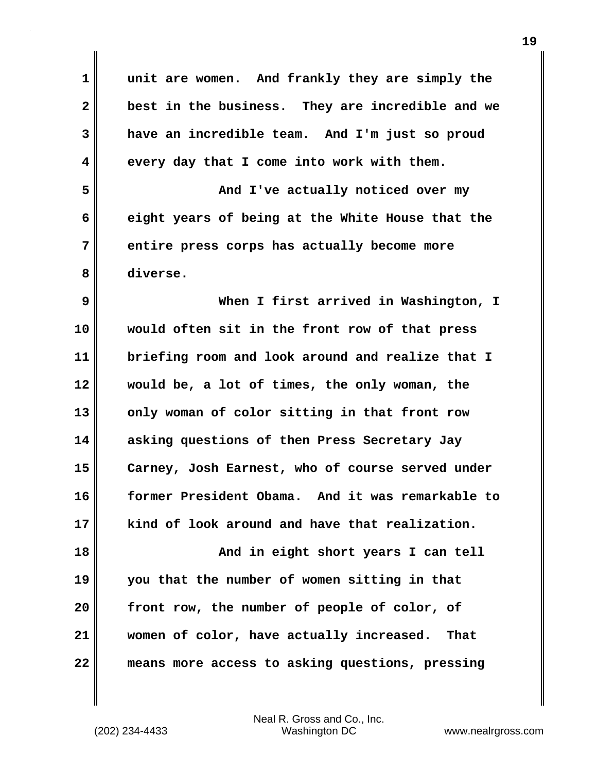| $\mathbf 1$  | unit are women. And frankly they are simply the  |
|--------------|--------------------------------------------------|
| $\mathbf{2}$ | best in the business. They are incredible and we |
| 3            | have an incredible team. And I'm just so proud   |
| 4            | every day that I come into work with them.       |
| 5            | And I've actually noticed over my                |
| 6            | eight years of being at the White House that the |
| 7            | entire press corps has actually become more      |
| 8            | diverse.                                         |
| 9            | When I first arrived in Washington, I            |
| 10           | would often sit in the front row of that press   |
| 11           | briefing room and look around and realize that I |
| 12           | would be, a lot of times, the only woman, the    |
| 13           | only woman of color sitting in that front row    |
| 14           | asking questions of then Press Secretary Jay     |
| 15           | Carney, Josh Earnest, who of course served under |
| 16           | former President Obama. And it was remarkable to |
| 17           | kind of look around and have that realization.   |
| 18           | And in eight short years I can tell              |
| 19           | you that the number of women sitting in that     |
| 20           | front row, the number of people of color, of     |
| 21           | women of color, have actually increased. That    |
| 22           | means more access to asking questions, pressing  |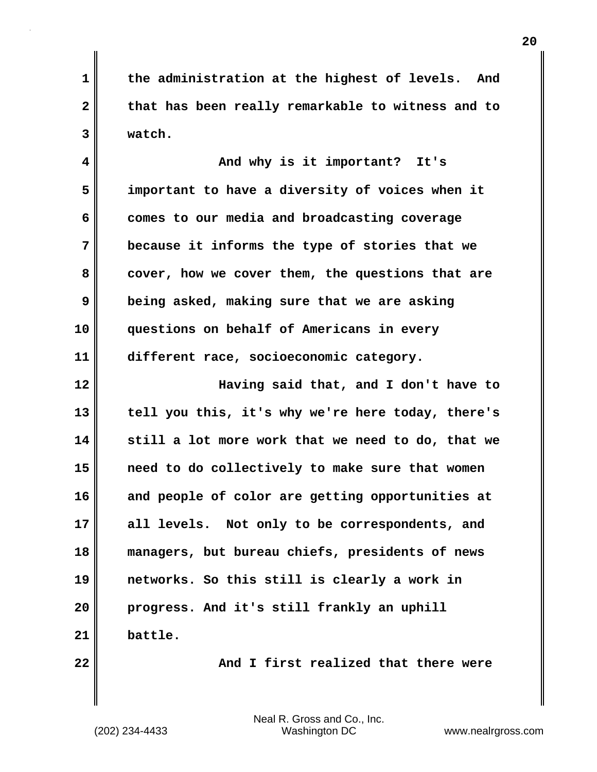**1 the administration at the highest of levels. And 2 that has been really remarkable to witness and to 3 watch.**

**4 And why is it important? It's 5 important to have a diversity of voices when it 6 comes to our media and broadcasting coverage 7 because it informs the type of stories that we 8 cover, how we cover them, the questions that are 9 being asked, making sure that we are asking 10 questions on behalf of Americans in every 11 different race, socioeconomic category.**

**12 Having said that, and I don't have to 13 tell you this, it's why we're here today, there's 14 still a lot more work that we need to do, that we 15 need to do collectively to make sure that women 16 and people of color are getting opportunities at 17 all levels. Not only to be correspondents, and 18 managers, but bureau chiefs, presidents of news 19 networks. So this still is clearly a work in 20 progress. And it's still frankly an uphill 21 battle.**

**22 And I first realized that there were**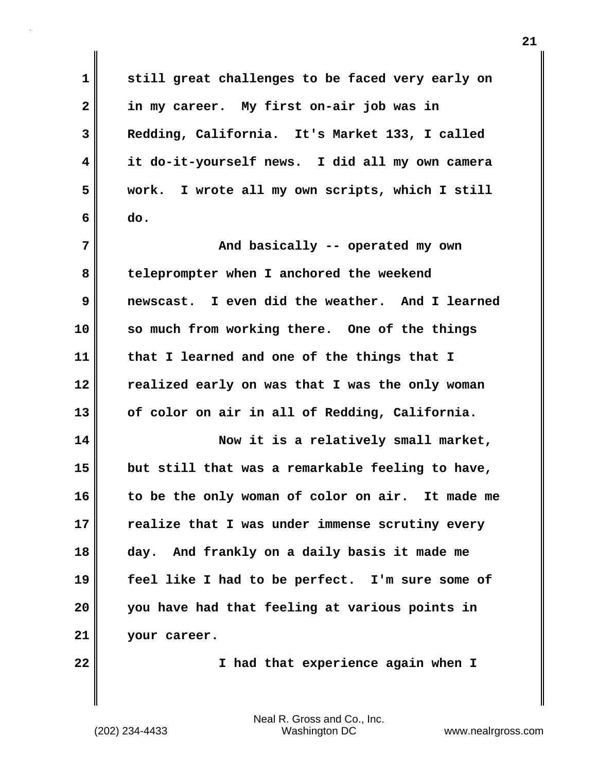**1 still great challenges to be faced very early on 2 in my career. My first on-air job was in 3 Redding, California. It's Market 133, I called 4 it do-it-yourself news. I did all my own camera 5 work. I wrote all my own scripts, which I still 6 do. 7 And basically -- operated my own 8 teleprompter when I anchored the weekend 9 newscast. I even did the weather. And I learned 10 so much from working there. One of the things 11 that I learned and one of the things that I 12 realized early on was that I was the only woman 13 of color on air in all of Redding, California. 14 Now it is a relatively small market, 15 but still that was a remarkable feeling to have, 16 to be the only woman of color on air. It made me 17 realize that I was under immense scrutiny every 18 day. And frankly on a daily basis it made me 19 feel like I had to be perfect. I'm sure some of 20 you have had that feeling at various points in 21 your career. 22 I had that experience again when I**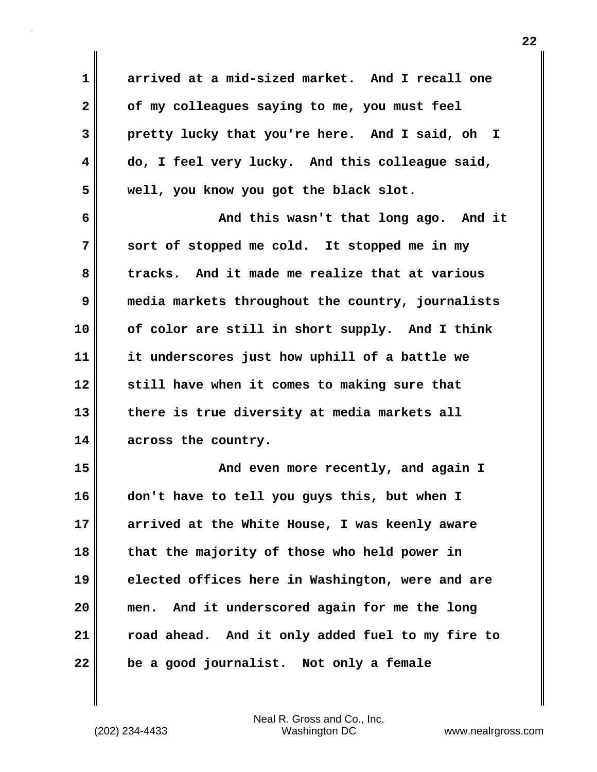| $\mathbf 1$  | arrived at a mid-sized market. And I recall one   |
|--------------|---------------------------------------------------|
| $\mathbf{2}$ | of my colleagues saying to me, you must feel      |
| 3            | pretty lucky that you're here. And I said, oh I   |
| 4            | do, I feel very lucky. And this colleague said,   |
| 5            | well, you know you got the black slot.            |
| 6            | And this wasn't that long ago. And it             |
| 7            | sort of stopped me cold. It stopped me in my      |
| 8            | tracks. And it made me realize that at various    |
| 9            | media markets throughout the country, journalists |
| 10           | of color are still in short supply. And I think   |
| 11           | it underscores just how uphill of a battle we     |
| 12           | still have when it comes to making sure that      |
| 13           | there is true diversity at media markets all      |
| 14           | across the country.                               |
| 15           | And even more recently, and again I               |
| 16           | don't have to tell you guys this, but when I      |
| 17           | arrived at the White House, I was keenly aware    |
| 18           | that the majority of those who held power in      |
| 19           | elected offices here in Washington, were and are  |
| 20           | And it underscored again for me the long<br>men.  |
| 21           | road ahead. And it only added fuel to my fire to  |
| 22           | be a good journalist. Not only a female           |

(202) 234-4433 Washington DC www.nealrgross.com Neal R. Gross and Co., Inc.

 $\mathbf{I}$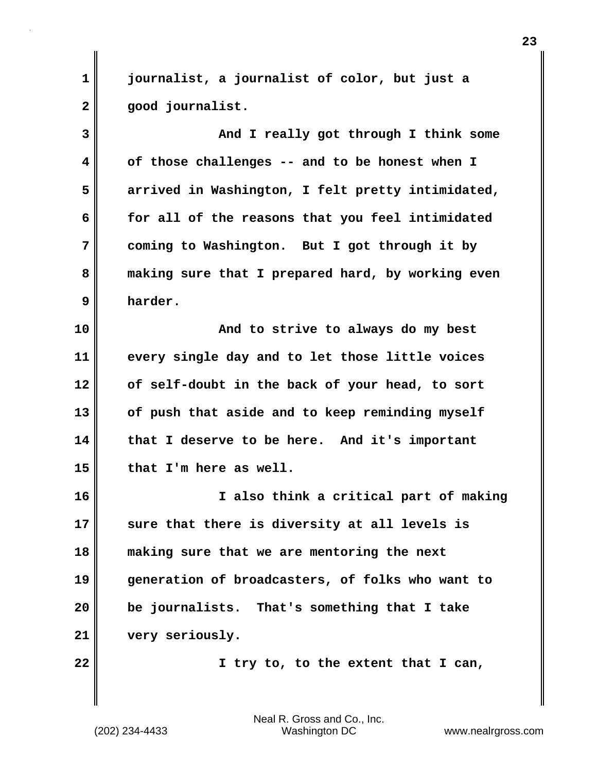**1 journalist, a journalist of color, but just a 2 good journalist.**

**3 And I really got through I think some 4 of those challenges -- and to be honest when I 5 arrived in Washington, I felt pretty intimidated, 6 for all of the reasons that you feel intimidated 7 coming to Washington. But I got through it by 8 making sure that I prepared hard, by working even 9 harder.**

**10 And to strive to always do my best 11 every single day and to let those little voices 12 of self-doubt in the back of your head, to sort 13 of push that aside and to keep reminding myself 14 that I deserve to be here. And it's important 15 that I'm here as well.**

**16 I also think a critical part of making 17 sure that there is diversity at all levels is 18 making sure that we are mentoring the next 19 generation of broadcasters, of folks who want to 20 be journalists. That's something that I take 21 very seriously.**

**22 I try to, to the extent that I can,**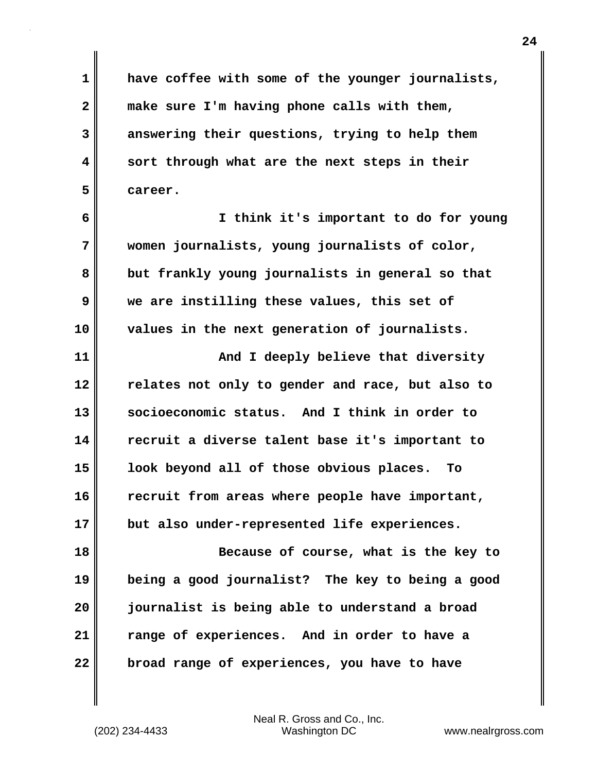**1 have coffee with some of the younger journalists, 2 make sure I'm having phone calls with them, 3 answering their questions, trying to help them 4 sort through what are the next steps in their 5 career.**

**6 I think it's important to do for young 7 women journalists, young journalists of color, 8 but frankly young journalists in general so that 9 we are instilling these values, this set of 10 values in the next generation of journalists.**

**11 And I deeply believe that diversity 12 relates not only to gender and race, but also to 13 socioeconomic status. And I think in order to 14 recruit a diverse talent base it's important to 15 look beyond all of those obvious places. To 16 recruit from areas where people have important, 17 but also under-represented life experiences.**

**18 Because of course, what is the key to 19 being a good journalist? The key to being a good 20 journalist is being able to understand a broad 21 range of experiences. And in order to have a 22 broad range of experiences, you have to have**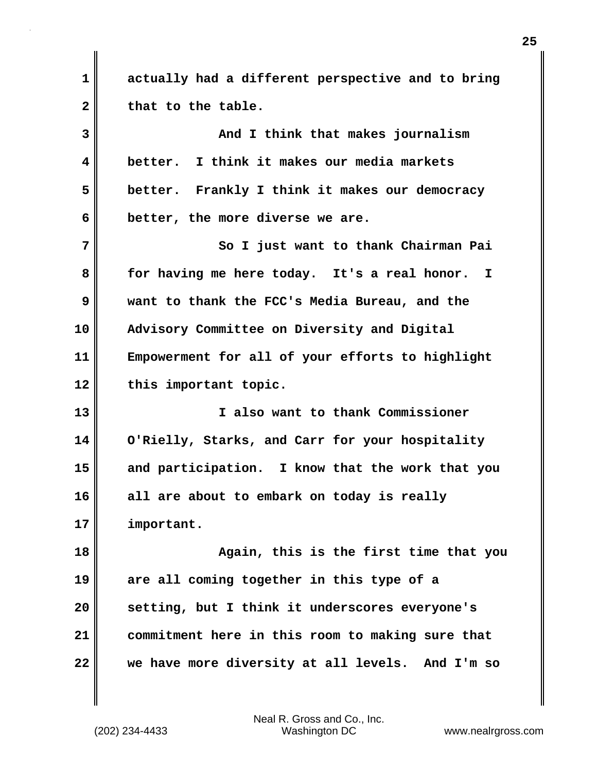**1 actually had a different perspective and to bring** 2 that to the table.

**3 And I think that makes journalism 4 better. I think it makes our media markets 5 better. Frankly I think it makes our democracy 6 better, the more diverse we are. 7** So I just want to thank Chairman Pai **8 for having me here today. It's a real honor. I 9 want to thank the FCC's Media Bureau, and the 10 Advisory Committee on Diversity and Digital 11 Empowerment for all of your efforts to highlight 12 this important topic. 13 I also want to thank Commissioner**

**14 O'Rielly, Starks, and Carr for your hospitality 15 and participation. I know that the work that you 16 all are about to embark on today is really 17 important.**

**18 Again, this is the first time that you 19 are all coming together in this type of a 20 setting, but I think it underscores everyone's 21 commitment here in this room to making sure that 22 we have more diversity at all levels. And I'm so**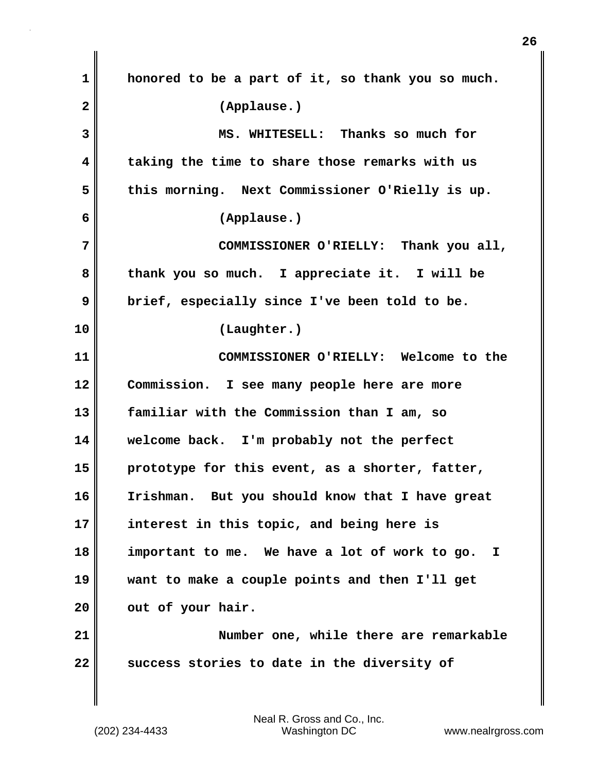**1 honored to be a part of it, so thank you so much. 2 (Applause.) 3 MS. WHITESELL: Thanks so much for 4 taking the time to share those remarks with us 5 this morning. Next Commissioner O'Rielly is up. 6 (Applause.) 7 COMMISSIONER O'RIELLY: Thank you all, 8 thank you so much. I appreciate it. I will be 9 brief, especially since I've been told to be. 10 (Laughter.) 11 COMMISSIONER O'RIELLY: Welcome to the 12 Commission. I see many people here are more 13 familiar with the Commission than I am, so 14 welcome back. I'm probably not the perfect 15 prototype for this event, as a shorter, fatter, 16 Irishman. But you should know that I have great 17 interest in this topic, and being here is 18 important to me. We have a lot of work to go. I 19 want to make a couple points and then I'll get** 20 **out of your hair. 21 Number one, while there are remarkable 22 success stories to date in the diversity of**

(202) 234-4433 Washington DC www.nealrgross.com Neal R. Gross and Co., Inc.

**26**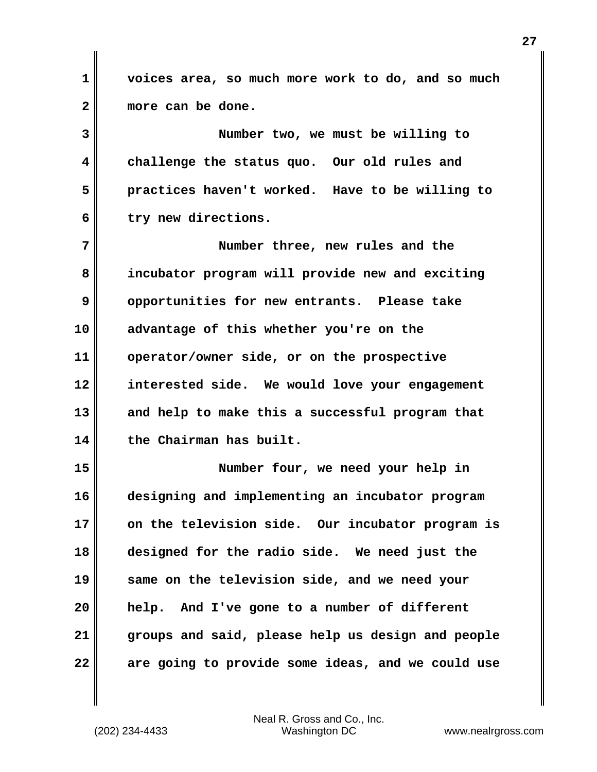**1 voices area, so much more work to do, and so much 2 more can be done.**

**3 Number two, we must be willing to 4 challenge the status quo. Our old rules and 5 practices haven't worked. Have to be willing to 6 try new directions.**

**7 Number three, new rules and the 8 incubator program will provide new and exciting 9 opportunities for new entrants. Please take 10 advantage of this whether you're on the 11 operator/owner side, or on the prospective 12 interested side. We would love your engagement 13 and help to make this a successful program that 14 the Chairman has built.**

**15 Number four, we need your help in 16 designing and implementing an incubator program 17 on the television side. Our incubator program is 18 designed for the radio side. We need just the 19 same on the television side, and we need your 20 help. And I've gone to a number of different 21 groups and said, please help us design and people 22 are going to provide some ideas, and we could use**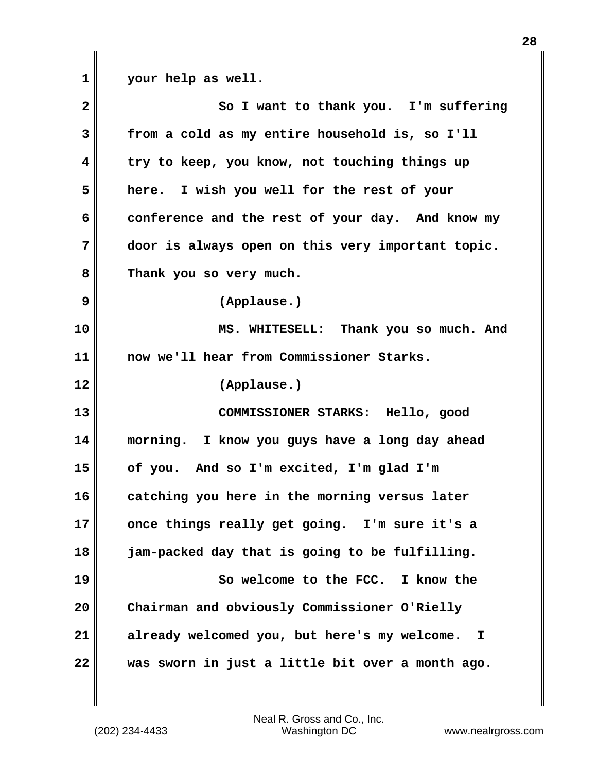**1 your help as well.**

| $\overline{\mathbf{2}}$ | So I want to thank you. I'm suffering                       |
|-------------------------|-------------------------------------------------------------|
| 3                       | from a cold as my entire household is, so I'll              |
| 4                       | try to keep, you know, not touching things up               |
| 5                       | here. I wish you well for the rest of your                  |
| 6                       | conference and the rest of your day. And know my            |
| 7                       | door is always open on this very important topic.           |
| 8                       | Thank you so very much.                                     |
| 9                       | (Applause.)                                                 |
| 10                      | MS. WHITESELL: Thank you so much. And                       |
| 11                      | now we'll hear from Commissioner Starks.                    |
| 12                      | (Applause.)                                                 |
| 13                      | COMMISSIONER STARKS: Hello, good                            |
| 14                      | morning. I know you guys have a long day ahead              |
| 15                      | of you. And so I'm excited, I'm glad I'm                    |
| 16                      | catching you here in the morning versus later               |
| 17                      | once things really get going. I'm sure it's a               |
| 18                      | jam-packed day that is going to be fulfilling.              |
| 19                      | So welcome to the FCC. I know the                           |
| 20                      | Chairman and obviously Commissioner O'Rielly                |
| 21                      | already welcomed you, but here's my welcome.<br>$\mathbf I$ |
| 22                      | was sworn in just a little bit over a month ago.            |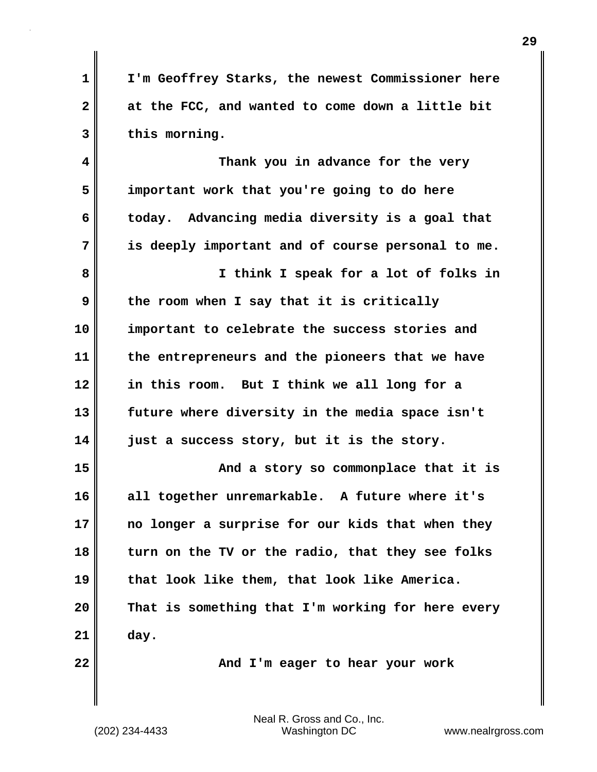**1 I'm Geoffrey Starks, the newest Commissioner here 2 at the FCC, and wanted to come down a little bit 3 this morning.**

**4 Thank you in advance for the very 5 important work that you're going to do here 6 today. Advancing media diversity is a goal that 7 is deeply important and of course personal to me. 8 I think I speak for a lot of folks in 9 the room when I say that it is critically 10 important to celebrate the success stories and 11 the entrepreneurs and the pioneers that we have 12 in this room. But I think we all long for a 13 future where diversity in the media space isn't 14 just a success story, but it is the story. 15 And a story so commonplace that it is 16 all together unremarkable. A future where it's 17 no longer a surprise for our kids that when they 18 turn on the TV or the radio, that they see folks 19 that look like them, that look like America. 20 That is something that I'm working for here every 21 day.**

**22** MI And I'm eager to hear your work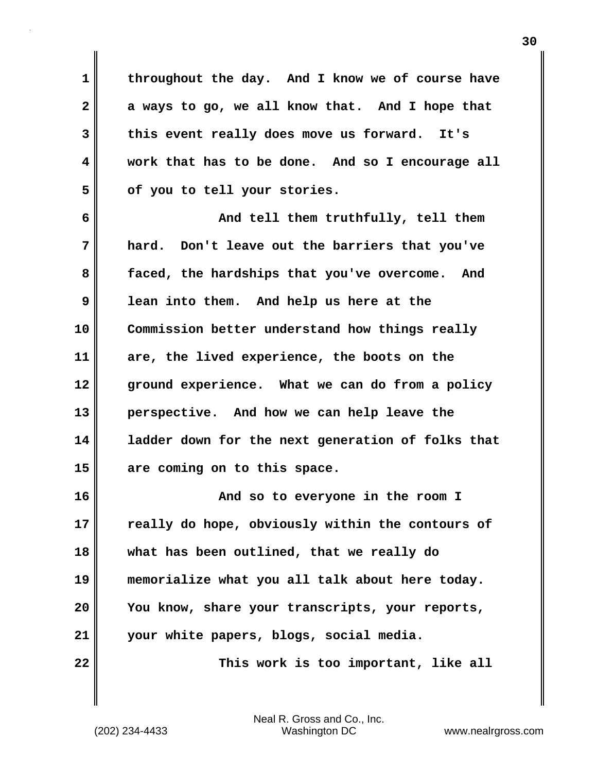**1 throughout the day. And I know we of course have 2 a ways to go, we all know that. And I hope that 3 this event really does move us forward. It's 4 work that has to be done. And so I encourage all 5 of you to tell your stories.**

**6 And tell them truthfully, tell them 7 hard. Don't leave out the barriers that you've 8 faced, the hardships that you've overcome. And 9 lean into them. And help us here at the 10 Commission better understand how things really 11 are, the lived experience, the boots on the 12 ground experience. What we can do from a policy 13 perspective. And how we can help leave the 14 ladder down for the next generation of folks that 15 are coming on to this space.**

**16 And so to everyone in the room I 17 really do hope, obviously within the contours of 18 what has been outlined, that we really do 19 memorialize what you all talk about here today. 20 You know, share your transcripts, your reports, 21 your white papers, blogs, social media. 22** This work is too important, like all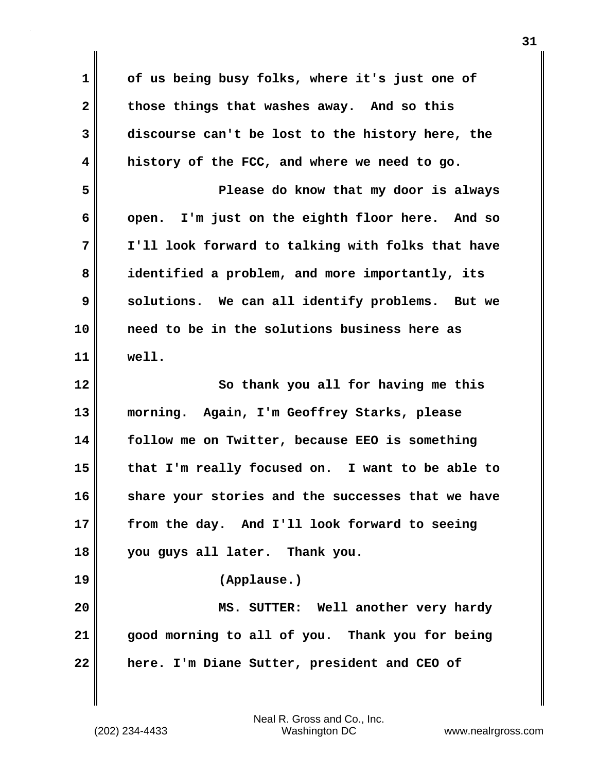**1 of us being busy folks, where it's just one of 2 those things that washes away. And so this 3 discourse can't be lost to the history here, the 4 history of the FCC, and where we need to go. 5 Please do know that my door is always 6 open. I'm just on the eighth floor here. And so 7 I'll look forward to talking with folks that have 8 identified a problem, and more importantly, its 9** solutions. We can all identify problems. But we **10 need to be in the solutions business here as 11 well. 12** So thank you all for having me this **13 morning. Again, I'm Geoffrey Starks, please 14 follow me on Twitter, because EEO is something 15 that I'm really focused on. I want to be able to 16 share your stories and the successes that we have 17 from the day. And I'll look forward to seeing 18 you guys all later. Thank you. 19 (Applause.) 20 MS. SUTTER: Well another very hardy 21 good morning to all of you. Thank you for being 22 here. I'm Diane Sutter, president and CEO of**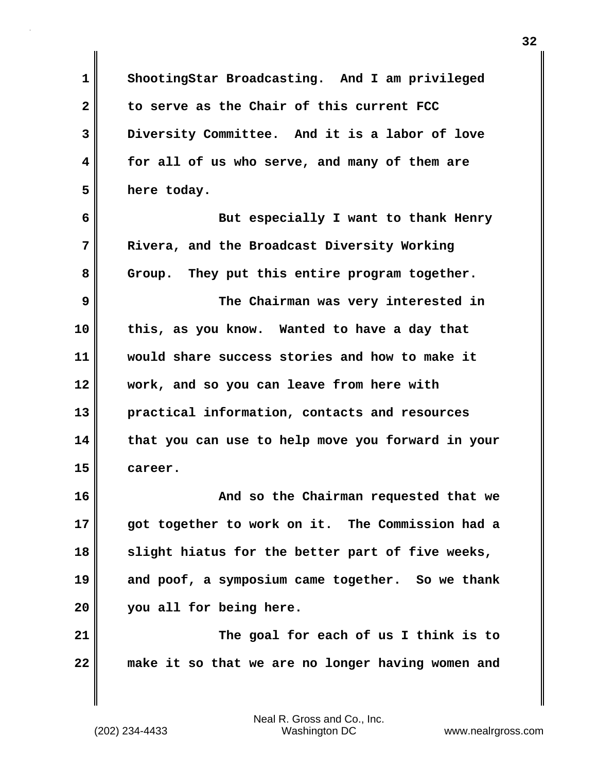**1 ShootingStar Broadcasting. And I am privileged 2 to serve as the Chair of this current FCC 3 Diversity Committee. And it is a labor of love 4 for all of us who serve, and many of them are 5 here today. 6 But especially I want to thank Henry 7 Rivera, and the Broadcast Diversity Working 8 Group. They put this entire program together. 9 The Chairman was very interested in 10 this, as you know. Wanted to have a day that 11 would share success stories and how to make it 12 work, and so you can leave from here with 13 practical information, contacts and resources 14 that you can use to help move you forward in your 15 career. 16 And so the Chairman requested that we 17 got together to work on it. The Commission had a 18 slight hiatus for the better part of five weeks, 19 and poof, a symposium came together. So we thank 20 you all for being here. 21 The goal for each of us I think is to 22 make it so that we are no longer having women and**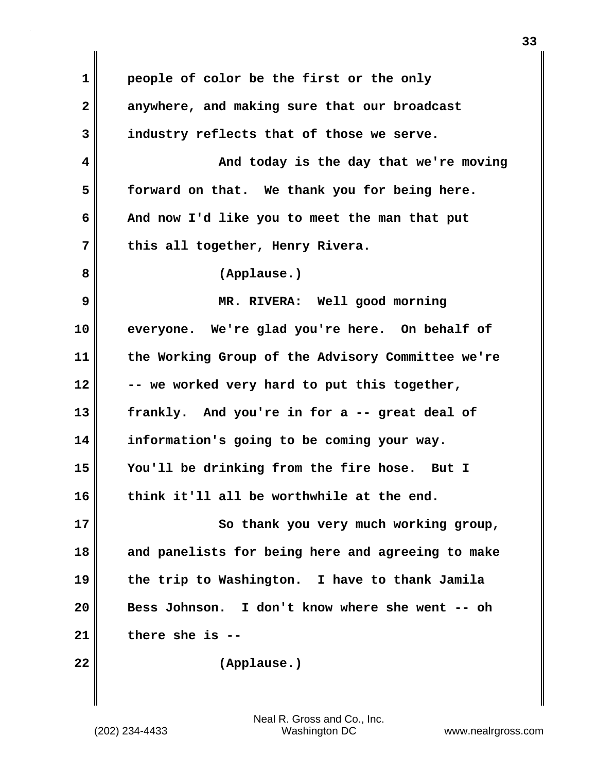| $\mathbf 1$  | people of color be the first or the only          |
|--------------|---------------------------------------------------|
| $\mathbf{2}$ | anywhere, and making sure that our broadcast      |
| 3            | industry reflects that of those we serve.         |
| 4            | And today is the day that we're moving            |
| 5            | forward on that. We thank you for being here.     |
| 6            | And now I'd like you to meet the man that put     |
| 7            | this all together, Henry Rivera.                  |
| 8            | (Applause.)                                       |
| 9            | MR. RIVERA: Well good morning                     |
| 10           | everyone. We're glad you're here. On behalf of    |
| 11           | the Working Group of the Advisory Committee we're |
| 12           | -- we worked very hard to put this together,      |
| 13           | frankly. And you're in for a -- great deal of     |
| 14           | information's going to be coming your way.        |
| 15           | You'll be drinking from the fire hose. But I      |
| 16           | think it'll all be worthwhile at the end.         |
| 17           | So thank you very much working group,             |
| 18           | and panelists for being here and agreeing to make |
| 19           | the trip to Washington. I have to thank Jamila    |
| 20           | Bess Johnson. I don't know where she went -- oh   |
| 21           | there she is                                      |
| 22           | (Applause.)                                       |

 $\mathbf{I}$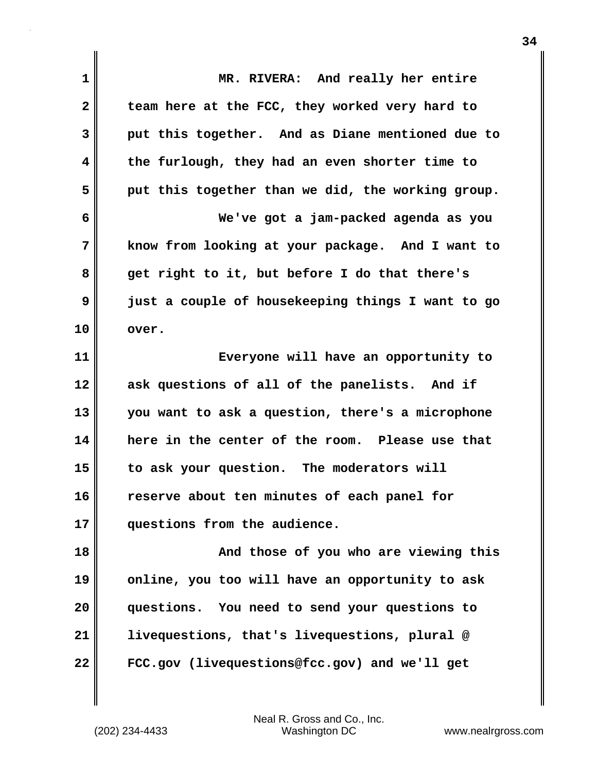**1 MR. RIVERA: And really her entire** 2 team here at the FCC, they worked very hard to **3 put this together. And as Diane mentioned due to 4 the furlough, they had an even shorter time to 5 put this together than we did, the working group. 6 We've got a jam-packed agenda as you 7 know from looking at your package. And I want to 8 get right to it, but before I do that there's 9 just a couple of housekeeping things I want to go 10 over. 11 Everyone will have an opportunity to 12 ask questions of all of the panelists. And if 13 you want to ask a question, there's a microphone 14 here in the center of the room. Please use that 15 to ask your question. The moderators will 16 reserve about ten minutes of each panel for 17 questions from the audience. 18 And those of you who are viewing this 19 online, you too will have an opportunity to ask 20 questions. You need to send your questions to 21 livequestions, that's livequestions, plural @ 22 FCC.gov (livequestions@fcc.gov) and we'll get**

(202) 234-4433 Washington DC www.nealrgross.com Neal R. Gross and Co., Inc.

**34**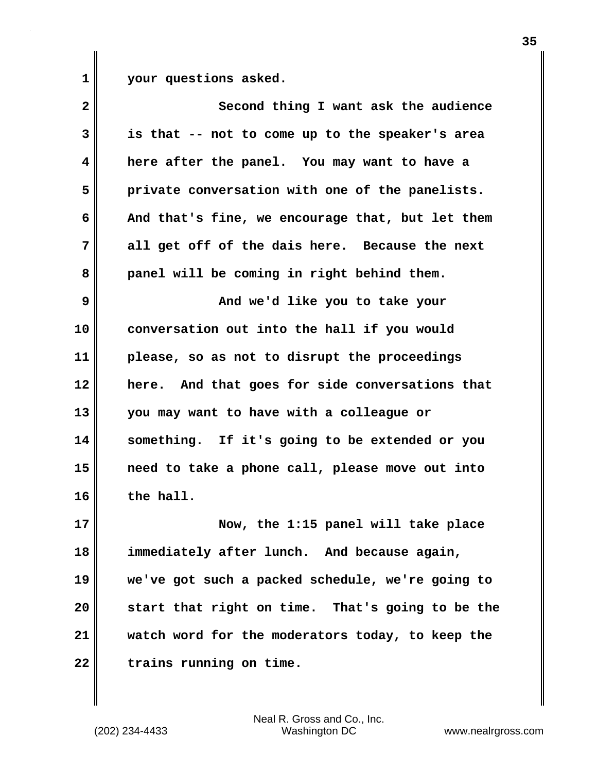**1 your questions asked.**

| $\mathbf{2}$ | Second thing I want ask the audience             |
|--------------|--------------------------------------------------|
| 3            | is that -- not to come up to the speaker's area  |
| 4            | here after the panel. You may want to have a     |
| 5            | private conversation with one of the panelists.  |
| 6            | And that's fine, we encourage that, but let them |
| 7            | all get off of the dais here. Because the next   |
| 8            | panel will be coming in right behind them.       |
| 9            | And we'd like you to take your                   |
| 10           | conversation out into the hall if you would      |
| 11           | please, so as not to disrupt the proceedings     |
| 12           | here. And that goes for side conversations that  |
| 13           | you may want to have with a colleague or         |
| 14           | something. If it's going to be extended or you   |
| 15           | need to take a phone call, please move out into  |
| 16           | the hall.                                        |
| 17           | Now, the 1:15 panel will take place              |
| 18           | immediately after lunch. And because again,      |
| 19           | we've got such a packed schedule, we're going to |
| 20           | start that right on time. That's going to be the |
| 21           | watch word for the moderators today, to keep the |
| 22           | trains running on time.                          |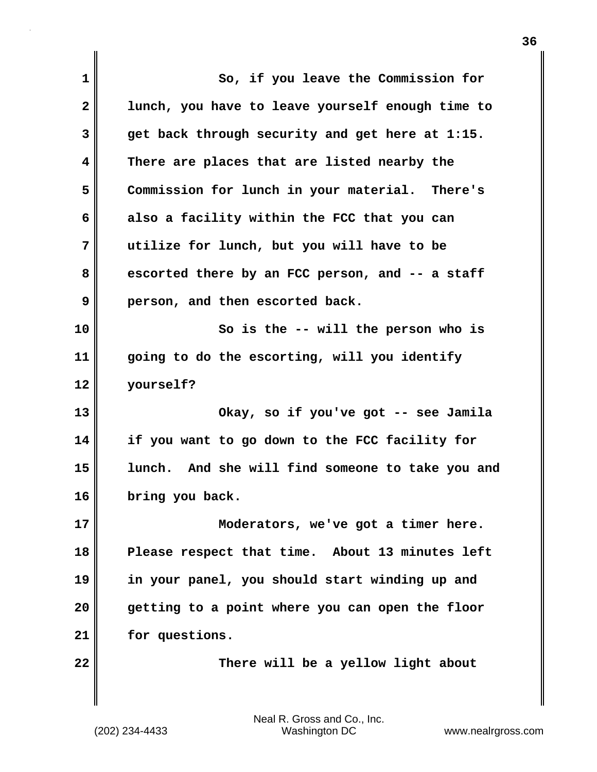| 1            | So, if you leave the Commission for              |
|--------------|--------------------------------------------------|
| $\mathbf{2}$ | lunch, you have to leave yourself enough time to |
| 3            | get back through security and get here at 1:15.  |
| 4            | There are places that are listed nearby the      |
| 5            | Commission for lunch in your material. There's   |
| 6            | also a facility within the FCC that you can      |
| 7            | utilize for lunch, but you will have to be       |
| 8            | escorted there by an FCC person, and -- a staff  |
| 9            | person, and then escorted back.                  |
| 10           | So is the -- will the person who is              |
| 11           | going to do the escorting, will you identify     |
| 12           | yourself?                                        |
| 13           | Okay, so if you've got -- see Jamila             |
| 14           | if you want to go down to the FCC facility for   |
| 15           | lunch. And she will find someone to take you and |
| 16           | bring you back.                                  |
| 17           | Moderators, we've got a timer here.              |
| 18           | Please respect that time. About 13 minutes left  |
| 19           | in your panel, you should start winding up and   |
| 20           | getting to a point where you can open the floor  |
| 21           | for questions.                                   |
| 22           | There will be a yellow light about               |
|              |                                                  |

 $\mathbf{I}$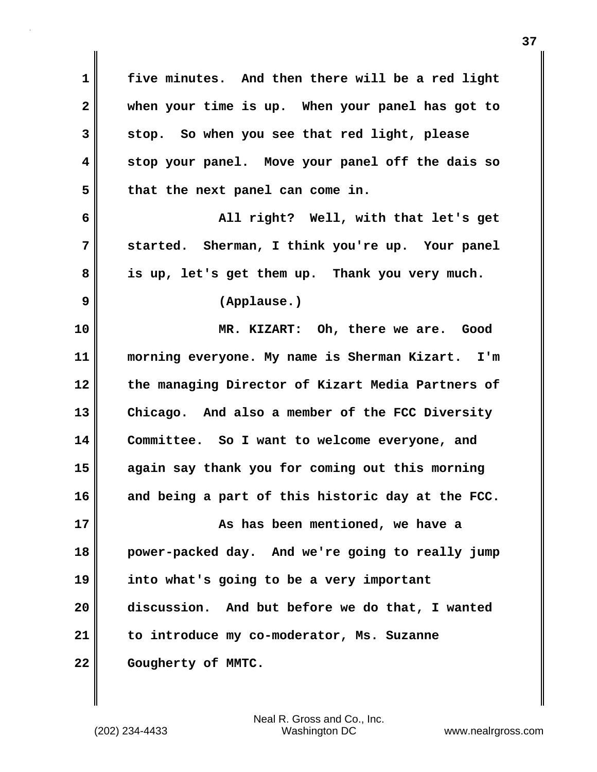**1 five minutes. And then there will be a red light 2 when your time is up. When your panel has got to 3 stop. So when you see that red light, please 4 stop your panel. Move your panel off the dais so 5 that the next panel can come in. 6 All right? Well, with that let's get 7 started. Sherman, I think you're up. Your panel 8 is up, let's get them up. Thank you very much. 9 (Applause.) 10 MR. KIZART: Oh, there we are. Good 11 morning everyone. My name is Sherman Kizart. I'm 12 the managing Director of Kizart Media Partners of 13 Chicago. And also a member of the FCC Diversity 14 Committee. So I want to welcome everyone, and 15 again say thank you for coming out this morning 16 and being a part of this historic day at the FCC. 17 As has been mentioned, we have a 18 power-packed day. And we're going to really jump 19 into what's going to be a very important 20 discussion. And but before we do that, I wanted 21 to introduce my co-moderator, Ms. Suzanne** 22 **Cougherty of MMTC.**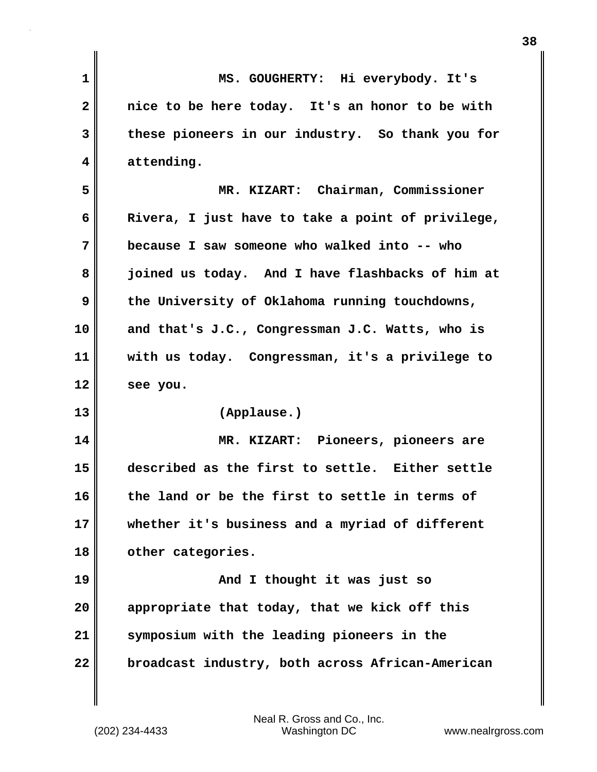| $\mathbf 1$ | MS. GOUGHERTY: Hi everybody. It's                 |
|-------------|---------------------------------------------------|
| 2           | nice to be here today. It's an honor to be with   |
| 3           | these pioneers in our industry. So thank you for  |
| 4           | attending.                                        |
| 5           | MR. KIZART: Chairman, Commissioner                |
| 6           | Rivera, I just have to take a point of privilege, |
| 7           | because I saw someone who walked into -- who      |
| 8           | joined us today. And I have flashbacks of him at  |
| 9           | the University of Oklahoma running touchdowns,    |
| 10          | and that's J.C., Congressman J.C. Watts, who is   |
| 11          | with us today. Congressman, it's a privilege to   |
| 12          | see you.                                          |
| 13          | (Applause.)                                       |
| 14          | MR. KIZART: Pioneers, pioneers are                |
| 15          | described as the first to settle. Either settle   |
| 16          | the land or be the first to settle in terms of    |
| 17          | whether it's business and a myriad of different   |
| 18          | other categories.                                 |
| 19          | And I thought it was just so                      |
| 20          | appropriate that today, that we kick off this     |
| 21          | symposium with the leading pioneers in the        |
| 22          | broadcast industry, both across African-American  |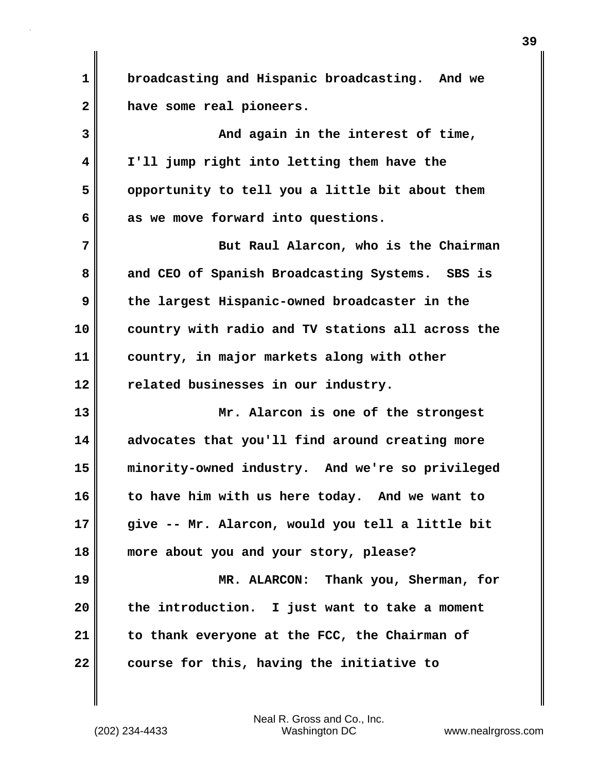**1 broadcasting and Hispanic broadcasting. And we 2 have some real pioneers.**

**3 And again in the interest of time, 4 I'll jump right into letting them have the 5 opportunity to tell you a little bit about them 6 as we move forward into questions.**

**7 But Raul Alarcon, who is the Chairman 8 and CEO of Spanish Broadcasting Systems. SBS is 9 the largest Hispanic-owned broadcaster in the 10 country with radio and TV stations all across the 11 country, in major markets along with other 12 related businesses in our industry.**

**13 Mr. Alarcon is one of the strongest 14 advocates that you'll find around creating more 15 minority-owned industry. And we're so privileged 16 to have him with us here today. And we want to 17 give -- Mr. Alarcon, would you tell a little bit 18 more about you and your story, please? 19 MR. ALARCON: Thank you, Sherman, for**

**20 the introduction. I just want to take a moment 21 to thank everyone at the FCC, the Chairman of 22 course for this, having the initiative to**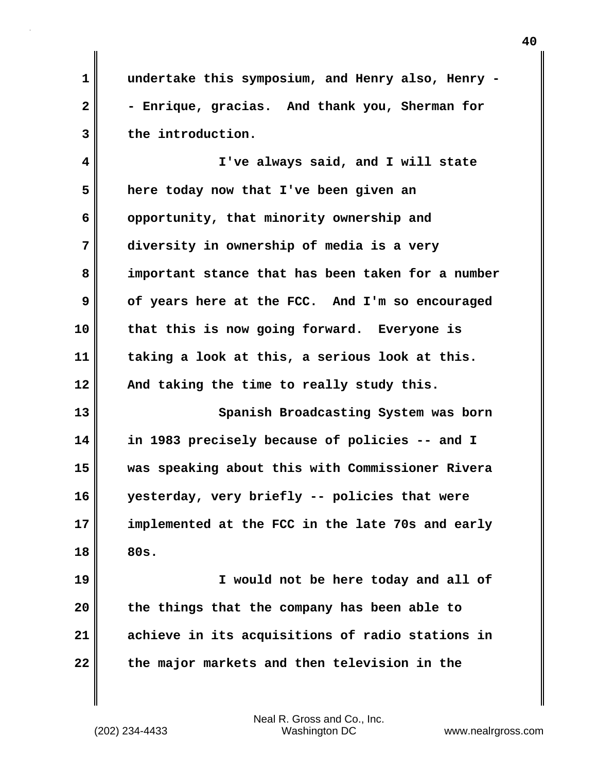**1 undertake this symposium, and Henry also, Henry -** 2 - Enrique, gracias. And thank you, Sherman for **3 the introduction.**

**4 I've always said, and I will state 5 here today now that I've been given an 6 opportunity, that minority ownership and 7 diversity in ownership of media is a very 8 important stance that has been taken for a number 9 of years here at the FCC. And I'm so encouraged 10 that this is now going forward. Everyone is 11 taking a look at this, a serious look at this. 12 And taking the time to really study this. 13** Spanish Broadcasting System was born

**14 in 1983 precisely because of policies -- and I 15 was speaking about this with Commissioner Rivera 16 yesterday, very briefly -- policies that were 17 implemented at the FCC in the late 70s and early 18 80s.**

**19 I would not be here today and all of 20 the things that the company has been able to 21 achieve in its acquisitions of radio stations in 22 the major markets and then television in the**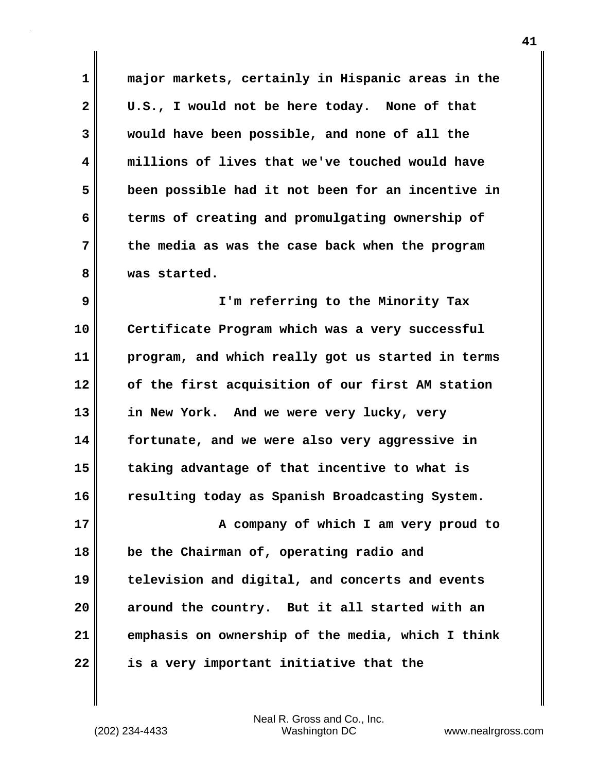**1 major markets, certainly in Hispanic areas in the 2 U.S., I would not be here today. None of that 3 would have been possible, and none of all the 4 millions of lives that we've touched would have 5 been possible had it not been for an incentive in 6 terms of creating and promulgating ownership of 7 the media as was the case back when the program 8 was started.**

**9 I'm referring to the Minority Tax 10 Certificate Program which was a very successful 11 program, and which really got us started in terms 12 of the first acquisition of our first AM station 13 in New York. And we were very lucky, very 14 fortunate, and we were also very aggressive in 15 taking advantage of that incentive to what is 16 resulting today as Spanish Broadcasting System.**

**17 A company of which I am very proud to 18 be the Chairman of, operating radio and 19 television and digital, and concerts and events 20 around the country. But it all started with an 21 emphasis on ownership of the media, which I think 22 is a very important initiative that the**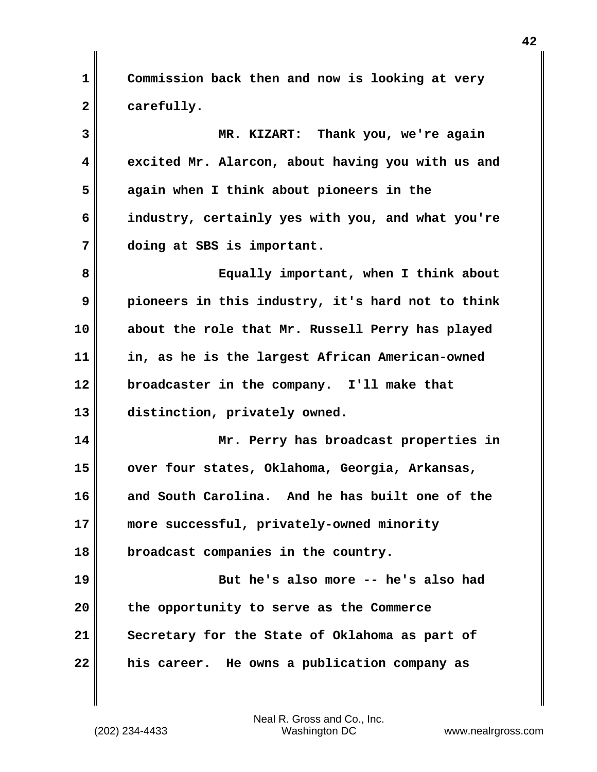**1 Commission back then and now is looking at very 2 carefully.**

**3 MR. KIZART: Thank you, we're again 4 excited Mr. Alarcon, about having you with us and 5 again when I think about pioneers in the 6 industry, certainly yes with you, and what you're 7 doing at SBS is important. 8 Equally important, when I think about 9 pioneers in this industry, it's hard not to think 10 about the role that Mr. Russell Perry has played 11 in, as he is the largest African American-owned 12 broadcaster in the company. I'll make that 13 distinction, privately owned. 14 Mr. Perry has broadcast properties in 15 over four states, Oklahoma, Georgia, Arkansas, 16 and South Carolina. And he has built one of the 17 more successful, privately-owned minority 18 broadcast companies in the country. 19 But he's also more -- he's also had 20 the opportunity to serve as the Commerce**

**21 Secretary for the State of Oklahoma as part of 22 his career. He owns a publication company as**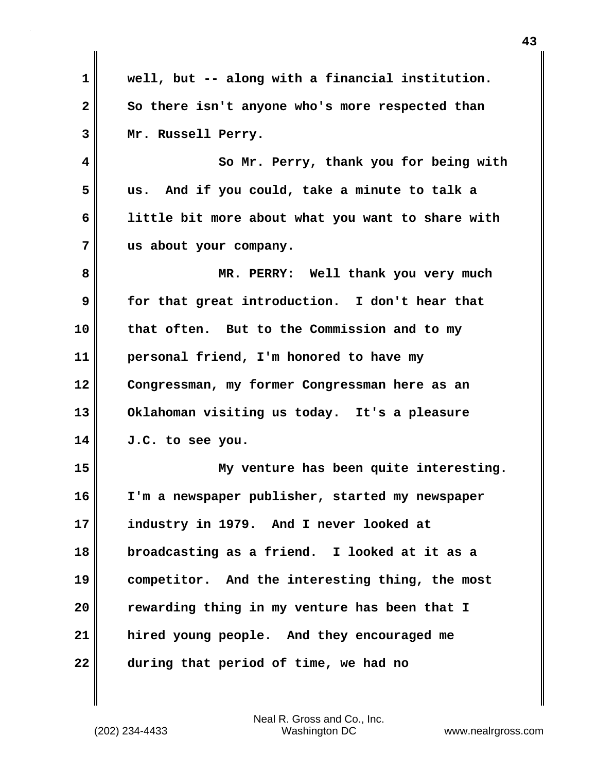**1 well, but -- along with a financial institution.**  2 So there isn't anyone who's more respected than **3 Mr. Russell Perry. 4 So Mr. Perry, thank you for being with 5 us. And if you could, take a minute to talk a 6 little bit more about what you want to share with 7 us about your company. 8 MR. PERRY: Well thank you very much 9 for that great introduction. I don't hear that 10 that often. But to the Commission and to my 11 personal friend, I'm honored to have my 12 Congressman, my former Congressman here as an 13 Oklahoman visiting us today. It's a pleasure 14 J.C. to see you. 15 My venture has been quite interesting. 16 I'm a newspaper publisher, started my newspaper 17 industry in 1979. And I never looked at 18 broadcasting as a friend. I looked at it as a 19 competitor. And the interesting thing, the most 20 rewarding thing in my venture has been that I 21 hired young people. And they encouraged me 22 during that period of time, we had no**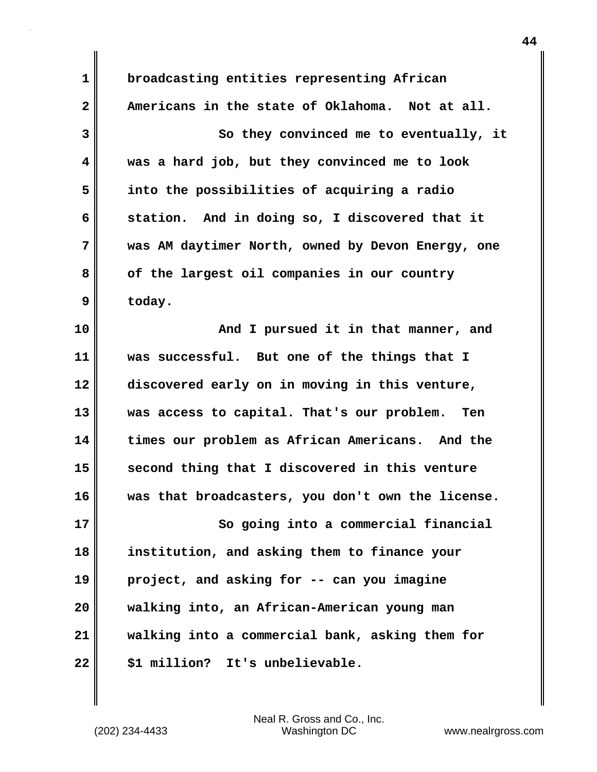**1 broadcasting entities representing African 2 Americans in the state of Oklahoma. Not at all. 3** So they convinced me to eventually, it **4 was a hard job, but they convinced me to look 5 into the possibilities of acquiring a radio 6 station. And in doing so, I discovered that it 7 was AM daytimer North, owned by Devon Energy, one 8 of the largest oil companies in our country 9 today. 10 And I pursued it in that manner, and 11 was successful. But one of the things that I 12 discovered early on in moving in this venture, 13 was access to capital. That's our problem. Ten 14 times our problem as African Americans. And the 15 second thing that I discovered in this venture 16 was that broadcasters, you don't own the license. 17 So going into a commercial financial 18 institution, and asking them to finance your 19 project, and asking for -- can you imagine 20 walking into, an African-American young man 21 walking into a commercial bank, asking them for 22 \$1 million? It's unbelievable.**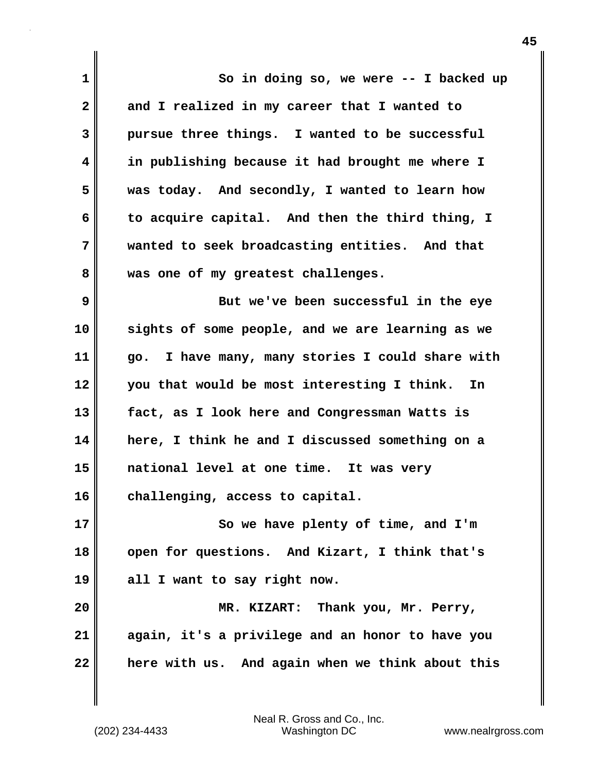| $\mathbf 1$  | So in doing so, we were $-$ - I backed up        |
|--------------|--------------------------------------------------|
| $\mathbf{2}$ | and I realized in my career that I wanted to     |
| 3            | pursue three things. I wanted to be successful   |
| 4            | in publishing because it had brought me where I  |
| 5            | was today. And secondly, I wanted to learn how   |
| 6            | to acquire capital. And then the third thing, I  |
| 7            | wanted to seek broadcasting entities. And that   |
| 8            | was one of my greatest challenges.               |
| 9            | But we've been successful in the eye             |
| 10           | sights of some people, and we are learning as we |
| 11           | go. I have many, many stories I could share with |
| 12           | you that would be most interesting I think. In   |
| 13           | fact, as I look here and Congressman Watts is    |
| 14           | here, I think he and I discussed something on a  |
| 15           | national level at one time. It was very          |
| 16           | challenging, access to capital.                  |
| 17           | So we have plenty of time, and I'm               |
| 18           | open for questions. And Kizart, I think that's   |
| 19           | all I want to say right now.                     |
| 20           | MR. KIZART: Thank you, Mr. Perry,                |
| 21           | again, it's a privilege and an honor to have you |
| 22           | here with us. And again when we think about this |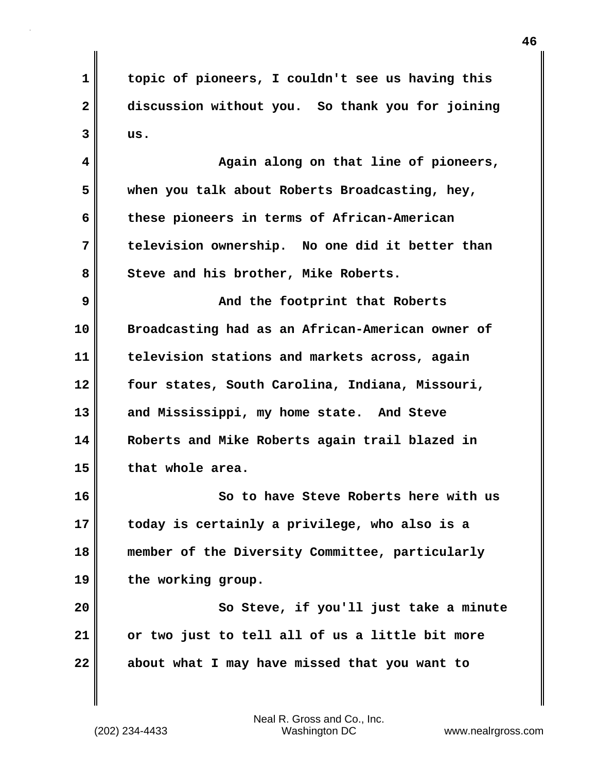**1 topic of pioneers, I couldn't see us having this 2 discussion without you. So thank you for joining 3 us.**

**4 Again along on that line of pioneers, 5 when you talk about Roberts Broadcasting, hey, 6 these pioneers in terms of African-American 7 television ownership. No one did it better than** 8 Steve and his brother, Mike Roberts.

**9 And the footprint that Roberts 10 Broadcasting had as an African-American owner of 11 television stations and markets across, again 12 four states, South Carolina, Indiana, Missouri, 13 and Mississippi, my home state. And Steve 14 Roberts and Mike Roberts again trail blazed in 15 that whole area.**

**16 So to have Steve Roberts here with us 17 today is certainly a privilege, who also is a 18 member of the Diversity Committee, particularly 19 the working group.**

**20 So Steve, if you'll just take a minute 21 or two just to tell all of us a little bit more 22 about what I may have missed that you want to**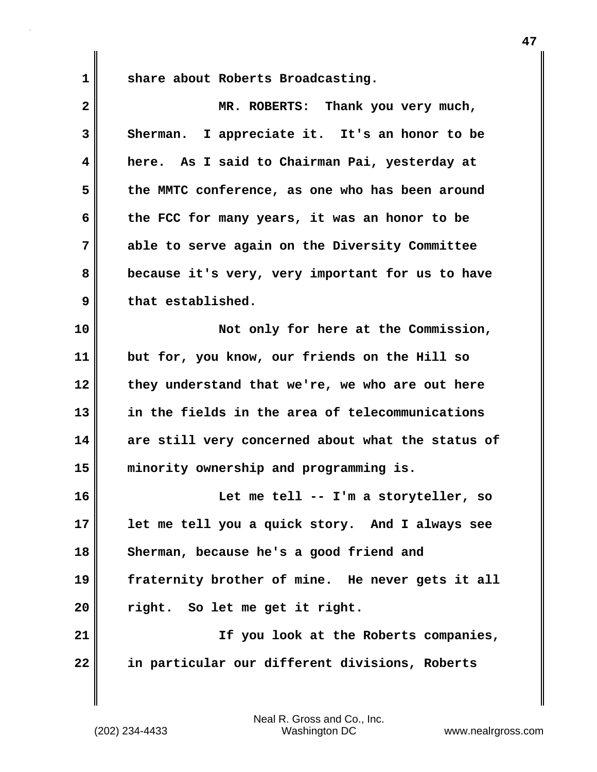1 Share about Roberts Broadcasting.

| $\overline{\mathbf{2}}$ | MR. ROBERTS: Thank you very much,                 |
|-------------------------|---------------------------------------------------|
| 3                       | Sherman. I appreciate it. It's an honor to be     |
| 4                       | here. As I said to Chairman Pai, yesterday at     |
| 5                       | the MMTC conference, as one who has been around   |
| 6                       | the FCC for many years, it was an honor to be     |
| 7                       | able to serve again on the Diversity Committee    |
| 8                       | because it's very, very important for us to have  |
| 9                       | that established.                                 |
| 10                      | Not only for here at the Commission,              |
| 11                      | but for, you know, our friends on the Hill so     |
| 12                      | they understand that we're, we who are out here   |
| 13                      | in the fields in the area of telecommunications   |
| 14                      | are still very concerned about what the status of |
| 15                      | minority ownership and programming is.            |
| 16                      | Let me tell -- I'm a storyteller, so              |
| 17                      | let me tell you a quick story. And I always see   |
| 18                      | Sherman, because he's a good friend and           |
| 19                      | fraternity brother of mine. He never gets it all  |
| 20                      | right. So let me get it right.                    |
| 21                      | If you look at the Roberts companies,             |
| 22                      | in particular our different divisions, Roberts    |
|                         |                                                   |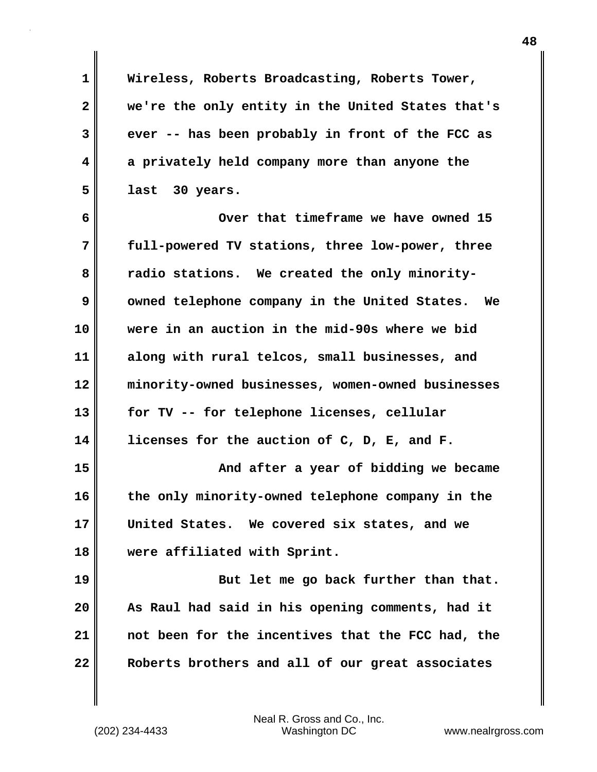**1 Wireless, Roberts Broadcasting, Roberts Tower, 2 we're the only entity in the United States that's 3 ever -- has been probably in front of the FCC as 4 a privately held company more than anyone the 5 last 30 years. 6 Over that timeframe we have owned 15 7 full-powered TV stations, three low-power, three** 8 radio stations. We created the only minority-**9** owned telephone company in the United States. We **10 were in an auction in the mid-90s where we bid 11 along with rural telcos, small businesses, and 12 minority-owned businesses, women-owned businesses 13 for TV -- for telephone licenses, cellular 14 licenses for the auction of C, D, E, and F. 15 And after a year of bidding we became 16 the only minority-owned telephone company in the 17 United States. We covered six states, and we 18 were affiliated with Sprint.** 19 But let me go back further than that. **20 As Raul had said in his opening comments, had it 21 not been for the incentives that the FCC had, the 22 Roberts brothers and all of our great associates**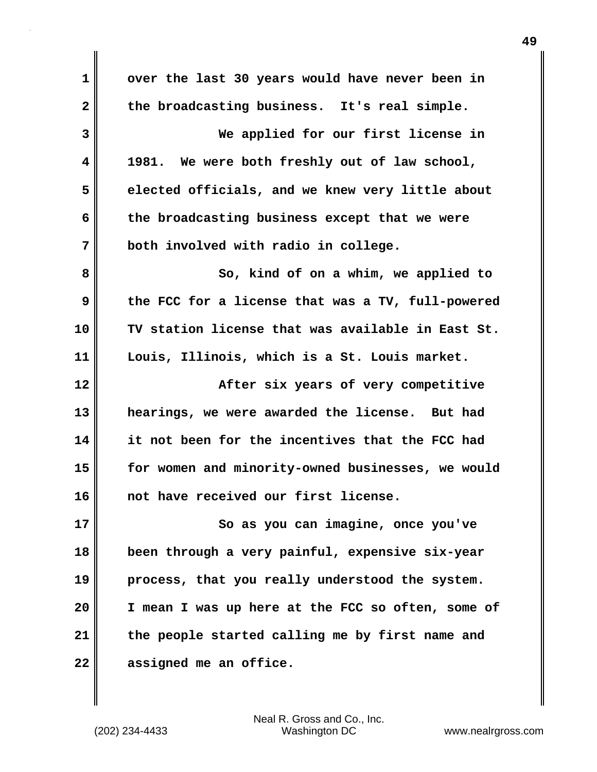| $\mathbf 1$             | over the last 30 years would have never been in   |
|-------------------------|---------------------------------------------------|
| $\mathbf{2}$            | the broadcasting business. It's real simple.      |
| 3                       | We applied for our first license in               |
| $\overline{\mathbf{4}}$ | 1981. We were both freshly out of law school,     |
| 5                       | elected officials, and we knew very little about  |
| 6                       | the broadcasting business except that we were     |
| 7                       | both involved with radio in college.              |
| 8                       | So, kind of on a whim, we applied to              |
| 9                       | the FCC for a license that was a TV, full-powered |
| 10                      | TV station license that was available in East St. |
| 11                      | Louis, Illinois, which is a St. Louis market.     |
|                         |                                                   |
| 12                      | After six years of very competitive               |
| 13                      | hearings, we were awarded the license. But had    |
| 14                      | it not been for the incentives that the FCC had   |
| 15                      | for women and minority-owned businesses, we would |
| 16                      | not have received our first license.              |
| 17                      | So as you can imagine, once you've                |
| 18                      | been through a very painful, expensive six-year   |
| 19                      | process, that you really understood the system.   |
| 20                      | I mean I was up here at the FCC so often, some of |
| 21                      | the people started calling me by first name and   |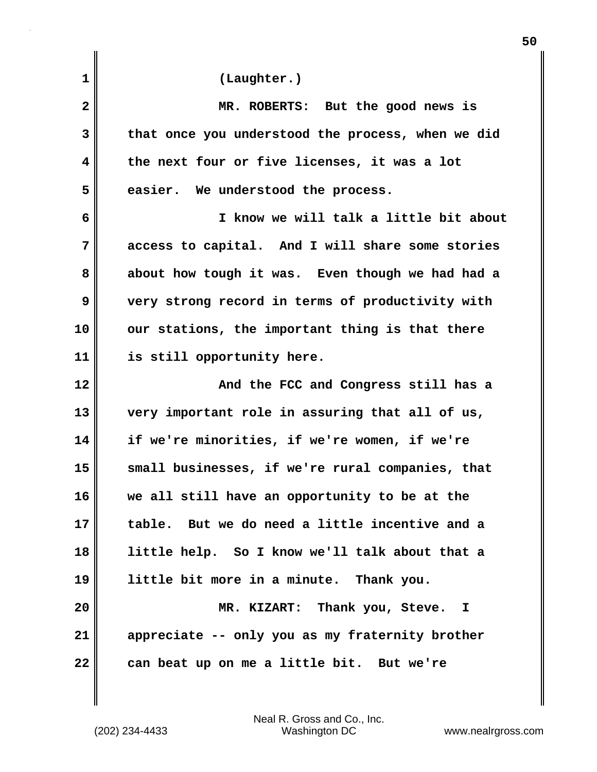| 1            | (Laughter.)                                       |
|--------------|---------------------------------------------------|
| $\mathbf{2}$ | MR. ROBERTS: But the good news is                 |
| 3            | that once you understood the process, when we did |
| 4            | the next four or five licenses, it was a lot      |
| 5            | easier. We understood the process.                |
| 6            | I know we will talk a little bit about            |
| 7            | access to capital. And I will share some stories  |
| 8            | about how tough it was. Even though we had had a  |
| 9            | very strong record in terms of productivity with  |
| 10           | our stations, the important thing is that there   |
| 11           | is still opportunity here.                        |
| 12           | And the FCC and Congress still has a              |
| 13           | very important role in assuring that all of us,   |
| 14           | if we're minorities, if we're women, if we're     |
| 15           | small businesses, if we're rural companies, that  |
| 16           | we all still have an opportunity to be at the     |
| 17           | table. But we do need a little incentive and a    |
| 18           | little help. So I know we'll talk about that a    |
| 19           | little bit more in a minute. Thank you.           |
| 20           | MR. KIZART: Thank you, Steve. I                   |
| 21           | appreciate -- only you as my fraternity brother   |
| 22           | can beat up on me a little bit. But we're         |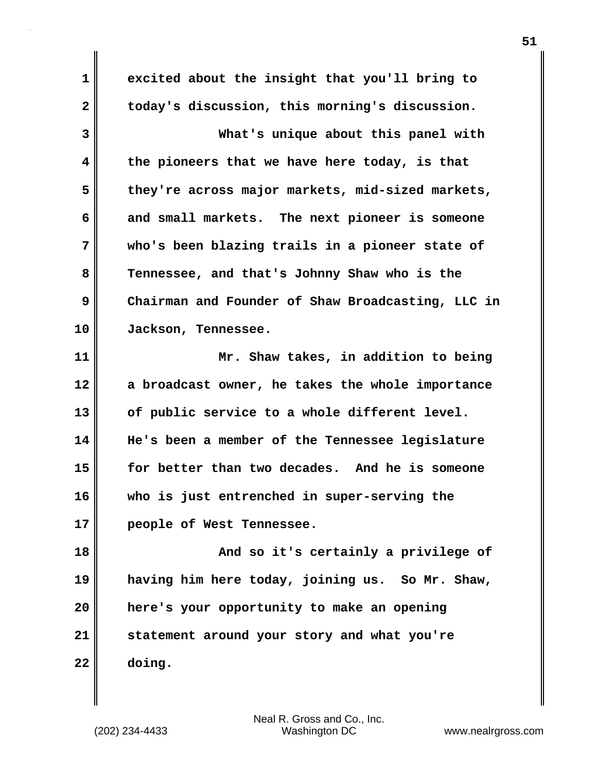**1 excited about the insight that you'll bring to 2 today's discussion, this morning's discussion. 3 What's unique about this panel with 4 the pioneers that we have here today, is that 5 they're across major markets, mid-sized markets, 6 and small markets. The next pioneer is someone 7 who's been blazing trails in a pioneer state of 8 Tennessee, and that's Johnny Shaw who is the 9 Chairman and Founder of Shaw Broadcasting, LLC in 10 Jackson, Tennessee. 11 Mr. Shaw takes, in addition to being 12 a broadcast owner, he takes the whole importance 13 of public service to a whole different level. 14 He's been a member of the Tennessee legislature 15 for better than two decades. And he is someone 16 who is just entrenched in super-serving the 17 people of West Tennessee. 18 And so it's certainly a privilege of 19 having him here today, joining us. So Mr. Shaw, 20 here's your opportunity to make an opening 21 statement around your story and what you're**

**22 doing.**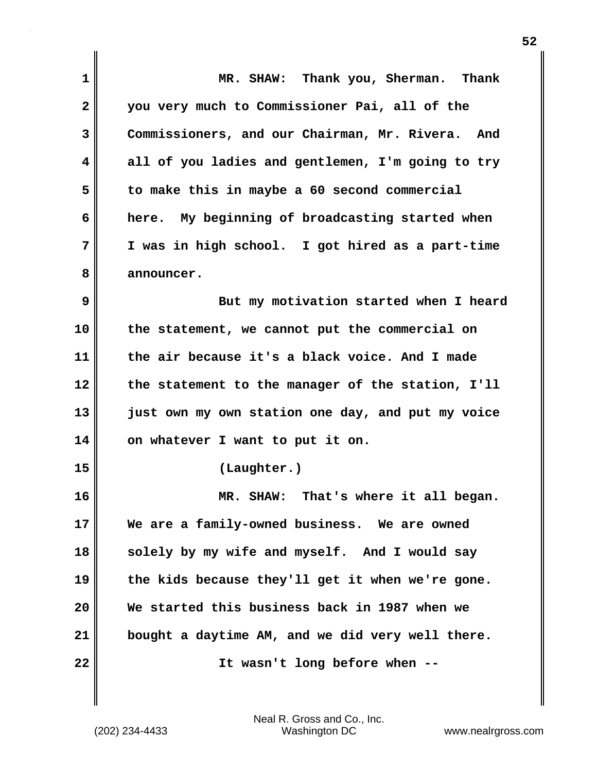| 1            | MR. SHAW: Thank you, Sherman. Thank                 |
|--------------|-----------------------------------------------------|
| $\mathbf{2}$ | you very much to Commissioner Pai, all of the       |
| 3            | Commissioners, and our Chairman, Mr. Rivera.<br>And |
| 4            | all of you ladies and gentlemen, I'm going to try   |
| 5            | to make this in maybe a 60 second commercial        |
| 6            | here. My beginning of broadcasting started when     |
| 7            | I was in high school. I got hired as a part-time    |
| 8            | announcer.                                          |
| 9            | But my motivation started when I heard              |
| 10           | the statement, we cannot put the commercial on      |
| 11           | the air because it's a black voice. And I made      |
| 12           | the statement to the manager of the station, I'll   |
| 13           | just own my own station one day, and put my voice   |
| 14           | on whatever I want to put it on.                    |
| 15           | (Laughter.)                                         |
| 16           | That's where it all began.<br>MR. SHAW:             |
| 17           | We are a family-owned business. We are owned        |
| 18           | solely by my wife and myself. And I would say       |
| 19           | the kids because they'll get it when we're gone.    |
| 20           | We started this business back in 1987 when we       |
| 21           | bought a daytime AM, and we did very well there.    |
| 22           | It wasn't long before when --                       |
|              |                                                     |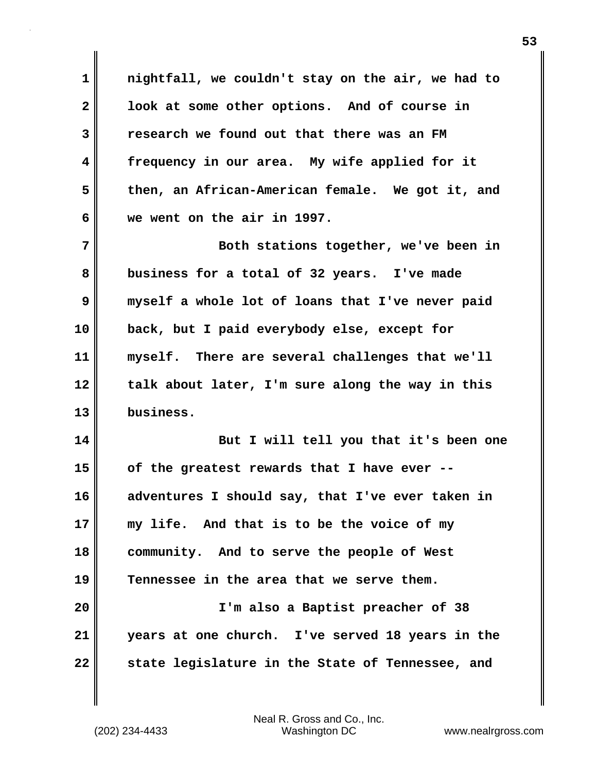**1 nightfall, we couldn't stay on the air, we had to 2 look at some other options. And of course in 3 research we found out that there was an FM 4 frequency in our area. My wife applied for it 5 then, an African-American female. We got it, and 6 we went on the air in 1997.**

**7 Both stations together, we've been in 8 business for a total of 32 years. I've made 9 myself a whole lot of loans that I've never paid 10 back, but I paid everybody else, except for 11 myself. There are several challenges that we'll 12 talk about later, I'm sure along the way in this 13 business.**

**14 But I will tell you that it's been one 15 of the greatest rewards that I have ever -- 16 adventures I should say, that I've ever taken in 17 my life. And that is to be the voice of my 18 community. And to serve the people of West 19 Tennessee in the area that we serve them. 20 I'm also a Baptist preacher of 38 21 years at one church. I've served 18 years in the**

**22 state legislature in the State of Tennessee, and**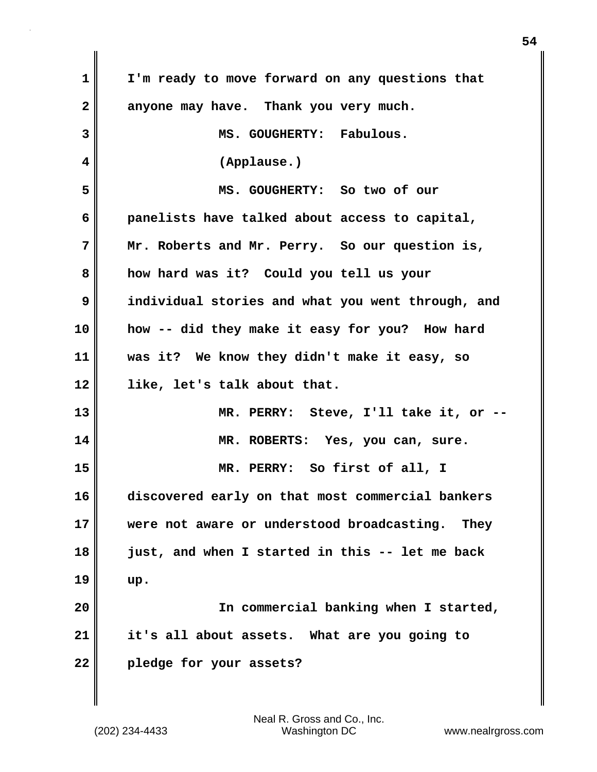| 1  | I'm ready to move forward on any questions that   |
|----|---------------------------------------------------|
| 2  | anyone may have. Thank you very much.             |
| 3  | MS. GOUGHERTY: Fabulous.                          |
| 4  | (Applause.)                                       |
| 5  | MS. GOUGHERTY: So two of our                      |
| 6  | panelists have talked about access to capital,    |
| 7  | Mr. Roberts and Mr. Perry. So our question is,    |
| 8  | how hard was it? Could you tell us your           |
| 9  | individual stories and what you went through, and |
| 10 | how -- did they make it easy for you? How hard    |
| 11 | was it? We know they didn't make it easy, so      |
| 12 | like, let's talk about that.                      |
| 13 | MR. PERRY: Steve, I'll take it, or --             |
| 14 | MR. ROBERTS: Yes, you can, sure.                  |
| 15 | MR. PERRY: So first of all, I                     |
| 16 | discovered early on that most commercial bankers  |
| 17 | were not aware or understood broadcasting. They   |
| 18 | just, and when I started in this -- let me back   |
| 19 | up.                                               |
| 20 | In commercial banking when I started,             |
| 21 | it's all about assets. What are you going to      |
| 22 | pledge for your assets?                           |
|    |                                                   |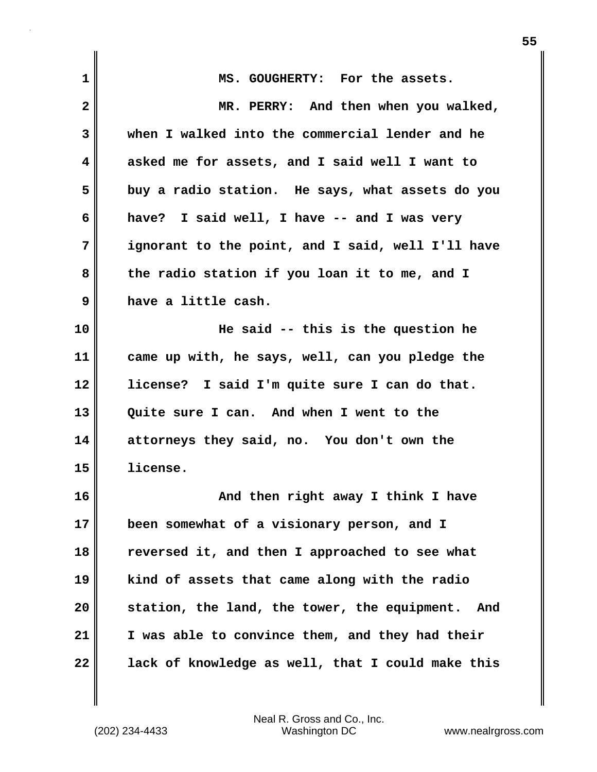| $\mathbf 1$  | MS. GOUGHERTY: For the assets.                    |
|--------------|---------------------------------------------------|
| $\mathbf{2}$ | MR. PERRY: And then when you walked,              |
| 3            | when I walked into the commercial lender and he   |
| 4            | asked me for assets, and I said well I want to    |
| 5            | buy a radio station. He says, what assets do you  |
| 6            |                                                   |
|              | I said well, I have -- and I was very<br>have?    |
| 7            | ignorant to the point, and I said, well I'll have |
| 8            | the radio station if you loan it to me, and I     |
| 9            | have a little cash.                               |
| 10           | He said -- this is the question he                |
| 11           | came up with, he says, well, can you pledge the   |
| 12           | license? I said I'm quite sure I can do that.     |
| 13           | Quite sure I can. And when I went to the          |
| 14           | attorneys they said, no. You don't own the        |
| 15           | license.                                          |
| 16           | And then right away I think I have                |
| 17           | been somewhat of a visionary person, and I        |
| 18           | reversed it, and then I approached to see what    |
| 19           | kind of assets that came along with the radio     |
| 20           | station, the land, the tower, the equipment. And  |
| 21           | I was able to convince them, and they had their   |
| 22           | lack of knowledge as well, that I could make this |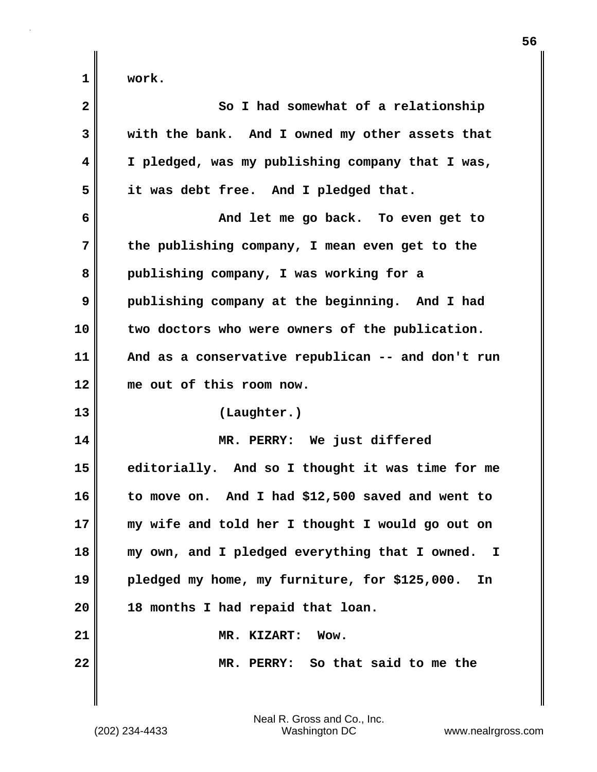| $\overline{\mathbf{2}}$ | So I had somewhat of a relationship                 |
|-------------------------|-----------------------------------------------------|
| 3                       | with the bank. And I owned my other assets that     |
| 4                       | I pledged, was my publishing company that I was,    |
| 5                       | it was debt free. And I pledged that.               |
| 6                       | And let me go back. To even get to                  |
| 7                       | the publishing company, I mean even get to the      |
| 8                       | publishing company, I was working for a             |
| 9                       | publishing company at the beginning. And I had      |
| 10                      | two doctors who were owners of the publication.     |
| 11                      | And as a conservative republican -- and don't run   |
| 12                      | me out of this room now.                            |
| 13                      | (Laughter.)                                         |
| 14                      | MR. PERRY: We just differed                         |
| 15                      | editorially. And so I thought it was time for me    |
| 16                      | to move on. And I had \$12,500 saved and went to    |
| 17                      | my wife and told her I thought I would go out on    |
| 18                      | my own, and I pledged everything that I owned. I    |
| 19                      | pledged my home, my furniture, for \$125,000.<br>In |
| 20                      | 18 months I had repaid that loan.                   |
| 21                      | MR. KIZART:<br>Wow.                                 |
| 22                      | MR. PERRY: So that said to me the                   |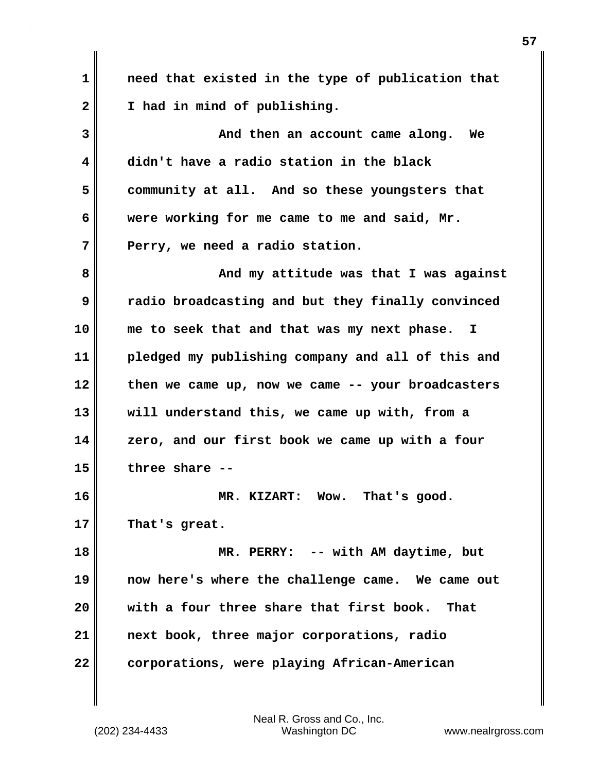**1 need that existed in the type of publication that 2 I had in mind of publishing. 3** And then an account came along. We **4 didn't have a radio station in the black 5 community at all. And so these youngsters that 6 were working for me came to me and said, Mr. 7 Perry, we need a radio station. 8 And my attitude was that I was against 9 radio broadcasting and but they finally convinced 10 me to seek that and that was my next phase. I 11 pledged my publishing company and all of this and 12 then we came up, now we came -- your broadcasters 13 will understand this, we came up with, from a 14 zero, and our first book we came up with a four 15 three share -- 16 MR. KIZART: Wow. That's good. 17 That's great. 18 MR. PERRY: -- with AM daytime, but 19 now here's where the challenge came. We came out 20 with a four three share that first book. That 21 next book, three major corporations, radio 22 corporations, were playing African-American**

(202) 234-4433 Washington DC www.nealrgross.com Neal R. Gross and Co., Inc.

**57**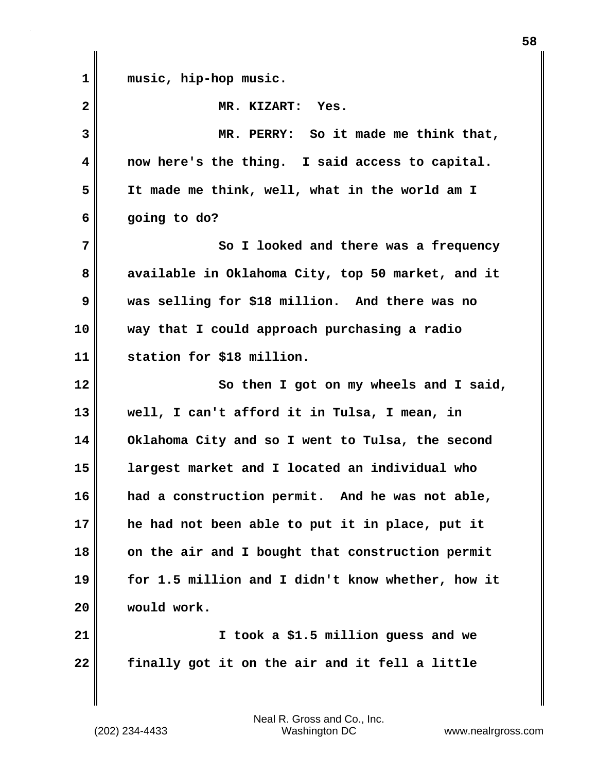| $\mathbf{1}$ | music, hip-hop music.                             |
|--------------|---------------------------------------------------|
| $\mathbf{2}$ | MR. KIZART: Yes.                                  |
| 3            | MR. PERRY: So it made me think that,              |
| 4            | now here's the thing. I said access to capital.   |
| 5            | It made me think, well, what in the world am I    |
| 6            | going to do?                                      |
| 7            | So I looked and there was a frequency             |
| 8            | available in Oklahoma City, top 50 market, and it |
| 9            | was selling for \$18 million. And there was no    |
| 10           | way that I could approach purchasing a radio      |
| 11           | station for \$18 million.                         |
| 12           | So then I got on my wheels and I said,            |
| 13           | well, I can't afford it in Tulsa, I mean, in      |
| 14           | Oklahoma City and so I went to Tulsa, the second  |
| 15           | largest market and I located an individual who    |
| 16           | had a construction permit. And he was not able,   |
| 17           | he had not been able to put it in place, put it   |
| 18           | on the air and I bought that construction permit  |
| 19           | for 1.5 million and I didn't know whether, how it |
| 20           | would work.                                       |
| 21           | I took a \$1.5 million guess and we               |
| 22           | finally got it on the air and it fell a little    |

 $\mathsf I$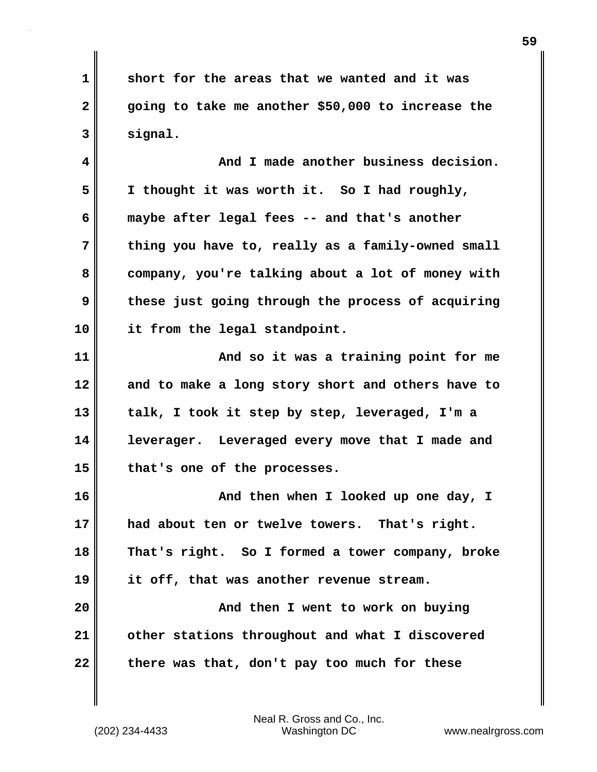**1 short for the areas that we wanted and it was 2 going to take me another \$50,000 to increase the 3 signal.**

**4 And I made another business decision. 5 I thought it was worth it. So I had roughly, 6 maybe after legal fees -- and that's another 7 thing you have to, really as a family-owned small 8 company, you're talking about a lot of money with 9 these just going through the process of acquiring 10 it from the legal standpoint.**

**11 And so it was a training point for me 12 and to make a long story short and others have to 13 talk, I took it step by step, leveraged, I'm a 14 leverager. Leveraged every move that I made and 15 that's one of the processes.**

**16 And then when I looked up one day, I 17 had about ten or twelve towers. That's right. 18 That's right. So I formed a tower company, broke 19 it off, that was another revenue stream. 20 And then I went to work on buying 21 other stations throughout and what I discovered 22 there was that, don't pay too much for these**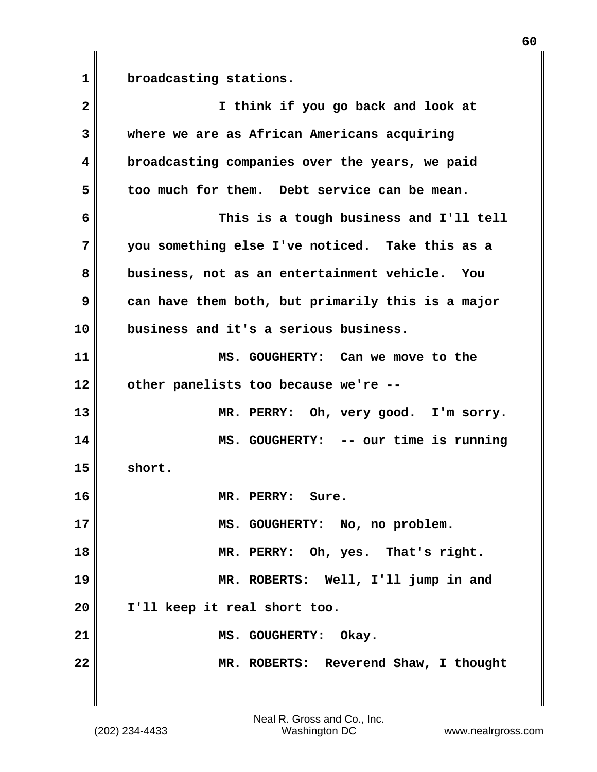**1 broadcasting stations.**

| $\mathbf{2}$ | I think if you go back and look at                |
|--------------|---------------------------------------------------|
| 3            | where we are as African Americans acquiring       |
| 4            | broadcasting companies over the years, we paid    |
| 5            | too much for them. Debt service can be mean.      |
| 6            | This is a tough business and I'll tell            |
| 7            | you something else I've noticed. Take this as a   |
| 8            | business, not as an entertainment vehicle. You    |
| 9            | can have them both, but primarily this is a major |
| 10           | business and it's a serious business.             |
| 11           | MS. GOUGHERTY: Can we move to the                 |
| 12           | other panelists too because we're --              |
| 13           | MR. PERRY: Oh, very good. I'm sorry.              |
| 14           | MS. GOUGHERTY: -- our time is running             |
| 15           | short.                                            |
| 16           | MR. PERRY: Sure.                                  |
| 17           | MS. GOUGHERTY: No, no problem.                    |
| 18           | MR. PERRY: Oh, yes. That's right.                 |
| 19           | MR. ROBERTS: Well, I'll jump in and               |
| 20           | I'll keep it real short too.                      |
| 21           | MS. GOUGHERTY: Okay.                              |
| 22           | MR. ROBERTS: Reverend Shaw, I thought             |
|              |                                                   |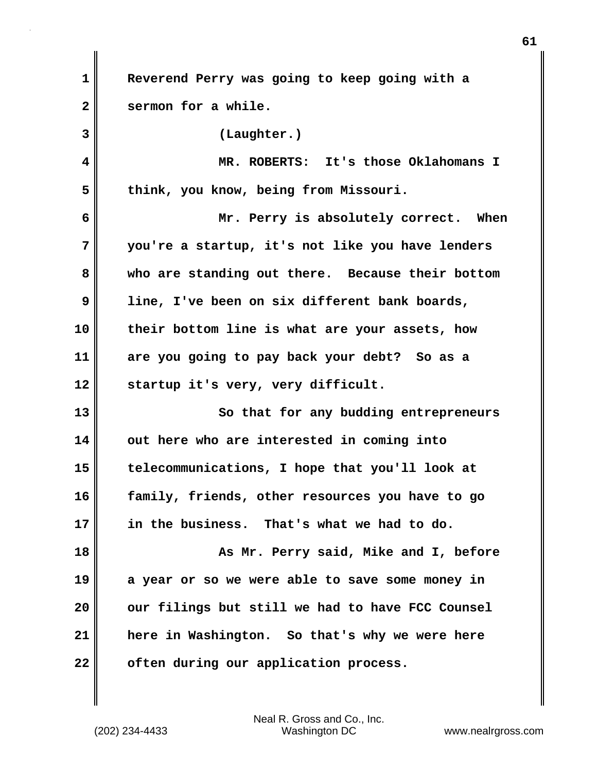| 1  | Reverend Perry was going to keep going with a    |
|----|--------------------------------------------------|
| 2  | sermon for a while.                              |
| 3  | (Laughter.)                                      |
| 4  | MR. ROBERTS: It's those Oklahomans I             |
| 5  | think, you know, being from Missouri.            |
| 6  | Mr. Perry is absolutely correct. When            |
| 7  | you're a startup, it's not like you have lenders |
| 8  | who are standing out there. Because their bottom |
| 9  | line, I've been on six different bank boards,    |
| 10 | their bottom line is what are your assets, how   |
| 11 | are you going to pay back your debt? So as a     |
| 12 | startup it's very, very difficult.               |
| 13 | So that for any budding entrepreneurs            |
| 14 | out here who are interested in coming into       |
| 15 | telecommunications, I hope that you'll look at   |
| 16 | family, friends, other resources you have to go  |
| 17 | in the business. That's what we had to do.       |
| 18 | As Mr. Perry said, Mike and I, before            |
| 19 | a year or so we were able to save some money in  |
| 20 | our filings but still we had to have FCC Counsel |
| 21 | here in Washington. So that's why we were here   |
| 22 | often during our application process.            |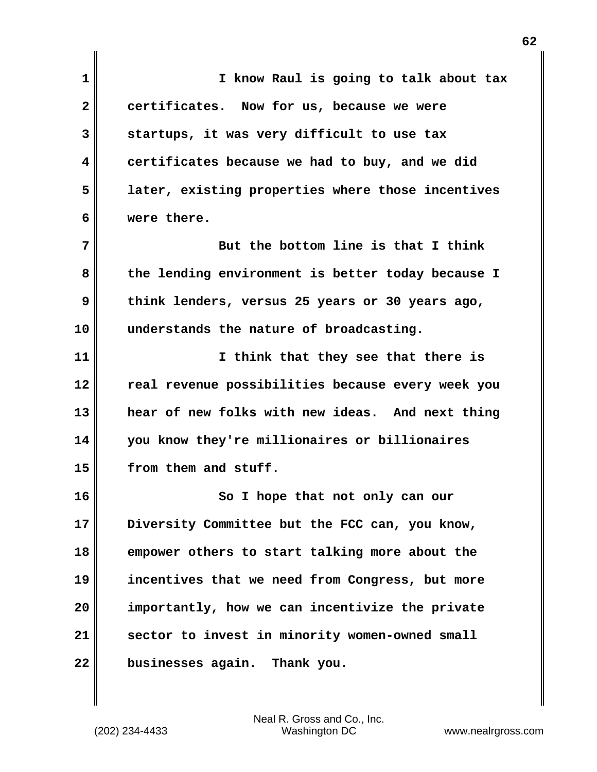| 1            | I know Raul is going to talk about tax            |
|--------------|---------------------------------------------------|
| $\mathbf{2}$ | certificates. Now for us, because we were         |
| 3            | startups, it was very difficult to use tax        |
| 4            | certificates because we had to buy, and we did    |
| 5            | later, existing properties where those incentives |
| 6            | were there.                                       |
| 7            | But the bottom line is that I think               |
| 8            | the lending environment is better today because I |
| 9            | think lenders, versus 25 years or 30 years ago,   |
| 10           | understands the nature of broadcasting.           |
| 11           | I think that they see that there is               |
| 12           | real revenue possibilities because every week you |
| 13           | hear of new folks with new ideas. And next thing  |
| 14           | you know they're millionaires or billionaires     |
| 15           | from them and stuff.                              |
| 16           | So I hope that not only can our                   |
| 17           | Diversity Committee but the FCC can, you know,    |
| 18           | empower others to start talking more about the    |
| 19           | incentives that we need from Congress, but more   |
| 20           | importantly, how we can incentivize the private   |
| 21           | sector to invest in minority women-owned small    |
| 22           | businesses again. Thank you.                      |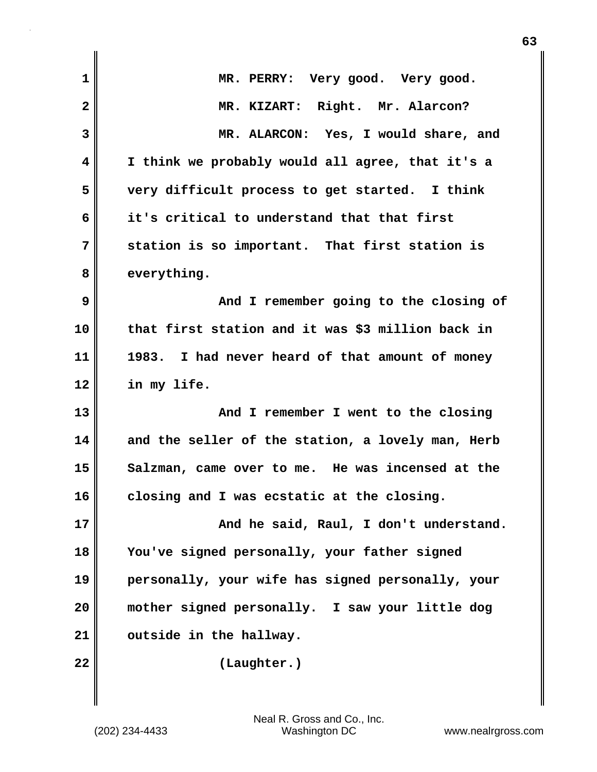| $\mathbf 1$  | MR. PERRY: Very good. Very good.                   |
|--------------|----------------------------------------------------|
| $\mathbf{2}$ | MR. KIZART: Right. Mr. Alarcon?                    |
| 3            | MR. ALARCON: Yes, I would share, and               |
| 4            | I think we probably would all agree, that it's a   |
| 5            | very difficult process to get started. I think     |
| 6            | it's critical to understand that that first        |
| 7            | station is so important. That first station is     |
| 8            | everything.                                        |
| 9            | And I remember going to the closing of             |
| 10           | that first station and it was \$3 million back in  |
| 11           | I had never heard of that amount of money<br>1983. |
| 12           | in my life.                                        |
| 13           | And I remember I went to the closing               |
| 14           | and the seller of the station, a lovely man, Herb  |
| 15           | Salzman, came over to me. He was incensed at the   |
| 16           | closing and I was ecstatic at the closing.         |
| 17           | And he said, Raul, I don't understand.             |
| 18           | You've signed personally, your father signed       |
| 19           | personally, your wife has signed personally, your  |
| 20           | mother signed personally. I saw your little dog    |
| 21           | outside in the hallway.                            |
| 22           | (Laughter.)                                        |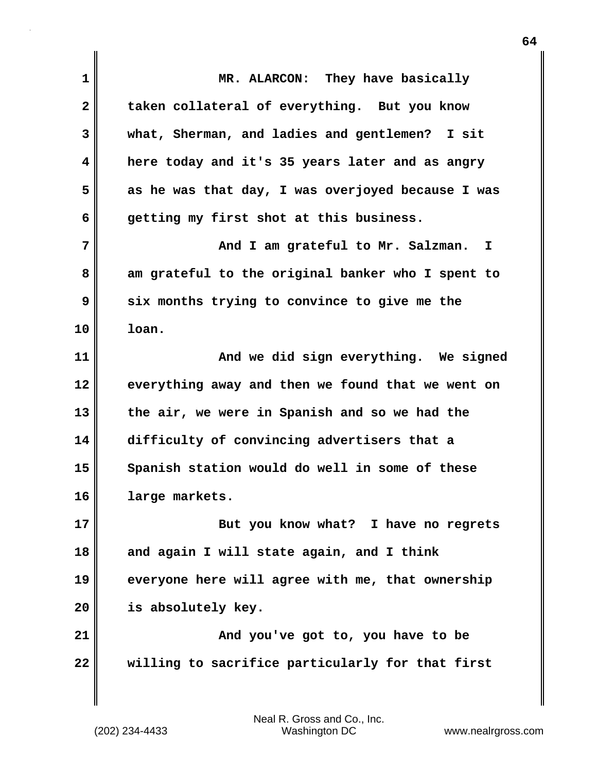| 1            | MR. ALARCON: They have basically                  |
|--------------|---------------------------------------------------|
| $\mathbf{2}$ | taken collateral of everything. But you know      |
| 3            | what, Sherman, and ladies and gentlemen? I sit    |
| 4            | here today and it's 35 years later and as angry   |
| 5            | as he was that day, I was overjoyed because I was |
| 6            | getting my first shot at this business.           |
| 7            | And I am grateful to Mr. Salzman.<br>I.           |
| 8            | am grateful to the original banker who I spent to |
| 9            | six months trying to convince to give me the      |
| 10           | loan.                                             |
| 11           | And we did sign everything. We signed             |
| 12           | everything away and then we found that we went on |
| 13           | the air, we were in Spanish and so we had the     |
| 14           | difficulty of convincing advertisers that a       |
| 15           | Spanish station would do well in some of these    |
| 16           | large markets.                                    |
| 17           | But you know what? I have no regrets              |
| 18           | and again I will state again, and I think         |
| 19           | everyone here will agree with me, that ownership  |
| 20           | is absolutely key.                                |
| 21           | And you've got to, you have to be                 |
| 22           | willing to sacrifice particularly for that first  |
|              |                                                   |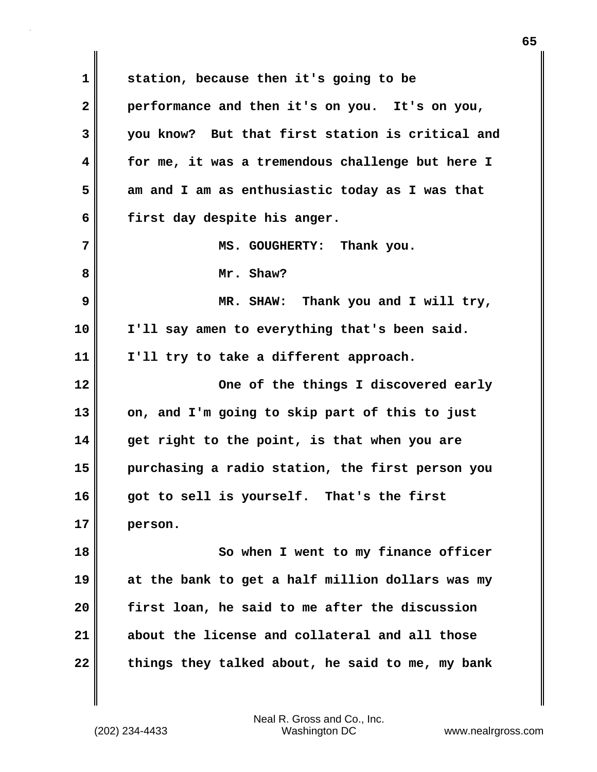**1 station, because then it's going to be 2 performance and then it's on you. It's on you, 3 you know? But that first station is critical and 4 for me, it was a tremendous challenge but here I 5 am and I am as enthusiastic today as I was that 6 first day despite his anger. 7** NS. GOUGHERTY: Thank you. **8 Mr. Shaw? 9 MR. SHAW: Thank you and I will try, 10 I'll say amen to everything that's been said. 11 I'll try to take a different approach. 12 One of the things I discovered early 13 on, and I'm going to skip part of this to just 14 get right to the point, is that when you are 15 purchasing a radio station, the first person you 16 got to sell is yourself. That's the first 17 person. 18** So when I went to my finance officer **19 at the bank to get a half million dollars was my 20 first loan, he said to me after the discussion 21 about the license and collateral and all those 22 things they talked about, he said to me, my bank**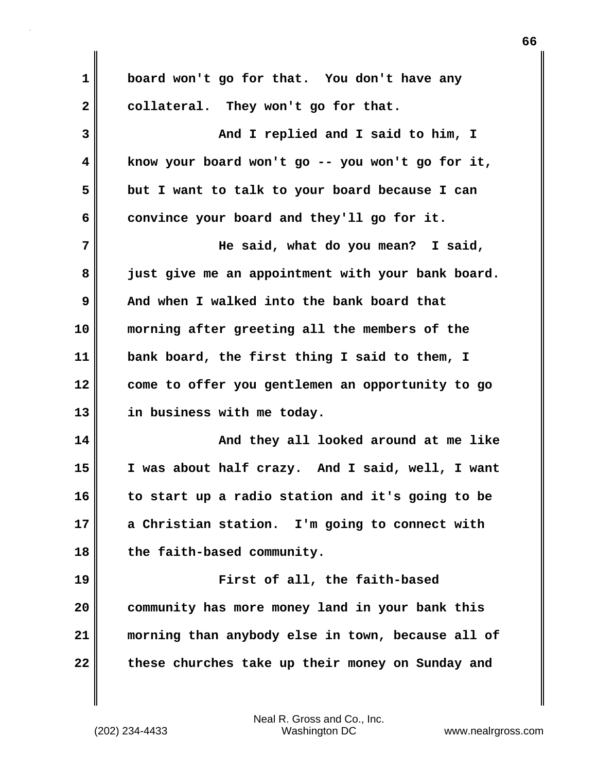**1 board won't go for that. You don't have any** 2 collateral. They won't go for that. **3 And I replied and I said to him, I 4 know your board won't go -- you won't go for it, 5 but I want to talk to your board because I can** 6 convince your board and they'll go for it. **7 He said, what do you mean? I said, 8 just give me an appointment with your bank board. 9 And when I walked into the bank board that 10 morning after greeting all the members of the 11 bank board, the first thing I said to them, I 12 come to offer you gentlemen an opportunity to go 13 in business with me today. 14 And they all looked around at me like 15 I was about half crazy. And I said, well, I want 16 to start up a radio station and it's going to be 17 a Christian station. I'm going to connect with 18 the faith-based community. 19 First of all, the faith-based 20 community has more money land in your bank this 21 morning than anybody else in town, because all of 22 these churches take up their money on Sunday and**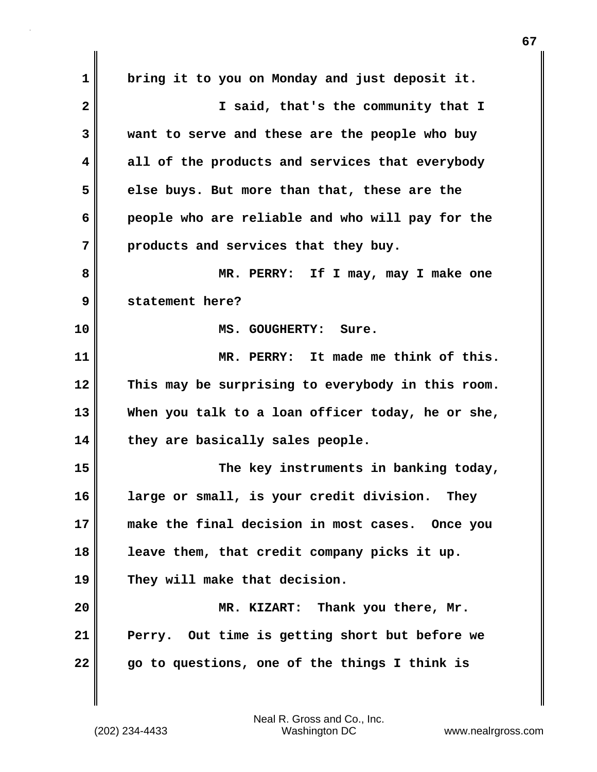**1 bring it to you on Monday and just deposit it. 2 I said, that's the community that I 3 want to serve and these are the people who buy 4 all of the products and services that everybody 5 else buys. But more than that, these are the 6 people who are reliable and who will pay for the 7 products and services that they buy. 8 MR. PERRY: If I may, may I make one 9 statement here? 10 MS. GOUGHERTY: Sure. 11 MR. PERRY: It made me think of this. 12 This may be surprising to everybody in this room. 13 When you talk to a loan officer today, he or she, 14 they are basically sales people. 15 The key instruments in banking today, 16 large or small, is your credit division. They 17 make the final decision in most cases. Once you 18 leave them, that credit company picks it up. 19 They will make that decision. 20 MR. KIZART: Thank you there, Mr. 21 Perry. Out time is getting short but before we 22 go to questions, one of the things I think is**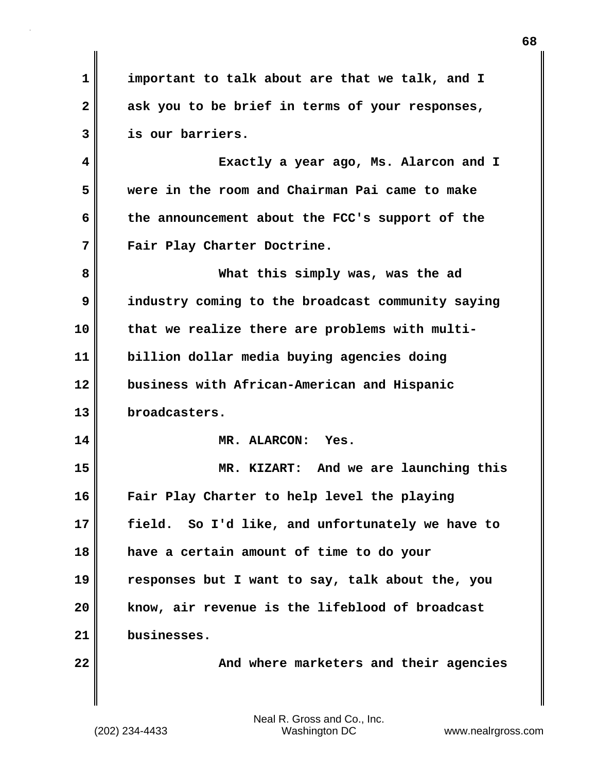**1 important to talk about are that we talk, and I 2 ask you to be brief in terms of your responses, 3 is our barriers. 4 Exactly a year ago, Ms. Alarcon and I 5 were in the room and Chairman Pai came to make 6 the announcement about the FCC's support of the 7 Fair Play Charter Doctrine. 8 What this simply was, was the ad 9 industry coming to the broadcast community saying 10 that we realize there are problems with multi-11 billion dollar media buying agencies doing 12 business with African-American and Hispanic 13 broadcasters. 14 MR. ALARCON: Yes. 15 MR. KIZART: And we are launching this 16 Fair Play Charter to help level the playing 17 field. So I'd like, and unfortunately we have to 18 have a certain amount of time to do your 19 responses but I want to say, talk about the, you 20 know, air revenue is the lifeblood of broadcast 21 businesses. 22 And where marketers and their agencies**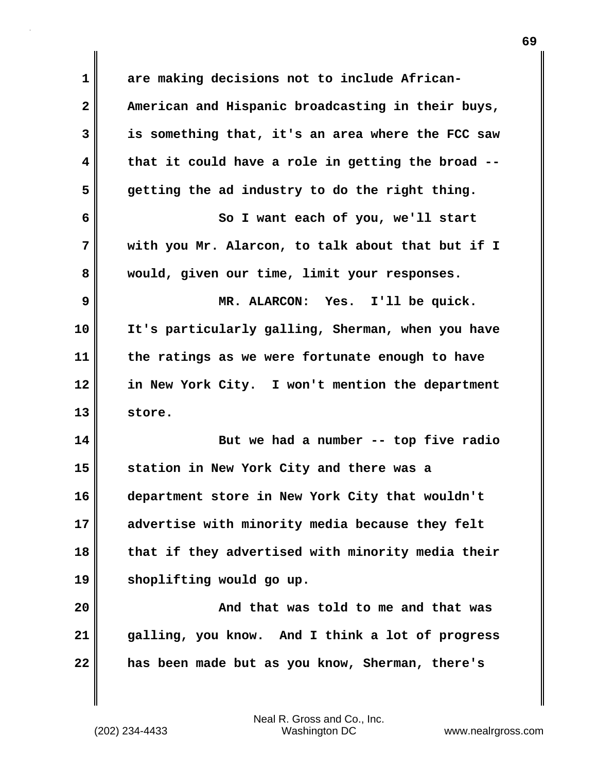| $\mathbf 1$  | are making decisions not to include African-      |
|--------------|---------------------------------------------------|
| $\mathbf{2}$ | American and Hispanic broadcasting in their buys, |
| 3            | is something that, it's an area where the FCC saw |
| 4            | that it could have a role in getting the broad -- |
| 5            | getting the ad industry to do the right thing.    |
| 6            | So I want each of you, we'll start                |
| 7            | with you Mr. Alarcon, to talk about that but if I |
| 8            | would, given our time, limit your responses.      |
| 9            | MR. ALARCON: Yes. I'll be quick.                  |
| 10           | It's particularly galling, Sherman, when you have |
| 11           | the ratings as we were fortunate enough to have   |
| 12           | in New York City. I won't mention the department  |
| 13           | store.                                            |
| 14           | But we had a number -- top five radio             |
| 15           | station in New York City and there was a          |
| 16           | department store in New York City that wouldn't   |
| 17           | advertise with minority media because they felt   |
| 18           | that if they advertised with minority media their |
| 19           | shoplifting would go up.                          |
| 20           | And that was told to me and that was              |
| 21           | galling, you know. And I think a lot of progress  |
| 22           | has been made but as you know, Sherman, there's   |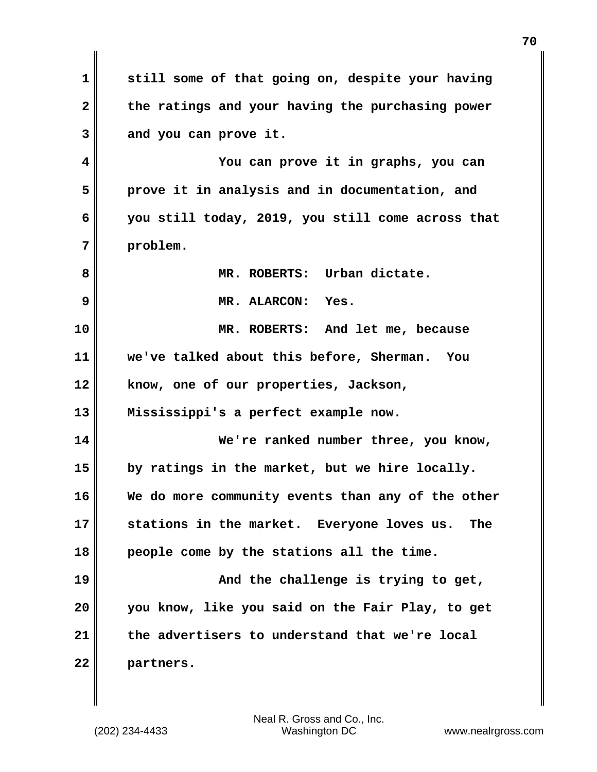**1 still some of that going on, despite your having 2 the ratings and your having the purchasing power 3 and you can prove it. 4 You can prove it in graphs, you can 5 prove it in analysis and in documentation, and 6 you still today, 2019, you still come across that 7 problem. 8 MR. ROBERTS: Urban dictate. 9 MR. ALARCON: Yes. 10 MR. ROBERTS: And let me, because 11 we've talked about this before, Sherman. You 12 know, one of our properties, Jackson, 13 Mississippi's a perfect example now. 14 We're ranked number three, you know, 15 by ratings in the market, but we hire locally. 16 We do more community events than any of the other 17 stations in the market. Everyone loves us. The 18 people come by the stations all the time. 19 And the challenge is trying to get, 20 you know, like you said on the Fair Play, to get 21 the advertisers to understand that we're local 22 partners.**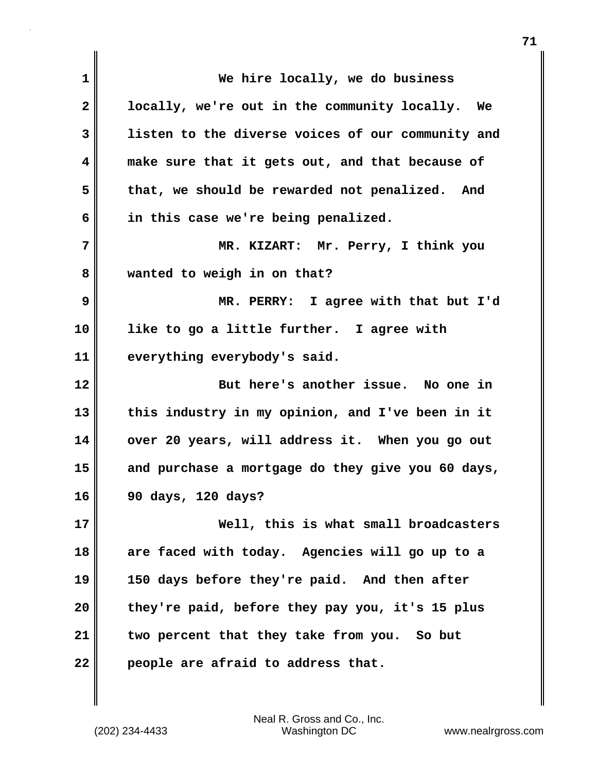| 1            | We hire locally, we do business                   |
|--------------|---------------------------------------------------|
| $\mathbf{2}$ | locally, we're out in the community locally. We   |
| 3            | listen to the diverse voices of our community and |
| 4            | make sure that it gets out, and that because of   |
| 5            | that, we should be rewarded not penalized. And    |
| 6            | in this case we're being penalized.               |
| 7            | MR. KIZART: Mr. Perry, I think you                |
| 8            | wanted to weigh in on that?                       |
| 9            | MR. PERRY: I agree with that but I'd              |
| 10           | like to go a little further. I agree with         |
| 11           | everything everybody's said.                      |
| 12           | But here's another issue. No one in               |
| 13           | this industry in my opinion, and I've been in it  |
| 14           | over 20 years, will address it. When you go out   |
| 15           | and purchase a mortgage do they give you 60 days, |
| 16           | 90 days, 120 days?                                |
| 17           | Well, this is what small broadcasters             |
| 18           | are faced with today. Agencies will go up to a    |
| 19           |                                                   |
|              | 150 days before they're paid. And then after      |
| 20           | they're paid, before they pay you, it's 15 plus   |
| 21           | two percent that they take from you. So but       |

(202) 234-4433 Washington DC www.nealrgross.com Neal R. Gross and Co., Inc.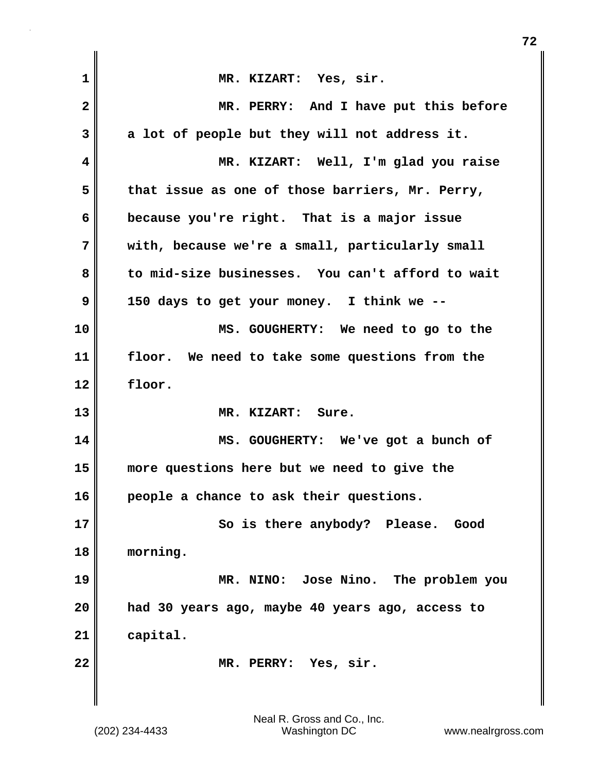| $\mathbf 1$  | MR. KIZART: Yes, sir.                            |
|--------------|--------------------------------------------------|
| $\mathbf{2}$ | MR. PERRY: And I have put this before            |
| 3            | a lot of people but they will not address it.    |
| 4            | MR. KIZART: Well, I'm glad you raise             |
| 5            | that issue as one of those barriers, Mr. Perry,  |
| 6            | because you're right. That is a major issue      |
| 7            | with, because we're a small, particularly small  |
| 8            | to mid-size businesses. You can't afford to wait |
| 9            | 150 days to get your money. I think we --        |
| 10           | MS. GOUGHERTY: We need to go to the              |
| 11           | floor. We need to take some questions from the   |
| 12           | floor.                                           |
| 13           | MR. KIZART: Sure.                                |
| 14           | MS. GOUGHERTY: We've got a bunch of              |
| 15           | more questions here but we need to give the      |
| 16           | people a chance to ask their questions.          |
| 17           | So is there anybody? Please. Good                |
| 18           | morning.                                         |
| 19           | MR. NINO: Jose Nino. The problem you             |
| 20           | had 30 years ago, maybe 40 years ago, access to  |
| 21           | capital.                                         |
| 22           | MR. PERRY: Yes, sir.                             |
|              |                                                  |

**72**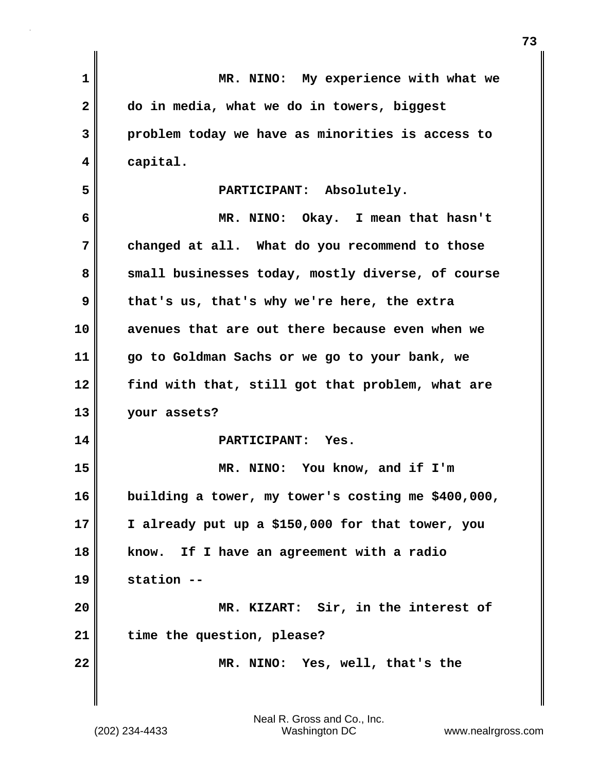| $\mathbf{1}$   | MR. NINO: My experience with what we               |
|----------------|----------------------------------------------------|
| $\overline{2}$ | do in media, what we do in towers, biggest         |
| 3              | problem today we have as minorities is access to   |
| 4              | capital.                                           |
| 5              | PARTICIPANT: Absolutely.                           |
| 6              | MR. NINO: Okay. I mean that hasn't                 |
| 7              | changed at all. What do you recommend to those     |
| 8              | small businesses today, mostly diverse, of course  |
| 9              | that's us, that's why we're here, the extra        |
| 10             | avenues that are out there because even when we    |
| 11             | go to Goldman Sachs or we go to your bank, we      |
| 12             | find with that, still got that problem, what are   |
| 13             | your assets?                                       |
| 14             | PARTICIPANT: Yes.                                  |
| 15             | MR. NINO: You know, and if I'm                     |
| 16             | building a tower, my tower's costing me \$400,000, |
| 17             | I already put up a \$150,000 for that tower, you   |
| 18             | If I have an agreement with a radio<br>know.       |
| 19             | station --                                         |
| 20             | MR. KIZART: Sir, in the interest of                |
| 21             | time the question, please?                         |
| 22             | MR. NINO: Yes, well, that's the                    |
|                |                                                    |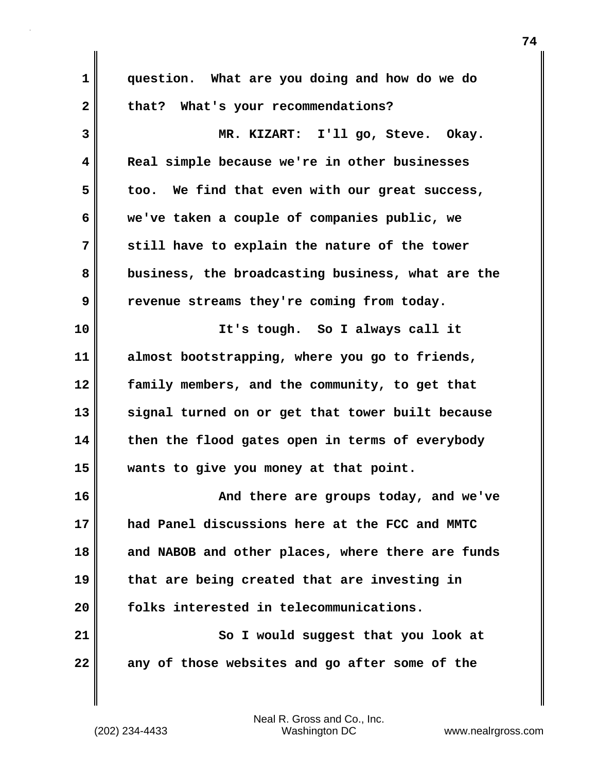| $\mathbf 1$  | question. What are you doing and how do we do     |
|--------------|---------------------------------------------------|
| $\mathbf{2}$ | that? What's your recommendations?                |
| 3            | MR. KIZART: I'll go, Steve. Okay.                 |
| 4            | Real simple because we're in other businesses     |
| 5            | too. We find that even with our great success,    |
| 6            | we've taken a couple of companies public, we      |
| 7            | still have to explain the nature of the tower     |
| 8            | business, the broadcasting business, what are the |
| 9            | revenue streams they're coming from today.        |
| 10           | It's tough. So I always call it                   |
| 11           | almost bootstrapping, where you go to friends,    |
| 12           | family members, and the community, to get that    |
| 13           | signal turned on or get that tower built because  |
| 14           | then the flood gates open in terms of everybody   |
| 15           | wants to give you money at that point.            |
| 16           | And there are groups today, and we've             |
| 17           | had Panel discussions here at the FCC and MMTC    |
| 18           | and NABOB and other places, where there are funds |
| 19           | that are being created that are investing in      |
| 20           | folks interested in telecommunications.           |
| 21           | So I would suggest that you look at               |
| 22           | any of those websites and go after some of the    |
|              |                                                   |

 $\mathbf{l}$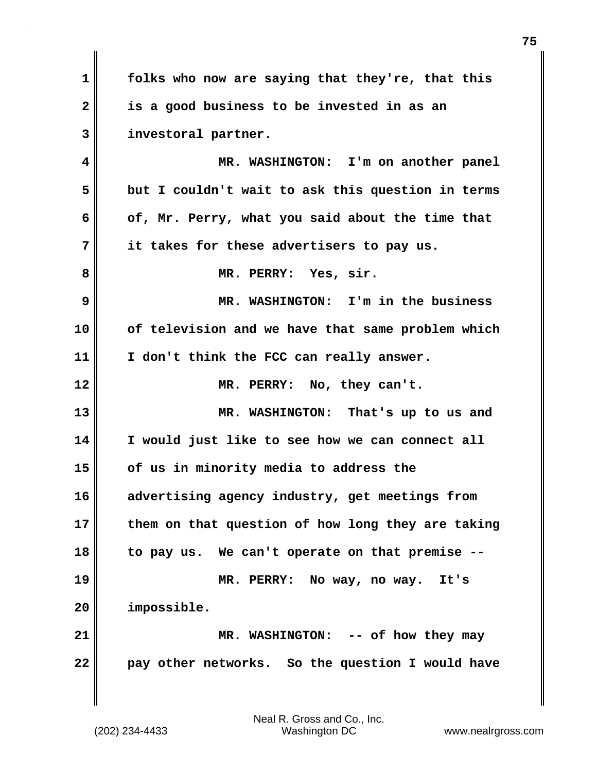**1 folks who now are saying that they're, that this 2 is a good business to be invested in as an 3 investoral partner.**

**4 MR. WASHINGTON: I'm on another panel 5 but I couldn't wait to ask this question in terms 6 of, Mr. Perry, what you said about the time that 7 it takes for these advertisers to pay us. 8 MR. PERRY: Yes, sir. 9 MR. WASHINGTON: I'm in the business 10 of television and we have that same problem which 11 I don't think the FCC can really answer. 12 MR. PERRY: No, they can't. 13 MR. WASHINGTON: That's up to us and 14 I would just like to see how we can connect all 15 of us in minority media to address the 16 advertising agency industry, get meetings from 17 them on that question of how long they are taking 18 to pay us. We can't operate on that premise -- 19 MR. PERRY: No way, no way. It's 20 impossible. 21 MR. WASHINGTON: -- of how they may 22 pay other networks. So the question I would have**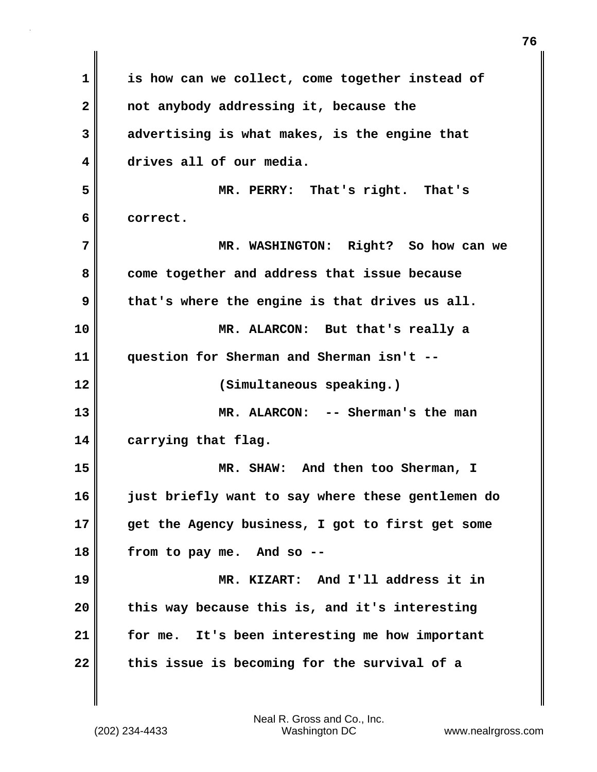**1 is how can we collect, come together instead of 2 not anybody addressing it, because the 3 advertising is what makes, is the engine that 4 drives all of our media. 5 MR. PERRY: That's right. That's 6 correct. 7 MR. WASHINGTON: Right? So how can we 8 come together and address that issue because 9 that's where the engine is that drives us all. 10 MR. ALARCON: But that's really a 11 question for Sherman and Sherman isn't -- 12 (Simultaneous speaking.) 13 MR. ALARCON: -- Sherman's the man 14 carrying that flag. 15 MR. SHAW: And then too Sherman, I 16 just briefly want to say where these gentlemen do 17 get the Agency business, I got to first get some 18 from to pay me. And so -- 19 MR. KIZART: And I'll address it in 20 this way because this is, and it's interesting 21 for me. It's been interesting me how important 22 this issue is becoming for the survival of a**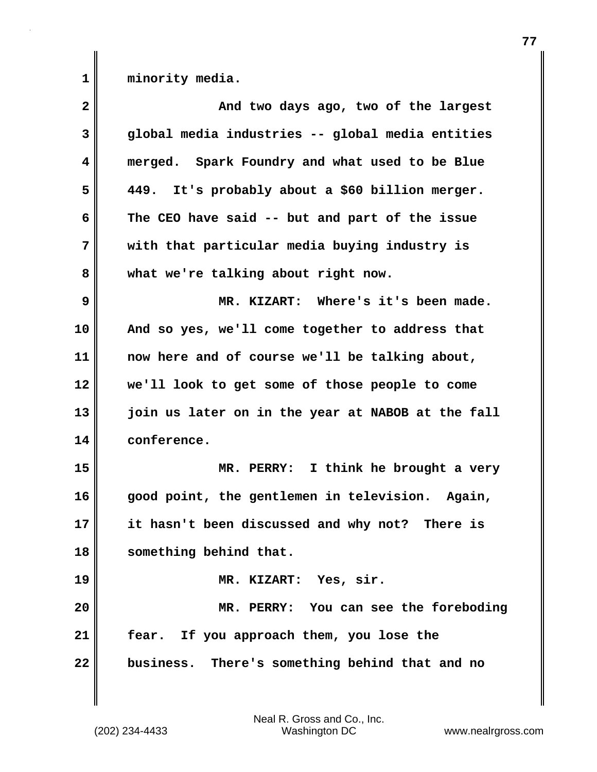1 **minority** media.

| $\overline{\mathbf{2}}$ | And two days ago, two of the largest              |
|-------------------------|---------------------------------------------------|
| $\mathbf{3}$            | global media industries -- global media entities  |
| 4                       | merged. Spark Foundry and what used to be Blue    |
| 5                       | 449. It's probably about a \$60 billion merger.   |
| 6                       | The CEO have said -- but and part of the issue    |
| 7                       | with that particular media buying industry is     |
| 8                       | what we're talking about right now.               |
| 9                       | MR. KIZART: Where's it's been made.               |
| 10                      | And so yes, we'll come together to address that   |
| 11                      | now here and of course we'll be talking about,    |
| 12                      | we'll look to get some of those people to come    |
| 13                      | join us later on in the year at NABOB at the fall |
| 14                      | conference.                                       |
| 15                      | MR. PERRY: I think he brought a very              |
| 16                      | good point, the gentlemen in television. Again,   |
| 17                      | it hasn't been discussed and why not? There is    |
| 18                      | something behind that.                            |
| 19                      | MR. KIZART: Yes, sir.                             |
| 20                      | MR. PERRY: You can see the foreboding             |
| 21                      | fear. If you approach them, you lose the          |
| 22                      | business. There's something behind that and no    |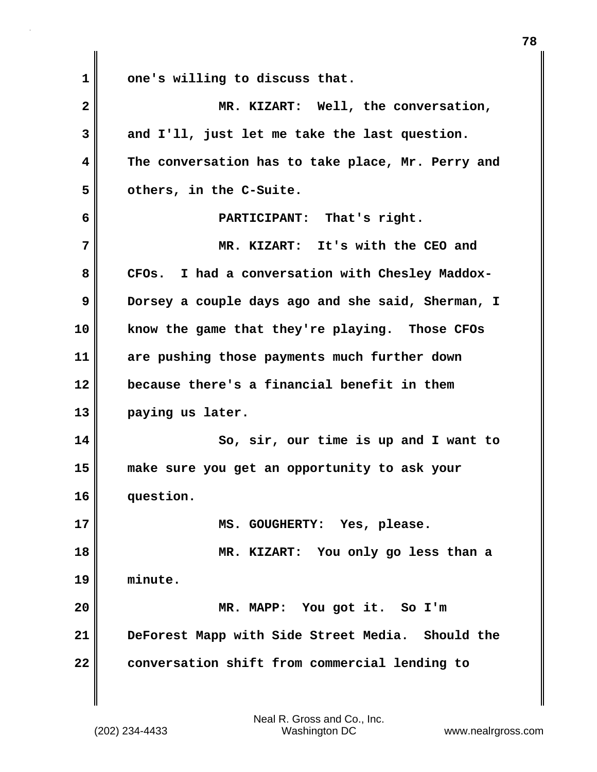1 **dea**'s willing to discuss that. **2 MR. KIZART: Well, the conversation, 3 and I'll, just let me take the last question. 4 The conversation has to take place, Mr. Perry and 5 others, in the C-Suite. 6 PARTICIPANT: That's right. 7 MR. KIZART: It's with the CEO and** 8 CFOs. I had a conversation with Chesley Maddox-**9** Dorsey a couple days ago and she said, Sherman, I **10 know the game that they're playing. Those CFOs 11 are pushing those payments much further down 12 because there's a financial benefit in them 13 paying us later. 14 So, sir, our time is up and I want to 15 make sure you get an opportunity to ask your 16 question. 17 MS. GOUGHERTY: Yes, please. 18 MR. KIZART: You only go less than a 19 minute. 20 MR. MAPP: You got it. So I'm 21 DeForest Mapp with Side Street Media. Should the 22 conversation shift from commercial lending to**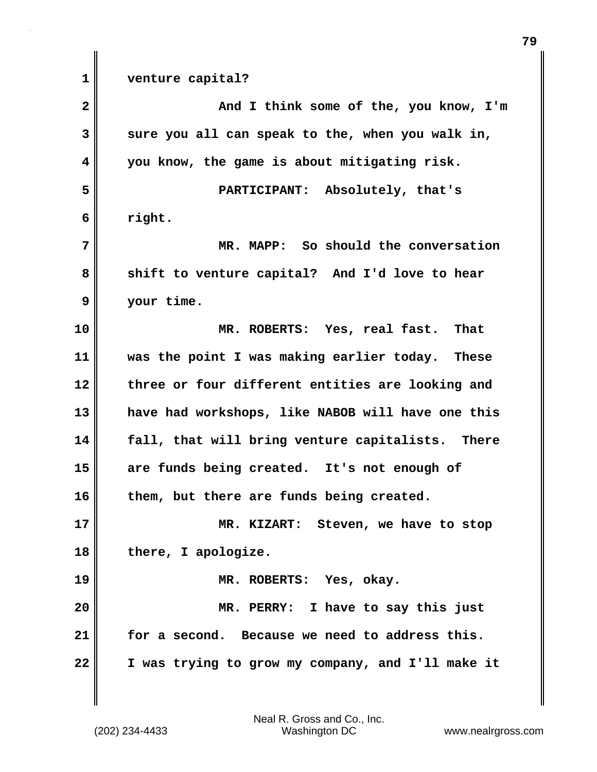**1 venture capital? 2** And I think some of the, you know, I'm **3 sure you all can speak to the, when you walk in, 4 you know, the game is about mitigating risk. 5 PARTICIPANT: Absolutely, that's 6 right. 7 MR. MAPP: So should the conversation 8** Shift to venture capital? And I'd love to hear **9 your time. 10 MR. ROBERTS: Yes, real fast. That 11 was the point I was making earlier today. These 12 three or four different entities are looking and 13 have had workshops, like NABOB will have one this 14 fall, that will bring venture capitalists. There 15 are funds being created. It's not enough of 16 them, but there are funds being created. 17 MR. KIZART: Steven, we have to stop 18 there, I apologize. 19 MR. ROBERTS: Yes, okay. 20 MR. PERRY: I have to say this just 21 for a second. Because we need to address this. 22 I was trying to grow my company, and I'll make it**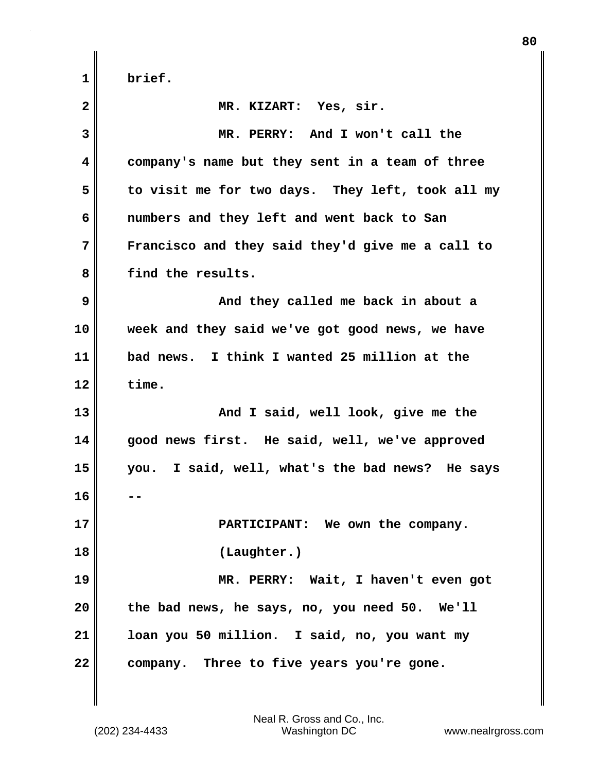| $\mathbf{2}$ | MR. KIZART: Yes, sir.                            |
|--------------|--------------------------------------------------|
| 3            | MR. PERRY: And I won't call the                  |
| 4            | company's name but they sent in a team of three  |
| 5            | to visit me for two days. They left, took all my |
| 6            | numbers and they left and went back to San       |
| 7            | Francisco and they said they'd give me a call to |
| 8            | find the results.                                |
| 9            | And they called me back in about a               |
| 10           | week and they said we've got good news, we have  |
| 11           | bad news. I think I wanted 25 million at the     |
| 12           | time.                                            |
| 13           | And I said, well look, give me the               |
| 14           | good news first. He said, well, we've approved   |
| 15           | you. I said, well, what's the bad news? He says  |
| 16           |                                                  |
| 17           | PARTICIPANT: We own the company.                 |
| 18           | (Laughter.)                                      |
| 19           | MR. PERRY: Wait, I haven't even got              |
| 20           | the bad news, he says, no, you need 50. We'll    |
| 21           | loan you 50 million. I said, no, you want my     |
| 22           | company. Three to five years you're gone.        |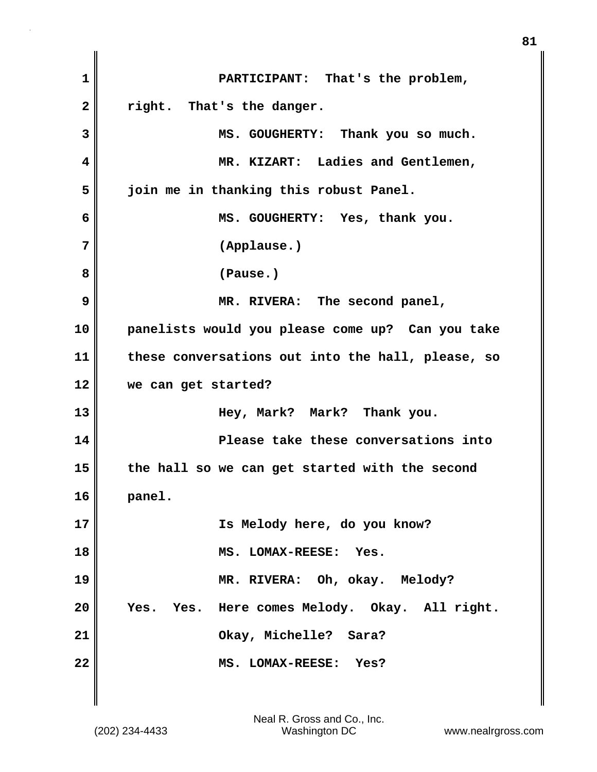**1 PARTICIPANT: That's the problem, 2 right. That's the danger. 3 MS. GOUGHERTY: Thank you so much. 4 MR. KIZART: Ladies and Gentlemen, 5 join me in thanking this robust Panel. 6 MS. GOUGHERTY: Yes, thank you. 7 (Applause.) 8 (Pause.) 9 MR. RIVERA: The second panel, 10 panelists would you please come up? Can you take 11 these conversations out into the hall, please, so 12 we can get started? 13 Hey, Mark? Mark? Thank you. 14 Please take these conversations into 15 the hall so we can get started with the second 16 panel. 17 Is Melody here, do you know? 18 MS. LOMAX-REESE: Yes. 19 MR. RIVERA: Oh, okay. Melody? 20 Yes. Yes. Here comes Melody. Okay. All right. 21 Okay, Michelle? Sara? 22 MS. LOMAX-REESE: Yes?**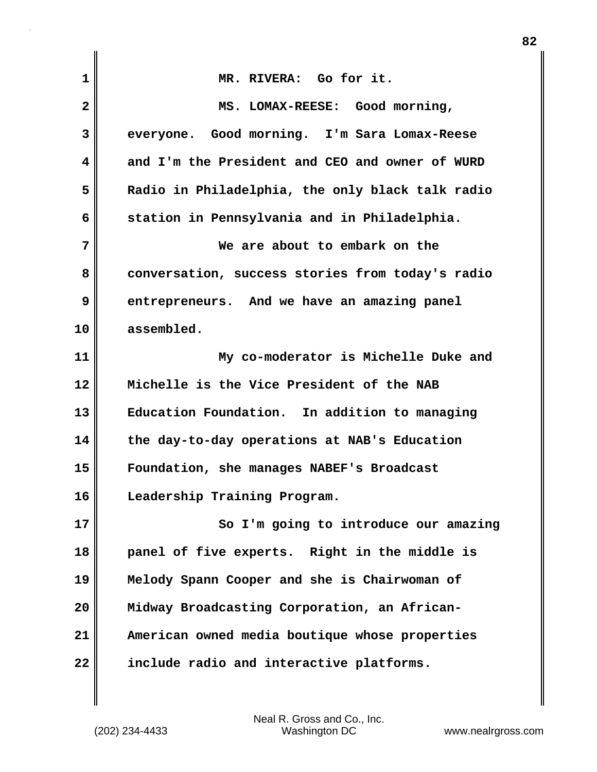| $\mathbf{1}$   | MR. RIVERA: Go for it.                           |
|----------------|--------------------------------------------------|
| $\overline{2}$ | MS. LOMAX-REESE: Good morning,                   |
| 3              | everyone. Good morning. I'm Sara Lomax-Reese     |
| 4              | and I'm the President and CEO and owner of WURD  |
| 5              | Radio in Philadelphia, the only black talk radio |
| 6              | station in Pennsylvania and in Philadelphia.     |
| 7              | We are about to embark on the                    |
| 8              | conversation, success stories from today's radio |
| 9              | entrepreneurs. And we have an amazing panel      |
| 10             | assembled.                                       |
| 11             | My co-moderator is Michelle Duke and             |
|                |                                                  |
| 12             | Michelle is the Vice President of the NAB        |
| 13             | Education Foundation. In addition to managing    |
| 14             | the day-to-day operations at NAB's Education     |
| 15             | Foundation, she manages NABEF's Broadcast        |
| 16             | Leadership Training Program.                     |
|                | So I'm going to introduce our amazing            |
| 17<br>18       | panel of five experts. Right in the middle is    |
| 19             | Melody Spann Cooper and she is Chairwoman of     |
| 20             | Midway Broadcasting Corporation, an African-     |
| 21             | American owned media boutique whose properties   |

 $\mathbf{I}$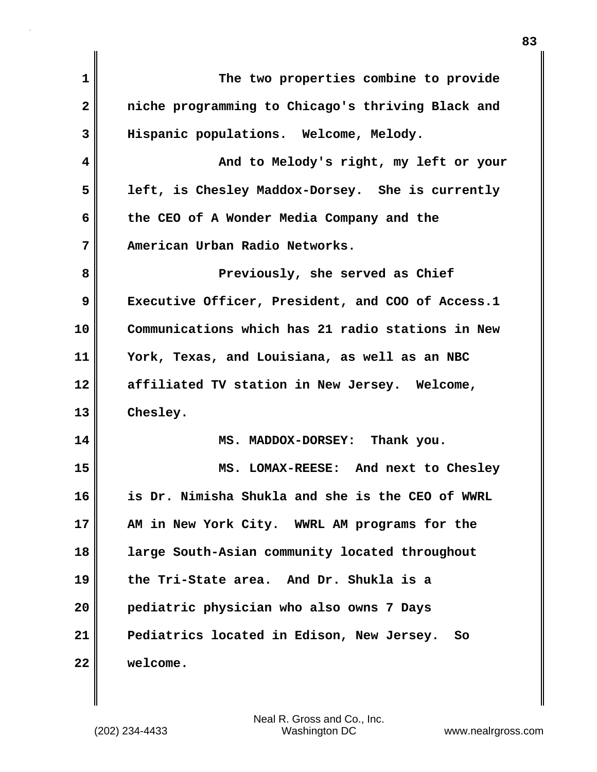| 1  | The two properties combine to provide             |
|----|---------------------------------------------------|
| 2  | niche programming to Chicago's thriving Black and |
| 3  | Hispanic populations. Welcome, Melody.            |
| 4  | And to Melody's right, my left or your            |
| 5  | left, is Chesley Maddox-Dorsey. She is currently  |
| 6  | the CEO of A Wonder Media Company and the         |
| 7  | American Urban Radio Networks.                    |
| 8  | Previously, she served as Chief                   |
| 9  | Executive Officer, President, and COO of Access.1 |
| 10 | Communications which has 21 radio stations in New |
| 11 | York, Texas, and Louisiana, as well as an NBC     |
| 12 | affiliated TV station in New Jersey. Welcome,     |
| 13 | Chesley.                                          |
| 14 | MS. MADDOX-DORSEY: Thank you.                     |
| 15 | MS. LOMAX-REESE: And next to Chesley              |
| 16 | is Dr. Nimisha Shukla and she is the CEO of WWRL  |
| 17 | AM in New York City. WWRL AM programs for the     |
| 18 | large South-Asian community located throughout    |
| 19 | the Tri-State area. And Dr. Shukla is a           |
| 20 | pediatric physician who also owns 7 Days          |
| 21 | Pediatrics located in Edison, New Jersey.<br>So   |
| 22 | welcome.                                          |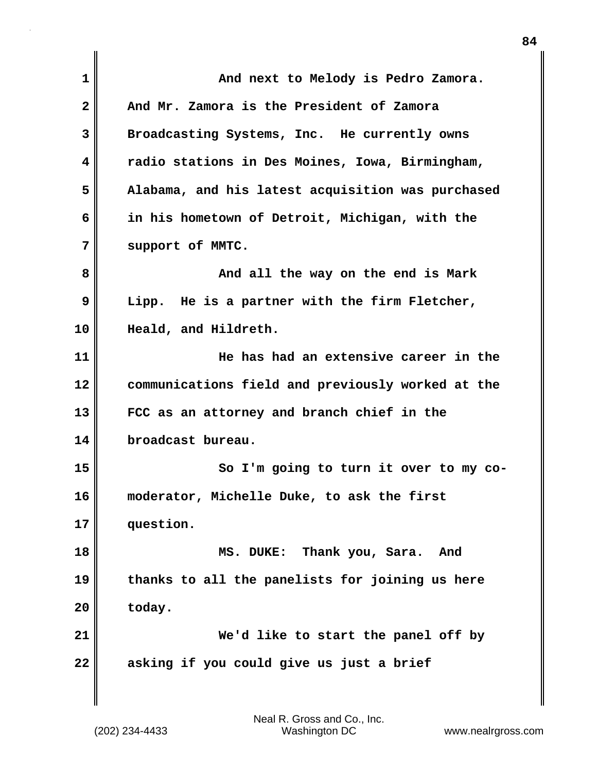| 1  | And next to Melody is Pedro Zamora.               |
|----|---------------------------------------------------|
| 2  | And Mr. Zamora is the President of Zamora         |
| 3  | Broadcasting Systems, Inc. He currently owns      |
| 4  | radio stations in Des Moines, Iowa, Birmingham,   |
| 5  | Alabama, and his latest acquisition was purchased |
| 6  | in his hometown of Detroit, Michigan, with the    |
| 7  | support of MMTC.                                  |
| 8  | And all the way on the end is Mark                |
| 9  | Lipp. He is a partner with the firm Fletcher,     |
| 10 | Heald, and Hildreth.                              |
| 11 | He has had an extensive career in the             |
| 12 | communications field and previously worked at the |
| 13 | FCC as an attorney and branch chief in the        |
| 14 | broadcast bureau.                                 |
| 15 | So I'm going to turn it over to my co-            |
| 16 | moderator, Michelle Duke, to ask the first        |
| 17 | question.                                         |
| 18 | MS. DUKE: Thank you, Sara. And                    |
| 19 | thanks to all the panelists for joining us here   |
| 20 | today.                                            |
| 21 | We'd like to start the panel off by               |
| 22 | asking if you could give us just a brief          |
|    |                                                   |

 $\mathbf{I}$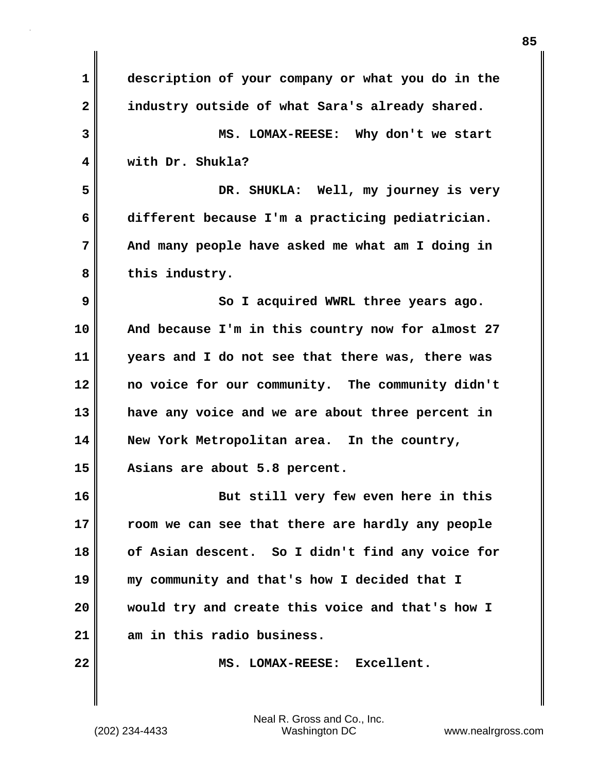| 1                       | description of your company or what you do in the |
|-------------------------|---------------------------------------------------|
| $\overline{\mathbf{2}}$ | industry outside of what Sara's already shared.   |
| 3                       | MS. LOMAX-REESE: Why don't we start               |
| 4                       | with Dr. Shukla?                                  |
| 5                       | DR. SHUKLA: Well, my journey is very              |
| 6                       | different because I'm a practicing pediatrician.  |
| 7                       | And many people have asked me what am I doing in  |
| 8                       | this industry.                                    |
| 9                       | So I acquired WWRL three years ago.               |
| 10                      | And because I'm in this country now for almost 27 |
| 11                      | years and I do not see that there was, there was  |
| 12                      | no voice for our community. The community didn't  |
| 13                      | have any voice and we are about three percent in  |
| 14                      | New York Metropolitan area. In the country,       |
| 15                      | Asians are about 5.8 percent.                     |
| 16                      | But still very few even here in this              |
| 17                      | room we can see that there are hardly any people  |
| 18                      | of Asian descent. So I didn't find any voice for  |
| 19                      | my community and that's how I decided that I      |
| 20                      | would try and create this voice and that's how I  |
| 21                      | am in this radio business.                        |
| 22                      | MS. LOMAX-REESE: Excellent.                       |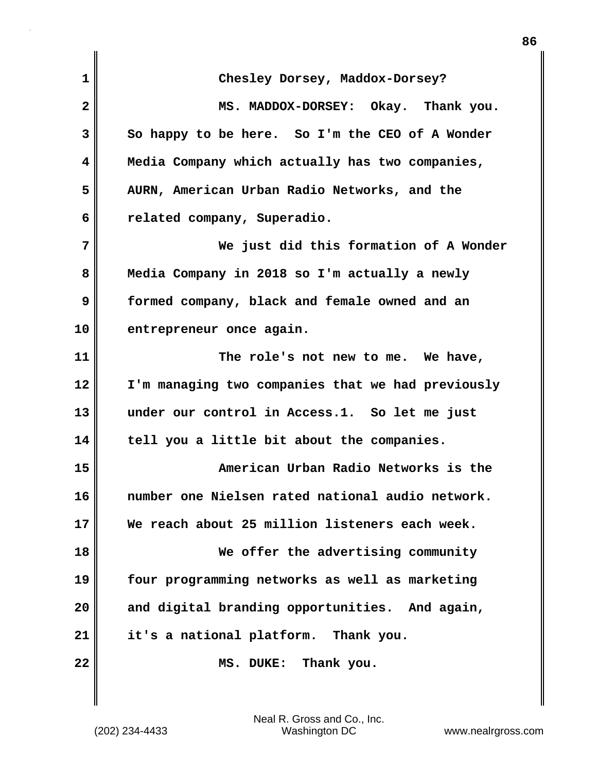| $\mathbf{1}$ | Chesley Dorsey, Maddox-Dorsey?                    |
|--------------|---------------------------------------------------|
| $\mathbf{2}$ | MS. MADDOX-DORSEY: Okay. Thank you.               |
| 3            | So happy to be here. So I'm the CEO of A Wonder   |
| 4            | Media Company which actually has two companies,   |
| 5            | AURN, American Urban Radio Networks, and the      |
| 6            | related company, Superadio.                       |
| 7            | We just did this formation of A Wonder            |
| 8            | Media Company in 2018 so I'm actually a newly     |
| 9            | formed company, black and female owned and an     |
| 10           | entrepreneur once again.                          |
| 11           | The role's not new to me. We have,                |
| 12           | I'm managing two companies that we had previously |
| 13           | under our control in Access.1. So let me just     |
| 14           | tell you a little bit about the companies.        |
| 15           | American Urban Radio Networks is the              |
| 16           | number one Nielsen rated national audio network.  |
| 17           | We reach about 25 million listeners each week.    |
| 18           | We offer the advertising community                |
| 19           | four programming networks as well as marketing    |
| 20           | and digital branding opportunities. And again,    |
| 21           | it's a national platform. Thank you.              |
| 22           | Thank you.<br>MS. DUKE:                           |
|              |                                                   |

(202) 234-4433 Washington DC www.nealrgross.com Neal R. Gross and Co., Inc.

 $\mathsf I$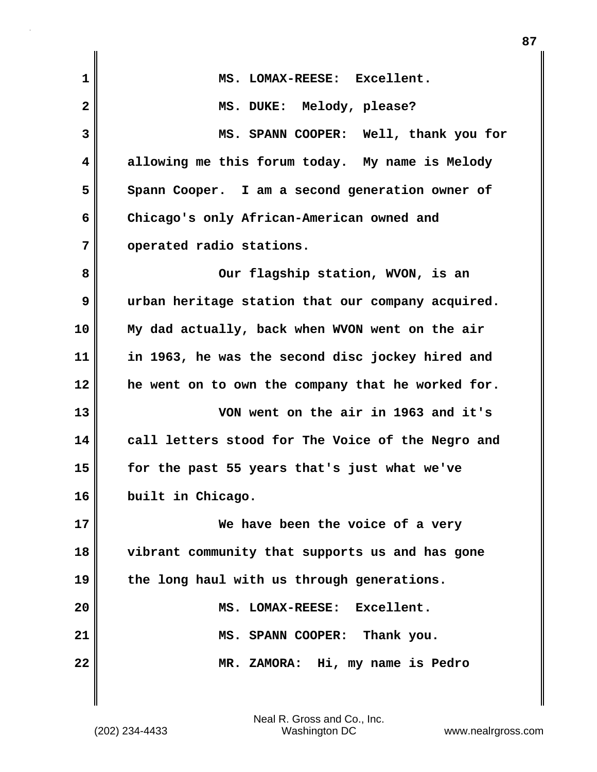| $\mathbf 1$    | MS. LOMAX-REESE: Excellent.                       |
|----------------|---------------------------------------------------|
| $\overline{2}$ | MS. DUKE: Melody, please?                         |
| 3              | MS. SPANN COOPER: Well, thank you for             |
| 4              | allowing me this forum today. My name is Melody   |
| 5              | Spann Cooper. I am a second generation owner of   |
| 6              | Chicago's only African-American owned and         |
| 7              | operated radio stations.                          |
| 8              | Our flagship station, WVON, is an                 |
| 9              | urban heritage station that our company acquired. |
| 10             | My dad actually, back when WVON went on the air   |
| 11             | in 1963, he was the second disc jockey hired and  |
| 12             | he went on to own the company that he worked for. |
| 13             | VON went on the air in 1963 and it's              |
| 14             | call letters stood for The Voice of the Negro and |
| 15             | for the past 55 years that's just what we've      |
| 16             | built in Chicago.                                 |
| 17             | We have been the voice of a very                  |
| 18             | vibrant community that supports us and has gone   |
| 19             | the long haul with us through generations.        |
| 20             | LOMAX-REESE: Excellent.<br>MS.                    |
| 21             | MS. SPANN COOPER: Thank you.                      |
| 22             | MR. ZAMORA: Hi, my name is Pedro                  |
|                |                                                   |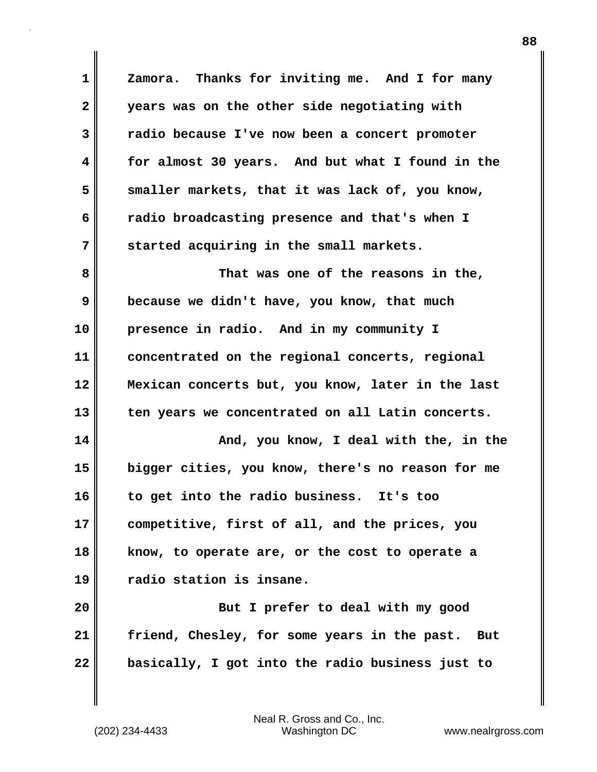**1 Zamora. Thanks for inviting me. And I for many 2 years was on the other side negotiating with 3 radio because I've now been a concert promoter 4 for almost 30 years. And but what I found in the 5 smaller markets, that it was lack of, you know, 6 radio broadcasting presence and that's when I 7 started acquiring in the small markets. 8 That was one of the reasons in the, 9 because we didn't have, you know, that much 10 presence in radio. And in my community I 11 concentrated on the regional concerts, regional 12 Mexican concerts but, you know, later in the last 13 ten years we concentrated on all Latin concerts. 14 And, you know, I deal with the, in the 15 bigger cities, you know, there's no reason for me 16 to get into the radio business. It's too 17 competitive, first of all, and the prices, you 18 know, to operate are, or the cost to operate a 19 radio station is insane. 20 But I prefer to deal with my good 21 friend, Chesley, for some years in the past. But 22 basically, I got into the radio business just to**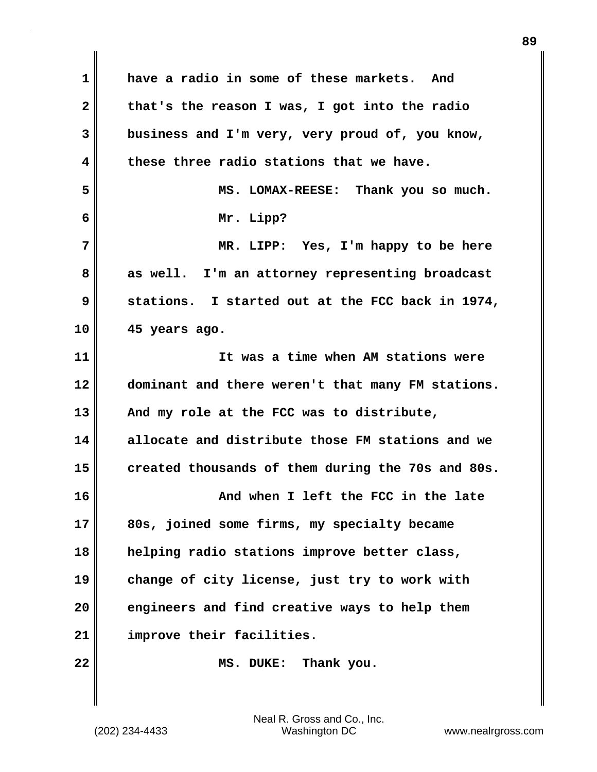**1 have a radio in some of these markets. And 2 that's the reason I was, I got into the radio 3 business and I'm very, very proud of, you know, 4 these three radio stations that we have. 5 MS. LOMAX-REESE: Thank you so much. 6 Mr. Lipp? 7 MR. LIPP: Yes, I'm happy to be here** 8 as well. I'm an attorney representing broadcast **9 stations. I started out at the FCC back in 1974, 10 45 years ago. 11 It was a time when AM stations were 12 dominant and there weren't that many FM stations. 13 And my role at the FCC was to distribute, 14 allocate and distribute those FM stations and we 15 created thousands of them during the 70s and 80s. 16 And when I left the FCC in the late 17 80s, joined some firms, my specialty became 18 helping radio stations improve better class, 19 change of city license, just try to work with 20 engineers and find creative ways to help them 21 improve their facilities. 22 MS. DUKE: Thank you.**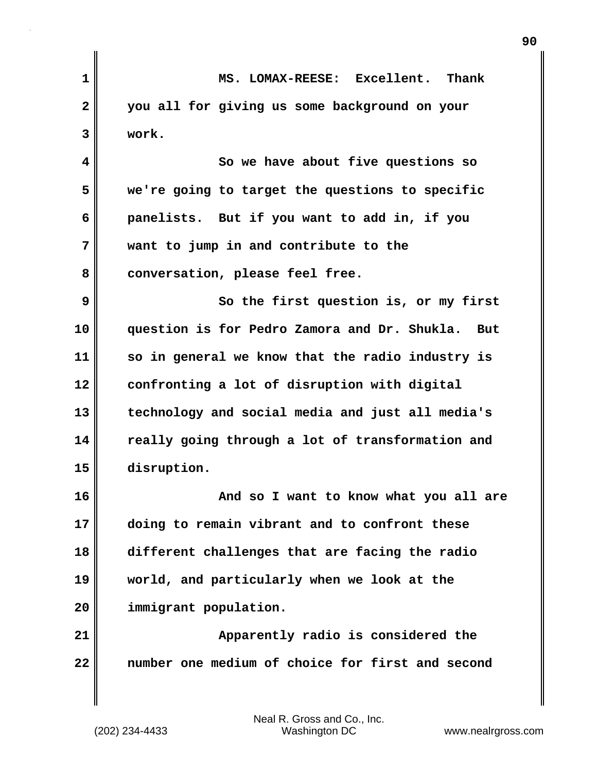| 1            | MS. LOMAX-REESE: Excellent. Thank                          |
|--------------|------------------------------------------------------------|
| $\mathbf{2}$ | you all for giving us some background on your              |
| 3            | work.                                                      |
| 4            | So we have about five questions so                         |
| 5            | we're going to target the questions to specific            |
| 6            | panelists. But if you want to add in, if you               |
| 7            | want to jump in and contribute to the                      |
| 8            | conversation, please feel free.                            |
| 9            | So the first question is, or my first                      |
| 10           | question is for Pedro Zamora and Dr. Shukla.<br><b>But</b> |
| 11           | so in general we know that the radio industry is           |
| 12           | confronting a lot of disruption with digital               |
| 13           | technology and social media and just all media's           |
| 14           | really going through a lot of transformation and           |
| 15           | disruption.                                                |
| 16           | And so I want to know what you all are                     |
| 17           | doing to remain vibrant and to confront these              |
| 18           | different challenges that are facing the radio             |
| 19           | world, and particularly when we look at the                |
| 20           | immigrant population.                                      |
| 21           | Apparently radio is considered the                         |
| 22           | number one medium of choice for first and second           |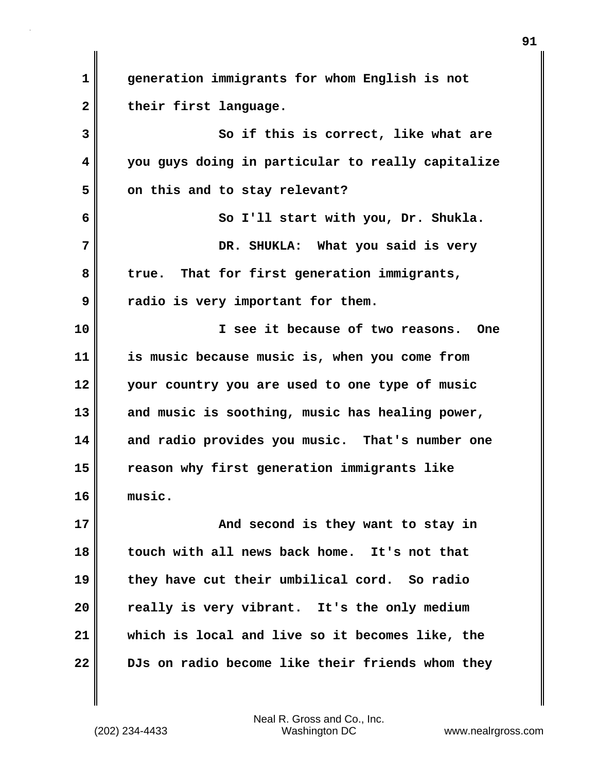**1 generation immigrants for whom English is not** 2 their first language. **3 So if this is correct, like what are 4 you guys doing in particular to really capitalize** 5 on this and to stay relevant? **6 So I'll start with you, Dr. Shukla. 7 DR. SHUKLA: What you said is very 8 true. That for first generation immigrants, 9 radio is very important for them. 10 I see it because of two reasons. One 11 is music because music is, when you come from 12 your country you are used to one type of music 13 and music is soothing, music has healing power, 14 and radio provides you music. That's number one 15 reason why first generation immigrants like 16 music. 17 And second is they want to stay in 18 touch with all news back home. It's not that 19 they have cut their umbilical cord. So radio 20 really is very vibrant. It's the only medium 21 which is local and live so it becomes like, the 22 DJs on radio become like their friends whom they**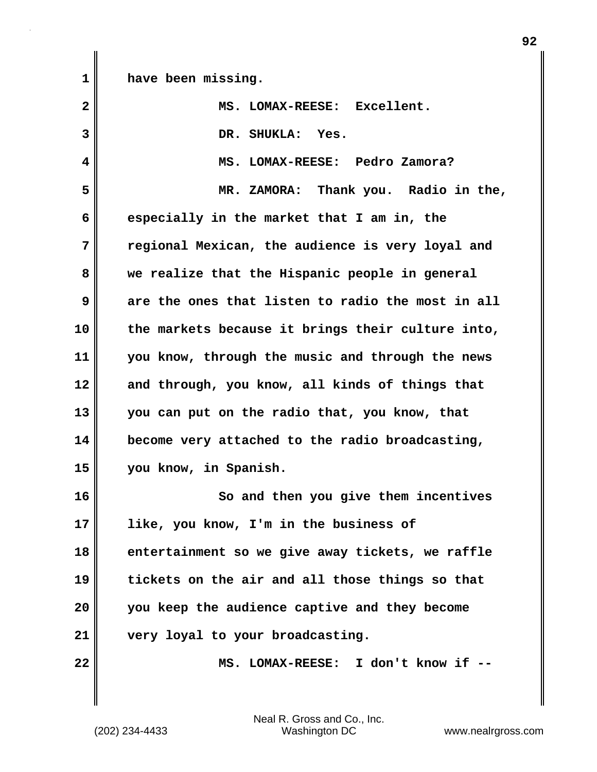**1 have been missing.**

| $\overline{\mathbf{2}}$ | MS. LOMAX-REESE: Excellent.                       |
|-------------------------|---------------------------------------------------|
| 3                       | DR. SHUKLA: Yes.                                  |
| 4                       | MS. LOMAX-REESE: Pedro Zamora?                    |
| 5                       | MR. ZAMORA: Thank you. Radio in the,              |
| 6                       | especially in the market that I am in, the        |
| 7                       | regional Mexican, the audience is very loyal and  |
| 8                       | we realize that the Hispanic people in general    |
| 9                       | are the ones that listen to radio the most in all |
| 10                      | the markets because it brings their culture into, |
| 11                      | you know, through the music and through the news  |
| 12                      | and through, you know, all kinds of things that   |
| 13                      | you can put on the radio that, you know, that     |
| 14                      | become very attached to the radio broadcasting,   |
| 15                      | you know, in Spanish.                             |
| 16                      | So and then you give them incentives              |
| 17                      | like, you know, I'm in the business of            |
| 18                      | entertainment so we give away tickets, we raffle  |
| 19                      | tickets on the air and all those things so that   |
| 20                      | you keep the audience captive and they become     |
| 21                      | very loyal to your broadcasting.                  |
| 22                      | MS. LOMAX-REESE: I don't know if --               |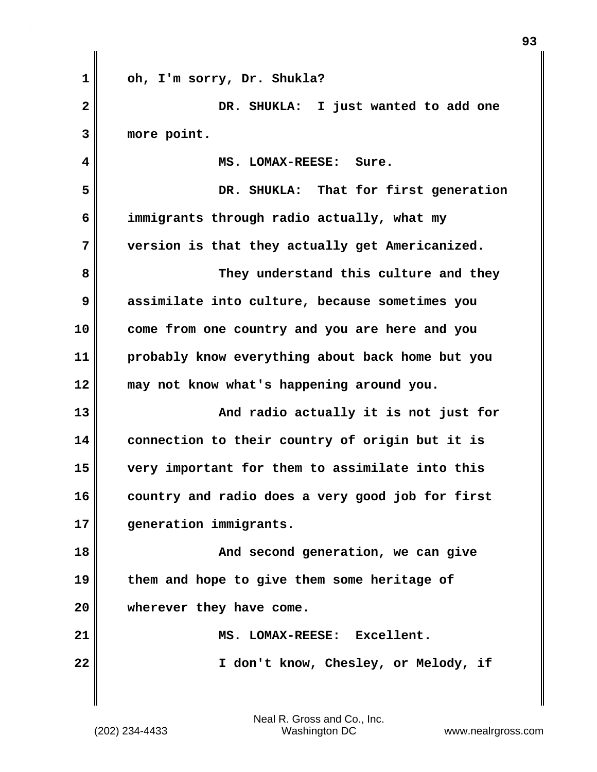| 1            | oh, I'm sorry, Dr. Shukla?                       |
|--------------|--------------------------------------------------|
| $\mathbf{2}$ | DR. SHUKLA: I just wanted to add one             |
| 3            | more point.                                      |
| 4            | MS. LOMAX-REESE: Sure.                           |
| 5            | DR. SHUKLA: That for first generation            |
| 6            | immigrants through radio actually, what my       |
| 7            | version is that they actually get Americanized.  |
| 8            | They understand this culture and they            |
| 9            | assimilate into culture, because sometimes you   |
| 10           | come from one country and you are here and you   |
| 11           | probably know everything about back home but you |
| 12           | may not know what's happening around you.        |
| 13           | And radio actually it is not just for            |
| 14           | connection to their country of origin but it is  |
| 15           | very important for them to assimilate into this  |
| 16           | country and radio does a very good job for first |
| 17           | generation immigrants.                           |
| 18           | And second generation, we can give               |
| 19           | them and hope to give them some heritage of      |
| 20           | wherever they have come.                         |
| 21           | MS. LOMAX-REESE: Excellent.                      |
| 22           | I don't know, Chesley, or Melody, if             |
|              |                                                  |
|              |                                                  |

(202) 234-4433 Washington DC www.nealrgross.com Neal R. Gross and Co., Inc.

 $\mathbf{I}$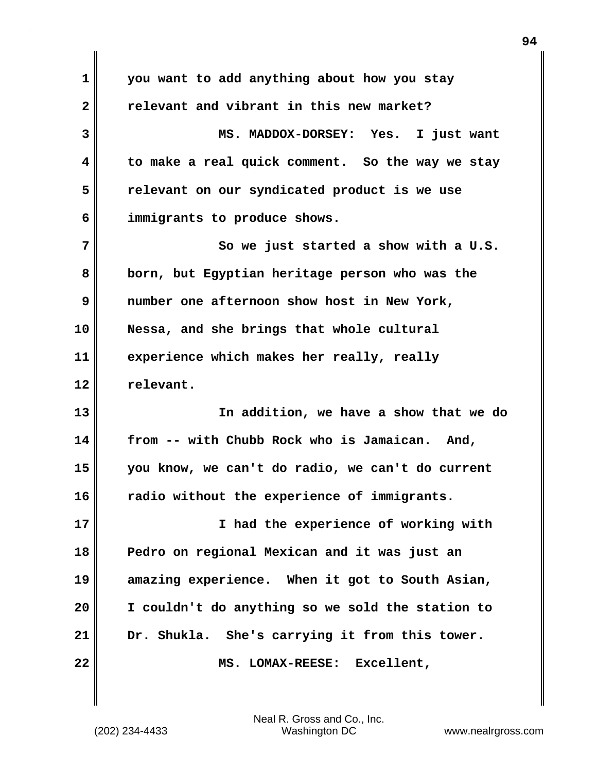| $\mathbf 1$  | you want to add anything about how you stay      |
|--------------|--------------------------------------------------|
| $\mathbf{2}$ | relevant and vibrant in this new market?         |
| 3            | MS. MADDOX-DORSEY: Yes. I just want              |
| 4            | to make a real quick comment. So the way we stay |
| 5            | relevant on our syndicated product is we use     |
| 6            | immigrants to produce shows.                     |
| 7            | So we just started a show with a U.S.            |
| 8            | born, but Egyptian heritage person who was the   |
| 9            | number one afternoon show host in New York,      |
| 10           | Nessa, and she brings that whole cultural        |
| 11           | experience which makes her really, really        |
| 12           | relevant.                                        |
| 13           | In addition, we have a show that we do           |
| 14           | from -- with Chubb Rock who is Jamaican. And,    |
| 15           |                                                  |
|              | you know, we can't do radio, we can't do current |
| 16           | radio without the experience of immigrants.      |
| 17           | I had the experience of working with             |
| 18           | Pedro on regional Mexican and it was just an     |
| 19           | amazing experience. When it got to South Asian,  |
| 20           | I couldn't do anything so we sold the station to |
| 21           | Dr. Shukla. She's carrying it from this tower.   |

 $\mathbf{I}$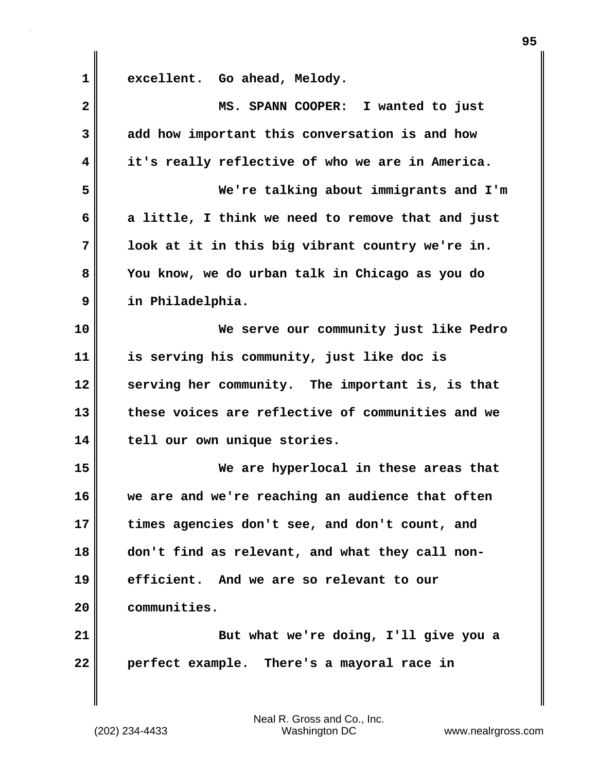**1 excellent. Go ahead, Melody. 2 MS. SPANN COOPER: I wanted to just 3 add how important this conversation is and how 4 it's really reflective of who we are in America. 5 We're talking about immigrants and I'm 6 a little, I think we need to remove that and just 7 look at it in this big vibrant country we're in. 8 You know, we do urban talk in Chicago as you do 9 in Philadelphia. 10 We serve our community just like Pedro 11 is serving his community, just like doc is 12 serving her community. The important is, is that 13 these voices are reflective of communities and we 14 tell our own unique stories. 15 We are hyperlocal in these areas that 16 we are and we're reaching an audience that often 17 times agencies don't see, and don't count, and 18 don't find as relevant, and what they call non-19 efficient. And we are so relevant to our 20 communities. 21 But what we're doing, I'll give you a 22 perfect example. There's a mayoral race in**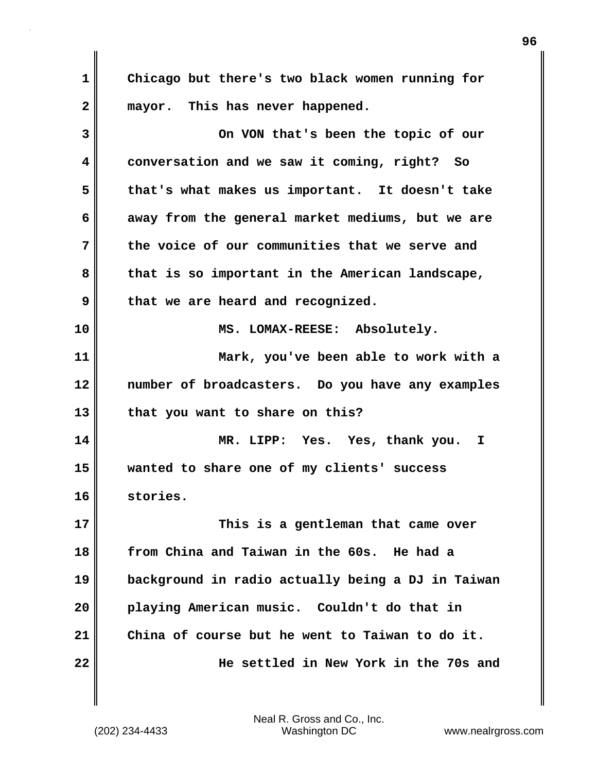**1 Chicago but there's two black women running for 2 mayor. This has never happened.**

**3 On VON that's been the topic of our 4 conversation and we saw it coming, right? So 5 that's what makes us important. It doesn't take 6 away from the general market mediums, but we are 7 the voice of our communities that we serve and 8 that is so important in the American landscape, 9 that we are heard and recognized. 10 MS. LOMAX-REESE: Absolutely. 11 Mark, you've been able to work with a 12 number of broadcasters. Do you have any examples 13 that you want to share on this? 14 MR. LIPP: Yes. Yes, thank you. I 15 wanted to share one of my clients' success 16 stories. 17 This is a gentleman that came over 18 from China and Taiwan in the 60s. He had a 19 background in radio actually being a DJ in Taiwan 20 playing American music. Couldn't do that in 21 China of course but he went to Taiwan to do it. 22 He settled in New York in the 70s and**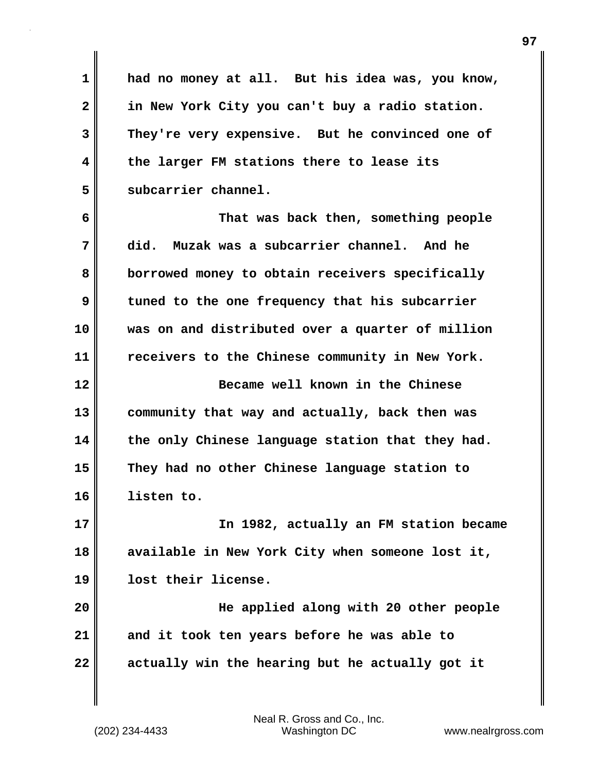**1 had no money at all. But his idea was, you know, 2 in New York City you can't buy a radio station. 3 They're very expensive. But he convinced one of 4 the larger FM stations there to lease its 5 subcarrier channel.**

**6 That was back then, something people 7 did. Muzak was a subcarrier channel. And he 8 borrowed money to obtain receivers specifically 9 tuned to the one frequency that his subcarrier 10 was on and distributed over a quarter of million 11 receivers to the Chinese community in New York. 12 Became well known in the Chinese 13 community that way and actually, back then was 14 the only Chinese language station that they had. 15 They had no other Chinese language station to 16 listen to. 17 In 1982, actually an FM station became**

**18 available in New York City when someone lost it, 19 lost their license.**

**20 He applied along with 20 other people 21 and it took ten years before he was able to 22 actually win the hearing but he actually got it**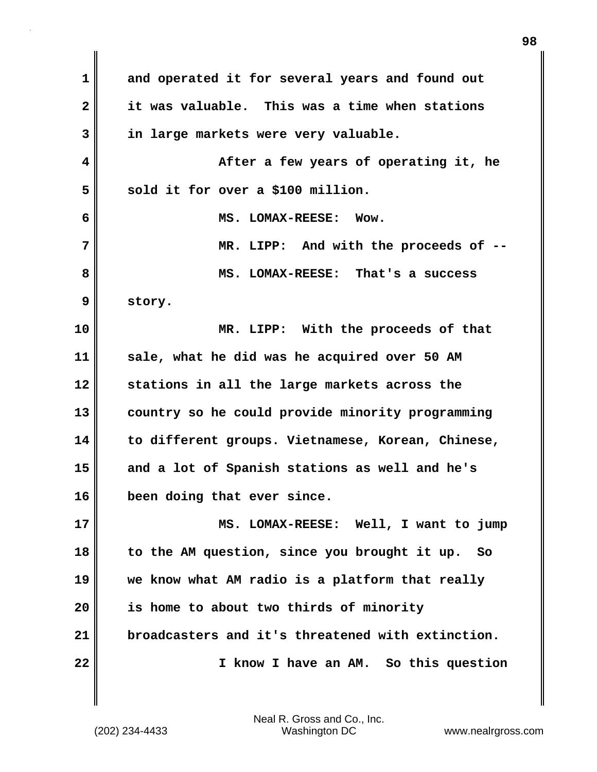**1 and operated it for several years and found out 2 it was valuable. This was a time when stations 3 in large markets were very valuable. 4 After a few years of operating it, he** 5 sold it for over a \$100 million. **6 MS. LOMAX-REESE: Wow. 7 MR. LIPP: And with the proceeds of -- 8 MS. LOMAX-REESE: That's a success 9 story. 10 MR. LIPP: With the proceeds of that 11 sale, what he did was he acquired over 50 AM 12 stations in all the large markets across the 13 country so he could provide minority programming 14 to different groups. Vietnamese, Korean, Chinese, 15 and a lot of Spanish stations as well and he's 16 been doing that ever since. 17 MS. LOMAX-REESE: Well, I want to jump 18 to the AM question, since you brought it up. So 19 we know what AM radio is a platform that really 20 is home to about two thirds of minority 21 broadcasters and it's threatened with extinction. 22 I know I have an AM. So this question**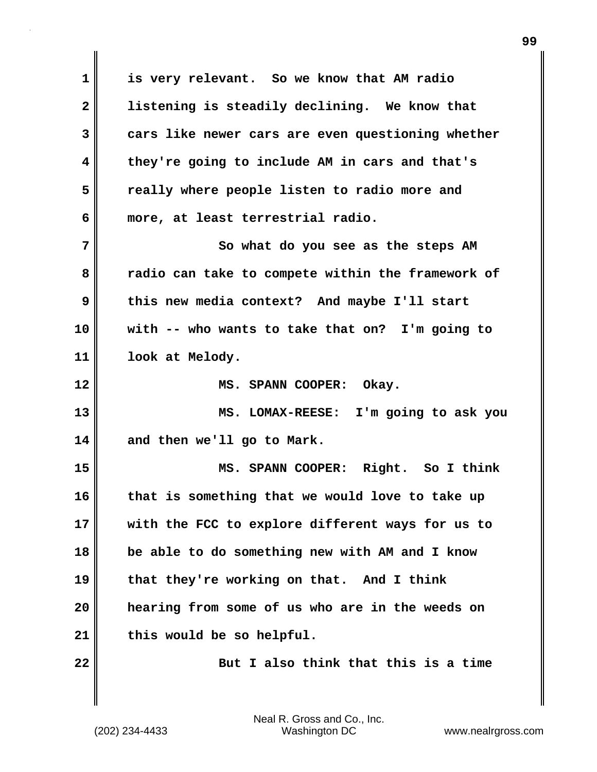**1 is very relevant. So we know that AM radio 2 listening is steadily declining. We know that 3 cars like newer cars are even questioning whether 4 they're going to include AM in cars and that's 5 really where people listen to radio more and 6 more, at least terrestrial radio. 7** So what do you see as the steps AM **8 radio can take to compete within the framework of 9 this new media context? And maybe I'll start 10 with -- who wants to take that on? I'm going to 11 look at Melody. 12 MS. SPANN COOPER: Okay. 13 MS. LOMAX-REESE: I'm going to ask you 14 and then we'll go to Mark. 15 MS. SPANN COOPER: Right. So I think 16 that is something that we would love to take up 17 with the FCC to explore different ways for us to 18 be able to do something new with AM and I know 19 that they're working on that. And I think 20 hearing from some of us who are in the weeds on 21 this would be so helpful. 22 But I also think that this is a time**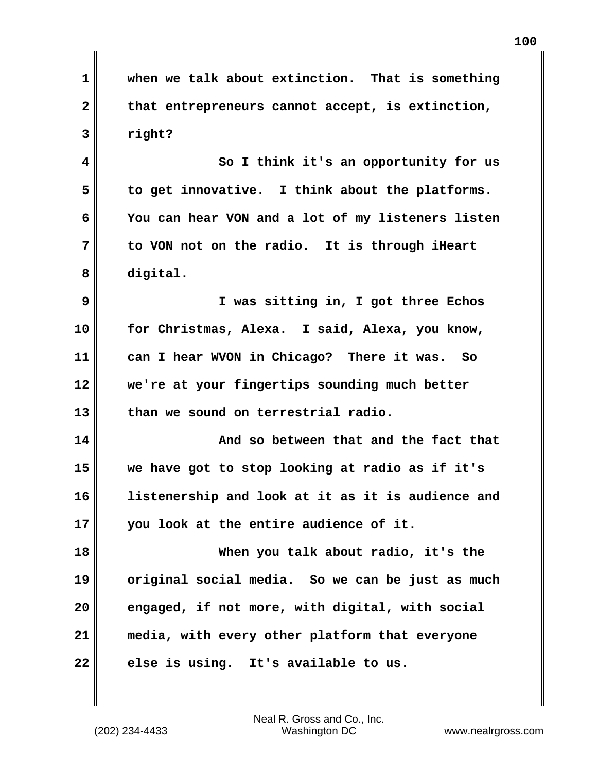**1 when we talk about extinction. That is something** 2 that entrepreneurs cannot accept, is extinction, **3 right? 4 So I think it's an opportunity for us 5 to get innovative. I think about the platforms.** 

**7 to VON not on the radio. It is through iHeart 8 digital.**

**6 You can hear VON and a lot of my listeners listen**

**9 I was sitting in, I got three Echos 10 for Christmas, Alexa. I said, Alexa, you know, 11 can I hear WVON in Chicago? There it was. So 12 we're at your fingertips sounding much better 13 than we sound on terrestrial radio.**

**14 And so between that and the fact that 15 we have got to stop looking at radio as if it's 16 listenership and look at it as it is audience and 17 you look at the entire audience of it.**

**18 When you talk about radio, it's the 19 original social media. So we can be just as much 20 engaged, if not more, with digital, with social 21 media, with every other platform that everyone 22 else is using. It's available to us.**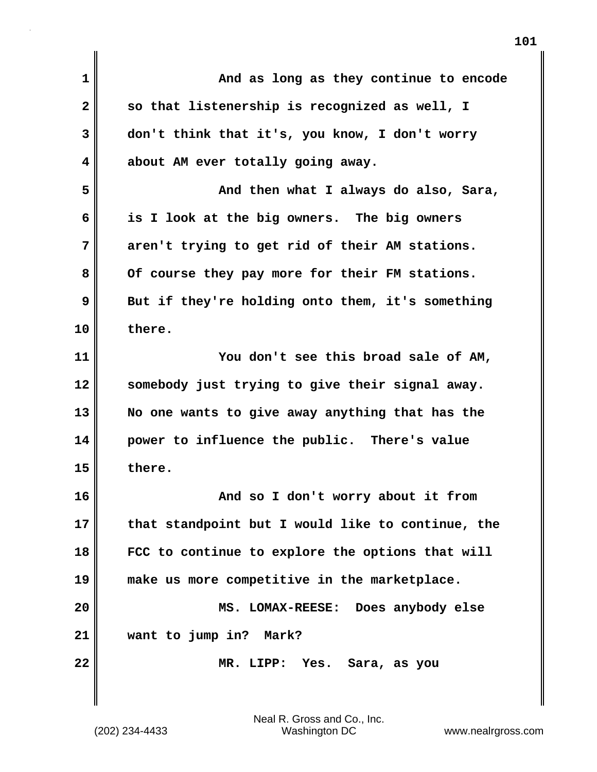| $\mathbf{1}$ | And as long as they continue to encode            |
|--------------|---------------------------------------------------|
| $\mathbf{2}$ | so that listenership is recognized as well, I     |
| 3            | don't think that it's, you know, I don't worry    |
| 4            | about AM ever totally going away.                 |
| 5            | And then what I always do also, Sara,             |
| 6            | is I look at the big owners. The big owners       |
| 7            | aren't trying to get rid of their AM stations.    |
| 8            | Of course they pay more for their FM stations.    |
| 9            | But if they're holding onto them, it's something  |
| 10           | there.                                            |
| 11           | You don't see this broad sale of AM,              |
| 12           | somebody just trying to give their signal away.   |
| 13           | No one wants to give away anything that has the   |
| 14           | power to influence the public. There's value      |
| 15           | there.                                            |
| 16           | And so I don't worry about it from                |
| 17           | that standpoint but I would like to continue, the |
| 18           | FCC to continue to explore the options that will  |
| 19           | make us more competitive in the marketplace.      |
| 20           | Does anybody else<br>MS. LOMAX-REESE:             |
| 21           | want to jump in?<br>Mark?                         |
| 22           | MR. LIPP: Yes.<br>Sara, as you                    |
|              |                                                   |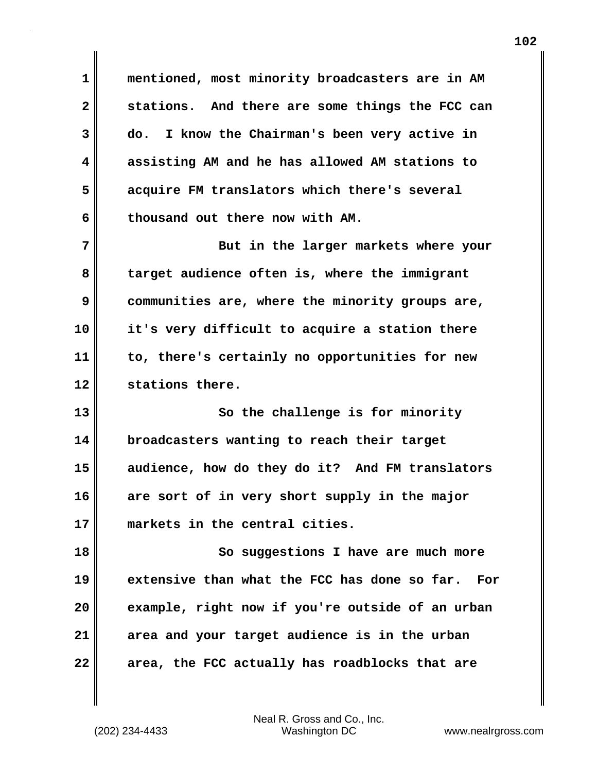**1 mentioned, most minority broadcasters are in AM 2 stations. And there are some things the FCC can 3 do. I know the Chairman's been very active in 4 assisting AM and he has allowed AM stations to 5 acquire FM translators which there's several 6 thousand out there now with AM.**

**7** But in the larger markets where your **8 target audience often is, where the immigrant 9 communities are, where the minority groups are, 10 it's very difficult to acquire a station there 11 to, there's certainly no opportunities for new 12 stations there.**

**13** So the challenge is for minority **14 broadcasters wanting to reach their target 15 audience, how do they do it? And FM translators 16 are sort of in very short supply in the major 17 markets in the central cities.**

18 So suggestions I have are much more **19 extensive than what the FCC has done so far. For 20 example, right now if you're outside of an urban 21 area and your target audience is in the urban 22 area, the FCC actually has roadblocks that are**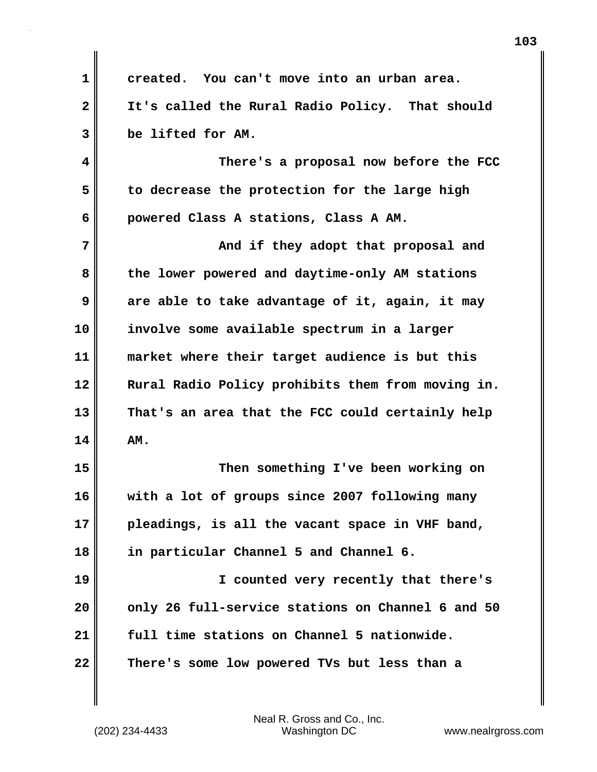**1 created. You can't move into an urban area. 2 It's called the Rural Radio Policy. That should 3 be lifted for AM. 4 There's a proposal now before the FCC 5 to decrease the protection for the large high 6 powered Class A stations, Class A AM. 7 And if they adopt that proposal and 8 the lower powered and daytime-only AM stations 9 are able to take advantage of it, again, it may 10 involve some available spectrum in a larger 11 market where their target audience is but this 12 Rural Radio Policy prohibits them from moving in. 13 That's an area that the FCC could certainly help**  $14$   $\blacksquare$   $\blacksquare$   $\blacksquare$ **15 Then something I've been working on 16 with a lot of groups since 2007 following many 17 pleadings, is all the vacant space in VHF band, 18 in particular Channel 5 and Channel 6. 19 I counted very recently that there's 20 only 26 full-service stations on Channel 6 and 50 21 full time stations on Channel 5 nationwide. 22 There's some low powered TVs but less than a**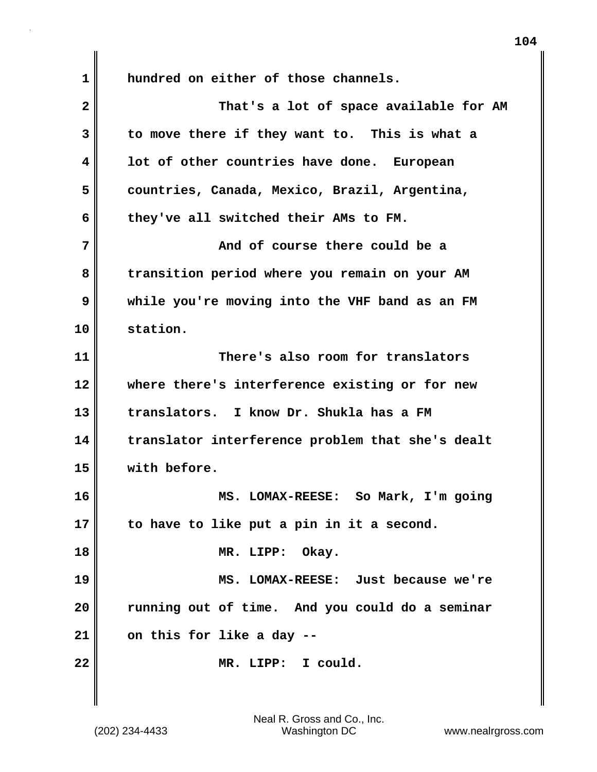**1 hundred on either of those channels. 2 That's a lot of space available for AM 3 to move there if they want to. This is what a 4 lot of other countries have done. European 5 countries, Canada, Mexico, Brazil, Argentina, 6 they've all switched their AMs to FM. 7 And of course there could be a 8 transition period where you remain on your AM 9 while you're moving into the VHF band as an FM 10 station. 11 There's also room for translators 12 where there's interference existing or for new 13 translators. I know Dr. Shukla has a FM 14 translator interference problem that she's dealt 15 with before. 16 MS. LOMAX-REESE: So Mark, I'm going 17 to have to like put a pin in it a second. 18 MR. LIPP: Okay. 19 MS. LOMAX-REESE: Just because we're 20 running out of time. And you could do a seminar 21 on this for like a day -- 22 MR. LIPP: I could.**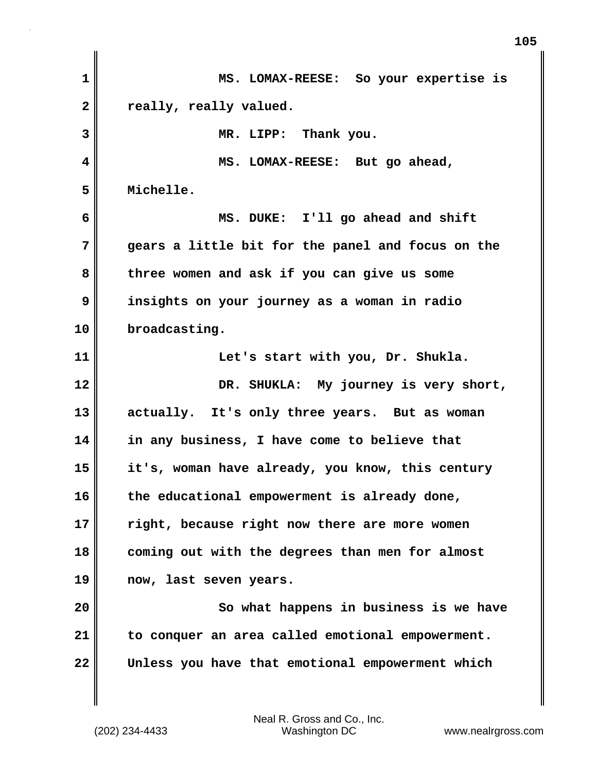| $\mathbf{1}$ | MS. LOMAX-REESE: So your expertise is             |
|--------------|---------------------------------------------------|
| $\mathbf{2}$ | really, really valued.                            |
| 3            | MR. LIPP: Thank you.                              |
| 4            | MS. LOMAX-REESE: But go ahead,                    |
| 5            | Michelle.                                         |
| 6            | MS. DUKE: I'll go ahead and shift                 |
| 7            | gears a little bit for the panel and focus on the |
| 8            | three women and ask if you can give us some       |
| 9            | insights on your journey as a woman in radio      |
| 10           | broadcasting.                                     |
| 11           | Let's start with you, Dr. Shukla.                 |
| 12           | DR. SHUKLA: My journey is very short,             |
| 13           | actually. It's only three years. But as woman     |
| 14           | in any business, I have come to believe that      |
| 15           | it's, woman have already, you know, this century  |
| 16           | the educational empowerment is already done,      |
| 17           | right, because right now there are more women     |
| 18           | coming out with the degrees than men for almost   |
| 19           | now, last seven years.                            |
| 20           | So what happens in business is we have            |
| 21           | to conquer an area called emotional empowerment.  |
| 22           | Unless you have that emotional empowerment which  |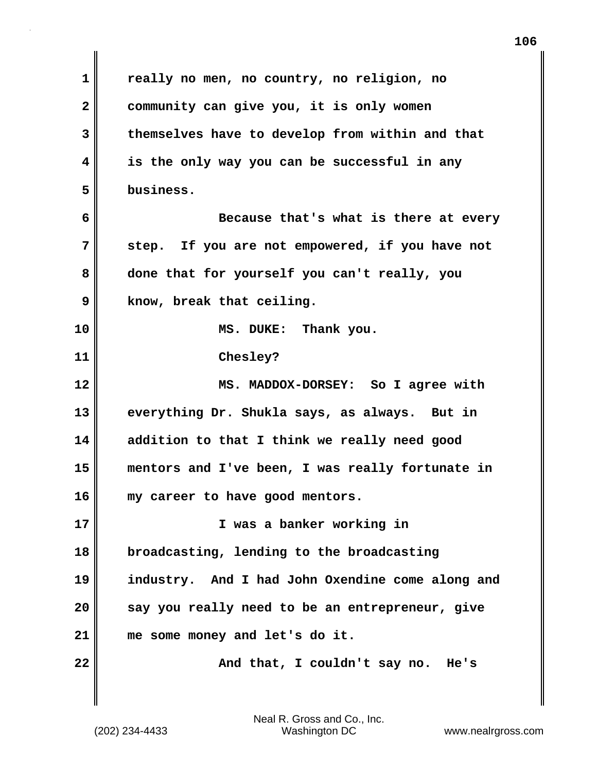**1 really no men, no country, no religion, no 2 community can give you, it is only women 3 themselves have to develop from within and that 4 is the only way you can be successful in any 5 business. 6 Because that's what is there at every 7 step. If you are not empowered, if you have not 8 done that for yourself you can't really, you 9 know, break that ceiling. 10 MS. DUKE: Thank you. 11 Chesley? 12 MS. MADDOX-DORSEY: So I agree with 13 everything Dr. Shukla says, as always. But in 14 addition to that I think we really need good 15 mentors and I've been, I was really fortunate in 16 my career to have good mentors. 17 I was a banker working in 18 broadcasting, lending to the broadcasting 19 industry. And I had John Oxendine come along and 20 say you really need to be an entrepreneur, give 21 me some money and let's do it. 22 And that, I couldn't say no. He's**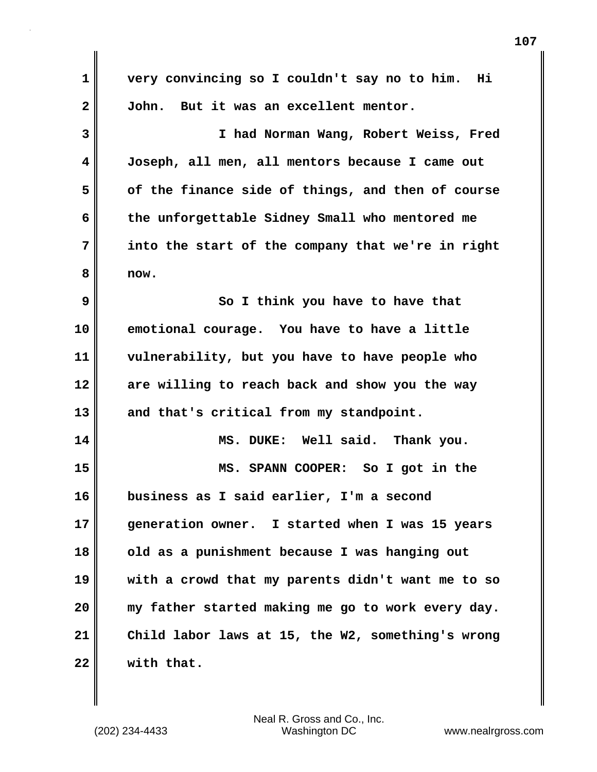**1 very convincing so I couldn't say no to him. Hi 2 John. But it was an excellent mentor. 3 I had Norman Wang, Robert Weiss, Fred 4 Joseph, all men, all mentors because I came out 5 of the finance side of things, and then of course 6 the unforgettable Sidney Small who mentored me 7 into the start of the company that we're in right 8 now. 9** So I think you have to have that **10 emotional courage. You have to have a little 11 vulnerability, but you have to have people who 12 are willing to reach back and show you the way 13 and that's critical from my standpoint. 14 MS. DUKE: Well said. Thank you. 15 MS. SPANN COOPER: So I got in the 16 business as I said earlier, I'm a second 17 generation owner. I started when I was 15 years 18 old as a punishment because I was hanging out 19 with a crowd that my parents didn't want me to so 20 my father started making me go to work every day. 21 Child labor laws at 15, the W2, something's wrong 22 with that.**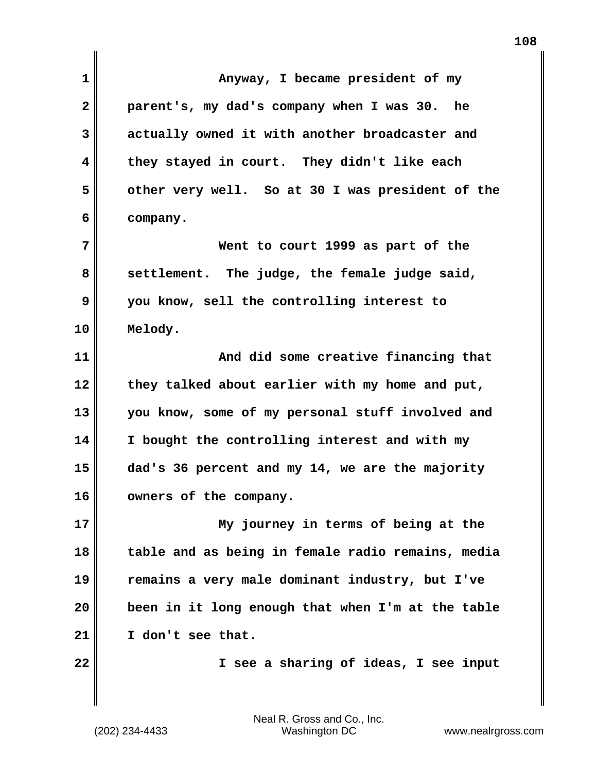| $\mathbf 1$  | Anyway, I became president of my                  |
|--------------|---------------------------------------------------|
| $\mathbf{2}$ | parent's, my dad's company when I was 30. he      |
| 3            | actually owned it with another broadcaster and    |
| 4            | they stayed in court. They didn't like each       |
| 5            | other very well. So at 30 I was president of the  |
| 6            | company.                                          |
| 7            | Went to court 1999 as part of the                 |
| 8            | settlement. The judge, the female judge said,     |
| 9            | you know, sell the controlling interest to        |
| 10           | Melody.                                           |
| 11           | And did some creative financing that              |
| 12           | they talked about earlier with my home and put,   |
| 13           | you know, some of my personal stuff involved and  |
| 14           | I bought the controlling interest and with my     |
| 15           | dad's 36 percent and my 14, we are the majority   |
| 16           | owners of the company.                            |
| 17           | My journey in terms of being at the               |
| 18           | table and as being in female radio remains, media |
| 19           | remains a very male dominant industry, but I've   |
| 20           | been in it long enough that when I'm at the table |
| 21           | I don't see that.                                 |
| 22           | I see a sharing of ideas, I see input             |
|              |                                                   |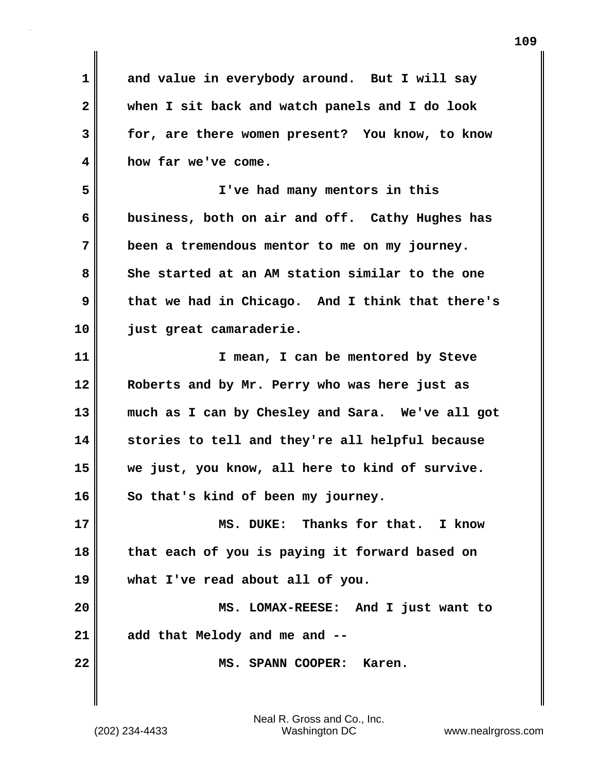**1 and value in everybody around. But I will say 2 when I sit back and watch panels and I do look 3 for, are there women present? You know, to know 4 how far we've come. 5 I've had many mentors in this 6 business, both on air and off. Cathy Hughes has 7 been a tremendous mentor to me on my journey. 8 She started at an AM station similar to the one 9 that we had in Chicago. And I think that there's 10 just great camaraderie. 11 I mean, I can be mentored by Steve 12 Roberts and by Mr. Perry who was here just as 13 much as I can by Chesley and Sara. We've all got 14 stories to tell and they're all helpful because 15 we just, you know, all here to kind of survive. 16 So that's kind of been my journey. 17 MS. DUKE: Thanks for that. I know 18 that each of you is paying it forward based on 19 what I've read about all of you. 20 MS. LOMAX-REESE: And I just want to 21 add that Melody and me and -- 22 MS. SPANN COOPER: Karen.**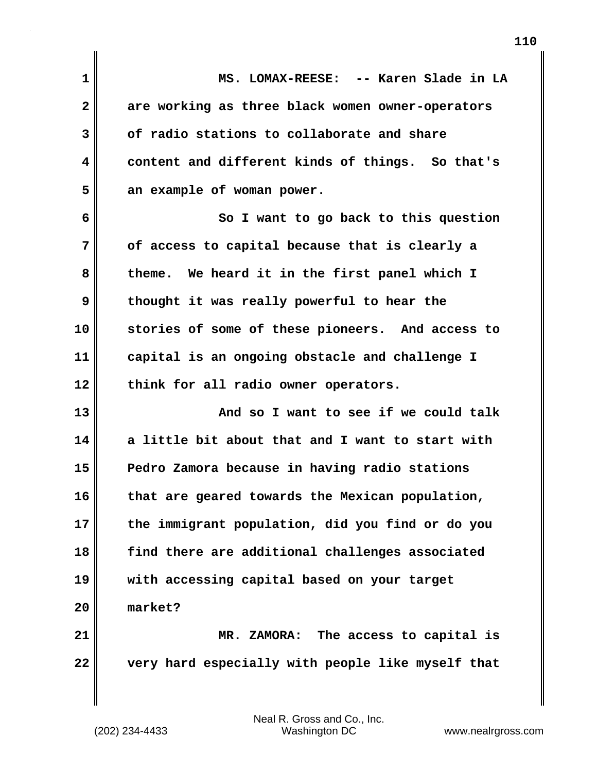| $\mathbf 1$  | MS. LOMAX-REESE: -- Karen Slade in LA             |
|--------------|---------------------------------------------------|
| $\mathbf{2}$ | are working as three black women owner-operators  |
| 3            | of radio stations to collaborate and share        |
| 4            | content and different kinds of things. So that's  |
| 5            | an example of woman power.                        |
| 6            | So I want to go back to this question             |
| 7            | of access to capital because that is clearly a    |
| 8            | theme. We heard it in the first panel which I     |
| 9            | thought it was really powerful to hear the        |
| 10           | stories of some of these pioneers. And access to  |
| 11           | capital is an ongoing obstacle and challenge I    |
| 12           | think for all radio owner operators.              |
| 13           | And so I want to see if we could talk             |
| 14           | a little bit about that and I want to start with  |
| 15           | Pedro Zamora because in having radio stations     |
| 16           | that are geared towards the Mexican population,   |
| 17           | the immigrant population, did you find or do you  |
| 18           | find there are additional challenges associated   |
| 19           | with accessing capital based on your target       |
| 20           | market?                                           |
| 21           | MR. ZAMORA: The access to capital is              |
| 22           | very hard especially with people like myself that |

 $\mathbf{I}$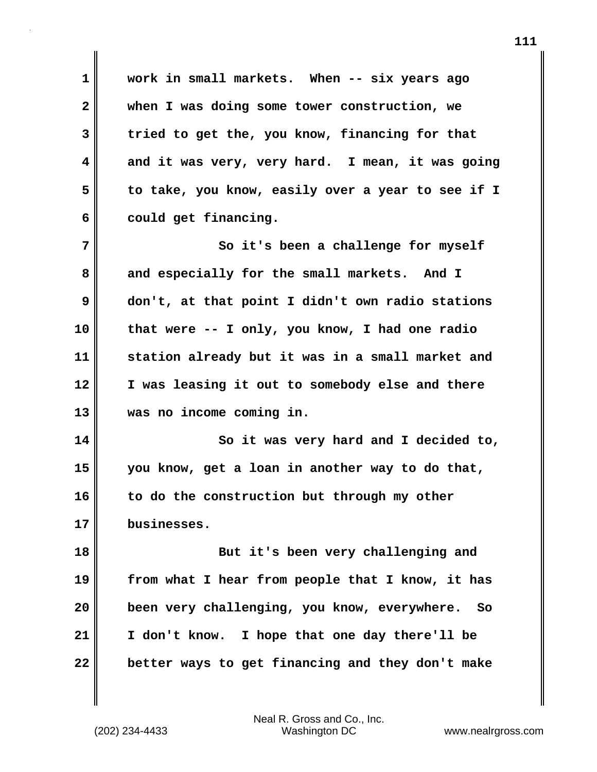**1 work in small markets. When -- six years ago 2 when I was doing some tower construction, we 3 tried to get the, you know, financing for that 4 and it was very, very hard. I mean, it was going 5 to take, you know, easily over a year to see if I** 6 could get financing. **7** So it's been a challenge for myself

**8 and especially for the small markets. And I 9 don't, at that point I didn't own radio stations 10 that were -- I only, you know, I had one radio 11 station already but it was in a small market and 12 I was leasing it out to somebody else and there 13 was no income coming in.**

**14 So it was very hard and I decided to, 15 you know, get a loan in another way to do that, 16 to do the construction but through my other 17 businesses.**

**18** But it's been very challenging and **19 from what I hear from people that I know, it has 20 been very challenging, you know, everywhere. So 21 I don't know. I hope that one day there'll be 22 better ways to get financing and they don't make**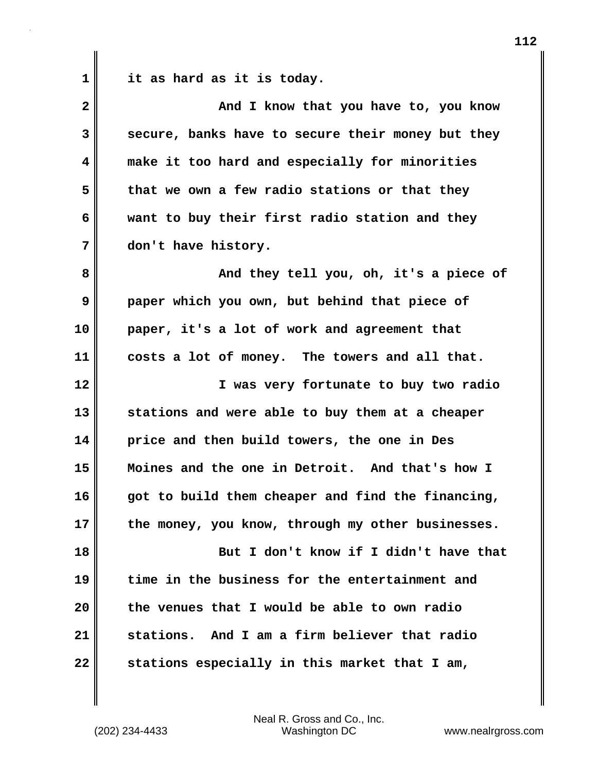**1 it as hard as it is today.**

| $\overline{\mathbf{2}}$ | And I know that you have to, you know             |
|-------------------------|---------------------------------------------------|
| 3                       | secure, banks have to secure their money but they |
| 4                       | make it too hard and especially for minorities    |
| 5                       | that we own a few radio stations or that they     |
| 6                       | want to buy their first radio station and they    |
| 7                       | don't have history.                               |
| 8                       | And they tell you, oh, it's a piece of            |
| 9                       | paper which you own, but behind that piece of     |
| 10                      | paper, it's a lot of work and agreement that      |
| 11                      | costs a lot of money. The towers and all that.    |
| 12                      | I was very fortunate to buy two radio             |
| 13                      | stations and were able to buy them at a cheaper   |
| 14                      | price and then build towers, the one in Des       |
| 15                      | Moines and the one in Detroit. And that's how I   |
| 16                      | got to build them cheaper and find the financing, |
| 17                      | the money, you know, through my other businesses. |
| 18                      | But I don't know if I didn't have that            |
| 19                      | time in the business for the entertainment and    |
| 20                      | the venues that I would be able to own radio      |
| 21                      | stations. And I am a firm believer that radio     |
| 22                      | stations especially in this market that I am,     |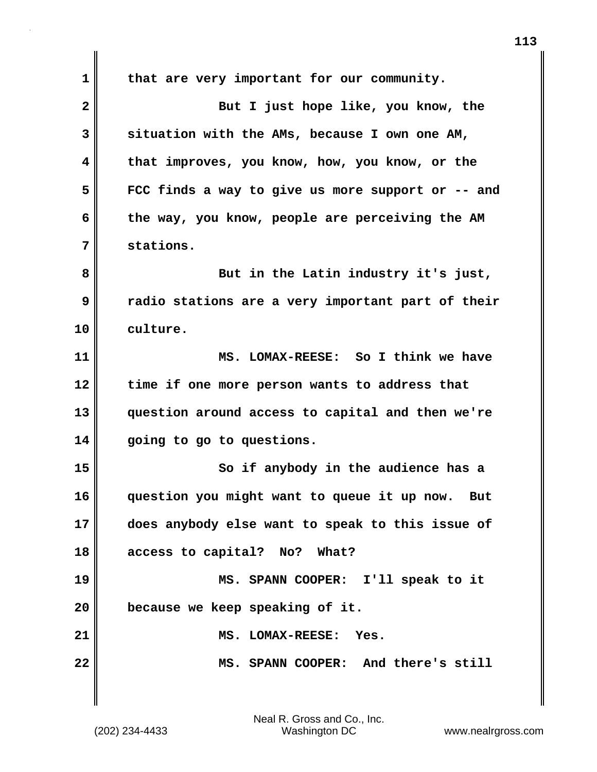**1 that are very important for our community. 2** But I just hope like, you know, the **3 situation with the AMs, because I own one AM, 4 that improves, you know, how, you know, or the 5 FCC finds a way to give us more support or -- and 6 the way, you know, people are perceiving the AM 7 stations. 8 But in the Latin industry it's just, 9 radio stations are a very important part of their 10 culture. 11 MS. LOMAX-REESE: So I think we have 12 time if one more person wants to address that 13 question around access to capital and then we're 14 going to go to questions. 15** So if anybody in the audience has a **16 question you might want to queue it up now. But 17 does anybody else want to speak to this issue of 18 access to capital? No? What? 19 MS. SPANN COOPER: I'll speak to it 20 because we keep speaking of it. 21 MS. LOMAX-REESE: Yes. 22 MS. SPANN COOPER: And there's still**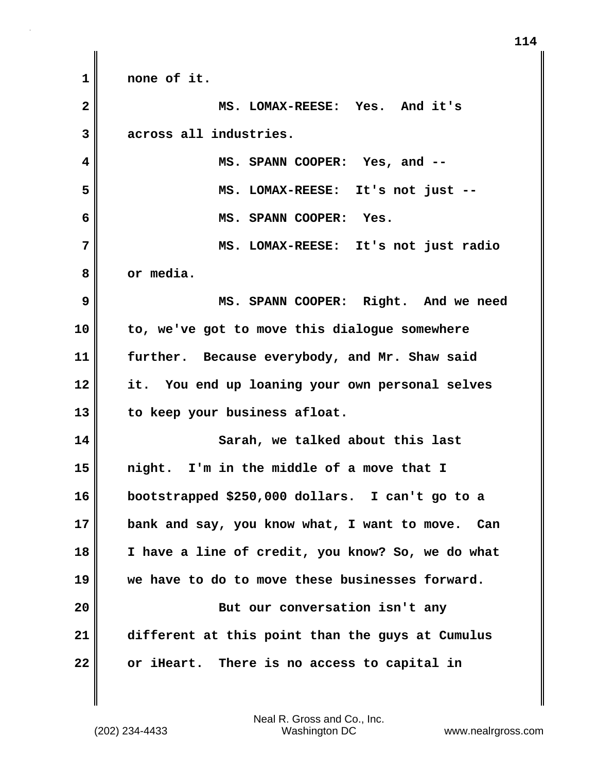**1 none of it. 2 MS. LOMAX-REESE: Yes. And it's 3 across all industries. 4 MS. SPANN COOPER: Yes, and -- 5 MS. LOMAX-REESE: It's not just -- 6 MS. SPANN COOPER: Yes. 7 MS. LOMAX-REESE: It's not just radio 8 or media. 9 MS. SPANN COOPER: Right. And we need 10 to, we've got to move this dialogue somewhere 11 further. Because everybody, and Mr. Shaw said 12 it. You end up loaning your own personal selves 13 to keep your business afloat. 14 Sarah, we talked about this last 15 night. I'm in the middle of a move that I 16 bootstrapped \$250,000 dollars. I can't go to a 17 bank and say, you know what, I want to move. Can 18 I have a line of credit, you know? So, we do what 19 we have to do to move these businesses forward. 20 But our conversation isn't any 21 different at this point than the guys at Cumulus 22 or iHeart. There is no access to capital in**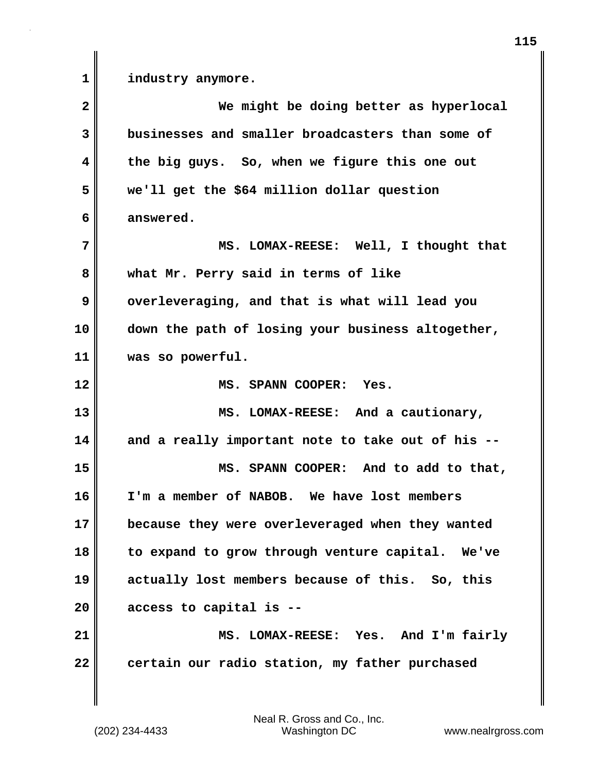**1 industry anymore.**

**2 We might be doing better as hyperlocal 3 businesses and smaller broadcasters than some of 4 the big guys. So, when we figure this one out 5 we'll get the \$64 million dollar question 6 answered. 7 MS. LOMAX-REESE: Well, I thought that 8 what Mr. Perry said in terms of like 9 overleveraging, and that is what will lead you 10 down the path of losing your business altogether, 11 was so powerful. 12 MS. SPANN COOPER: Yes. 13 MS. LOMAX-REESE: And a cautionary, 14 and a really important note to take out of his -- 15 MS. SPANN COOPER: And to add to that, 16 I'm a member of NABOB. We have lost members 17 because they were overleveraged when they wanted 18 to expand to grow through venture capital. We've 19 actually lost members because of this. So, this 20 access to capital is -- 21 MS. LOMAX-REESE: Yes. And I'm fairly 22 certain our radio station, my father purchased**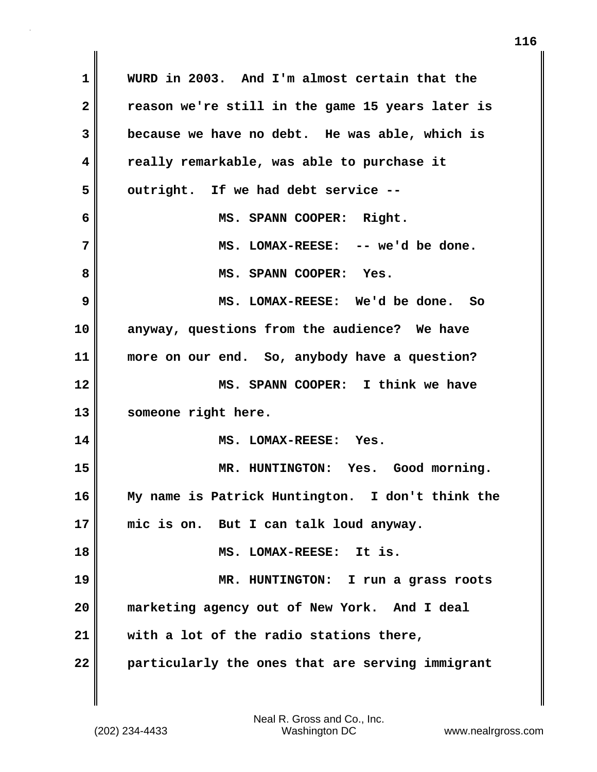| 1            | WURD in 2003. And I'm almost certain that the    |
|--------------|--------------------------------------------------|
| $\mathbf{2}$ | reason we're still in the game 15 years later is |
| 3            | because we have no debt. He was able, which is   |
| 4            | really remarkable, was able to purchase it       |
| 5            | outright. If we had debt service --              |
| 6            | MS. SPANN COOPER: Right.                         |
| 7            | MS. LOMAX-REESE: -- we'd be done.                |
| 8            | MS. SPANN COOPER: Yes.                           |
| 9            | MS. LOMAX-REESE: We'd be done. So                |
| 10           | anyway, questions from the audience? We have     |
| 11           | more on our end. So, anybody have a question?    |
| 12           | MS. SPANN COOPER: I think we have                |
| 13           | someone right here.                              |
| 14           | MS. LOMAX-REESE: Yes.                            |
| 15           | MR. HUNTINGTON: Yes. Good morning.               |
| 16           | My name is Patrick Huntington. I don't think the |
| 17           | mic is on. But I can talk loud anyway.           |
| 18           | MS. LOMAX-REESE: It is.                          |
| 19           | MR. HUNTINGTON: I run a grass roots              |
| 20           | marketing agency out of New York. And I deal     |
| 21           | with a lot of the radio stations there,          |
| 22           | particularly the ones that are serving immigrant |

 $\mathbf{I}$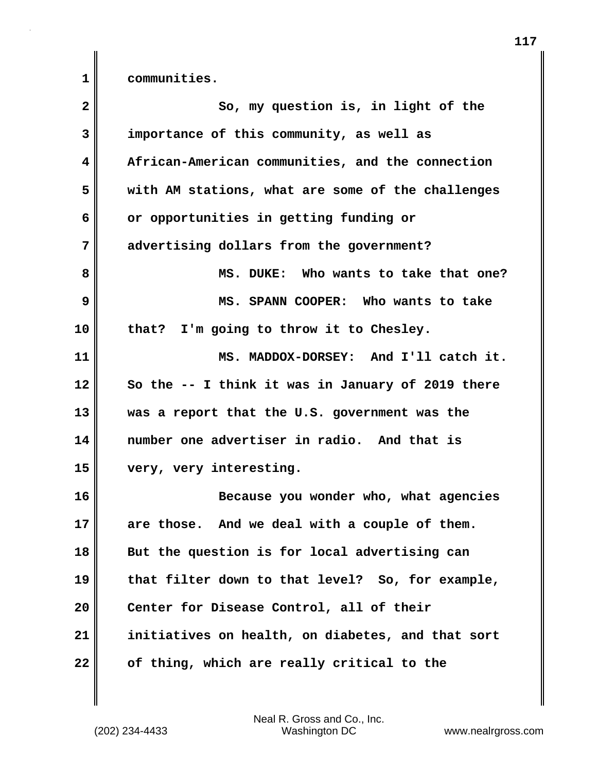**1 communities.**

| $\mathbf{2}$ | So, my question is, in light of the               |
|--------------|---------------------------------------------------|
| 3            | importance of this community, as well as          |
| 4            | African-American communities, and the connection  |
| 5            | with AM stations, what are some of the challenges |
| 6            | or opportunities in getting funding or            |
| 7            | advertising dollars from the government?          |
| 8            | MS. DUKE: Who wants to take that one?             |
| 9            | MS. SPANN COOPER: Who wants to take               |
| 10           | that? I'm going to throw it to Chesley.           |
| 11           | MS. MADDOX-DORSEY: And I'll catch it.             |
| 12           | So the -- I think it was in January of 2019 there |
| 13           | was a report that the U.S. government was the     |
| 14           | number one advertiser in radio. And that is       |
| 15           | very, very interesting.                           |
| 16           | Because you wonder who, what agencies             |
| 17           | are those. And we deal with a couple of them.     |
| 18           | But the question is for local advertising can     |
| 19           | that filter down to that level? So, for example,  |
| 20           | Center for Disease Control, all of their          |
| 21           | initiatives on health, on diabetes, and that sort |
| 22           | of thing, which are really critical to the        |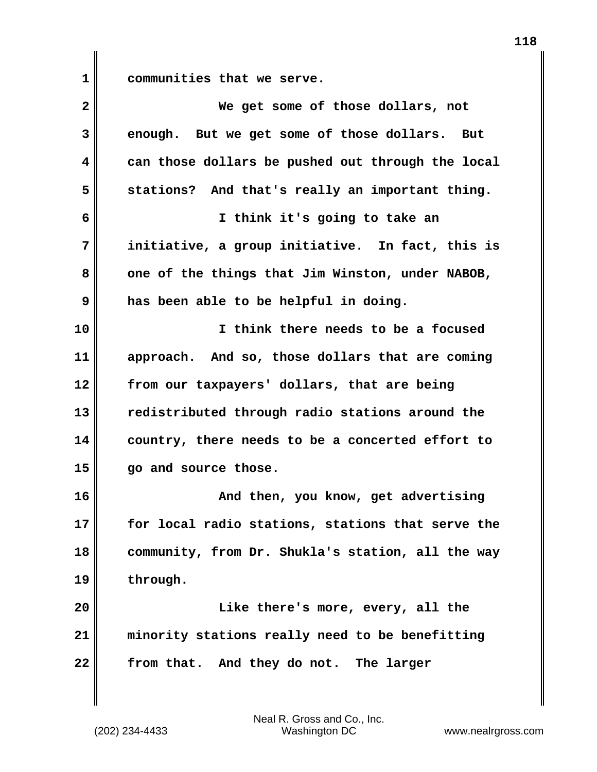**1 communities that we serve.**

| $\mathbf{2}$            | We get some of those dollars, not                 |
|-------------------------|---------------------------------------------------|
| 3                       | enough. But we get some of those dollars. But     |
| $\overline{\mathbf{4}}$ | can those dollars be pushed out through the local |
| 5                       | stations? And that's really an important thing.   |
| 6                       | I think it's going to take an                     |
| 7                       | initiative, a group initiative. In fact, this is  |
| 8                       | one of the things that Jim Winston, under NABOB,  |
| 9                       | has been able to be helpful in doing.             |
| 10                      | I think there needs to be a focused               |
| 11                      | approach. And so, those dollars that are coming   |
| 12                      | from our taxpayers' dollars, that are being       |
| 13                      | redistributed through radio stations around the   |
| 14                      | country, there needs to be a concerted effort to  |
| 15                      | go and source those.                              |
| 16                      | And then, you know, get advertising               |
| 17                      | for local radio stations, stations that serve the |
| 18                      | community, from Dr. Shukla's station, all the way |
| 19                      | through.                                          |
| 20                      | Like there's more, every, all the                 |
| 21                      | minority stations really need to be benefitting   |
| 22                      | from that. And they do not. The larger            |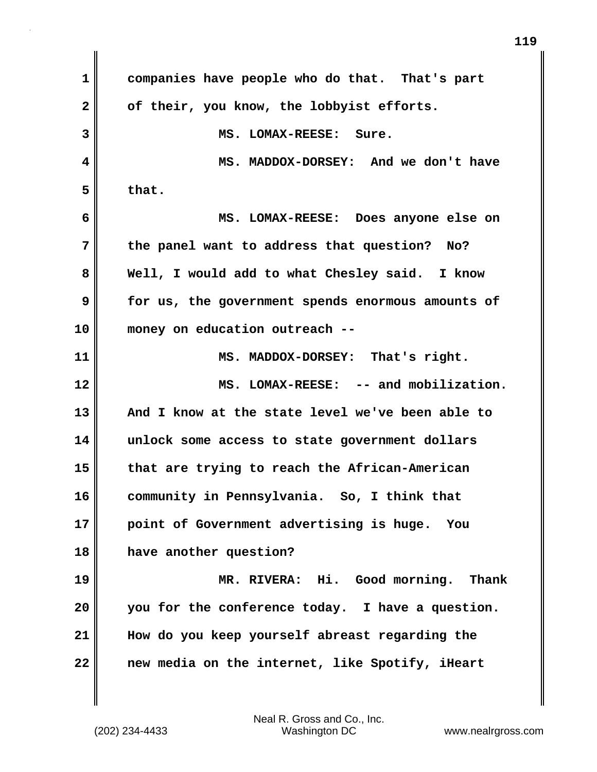| 1            | companies have people who do that. That's part    |
|--------------|---------------------------------------------------|
| $\mathbf{2}$ | of their, you know, the lobbyist efforts.         |
| 3            | MS. LOMAX-REESE: Sure.                            |
| 4            | MS. MADDOX-DORSEY: And we don't have              |
| 5            | that.                                             |
| 6            | MS. LOMAX-REESE: Does anyone else on              |
| 7            | the panel want to address that question?<br>No?   |
| 8            | Well, I would add to what Chesley said. I know    |
| 9            | for us, the government spends enormous amounts of |
| 10           | money on education outreach --                    |
| 11           | MS. MADDOX-DORSEY: That's right.                  |
| 12           | MS. LOMAX-REESE: -- and mobilization.             |
| 13           | And I know at the state level we've been able to  |
| 14           | unlock some access to state government dollars    |
| 15           | that are trying to reach the African-American     |
| 16           | community in Pennsylvania. So, I think that       |
| 17           | point of Government advertising is huge.<br>You   |
| 18           | have another question?                            |
| 19           | MR. RIVERA: Hi. Good morning. Thank               |
| 20           | you for the conference today. I have a question.  |
| 21           | How do you keep yourself abreast regarding the    |
| 22           | new media on the internet, like Spotify, iHeart   |

 $\mathbf{I}$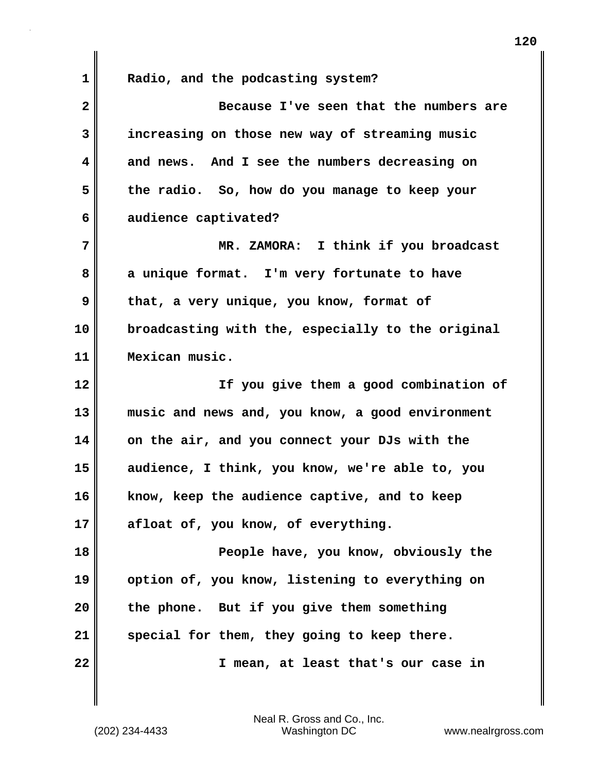**1 Radio, and the podcasting system?**

| $\overline{\mathbf{2}}$ | Because I've seen that the numbers are            |
|-------------------------|---------------------------------------------------|
| 3                       | increasing on those new way of streaming music    |
| 4                       | and news. And I see the numbers decreasing on     |
| 5                       | the radio. So, how do you manage to keep your     |
| 6                       | audience captivated?                              |
| 7                       | MR. ZAMORA: I think if you broadcast              |
| 8                       | a unique format. I'm very fortunate to have       |
| 9                       | that, a very unique, you know, format of          |
| 10                      | broadcasting with the, especially to the original |
| 11                      | Mexican music.                                    |
| 12                      | If you give them a good combination of            |
| 13                      | music and news and, you know, a good environment  |
| 14                      | on the air, and you connect your DJs with the     |
| 15                      | audience, I think, you know, we're able to, you   |
| 16                      | know, keep the audience captive, and to keep      |
| 17                      | afloat of, you know, of everything.               |
| 18                      | People have, you know, obviously the              |
| 19                      | option of, you know, listening to everything on   |
| 20                      | the phone. But if you give them something         |
| 21                      | special for them, they going to keep there.       |
| 22                      | I mean, at least that's our case in               |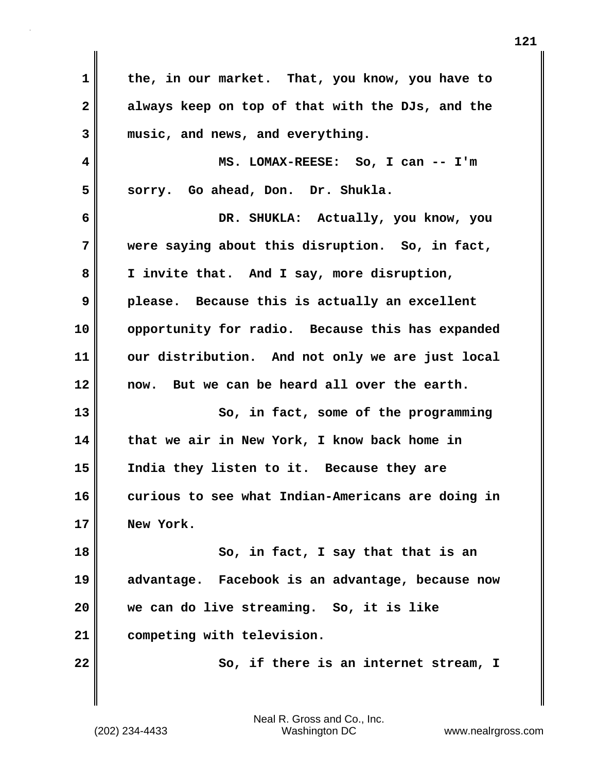**1 the, in our market. That, you know, you have to 2 always keep on top of that with the DJs, and the 3 music, and news, and everything. 4 MS. LOMAX-REESE: So, I can -- I'm 5 sorry. Go ahead, Don. Dr. Shukla. 6 DR. SHUKLA: Actually, you know, you 7 were saying about this disruption. So, in fact, 8 I invite that. And I say, more disruption, 9 please. Because this is actually an excellent 10 opportunity for radio. Because this has expanded 11 our distribution. And not only we are just local 12 now. But we can be heard all over the earth. 13** So, in fact, some of the programming **14 that we air in New York, I know back home in 15 India they listen to it. Because they are 16 curious to see what Indian-Americans are doing in 17 New York. 18 So, in fact, I say that that is an 19 advantage. Facebook is an advantage, because now 20 we can do live streaming. So, it is like 21 competing with television. 22** So, if there is an internet stream, I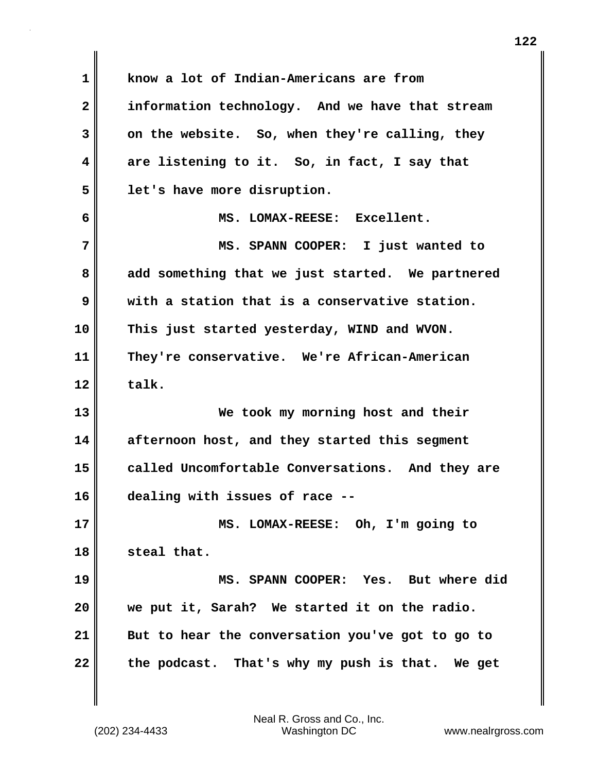**1 know a lot of Indian-Americans are from 2 information technology. And we have that stream 3 on the website. So, when they're calling, they 4 are listening to it. So, in fact, I say that 5 let's have more disruption. 6 MS. LOMAX-REESE: Excellent. 7 MS. SPANN COOPER: I just wanted to 8 add something that we just started. We partnered 9 with a station that is a conservative station. 10 This just started yesterday, WIND and WVON. 11 They're conservative. We're African-American**  $12$  **talk. 13 We took my morning host and their 14 afternoon host, and they started this segment 15 called Uncomfortable Conversations. And they are 16 dealing with issues of race -- 17 MS. LOMAX-REESE: Oh, I'm going to 18 steal that. 19 MS. SPANN COOPER: Yes. But where did 20 we put it, Sarah? We started it on the radio. 21 But to hear the conversation you've got to go to 22 the podcast. That's why my push is that. We get**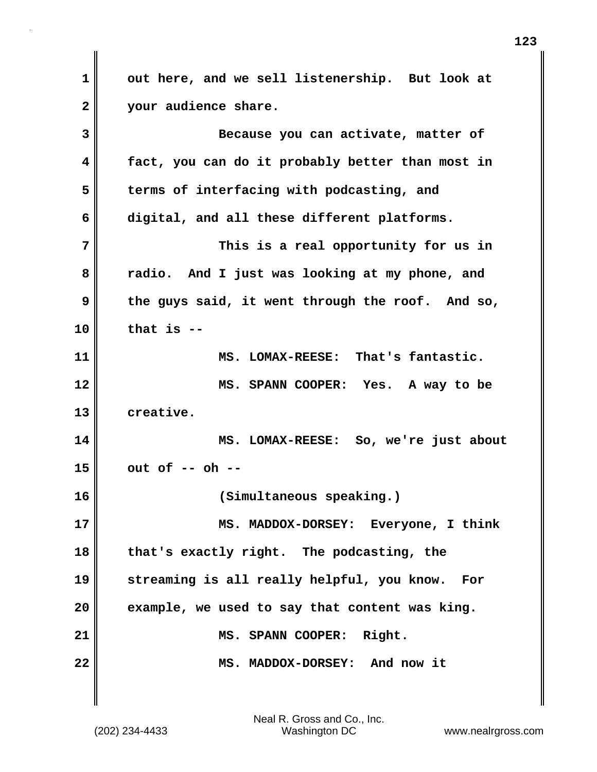**1 out here, and we sell listenership. But look at 2 your audience share. 3 Because you can activate, matter of 4 fact, you can do it probably better than most in 5 terms of interfacing with podcasting, and 6 digital, and all these different platforms. 7 This is a real opportunity for us in 8 radio. And I just was looking at my phone, and 9 the guys said, it went through the roof. And so, 10 that is -- 11 MS. LOMAX-REESE: That's fantastic. 12 MS. SPANN COOPER: Yes. A way to be 13 creative. 14 MS. LOMAX-REESE: So, we're just about 15 out of -- oh -- 16 (Simultaneous speaking.) 17 MS. MADDOX-DORSEY: Everyone, I think 18 that's exactly right. The podcasting, the 19 streaming is all really helpful, you know. For 20 example, we used to say that content was king. 21 MS. SPANN COOPER: Right. 22 MS. MADDOX-DORSEY: And now it**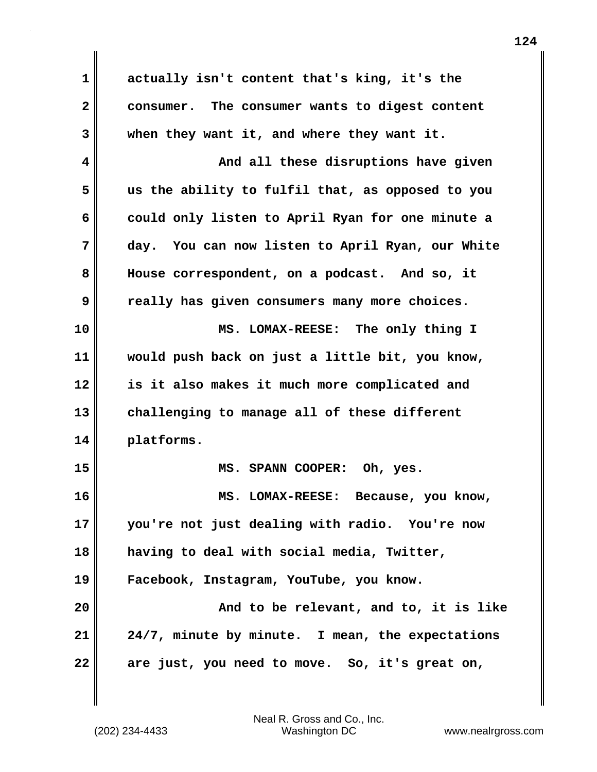**1 actually isn't content that's king, it's the 2 consumer. The consumer wants to digest content 3 when they want it, and where they want it. 4 And all these disruptions have given 5 us the ability to fulfil that, as opposed to you 6 could only listen to April Ryan for one minute a 7 day. You can now listen to April Ryan, our White 8 House correspondent, on a podcast. And so, it 9 really has given consumers many more choices. 10 MS. LOMAX-REESE: The only thing I 11 would push back on just a little bit, you know, 12 is it also makes it much more complicated and 13 challenging to manage all of these different 14 platforms. 15 MS. SPANN COOPER: Oh, yes. 16 MS. LOMAX-REESE: Because, you know, 17 you're not just dealing with radio. You're now 18 having to deal with social media, Twitter, 19 Facebook, Instagram, YouTube, you know. 20 And to be relevant, and to, it is like 21 24/7, minute by minute. I mean, the expectations 22 are just, you need to move. So, it's great on,**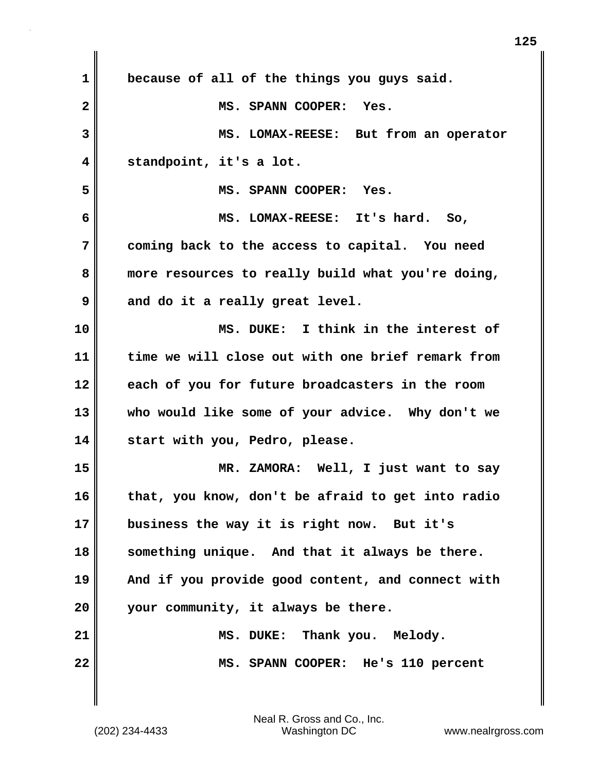| $\mathbf 1$             | because of all of the things you guys said.       |
|-------------------------|---------------------------------------------------|
| $\overline{\mathbf{2}}$ | MS. SPANN COOPER: Yes.                            |
| 3                       | MS. LOMAX-REESE: But from an operator             |
| 4                       | standpoint, it's a lot.                           |
| 5                       | MS. SPANN COOPER: Yes.                            |
| 6                       | MS. LOMAX-REESE: It's hard. So,                   |
| 7                       | coming back to the access to capital. You need    |
| 8                       | more resources to really build what you're doing, |
| 9                       | and do it a really great level.                   |
| 10                      | MS. DUKE: I think in the interest of              |
| 11                      | time we will close out with one brief remark from |
| 12                      | each of you for future broadcasters in the room   |
| 13                      | who would like some of your advice. Why don't we  |
| 14                      | start with you, Pedro, please.                    |
| 15                      | MR. ZAMORA: Well, I just want to say              |
| 16                      | that, you know, don't be afraid to get into radio |
| 17                      | business the way it is right now. But it's        |
| 18                      | something unique. And that it always be there.    |
| 19                      | And if you provide good content, and connect with |
| 20                      | your community, it always be there.               |
| 21                      | MS. DUKE: Thank you. Melody.                      |
| 22                      | MS. SPANN COOPER: He's 110 percent                |
|                         |                                                   |

 $\mathsf I$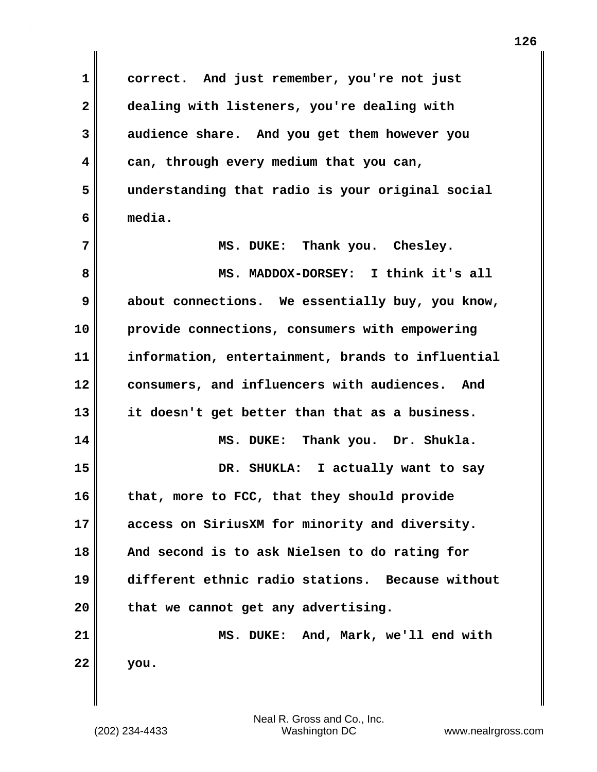**1 correct. And just remember, you're not just 2 dealing with listeners, you're dealing with 3 audience share. And you get them however you 4 can, through every medium that you can, 5 understanding that radio is your original social 6 media. 7 MS. DUKE: Thank you. Chesley. 8 MS. MADDOX-DORSEY: I think it's all 9 about connections. We essentially buy, you know, 10 provide connections, consumers with empowering 11 information, entertainment, brands to influential 12 consumers, and influencers with audiences. And 13 it doesn't get better than that as a business. 14 MS. DUKE: Thank you. Dr. Shukla. 15 DR. SHUKLA: I actually want to say 16 that, more to FCC, that they should provide 17 access on SiriusXM for minority and diversity. 18 And second is to ask Nielsen to do rating for 19 different ethnic radio stations. Because without 20 that we cannot get any advertising. 21 MS. DUKE: And, Mark, we'll end with 22 you.**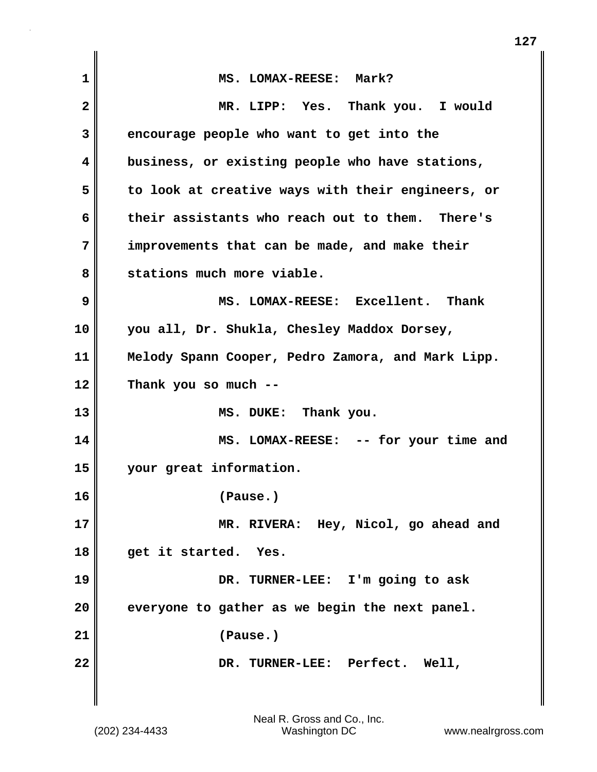| 1  | MS. LOMAX-REESE: Mark?                            |
|----|---------------------------------------------------|
| 2  | MR. LIPP: Yes. Thank you. I would                 |
| 3  | encourage people who want to get into the         |
| 4  | business, or existing people who have stations,   |
| 5  | to look at creative ways with their engineers, or |
| 6  | their assistants who reach out to them. There's   |
| 7  | improvements that can be made, and make their     |
| 8  | stations much more viable.                        |
| 9  | MS. LOMAX-REESE: Excellent. Thank                 |
| 10 | you all, Dr. Shukla, Chesley Maddox Dorsey,       |
| 11 | Melody Spann Cooper, Pedro Zamora, and Mark Lipp. |
| 12 | Thank you so much --                              |
| 13 | MS. DUKE: Thank you.                              |
| 14 | MS. LOMAX-REESE: -- for your time and             |
| 15 | your great information.                           |
| 16 | (Pause.)                                          |
| 17 | MR. RIVERA: Hey, Nicol, go ahead and              |
| 18 | get it started.<br>Yes.                           |
| 19 | DR. TURNER-LEE: I'm going to ask                  |
| 20 | everyone to gather as we begin the next panel.    |
| 21 | (Pause.)                                          |
| 22 | DR. TURNER-LEE: Perfect.<br>Well,                 |
|    |                                                   |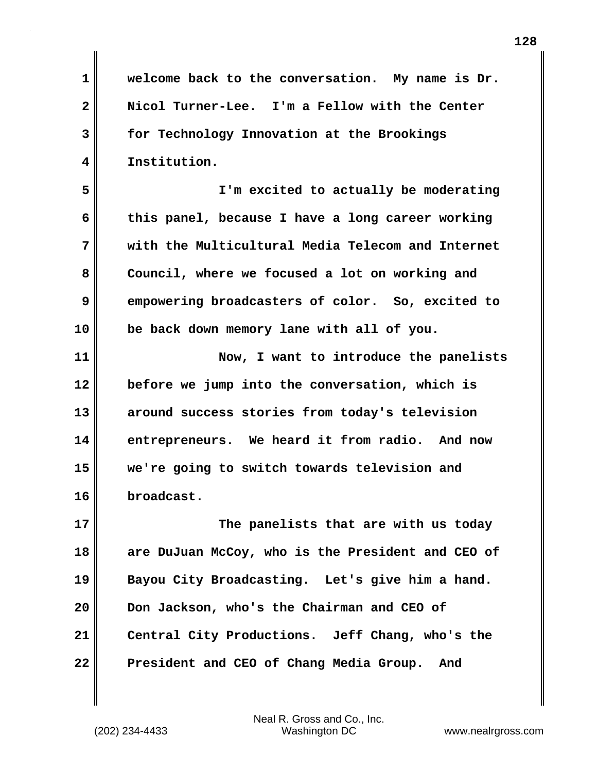**1 welcome back to the conversation. My name is Dr. 2 Nicol Turner-Lee. I'm a Fellow with the Center 3 for Technology Innovation at the Brookings 4 Institution.**

**5 I'm excited to actually be moderating 6 this panel, because I have a long career working 7 with the Multicultural Media Telecom and Internet 8 Council, where we focused a lot on working and 9 empowering broadcasters of color. So, excited to 10 be back down memory lane with all of you.**

**11 Now, I want to introduce the panelists 12 before we jump into the conversation, which is 13 around success stories from today's television 14 entrepreneurs. We heard it from radio. And now 15 we're going to switch towards television and 16 broadcast.**

**17** The panelists that are with us today **18 are DuJuan McCoy, who is the President and CEO of 19 Bayou City Broadcasting. Let's give him a hand. 20 Don Jackson, who's the Chairman and CEO of 21 Central City Productions. Jeff Chang, who's the 22 President and CEO of Chang Media Group. And**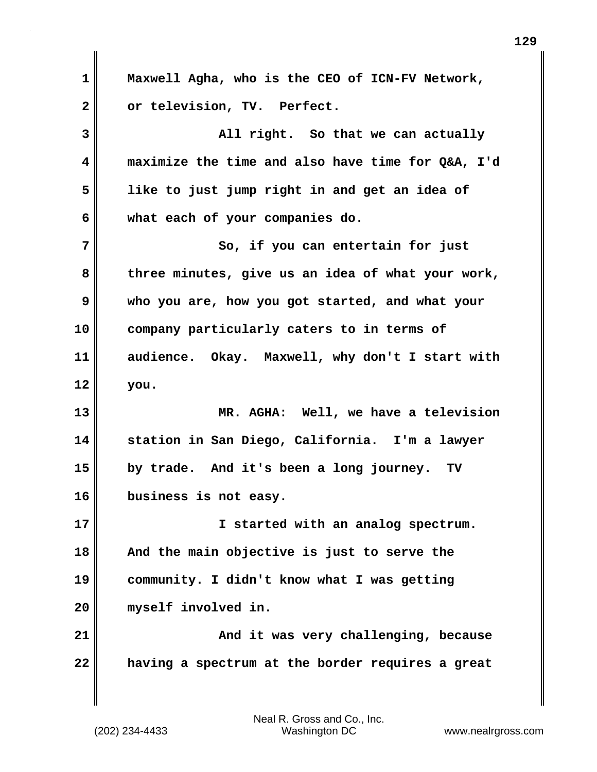**1 Maxwell Agha, who is the CEO of ICN-FV Network, 2 or television, TV. Perfect. 3 All right. So that we can actually 4 maximize the time and also have time for Q&A, I'd 5 like to just jump right in and get an idea of 6 what each of your companies do. 7** So, if you can entertain for just **8 three minutes, give us an idea of what your work, 9 who you are, how you got started, and what your 10 company particularly caters to in terms of 11 audience. Okay. Maxwell, why don't I start with 12 you. 13 MR. AGHA: Well, we have a television 14 station in San Diego, California. I'm a lawyer 15 by trade. And it's been a long journey. TV 16 business is not easy. 17 I started with an analog spectrum. 18 And the main objective is just to serve the 19 community. I didn't know what I was getting 20 myself involved in. 21 And it was very challenging, because 22 having a spectrum at the border requires a great**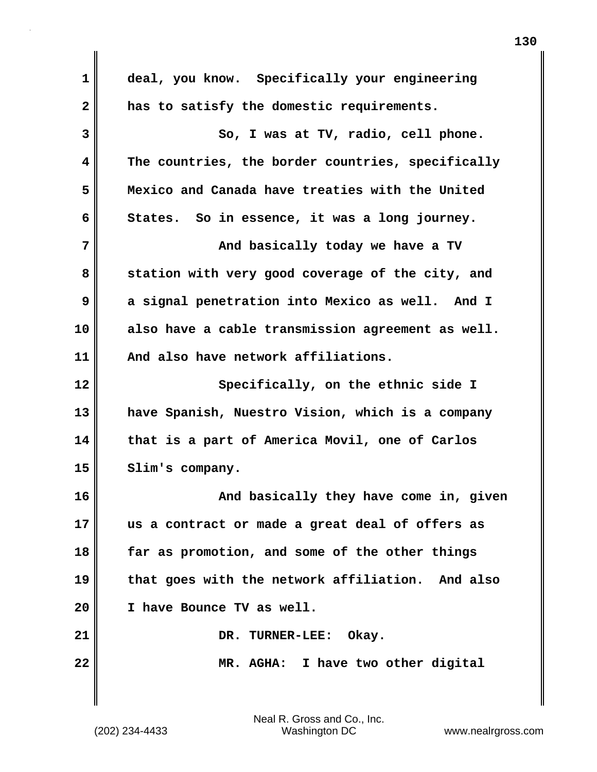| deal, you know. Specifically your engineering     |
|---------------------------------------------------|
| has to satisfy the domestic requirements.         |
| So, I was at TV, radio, cell phone.               |
| The countries, the border countries, specifically |
| Mexico and Canada have treaties with the United   |
| States. So in essence, it was a long journey.     |
| And basically today we have a TV                  |
| station with very good coverage of the city, and  |
| a signal penetration into Mexico as well. And I   |
| also have a cable transmission agreement as well. |
| And also have network affiliations.               |
| Specifically, on the ethnic side I                |
| have Spanish, Nuestro Vision, which is a company  |
| that is a part of America Movil, one of Carlos    |
| Slim's company.                                   |
| And basically they have come in, given            |
| us a contract or made a great deal of offers as   |
| far as promotion, and some of the other things    |
| that goes with the network affiliation. And also  |
| I have Bounce TV as well.                         |
| DR. TURNER-LEE:<br>Okay.                          |
| MR. AGHA: I have two other digital                |
|                                                   |
|                                                   |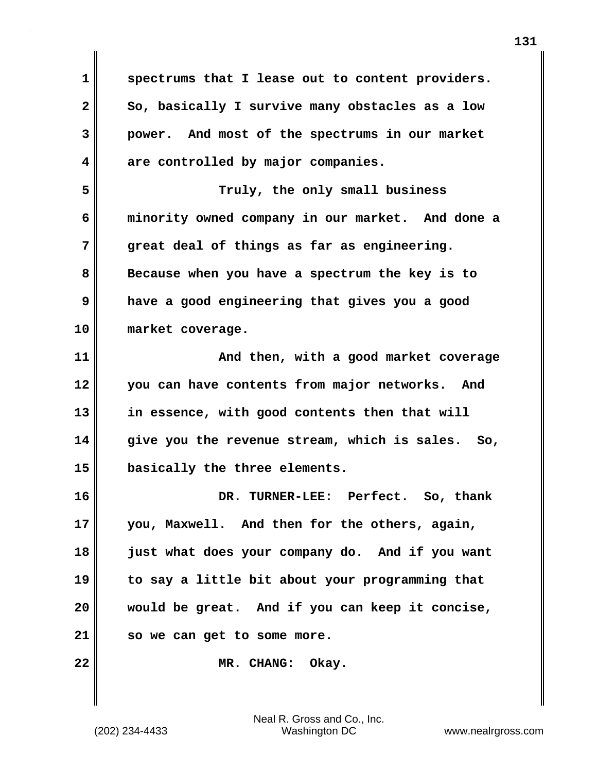**1 spectrums that I lease out to content providers.**  2 So, basically I survive many obstacles as a low **3 power. And most of the spectrums in our market 4 are controlled by major companies. 5 Truly, the only small business 6 minority owned company in our market. And done a 7 great deal of things as far as engineering. 8 Because when you have a spectrum the key is to 9 have a good engineering that gives you a good 10 market coverage. 11 And then, with a good market coverage 12 you can have contents from major networks. And 13 in essence, with good contents then that will 14 give you the revenue stream, which is sales. So, 15 basically the three elements. 16 DR. TURNER-LEE: Perfect. So, thank 17 you, Maxwell. And then for the others, again, 18 just what does your company do. And if you want 19 to say a little bit about your programming that 20 would be great. And if you can keep it concise, 21 so we can get to some more. 22 MR. CHANG: Okay.**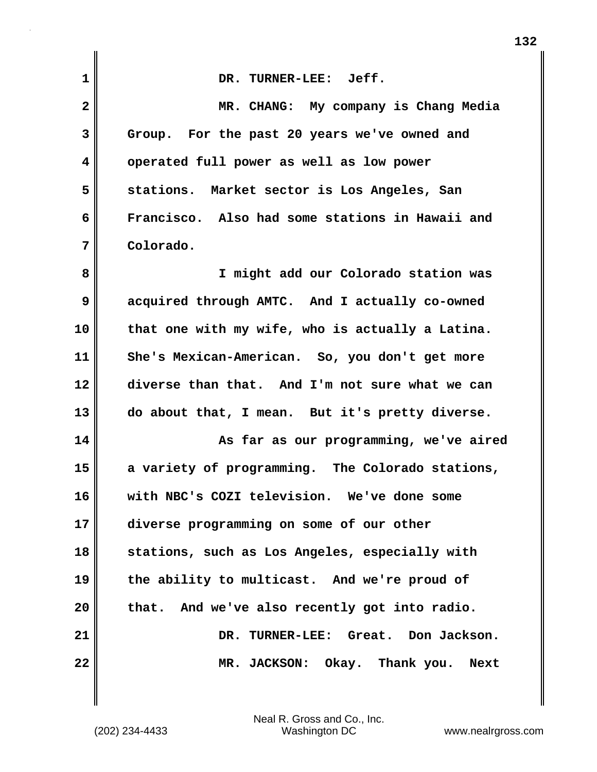| 1            | DR. TURNER-LEE: Jeff.                            |
|--------------|--------------------------------------------------|
| $\mathbf{2}$ | MR. CHANG: My company is Chang Media             |
| 3            | Group. For the past 20 years we've owned and     |
| 4            | operated full power as well as low power         |
| 5            | stations. Market sector is Los Angeles, San      |
| 6            | Francisco. Also had some stations in Hawaii and  |
| 7            | Colorado.                                        |
| 8            | I might add our Colorado station was             |
| 9            | acquired through AMTC. And I actually co-owned   |
| 10           | that one with my wife, who is actually a Latina. |
| 11           | She's Mexican-American. So, you don't get more   |
| 12           | diverse than that. And I'm not sure what we can  |
| 13           | do about that, I mean. But it's pretty diverse.  |
| 14           | As far as our programming, we've aired           |
| 15           | a variety of programming. The Colorado stations, |
| 16           | with NBC's COZI television. We've done some      |
| 17           | diverse programming on some of our other         |
| 18           | stations, such as Los Angeles, especially with   |
| 19           | the ability to multicast. And we're proud of     |
| 20           | And we've also recently got into radio.<br>that. |
| 21           | DR. TURNER-LEE: Great. Don Jackson.              |
| 22           | Okay. Thank you. Next<br>MR. JACKSON:            |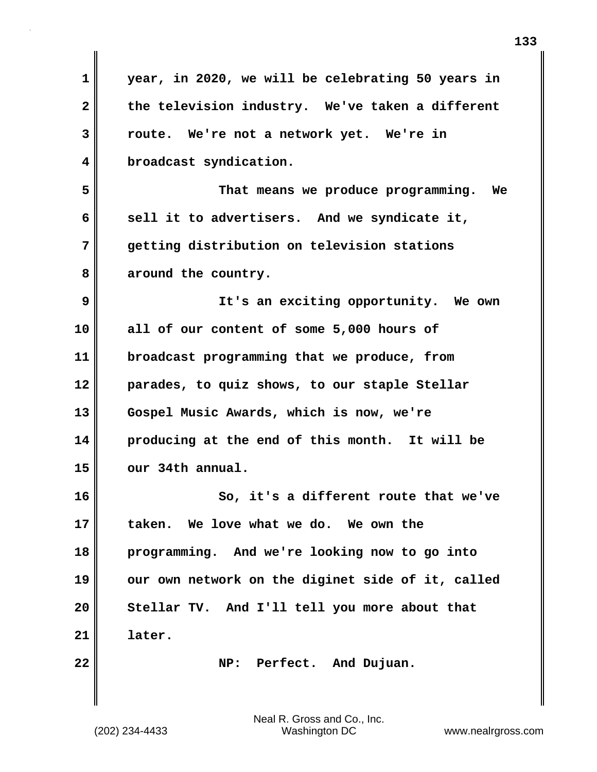| $\mathbf 1$  | year, in 2020, we will be celebrating 50 years in |
|--------------|---------------------------------------------------|
| $\mathbf{2}$ | the television industry. We've taken a different  |
| 3            | route. We're not a network yet. We're in          |
| 4            | broadcast syndication.                            |
| 5            | That means we produce programming. We             |
| 6            | sell it to advertisers. And we syndicate it,      |
| 7            | getting distribution on television stations       |
| 8            | around the country.                               |
| 9            | It's an exciting opportunity. We own              |
| 10           | all of our content of some 5,000 hours of         |
| 11           | broadcast programming that we produce, from       |
| 12           | parades, to quiz shows, to our staple Stellar     |
| 13           | Gospel Music Awards, which is now, we're          |
| 14           | producing at the end of this month. It will be    |
| 15           | our 34th annual.                                  |
| 16           | So, it's a different route that we've             |
| 17           | taken. We love what we do. We own the             |
| 18           | programming. And we're looking now to go into     |
| 19           | our own network on the diginet side of it, called |
| 20           | Stellar TV. And I'll tell you more about that     |
| 21           | later.                                            |
| 22           | NP: Perfect. And Dujuan.                          |
|              |                                                   |
|              |                                                   |

(202) 234-4433 Washington DC www.nealrgross.com Neal R. Gross and Co., Inc.

 $\mathbf{I}$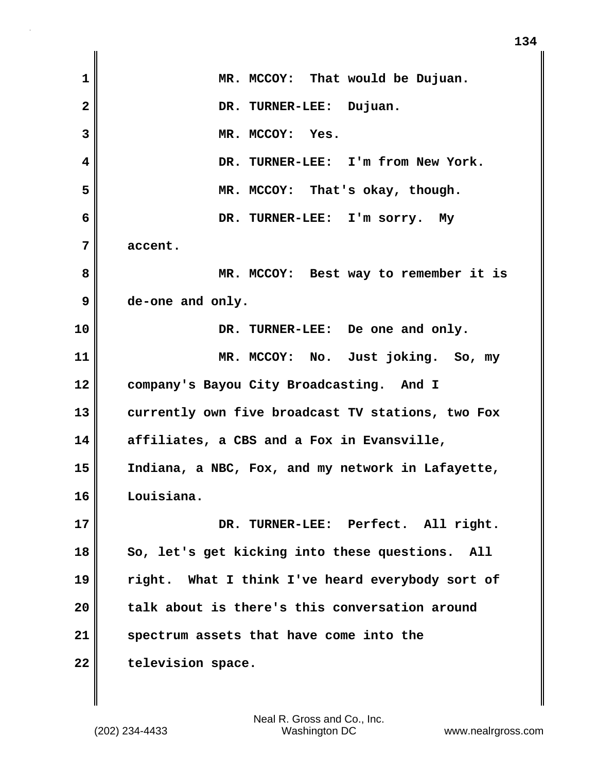| $\mathbf 1$  | MR. MCCOY: That would be Dujuan.                   |
|--------------|----------------------------------------------------|
| $\mathbf{2}$ | DR. TURNER-LEE: Dujuan.                            |
| 3            | MR. MCCOY: Yes.                                    |
| 4            | DR. TURNER-LEE: I'm from New York.                 |
| 5            | MR. MCCOY: That's okay, though.                    |
| 6            | DR. TURNER-LEE: I'm sorry. My                      |
| 7            | accent.                                            |
| 8            | MR. MCCOY: Best way to remember it is              |
| 9            | de-one and only.                                   |
| 10           | DR. TURNER-LEE: De one and only.                   |
| 11           | MR. MCCOY: No. Just joking. So, my                 |
| 12           | company's Bayou City Broadcasting. And I           |
| 13           | currently own five broadcast TV stations, two Fox  |
| 14           | affiliates, a CBS and a Fox in Evansville,         |
| 15           | Indiana, a NBC, Fox, and my network in Lafayette,  |
| 16           | Louisiana.                                         |
| 17           | DR. TURNER-LEE: Perfect. All right.                |
| 18           | So, let's get kicking into these questions.<br>All |
| 19           | right. What I think I've heard everybody sort of   |
| 20           | talk about is there's this conversation around     |
| 21           | spectrum assets that have come into the            |
| 22           | television space.                                  |

 $\mathbf{I}$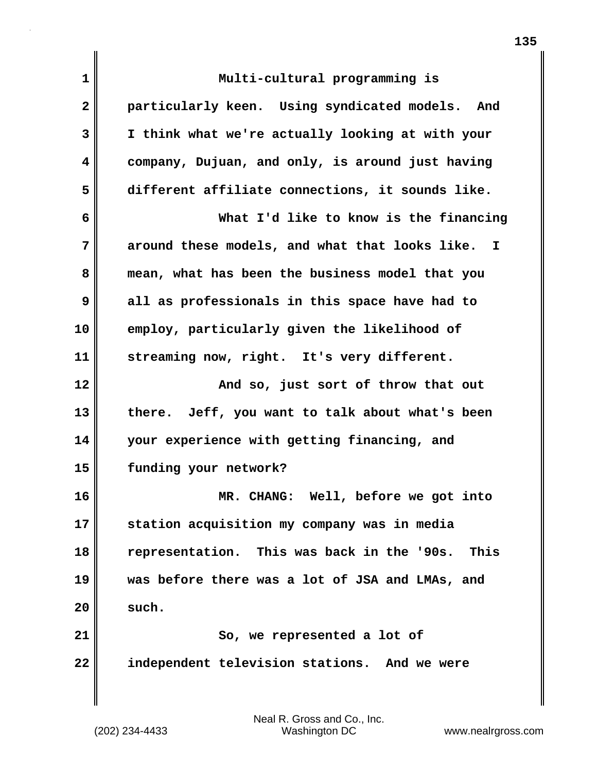| 1  | Multi-cultural programming is                      |
|----|----------------------------------------------------|
| 2  | particularly keen. Using syndicated models. And    |
| 3  | I think what we're actually looking at with your   |
| 4  | company, Dujuan, and only, is around just having   |
| 5  | different affiliate connections, it sounds like.   |
| 6  | What I'd like to know is the financing             |
| 7  | around these models, and what that looks like. I   |
| 8  | mean, what has been the business model that you    |
| 9  | all as professionals in this space have had to     |
| 10 | employ, particularly given the likelihood of       |
| 11 | streaming now, right. It's very different.         |
| 12 | And so, just sort of throw that out                |
| 13 | there. Jeff, you want to talk about what's been    |
| 14 | your experience with getting financing, and        |
| 15 | funding your network?                              |
| 16 | MR. CHANG: Well, before we got into                |
| 17 | station acquisition my company was in media        |
| 18 | representation. This was back in the '90s.<br>This |
| 19 | was before there was a lot of JSA and LMAs, and    |
| 20 | such.                                              |
| 21 | So, we represented a lot of                        |
| 22 | independent television stations. And we were       |
|    |                                                    |

(202) 234-4433 Washington DC www.nealrgross.com Neal R. Gross and Co., Inc.

**135**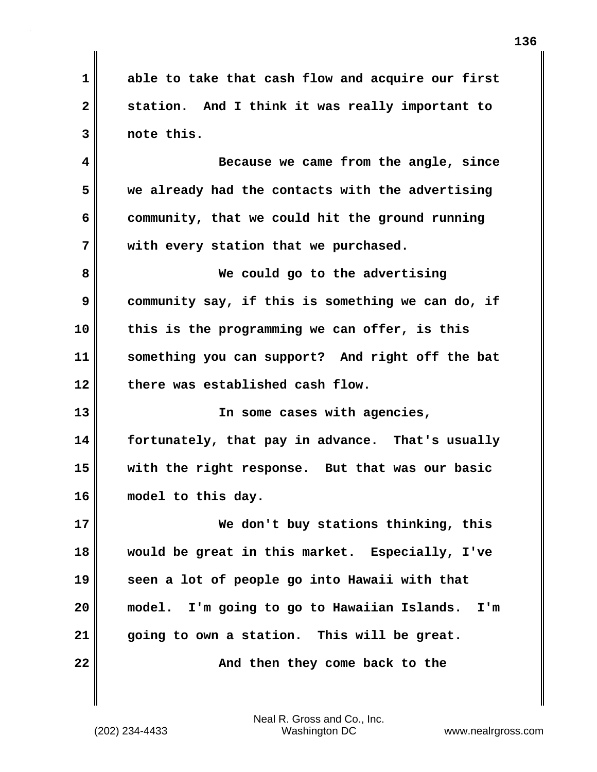**1 able to take that cash flow and acquire our first 2 station. And I think it was really important to 3 note this.**

**4 Because we came from the angle, since 5 we already had the contacts with the advertising 6 community, that we could hit the ground running 7 with every station that we purchased.**

**8 We could go to the advertising 9 community say, if this is something we can do, if 10 this is the programming we can offer, is this 11 something you can support? And right off the bat 12 there was established cash flow.**

**13 In some cases with agencies, 14 fortunately, that pay in advance. That's usually 15 with the right response. But that was our basic 16 model to this day.**

**17 We don't buy stations thinking, this 18 would be great in this market. Especially, I've 19 seen a lot of people go into Hawaii with that 20 model. I'm going to go to Hawaiian Islands. I'm 21 going to own a station. This will be great. 22** Mand then they come back to the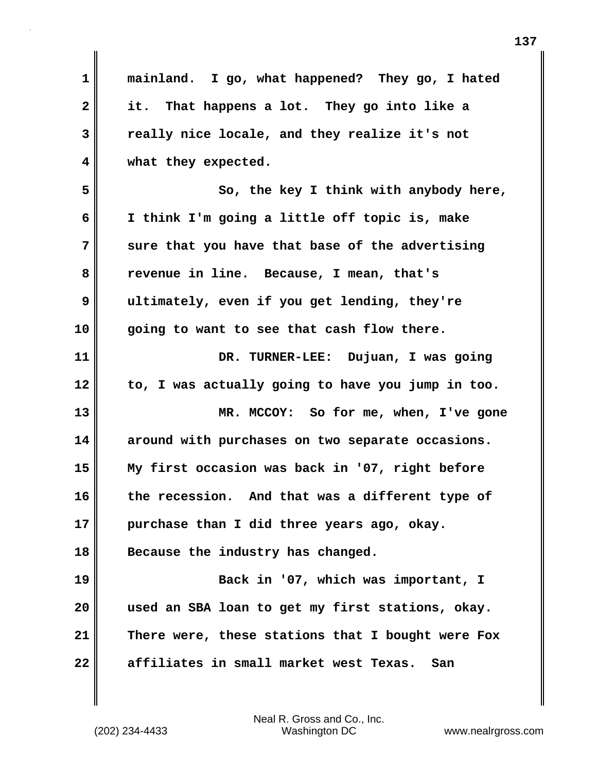| 1            | mainland. I go, what happened? They go, I hated   |
|--------------|---------------------------------------------------|
| $\mathbf{2}$ | it. That happens a lot. They go into like a       |
| 3            | really nice locale, and they realize it's not     |
| 4            | what they expected.                               |
| 5            | So, the key I think with anybody here,            |
| 6            | I think I'm going a little off topic is, make     |
| 7            | sure that you have that base of the advertising   |
| 8            | revenue in line. Because, I mean, that's          |
| 9            | ultimately, even if you get lending, they're      |
| 10           | going to want to see that cash flow there.        |
| 11           | DR. TURNER-LEE: Dujuan, I was going               |
| 12           | to, I was actually going to have you jump in too. |
| 13           | MR. MCCOY: So for me, when, I've gone             |
| 14           | around with purchases on two separate occasions.  |
| 15           | My first occasion was back in '07, right before   |
| 16           | the recession. And that was a different type of   |
| 17           | purchase than I did three years ago, okay.        |
| 18           | Because the industry has changed.                 |
| 19           | Back in '07, which was important, I               |
| 20           | used an SBA loan to get my first stations, okay.  |
| 21           | There were, these stations that I bought were Fox |
| 22           | affiliates in small market west Texas.<br>San     |

(202) 234-4433 Washington DC www.nealrgross.com Neal R. Gross and Co., Inc.

 $\mathbf{I}$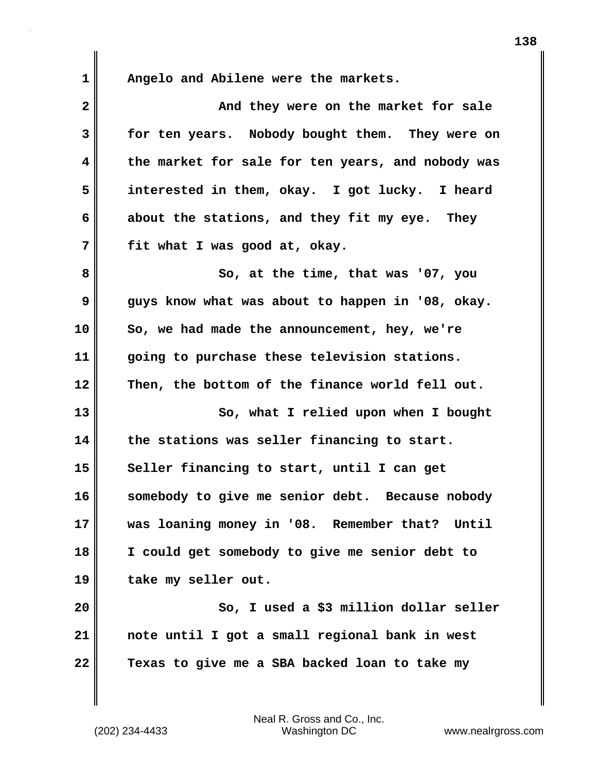**1 Angelo and Abilene were the markets.**

| $\mathbf{2}$ | And they were on the market for sale              |
|--------------|---------------------------------------------------|
| 3            | for ten years. Nobody bought them. They were on   |
| 4            | the market for sale for ten years, and nobody was |
| 5            | interested in them, okay. I got lucky. I heard    |
| 6            | about the stations, and they fit my eye. They     |
| 7            | fit what I was good at, okay.                     |
| 8            | So, at the time, that was '07, you                |
| 9            | guys know what was about to happen in '08, okay.  |
| 10           | So, we had made the announcement, hey, we're      |
| 11           | going to purchase these television stations.      |
| 12           | Then, the bottom of the finance world fell out.   |
| 13           | So, what I relied upon when I bought              |
| 14           | the stations was seller financing to start.       |
| 15           | Seller financing to start, until I can get        |
| 16           | somebody to give me senior debt. Because nobody   |
| 17           | was loaning money in '08. Remember that? Until    |
| 18           | I could get somebody to give me senior debt to    |
| 19           | take my seller out.                               |
| 20           | So, I used a \$3 million dollar seller            |
| 21           | note until I got a small regional bank in west    |
| 22           | Texas to give me a SBA backed loan to take my     |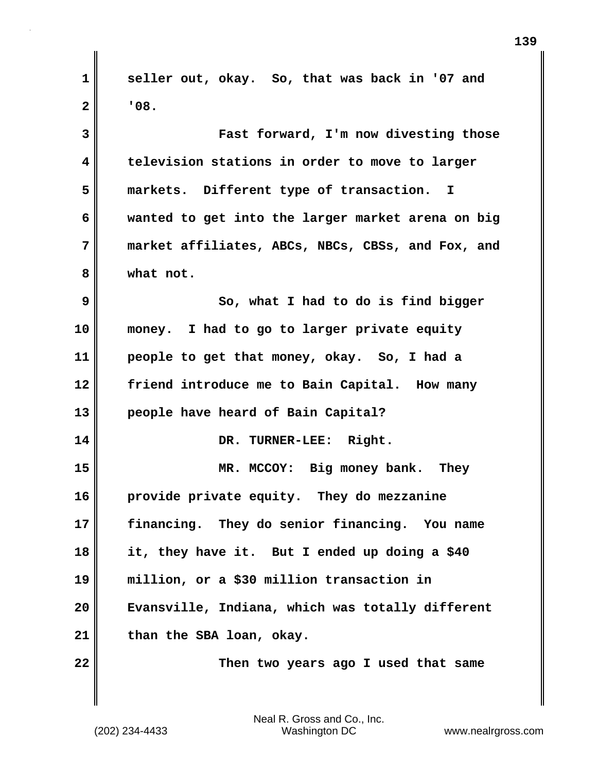**1 seller out, okay. So, that was back in '07 and**  $2$  |  $\overline{08}$ . **3 Fast forward, I'm now divesting those 4 television stations in order to move to larger 5 markets. Different type of transaction. I 6 wanted to get into the larger market arena on big 7 market affiliates, ABCs, NBCs, CBSs, and Fox, and 8 what not. 9** So, what I had to do is find bigger **10 money. I had to go to larger private equity 11 people to get that money, okay. So, I had a 12 friend introduce me to Bain Capital. How many 13 people have heard of Bain Capital? 14 DR. TURNER-LEE: Right. 15 MR. MCCOY: Big money bank. They 16 provide private equity. They do mezzanine 17 financing. They do senior financing. You name 18 it, they have it. But I ended up doing a \$40 19 million, or a \$30 million transaction in 20 Evansville, Indiana, which was totally different 21 than the SBA loan, okay. 22 Then two years ago I used that same**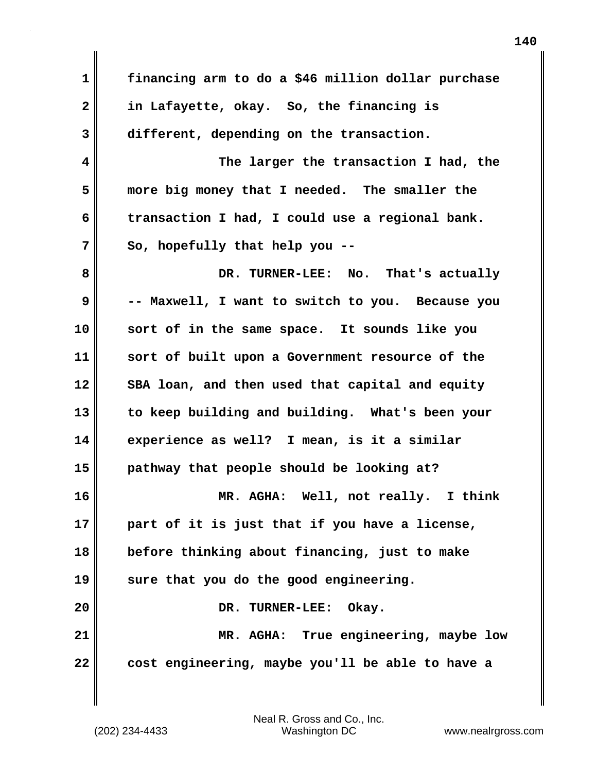**1 financing arm to do a \$46 million dollar purchase 2 in Lafayette, okay. So, the financing is 3 different, depending on the transaction. 4 The larger the transaction I had, the 5 more big money that I needed. The smaller the 6 transaction I had, I could use a regional bank. 7 So, hopefully that help you -- 8 DR. TURNER-LEE: No. That's actually 9 -- Maxwell, I want to switch to you. Because you 10 sort of in the same space. It sounds like you 11 sort of built upon a Government resource of the** 12 SBA loan, and then used that capital and equity **13 to keep building and building. What's been your 14 experience as well? I mean, is it a similar 15 pathway that people should be looking at? 16 MR. AGHA: Well, not really. I think 17 part of it is just that if you have a license, 18 before thinking about financing, just to make 19 sure that you do the good engineering. 20** DR. TURNER-LEE: Okay. **21 MR. AGHA: True engineering, maybe low 22 cost engineering, maybe you'll be able to have a**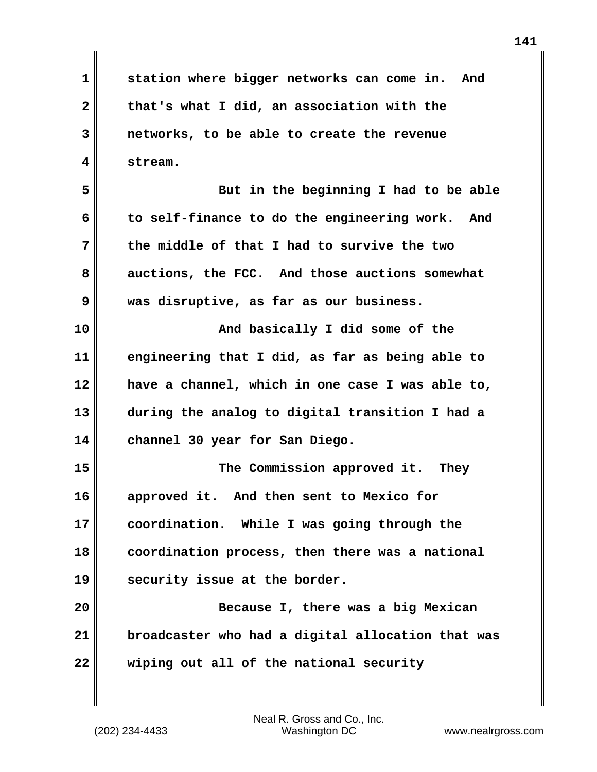**1 station where bigger networks can come in. And 2 that's what I did, an association with the 3 networks, to be able to create the revenue 4 stream.**

**5 But in the beginning I had to be able 6 to self-finance to do the engineering work. And 7 the middle of that I had to survive the two 8 auctions, the FCC. And those auctions somewhat 9 was disruptive, as far as our business.**

**10** And basically I did some of the **11 engineering that I did, as far as being able to 12 have a channel, which in one case I was able to, 13 during the analog to digital transition I had a 14 channel 30 year for San Diego.**

**15 The Commission approved it. They 16 approved it. And then sent to Mexico for 17 coordination. While I was going through the 18 coordination process, then there was a national 19 security issue at the border.**

**20 Because I, there was a big Mexican 21 broadcaster who had a digital allocation that was 22 wiping out all of the national security**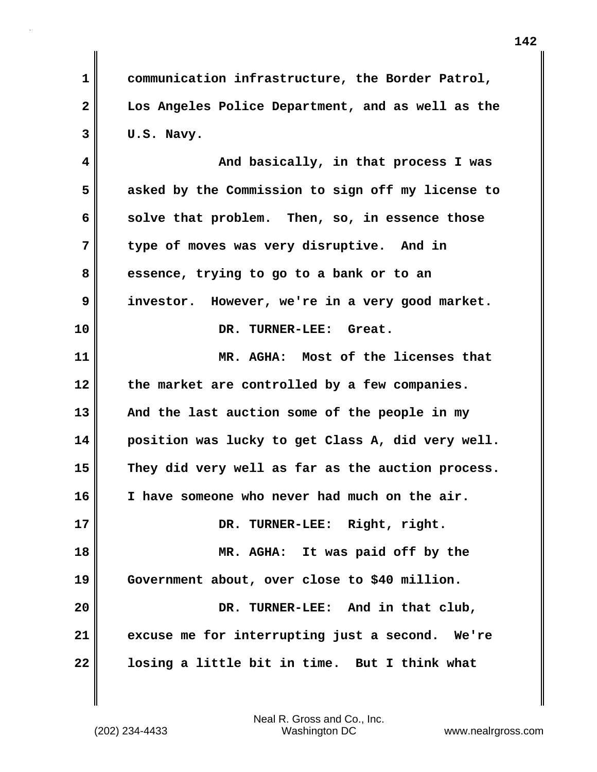**1 communication infrastructure, the Border Patrol, 2 Los Angeles Police Department, and as well as the 3 U.S. Navy.**

**4 And basically, in that process I was 5 asked by the Commission to sign off my license to 6** solve that problem. Then, so, in essence those **7 type of moves was very disruptive. And in 8 essence, trying to go to a bank or to an 9 investor. However, we're in a very good market. 10 DR. TURNER-LEE: Great. 11 MR. AGHA: Most of the licenses that 12 the market are controlled by a few companies. 13 And the last auction some of the people in my 14 position was lucky to get Class A, did very well. 15 They did very well as far as the auction process. 16 I have someone who never had much on the air. 17 DR. TURNER-LEE: Right, right. 18 MR. AGHA: It was paid off by the 19 Government about, over close to \$40 million. 20 DR. TURNER-LEE: And in that club, 21 excuse me for interrupting just a second. We're 22 losing a little bit in time. But I think what**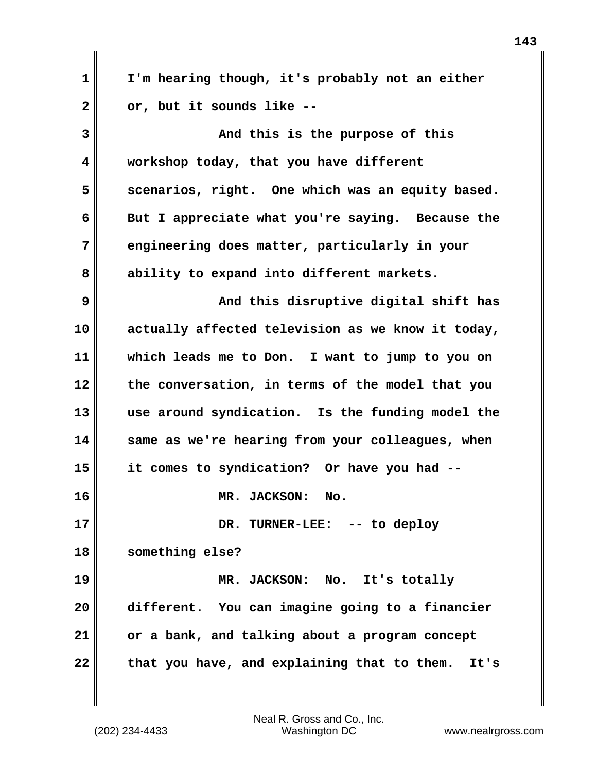| $\mathbf 1$  | I'm hearing though, it's probably not an either     |
|--------------|-----------------------------------------------------|
| $\mathbf{2}$ | or, but it sounds like --                           |
| 3            | And this is the purpose of this                     |
| 4            | workshop today, that you have different             |
| 5            | scenarios, right. One which was an equity based.    |
| 6            | But I appreciate what you're saying. Because the    |
| 7            | engineering does matter, particularly in your       |
| 8            | ability to expand into different markets.           |
| 9            | And this disruptive digital shift has               |
| 10           | actually affected television as we know it today,   |
| 11           | which leads me to Don. I want to jump to you on     |
| 12           | the conversation, in terms of the model that you    |
| 13           | use around syndication. Is the funding model the    |
| 14           | same as we're hearing from your colleagues, when    |
| 15           | it comes to syndication? Or have you had --         |
| 16           | MR. JACKSON: No.                                    |
| 17           | DR. TURNER-LEE: -- to deploy                        |
| 18           | something else?                                     |
| 19           | MR. JACKSON: No. It's totally                       |
| 20           | different. You can imagine going to a financier     |
| 21           | or a bank, and talking about a program concept      |
| 22           | that you have, and explaining that to them.<br>It's |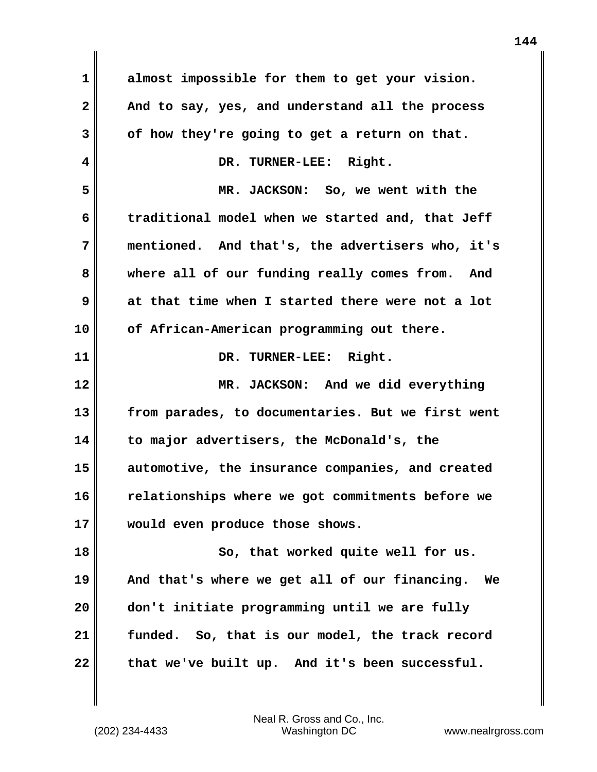| $\mathbf 1$                | almost impossible for them to get your vision.      |
|----------------------------|-----------------------------------------------------|
| $\mathbf{2}$               | And to say, yes, and understand all the process     |
| 3                          | of how they're going to get a return on that.       |
| 4                          | DR. TURNER-LEE: Right.                              |
| 5                          | MR. JACKSON: So, we went with the                   |
| 6                          | traditional model when we started and, that Jeff    |
| 7                          | mentioned. And that's, the advertisers who, it's    |
| 8                          | where all of our funding really comes from. And     |
| 9                          | at that time when I started there were not a lot    |
| 10                         | of African-American programming out there.          |
| 11                         | DR. TURNER-LEE: Right.                              |
| 12                         | MR. JACKSON: And we did everything                  |
|                            |                                                     |
| 13                         | from parades, to documentaries. But we first went   |
| 14                         | to major advertisers, the McDonald's, the           |
| 15                         | automotive, the insurance companies, and created    |
| 16                         | relationships where we got commitments before we    |
|                            | would even produce those shows.                     |
|                            | So, that worked quite well for us.                  |
|                            | And that's where we get all of our financing.<br>Wе |
|                            | don't initiate programming until we are fully       |
| 17<br>18<br>19<br>20<br>21 | funded. So, that is our model, the track record     |

 $\mathbf{I}$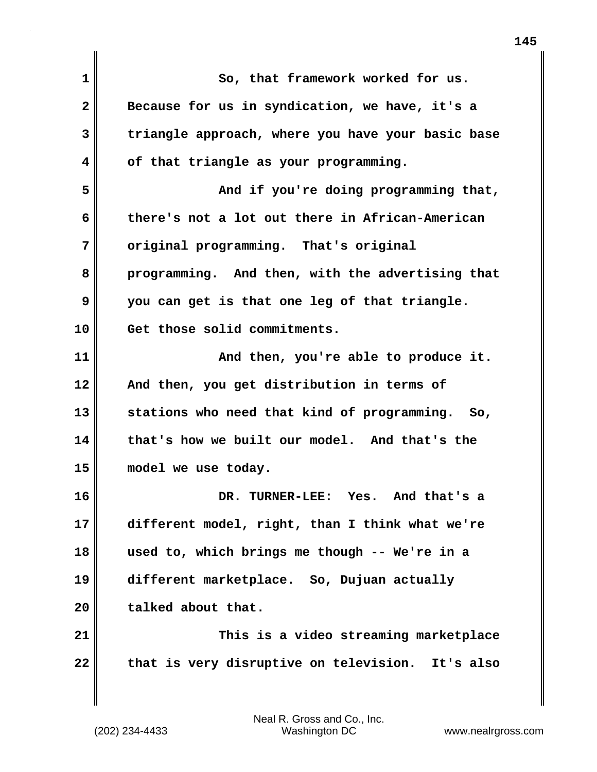| $\mathbf{1}$ | So, that framework worked for us.                 |
|--------------|---------------------------------------------------|
| $\mathbf{2}$ | Because for us in syndication, we have, it's a    |
| 3            | triangle approach, where you have your basic base |
| 4            | of that triangle as your programming.             |
| 5            | And if you're doing programming that,             |
| 6            | there's not a lot out there in African-American   |
| 7            | original programming. That's original             |
| 8            | programming. And then, with the advertising that  |
| 9            | you can get is that one leg of that triangle.     |
| 10           | Get those solid commitments.                      |
| 11           | And then, you're able to produce it.              |
| 12           | And then, you get distribution in terms of        |
| 13           | stations who need that kind of programming. So,   |
| 14           | that's how we built our model. And that's the     |
| 15           | model we use today.                               |
| 16           | DR. TURNER-LEE: Yes.<br>And that's a              |
| 17           | different model, right, than I think what we're   |
| 18           | used to, which brings me though -- We're in a     |
| 19           | different marketplace. So, Dujuan actually        |
| 20           | talked about that.                                |
| 21           | This is a video streaming marketplace             |
| 22           | that is very disruptive on television. It's also  |
|              |                                                   |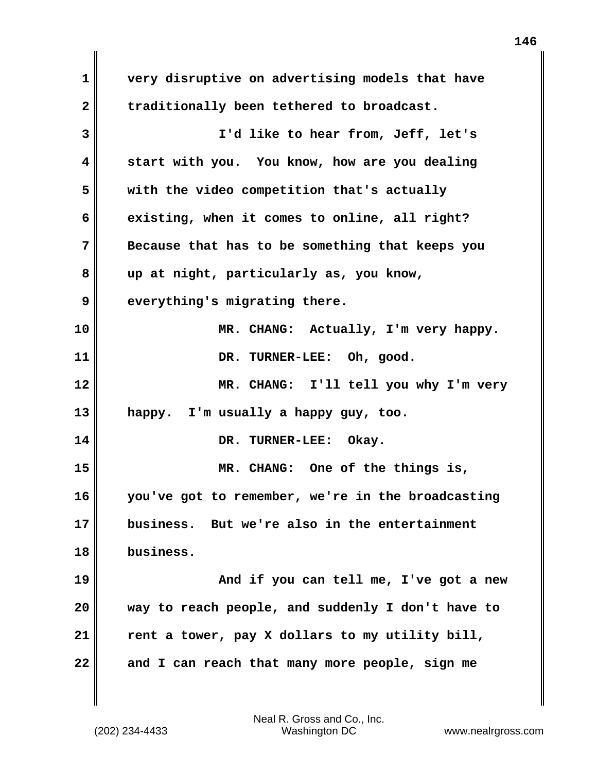**1 very disruptive on advertising models that have** 2 traditionally been tethered to broadcast. **3 I'd like to hear from, Jeff, let's 4 start with you. You know, how are you dealing 5 with the video competition that's actually 6 existing, when it comes to online, all right? 7 Because that has to be something that keeps you 8 up at night, particularly as, you know, 9 everything's migrating there. 10 MR. CHANG: Actually, I'm very happy. 11 DR. TURNER-LEE: Oh, good. 12 MR. CHANG: I'll tell you why I'm very 13 happy. I'm usually a happy guy, too. 14 DR. TURNER-LEE: Okay. 15 MR. CHANG: One of the things is, 16 you've got to remember, we're in the broadcasting 17 business. But we're also in the entertainment 18 business. 19 And if you can tell me, I've got a new 20 way to reach people, and suddenly I don't have to 21 rent a tower, pay X dollars to my utility bill, 22 and I can reach that many more people, sign me**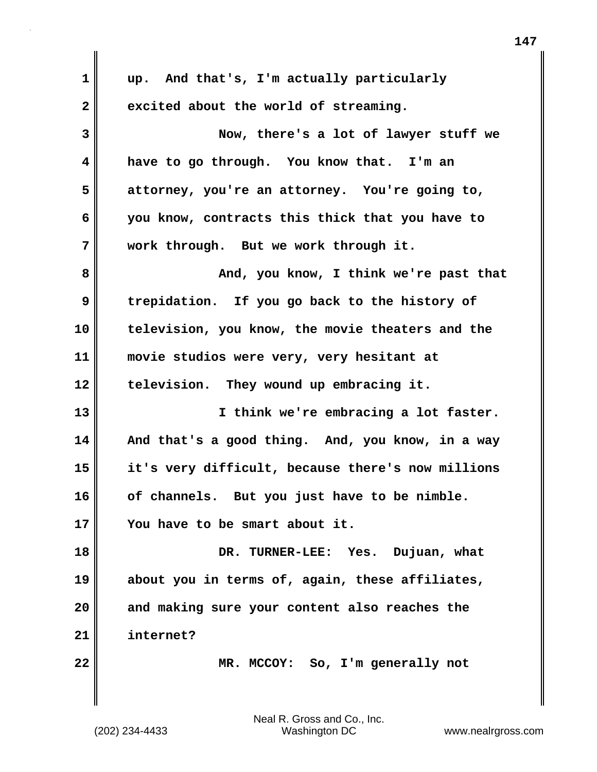| $\mathbf 1$      | up. And that's, I'm actually particularly         |
|------------------|---------------------------------------------------|
| $\boldsymbol{2}$ | excited about the world of streaming.             |
| 3                | Now, there's a lot of lawyer stuff we             |
| 4                | have to go through. You know that. I'm an         |
| 5                | attorney, you're an attorney. You're going to,    |
| 6                | you know, contracts this thick that you have to   |
| 7                | work through. But we work through it.             |
| 8                | And, you know, I think we're past that            |
| 9                | trepidation. If you go back to the history of     |
| 10               | television, you know, the movie theaters and the  |
| 11               | movie studios were very, very hesitant at         |
| 12               | television. They wound up embracing it.           |
| 13               | I think we're embracing a lot faster.             |
| 14               | And that's a good thing. And, you know, in a way  |
| 15               | it's very difficult, because there's now millions |
| 16               | of channels. But you just have to be nimble.      |
| 17               | You have to be smart about it.                    |
| 18               | DR. TURNER-LEE: Yes. Dujuan, what                 |
| 19               | about you in terms of, again, these affiliates,   |
| 20               | and making sure your content also reaches the     |
| 21               | internet?                                         |
| 22               | MR. MCCOY: So, I'm generally not                  |
|                  |                                                   |

 $\mathbf{I}$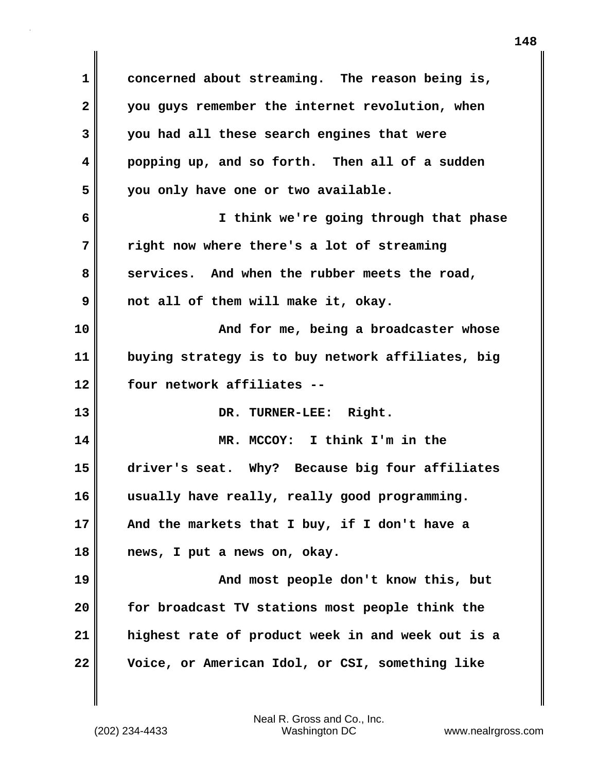**1 concerned about streaming. The reason being is, 2 you guys remember the internet revolution, when 3 you had all these search engines that were 4 popping up, and so forth. Then all of a sudden 5 you only have one or two available. 6 I think we're going through that phase 7 right now where there's a lot of streaming 8 services. And when the rubber meets the road, 9 not all of them will make it, okay. 10 And for me, being a broadcaster whose 11 buying strategy is to buy network affiliates, big 12 four network affiliates -- 13 DR. TURNER-LEE: Right. 14 MR. MCCOY: I think I'm in the 15 driver's seat. Why? Because big four affiliates 16 usually have really, really good programming. 17 And the markets that I buy, if I don't have a 18 news, I put a news on, okay. 19 And most people don't know this, but 20 for broadcast TV stations most people think the 21 highest rate of product week in and week out is a 22 Voice, or American Idol, or CSI, something like**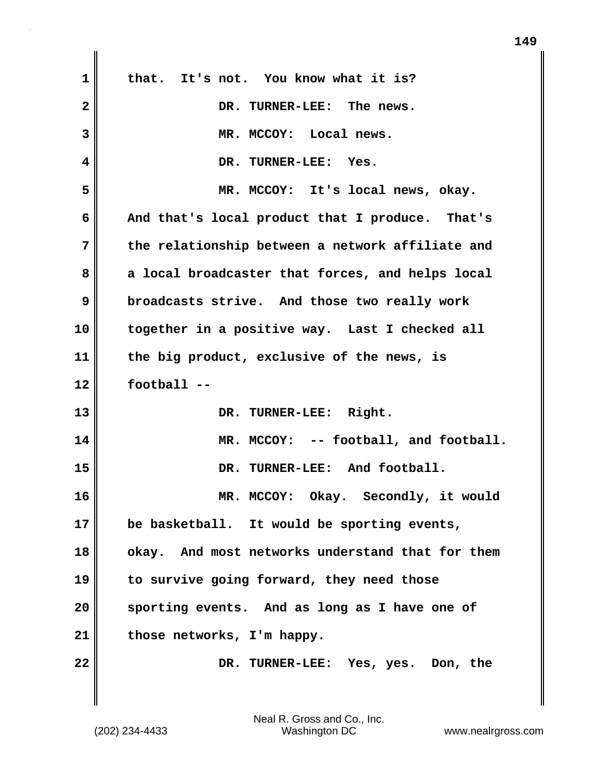| 1            | that. It's not. You know what it is?             |
|--------------|--------------------------------------------------|
| $\mathbf{2}$ | DR. TURNER-LEE: The news.                        |
| 3            | MR. MCCOY: Local news.                           |
| 4            | DR. TURNER-LEE: Yes.                             |
| 5            | MR. MCCOY: It's local news, okay.                |
| 6            | And that's local product that I produce. That's  |
| 7            | the relationship between a network affiliate and |
| 8            | a local broadcaster that forces, and helps local |
| 9            | broadcasts strive. And those two really work     |
| 10           | together in a positive way. Last I checked all   |
| 11           | the big product, exclusive of the news, is       |
| 12           | football --                                      |
| 13           | DR. TURNER-LEE: Right.                           |
| 14           | MR. MCCOY: -- football, and football.            |
| 15           | DR. TURNER-LEE: And football.                    |
| 16           | MR. MCCOY: Okay. Secondly, it would              |
| 17           | be basketball. It would be sporting events,      |
| 18           | okay. And most networks understand that for them |
| 19           | to survive going forward, they need those        |
| 20           | sporting events. And as long as I have one of    |
| 21           | those networks, I'm happy.                       |
| 22           | DR. TURNER-LEE: Yes, yes. Don, the               |
|              |                                                  |

 $\mathbf{I}$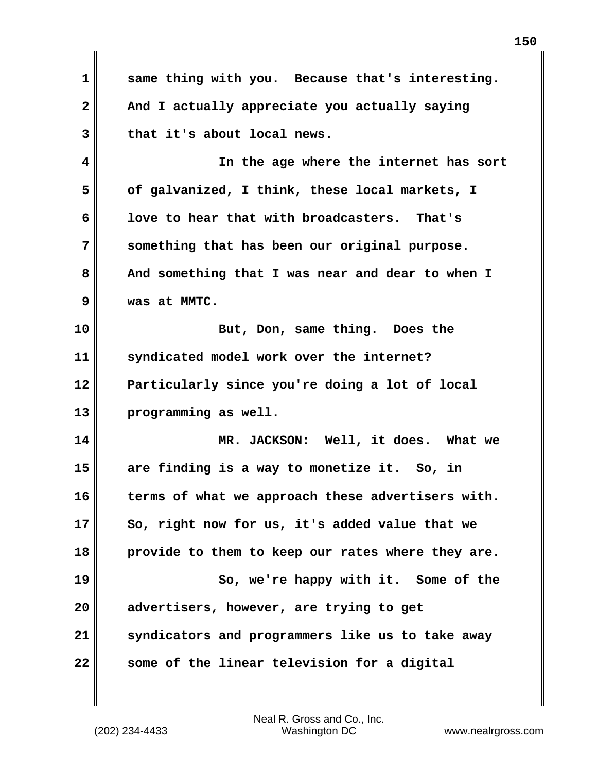**1 same thing with you. Because that's interesting. 2 And I actually appreciate you actually saying 3 that it's about local news. 4 In the age where the internet has sort 5 of galvanized, I think, these local markets, I 6 love to hear that with broadcasters. That's 7 something that has been our original purpose. 8 And something that I was near and dear to when I 9 was at MMTC. 10 But, Don, same thing. Does the 11 syndicated model work over the internet? 12 Particularly since you're doing a lot of local 13 programming as well. 14 MR. JACKSON: Well, it does. What we 15 are finding is a way to monetize it. So, in** 16 terms of what we approach these advertisers with. **17 So, right now for us, it's added value that we 18 provide to them to keep our rates where they are. 19 So, we're happy with it. Some of the 20 advertisers, however, are trying to get 21 syndicators and programmers like us to take away 22 some of the linear television for a digital**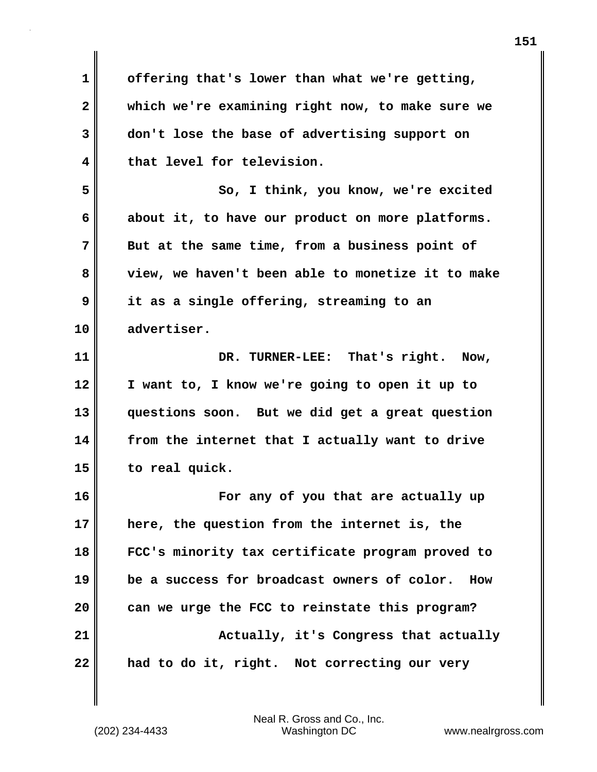**1 offering that's lower than what we're getting, 2 which we're examining right now, to make sure we 3 don't lose the base of advertising support on 4 that level for television. 5 So, I think, you know, we're excited 6 about it, to have our product on more platforms. 7 But at the same time, from a business point of 8 view, we haven't been able to monetize it to make 9 it as a single offering, streaming to an 10 advertiser. 11 DR. TURNER-LEE: That's right. Now, 12 I want to, I know we're going to open it up to 13 questions soon. But we did get a great question 14 from the internet that I actually want to drive 15 to real quick. 16 For any of you that are actually up 17 here, the question from the internet is, the 18 FCC's minority tax certificate program proved to 19 be a success for broadcast owners of color. How 20 can we urge the FCC to reinstate this program? 21 Actually, it's Congress that actually 22 had to do it, right. Not correcting our very**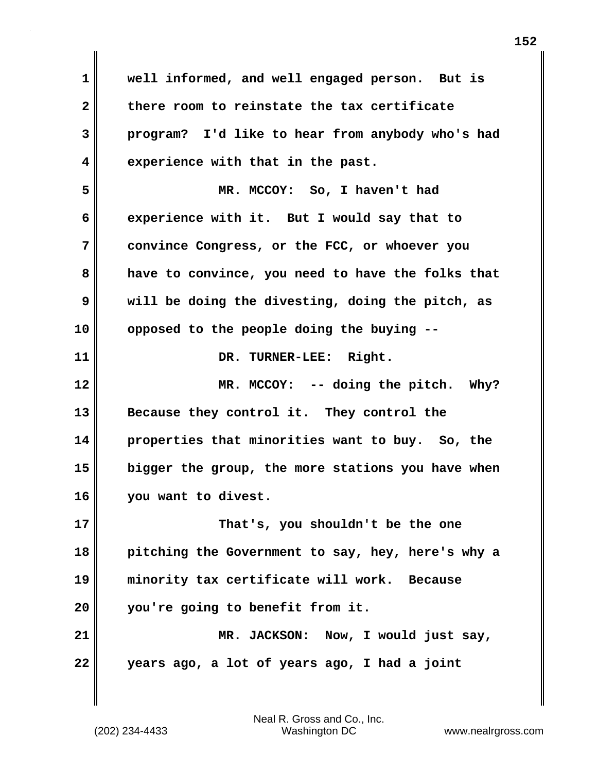**1 well informed, and well engaged person. But is 2 there room to reinstate the tax certificate 3 program? I'd like to hear from anybody who's had 4 experience with that in the past. 5 MR. MCCOY: So, I haven't had 6 experience with it. But I would say that to 7 convince Congress, or the FCC, or whoever you 8 have to convince, you need to have the folks that 9 will be doing the divesting, doing the pitch, as 10 opposed to the people doing the buying -- 11 DR. TURNER-LEE: Right. 12 MR. MCCOY: -- doing the pitch. Why? 13 Because they control it. They control the 14 properties that minorities want to buy. So, the 15 bigger the group, the more stations you have when 16 you want to divest. 17 That's, you shouldn't be the one 18 pitching the Government to say, hey, here's why a 19 minority tax certificate will work. Because 20 you're going to benefit from it. 21 MR. JACKSON: Now, I would just say, 22 years ago, a lot of years ago, I had a joint**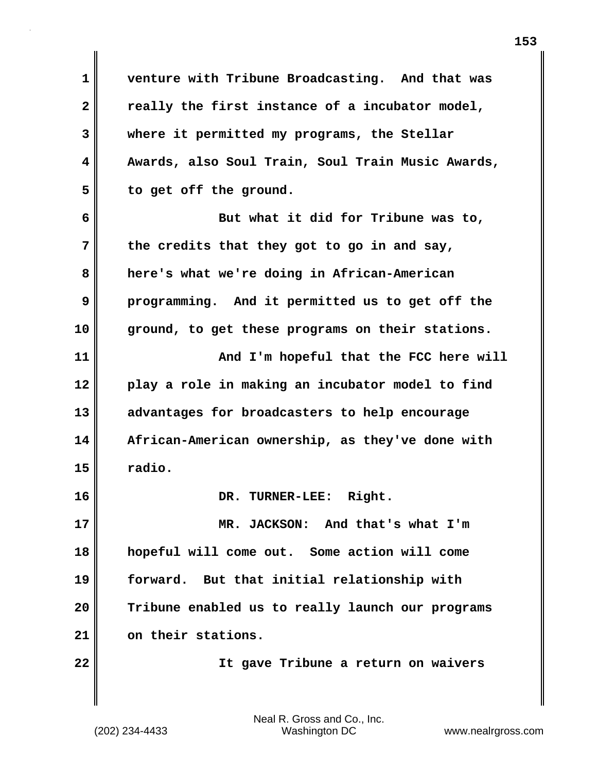**1 venture with Tribune Broadcasting. And that was** 2 really the first instance of a incubator model, **3 where it permitted my programs, the Stellar 4 Awards, also Soul Train, Soul Train Music Awards, 5 to get off the ground.**

**6 But what it did for Tribune was to, 7 the credits that they got to go in and say, 8 here's what we're doing in African-American 9 programming. And it permitted us to get off the 10 ground, to get these programs on their stations. 11 And I'm hopeful that the FCC here will 12 play a role in making an incubator model to find 13 advantages for broadcasters to help encourage 14 African-American ownership, as they've done with 15 radio.**

**17 MR. JACKSON: And that's what I'm 18 hopeful will come out. Some action will come 19 forward. But that initial relationship with 20 Tribune enabled us to really launch our programs 21 on their stations.**

**16 DR. TURNER-LEE: Right.**

**22 It gave Tribune a return on waivers**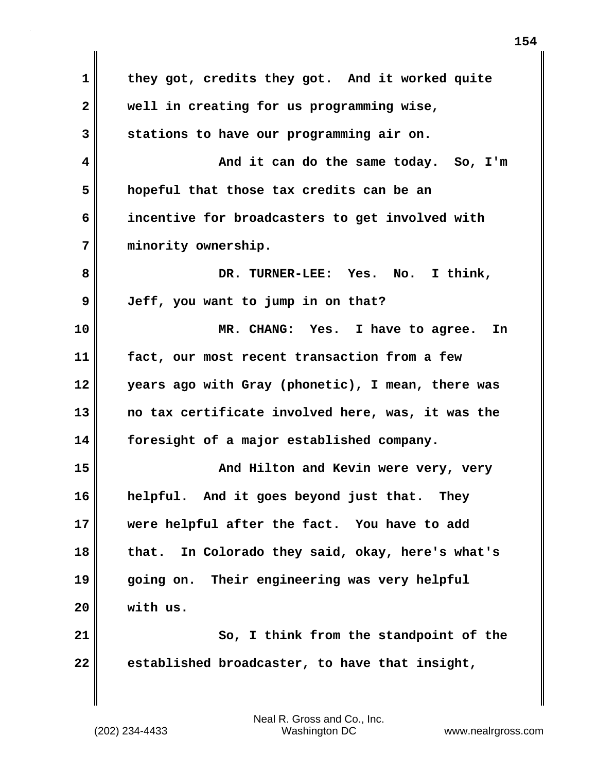| $\mathbf 1$  | they got, credits they got. And it worked quite       |
|--------------|-------------------------------------------------------|
| $\mathbf{2}$ | well in creating for us programming wise,             |
| 3            | stations to have our programming air on.              |
| 4            | And it can do the same today. So, I'm                 |
| 5            | hopeful that those tax credits can be an              |
| 6            | incentive for broadcasters to get involved with       |
| 7            | minority ownership.                                   |
| 8            | No. I think,<br>DR. TURNER-LEE: Yes.                  |
| 9            | Jeff, you want to jump in on that?                    |
| 10           | MR. CHANG: Yes. I have to agree.<br>In                |
| 11           | fact, our most recent transaction from a few          |
| 12           | years ago with Gray (phonetic), I mean, there was     |
| 13           | no tax certificate involved here, was, it was the     |
| 14           | foresight of a major established company.             |
| 15           | And Hilton and Kevin were very, very                  |
| 16           | helpful. And it goes beyond just that.<br><b>They</b> |
| 17           | were helpful after the fact. You have to add          |
| 18           | In Colorado they said, okay, here's what's<br>that.   |
| 19           | going on. Their engineering was very helpful          |
| 20           | with us.                                              |
| 21           | So, I think from the standpoint of the                |
| 22           | established broadcaster, to have that insight,        |
|              |                                                       |

 $\mathbf{I}$ 

(202) 234-4433 Washington DC www.nealrgross.com Neal R. Gross and Co., Inc.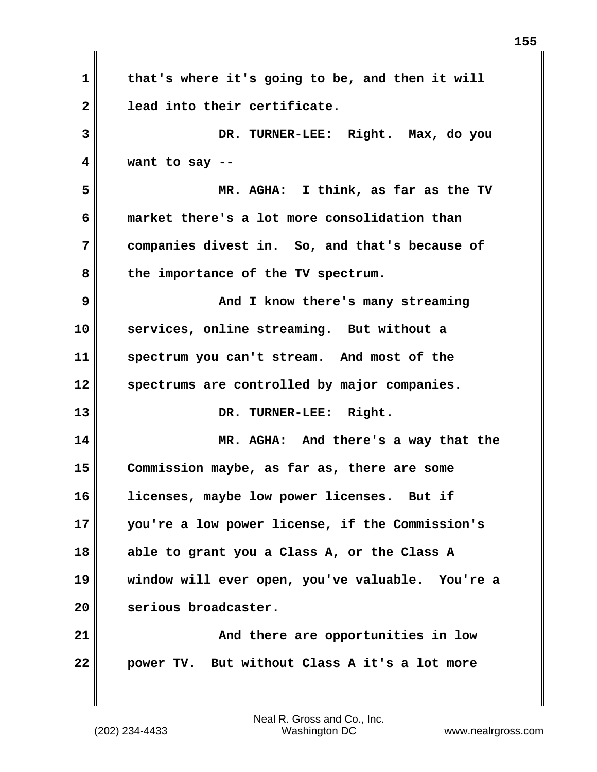| $\mathbf 1$  | that's where it's going to be, and then it will  |
|--------------|--------------------------------------------------|
| $\mathbf{2}$ | lead into their certificate.                     |
| 3            | DR. TURNER-LEE: Right. Max, do you               |
| 4            | want to say $-$ -                                |
| 5            | MR. AGHA: I think, as far as the TV              |
| 6            | market there's a lot more consolidation than     |
| 7            | companies divest in. So, and that's because of   |
| 8            | the importance of the TV spectrum.               |
| 9            | And I know there's many streaming                |
| 10           | services, online streaming. But without a        |
| 11           | spectrum you can't stream. And most of the       |
| 12           | spectrums are controlled by major companies.     |
| 13           | DR. TURNER-LEE: Right.                           |
| 14           | MR. AGHA: And there's a way that the             |
| 15           | Commission maybe, as far as, there are some      |
| 16           | licenses, maybe low power licenses. But if       |
| 17           | you're a low power license, if the Commission's  |
| 18           | able to grant you a Class A, or the Class A      |
| 19           | window will ever open, you've valuable. You're a |
| 20           | serious broadcaster.                             |
| 21           | And there are opportunities in low               |
| 22           | power TV. But without Class A it's a lot more    |

 $\mathbf{I}$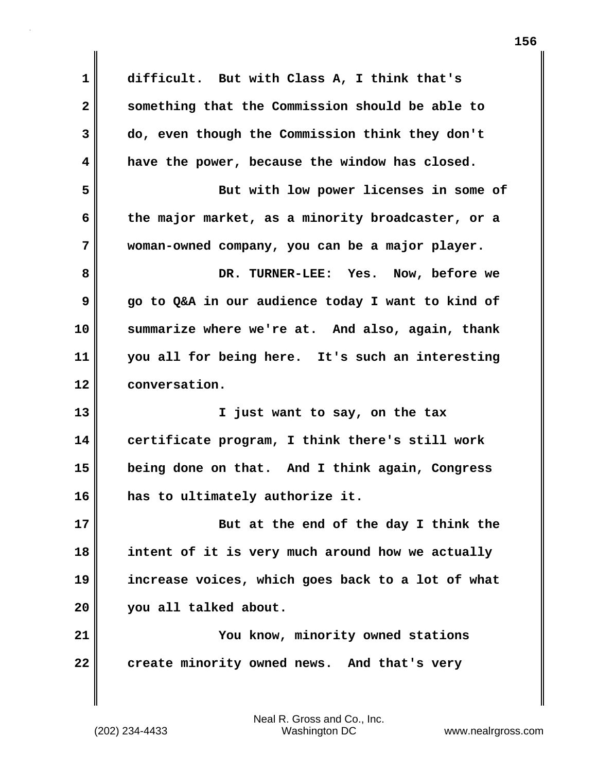**1 difficult. But with Class A, I think that's 2 something that the Commission should be able to 3 do, even though the Commission think they don't 4 have the power, because the window has closed. 5 But with low power licenses in some of 6 the major market, as a minority broadcaster, or a 7 woman-owned company, you can be a major player. 8 DR. TURNER-LEE: Yes. Now, before we 9 go to Q&A in our audience today I want to kind of 10 summarize where we're at. And also, again, thank 11 you all for being here. It's such an interesting 12 conversation. 13 I just want to say, on the tax 14 certificate program, I think there's still work 15 being done on that. And I think again, Congress 16 has to ultimately authorize it. 17 But at the end of the day I think the 18 intent of it is very much around how we actually 19 increase voices, which goes back to a lot of what 20 you all talked about. 21 You know, minority owned stations** 22 **create minority owned news.** And that's very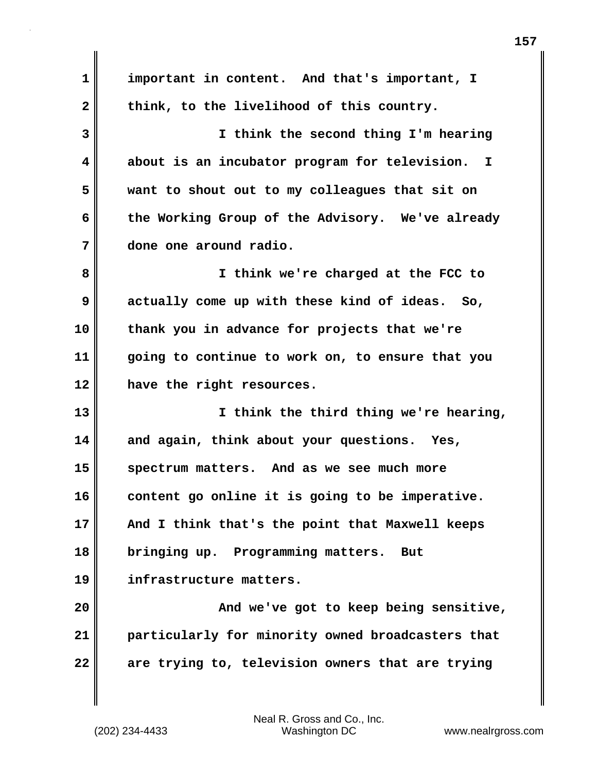**1 important in content. And that's important, I** 2 think, to the livelihood of this country. **3 I think the second thing I'm hearing 4 about is an incubator program for television. I 5 want to shout out to my colleagues that sit on 6 the Working Group of the Advisory. We've already 7 done one around radio. 8 I think we're charged at the FCC to 9 actually come up with these kind of ideas. So, 10 thank you in advance for projects that we're 11 going to continue to work on, to ensure that you 12 have the right resources. 13 I think the third thing we're hearing, 14 and again, think about your questions. Yes, 15 spectrum matters. And as we see much more 16 content go online it is going to be imperative. 17 And I think that's the point that Maxwell keeps 18 bringing up. Programming matters. But 19 infrastructure matters. 20 And we've got to keep being sensitive, 21 particularly for minority owned broadcasters that 22 are trying to, television owners that are trying**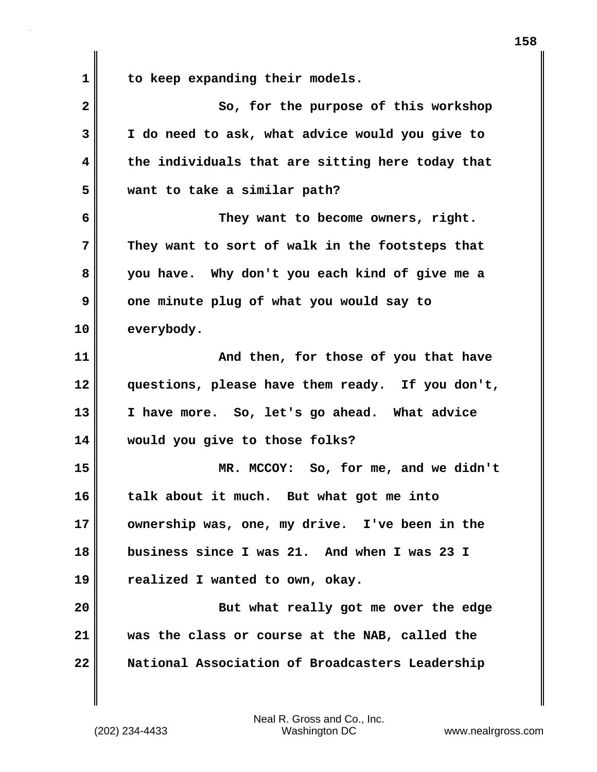**1 to keep expanding their models.**

**2** So, for the purpose of this workshop **3 I do need to ask, what advice would you give to 4 the individuals that are sitting here today that 5 want to take a similar path? 6 They want to become owners, right. 7 They want to sort of walk in the footsteps that 8 you have. Why don't you each kind of give me a 9** one minute plug of what you would say to **10 everybody. 11 And then, for those of you that have 12 questions, please have them ready. If you don't, 13 I have more. So, let's go ahead. What advice 14 would you give to those folks? 15 MR. MCCOY: So, for me, and we didn't 16 talk about it much. But what got me into 17 ownership was, one, my drive. I've been in the 18 business since I was 21. And when I was 23 I 19 realized I wanted to own, okay. 20 But what really got me over the edge 21 was the class or course at the NAB, called the 22 National Association of Broadcasters Leadership**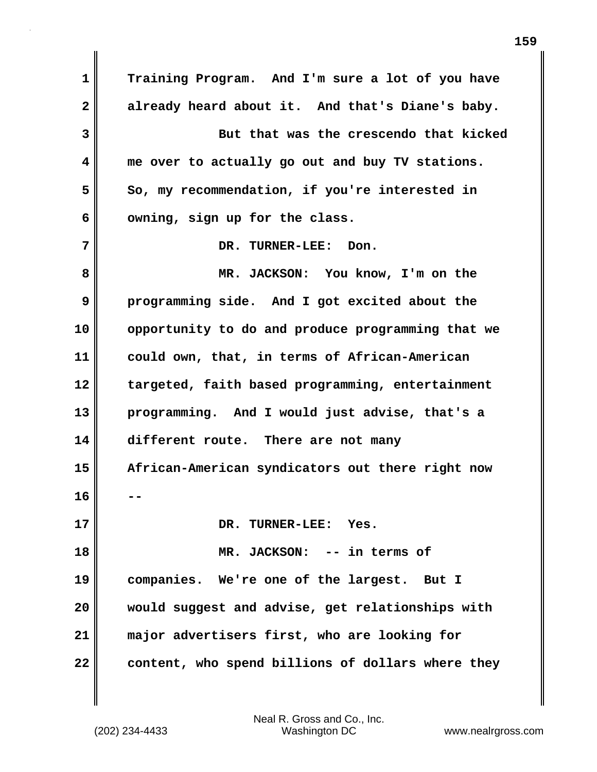**1 Training Program. And I'm sure a lot of you have 2 already heard about it. And that's Diane's baby. 3 But that was the crescendo that kicked 4 me over to actually go out and buy TV stations.**  5 So, my recommendation, if you're interested in **6 owning, sign up for the class. 7** DR. TURNER-LEE: Don. **8 MR. JACKSON: You know, I'm on the 9 programming side. And I got excited about the 10 opportunity to do and produce programming that we 11 could own, that, in terms of African-American 12 targeted, faith based programming, entertainment 13 programming. And I would just advise, that's a 14 different route. There are not many 15 African-American syndicators out there right now 16 -- 17 DR. TURNER-LEE: Yes. 18 MR. JACKSON: -- in terms of 19 companies. We're one of the largest. But I 20 would suggest and advise, get relationships with 21 major advertisers first, who are looking for 22 content, who spend billions of dollars where they**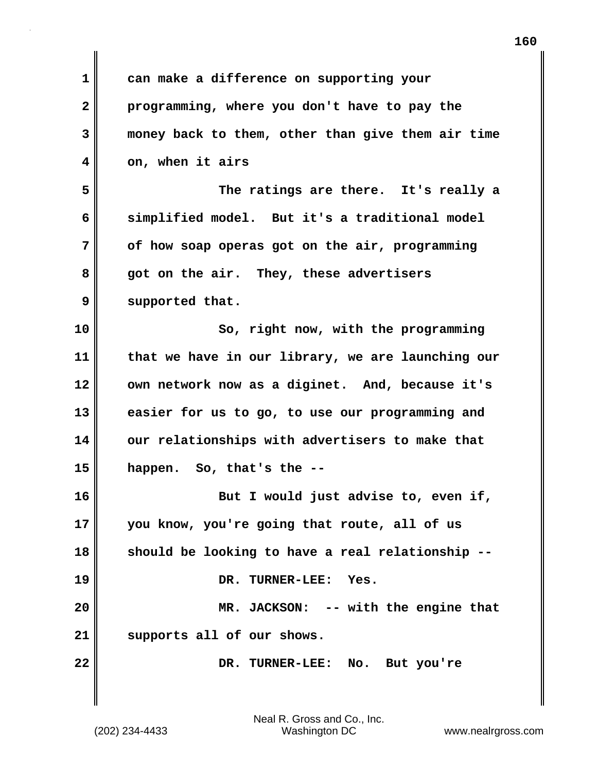| $\mathbf 1$  | can make a difference on supporting your          |
|--------------|---------------------------------------------------|
| $\mathbf{2}$ | programming, where you don't have to pay the      |
| 3            | money back to them, other than give them air time |
| 4            | on, when it airs                                  |
| 5            | The ratings are there. It's really a              |
| 6            | simplified model. But it's a traditional model    |
| 7            | of how soap operas got on the air, programming    |
| 8            | got on the air. They, these advertisers           |
| 9            | supported that.                                   |
| 10           | So, right now, with the programming               |
| 11           | that we have in our library, we are launching our |
| 12           | own network now as a diginet. And, because it's   |
| 13           | easier for us to go, to use our programming and   |
| 14           | our relationships with advertisers to make that   |
| 15           | happen. So, that's the --                         |
| 16           | But I would just advise to, even if,              |
| 17           | you know, you're going that route, all of us      |
| 18           | should be looking to have a real relationship.    |
| 19           | DR. TURNER-LEE: Yes.                              |
| 20           | MR. JACKSON: -- with the engine that              |
| 21           | supports all of our shows.                        |
| 22           | DR. TURNER-LEE: No. But you're                    |
|              |                                                   |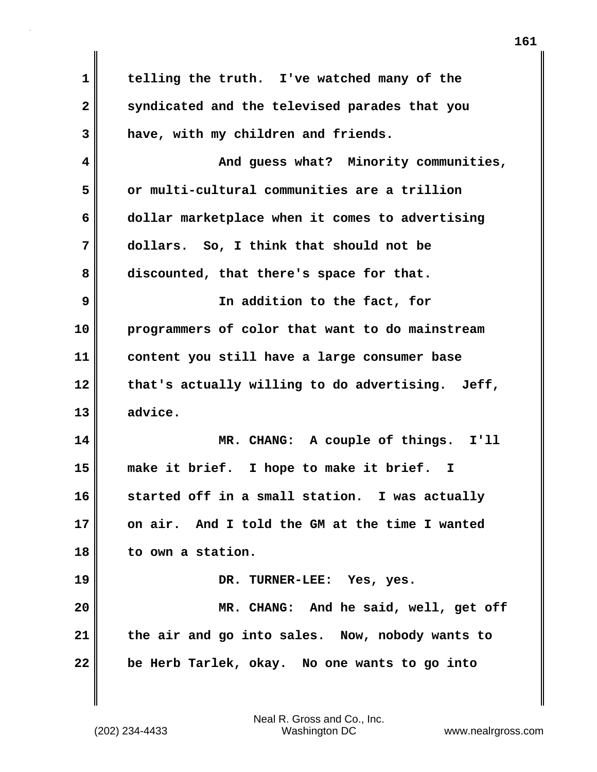**1 telling the truth. I've watched many of the 2 syndicated and the televised parades that you 3 have, with my children and friends. 4 And guess what? Minority communities, 5 or multi-cultural communities are a trillion 6 dollar marketplace when it comes to advertising 7 dollars. So, I think that should not be 8 discounted, that there's space for that. 9 In addition to the fact, for 10 programmers of color that want to do mainstream 11 content you still have a large consumer base 12 that's actually willing to do advertising. Jeff, 13 advice. 14 MR. CHANG: A couple of things. I'll 15 make it brief. I hope to make it brief. I 16 started off in a small station. I was actually 17 on air. And I told the GM at the time I wanted 18 to own a station. 19 DR. TURNER-LEE: Yes, yes. 20 MR. CHANG: And he said, well, get off 21 the air and go into sales. Now, nobody wants to 22 be Herb Tarlek, okay. No one wants to go into**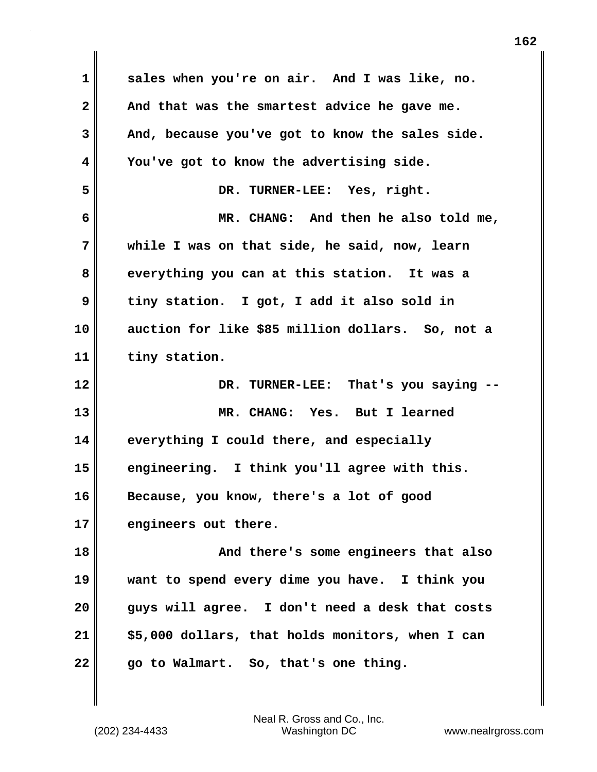**1 sales when you're on air. And I was like, no. 2 And that was the smartest advice he gave me. 3 And, because you've got to know the sales side. 4 You've got to know the advertising side. 5 DR. TURNER-LEE: Yes, right. 6 MR. CHANG: And then he also told me, 7 while I was on that side, he said, now, learn 8 everything you can at this station. It was a 9 tiny station. I got, I add it also sold in 10 auction for like \$85 million dollars. So, not a 11 tiny station. 12 DR. TURNER-LEE: That's you saying -- 13 MR. CHANG: Yes. But I learned 14 everything I could there, and especially 15 engineering. I think you'll agree with this. 16 Because, you know, there's a lot of good 17 engineers out there. 18 And there's some engineers that also 19 want to spend every dime you have. I think you 20 guys will agree. I don't need a desk that costs 21 \$5,000 dollars, that holds monitors, when I can 22 go to Walmart. So, that's one thing.**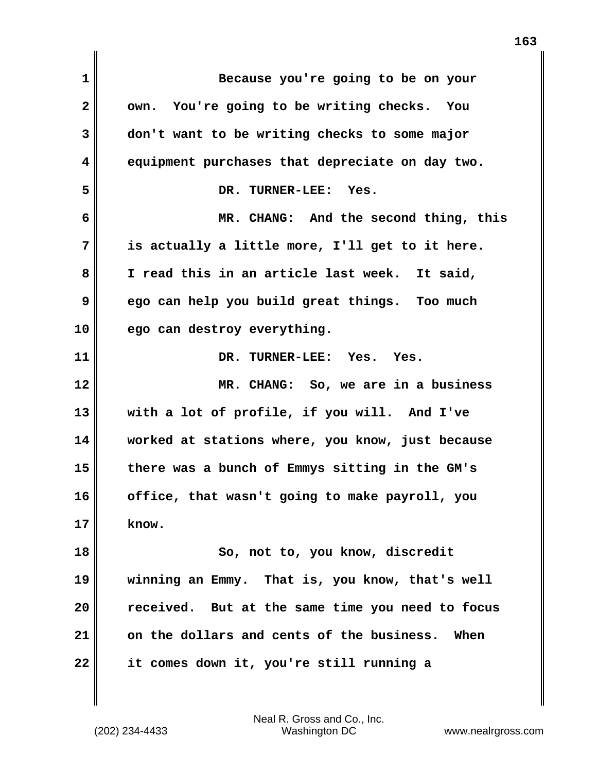| $\mathbf 1$  | Because you're going to be on your                |
|--------------|---------------------------------------------------|
| $\mathbf{2}$ | own. You're going to be writing checks. You       |
| 3            | don't want to be writing checks to some major     |
| 4            | equipment purchases that depreciate on day two.   |
| 5            | DR. TURNER-LEE:<br>Yes.                           |
| 6            | MR. CHANG: And the second thing, this             |
| 7            | is actually a little more, I'll get to it here.   |
| 8            | I read this in an article last week. It said,     |
| 9            | ego can help you build great things. Too much     |
| 10           | ego can destroy everything.                       |
| 11           | DR. TURNER-LEE: Yes. Yes.                         |
| 12           | MR. CHANG: So, we are in a business               |
| 13           | with a lot of profile, if you will. And I've      |
| 14           | worked at stations where, you know, just because  |
| 15           | there was a bunch of Emmys sitting in the GM's    |
| 16           | office, that wasn't going to make payroll, you    |
| 17           | know.                                             |
| 18           | So, not to, you know, discredit                   |
| 19           | winning an Emmy. That is, you know, that's well   |
| 20           | received. But at the same time you need to focus  |
| 21           | on the dollars and cents of the business.<br>When |
|              |                                                   |

 $\mathbf{I}$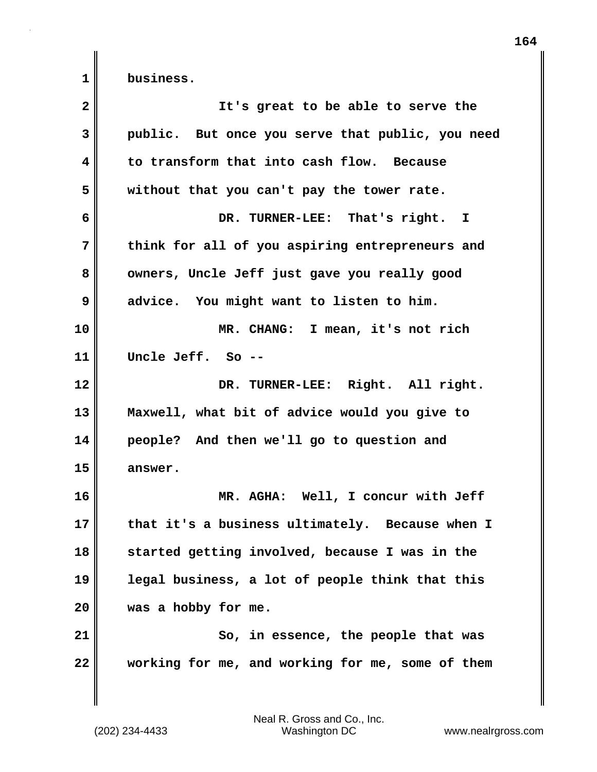| $\overline{\mathbf{2}}$ | It's great to be able to serve the               |
|-------------------------|--------------------------------------------------|
| 3                       | public. But once you serve that public, you need |
| 4                       | to transform that into cash flow. Because        |
| 5                       | without that you can't pay the tower rate.       |
| 6                       | DR. TURNER-LEE: That's right. I                  |
| 7                       | think for all of you aspiring entrepreneurs and  |
| 8                       | owners, Uncle Jeff just gave you really good     |
| 9                       | advice. You might want to listen to him.         |
| 10                      | MR. CHANG: I mean, it's not rich                 |
| 11                      | Uncle Jeff. So --                                |
| 12                      | DR. TURNER-LEE: Right. All right.                |
| 13                      | Maxwell, what bit of advice would you give to    |
| 14                      | people? And then we'll go to question and        |
| 15                      | answer.                                          |
| 16                      | MR. AGHA: Well, I concur with Jeff               |
| 17                      | that it's a business ultimately. Because when I  |
| 18                      | started getting involved, because I was in the   |
| 19                      | legal business, a lot of people think that this  |
| 20                      | was a hobby for me.                              |
| 21                      | So, in essence, the people that was              |
| 22                      | working for me, and working for me, some of them |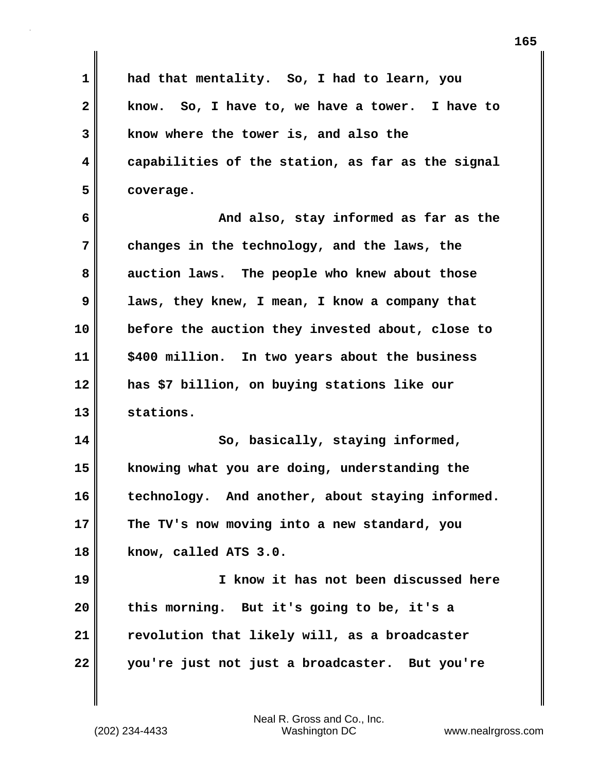**1 had that mentality. So, I had to learn, you 2 know. So, I have to, we have a tower. I have to 3 know where the tower is, and also the 4 capabilities of the station, as far as the signal 5 coverage.**

**6 And also, stay informed as far as the 7 changes in the technology, and the laws, the 8 auction laws. The people who knew about those 9 laws, they knew, I mean, I know a company that 10 before the auction they invested about, close to 11 \$400 million. In two years about the business 12 has \$7 billion, on buying stations like our 13 stations.**

14 So, basically, staying informed, **15 knowing what you are doing, understanding the 16 technology. And another, about staying informed. 17 The TV's now moving into a new standard, you 18 know, called ATS 3.0.**

**19 I know it has not been discussed here 20 this morning. But it's going to be, it's a 21 revolution that likely will, as a broadcaster 22 you're just not just a broadcaster. But you're**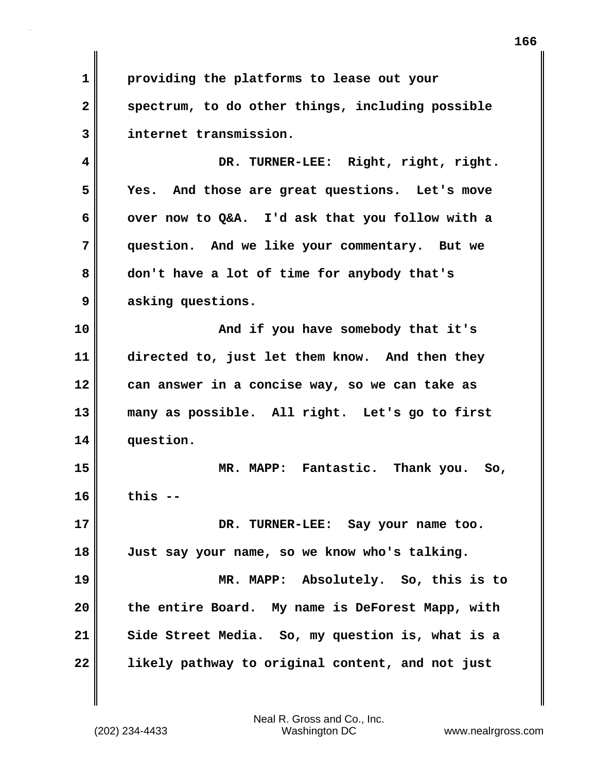**1 providing the platforms to lease out your 2 spectrum, to do other things, including possible 3 internet transmission.**

**4 DR. TURNER-LEE: Right, right, right. 5 Yes. And those are great questions. Let's move 6 over now to Q&A. I'd ask that you follow with a 7 question. And we like your commentary. But we 8 don't have a lot of time for anybody that's 9 asking questions.**

**10 And if you have somebody that it's 11 directed to, just let them know. And then they 12 can answer in a concise way, so we can take as 13 many as possible. All right. Let's go to first 14 question.**

**15 MR. MAPP: Fantastic. Thank you. So, 16 this --**

**17 DR. TURNER-LEE: Say your name too. 18 Just say your name, so we know who's talking.**

**19 MR. MAPP: Absolutely. So, this is to 20 the entire Board. My name is DeForest Mapp, with 21 Side Street Media. So, my question is, what is a 22 likely pathway to original content, and not just**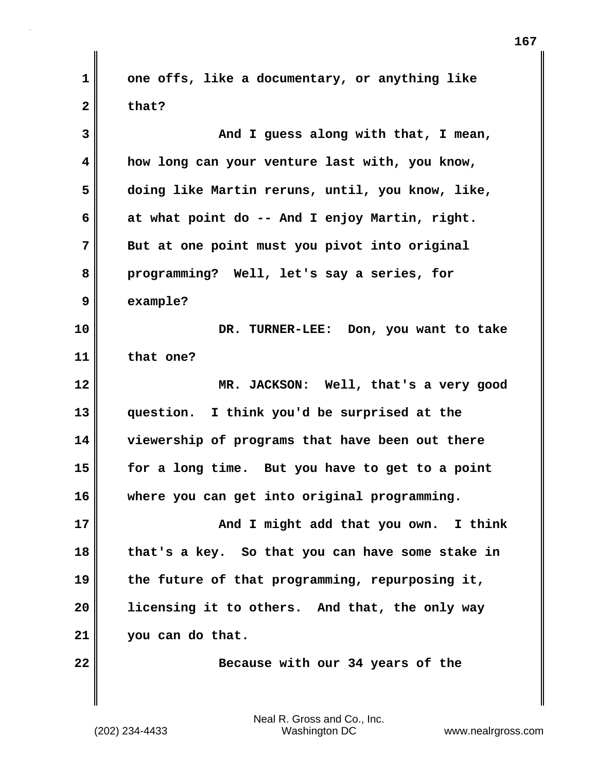**1 one offs, like a documentary, or anything like 2 that?**

**3 And I guess along with that, I mean, 4 how long can your venture last with, you know, 5 doing like Martin reruns, until, you know, like, 6 at what point do -- And I enjoy Martin, right. 7 But at one point must you pivot into original 8 programming? Well, let's say a series, for 9 example? 10 DR. TURNER-LEE: Don, you want to take 11 that one? 12 MR. JACKSON: Well, that's a very good 13 question. I think you'd be surprised at the 14 viewership of programs that have been out there 15 for a long time. But you have to get to a point 16 where you can get into original programming. 17 And I might add that you own.** I think **18 that's a key. So that you can have some stake in 19 the future of that programming, repurposing it, 20 licensing it to others. And that, the only way 21 you can do that. 22** Because with our 34 years of the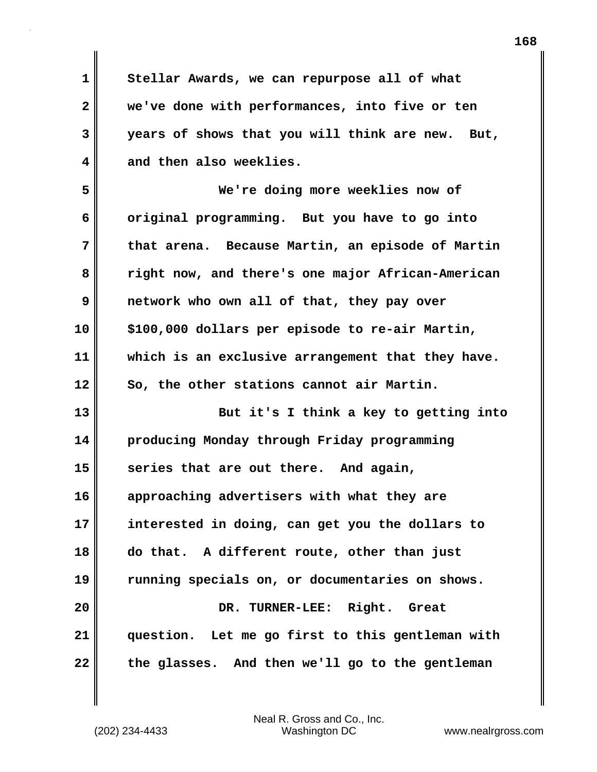**1 Stellar Awards, we can repurpose all of what 2 we've done with performances, into five or ten 3 years of shows that you will think are new. But, 4 and then also weeklies.**

**5 We're doing more weeklies now of 6 original programming. But you have to go into 7 that arena. Because Martin, an episode of Martin 8 right now, and there's one major African-American 9 network who own all of that, they pay over 10 \$100,000 dollars per episode to re-air Martin, 11 which is an exclusive arrangement that they have. 12 So, the other stations cannot air Martin.**

**13 But it's I think a key to getting into 14 producing Monday through Friday programming 15 series that are out there. And again, 16 approaching advertisers with what they are 17 interested in doing, can get you the dollars to 18 do that. A different route, other than just 19 running specials on, or documentaries on shows. 20 DR. TURNER-LEE: Right. Great 21 question. Let me go first to this gentleman with 22 the glasses. And then we'll go to the gentleman**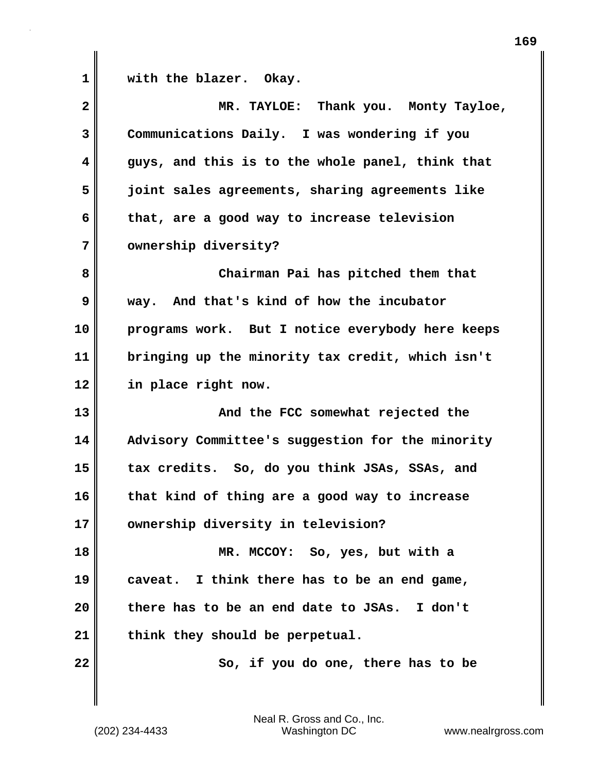1 **with the blazer.** Okay.

| $\overline{\mathbf{2}}$ | MR. TAYLOE: Thank you. Monty Tayloe,             |
|-------------------------|--------------------------------------------------|
| 3                       | Communications Daily. I was wondering if you     |
| 4                       | guys, and this is to the whole panel, think that |
| 5                       | joint sales agreements, sharing agreements like  |
| 6                       | that, are a good way to increase television      |
| 7                       | ownership diversity?                             |
| 8                       | Chairman Pai has pitched them that               |
| 9                       | way. And that's kind of how the incubator        |
| 10                      | programs work. But I notice everybody here keeps |
| 11                      | bringing up the minority tax credit, which isn't |
| 12                      | in place right now.                              |
| 13                      | And the FCC somewhat rejected the                |
| 14                      | Advisory Committee's suggestion for the minority |
| 15                      | tax credits. So, do you think JSAs, SSAs, and    |
| 16                      | that kind of thing are a good way to increase    |
| 17                      | ownership diversity in television?               |
| 18                      | MR. MCCOY: So, yes, but with a                   |
| 19                      | caveat. I think there has to be an end game,     |
|                         | there has to be an end date to JSAs. I don't     |
| 20                      |                                                  |
| 21                      | think they should be perpetual.                  |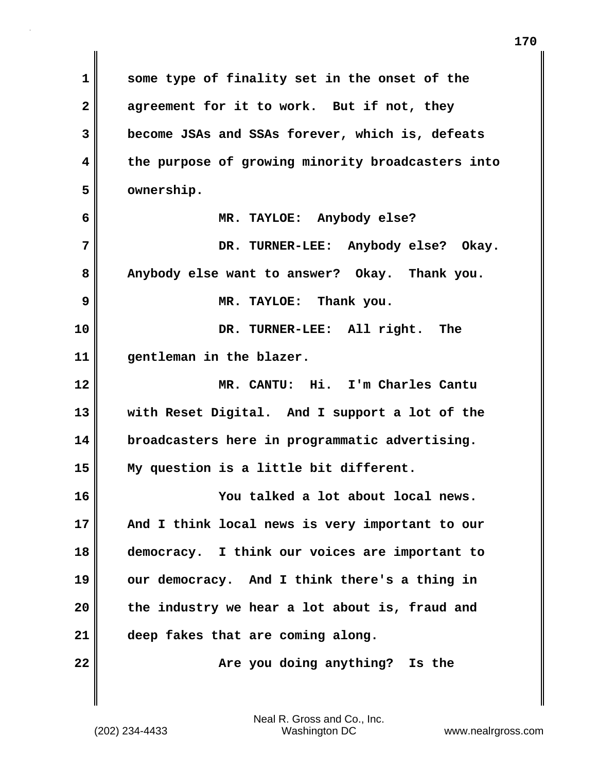**1 some type of finality set in the onset of the 2 agreement for it to work. But if not, they 3 become JSAs and SSAs forever, which is, defeats 4 the purpose of growing minority broadcasters into 5 ownership. 6 MR. TAYLOE: Anybody else? 7 DR. TURNER-LEE: Anybody else? Okay. 8 Anybody else want to answer? Okay. Thank you. 9 MR. TAYLOE: Thank you. 10 DR. TURNER-LEE: All right. The 11 gentleman in the blazer. 12 MR. CANTU: Hi. I'm Charles Cantu 13 with Reset Digital. And I support a lot of the 14 broadcasters here in programmatic advertising. 15 My question is a little bit different. 16 You talked a lot about local news. 17 And I think local news is very important to our 18 democracy. I think our voices are important to 19 our democracy. And I think there's a thing in 20 the industry we hear a lot about is, fraud and 21 deep fakes that are coming along. 22** Merryou doing anything? Is the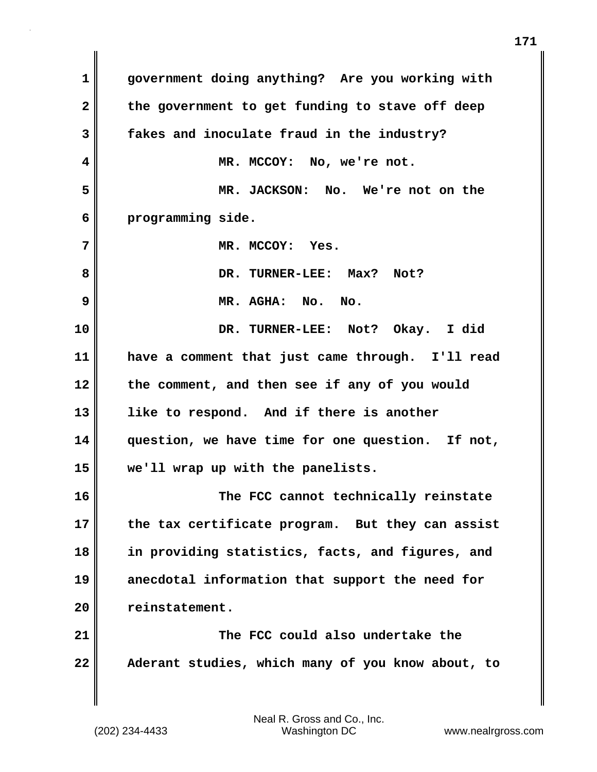**1 government doing anything? Are you working with** 2 the government to get funding to stave off deep **3 fakes and inoculate fraud in the industry? 4 MR. MCCOY: No, we're not. 5 MR. JACKSON: No. We're not on the 6 programming side. 7 MR. MCCOY: Yes. 8 DR. TURNER-LEE: Max? Not? 9 MR. AGHA: No. No. 10 DR. TURNER-LEE: Not? Okay. I did 11 have a comment that just came through. I'll read 12 the comment, and then see if any of you would 13 like to respond. And if there is another 14 question, we have time for one question. If not, 15 we'll wrap up with the panelists. 16 The FCC cannot technically reinstate 17 the tax certificate program. But they can assist 18 in providing statistics, facts, and figures, and 19 anecdotal information that support the need for 20 reinstatement. 21 The FCC could also undertake the 22 Aderant studies, which many of you know about, to**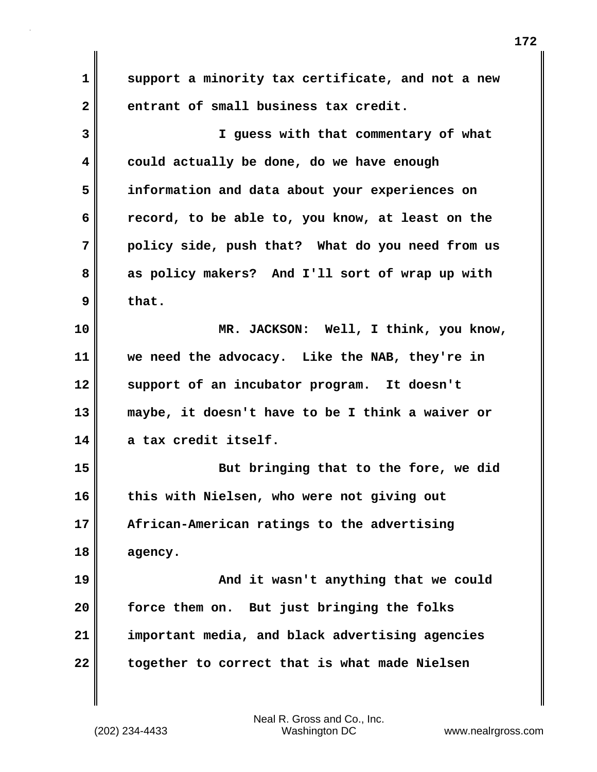**1 support a minority tax certificate, and not a new 2 entrant of small business tax credit. 3 I guess with that commentary of what 4 could actually be done, do we have enough 5 information and data about your experiences on 6 record, to be able to, you know, at least on the 7 policy side, push that? What do you need from us 8 as policy makers? And I'll sort of wrap up with 9 that. 10 MR. JACKSON: Well, I think, you know, 11 we need the advocacy. Like the NAB, they're in 12 support of an incubator program. It doesn't 13 maybe, it doesn't have to be I think a waiver or 14 a tax credit itself. 15 But bringing that to the fore, we did 16 this with Nielsen, who were not giving out 17 African-American ratings to the advertising 18 agency. 19 And it wasn't anything that we could 20 force them on. But just bringing the folks 21 important media, and black advertising agencies 22 together to correct that is what made Nielsen**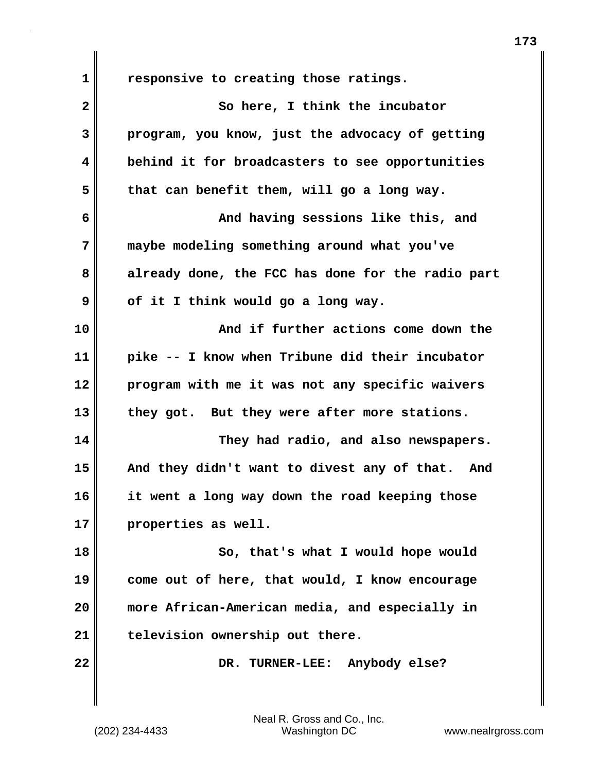**1 responsive to creating those ratings. 2** So here, I think the incubator **3 program, you know, just the advocacy of getting 4 behind it for broadcasters to see opportunities 5 that can benefit them, will go a long way. 6 And having sessions like this, and 7 maybe modeling something around what you've 8 already done, the FCC has done for the radio part 9 of it I think would go a long way. 10 And if further actions come down the 11 pike -- I know when Tribune did their incubator 12 program with me it was not any specific waivers 13 they got. But they were after more stations. 14 They had radio, and also newspapers. 15 And they didn't want to divest any of that. And 16 it went a long way down the road keeping those 17 properties as well. 18 So, that's what I would hope would 19 come out of here, that would, I know encourage 20 more African-American media, and especially in 21 television ownership out there. 22 DR. TURNER-LEE: Anybody else?**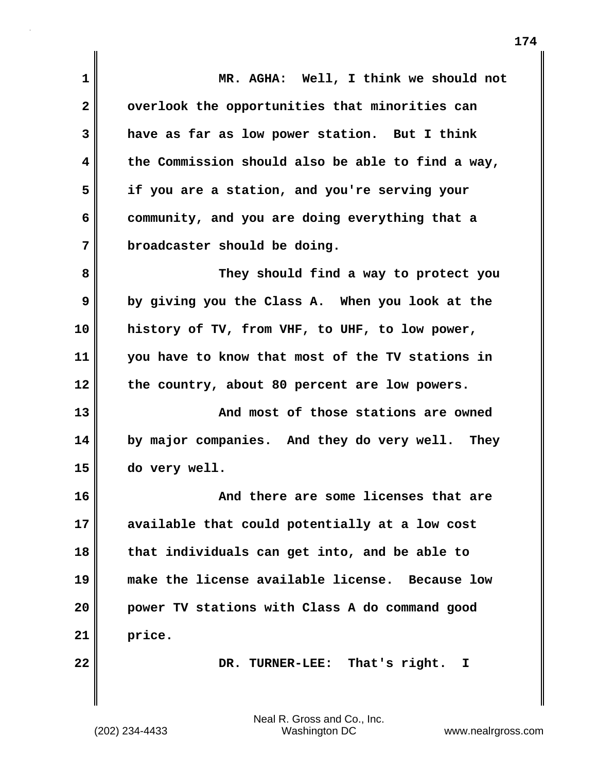**1 MR. AGHA: Well, I think we should not 2 overlook the opportunities that minorities can 3 have as far as low power station. But I think 4 the Commission should also be able to find a way, 5 if you are a station, and you're serving your 6 community, and you are doing everything that a 7 broadcaster should be doing. 8 They should find a way to protect you 9 by giving you the Class A. When you look at the 10 history of TV, from VHF, to UHF, to low power, 11 you have to know that most of the TV stations in 12 the country, about 80 percent are low powers. 13 And most of those stations are owned 14 by major companies. And they do very well. They 15 do very well. 16 And there are some licenses that are 17 available that could potentially at a low cost 18 that individuals can get into, and be able to 19 make the license available license. Because low 20 power TV stations with Class A do command good 21 price. 22 DR. TURNER-LEE: That's right. I**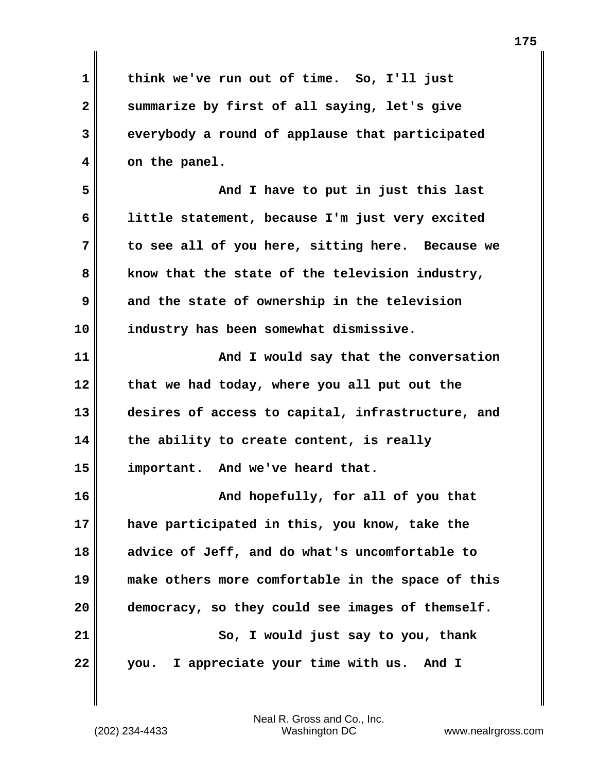| 1  | think we've run out of time. So, I'll just        |
|----|---------------------------------------------------|
| 2  | summarize by first of all saying, let's give      |
| 3  | everybody a round of applause that participated   |
| 4  | on the panel.                                     |
| 5  | And I have to put in just this last               |
| 6  | little statement, because I'm just very excited   |
| 7  | to see all of you here, sitting here. Because we  |
| 8  | know that the state of the television industry,   |
| 9  | and the state of ownership in the television      |
| 10 | industry has been somewhat dismissive.            |
| 11 | And I would say that the conversation             |
| 12 | that we had today, where you all put out the      |
| 13 | desires of access to capital, infrastructure, and |
| 14 | the ability to create content, is really          |
| 15 | important. And we've heard that.                  |
| 16 | And hopefully, for all of you that                |
| 17 | have participated in this, you know, take the     |
| 18 | advice of Jeff, and do what's uncomfortable to    |
| 19 | make others more comfortable in the space of this |
| 20 | democracy, so they could see images of themself.  |
| 21 | So, I would just say to you, thank                |
| 22 | I appreciate your time with us.<br>And I<br>you.  |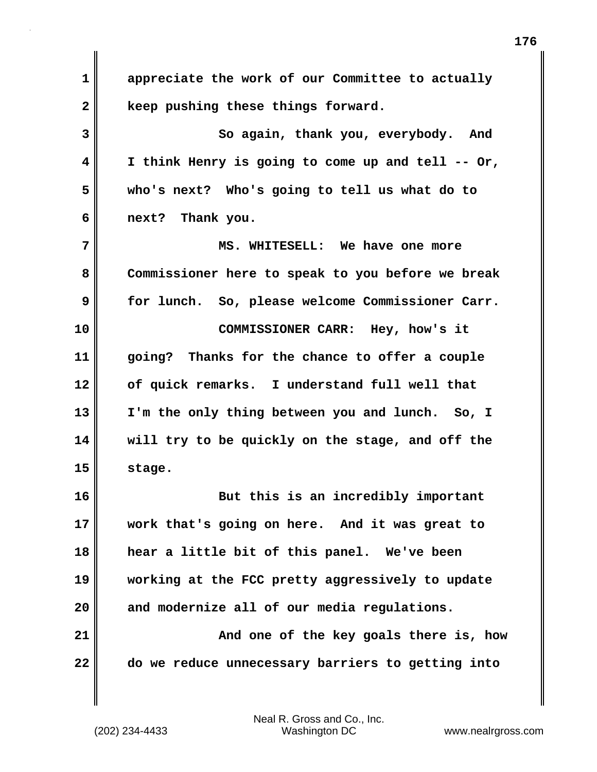**1 appreciate the work of our Committee to actually 2 keep pushing these things forward. 3** So again, thank you, everybody. And **4 I think Henry is going to come up and tell -- Or, 5 who's next? Who's going to tell us what do to 6 next? Thank you. 7 MS. WHITESELL: We have one more 8 Commissioner here to speak to you before we break 9 for lunch. So, please welcome Commissioner Carr. 10 COMMISSIONER CARR: Hey, how's it 11 going? Thanks for the chance to offer a couple 12 of quick remarks. I understand full well that 13 I'm the only thing between you and lunch. So, I 14 will try to be quickly on the stage, and off the 15 stage. 16 But this is an incredibly important 17 work that's going on here. And it was great to 18 hear a little bit of this panel. We've been 19 working at the FCC pretty aggressively to update 20 and modernize all of our media regulations. 21 And one of the key goals there is, how 22 do we reduce unnecessary barriers to getting into**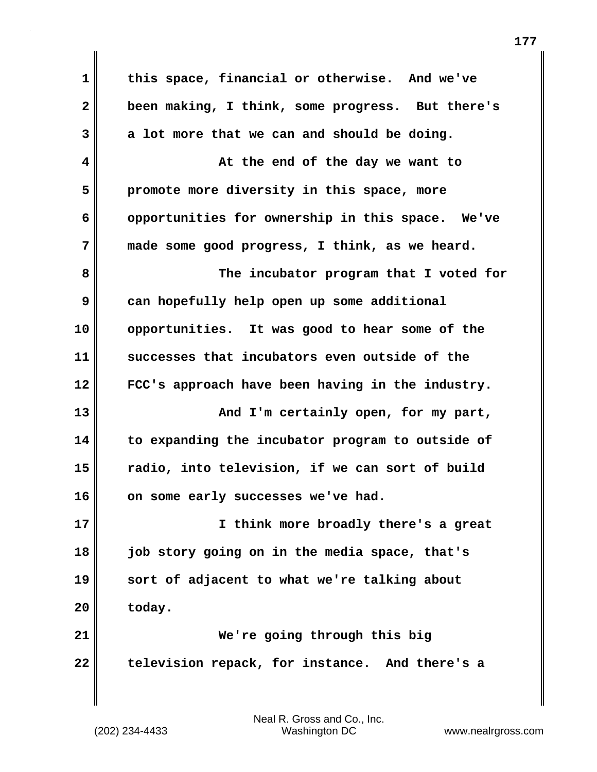**1 this space, financial or otherwise. And we've 2 been making, I think, some progress. But there's 3 a lot more that we can and should be doing. 4 At the end of the day we want to 5 promote more diversity in this space, more 6 opportunities for ownership in this space. We've 7 made some good progress, I think, as we heard. 8 The incubator program that I voted for 9 can hopefully help open up some additional 10 opportunities. It was good to hear some of the 11 successes that incubators even outside of the 12 FCC's approach have been having in the industry. 13 And I'm certainly open, for my part, 14 to expanding the incubator program to outside of 15 radio, into television, if we can sort of build** 16 on some early successes we've had. **17 I think more broadly there's a great 18 job story going on in the media space, that's 19 sort of adjacent to what we're talking about** 20 today. **21 We're going through this big 22 television repack, for instance. And there's a**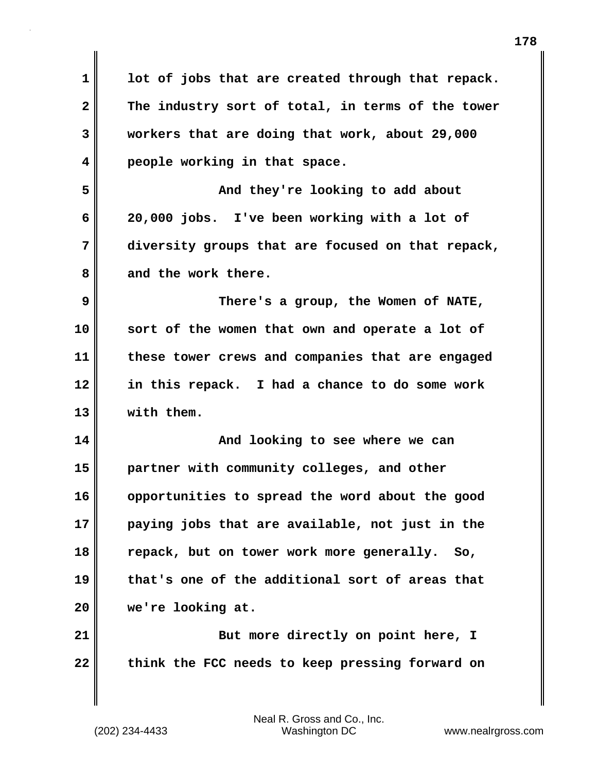**1 lot of jobs that are created through that repack. 2 The industry sort of total, in terms of the tower 3 workers that are doing that work, about 29,000 4 people working in that space. 5 And they're looking to add about 6 20,000 jobs. I've been working with a lot of 7 diversity groups that are focused on that repack, 8 and the work there. 9 There's a group, the Women of NATE, 10 sort of the women that own and operate a lot of 11 these tower crews and companies that are engaged 12 in this repack. I had a chance to do some work 13 with them. 14 And looking to see where we can 15 partner with community colleges, and other 16 opportunities to spread the word about the good 17 paying jobs that are available, not just in the 18 repack, but on tower work more generally. So, 19 that's one of the additional sort of areas that 20 we're looking at. 21** But more directly on point here, I **22 think the FCC needs to keep pressing forward on**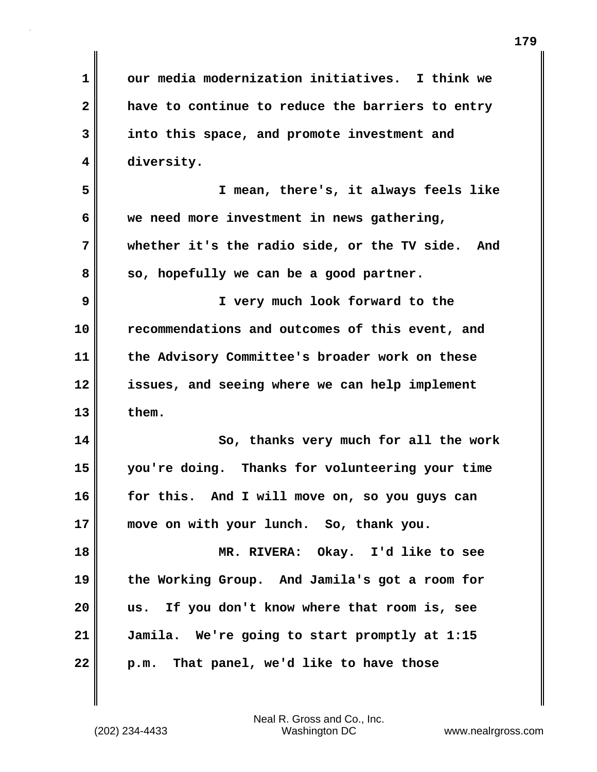| $\mathbf{1}$ | our media modernization initiatives. I think we     |
|--------------|-----------------------------------------------------|
| $\mathbf{2}$ | have to continue to reduce the barriers to entry    |
| 3            | into this space, and promote investment and         |
| 4            | diversity.                                          |
| 5            | I mean, there's, it always feels like               |
| 6            | we need more investment in news gathering,          |
| 7            | whether it's the radio side, or the TV side.<br>And |
| 8            | so, hopefully we can be a good partner.             |
| 9            | I very much look forward to the                     |
| 10           | recommendations and outcomes of this event, and     |
| 11           | the Advisory Committee's broader work on these      |
| 12           | issues, and seeing where we can help implement      |
| 13           | them.                                               |
| 14           | So, thanks very much for all the work               |
| 15           | you're doing. Thanks for volunteering your time     |
| 16           | for this. And I will move on, so you guys can       |
| 17           | move on with your lunch. So, thank you.             |
| 18           | MR. RIVERA: Okay. I'd like to see                   |
| 19           | the Working Group. And Jamila's got a room for      |
| 20           | us. If you don't know where that room is, see       |
| 21           | Jamila. We're going to start promptly at 1:15       |
| 22           | p.m. That panel, we'd like to have those            |

 $\mathbf{I}$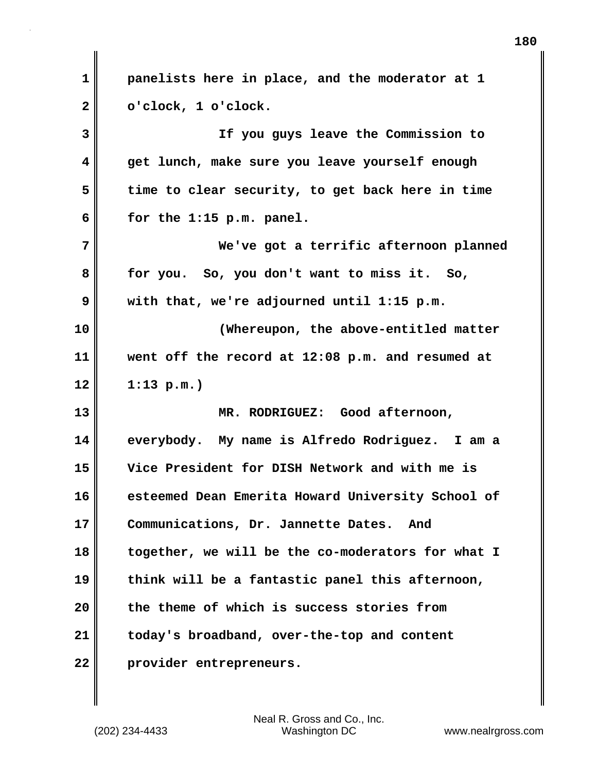**1 panelists here in place, and the moderator at 1 2 o'clock, 1 o'clock. 3 If you guys leave the Commission to 4 get lunch, make sure you leave yourself enough 5 time to clear security, to get back here in time 6 for the 1:15 p.m. panel. 7 We've got a terrific afternoon planned 8 for you. So, you don't want to miss it. So, 9 with that, we're adjourned until 1:15 p.m. 10 (Whereupon, the above-entitled matter 11 went off the record at 12:08 p.m. and resumed at 12 1:13 p.m.) 13 MR. RODRIGUEZ: Good afternoon, 14 everybody. My name is Alfredo Rodriguez. I am a 15 Vice President for DISH Network and with me is 16 esteemed Dean Emerita Howard University School of 17 Communications, Dr. Jannette Dates. And 18 together, we will be the co-moderators for what I 19 think will be a fantastic panel this afternoon, 20 the theme of which is success stories from 21 today's broadband, over-the-top and content 22 provider entrepreneurs.**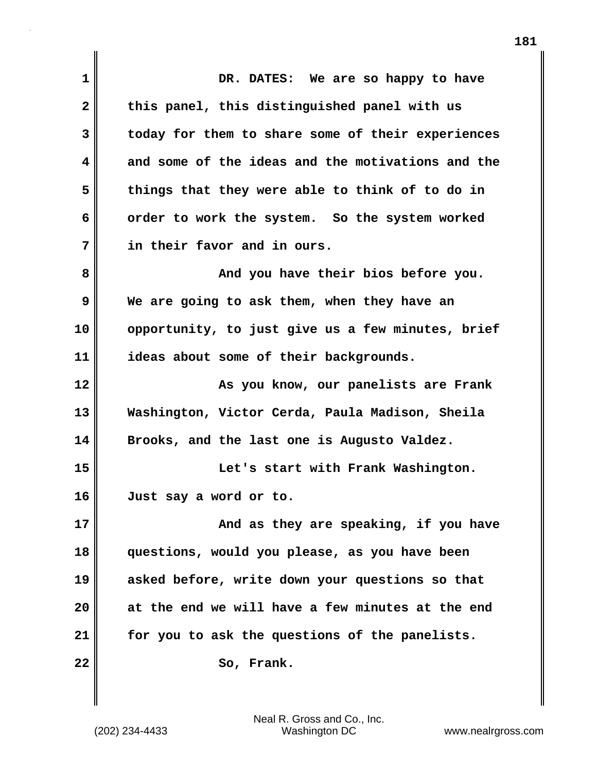**1 DR. DATES: We are so happy to have 2 this panel, this distinguished panel with us 3 today for them to share some of their experiences 4 and some of the ideas and the motivations and the 5 things that they were able to think of to do in 6 order to work the system. So the system worked 7 in their favor and in ours. 8 And you have their bios before you. 9 We are going to ask them, when they have an 10 opportunity, to just give us a few minutes, brief 11 ideas about some of their backgrounds. 12 As you know, our panelists are Frank 13 Washington, Victor Cerda, Paula Madison, Sheila 14 Brooks, and the last one is Augusto Valdez. 15 Let's start with Frank Washington. 16 Just say a word or to. 17 And as they are speaking, if you have 18 questions, would you please, as you have been 19 asked before, write down your questions so that 20 at the end we will have a few minutes at the end 21 for you to ask the questions of the panelists.** 22 So, Frank.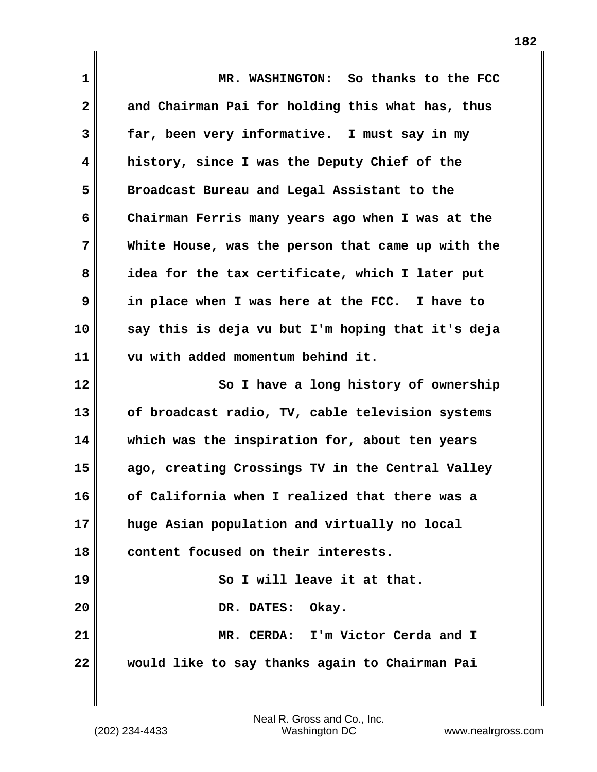| $\mathbf 1$                | MR. WASHINGTON: So thanks to the FCC              |
|----------------------------|---------------------------------------------------|
| $\mathbf{2}$               | and Chairman Pai for holding this what has, thus  |
| 3                          | far, been very informative. I must say in my      |
| 4                          | history, since I was the Deputy Chief of the      |
| 5                          | Broadcast Bureau and Legal Assistant to the       |
| 6                          | Chairman Ferris many years ago when I was at the  |
| 7                          | White House, was the person that came up with the |
| 8                          | idea for the tax certificate, which I later put   |
| 9                          | in place when I was here at the FCC. I have to    |
| 10                         | say this is deja vu but I'm hoping that it's deja |
| 11                         | vu with added momentum behind it.                 |
| 12                         | So I have a long history of ownership             |
| 13                         | of broadcast radio, TV, cable television systems  |
| 14                         |                                                   |
|                            | which was the inspiration for, about ten years    |
|                            | ago, creating Crossings TV in the Central Valley  |
|                            | of California when I realized that there was a    |
|                            | huge Asian population and virtually no local      |
|                            | content focused on their interests.               |
| 15<br>16<br>17<br>18<br>19 | So I will leave it at that.                       |
| 20                         | DR. DATES: Okay.                                  |
| 21                         | MR. CERDA: I'm Victor Cerda and I                 |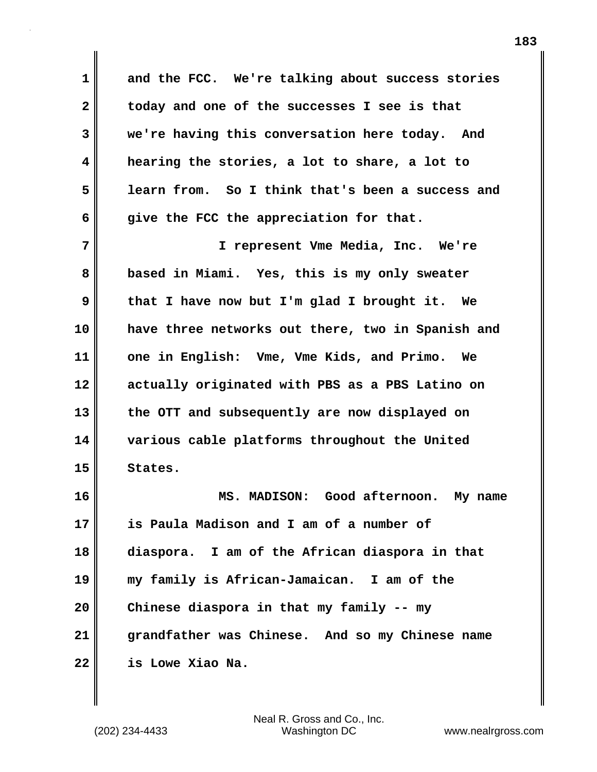**1 and the FCC. We're talking about success stories 2 today and one of the successes I see is that 3 we're having this conversation here today. And 4 hearing the stories, a lot to share, a lot to 5 learn from. So I think that's been a success and 6 give the FCC the appreciation for that.**

**7 I represent Vme Media, Inc. We're 8 based in Miami. Yes, this is my only sweater 9 that I have now but I'm glad I brought it. We 10 have three networks out there, two in Spanish and 11 one in English: Vme, Vme Kids, and Primo. We 12 actually originated with PBS as a PBS Latino on 13 the OTT and subsequently are now displayed on 14 various cable platforms throughout the United 15 States.**

**16 MS. MADISON: Good afternoon. My name 17 is Paula Madison and I am of a number of 18 diaspora. I am of the African diaspora in that 19 my family is African-Jamaican. I am of the 20 Chinese diaspora in that my family -- my 21 grandfather was Chinese. And so my Chinese name 22 is Lowe Xiao Na.**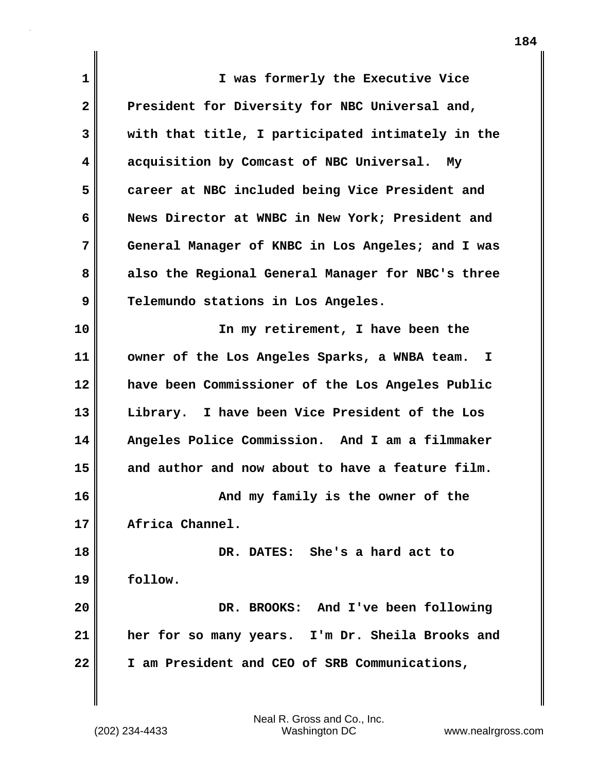| $\mathbf 1$  | I was formerly the Executive Vice                  |
|--------------|----------------------------------------------------|
| $\mathbf{2}$ | President for Diversity for NBC Universal and,     |
| 3            | with that title, I participated intimately in the  |
| 4            | acquisition by Comcast of NBC Universal.<br>My     |
| 5            | career at NBC included being Vice President and    |
| 6            | News Director at WNBC in New York; President and   |
| 7            | General Manager of KNBC in Los Angeles; and I was  |
| 8            | also the Regional General Manager for NBC's three  |
| 9            | Telemundo stations in Los Angeles.                 |
| 10           | In my retirement, I have been the                  |
| 11           | owner of the Los Angeles Sparks, a WNBA team.<br>I |
| 12           | have been Commissioner of the Los Angeles Public   |
| 13           | Library. I have been Vice President of the Los     |
| 14           | Angeles Police Commission. And I am a filmmaker    |
| 15           | and author and now about to have a feature film.   |
| 16           | And my family is the owner of the                  |
| 17           | Africa Channel.                                    |
| 18           | DR. DATES: She's a hard act to                     |
| 19           | follow.                                            |
| 20           | DR. BROOKS: And I've been following                |
| 21           | her for so many years. I'm Dr. Sheila Brooks and   |
| 22           | I am President and CEO of SRB Communications,      |
|              |                                                    |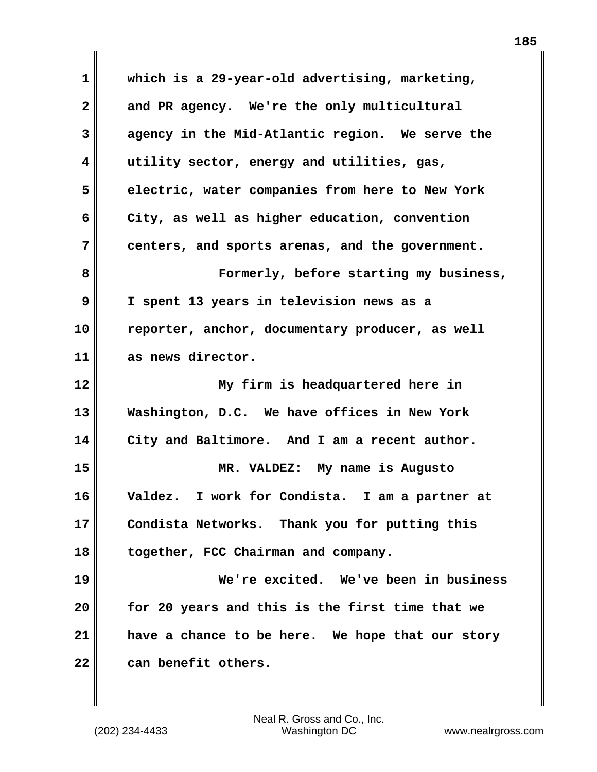**1 which is a 29-year-old advertising, marketing, 2 and PR agency. We're the only multicultural 3 agency in the Mid-Atlantic region. We serve the 4 utility sector, energy and utilities, gas, 5 electric, water companies from here to New York 6 City, as well as higher education, convention 7 centers, and sports arenas, and the government. 8 Formerly, before starting my business, 9 I spent 13 years in television news as a 10 reporter, anchor, documentary producer, as well 11 as news director. 12 My firm is headquartered here in 13 Washington, D.C. We have offices in New York 14 City and Baltimore. And I am a recent author. 15 MR. VALDEZ: My name is Augusto 16 Valdez. I work for Condista. I am a partner at 17 Condista Networks. Thank you for putting this 18 together, FCC Chairman and company. 19 We're excited. We've been in business 20 for 20 years and this is the first time that we 21 have a chance to be here. We hope that our story 22 can benefit others.**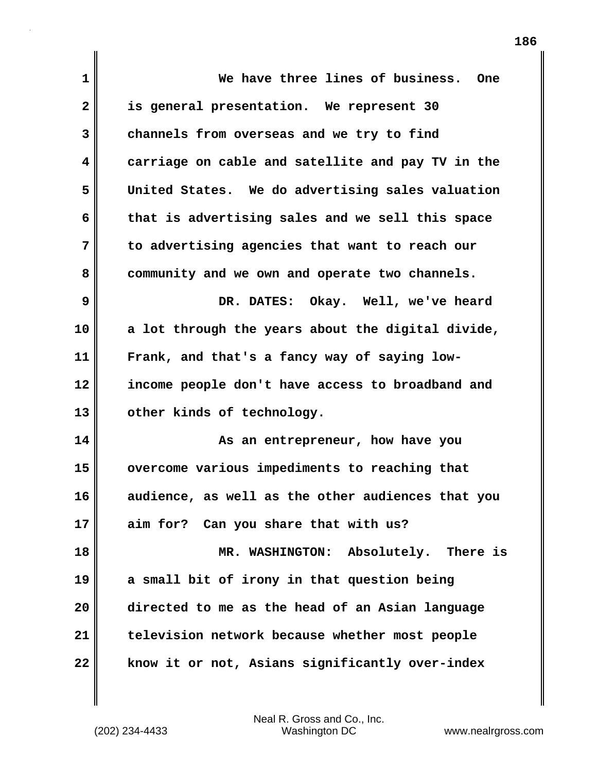| 1  | We have three lines of business.<br><b>One</b>    |
|----|---------------------------------------------------|
| 2  | is general presentation. We represent 30          |
| 3  | channels from overseas and we try to find         |
| 4  | carriage on cable and satellite and pay TV in the |
| 5  | United States. We do advertising sales valuation  |
| 6  | that is advertising sales and we sell this space  |
| 7  | to advertising agencies that want to reach our    |
| 8  | community and we own and operate two channels.    |
| 9  | DR. DATES: Okay. Well, we've heard                |
| 10 | a lot through the years about the digital divide, |
| 11 | Frank, and that's a fancy way of saying low-      |
| 12 | income people don't have access to broadband and  |
| 13 | other kinds of technology.                        |
| 14 | As an entrepreneur, how have you                  |
| 15 | overcome various impediments to reaching that     |
| 16 | audience, as well as the other audiences that you |
| 17 | aim for? Can you share that with us?              |
| 18 | MR. WASHINGTON: Absolutely. There is              |
| 19 | a small bit of irony in that question being       |
| 20 | directed to me as the head of an Asian language   |
| 21 | television network because whether most people    |
| 22 | know it or not, Asians significantly over-index   |

(202) 234-4433 Washington DC www.nealrgross.com Neal R. Gross and Co., Inc.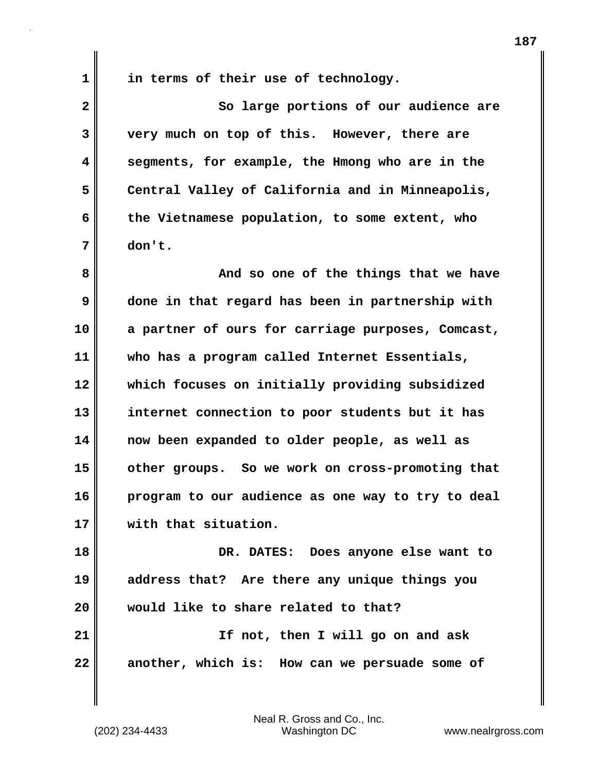**1 in terms of their use of technology.** 

**2** So large portions of our audience are **3 very much on top of this. However, there are 4 segments, for example, the Hmong who are in the 5 Central Valley of California and in Minneapolis, 6 the Vietnamese population, to some extent, who 7 don't.**

**8 And so one of the things that we have 9 done in that regard has been in partnership with 10 a partner of ours for carriage purposes, Comcast, 11 who has a program called Internet Essentials, 12 which focuses on initially providing subsidized 13 internet connection to poor students but it has 14 now been expanded to older people, as well as 15 other groups. So we work on cross-promoting that 16 program to our audience as one way to try to deal 17 with that situation.**

**18 DR. DATES: Does anyone else want to 19 address that? Are there any unique things you 20 would like to share related to that? 21 If not, then I will go on and ask 22 another, which is: How can we persuade some of**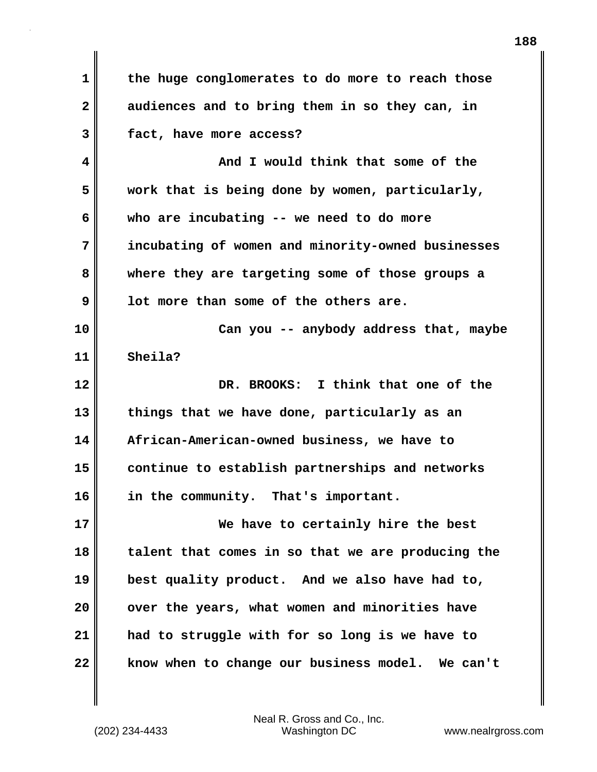**1 the huge conglomerates to do more to reach those 2 audiences and to bring them in so they can, in 3 fact, have more access? 4 And I would think that some of the 5 work that is being done by women, particularly, 6 who are incubating -- we need to do more 7 incubating of women and minority-owned businesses 8 where they are targeting some of those groups a 9 lot more than some of the others are. 10 Can you -- anybody address that, maybe 11 Sheila? 12 DR. BROOKS: I think that one of the 13 things that we have done, particularly as an 14 African-American-owned business, we have to 15 continue to establish partnerships and networks 16 in the community. That's important. 17 We have to certainly hire the best 18 talent that comes in so that we are producing the 19 best quality product. And we also have had to, 20 over the years, what women and minorities have 21 had to struggle with for so long is we have to 22 know when to change our business model. We can't**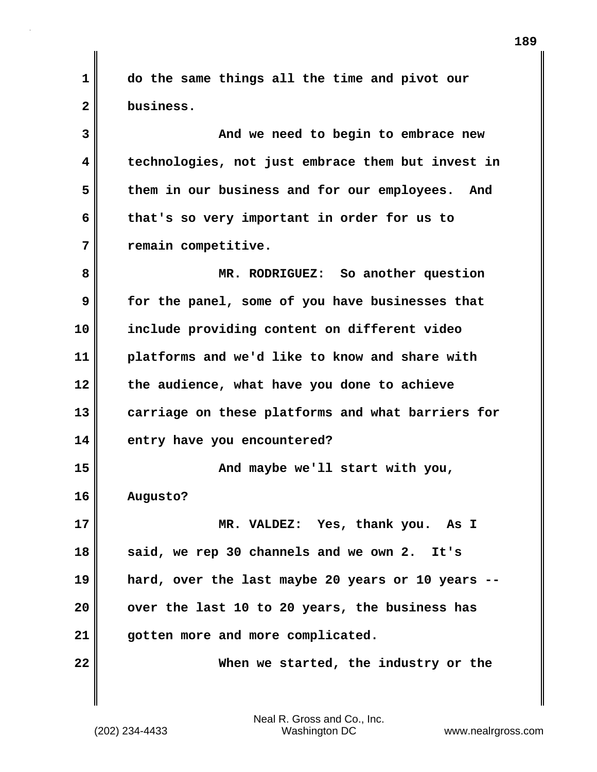**1 do the same things all the time and pivot our 2 business.** 

**3 And we need to begin to embrace new 4 technologies, not just embrace them but invest in 5 them in our business and for our employees. And 6 that's so very important in order for us to 7 remain competitive.**

**8 MR. RODRIGUEZ: So another question 9 for the panel, some of you have businesses that 10 include providing content on different video 11 platforms and we'd like to know and share with 12 the audience, what have you done to achieve 13 carriage on these platforms and what barriers for 14 entry have you encountered? 15 And maybe we'll start with you, 16 Augusto? 17 MR. VALDEZ: Yes, thank you. As I 18 said, we rep 30 channels and we own 2. It's 19 hard, over the last maybe 20 years or 10 years -- 20 over the last 10 to 20 years, the business has 21 gotten more and more complicated.** 

**22 When we started, the industry or the**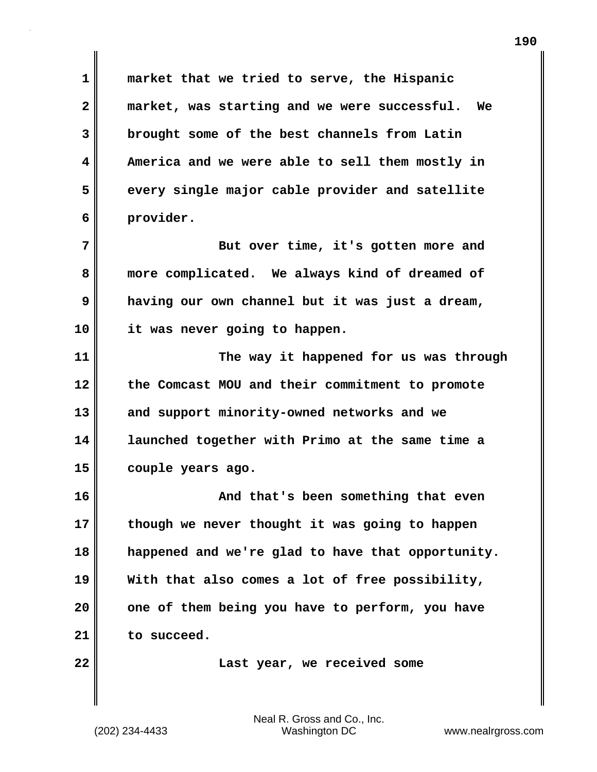**1 market that we tried to serve, the Hispanic 2 market, was starting and we were successful. We 3 brought some of the best channels from Latin 4 America and we were able to sell them mostly in 5 every single major cable provider and satellite 6 provider.** 

**7** But over time, it's gotten more and **8 more complicated. We always kind of dreamed of 9 having our own channel but it was just a dream, 10 it was never going to happen.** 

**11 The way it happened for us was through 12 the Comcast MOU and their commitment to promote 13 and support minority-owned networks and we 14 launched together with Primo at the same time a 15 couple years ago.** 

**16 And that's been something that even 17 though we never thought it was going to happen 18 happened and we're glad to have that opportunity. 19 With that also comes a lot of free possibility, 20 one of them being you have to perform, you have 21 to succeed.** 

**22 Last year, we received some**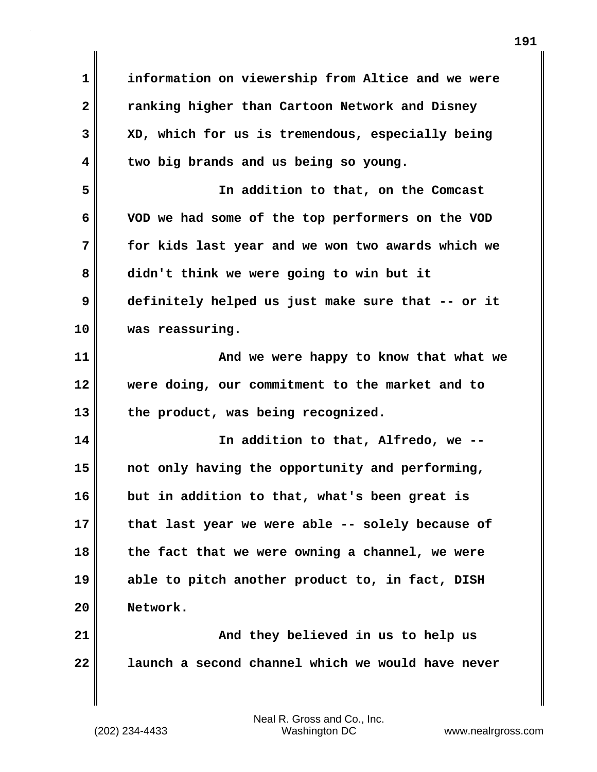**1 information on viewership from Altice and we were 2 ranking higher than Cartoon Network and Disney 3 XD, which for us is tremendous, especially being 4 two big brands and us being so young. 5 In addition to that, on the Comcast 6 VOD we had some of the top performers on the VOD 7 for kids last year and we won two awards which we 8 didn't think we were going to win but it 9 definitely helped us just make sure that -- or it 10 was reassuring. 11 And we were happy to know that what we 12 were doing, our commitment to the market and to 13 the product, was being recognized. 14 In addition to that, Alfredo, we -- 15 not only having the opportunity and performing, 16 but in addition to that, what's been great is 17 that last year we were able -- solely because of 18 the fact that we were owning a channel, we were 19 able to pitch another product to, in fact, DISH**

**191**

**20 Network.** 

(202) 234-4433 Washington DC www.nealrgross.com Neal R. Gross and Co., Inc.

**21 And they believed in us to help us**

**22 launch a second channel which we would have never**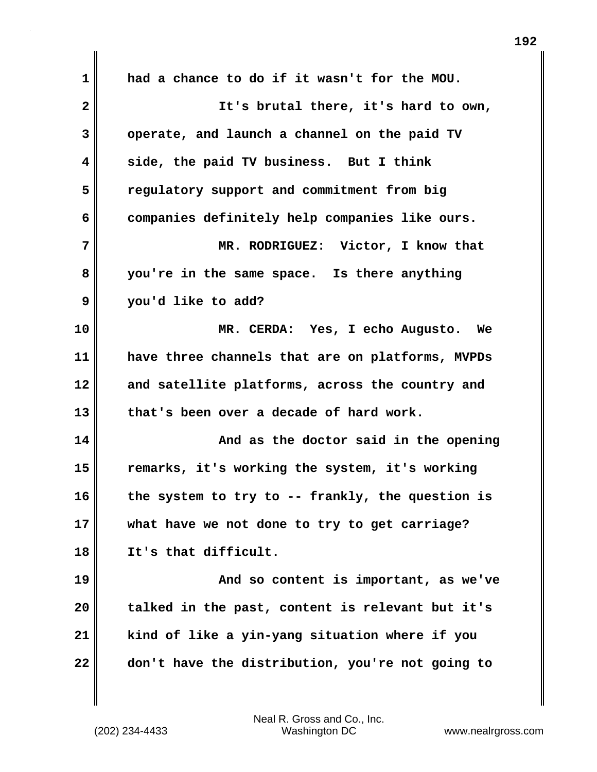| 1            | had a chance to do if it wasn't for the MOU.     |
|--------------|--------------------------------------------------|
| $\mathbf{2}$ | It's brutal there, it's hard to own,             |
| 3            | operate, and launch a channel on the paid TV     |
| 4            | side, the paid TV business. But I think          |
| 5            | regulatory support and commitment from big       |
| 6            | companies definitely help companies like ours.   |
| 7            | MR. RODRIGUEZ: Victor, I know that               |
| 8            | you're in the same space. Is there anything      |
| 9            | you'd like to add?                               |
| 10           | MR. CERDA: Yes, I echo Augusto.<br><b>We</b>     |
| 11           | have three channels that are on platforms, MVPDs |
| 12           | and satellite platforms, across the country and  |
| 13           | that's been over a decade of hard work.          |
| 14           | And as the doctor said in the opening            |
| 15           | remarks, it's working the system, it's working   |
| 16           | the system to try to -- frankly, the question is |
| 17           | what have we not done to try to get carriage?    |
| 18           | It's that difficult.                             |
| 19           | And so content is important, as we've            |
| 20           | talked in the past, content is relevant but it's |
| 21           | kind of like a yin-yang situation where if you   |
| 22           | don't have the distribution, you're not going to |

(202) 234-4433 Washington DC www.nealrgross.com Neal R. Gross and Co., Inc.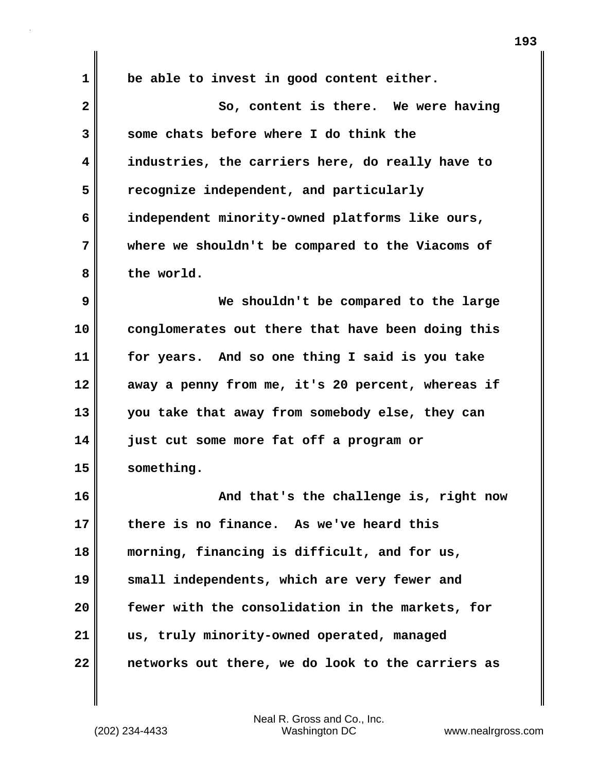| $\mathbf 1$  | be able to invest in good content either.         |
|--------------|---------------------------------------------------|
| $\mathbf{2}$ | So, content is there. We were having              |
| 3            | some chats before where I do think the            |
| 4            | industries, the carriers here, do really have to  |
| 5            | recognize independent, and particularly           |
| 6            | independent minority-owned platforms like ours,   |
| 7            | where we shouldn't be compared to the Viacoms of  |
| 8            | the world.                                        |
| 9            | We shouldn't be compared to the large             |
| 10           | conglomerates out there that have been doing this |
| 11           | for years. And so one thing I said is you take    |
| 12           | away a penny from me, it's 20 percent, whereas if |
| 13           | you take that away from somebody else, they can   |
| 14           | just cut some more fat off a program or           |
| 15           | something.                                        |
| 16           | And that's the challenge is, right now            |
| 17           | there is no finance. As we've heard this          |
| 18           | morning, financing is difficult, and for us,      |
| 19           | small independents, which are very fewer and      |
| 20           | fewer with the consolidation in the markets, for  |
| 21           | us, truly minority-owned operated, managed        |
| 22           | networks out there, we do look to the carriers as |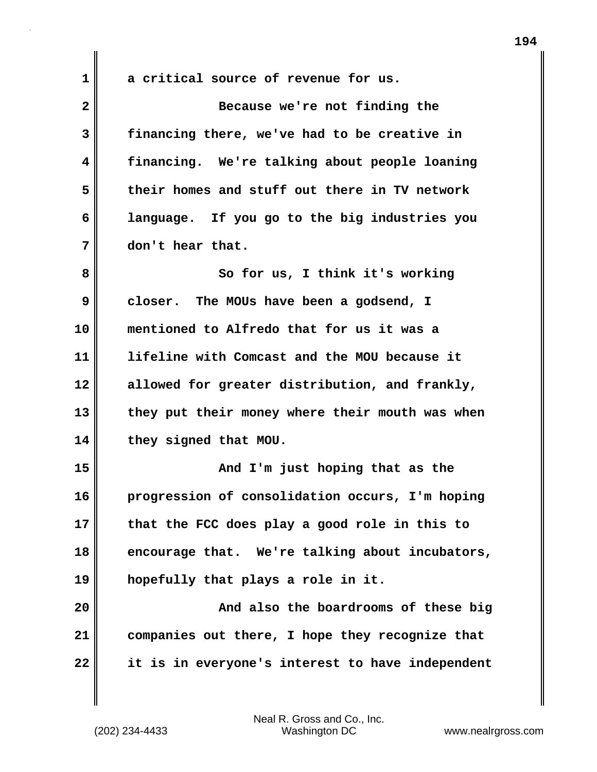**1 a critical source of revenue for us.** 

| $\overline{\mathbf{2}}$ | Because we're not finding the                    |
|-------------------------|--------------------------------------------------|
| 3                       | financing there, we've had to be creative in     |
| 4                       | financing. We're talking about people loaning    |
| 5                       | their homes and stuff out there in TV network    |
| 6                       | language. If you go to the big industries you    |
| 7                       | don't hear that.                                 |
| 8                       | So for us, I think it's working                  |
| 9                       | closer. The MOUs have been a godsend, I          |
| 10                      | mentioned to Alfredo that for us it was a        |
| 11                      | lifeline with Comcast and the MOU because it     |
| 12                      | allowed for greater distribution, and frankly,   |
| 13                      | they put their money where their mouth was when  |
| 14                      | they signed that MOU.                            |
| 15                      | And I'm just hoping that as the                  |
| 16                      | progression of consolidation occurs, I'm hoping  |
| 17                      | that the FCC does play a good role in this to    |
| 18                      | encourage that. We're talking about incubators,  |
| 19                      | hopefully that plays a role in it.               |
| 20                      | And also the boardrooms of these big             |
| 21                      | companies out there, I hope they recognize that  |
| 22                      | it is in everyone's interest to have independent |

(202) 234-4433 Washington DC www.nealrgross.com Neal R. Gross and Co., Inc.

**194**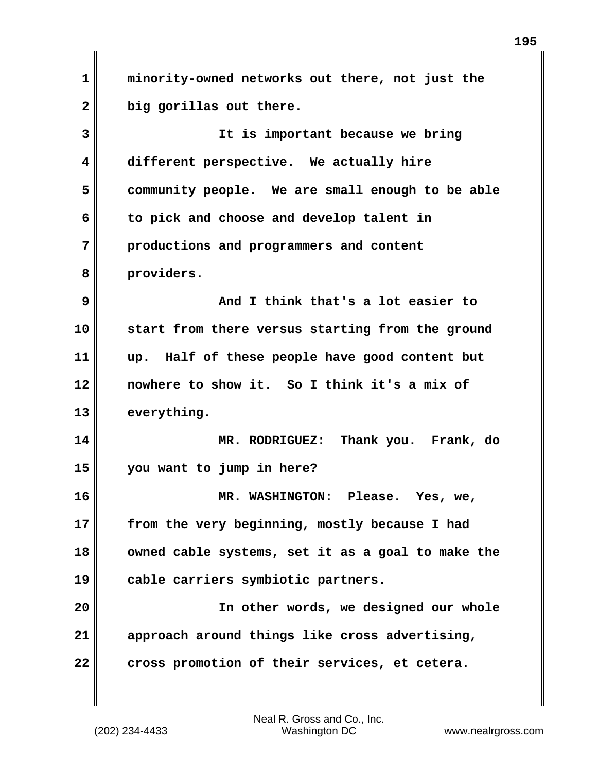**1 minority-owned networks out there, not just the 2 big gorillas out there. 3 It is important because we bring 4 different perspective. We actually hire 5 community people. We are small enough to be able 6 to pick and choose and develop talent in 7 productions and programmers and content 8 providers. 9 And I think that's a lot easier to 10 start from there versus starting from the ground 11 up. Half of these people have good content but 12 nowhere to show it. So I think it's a mix of 13 everything. 14 MR. RODRIGUEZ: Thank you. Frank, do 15 you want to jump in here? 16 MR. WASHINGTON: Please. Yes, we, 17 from the very beginning, mostly because I had 18 owned cable systems, set it as a goal to make the 19 cable carriers symbiotic partners. 20 In other words, we designed our whole 21 approach around things like cross advertising,** 22 **cross promotion of their services, et cetera.**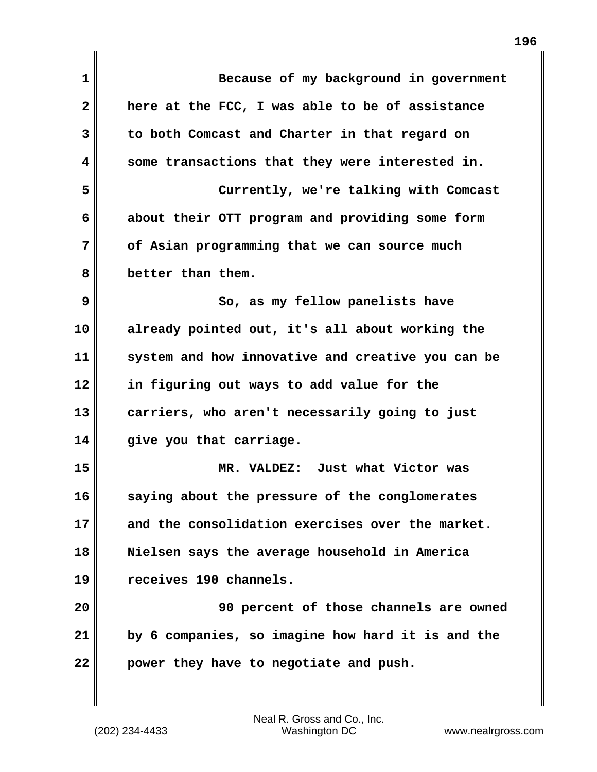| $\mathbf{1}$ | Because of my background in government            |
|--------------|---------------------------------------------------|
| $\mathbf{2}$ | here at the FCC, I was able to be of assistance   |
| 3            | to both Comcast and Charter in that regard on     |
| 4            | some transactions that they were interested in.   |
| 5            | Currently, we're talking with Comcast             |
| 6            | about their OTT program and providing some form   |
| 7            | of Asian programming that we can source much      |
| 8            | better than them.                                 |
| 9            | So, as my fellow panelists have                   |
| 10           | already pointed out, it's all about working the   |
| 11           | system and how innovative and creative you can be |
| 12           | in figuring out ways to add value for the         |
| 13           | carriers, who aren't necessarily going to just    |
| 14           | give you that carriage.                           |
| 15           | MR. VALDEZ: Just what Victor was                  |
| 16           | saying about the pressure of the conglomerates    |
| 17           | and the consolidation exercises over the market.  |
| 18           | Nielsen says the average household in America     |
| 19           | receives 190 channels.                            |
| 20           | 90 percent of those channels are owned            |
| 21           | by 6 companies, so imagine how hard it is and the |
| 22           | power they have to negotiate and push.            |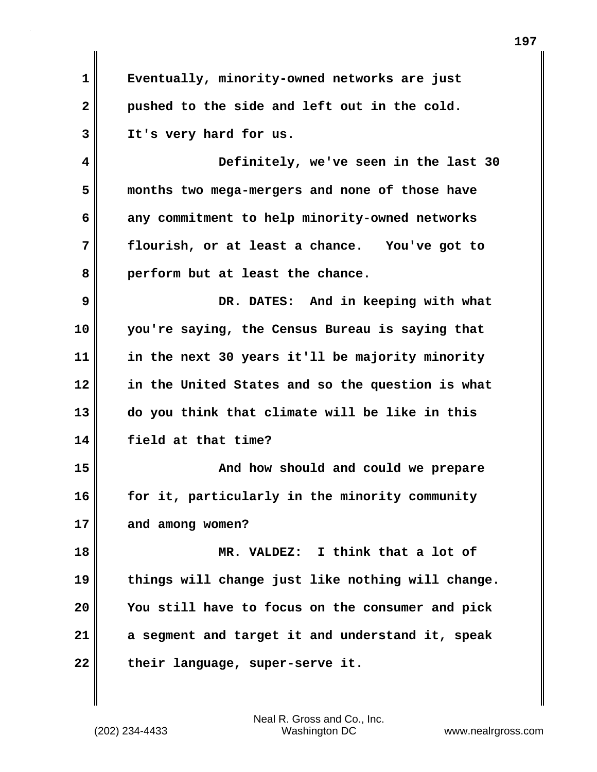**1 Eventually, minority-owned networks are just 2 pushed to the side and left out in the cold. 3 It's very hard for us. 4 Definitely, we've seen in the last 30 5 months two mega-mergers and none of those have 6 any commitment to help minority-owned networks 7 flourish, or at least a chance. You've got to 8 perform but at least the chance. 9 DR. DATES: And in keeping with what 10 you're saying, the Census Bureau is saying that 11 in the next 30 years it'll be majority minority 12 in the United States and so the question is what 13 do you think that climate will be like in this 14 field at that time? 15 And how should and could we prepare 16 for it, particularly in the minority community 17 and among women? 18 MR. VALDEZ: I think that a lot of 19 things will change just like nothing will change. 20 You still have to focus on the consumer and pick 21 a segment and target it and understand it, speak** 22 their language, super-serve it.

(202) 234-4433 Washington DC www.nealrgross.com Neal R. Gross and Co., Inc.

**197**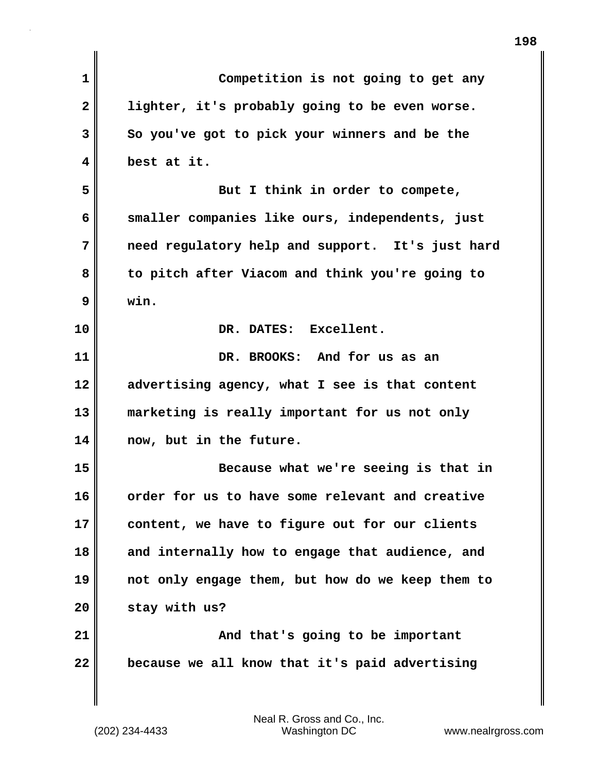| $\mathbf{1}$ | Competition is not going to get any              |
|--------------|--------------------------------------------------|
| $\mathbf{2}$ | lighter, it's probably going to be even worse.   |
| 3            | So you've got to pick your winners and be the    |
| 4            | best at it.                                      |
| 5            | But I think in order to compete,                 |
| 6            | smaller companies like ours, independents, just  |
| 7            | need regulatory help and support. It's just hard |
| 8            | to pitch after Viacom and think you're going to  |
| 9            | win.                                             |
| 10           | DR. DATES: Excellent.                            |
| 11           | DR. BROOKS: And for us as an                     |
| 12           | advertising agency, what I see is that content   |
| 13           | marketing is really important for us not only    |
| 14           | now, but in the future.                          |
| 15           | Because what we're seeing is that in             |
| 16           | order for us to have some relevant and creative  |
| 17           | content, we have to figure out for our clients   |
| 18           | and internally how to engage that audience, and  |
| 19           | not only engage them, but how do we keep them to |
| 20           | stay with us?                                    |
| 21           | And that's going to be important                 |
| 22           | because we all know that it's paid advertising   |
|              |                                                  |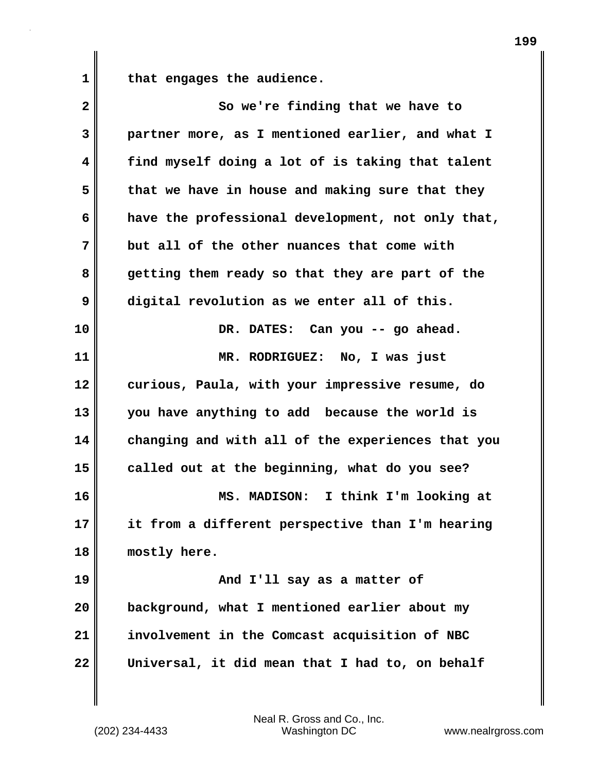**1 that engages the audience.** 

| $\overline{\mathbf{2}}$ | So we're finding that we have to                  |
|-------------------------|---------------------------------------------------|
| 3                       | partner more, as I mentioned earlier, and what I  |
| 4                       | find myself doing a lot of is taking that talent  |
| 5                       | that we have in house and making sure that they   |
| 6                       | have the professional development, not only that, |
| 7                       | but all of the other nuances that come with       |
| 8                       | getting them ready so that they are part of the   |
| 9                       | digital revolution as we enter all of this.       |
| 10                      | DR. DATES: Can you -- go ahead.                   |
| 11                      | MR. RODRIGUEZ: No, I was just                     |
| 12                      | curious, Paula, with your impressive resume, do   |
| 13                      | you have anything to add because the world is     |
| 14                      | changing and with all of the experiences that you |
| 15                      | called out at the beginning, what do you see?     |
| 16                      | MS. MADISON: I think I'm looking at               |
| 17                      | it from a different perspective than I'm hearing  |
| 18                      | mostly here.                                      |
| 19                      | And I'll say as a matter of                       |
| 20                      | background, what I mentioned earlier about my     |
| 21                      | involvement in the Comcast acquisition of NBC     |
| 22                      | Universal, it did mean that I had to, on behalf   |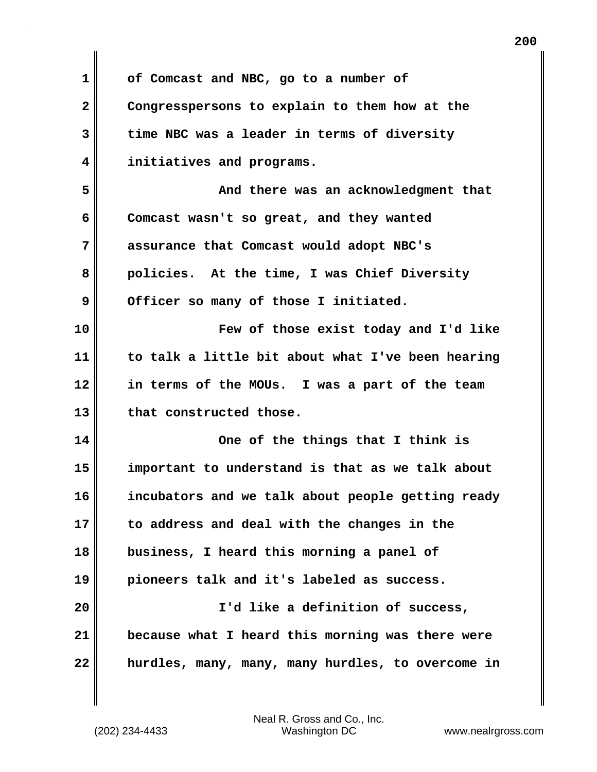**1 of Comcast and NBC, go to a number of 2 Congresspersons to explain to them how at the 3 time NBC was a leader in terms of diversity 4 initiatives and programs. 5 And there was an acknowledgment that 6 Comcast wasn't so great, and they wanted 7 assurance that Comcast would adopt NBC's 8 policies. At the time, I was Chief Diversity** 9 Officer so many of those I initiated. **10 Few of those exist today and I'd like 11 to talk a little bit about what I've been hearing 12 in terms of the MOUs. I was a part of the team 13 that constructed those. 14 One of the things that I think is 15 important to understand is that as we talk about 16 incubators and we talk about people getting ready 17 to address and deal with the changes in the 18 business, I heard this morning a panel of 19 pioneers talk and it's labeled as success. 20 I'd like a definition of success, 21 because what I heard this morning was there were 22 hurdles, many, many, many hurdles, to overcome in**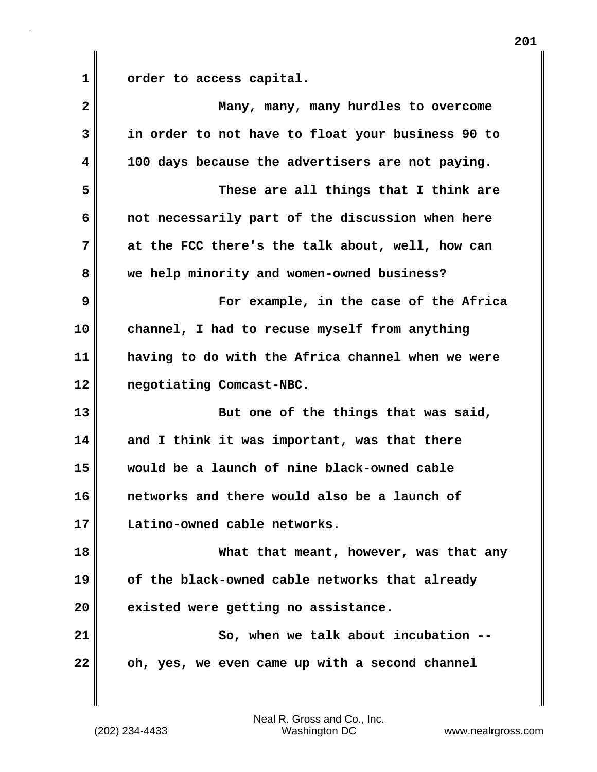| $\overline{\mathbf{2}}$ | Many, many, many hurdles to overcome              |
|-------------------------|---------------------------------------------------|
| 3                       | in order to not have to float your business 90 to |
| 4                       | 100 days because the advertisers are not paying.  |
| 5                       | These are all things that I think are             |
| 6                       | not necessarily part of the discussion when here  |
| 7                       | at the FCC there's the talk about, well, how can  |
| 8                       | we help minority and women-owned business?        |
| 9                       | For example, in the case of the Africa            |
| 10                      | channel, I had to recuse myself from anything     |
| 11                      | having to do with the Africa channel when we were |
| 12                      | negotiating Comcast-NBC.                          |
| 13                      | But one of the things that was said,              |
| 14                      | and I think it was important, was that there      |
| 15                      | would be a launch of nine black-owned cable       |
| 16                      | networks and there would also be a launch of      |
| 17                      | Latino-owned cable networks.                      |
| 18                      | What that meant, however, was that any            |
| 19                      | of the black-owned cable networks that already    |
| 20                      | existed were getting no assistance.               |
| 21                      | So, when we talk about incubation                 |
| 22                      | oh, yes, we even came up with a second channel    |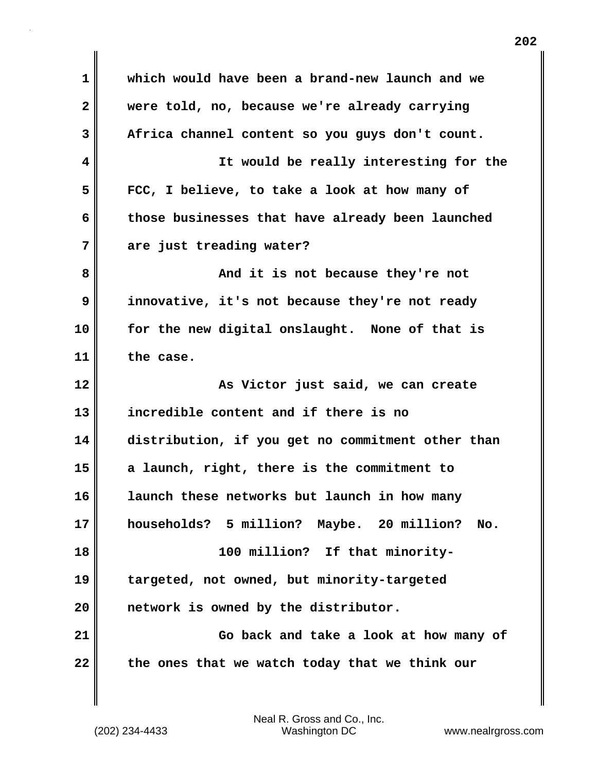| $\mathbf 1$    | which would have been a brand-new launch and we   |
|----------------|---------------------------------------------------|
| $\mathbf{2}$   | were told, no, because we're already carrying     |
| 3              | Africa channel content so you guys don't count.   |
| 4              | It would be really interesting for the            |
| 5              | FCC, I believe, to take a look at how many of     |
| 6              | those businesses that have already been launched  |
| 7              | are just treading water?                          |
| 8              | And it is not because they're not                 |
| 9              | innovative, it's not because they're not ready    |
| 10             | for the new digital onslaught. None of that is    |
| 11             | the case.                                         |
|                |                                                   |
|                | As Victor just said, we can create                |
| 12<br>13       | incredible content and if there is no             |
| 14             | distribution, if you get no commitment other than |
| 15             | a launch, right, there is the commitment to       |
|                | launch these networks but launch in how many      |
|                | households? 5 million? Maybe. 20 million?<br>No.  |
| 16<br>17<br>18 | 100 million? If that minority-                    |
| 19             | targeted, not owned, but minority-targeted        |
| 20             | network is owned by the distributor.              |
| 21             | Go back and take a look at how many of            |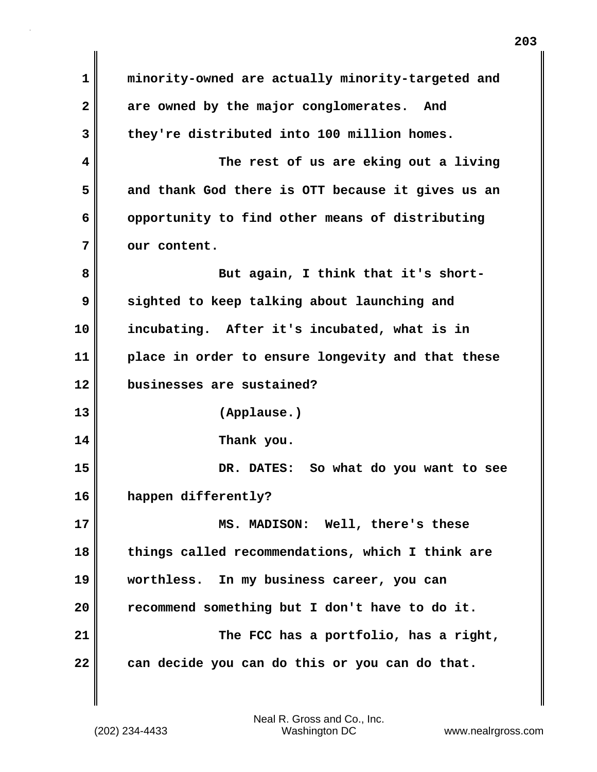**1 minority-owned are actually minority-targeted and 2 are owned by the major conglomerates. And 3 they're distributed into 100 million homes. 4 The rest of us are eking out a living 5 and thank God there is OTT because it gives us an 6 opportunity to find other means of distributing** 7 | our content. 8 **But again, I think that it's short-9 sighted to keep talking about launching and 10 incubating. After it's incubated, what is in 11 place in order to ensure longevity and that these 12 businesses are sustained? 13 (Applause.) 14 Thank you. 15 DR. DATES: So what do you want to see 16 happen differently? 17 MS. MADISON: Well, there's these 18 things called recommendations, which I think are 19 worthless. In my business career, you can 20 recommend something but I don't have to do it. 21 The FCC has a portfolio, has a right, 22 can decide you can do this or you can do that.**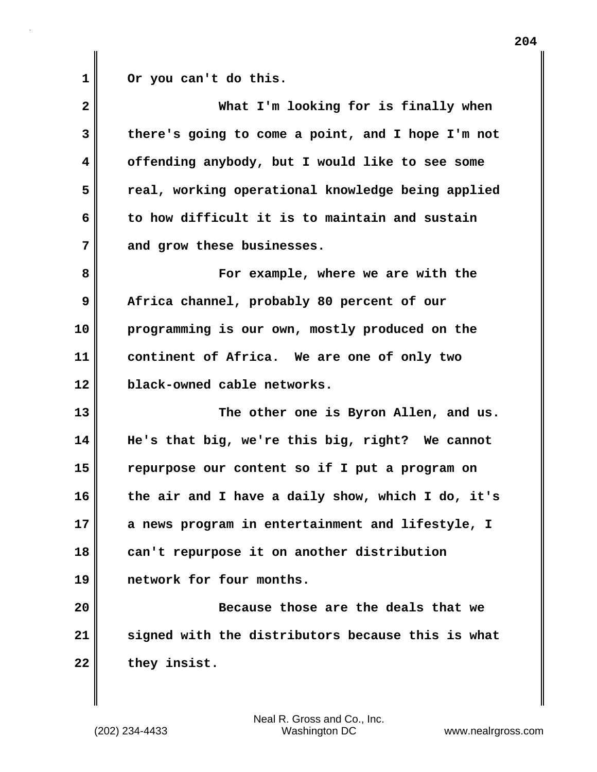**1 Or you can't do this.** 

| $\mathbf{2}$ | What I'm looking for is finally when              |
|--------------|---------------------------------------------------|
| 3            | there's going to come a point, and I hope I'm not |
| 4            | offending anybody, but I would like to see some   |
| 5            | real, working operational knowledge being applied |
| 6            | to how difficult it is to maintain and sustain    |
| 7            | and grow these businesses.                        |
| 8            | For example, where we are with the                |
| 9            | Africa channel, probably 80 percent of our        |
| 10           | programming is our own, mostly produced on the    |
| 11           | continent of Africa. We are one of only two       |
| 12           | black-owned cable networks.                       |
| 13           | The other one is Byron Allen, and us.             |
| 14           | He's that big, we're this big, right? We cannot   |
| 15           | repurpose our content so if I put a program on    |
| 16           | the air and I have a daily show, which I do, it's |
| 17           | a news program in entertainment and lifestyle, I  |
| 18           | can't repurpose it on another distribution        |
| 19           | network for four months.                          |
| 20           | Because those are the deals that we               |
| 21           | signed with the distributors because this is what |
| 22           | they insist.                                      |
|              |                                                   |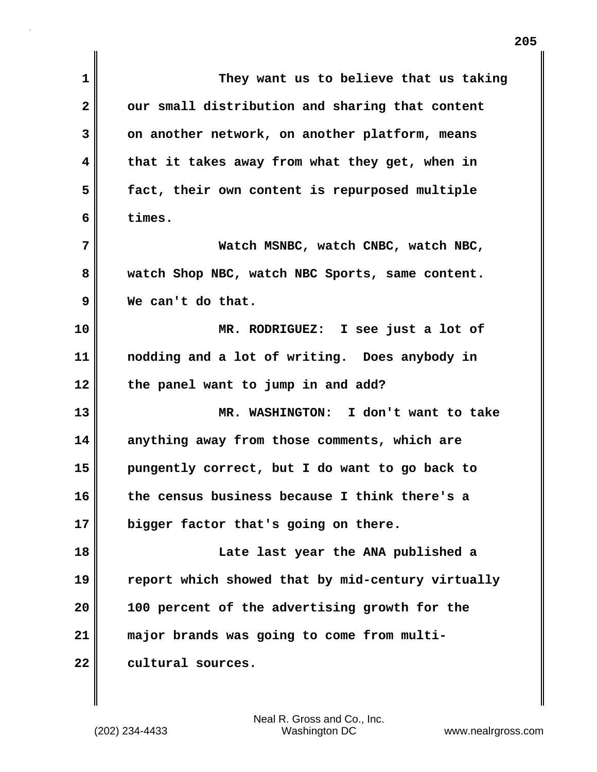| $\mathbf 1$  | They want us to believe that us taking            |
|--------------|---------------------------------------------------|
| $\mathbf{2}$ | our small distribution and sharing that content   |
| 3            | on another network, on another platform, means    |
| 4            | that it takes away from what they get, when in    |
| 5            | fact, their own content is repurposed multiple    |
| 6            | times.                                            |
| 7            | Watch MSNBC, watch CNBC, watch NBC,               |
| 8            | watch Shop NBC, watch NBC Sports, same content.   |
| 9            | We can't do that.                                 |
| 10           | MR. RODRIGUEZ: I see just a lot of                |
| 11           | nodding and a lot of writing. Does anybody in     |
| 12           | the panel want to jump in and add?                |
| 13           | MR. WASHINGTON: I don't want to take              |
| 14           | anything away from those comments, which are      |
| 15           | pungently correct, but I do want to go back to    |
| 16           | the census business because I think there's a     |
| 17           | bigger factor that's going on there.              |
| 18           | Late last year the ANA published a                |
| 19           | report which showed that by mid-century virtually |
| 20           | 100 percent of the advertising growth for the     |
| 21           | major brands was going to come from multi-        |
| 22           | cultural sources.                                 |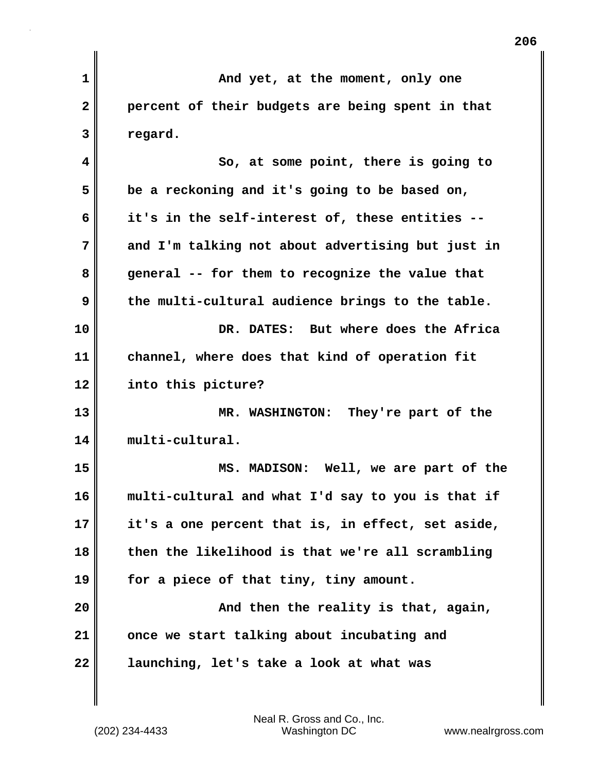| $\mathbf{1}$ | And yet, at the moment, only one                  |
|--------------|---------------------------------------------------|
| $\mathbf{2}$ | percent of their budgets are being spent in that  |
| 3            | regard.                                           |
| 4            | So, at some point, there is going to              |
| 5            | be a reckoning and it's going to be based on,     |
| 6            | it's in the self-interest of, these entities --   |
| 7            | and I'm talking not about advertising but just in |
| 8            | general -- for them to recognize the value that   |
| 9            | the multi-cultural audience brings to the table.  |
| 10           | DR. DATES: But where does the Africa              |
| 11           | channel, where does that kind of operation fit    |
| 12           | into this picture?                                |
| 13           | MR. WASHINGTON: They're part of the               |
| 14           | multi-cultural.                                   |
| 15           | MS. MADISON: Well, we are part of the             |
| 16           | multi-cultural and what I'd say to you is that if |
| 17           | it's a one percent that is, in effect, set aside, |
| 18           | then the likelihood is that we're all scrambling  |
| 19           | for a piece of that tiny, tiny amount.            |
| 20           | And then the reality is that, again,              |
| 21           | once we start talking about incubating and        |
| 22           | launching, let's take a look at what was          |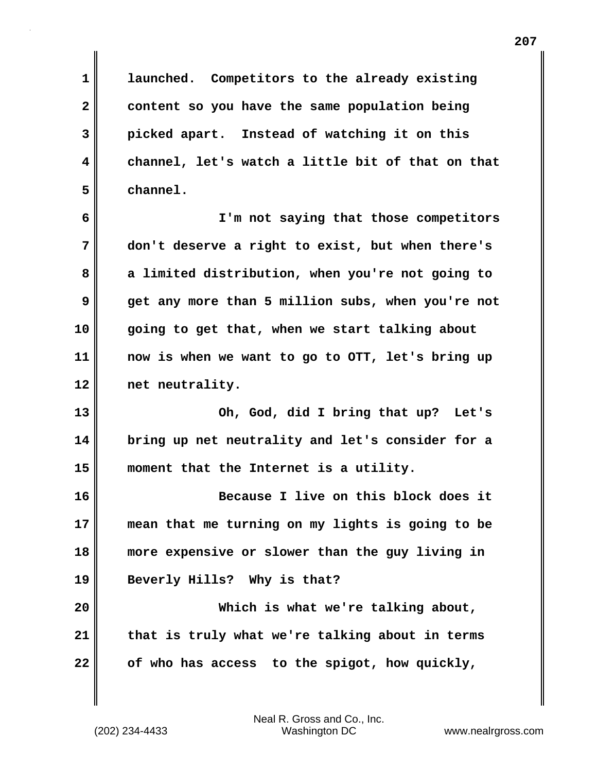**1 launched. Competitors to the already existing 2 content so you have the same population being 3 picked apart. Instead of watching it on this 4 channel, let's watch a little bit of that on that 5 channel.** 

**6 I'm not saying that those competitors 7 don't deserve a right to exist, but when there's 8 a limited distribution, when you're not going to 9 get any more than 5 million subs, when you're not 10 going to get that, when we start talking about 11 now is when we want to go to OTT, let's bring up 12 net neutrality.** 

**13 Oh, God, did I bring that up? Let's 14 bring up net neutrality and let's consider for a 15 moment that the Internet is a utility.** 

**16 Because I live on this block does it 17 mean that me turning on my lights is going to be 18 more expensive or slower than the guy living in 19 Beverly Hills? Why is that?** 

**20 Which is what we're talking about, 21 that is truly what we're talking about in terms 22 of who has access to the spigot, how quickly,**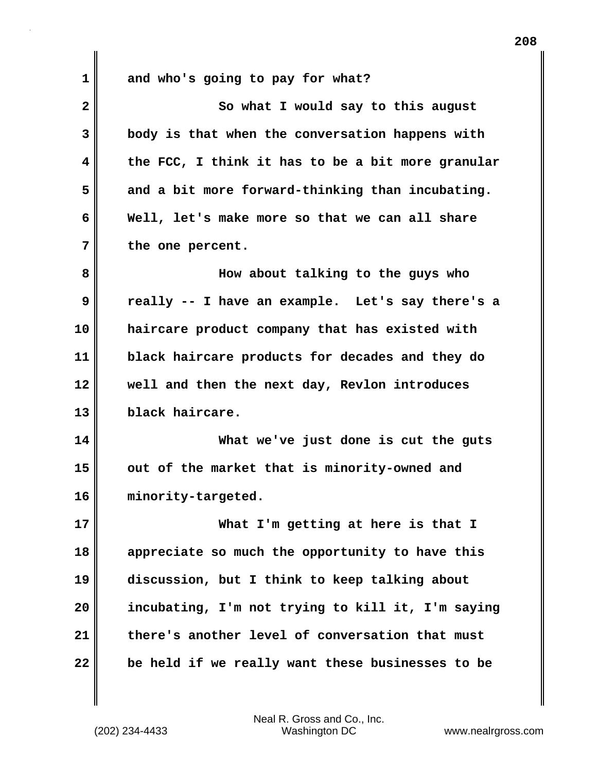**1 and who's going to pay for what? 2** So what I would say to this august **3 body is that when the conversation happens with 4 the FCC, I think it has to be a bit more granular 5 and a bit more forward-thinking than incubating. 6 Well, let's make more so that we can all share 7 the one percent. 8 How about talking to the guys who 9 really -- I have an example. Let's say there's a 10 haircare product company that has existed with 11 black haircare products for decades and they do 12 well and then the next day, Revlon introduces 13 black haircare. 14 What we've just done is cut the guts 15 out of the market that is minority-owned and 16 minority-targeted. 17 What I'm getting at here is that I 18 appreciate so much the opportunity to have this 19 discussion, but I think to keep talking about 20 incubating, I'm not trying to kill it, I'm saying**

**22 be held if we really want these businesses to be**

(202) 234-4433 Washington DC www.nealrgross.com Neal R. Gross and Co., Inc.

**21 there's another level of conversation that must**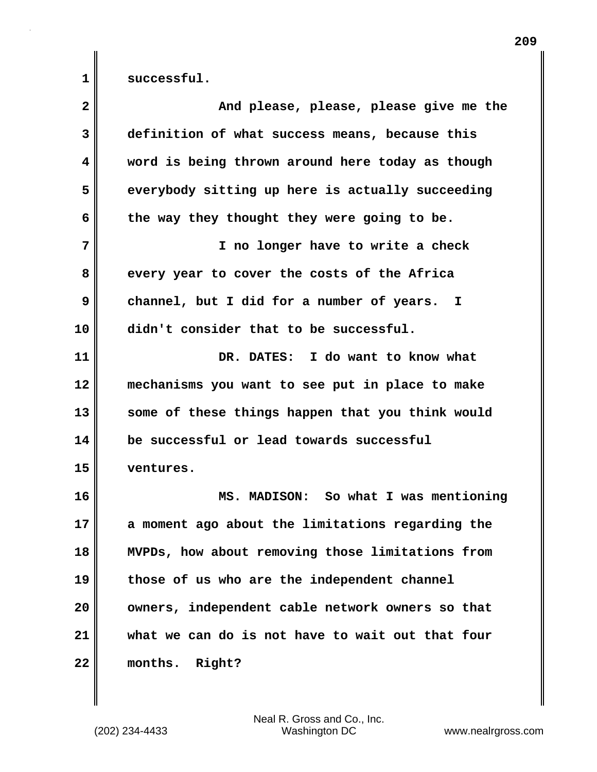1 successful.

| $\overline{\mathbf{2}}$ | And please, please, please give me the           |
|-------------------------|--------------------------------------------------|
| 3                       | definition of what success means, because this   |
| 4                       | word is being thrown around here today as though |
| 5                       | everybody sitting up here is actually succeeding |
| 6                       | the way they thought they were going to be.      |
| 7                       | I no longer have to write a check                |
| 8                       | every year to cover the costs of the Africa      |
| 9                       | channel, but I did for a number of years. I      |
| 10                      | didn't consider that to be successful.           |
| 11                      | DR. DATES: I do want to know what                |
| 12                      | mechanisms you want to see put in place to make  |
| 13                      | some of these things happen that you think would |
| 14                      | be successful or lead towards successful         |
| 15                      | ventures.                                        |
| 16                      | MS. MADISON: So what I was mentioning            |
| 17                      | a moment ago about the limitations regarding the |
| 18                      | MVPDs, how about removing those limitations from |
| 19                      | those of us who are the independent channel      |
| 20                      | owners, independent cable network owners so that |
| 21                      | what we can do is not have to wait out that four |
| 22                      | months.<br>Right?                                |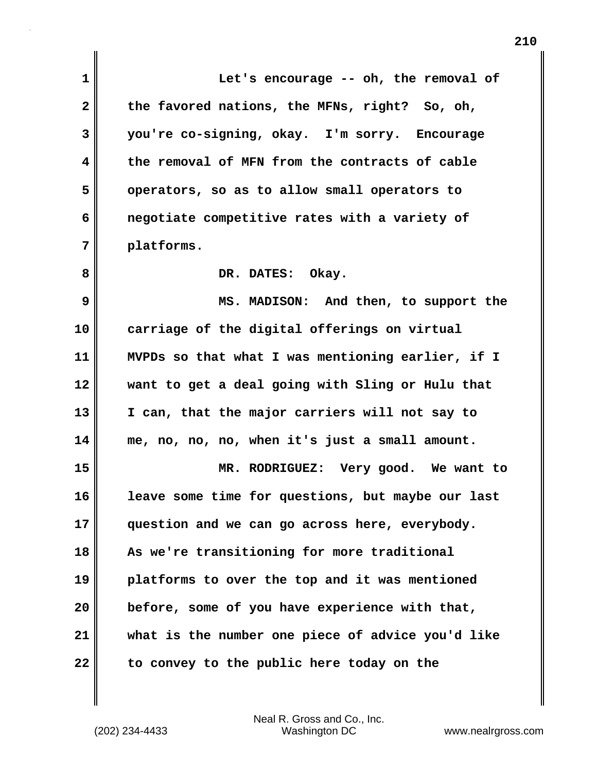| 1            | Let's encourage -- oh, the removal of             |
|--------------|---------------------------------------------------|
| $\mathbf{2}$ | the favored nations, the MFNs, right? So, oh,     |
| 3            | you're co-signing, okay. I'm sorry. Encourage     |
| 4            | the removal of MFN from the contracts of cable    |
| 5            | operators, so as to allow small operators to      |
| 6            | negotiate competitive rates with a variety of     |
| 7            | platforms.                                        |
| 8            | DR. DATES: Okay.                                  |
| 9            | MS. MADISON: And then, to support the             |
| 10           | carriage of the digital offerings on virtual      |
| 11           | MVPDs so that what I was mentioning earlier, if I |
| 12           | want to get a deal going with Sling or Hulu that  |
| 13           | I can, that the major carriers will not say to    |
| 14           | me, no, no, no, when it's just a small amount.    |
| 15           | MR. RODRIGUEZ: Very good. We want to              |
| 16           | leave some time for questions, but maybe our last |
| 17           | question and we can go across here, everybody.    |
| 18           | As we're transitioning for more traditional       |
| 19           | platforms to over the top and it was mentioned    |
| 20           | before, some of you have experience with that,    |
| 21           | what is the number one piece of advice you'd like |
| 22           | to convey to the public here today on the         |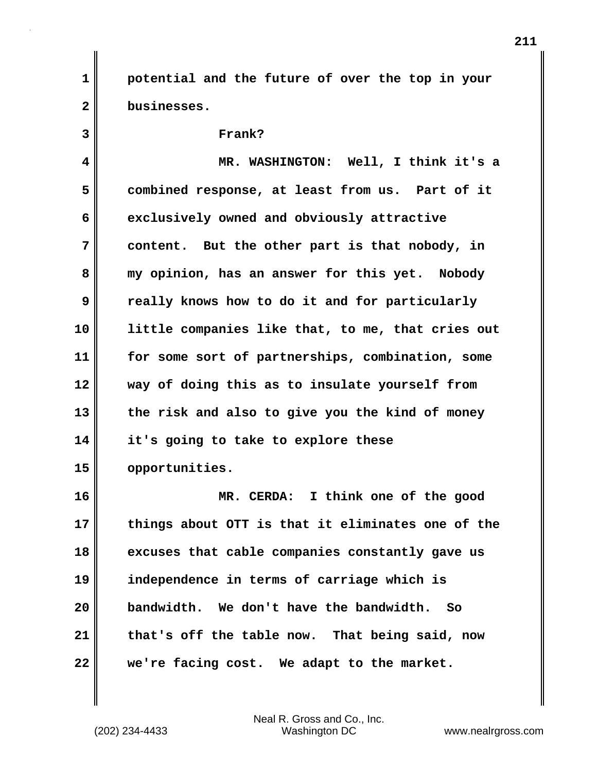**1 potential and the future of over the top in your 2 businesses.** 

## **3 Frank? 4 MR. WASHINGTON: Well, I think it's a 5 combined response, at least from us. Part of it 6 exclusively owned and obviously attractive 7 content. But the other part is that nobody, in 8 my opinion, has an answer for this yet. Nobody 9 really knows how to do it and for particularly 10 little companies like that, to me, that cries out 11 for some sort of partnerships, combination, some 12 way of doing this as to insulate yourself from 13 the risk and also to give you the kind of money 14 it's going to take to explore these 15 opportunities.**

**16 MR. CERDA: I think one of the good 17 things about OTT is that it eliminates one of the 18 excuses that cable companies constantly gave us 19 independence in terms of carriage which is 20 bandwidth. We don't have the bandwidth. So 21 that's off the table now. That being said, now 22 we're facing cost. We adapt to the market.**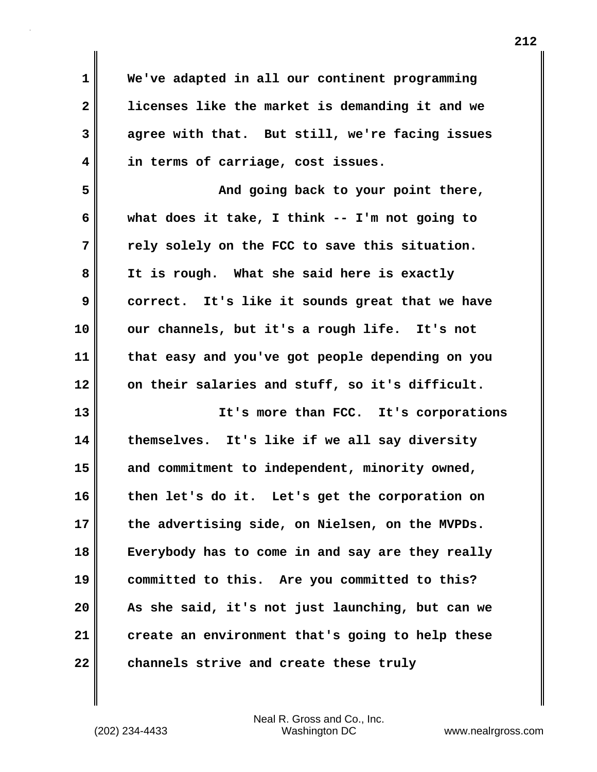**1 We've adapted in all our continent programming 2 licenses like the market is demanding it and we 3 agree with that. But still, we're facing issues 4 in terms of carriage, cost issues. 5 And going back to your point there, 6 what does it take, I think -- I'm not going to 7 rely solely on the FCC to save this situation. 8 It is rough. What she said here is exactly 9 correct. It's like it sounds great that we have 10 our channels, but it's a rough life. It's not 11 that easy and you've got people depending on you 12 on their salaries and stuff, so it's difficult. 13 It's more than FCC. It's corporations 14 themselves. It's like if we all say diversity 15 and commitment to independent, minority owned, 16 then let's do it. Let's get the corporation on 17 the advertising side, on Nielsen, on the MVPDs. 18 Everybody has to come in and say are they really 19 committed to this. Are you committed to this? 20 As she said, it's not just launching, but can we 21 create an environment that's going to help these 22 channels strive and create these truly**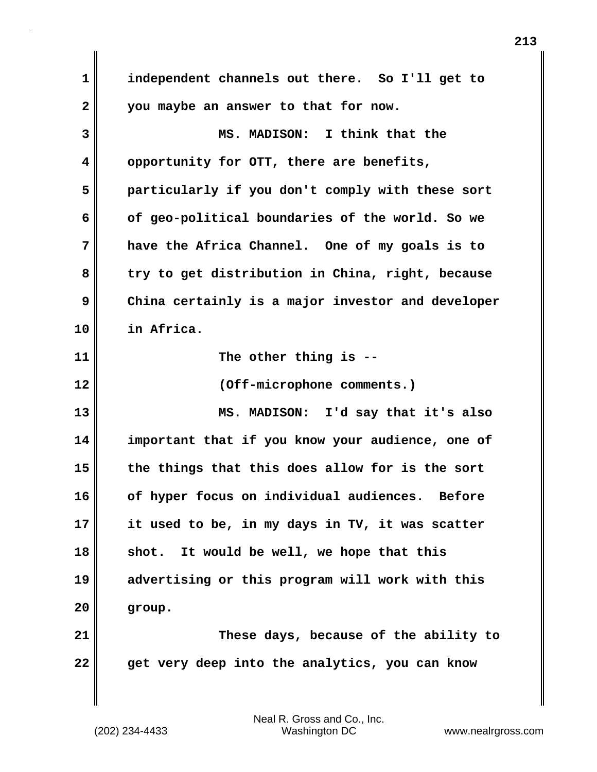**1 independent channels out there. So I'll get to 2 you maybe an answer to that for now. 3 MS. MADISON: I think that the 4 opportunity for OTT, there are benefits, 5 particularly if you don't comply with these sort 6 of geo-political boundaries of the world. So we 7 have the Africa Channel. One of my goals is to 8 try to get distribution in China, right, because 9 China certainly is a major investor and developer 10 in Africa. 11 The other thing is -- 12 (Off-microphone comments.) 13 MS. MADISON: I'd say that it's also 14 important that if you know your audience, one of 15 the things that this does allow for is the sort 16 of hyper focus on individual audiences. Before 17 it used to be, in my days in TV, it was scatter 18 shot. It would be well, we hope that this 19 advertising or this program will work with this 20 group. 21 These days, because of the ability to 22 get very deep into the analytics, you can know**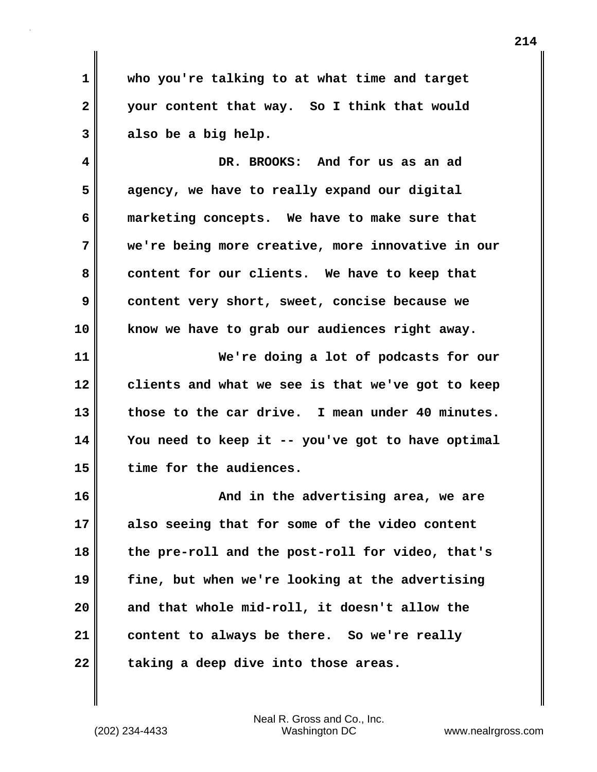**1 who you're talking to at what time and target 2 your content that way. So I think that would 3 also be a big help.**

**4 DR. BROOKS: And for us as an ad 5 agency, we have to really expand our digital 6 marketing concepts. We have to make sure that 7 we're being more creative, more innovative in our** 8 content for our clients. We have to keep that **9 content very short, sweet, concise because we 10 know we have to grab our audiences right away.**

**11 We're doing a lot of podcasts for our 12 clients and what we see is that we've got to keep 13 those to the car drive. I mean under 40 minutes. 14 You need to keep it -- you've got to have optimal 15 time for the audiences.** 

**16 And in the advertising area, we are 17 also seeing that for some of the video content 18 the pre-roll and the post-roll for video, that's 19 fine, but when we're looking at the advertising 20 and that whole mid-roll, it doesn't allow the 21 content to always be there. So we're really** 22 taking a deep dive into those areas.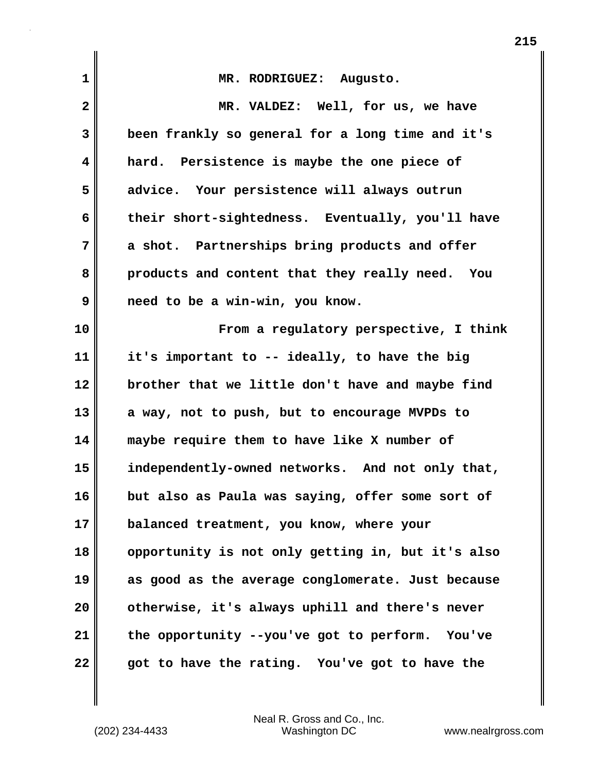| $\mathbf{1}$ | MR. RODRIGUEZ: Augusto.                           |
|--------------|---------------------------------------------------|
| $\mathbf{2}$ | MR. VALDEZ: Well, for us, we have                 |
| 3            | been frankly so general for a long time and it's  |
| 4            | hard. Persistence is maybe the one piece of       |
| 5            | advice. Your persistence will always outrun       |
| 6            | their short-sightedness. Eventually, you'll have  |
| 7            | a shot. Partnerships bring products and offer     |
| 8            | products and content that they really need. You   |
| 9            | need to be a win-win, you know.                   |
| 10           | From a regulatory perspective, I think            |
| 11           | it's important to -- ideally, to have the big     |
| 12           | brother that we little don't have and maybe find  |
| 13           | a way, not to push, but to encourage MVPDs to     |
| 14           | maybe require them to have like X number of       |
| 15           | independently-owned networks. And not only that,  |
| 16           | but also as Paula was saying, offer some sort of  |
| 17           | balanced treatment, you know, where your          |
| 18           | opportunity is not only getting in, but it's also |
| 19           | as good as the average conglomerate. Just because |
| 20           | otherwise, it's always uphill and there's never   |
| 21           | the opportunity --you've got to perform. You've   |
| 22           | got to have the rating. You've got to have the    |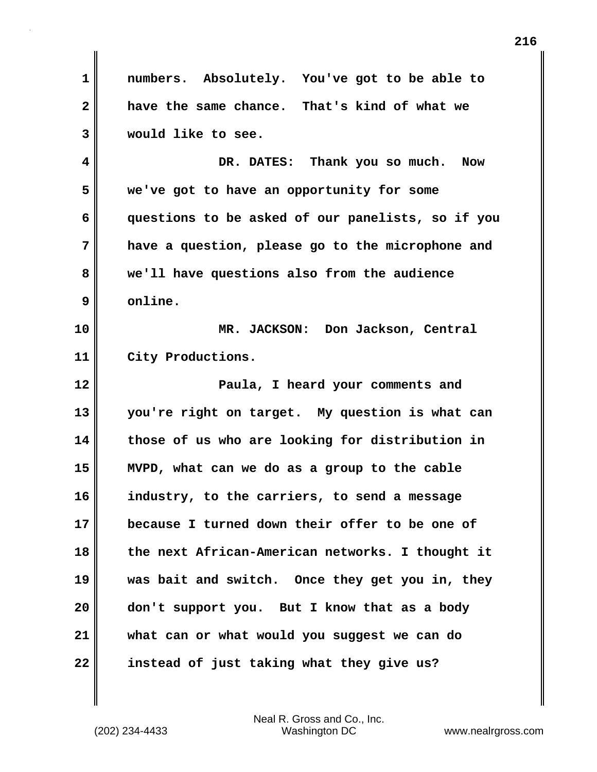**1 numbers. Absolutely. You've got to be able to 2 have the same chance. That's kind of what we 3 would like to see. 4 DR. DATES: Thank you so much. Now 5 we've got to have an opportunity for some 6 questions to be asked of our panelists, so if you 7 have a question, please go to the microphone and 8 we'll have questions also from the audience 9 online. 10 MR. JACKSON: Don Jackson, Central 11 City Productions. 12 Paula, I heard your comments and 13 you're right on target. My question is what can 14 those of us who are looking for distribution in 15 MVPD, what can we do as a group to the cable 16 industry, to the carriers, to send a message 17 because I turned down their offer to be one of 18 the next African-American networks. I thought it 19 was bait and switch. Once they get you in, they 20 don't support you. But I know that as a body 21 what can or what would you suggest we can do 22 instead of just taking what they give us?**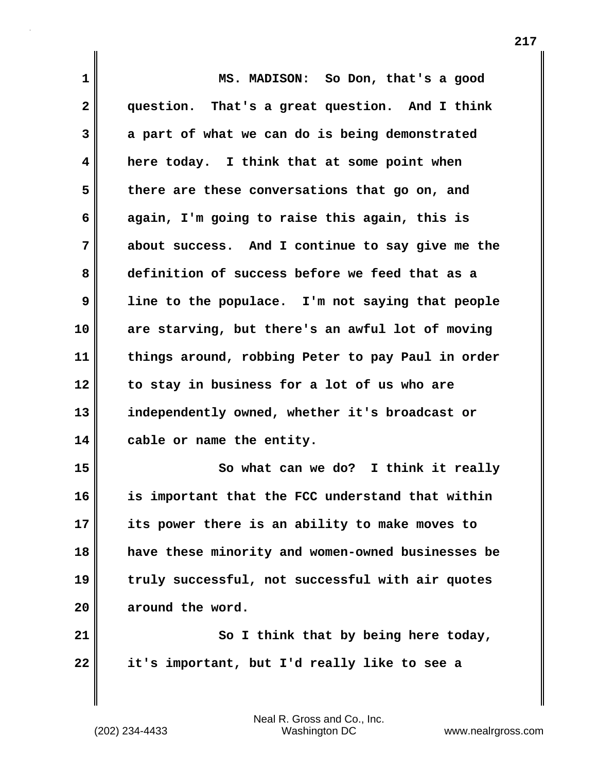**1 MS. MADISON: So Don, that's a good 2 question. That's a great question. And I think 3 a part of what we can do is being demonstrated 4 here today. I think that at some point when 5 there are these conversations that go on, and 6 again, I'm going to raise this again, this is 7 about success. And I continue to say give me the 8 definition of success before we feed that as a 9 line to the populace. I'm not saying that people 10 are starving, but there's an awful lot of moving 11 things around, robbing Peter to pay Paul in order 12 to stay in business for a lot of us who are 13 independently owned, whether it's broadcast or 14 cable or name the entity. 15 So what can we do? I think it really 16 is important that the FCC understand that within 17 its power there is an ability to make moves to 18 have these minority and women-owned businesses be 19 truly successful, not successful with air quotes 20 around the word. 21** So I think that by being here today, **22 it's important, but I'd really like to see a**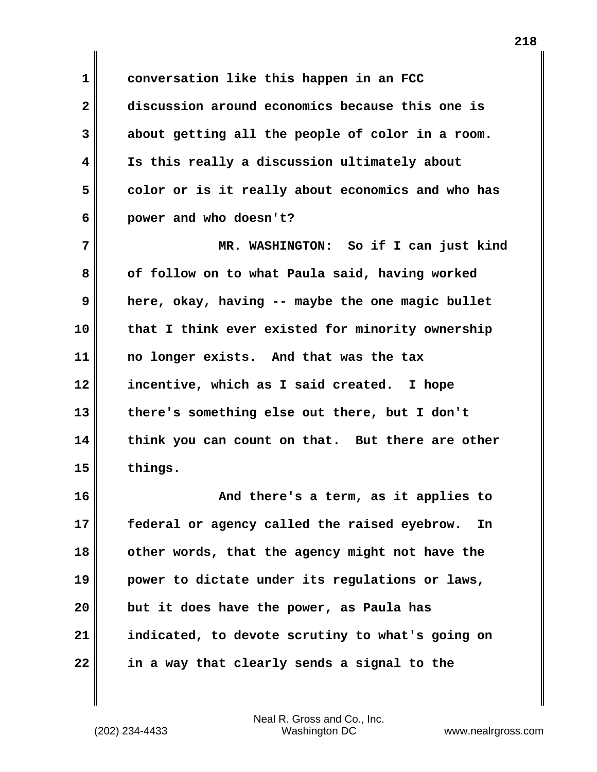**1 conversation like this happen in an FCC 2 discussion around economics because this one is 3 about getting all the people of color in a room. 4 Is this really a discussion ultimately about 5 color or is it really about economics and who has 6 power and who doesn't?**

**7 MR. WASHINGTON: So if I can just kind 8 of follow on to what Paula said, having worked 9 here, okay, having -- maybe the one magic bullet 10 that I think ever existed for minority ownership 11 no longer exists. And that was the tax 12 incentive, which as I said created. I hope 13 there's something else out there, but I don't 14 think you can count on that. But there are other 15 things.** 

**16 And there's a term, as it applies to 17 federal or agency called the raised eyebrow. In 18 other words, that the agency might not have the 19 power to dictate under its regulations or laws, 20 but it does have the power, as Paula has 21 indicated, to devote scrutiny to what's going on 22 in a way that clearly sends a signal to the**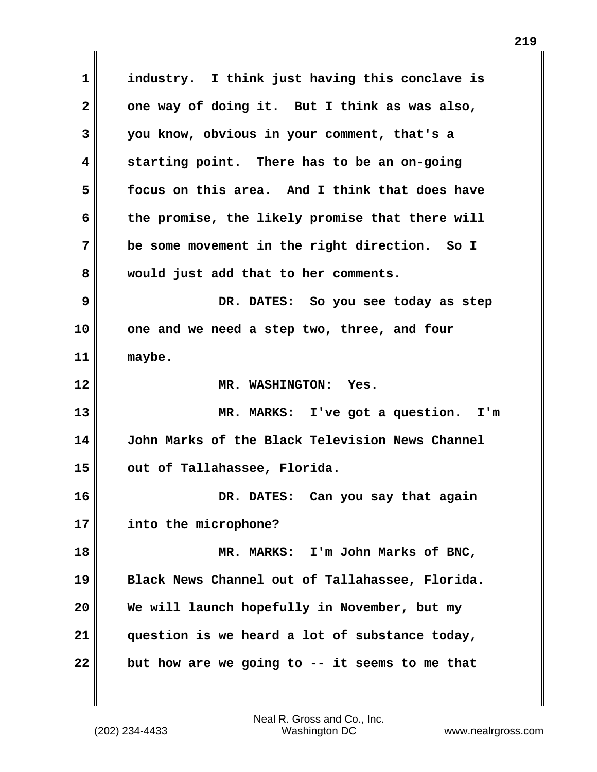**1 industry. I think just having this conclave is 2 one way of doing it. But I think as was also, 3 you know, obvious in your comment, that's a 4 starting point. There has to be an on-going 5 focus on this area. And I think that does have 6 the promise, the likely promise that there will 7 be some movement in the right direction. So I 8 would just add that to her comments. 9 DR. DATES: So you see today as step 10 one and we need a step two, three, and four 11 maybe. 12 MR. WASHINGTON: Yes. 13 MR. MARKS: I've got a question. I'm 14 John Marks of the Black Television News Channel 15 out of Tallahassee, Florida. 16 DR. DATES: Can you say that again 17 into the microphone? 18 MR. MARKS: I'm John Marks of BNC, 19 Black News Channel out of Tallahassee, Florida. 20 We will launch hopefully in November, but my 21 question is we heard a lot of substance today, 22 but how are we going to -- it seems to me that**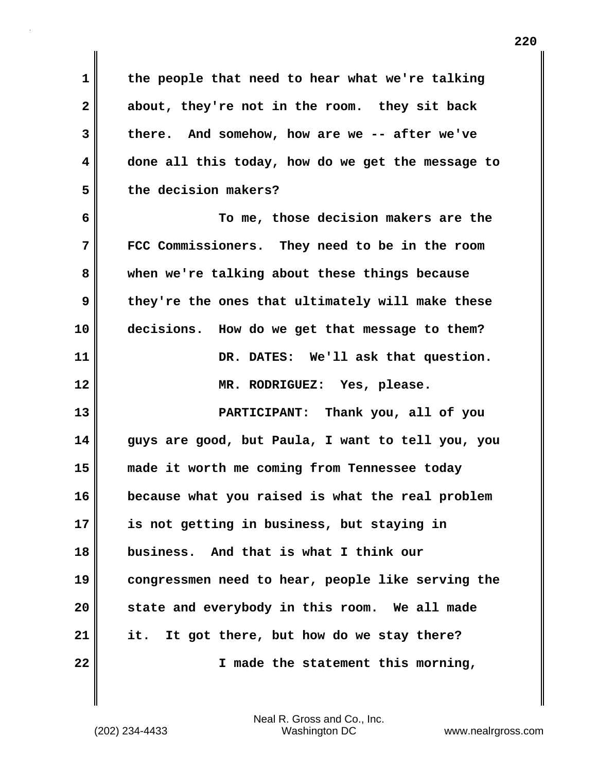**1 the people that need to hear what we're talking 2 about, they're not in the room. they sit back 3 there. And somehow, how are we -- after we've 4 done all this today, how do we get the message to 5 the decision makers?** 

**6 To me, those decision makers are the 7 FCC Commissioners. They need to be in the room 8 when we're talking about these things because 9 they're the ones that ultimately will make these 10 decisions. How do we get that message to them? 11 DR. DATES: We'll ask that question. 12 MR. RODRIGUEZ: Yes, please. 13 PARTICIPANT: Thank you, all of you 14 guys are good, but Paula, I want to tell you, you 15 made it worth me coming from Tennessee today 16 because what you raised is what the real problem 17 is not getting in business, but staying in 18 business. And that is what I think our 19 congressmen need to hear, people like serving the 20 state and everybody in this room. We all made 21 it. It got there, but how do we stay there?** 

**22 I made the statement this morning,**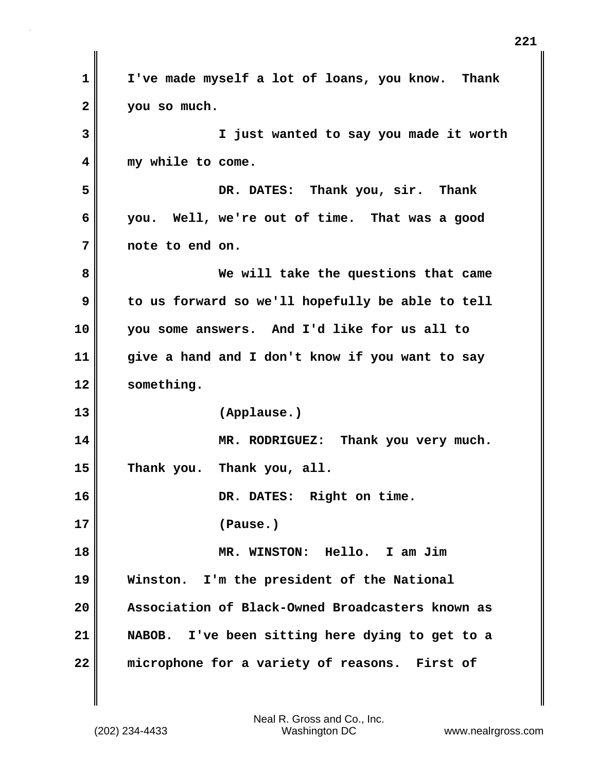| 1              | I've made myself a lot of loans, you know. Thank |
|----------------|--------------------------------------------------|
| $\overline{2}$ | you so much.                                     |
| 3              | I just wanted to say you made it worth           |
| 4              | my while to come.                                |
| 5              | DR. DATES: Thank you, sir. Thank                 |
| 6              | you. Well, we're out of time. That was a good    |
| 7              | note to end on.                                  |
| 8              | We will take the questions that came             |
| 9              | to us forward so we'll hopefully be able to tell |
| 10             | you some answers. And I'd like for us all to     |
| 11             | give a hand and I don't know if you want to say  |
| 12             | something.                                       |
| 13             | (Applause.)                                      |
| 14             | MR. RODRIGUEZ: Thank you very much.              |
| 15             | Thank you. Thank you, all.                       |
| 16             | DR. DATES: Right on time                         |
| 17             | (Pause.)                                         |
| 18             | MR. WINSTON: Hello. I am Jim                     |
| 19             | Winston. I'm the president of the National       |
| 20             | Association of Black-Owned Broadcasters known as |
| 21             | NABOB. I've been sitting here dying to get to a  |
| 22             | microphone for a variety of reasons. First of    |

 $\mathbf{I}$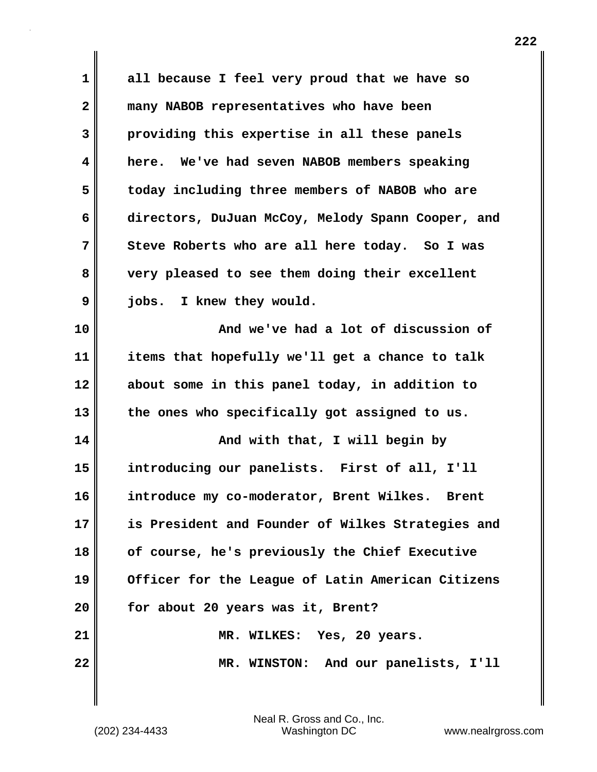| 1            | all because I feel very proud that we have so            |
|--------------|----------------------------------------------------------|
| $\mathbf{2}$ | many NABOB representatives who have been                 |
| 3            | providing this expertise in all these panels             |
| 4            | here. We've had seven NABOB members speaking             |
| 5            | today including three members of NABOB who are           |
| 6            | directors, DuJuan McCoy, Melody Spann Cooper, and        |
| 7            | Steve Roberts who are all here today. So I was           |
| 8            | very pleased to see them doing their excellent           |
| 9            | I knew they would.<br>jobs.                              |
| 10           | And we've had a lot of discussion of                     |
| 11           | items that hopefully we'll get a chance to talk          |
| 12           | about some in this panel today, in addition to           |
| 13           | the ones who specifically got assigned to us.            |
| 14           | And with that, I will begin by                           |
| 15           | introducing our panelists. First of all, I'll            |
| 16           | introduce my co-moderator, Brent Wilkes.<br><b>Brent</b> |
| 17           | is President and Founder of Wilkes Strategies and        |
| 18           | of course, he's previously the Chief Executive           |
| 19           | Officer for the League of Latin American Citizens        |
| 20           | for about 20 years was it, Brent?                        |
| 21           | MR. WILKES: Yes, 20 years.                               |
| 22           | MR. WINSTON: And our panelists, I'll                     |
|              |                                                          |

 $\mathbf{I}$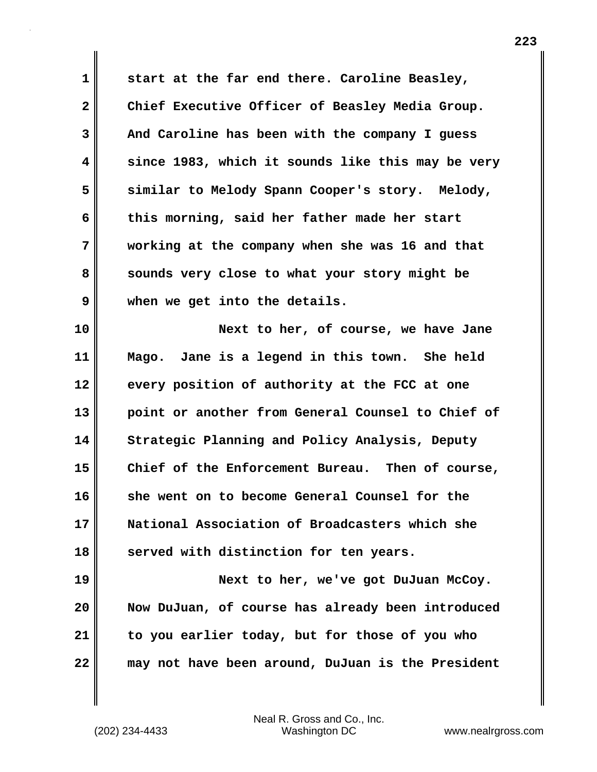**1 start at the far end there. Caroline Beasley, 2 Chief Executive Officer of Beasley Media Group. 3 And Caroline has been with the company I guess 4 since 1983, which it sounds like this may be very 5 similar to Melody Spann Cooper's story. Melody, 6 this morning, said her father made her start 7 working at the company when she was 16 and that 8 sounds very close to what your story might be 9 when we get into the details.**

**10 Next to her, of course, we have Jane 11 Mago. Jane is a legend in this town. She held 12 every position of authority at the FCC at one 13 point or another from General Counsel to Chief of 14 Strategic Planning and Policy Analysis, Deputy 15 Chief of the Enforcement Bureau. Then of course, 16 she went on to become General Counsel for the 17 National Association of Broadcasters which she** 18 served with distinction for ten years.

**19 Next to her, we've got DuJuan McCoy. 20 Now DuJuan, of course has already been introduced 21 to you earlier today, but for those of you who 22 may not have been around, DuJuan is the President**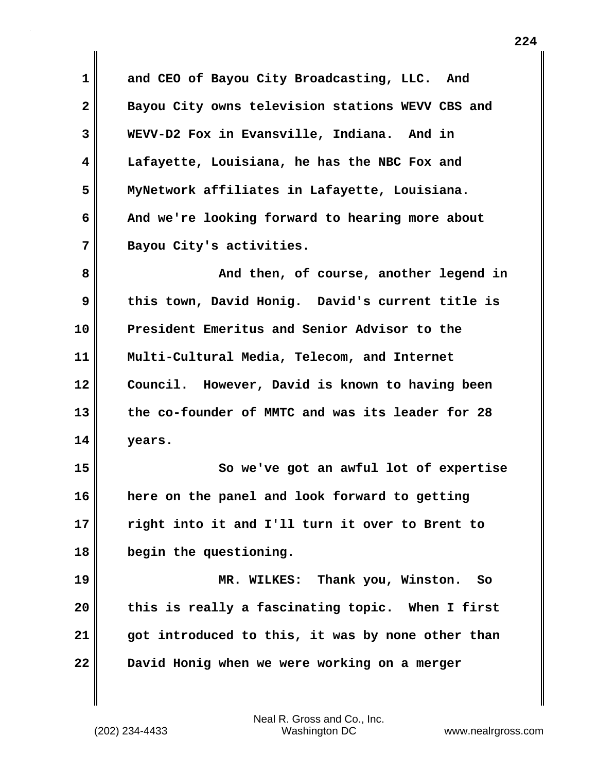**1 and CEO of Bayou City Broadcasting, LLC. And 2 Bayou City owns television stations WEVV CBS and 3 WEVV-D2 Fox in Evansville, Indiana. And in 4 Lafayette, Louisiana, he has the NBC Fox and 5 MyNetwork affiliates in Lafayette, Louisiana. 6 And we're looking forward to hearing more about 7 Bayou City's activities.**

**8 And then, of course, another legend in 9 this town, David Honig. David's current title is 10 President Emeritus and Senior Advisor to the 11 Multi-Cultural Media, Telecom, and Internet 12 Council. However, David is known to having been 13 the co-founder of MMTC and was its leader for 28 14 years.** 

**15 So we've got an awful lot of expertise 16 here on the panel and look forward to getting 17 right into it and I'll turn it over to Brent to 18 begin the questioning.**

**19 MR. WILKES: Thank you, Winston. So 20 this is really a fascinating topic. When I first 21 got introduced to this, it was by none other than 22 David Honig when we were working on a merger**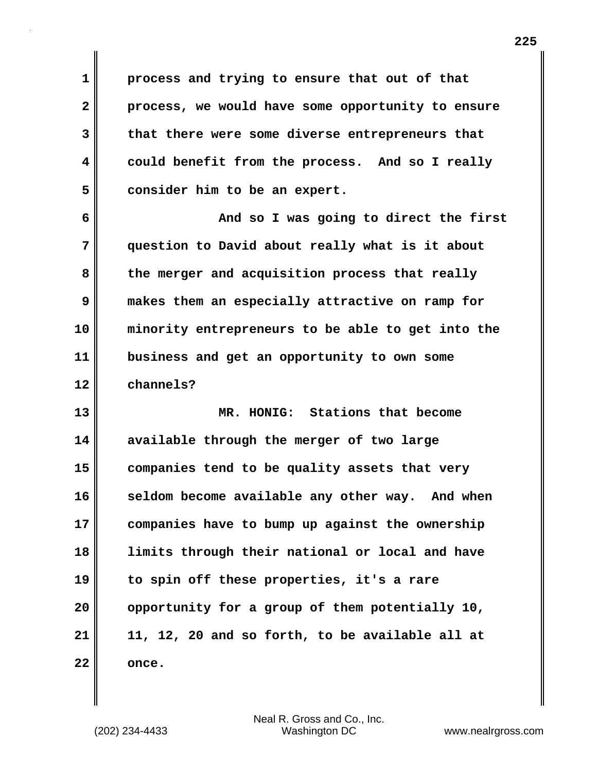**1 process and trying to ensure that out of that 2 process, we would have some opportunity to ensure 3 that there were some diverse entrepreneurs that 4 could benefit from the process. And so I really 5 consider him to be an expert.**

**6 And so I was going to direct the first 7 question to David about really what is it about 8 the merger and acquisition process that really 9 makes them an especially attractive on ramp for 10 minority entrepreneurs to be able to get into the 11 business and get an opportunity to own some 12 channels?**

**13 MR. HONIG: Stations that become 14 available through the merger of two large 15 companies tend to be quality assets that very 16 seldom become available any other way. And when 17 companies have to bump up against the ownership 18 limits through their national or local and have 19 to spin off these properties, it's a rare 20 opportunity for a group of them potentially 10, 21 11, 12, 20 and so forth, to be available all at 22 once.**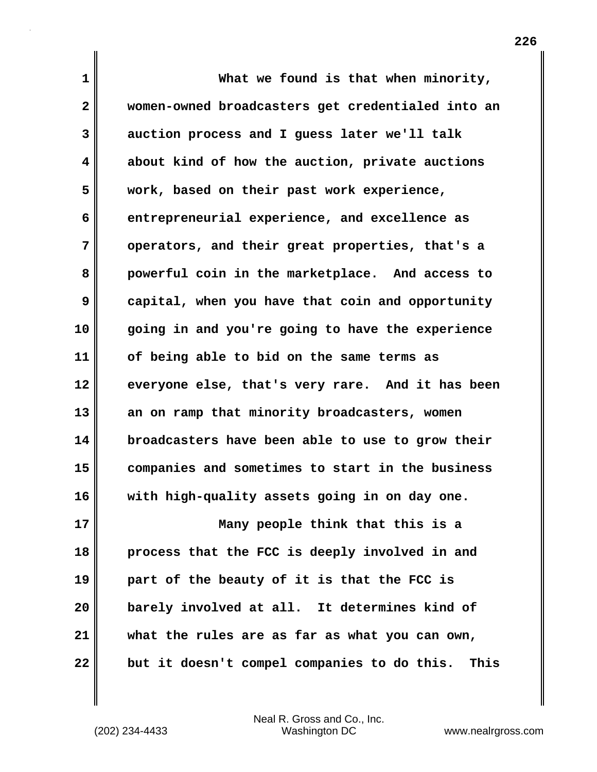**1 What we found is that when minority, 2 women-owned broadcasters get credentialed into an 3 auction process and I guess later we'll talk 4 about kind of how the auction, private auctions 5 work, based on their past work experience, 6 entrepreneurial experience, and excellence as 7 operators, and their great properties, that's a 8 powerful coin in the marketplace. And access to 9 capital, when you have that coin and opportunity 10 going in and you're going to have the experience 11 of being able to bid on the same terms as 12 everyone else, that's very rare. And it has been 13 an on ramp that minority broadcasters, women 14 broadcasters have been able to use to grow their 15 companies and sometimes to start in the business 16 with high-quality assets going in on day one. 17 Many people think that this is a 18 process that the FCC is deeply involved in and 19 part of the beauty of it is that the FCC is 20 barely involved at all. It determines kind of 21 what the rules are as far as what you can own,**

**22 but it doesn't compel companies to do this. This**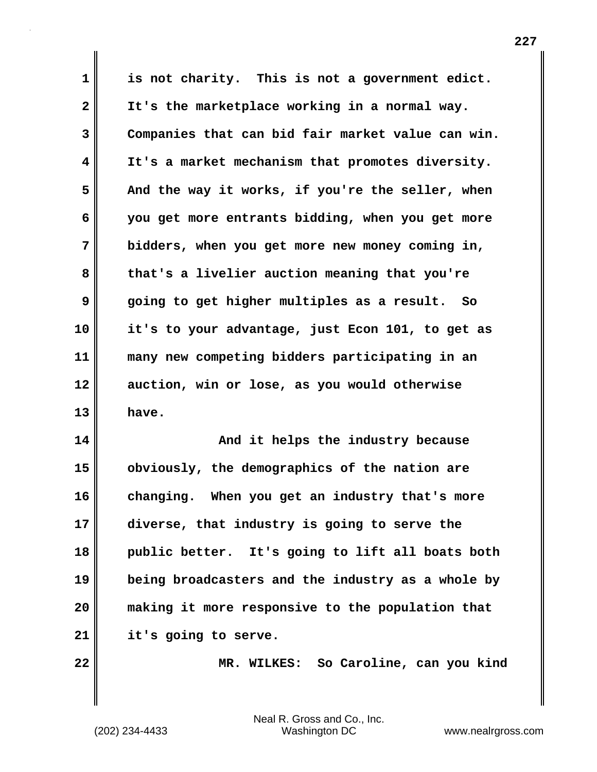**1 is not charity. This is not a government edict. 2 It's the marketplace working in a normal way. 3 Companies that can bid fair market value can win. 4 It's a market mechanism that promotes diversity.**  5 **And the way it works, if you're the seller, when 6 you get more entrants bidding, when you get more 7 bidders, when you get more new money coming in, 8 that's a livelier auction meaning that you're 9 going to get higher multiples as a result. So 10 it's to your advantage, just Econ 101, to get as 11 many new competing bidders participating in an 12 auction, win or lose, as you would otherwise 13 have. 14 And it helps the industry because** 

**15 obviously, the demographics of the nation are 16 changing. When you get an industry that's more 17 diverse, that industry is going to serve the 18 public better. It's going to lift all boats both 19 being broadcasters and the industry as a whole by 20 making it more responsive to the population that 21 it's going to serve.**

**22 MR. WILKES: So Caroline, can you kind**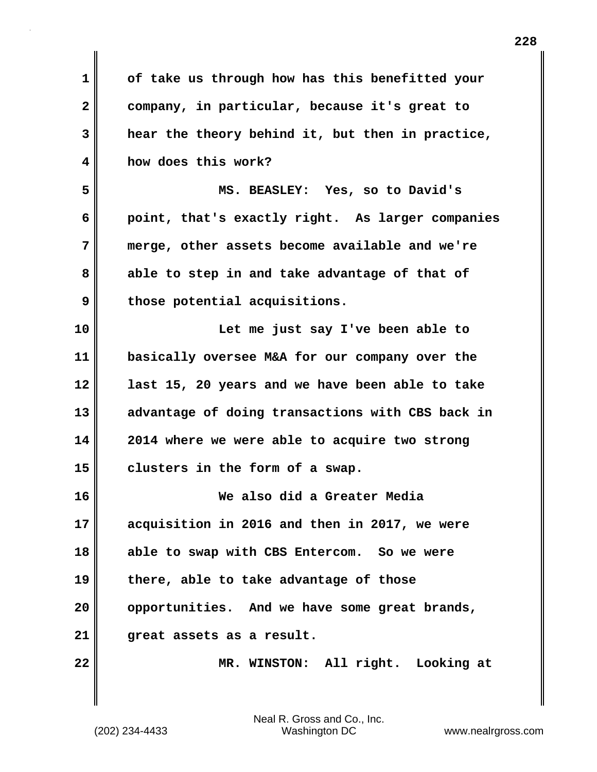| $\mathbf 1$  | of take us through how has this benefitted your  |
|--------------|--------------------------------------------------|
| $\mathbf{2}$ | company, in particular, because it's great to    |
| 3            | hear the theory behind it, but then in practice, |
| 4            | how does this work?                              |
| 5            | MS. BEASLEY: Yes, so to David's                  |
| 6            | point, that's exactly right. As larger companies |
| 7            | merge, other assets become available and we're   |
| 8            | able to step in and take advantage of that of    |
| 9            | those potential acquisitions.                    |
| 10           | Let me just say I've been able to                |
| 11           | basically oversee M&A for our company over the   |
| 12           | last 15, 20 years and we have been able to take  |
| 13           | advantage of doing transactions with CBS back in |
| 14           | 2014 where we were able to acquire two strong    |
| 15           | clusters in the form of a swap.                  |
| 16           | We also did a Greater Media                      |
| 17           | acquisition in 2016 and then in 2017, we were    |
| 18           | able to swap with CBS Entercom. So we were       |
| 19           | there, able to take advantage of those           |
| 20           | opportunities. And we have some great brands,    |
| 21           | great assets as a result.                        |
| 22           | MR. WINSTON: All right. Looking at               |
|              |                                                  |

 $\mathbf{I}$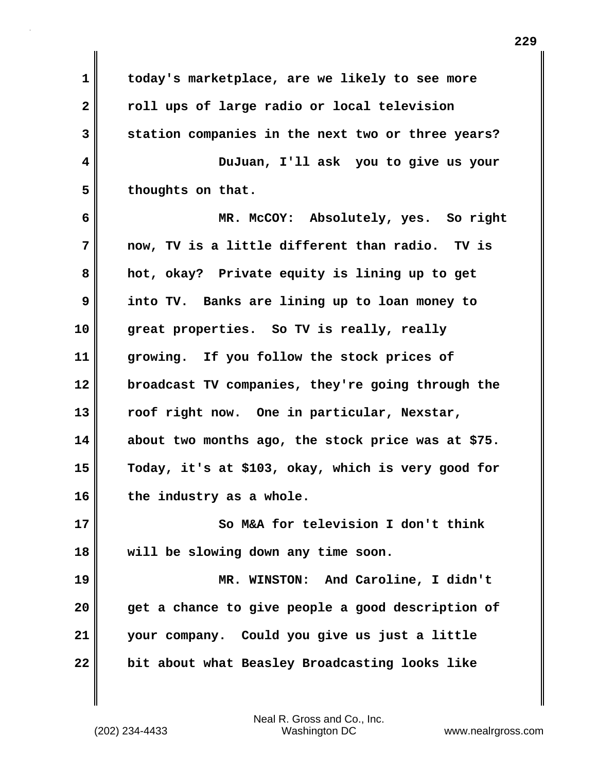**1 today's marketplace, are we likely to see more 2 roll ups of large radio or local television 3 station companies in the next two or three years? 4 DuJuan, I'll ask you to give us your** 5 **b** thoughts on that. **6 MR. McCOY: Absolutely, yes. So right 7 now, TV is a little different than radio. TV is 8 hot, okay? Private equity is lining up to get 9 into TV. Banks are lining up to loan money to 10 great properties. So TV is really, really 11 growing. If you follow the stock prices of 12 broadcast TV companies, they're going through the 13 roof right now. One in particular, Nexstar, 14 about two months ago, the stock price was at \$75. 15 Today, it's at \$103, okay, which is very good for 16 the industry as a whole. 17 So M&A for television I don't think 18 will be slowing down any time soon. 19 MR. WINSTON: And Caroline, I didn't 20 get a chance to give people a good description of 21 your company. Could you give us just a little**

**22 bit about what Beasley Broadcasting looks like**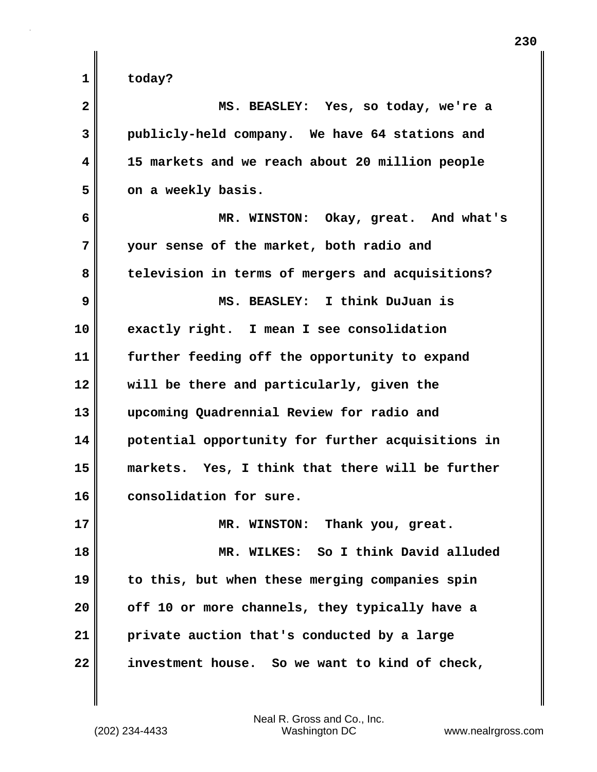**1 today? 2 MS. BEASLEY: Yes, so today, we're a 3 publicly-held company. We have 64 stations and 4 15 markets and we reach about 20 million people** 5 on a weekly basis. **6 MR. WINSTON: Okay, great. And what's 7 your sense of the market, both radio and 8 television in terms of mergers and acquisitions? 9 MS. BEASLEY: I think DuJuan is 10 exactly right. I mean I see consolidation 11 further feeding off the opportunity to expand 12 will be there and particularly, given the 13 upcoming Quadrennial Review for radio and 14 potential opportunity for further acquisitions in 15 markets. Yes, I think that there will be further 16 consolidation for sure. 17 MR. WINSTON: Thank you, great. 18 MR. WILKES: So I think David alluded 19 to this, but when these merging companies spin 20 off 10 or more channels, they typically have a 21 private auction that's conducted by a large 22 investment house. So we want to kind of check,**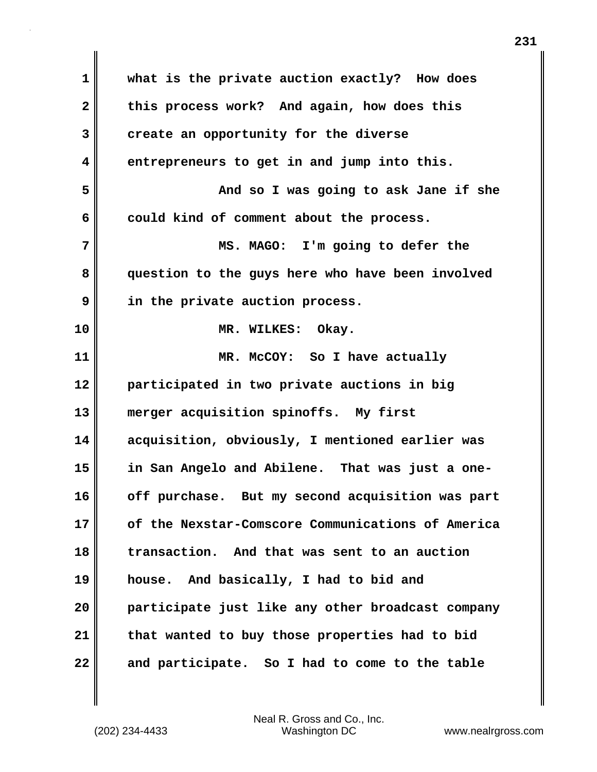| $\mathbf 1$             | what is the private auction exactly? How does     |
|-------------------------|---------------------------------------------------|
| $\overline{\mathbf{2}}$ | this process work? And again, how does this       |
| 3                       | create an opportunity for the diverse             |
| 4                       | entrepreneurs to get in and jump into this.       |
| 5                       |                                                   |
|                         | And so I was going to ask Jane if she             |
| 6                       | could kind of comment about the process.          |
| 7                       | MS. MAGO: I'm going to defer the                  |
| 8                       | question to the guys here who have been involved  |
| 9                       | in the private auction process.                   |
| 10                      | MR. WILKES: Okay.                                 |
| 11                      | MR. McCOY: So I have actually                     |
| 12                      | participated in two private auctions in big       |
| 13                      | merger acquisition spinoffs. My first             |
| 14                      | acquisition, obviously, I mentioned earlier was   |
| 15                      | in San Angelo and Abilene. That was just a one-   |
| 16                      | off purchase. But my second acquisition was part  |
| 17                      | of the Nexstar-Comscore Communications of America |
| 18                      | transaction. And that was sent to an auction      |
| 19                      | house. And basically, I had to bid and            |
| 20                      | participate just like any other broadcast company |
| 21                      | that wanted to buy those properties had to bid    |
| 22                      | and participate. So I had to come to the table    |

 $\mathbf{l}$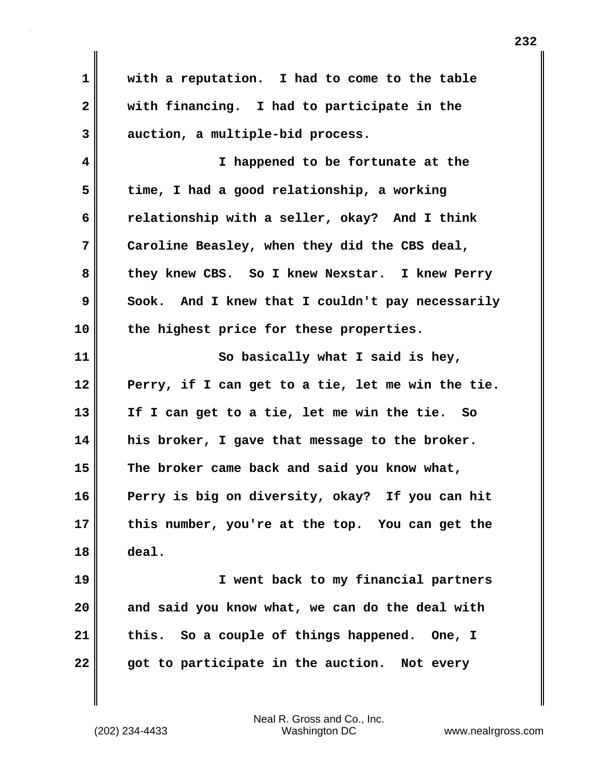**1 with a reputation. I had to come to the table 2 with financing. I had to participate in the 3 auction, a multiple-bid process. 4 I happened to be fortunate at the 5 time, I had a good relationship, a working 6 relationship with a seller, okay? And I think 7 Caroline Beasley, when they did the CBS deal, 8 they knew CBS. So I knew Nexstar. I knew Perry 9** Sook. And I knew that I couldn't pay necessarily **10 the highest price for these properties. 11** So basically what I said is hey, **12 Perry, if I can get to a tie, let me win the tie. 13 If I can get to a tie, let me win the tie. So 14 his broker, I gave that message to the broker. 15 The broker came back and said you know what, 16 Perry is big on diversity, okay? If you can hit 17 this number, you're at the top. You can get the 18 deal. 19 I went back to my financial partners 20 and said you know what, we can do the deal with 21 this. So a couple of things happened. One, I 22 got to participate in the auction. Not every**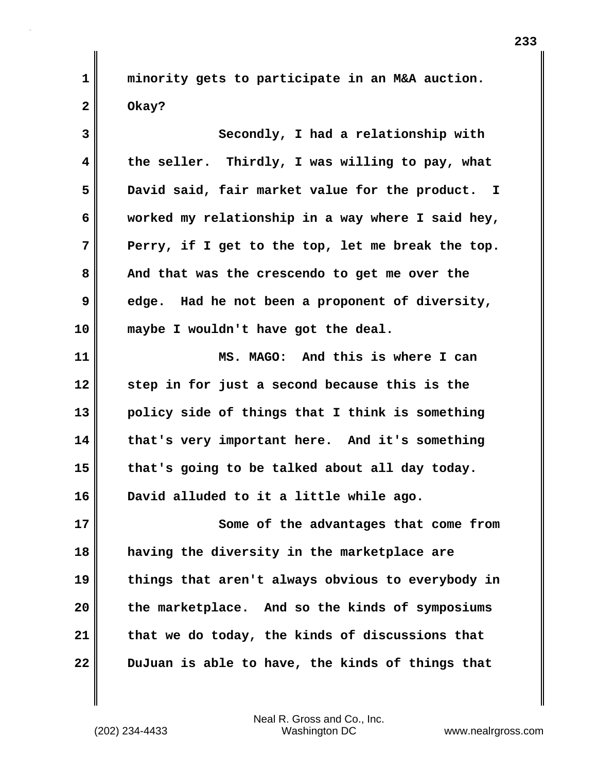**1 minority gets to participate in an M&A auction. 2 Okay?**

**3** Secondly, I had a relationship with **4 the seller. Thirdly, I was willing to pay, what 5 David said, fair market value for the product. I 6 worked my relationship in a way where I said hey, 7 Perry, if I get to the top, let me break the top. 8 And that was the crescendo to get me over the 9 edge. Had he not been a proponent of diversity, 10 maybe I wouldn't have got the deal. 11 MS. MAGO: And this is where I can 12 step in for just a second because this is the 13 policy side of things that I think is something 14 that's very important here. And it's something**

**16 David alluded to it a little while ago.**

**15 that's going to be talked about all day today.** 

**17 Some of the advantages that come from 18 having the diversity in the marketplace are 19 things that aren't always obvious to everybody in 20 the marketplace. And so the kinds of symposiums 21 that we do today, the kinds of discussions that 22 DuJuan is able to have, the kinds of things that**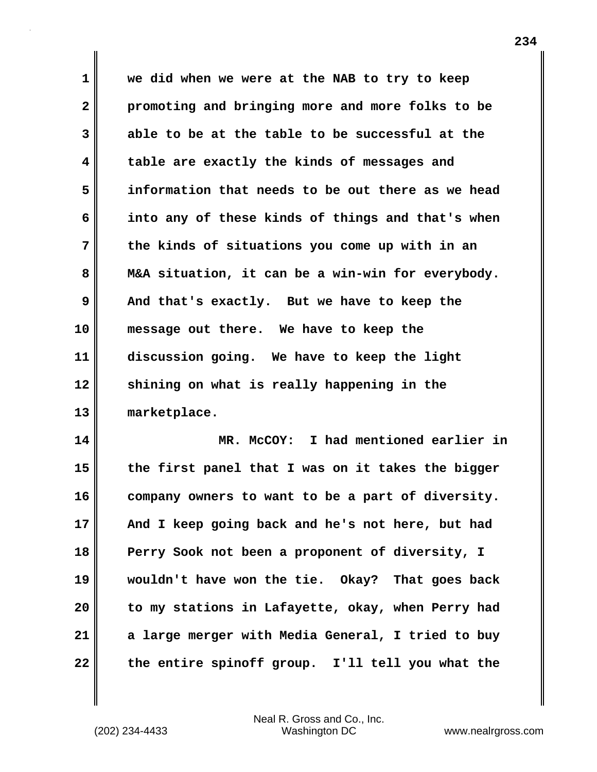**1 we did when we were at the NAB to try to keep 2 promoting and bringing more and more folks to be 3 able to be at the table to be successful at the 4 table are exactly the kinds of messages and 5 information that needs to be out there as we head 6 into any of these kinds of things and that's when 7 the kinds of situations you come up with in an 8 M&A situation, it can be a win-win for everybody. 9 And that's exactly. But we have to keep the 10 message out there. We have to keep the 11 discussion going. We have to keep the light 12 shining on what is really happening in the 13 marketplace.**

**14 MR. McCOY: I had mentioned earlier in 15 the first panel that I was on it takes the bigger 16 company owners to want to be a part of diversity. 17 And I keep going back and he's not here, but had 18 Perry Sook not been a proponent of diversity, I 19 wouldn't have won the tie. Okay? That goes back 20 to my stations in Lafayette, okay, when Perry had 21 a large merger with Media General, I tried to buy 22 the entire spinoff group. I'll tell you what the**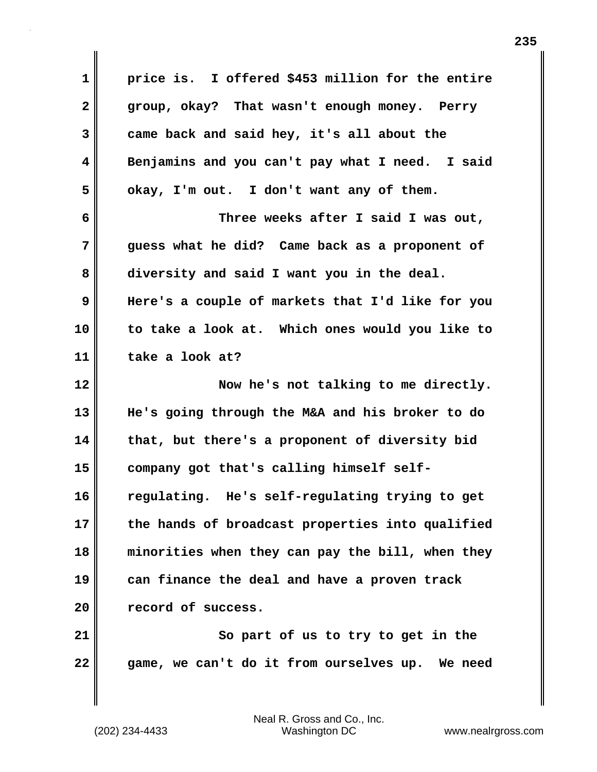**1 price is. I offered \$453 million for the entire 2 group, okay? That wasn't enough money. Perry 3 came back and said hey, it's all about the 4 Benjamins and you can't pay what I need. I said 5 okay, I'm out. I don't want any of them. 6 Three weeks after I said I was out, 7 guess what he did? Came back as a proponent of 8 diversity and said I want you in the deal. 9 Here's a couple of markets that I'd like for you 10 to take a look at. Which ones would you like to 11 take a look at? 12 Now he's not talking to me directly. 13 He's going through the M&A and his broker to do 14 that, but there's a proponent of diversity bid 15 company got that's calling himself self-16 regulating. He's self-regulating trying to get 17 the hands of broadcast properties into qualified 18 minorities when they can pay the bill, when they 19 can finance the deal and have a proven track 20 record of success. 21 So part of us to try to get in the 22 game, we can't do it from ourselves up. We need**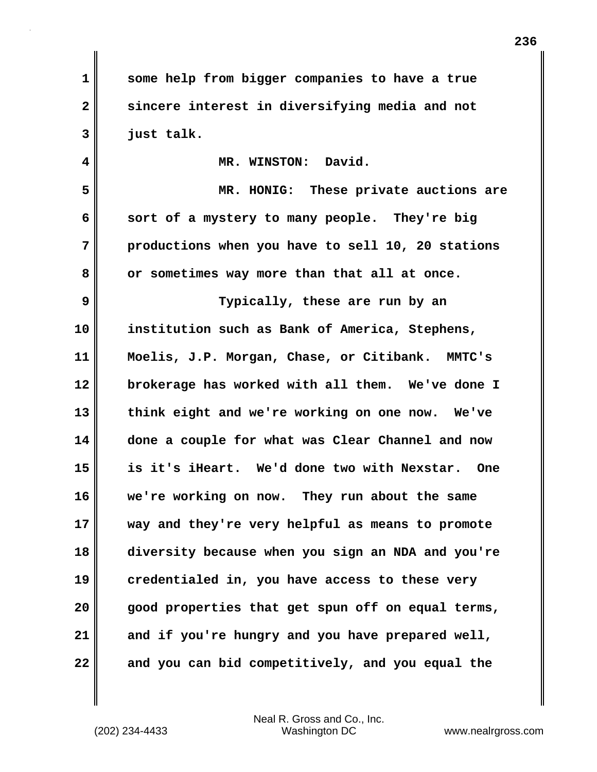**1 some help from bigger companies to have a true 2 sincere interest in diversifying media and not 3 just talk. 4 MR. WINSTON: David. 5 MR. HONIG: These private auctions are 6 sort of a mystery to many people. They're big 7 productions when you have to sell 10, 20 stations 8 or sometimes way more than that all at once. 9 Typically, these are run by an 10 institution such as Bank of America, Stephens, 11 Moelis, J.P. Morgan, Chase, or Citibank. MMTC's 12 brokerage has worked with all them. We've done I 13 think eight and we're working on one now. We've 14 done a couple for what was Clear Channel and now 15 is it's iHeart. We'd done two with Nexstar. One 16 we're working on now. They run about the same 17 way and they're very helpful as means to promote 18 diversity because when you sign an NDA and you're 19 credentialed in, you have access to these very 20 good properties that get spun off on equal terms, 21 and if you're hungry and you have prepared well, 22 and you can bid competitively, and you equal the**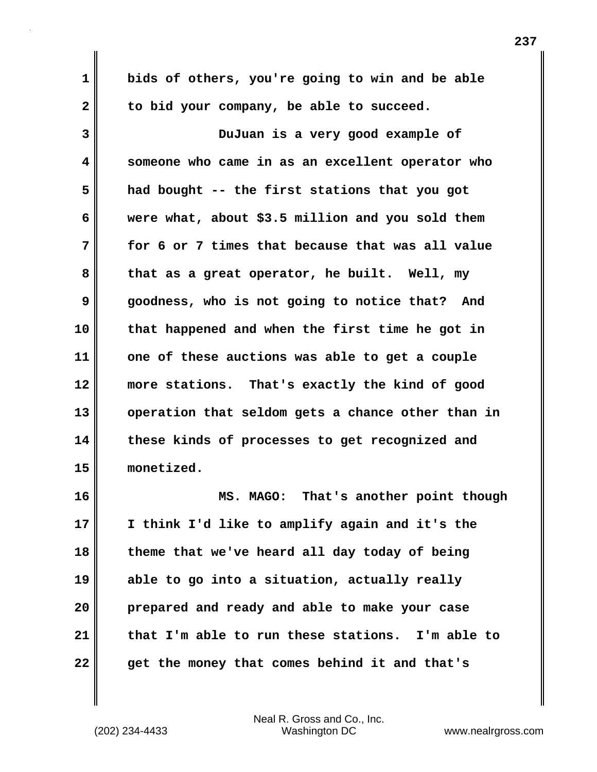**1 bids of others, you're going to win and be able** 2 to bid your company, be able to succeed. **3 DuJuan is a very good example of 4 someone who came in as an excellent operator who 5 had bought -- the first stations that you got 6 were what, about \$3.5 million and you sold them 7 for 6 or 7 times that because that was all value**

**8 that as a great operator, he built. Well, my 9 goodness, who is not going to notice that? And 10 that happened and when the first time he got in 11 one of these auctions was able to get a couple 12 more stations. That's exactly the kind of good 13 operation that seldom gets a chance other than in 14 these kinds of processes to get recognized and 15 monetized.**

**16 MS. MAGO: That's another point though 17 I think I'd like to amplify again and it's the 18 theme that we've heard all day today of being 19 able to go into a situation, actually really 20 prepared and ready and able to make your case 21 that I'm able to run these stations. I'm able to 22 get the money that comes behind it and that's**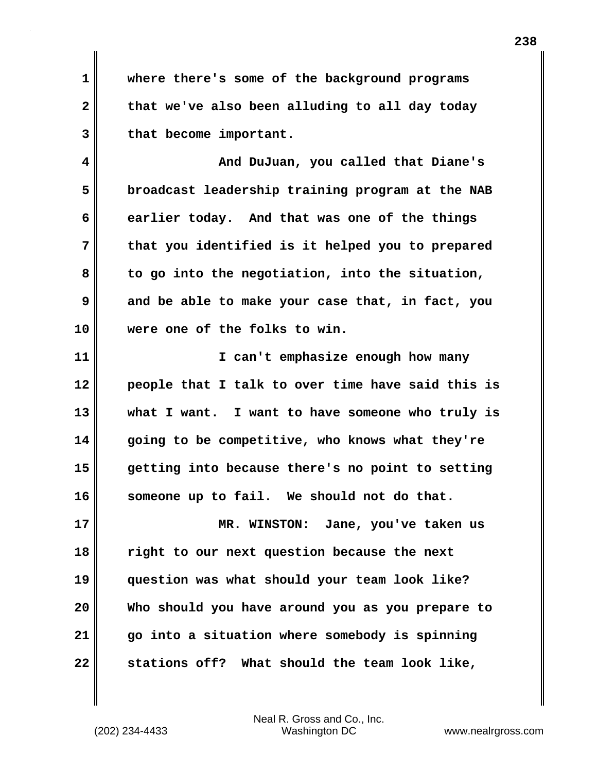**1 where there's some of the background programs 2 that we've also been alluding to all day today 3 that become important.**

**4 And DuJuan, you called that Diane's 5 broadcast leadership training program at the NAB 6 earlier today. And that was one of the things 7 that you identified is it helped you to prepared 8 to go into the negotiation, into the situation, 9 and be able to make your case that, in fact, you 10 were one of the folks to win.**

**11 I can't emphasize enough how many 12 people that I talk to over time have said this is 13 what I want. I want to have someone who truly is 14 going to be competitive, who knows what they're 15 getting into because there's no point to setting 16 someone up to fail. We should not do that. 17 MR. WINSTON: Jane, you've taken us 18 right to our next question because the next**

**19 question was what should your team look like? 20 Who should you have around you as you prepare to 21 go into a situation where somebody is spinning 22 stations off? What should the team look like,**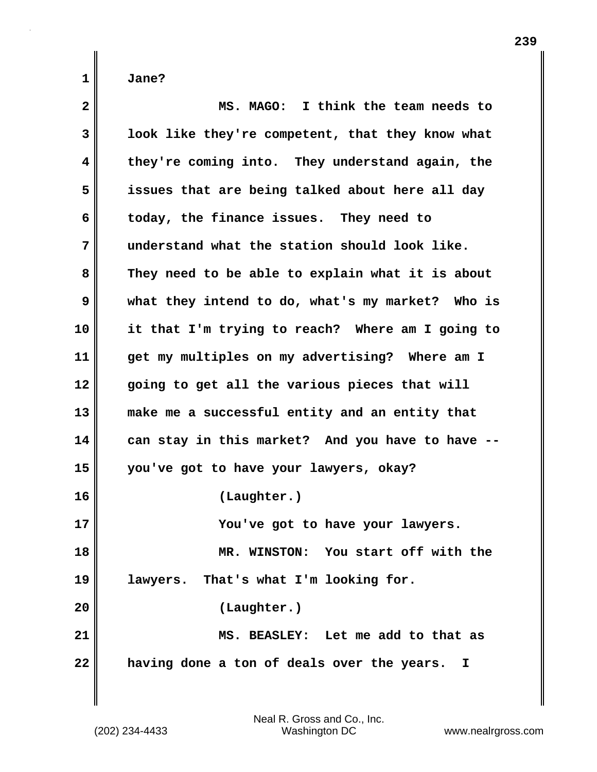| $\overline{2}$ | MS. MAGO: I think the team needs to              |
|----------------|--------------------------------------------------|
| $\mathbf{3}$   | look like they're competent, that they know what |
| 4              | they're coming into. They understand again, the  |
| 5              | issues that are being talked about here all day  |
| 6              | today, the finance issues. They need to          |
| 7              | understand what the station should look like.    |
| 8              | They need to be able to explain what it is about |
| 9              | what they intend to do, what's my market? Who is |
| 10             | it that I'm trying to reach? Where am I going to |
| 11             | get my multiples on my advertising? Where am I   |
| 12             | going to get all the various pieces that will    |
| 13             | make me a successful entity and an entity that   |
| 14             | can stay in this market? And you have to have -  |
| 15             | you've got to have your lawyers, okay?           |
| 16             | (Laughter.)                                      |
| 17             | You've got to have your lawyers.                 |
| 18             | MR. WINSTON: You start off with the              |
| 19             | lawyers. That's what I'm looking for.            |
| 20             | (Laughter.)                                      |
| 21             | MS. BEASLEY: Let me add to that as               |
| 22             | having done a ton of deals over the years.<br>I. |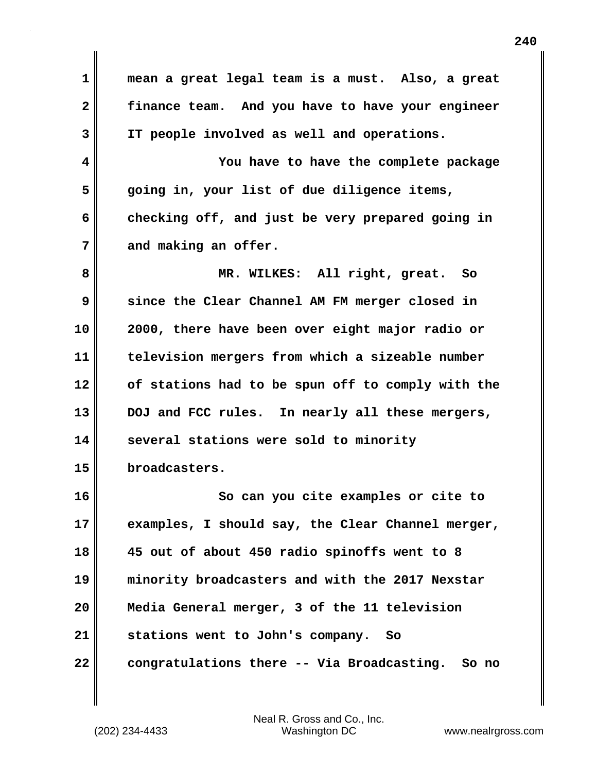**1 mean a great legal team is a must. Also, a great 2 finance team. And you have to have your engineer 3 IT people involved as well and operations. 4 You have to have the complete package 5 going in, your list of due diligence items, 6 checking off, and just be very prepared going in** 7 and making an offer. **8 MR. WILKES: All right, great. So 9 since the Clear Channel AM FM merger closed in 10 2000, there have been over eight major radio or 11 television mergers from which a sizeable number 12 of stations had to be spun off to comply with the 13 DOJ and FCC rules. In nearly all these mergers, 14 several stations were sold to minority 15 broadcasters. 16 So can you cite examples or cite to 17 examples, I should say, the Clear Channel merger, 18 45 out of about 450 radio spinoffs went to 8 19 minority broadcasters and with the 2017 Nexstar 20 Media General merger, 3 of the 11 television 21 stations went to John's company. So 22 congratulations there -- Via Broadcasting. So no**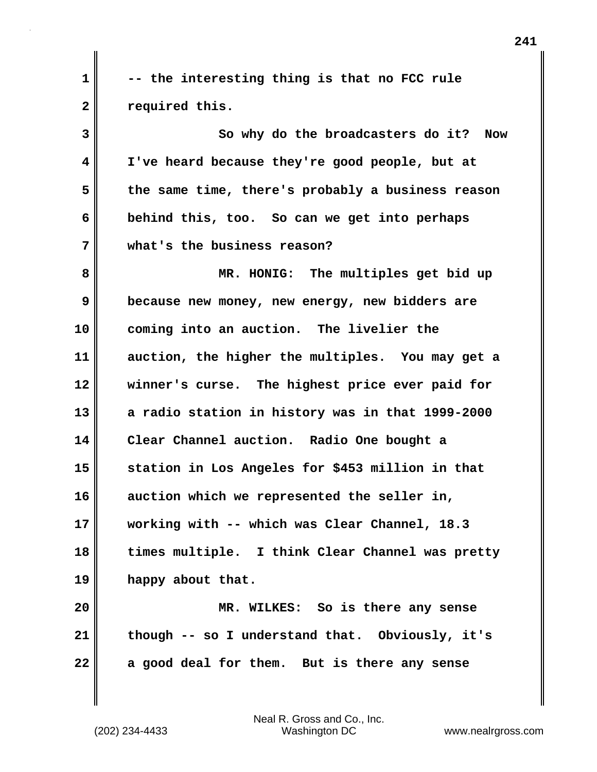**1 -- the interesting thing is that no FCC rule 2 required this.**

**3 So why do the broadcasters do it? Now 4 I've heard because they're good people, but at 5 the same time, there's probably a business reason 6 behind this, too. So can we get into perhaps 7 what's the business reason?**

**8 MR. HONIG: The multiples get bid up 9 because new money, new energy, new bidders are 10 coming into an auction. The livelier the 11 auction, the higher the multiples. You may get a 12 winner's curse. The highest price ever paid for 13 a radio station in history was in that 1999-2000 14 Clear Channel auction. Radio One bought a 15 station in Los Angeles for \$453 million in that 16 auction which we represented the seller in, 17 working with -- which was Clear Channel, 18.3 18 times multiple. I think Clear Channel was pretty 19 happy about that.**

**20 MR. WILKES: So is there any sense 21 though -- so I understand that. Obviously, it's 22 a good deal for them. But is there any sense**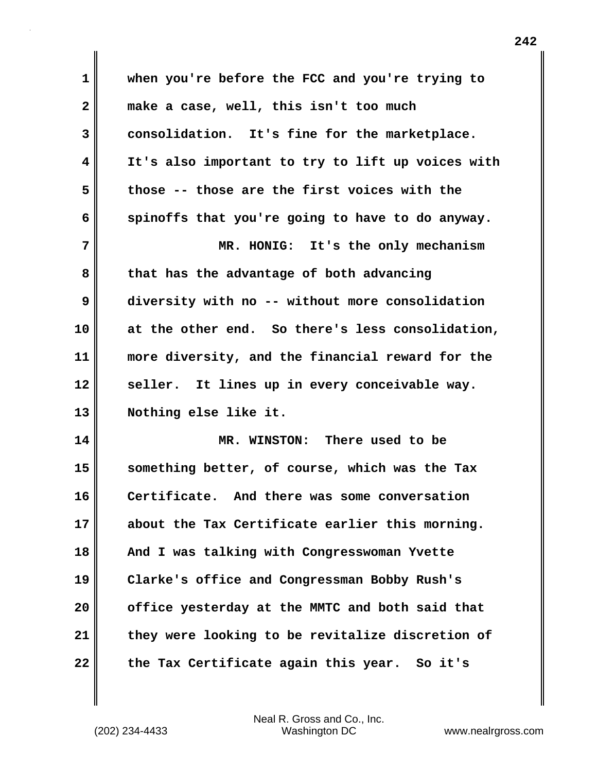**1 when you're before the FCC and you're trying to 2 make a case, well, this isn't too much 3 consolidation. It's fine for the marketplace. 4 It's also important to try to lift up voices with 5 those -- those are the first voices with the 6 spinoffs that you're going to have to do anyway. 7 MR. HONIG: It's the only mechanism 8 that has the advantage of both advancing 9 diversity with no -- without more consolidation 10 at the other end. So there's less consolidation, 11 more diversity, and the financial reward for the** 12 seller. It lines up in every conceivable way. **13 Nothing else like it. 14 MR. WINSTON: There used to be 15 something better, of course, which was the Tax 16 Certificate. And there was some conversation 17 about the Tax Certificate earlier this morning. 18 And I was talking with Congresswoman Yvette 19 Clarke's office and Congressman Bobby Rush's 20 office yesterday at the MMTC and both said that 21 they were looking to be revitalize discretion of 22 the Tax Certificate again this year. So it's**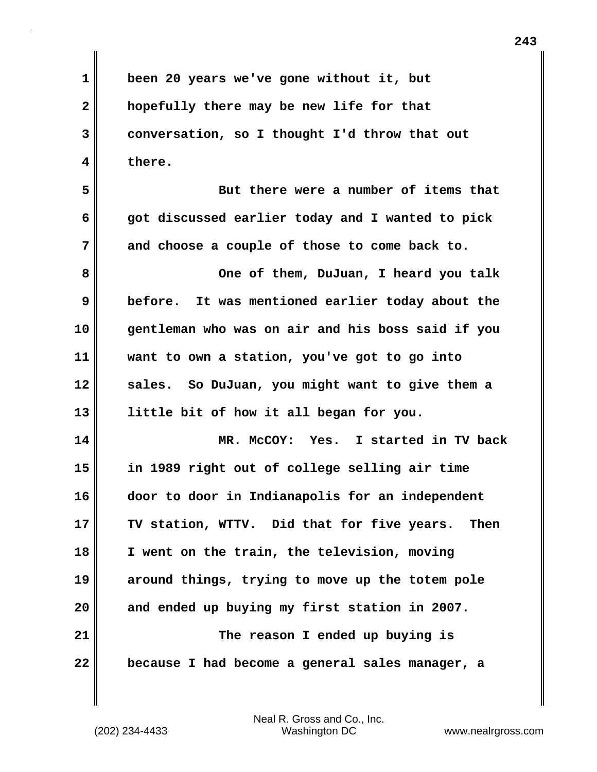**1 been 20 years we've gone without it, but 2 hopefully there may be new life for that 3 conversation, so I thought I'd throw that out 4 there. 5** But there were a number of items that **6 got discussed earlier today and I wanted to pick 7 and choose a couple of those to come back to. 8** One of them, DuJuan, I heard you talk **9 before. It was mentioned earlier today about the 10 gentleman who was on air and his boss said if you 11 want to own a station, you've got to go into 12 sales. So DuJuan, you might want to give them a 13 little bit of how it all began for you. 14 MR. McCOY: Yes. I started in TV back 15 in 1989 right out of college selling air time 16 door to door in Indianapolis for an independent 17 TV station, WTTV. Did that for five years. Then 18 I went on the train, the television, moving 19 around things, trying to move up the totem pole 20 and ended up buying my first station in 2007. 21 The reason I ended up buying is 22 because I had become a general sales manager, a**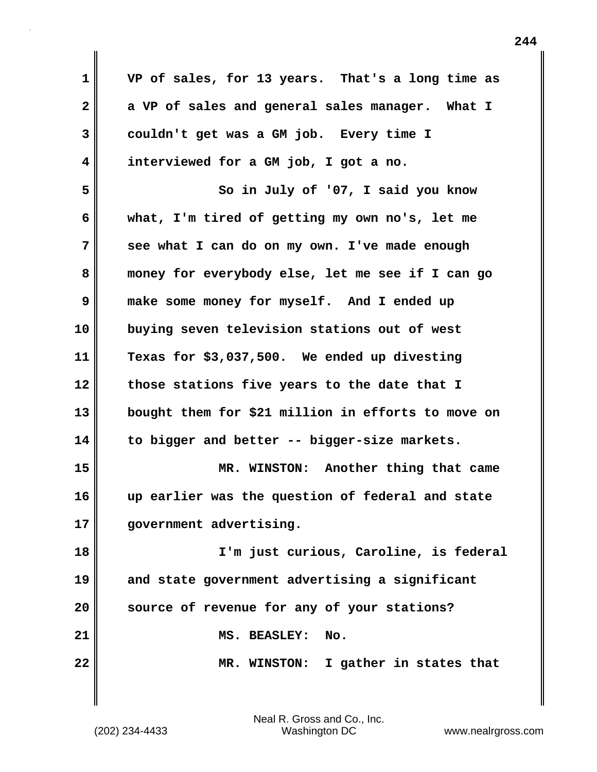**1 VP of sales, for 13 years. That's a long time as 2 a VP of sales and general sales manager. What I 3 couldn't get was a GM job. Every time I 4 interviewed for a GM job, I got a no. 5 So in July of '07, I said you know 6 what, I'm tired of getting my own no's, let me 7 see what I can do on my own. I've made enough 8 money for everybody else, let me see if I can go 9 make some money for myself. And I ended up 10 buying seven television stations out of west 11 Texas for \$3,037,500. We ended up divesting 12 those stations five years to the date that I 13 bought them for \$21 million in efforts to move on 14 to bigger and better -- bigger-size markets. 15 MR. WINSTON: Another thing that came 16 up earlier was the question of federal and state 17 government advertising. 18 I'm just curious, Caroline, is federal 19 and state government advertising a significant 20 source of revenue for any of your stations? 21 MS. BEASLEY: No. 22 MR. WINSTON: I gather in states that**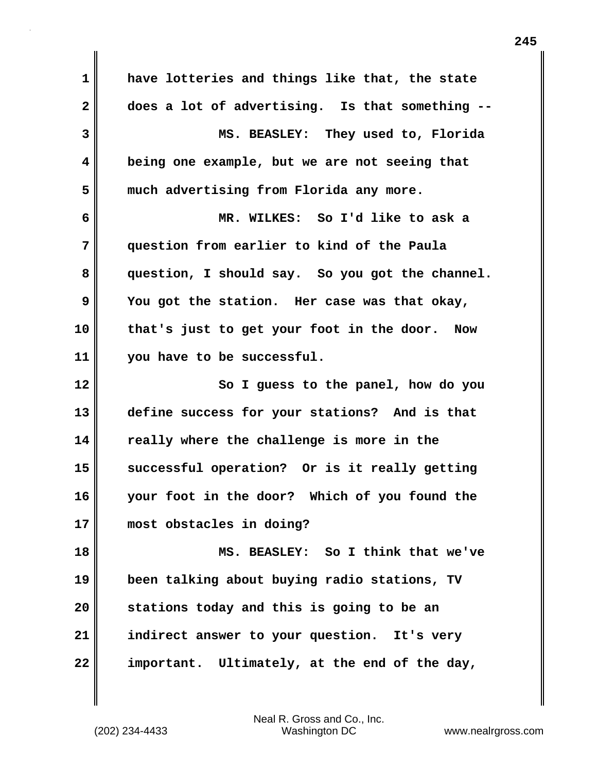**1 have lotteries and things like that, the state 2 does a lot of advertising. Is that something -- 3 MS. BEASLEY: They used to, Florida 4 being one example, but we are not seeing that 5 much advertising from Florida any more. 6 MR. WILKES: So I'd like to ask a 7 question from earlier to kind of the Paula 8 question, I should say. So you got the channel. 9 You got the station. Her case was that okay, 10 that's just to get your foot in the door. Now 11 you have to be successful. 12 So I guess to the panel, how do you 13 define success for your stations? And is that 14 really where the challenge is more in the 15 successful operation? Or is it really getting 16 your foot in the door? Which of you found the 17 most obstacles in doing? 18 MS. BEASLEY: So I think that we've 19 been talking about buying radio stations, TV 20 stations today and this is going to be an 21 indirect answer to your question. It's very 22 important. Ultimately, at the end of the day,**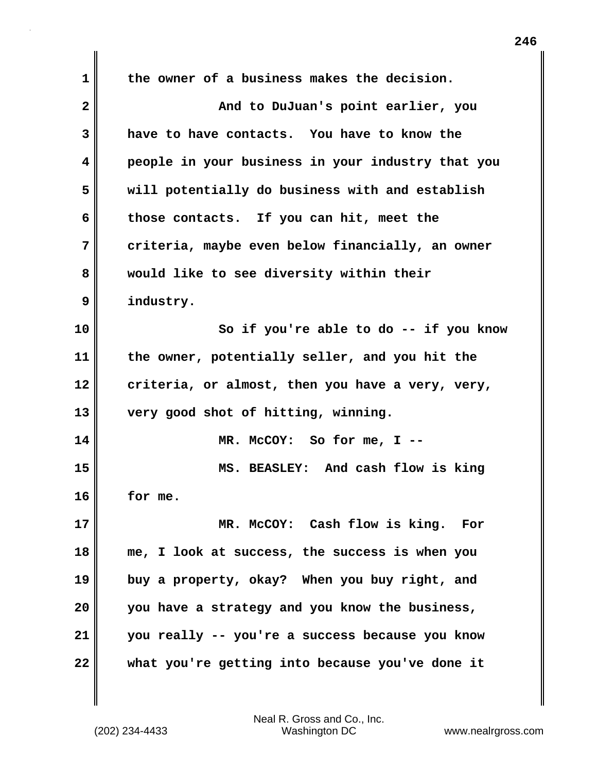**1 the owner of a business makes the decision. 2** And to DuJuan's point earlier, you **3 have to have contacts. You have to know the 4 people in your business in your industry that you 5 will potentially do business with and establish 6 those contacts. If you can hit, meet the 7 criteria, maybe even below financially, an owner 8 would like to see diversity within their 9 industry. 10 So if you're able to do -- if you know 11 the owner, potentially seller, and you hit the 12 criteria, or almost, then you have a very, very, 13 very good shot of hitting, winning. 14 MR. McCOY: So for me, I -- 15 MS. BEASLEY: And cash flow is king 16 for me. 17 MR. McCOY: Cash flow is king. For 18 me, I look at success, the success is when you 19 buy a property, okay? When you buy right, and 20 you have a strategy and you know the business, 21 you really -- you're a success because you know 22 what you're getting into because you've done it**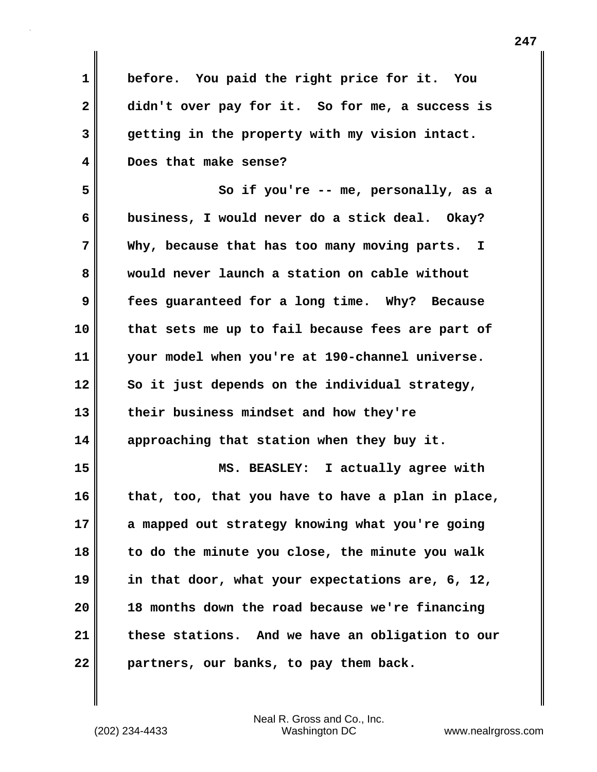**1 before. You paid the right price for it. You 2 didn't over pay for it. So for me, a success is 3 getting in the property with my vision intact. 4 Does that make sense? 5 So if you're -- me, personally, as a 6 business, I would never do a stick deal. Okay? 7 Why, because that has too many moving parts. I 8 would never launch a station on cable without 9 fees guaranteed for a long time. Why? Because 10 that sets me up to fail because fees are part of 11 your model when you're at 190-channel universe. 12 So it just depends on the individual strategy, 13 their business mindset and how they're 14 approaching that station when they buy it. 15 MS. BEASLEY: I actually agree with 16 that, too, that you have to have a plan in place, 17 a mapped out strategy knowing what you're going 18 to do the minute you close, the minute you walk 19 in that door, what your expectations are, 6, 12, 20 18 months down the road because we're financing 21 these stations. And we have an obligation to our 22 partners, our banks, to pay them back.**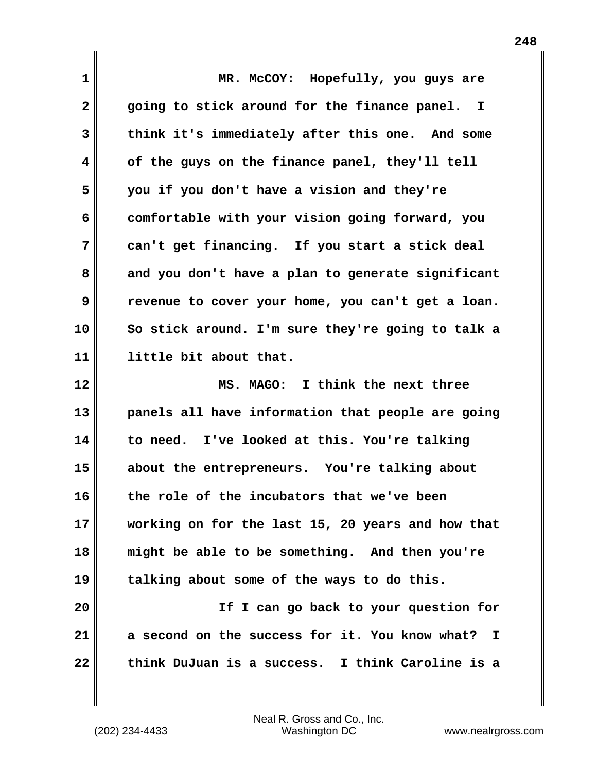| $\mathbf 1$  | MR. McCOY: Hopefully, you guys are                  |
|--------------|-----------------------------------------------------|
| $\mathbf{2}$ | going to stick around for the finance panel. I      |
| 3            | think it's immediately after this one. And some     |
| 4            | of the guys on the finance panel, they'll tell      |
| 5            | you if you don't have a vision and they're          |
| 6            | comfortable with your vision going forward, you     |
| 7            | can't get financing. If you start a stick deal      |
| 8            | and you don't have a plan to generate significant   |
| 9            | revenue to cover your home, you can't get a loan.   |
| 10           | So stick around. I'm sure they're going to talk a   |
| 11           | little bit about that.                              |
|              |                                                     |
| 12           | MS. MAGO: I think the next three                    |
| 13           | panels all have information that people are going   |
| 14           | to need. I've looked at this. You're talking        |
| 15           | about the entrepreneurs. You're talking about       |
| 16           | the role of the incubators that we've been          |
| 17           | working on for the last 15, 20 years and how that   |
| 18           | might be able to be something. And then you're      |
| 19           | talking about some of the ways to do this.          |
| 20           | If I can go back to your question for               |
| 21           | a second on the success for it. You know what?<br>I |

(202) 234-4433 Washington DC www.nealrgross.com Neal R. Gross and Co., Inc.

 $\mathbf{l}$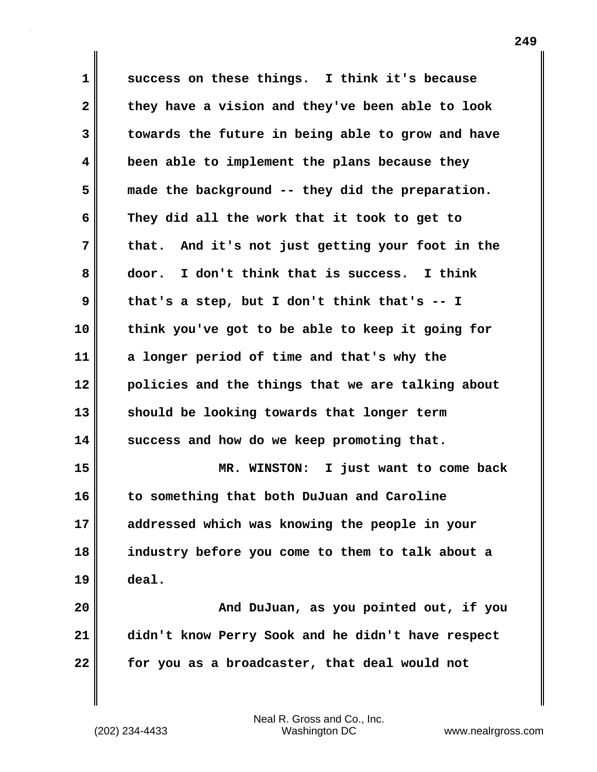**1 success on these things. I think it's because 2 they have a vision and they've been able to look 3 towards the future in being able to grow and have 4 been able to implement the plans because they 5 made the background -- they did the preparation. 6 They did all the work that it took to get to 7 that. And it's not just getting your foot in the 8 door. I don't think that is success. I think 9 that's a step, but I don't think that's -- I 10 think you've got to be able to keep it going for 11 a longer period of time and that's why the 12 policies and the things that we are talking about 13 should be looking towards that longer term 14 success and how do we keep promoting that. 15 MR. WINSTON: I just want to come back 16 to something that both DuJuan and Caroline 17 addressed which was knowing the people in your 18 industry before you come to them to talk about a 19 deal. 20 And DuJuan, as you pointed out, if you 21 didn't know Perry Sook and he didn't have respect 22 for you as a broadcaster, that deal would not**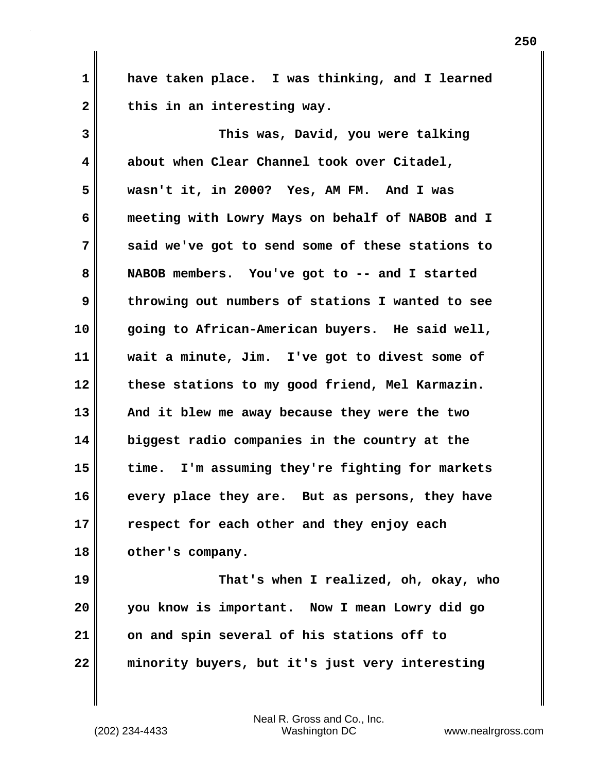**1 have taken place. I was thinking, and I learned** 2 this in an interesting way.

**3 This was, David, you were talking 4 about when Clear Channel took over Citadel, 5 wasn't it, in 2000? Yes, AM FM. And I was 6 meeting with Lowry Mays on behalf of NABOB and I 7 said we've got to send some of these stations to 8 NABOB members. You've got to -- and I started 9 throwing out numbers of stations I wanted to see 10 going to African-American buyers. He said well, 11 wait a minute, Jim. I've got to divest some of 12 these stations to my good friend, Mel Karmazin. 13 And it blew me away because they were the two 14 biggest radio companies in the country at the 15 time. I'm assuming they're fighting for markets 16 every place they are. But as persons, they have 17 respect for each other and they enjoy each 18 other's company. 19 That's when I realized, oh, okay, who 20 you know is important. Now I mean Lowry did go**

**22 minority buyers, but it's just very interesting**

(202) 234-4433 Washington DC www.nealrgross.com Neal R. Gross and Co., Inc.

**21 on and spin several of his stations off to**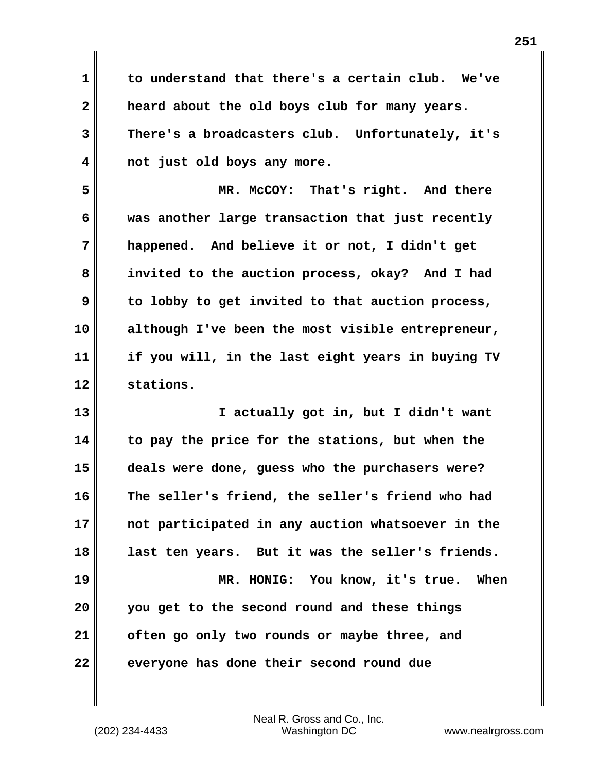**1 to understand that there's a certain club. We've 2 heard about the old boys club for many years. 3 There's a broadcasters club. Unfortunately, it's 4 not just old boys any more.**

**5 MR. McCOY: That's right. And there 6 was another large transaction that just recently 7 happened. And believe it or not, I didn't get 8 invited to the auction process, okay? And I had 9 to lobby to get invited to that auction process, 10 although I've been the most visible entrepreneur, 11 if you will, in the last eight years in buying TV 12 stations.**

**13 I actually got in, but I didn't want 14 to pay the price for the stations, but when the 15 deals were done, guess who the purchasers were? 16 The seller's friend, the seller's friend who had 17 not participated in any auction whatsoever in the 18 last ten years. But it was the seller's friends. 19 MR. HONIG: You know, it's true. When 20 you get to the second round and these things 21 often go only two rounds or maybe three, and**

**22 everyone has done their second round due**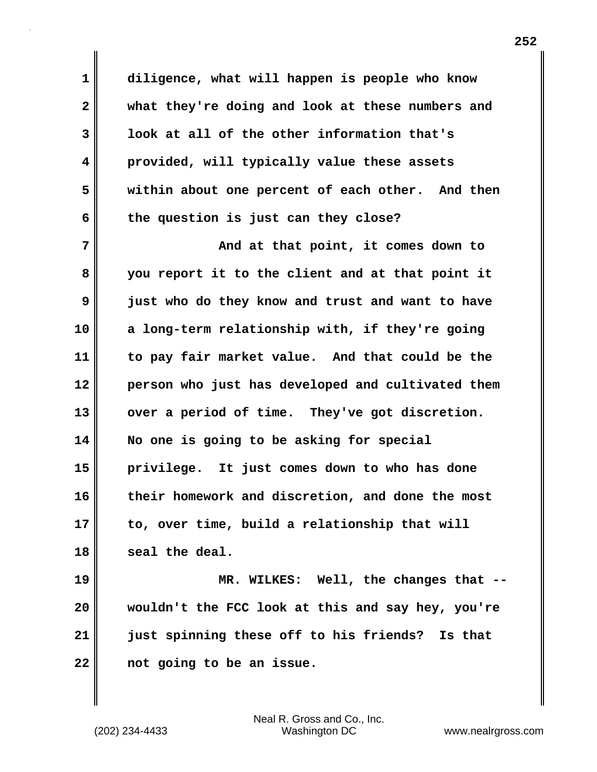**1 diligence, what will happen is people who know 2 what they're doing and look at these numbers and 3 look at all of the other information that's 4 provided, will typically value these assets 5 within about one percent of each other. And then 6 the question is just can they close?**

**7 And at that point, it comes down to 8 you report it to the client and at that point it 9 just who do they know and trust and want to have 10 a long-term relationship with, if they're going 11 to pay fair market value. And that could be the 12 person who just has developed and cultivated them** 13 vver a period of time. They've got discretion. **14 No one is going to be asking for special 15 privilege. It just comes down to who has done 16 their homework and discretion, and done the most 17 to, over time, build a relationship that will 18 seal the deal.**

**19 MR. WILKES: Well, the changes that -- 20 wouldn't the FCC look at this and say hey, you're 21 just spinning these off to his friends? Is that 22 not going to be an issue.**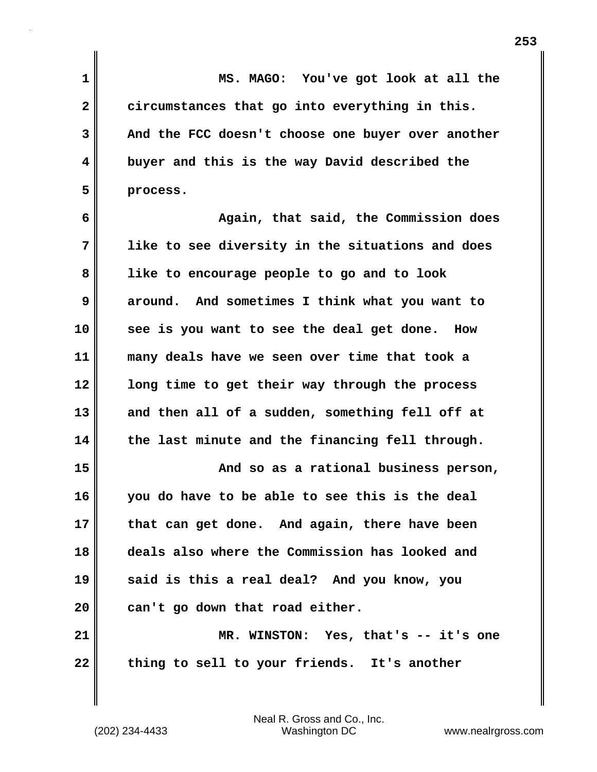**1 MS. MAGO: You've got look at all the 2 circumstances that go into everything in this. 3 And the FCC doesn't choose one buyer over another 4 buyer and this is the way David described the 5 process.**

**6 Again, that said, the Commission does 7 like to see diversity in the situations and does 8 like to encourage people to go and to look 9 around. And sometimes I think what you want to 10 see is you want to see the deal get done. How 11 many deals have we seen over time that took a 12 long time to get their way through the process 13 and then all of a sudden, something fell off at 14 the last minute and the financing fell through. 15 And so as a rational business person, 16 you do have to be able to see this is the deal**

**17 that can get done. And again, there have been 18 deals also where the Commission has looked and 19 said is this a real deal? And you know, you 20 can't go down that road either. 21 MR. WINSTON: Yes, that's -- it's one**

**22 thing to sell to your friends. It's another**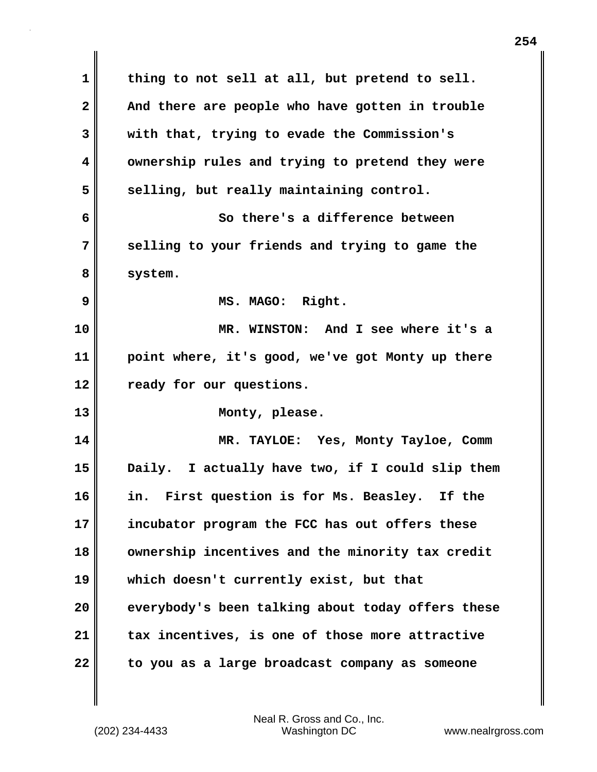**1 thing to not sell at all, but pretend to sell.**  2 **And there are people who have gotten in trouble 3 with that, trying to evade the Commission's 4 ownership rules and trying to pretend they were** 5 selling, but really maintaining control. **6 So there's a difference between 7 selling to your friends and trying to game the 8 system. 9 MS. MAGO: Right. 10 MR. WINSTON: And I see where it's a 11 point where, it's good, we've got Monty up there 12 ready for our questions. 13 Monty, please. 14 MR. TAYLOE: Yes, Monty Tayloe, Comm 15 Daily. I actually have two, if I could slip them 16 in. First question is for Ms. Beasley. If the 17 incubator program the FCC has out offers these 18 ownership incentives and the minority tax credit 19 which doesn't currently exist, but that 20 everybody's been talking about today offers these 21 tax incentives, is one of those more attractive 22 to you as a large broadcast company as someone**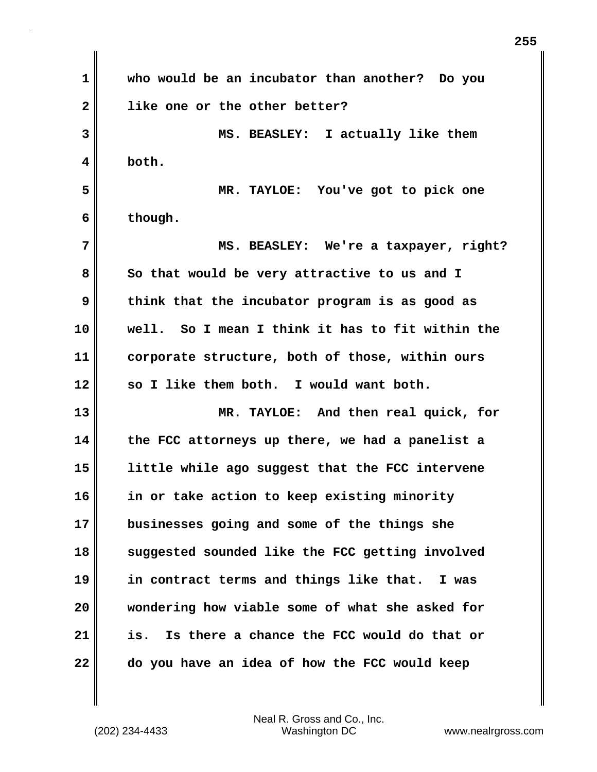**1 who would be an incubator than another? Do you 2 like one or the other better? 3 MS. BEASLEY: I actually like them 4 both. 5 MR. TAYLOE: You've got to pick one 6 though. 7 MS. BEASLEY: We're a taxpayer, right?**  8 So that would be very attractive to us and I **9 think that the incubator program is as good as 10 well. So I mean I think it has to fit within the 11 corporate structure, both of those, within ours 12 so I like them both. I would want both. 13 MR. TAYLOE: And then real quick, for 14 the FCC attorneys up there, we had a panelist a 15 little while ago suggest that the FCC intervene 16 in or take action to keep existing minority 17 businesses going and some of the things she 18 suggested sounded like the FCC getting involved 19 in contract terms and things like that. I was 20 wondering how viable some of what she asked for 21 is. Is there a chance the FCC would do that or 22 do you have an idea of how the FCC would keep**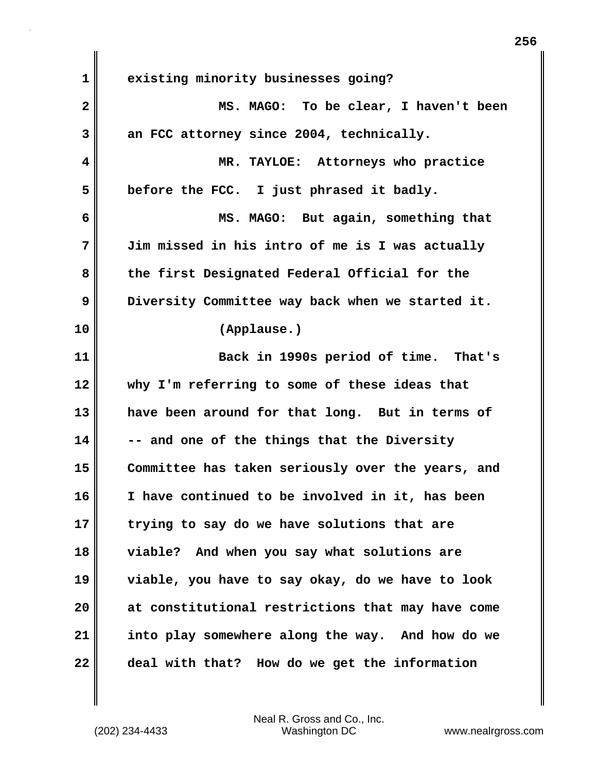| $\mathbf 1$  | existing minority businesses going?               |
|--------------|---------------------------------------------------|
| $\mathbf{2}$ | MS. MAGO: To be clear, I haven't been             |
| 3            | an FCC attorney since 2004, technically.          |
| 4            | MR. TAYLOE: Attorneys who practice                |
| 5            | before the FCC. I just phrased it badly.          |
| 6            | MS. MAGO: But again, something that               |
| 7            | Jim missed in his intro of me is I was actually   |
| 8            | the first Designated Federal Official for the     |
| 9            | Diversity Committee way back when we started it.  |
| 10           | (Applause.)                                       |
| 11           | Back in 1990s period of time. That's              |
| 12           | why I'm referring to some of these ideas that     |
| 13           | have been around for that long. But in terms of   |
| 14           | -- and one of the things that the Diversity       |
| 15           | Committee has taken seriously over the years, and |
| 16           | I have continued to be involved in it, has been   |
| 17           | trying to say do we have solutions that are       |
| 18           | viable? And when you say what solutions are       |
| 19           | viable, you have to say okay, do we have to look  |
| 20           | at constitutional restrictions that may have come |
| 21           | into play somewhere along the way. And how do we  |
| 22           | deal with that? How do we get the information     |

 $\mathbf{I}$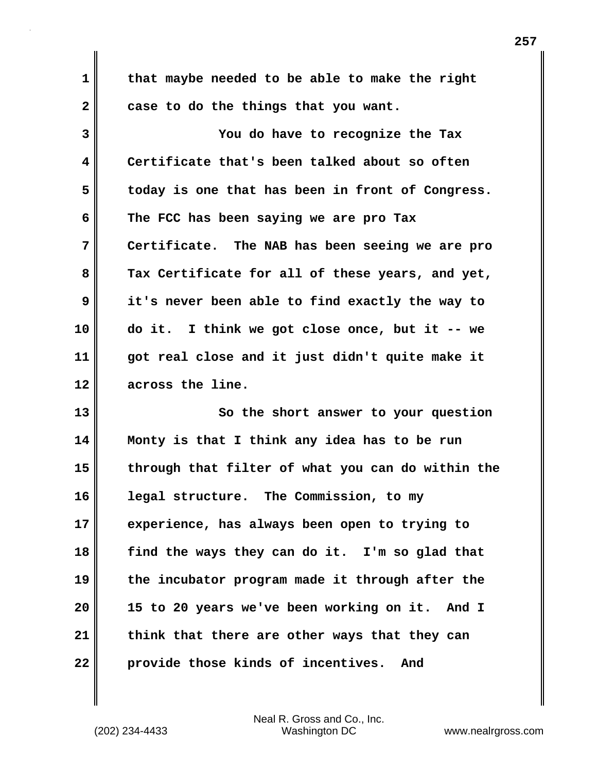**1 that maybe needed to be able to make the right 2 case to do the things that you want. 3 You do have to recognize the Tax 4 Certificate that's been talked about so often 5 today is one that has been in front of Congress. 6 The FCC has been saying we are pro Tax 7 Certificate. The NAB has been seeing we are pro 8 Tax Certificate for all of these years, and yet, 9 it's never been able to find exactly the way to 10 do it. I think we got close once, but it -- we 11 got real close and it just didn't quite make it 12 across the line.** 

**13** So the short answer to your question **14 Monty is that I think any idea has to be run 15 through that filter of what you can do within the 16 legal structure. The Commission, to my 17 experience, has always been open to trying to 18 find the ways they can do it. I'm so glad that 19 the incubator program made it through after the 20 15 to 20 years we've been working on it. And I 21 think that there are other ways that they can 22 provide those kinds of incentives. And**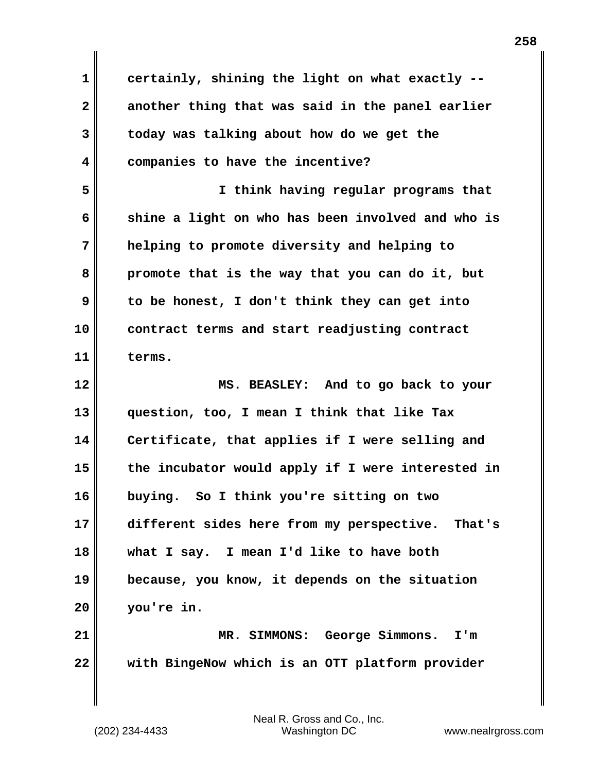**1 certainly, shining the light on what exactly -- 2 another thing that was said in the panel earlier 3 today was talking about how do we get the 4 companies to have the incentive? 5 I think having regular programs that 6 shine a light on who has been involved and who is 7 helping to promote diversity and helping to 8 promote that is the way that you can do it, but 9 to be honest, I don't think they can get into 10 contract terms and start readjusting contract 11 terms. 12 MS. BEASLEY: And to go back to your 13 question, too, I mean I think that like Tax 14 Certificate, that applies if I were selling and 15 the incubator would apply if I were interested in 16 buying. So I think you're sitting on two 17 different sides here from my perspective. That's 18 what I say. I mean I'd like to have both 19 because, you know, it depends on the situation 20 you're in. 21 MR. SIMMONS: George Simmons. I'm 22 with BingeNow which is an OTT platform provider**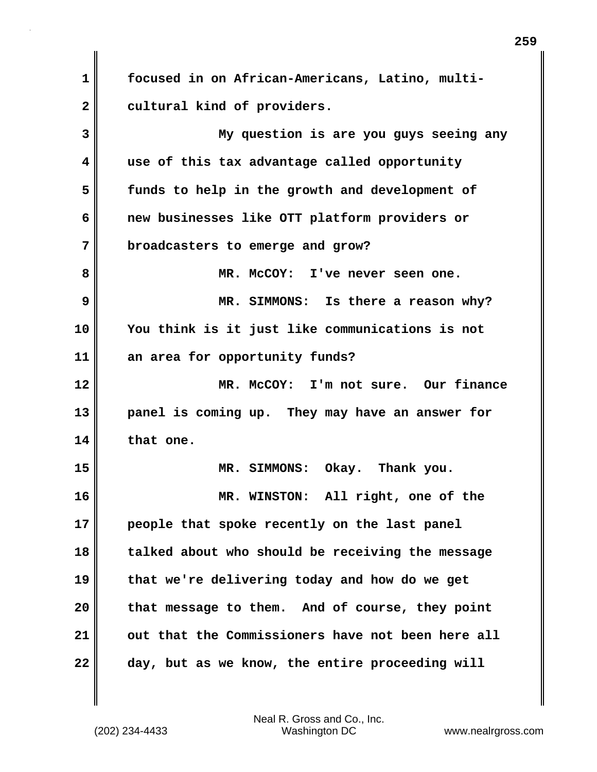**1 focused in on African-Americans, Latino, multi-**2 cultural kind of providers.

**3 My question is are you guys seeing any 4 use of this tax advantage called opportunity 5 funds to help in the growth and development of 6 new businesses like OTT platform providers or 7 broadcasters to emerge and grow? 8 MR. McCOY: I've never seen one. 9 MR. SIMMONS: Is there a reason why? 10 You think is it just like communications is not 11 an area for opportunity funds? 12 MR. McCOY: I'm not sure. Our finance 13 panel is coming up. They may have an answer for 14 that one. 15 MR. SIMMONS: Okay. Thank you. 16 MR. WINSTON: All right, one of the 17 people that spoke recently on the last panel 18 talked about who should be receiving the message 19 that we're delivering today and how do we get 20 that message to them. And of course, they point 21 out that the Commissioners have not been here all 22 day, but as we know, the entire proceeding will**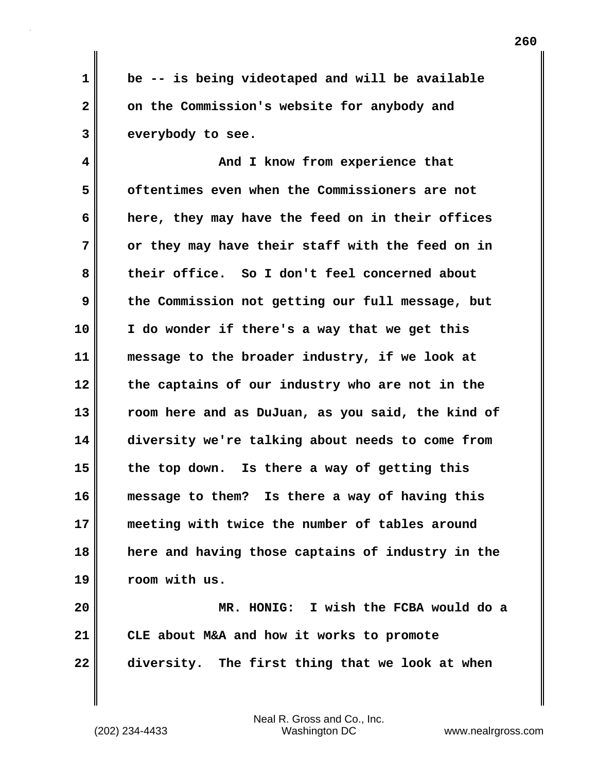**1 be -- is being videotaped and will be available 2 on the Commission's website for anybody and 3 everybody to see.** 

**4 And I know from experience that 5 oftentimes even when the Commissioners are not 6 here, they may have the feed on in their offices 7 or they may have their staff with the feed on in 8 their office. So I don't feel concerned about 9 the Commission not getting our full message, but 10 I do wonder if there's a way that we get this 11 message to the broader industry, if we look at 12 the captains of our industry who are not in the 13 room here and as DuJuan, as you said, the kind of 14 diversity we're talking about needs to come from 15 the top down. Is there a way of getting this 16 message to them? Is there a way of having this 17 meeting with twice the number of tables around 18 here and having those captains of industry in the 19 room with us.**

**20 MR. HONIG: I wish the FCBA would do a 21 CLE about M&A and how it works to promote 22 diversity. The first thing that we look at when**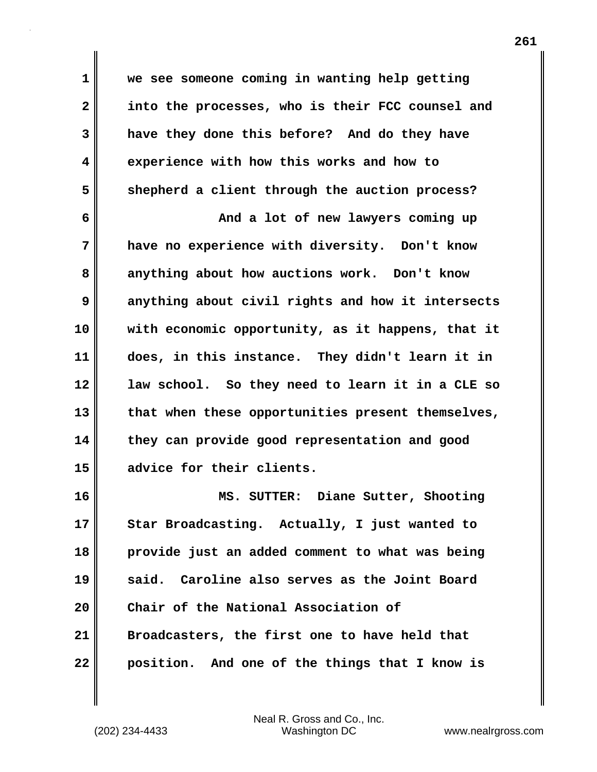**1 we see someone coming in wanting help getting 2 into the processes, who is their FCC counsel and 3 have they done this before? And do they have 4 experience with how this works and how to 5 shepherd a client through the auction process?** 

**6 And a lot of new lawyers coming up 7 have no experience with diversity. Don't know 8 anything about how auctions work. Don't know 9 anything about civil rights and how it intersects 10 with economic opportunity, as it happens, that it 11 does, in this instance. They didn't learn it in 12 law school. So they need to learn it in a CLE so 13 that when these opportunities present themselves, 14 they can provide good representation and good 15 advice for their clients.**

**16 MS. SUTTER: Diane Sutter, Shooting 17 Star Broadcasting. Actually, I just wanted to 18 provide just an added comment to what was being 19 said. Caroline also serves as the Joint Board 20 Chair of the National Association of 21 Broadcasters, the first one to have held that 22 position. And one of the things that I know is**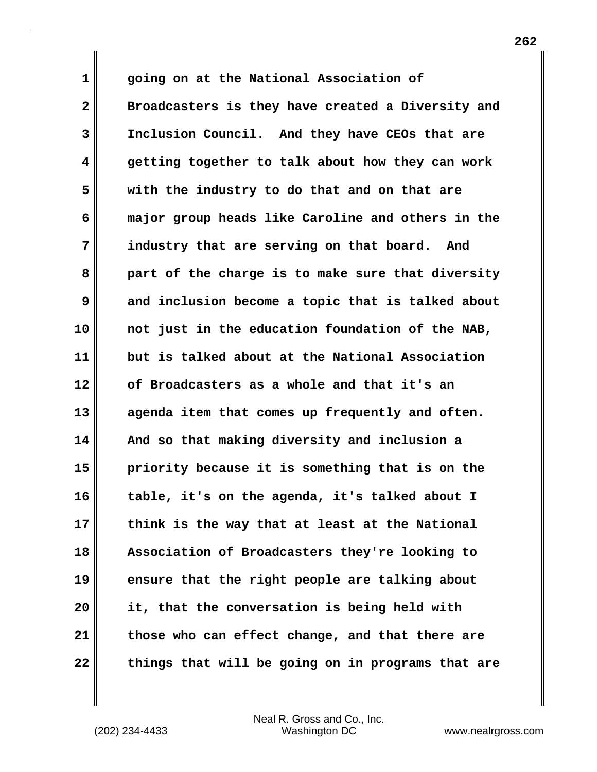**1 going on at the National Association of 2 Broadcasters is they have created a Diversity and 3 Inclusion Council. And they have CEOs that are 4 getting together to talk about how they can work 5 with the industry to do that and on that are 6 major group heads like Caroline and others in the 7 industry that are serving on that board. And 8 part of the charge is to make sure that diversity 9 and inclusion become a topic that is talked about 10 not just in the education foundation of the NAB, 11 but is talked about at the National Association 12 of Broadcasters as a whole and that it's an 13 agenda item that comes up frequently and often. 14 And so that making diversity and inclusion a 15 priority because it is something that is on the 16 table, it's on the agenda, it's talked about I 17 think is the way that at least at the National 18 Association of Broadcasters they're looking to 19 ensure that the right people are talking about 20 it, that the conversation is being held with 21 those who can effect change, and that there are 22 things that will be going on in programs that are**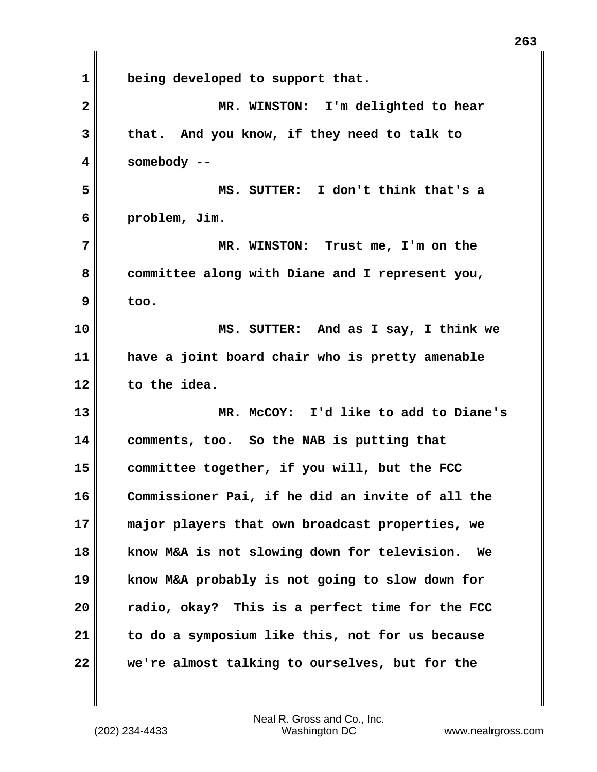**1 being developed to support that. 2 MR. WINSTON: I'm delighted to hear 3 that. And you know, if they need to talk to 4 somebody -- 5 MS. SUTTER: I don't think that's a 6 problem, Jim. 7 MR. WINSTON: Trust me, I'm on the 8 committee along with Diane and I represent you, 9 too. 10 MS. SUTTER: And as I say, I think we 11 have a joint board chair who is pretty amenable 12 to the idea. 13 MR. McCOY: I'd like to add to Diane's 14 comments, too. So the NAB is putting that 15 committee together, if you will, but the FCC 16 Commissioner Pai, if he did an invite of all the 17 major players that own broadcast properties, we 18 know M&A is not slowing down for television. We 19 know M&A probably is not going to slow down for 20 radio, okay? This is a perfect time for the FCC 21 to do a symposium like this, not for us because 22 we're almost talking to ourselves, but for the**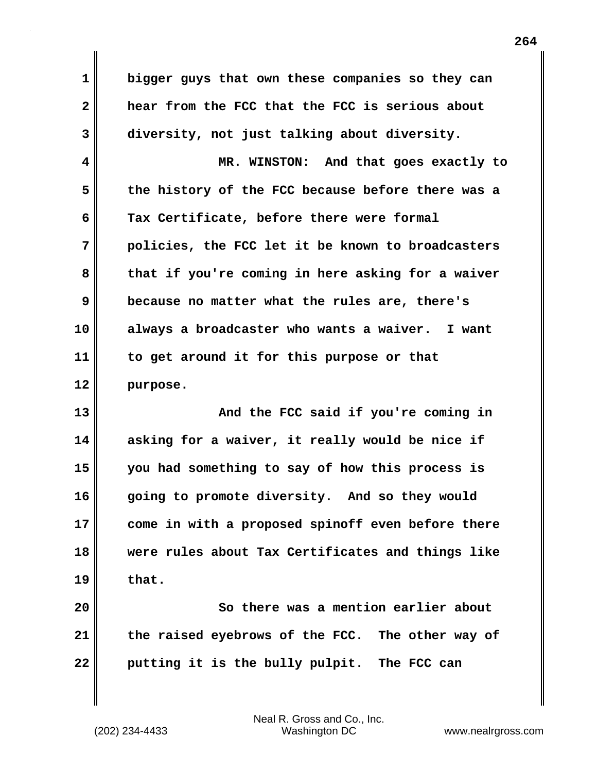**1 bigger guys that own these companies so they can 2 hear from the FCC that the FCC is serious about 3 diversity, not just talking about diversity.**

**4 MR. WINSTON: And that goes exactly to 5 the history of the FCC because before there was a 6 Tax Certificate, before there were formal 7 policies, the FCC let it be known to broadcasters 8 that if you're coming in here asking for a waiver 9 because no matter what the rules are, there's 10 always a broadcaster who wants a waiver. I want 11 to get around it for this purpose or that 12 purpose.** 

**13 And the FCC said if you're coming in 14 asking for a waiver, it really would be nice if 15 you had something to say of how this process is 16 going to promote diversity. And so they would 17 come in with a proposed spinoff even before there 18 were rules about Tax Certificates and things like 19 that.** 

**20 So there was a mention earlier about 21 the raised eyebrows of the FCC. The other way of 22 putting it is the bully pulpit. The FCC can**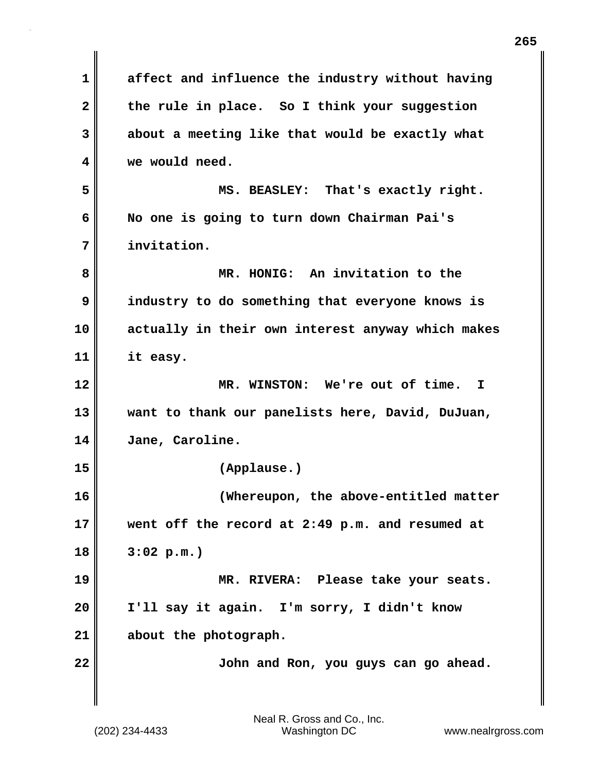| $\mathbf 1$  | affect and influence the industry without having  |
|--------------|---------------------------------------------------|
| $\mathbf{2}$ | the rule in place. So I think your suggestion     |
| 3            | about a meeting like that would be exactly what   |
| 4            | we would need.                                    |
| 5            | MS. BEASLEY: That's exactly right.                |
| 6            | No one is going to turn down Chairman Pai's       |
| 7            | invitation.                                       |
| 8            | MR. HONIG: An invitation to the                   |
| 9            | industry to do something that everyone knows is   |
| 10           | actually in their own interest anyway which makes |
| 11           | it easy.                                          |
| 12           | MR. WINSTON: We're out of time. I                 |
| 13           | want to thank our panelists here, David, DuJuan,  |
| 14           | Jane, Caroline.                                   |
| 15           | (Applause.)                                       |
| 16           | (Whereupon, the above-entitled matter             |
| 17           | went off the record at 2:49 p.m. and resumed at   |
| 18           | 3:02 p.m.                                         |
| 19           | MR. RIVERA: Please take your seats.               |
| 20           | I'll say it again. I'm sorry, I didn't know       |
| 21           | about the photograph.                             |
| 22           | John and Ron, you guys can go ahead.              |
|              |                                                   |

 $\mathbf{I}$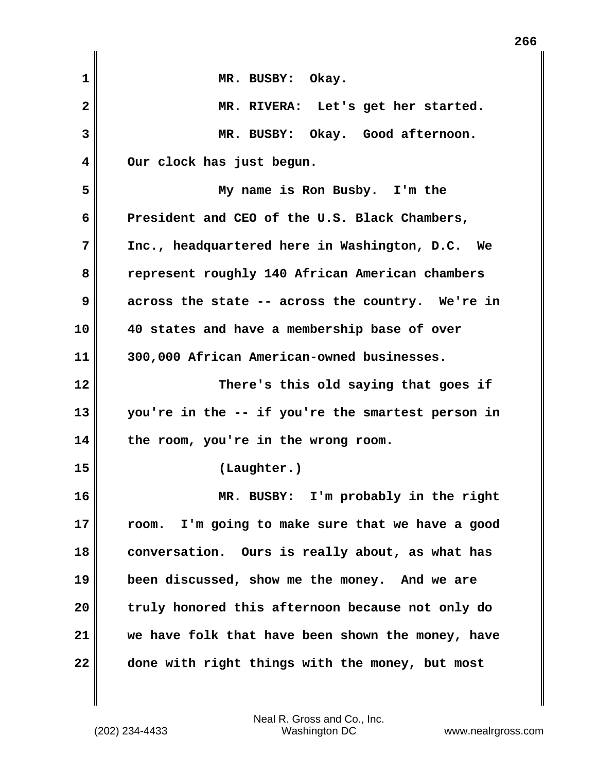| 1            | MR. BUSBY: Okay.                                    |
|--------------|-----------------------------------------------------|
| $\mathbf{2}$ | MR. RIVERA: Let's get her started.                  |
| 3            | MR. BUSBY: Okay. Good afternoon.                    |
| 4            | Our clock has just begun.                           |
| 5            | My name is Ron Busby. I'm the                       |
| 6            | President and CEO of the U.S. Black Chambers,       |
| 7            | Inc., headquartered here in Washington, D.C. We     |
| 8            | represent roughly 140 African American chambers     |
| 9            | across the state -- across the country. We're in    |
| 10           | 40 states and have a membership base of over        |
| 11           | 300,000 African American-owned businesses.          |
| 12           | There's this old saying that goes if                |
| 13           | you're in the -- if you're the smartest person in   |
| 14           | the room, you're in the wrong room.                 |
| 15           | (Laughter.)                                         |
| 16           | MR. BUSBY: I'm probably in the right                |
| 17           | I'm going to make sure that we have a good<br>room. |
| 18           | conversation. Ours is really about, as what has     |
| 19           | been discussed, show me the money. And we are       |
| 20           | truly honored this afternoon because not only do    |
| 21           | we have folk that have been shown the money, have   |
| 22           | done with right things with the money, but most     |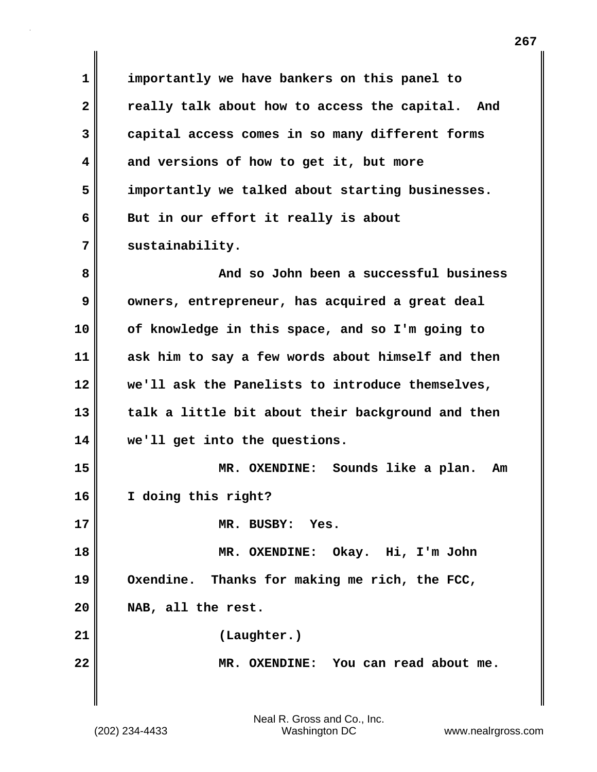**1 importantly we have bankers on this panel to 2 really talk about how to access the capital. And 3 capital access comes in so many different forms 4 and versions of how to get it, but more 5 importantly we talked about starting businesses. 6 But in our effort it really is about 7 sustainability. 8 And so John been a successful business 9** owners, entrepreneur, has acquired a great deal **10 of knowledge in this space, and so I'm going to 11 ask him to say a few words about himself and then 12 we'll ask the Panelists to introduce themselves, 13 talk a little bit about their background and then 14 we'll get into the questions. 15 MR. OXENDINE: Sounds like a plan. Am 16 I doing this right? 17 MR. BUSBY: Yes. 18 MR. OXENDINE: Okay. Hi, I'm John 19 Oxendine. Thanks for making me rich, the FCC, 20 NAB, all the rest. 21 (Laughter.) 22 MR. OXENDINE: You can read about me.**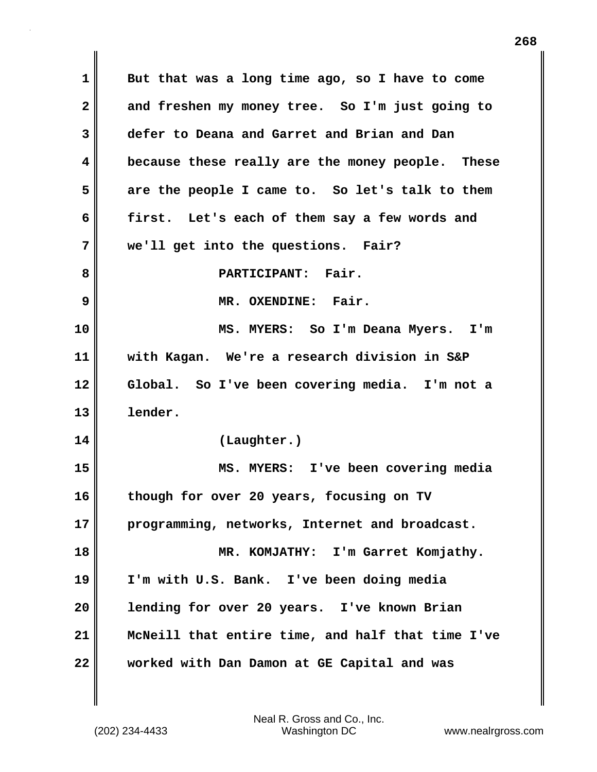**1 But that was a long time ago, so I have to come 2 and freshen my money tree. So I'm just going to 3 defer to Deana and Garret and Brian and Dan 4 because these really are the money people. These 5 are the people I came to. So let's talk to them 6 first. Let's each of them say a few words and 7 we'll get into the questions. Fair? 8 PARTICIPANT: Fair. 9 MR. OXENDINE: Fair. 10 MS. MYERS: So I'm Deana Myers. I'm 11 with Kagan. We're a research division in S&P 12 Global. So I've been covering media. I'm not a 13 lender. 14 (Laughter.) 15 MS. MYERS: I've been covering media 16 though for over 20 years, focusing on TV 17 programming, networks, Internet and broadcast. 18 MR. KOMJATHY: I'm Garret Komjathy. 19 I'm with U.S. Bank. I've been doing media 20 lending for over 20 years. I've known Brian 21 McNeill that entire time, and half that time I've 22 worked with Dan Damon at GE Capital and was**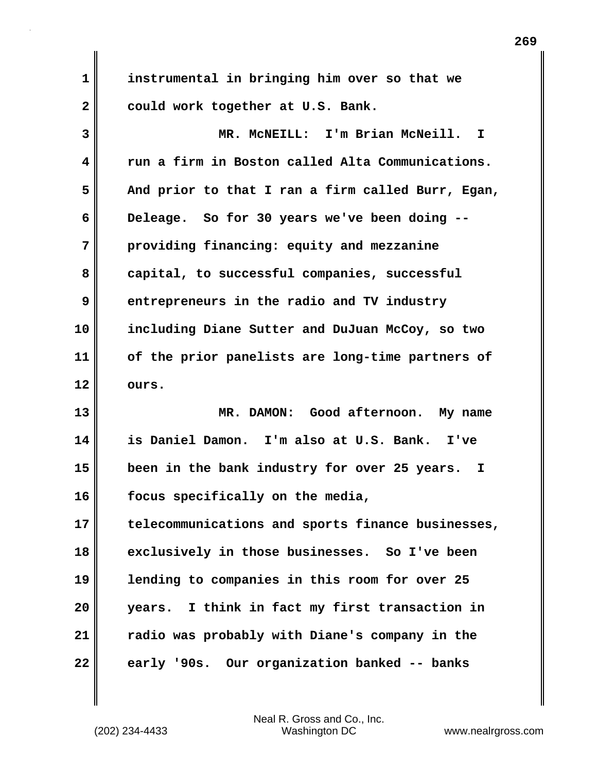| $\mathbf 1$    | instrumental in bringing him over so that we       |
|----------------|----------------------------------------------------|
| $\overline{2}$ | could work together at U.S. Bank.                  |
| 3              | MR. MCNEILL: I'm Brian McNeill.<br>I.              |
| 4              | run a firm in Boston called Alta Communications.   |
| 5              | And prior to that I ran a firm called Burr, Egan,  |
| 6              | Deleage. So for 30 years we've been doing --       |
| 7              | providing financing: equity and mezzanine          |
| 8              | capital, to successful companies, successful       |
| 9              | entrepreneurs in the radio and TV industry         |
| 10             | including Diane Sutter and DuJuan McCoy, so two    |
| 11             | of the prior panelists are long-time partners of   |
| 12             | ours.                                              |
| 13             | MR. DAMON: Good afternoon. My name                 |
| 14             | is Daniel Damon. I'm also at U.S. Bank. I've       |
| 15             | been in the bank industry for over 25 years.<br>I. |
| 16             | focus specifically on the media,                   |
| 17             | telecommunications and sports finance businesses,  |
| 18             | exclusively in those businesses. So I've been      |
| 19             | lending to companies in this room for over 25      |
| 20             | years. I think in fact my first transaction in     |
| 21             | radio was probably with Diane's company in the     |
| 22             | early '90s. Our organization banked -- banks       |

 $\mathbf{I}$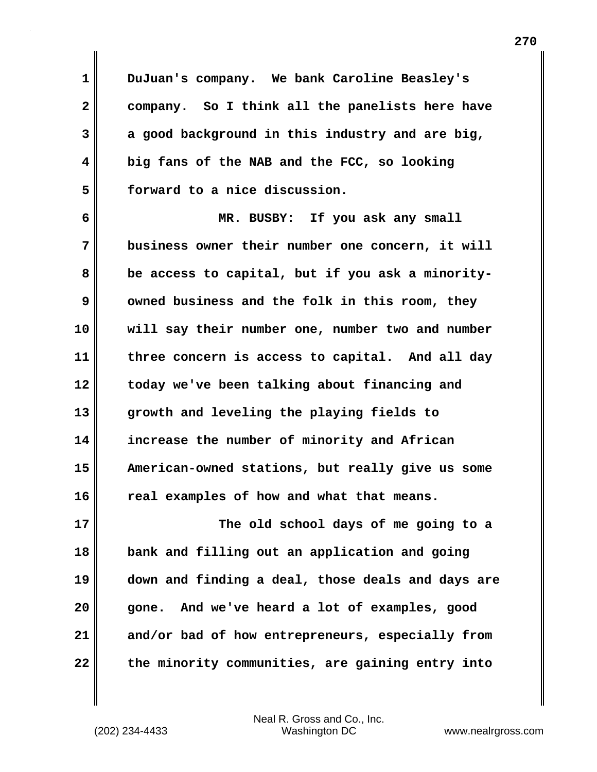**1 DuJuan's company. We bank Caroline Beasley's 2 company. So I think all the panelists here have 3 a good background in this industry and are big, 4 big fans of the NAB and the FCC, so looking 5 forward to a nice discussion.**

**6 MR. BUSBY: If you ask any small 7 business owner their number one concern, it will 8 be access to capital, but if you ask a minority-9** owned business and the folk in this room, they **10 will say their number one, number two and number 11 three concern is access to capital. And all day 12 today we've been talking about financing and 13 growth and leveling the playing fields to 14 increase the number of minority and African 15 American-owned stations, but really give us some 16 real examples of how and what that means. 17 The old school days of me going to a**

**18 bank and filling out an application and going 19 down and finding a deal, those deals and days are 20 gone. And we've heard a lot of examples, good 21 and/or bad of how entrepreneurs, especially from 22 the minority communities, are gaining entry into**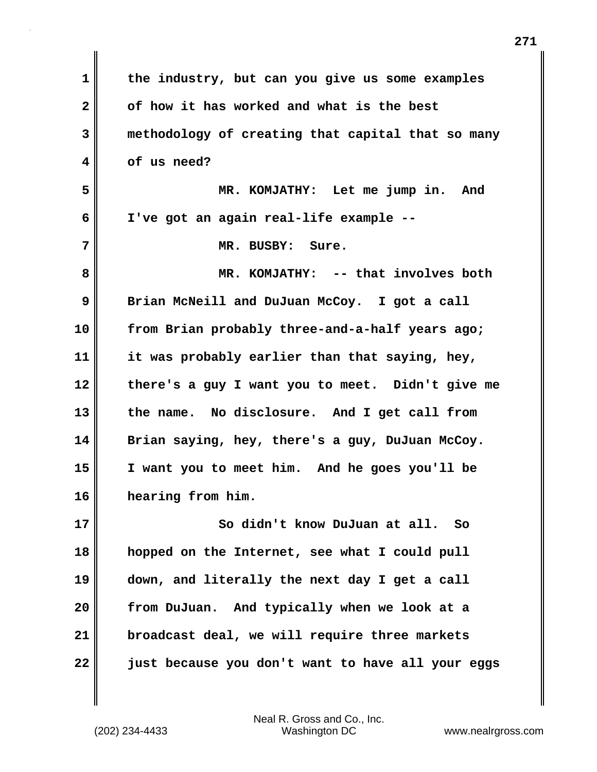| $\mathbf 1$  | the industry, but can you give us some examples   |
|--------------|---------------------------------------------------|
| $\mathbf{2}$ | of how it has worked and what is the best         |
| 3            | methodology of creating that capital that so many |
| 4            | of us need?                                       |
| 5            | MR. KOMJATHY: Let me jump in. And                 |
| 6            | I've got an again real-life example --            |
| 7            | MR. BUSBY: Sure.                                  |
| 8            | MR. KOMJATHY: -- that involves both               |
| 9            | Brian McNeill and DuJuan McCoy. I got a call      |
| 10           | from Brian probably three-and-a-half years ago;   |
| 11           | it was probably earlier than that saying, hey,    |
| 12           | there's a guy I want you to meet. Didn't give me  |
| 13           | the name. No disclosure. And I get call from      |
| 14           | Brian saying, hey, there's a guy, DuJuan McCoy.   |
| 15           | I want you to meet him. And he goes you'll be     |
| 16           | hearing from him.                                 |
| 17           | So didn't know DuJuan at all. So                  |
| 18           | hopped on the Internet, see what I could pull     |
| 19           | down, and literally the next day I get a call     |
| 20           | from DuJuan. And typically when we look at a      |
| 21           | broadcast deal, we will require three markets     |
| 22           | just because you don't want to have all your eggs |

 $\mathbf{I}$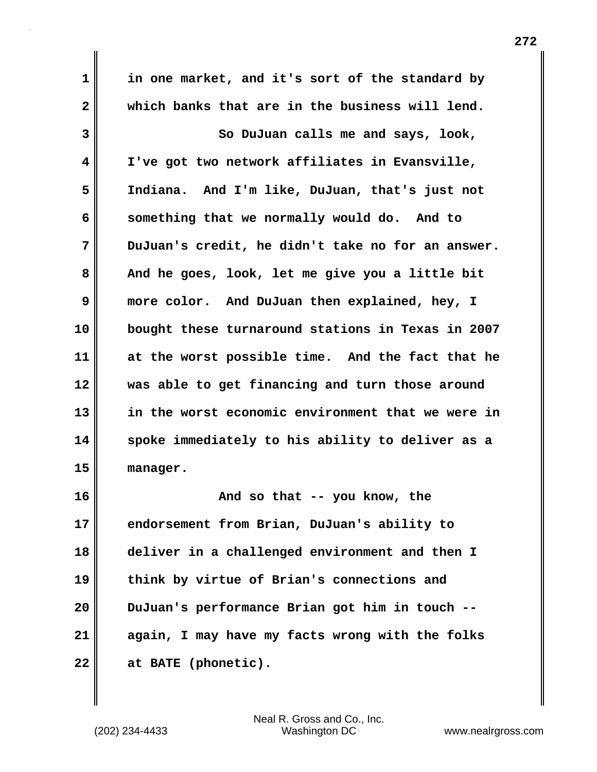**1 in one market, and it's sort of the standard by 2 which banks that are in the business will lend. 3** So DuJuan calls me and says, look, **4 I've got two network affiliates in Evansville, 5 Indiana. And I'm like, DuJuan, that's just not 6 something that we normally would do. And to 7 DuJuan's credit, he didn't take no for an answer. 8 And he goes, look, let me give you a little bit 9 more color. And DuJuan then explained, hey, I 10 bought these turnaround stations in Texas in 2007 11 at the worst possible time. And the fact that he 12 was able to get financing and turn those around 13 in the worst economic environment that we were in 14 spoke immediately to his ability to deliver as a 15 manager. 16 And so that -- you know, the 17 endorsement from Brian, DuJuan's ability to 18 deliver in a challenged environment and then I 19 think by virtue of Brian's connections and 20 DuJuan's performance Brian got him in touch --**

**22 at BATE (phonetic).** 

(202) 234-4433 Washington DC www.nealrgross.com Neal R. Gross and Co., Inc.

**21 again, I may have my facts wrong with the folks**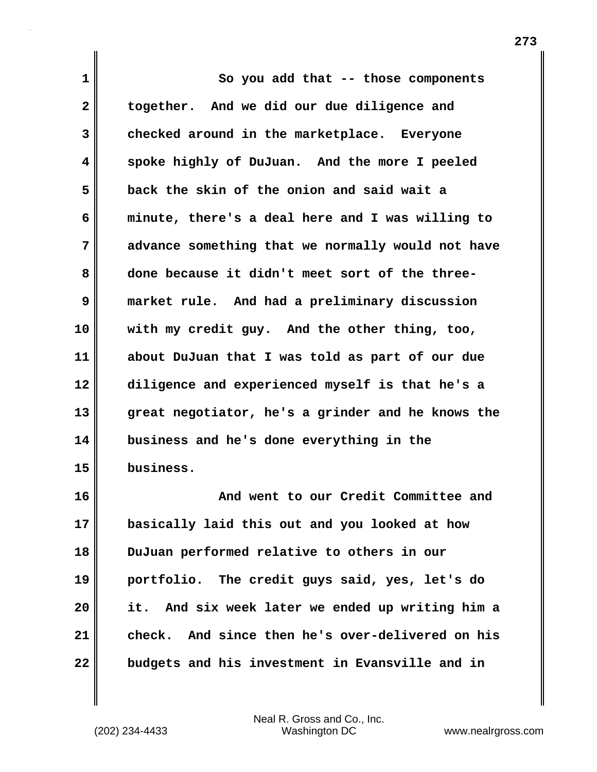**1 So you add that -- those components 2 together. And we did our due diligence and 3 checked around in the marketplace. Everyone 4 spoke highly of DuJuan. And the more I peeled 5 back the skin of the onion and said wait a 6 minute, there's a deal here and I was willing to 7 advance something that we normally would not have 8 done because it didn't meet sort of the three-9 market rule. And had a preliminary discussion 10 with my credit guy. And the other thing, too, 11 about DuJuan that I was told as part of our due 12 diligence and experienced myself is that he's a 13 great negotiator, he's a grinder and he knows the 14 business and he's done everything in the 15 business. 16 And went to our Credit Committee and**

**17 basically laid this out and you looked at how 18 DuJuan performed relative to others in our 19 portfolio. The credit guys said, yes, let's do 20 it. And six week later we ended up writing him a 21 check. And since then he's over-delivered on his 22 budgets and his investment in Evansville and in**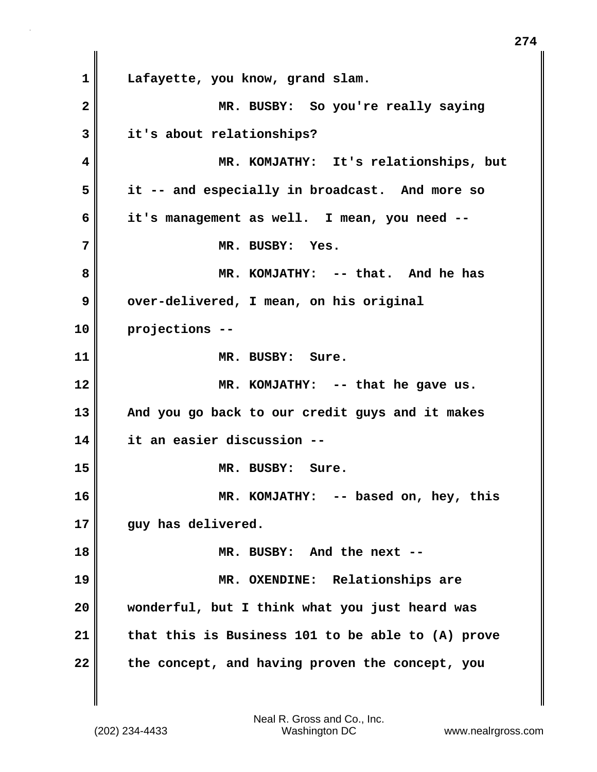**1 Lafayette, you know, grand slam. 2 MR. BUSBY: So you're really saying 3 it's about relationships? 4 MR. KOMJATHY: It's relationships, but 5 it -- and especially in broadcast. And more so 6 it's management as well. I mean, you need -- 7 MR. BUSBY: Yes. 8 MR. KOMJATHY: -- that. And he has 9 over-delivered, I mean, on his original 10 projections -- 11 MR. BUSBY: Sure. 12 MR. KOMJATHY: -- that he gave us. 13 And you go back to our credit guys and it makes 14 it an easier discussion -- 15 MR. BUSBY: Sure. 16 MR. KOMJATHY: -- based on, hey, this** 17 guy has delivered. **18 MR. BUSBY: And the next -- 19 MR. OXENDINE: Relationships are 20 wonderful, but I think what you just heard was 21 that this is Business 101 to be able to (A) prove 22 the concept, and having proven the concept, you**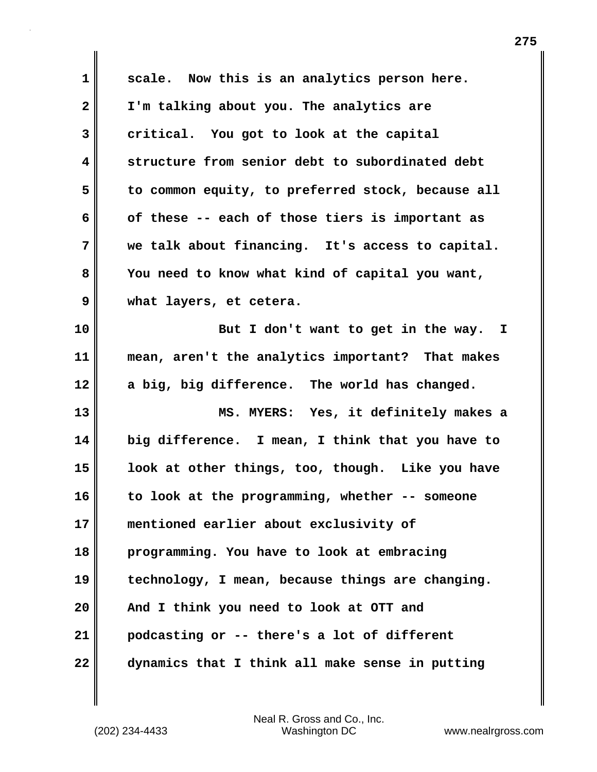| $\mathbf 1$  | scale. Now this is an analytics person here.      |
|--------------|---------------------------------------------------|
| $\mathbf{2}$ | I'm talking about you. The analytics are          |
| 3            | critical. You got to look at the capital          |
| 4            | structure from senior debt to subordinated debt   |
| 5            | to common equity, to preferred stock, because all |
| 6            | of these -- each of those tiers is important as   |
| 7            | we talk about financing. It's access to capital.  |
| 8            | You need to know what kind of capital you want,   |
| 9            | what layers, et cetera.                           |
| 10           | But I don't want to get in the way. I             |
| 11           | mean, aren't the analytics important? That makes  |
| 12           | a big, big difference. The world has changed.     |
| 13           | MS. MYERS: Yes, it definitely makes a             |
| 14           | big difference. I mean, I think that you have to  |
| 15           | look at other things, too, though. Like you have  |
| 16           | to look at the programming, whether -- someone    |
| 17           | mentioned earlier about exclusivity of            |
| 18           | programming. You have to look at embracing        |
| 19           | technology, I mean, because things are changing.  |
| 20           | And I think you need to look at OTT and           |
| 21           | podcasting or -- there's a lot of different       |
|              |                                                   |

(202) 234-4433 Washington DC www.nealrgross.com Neal R. Gross and Co., Inc.

 $\mathbf{l}$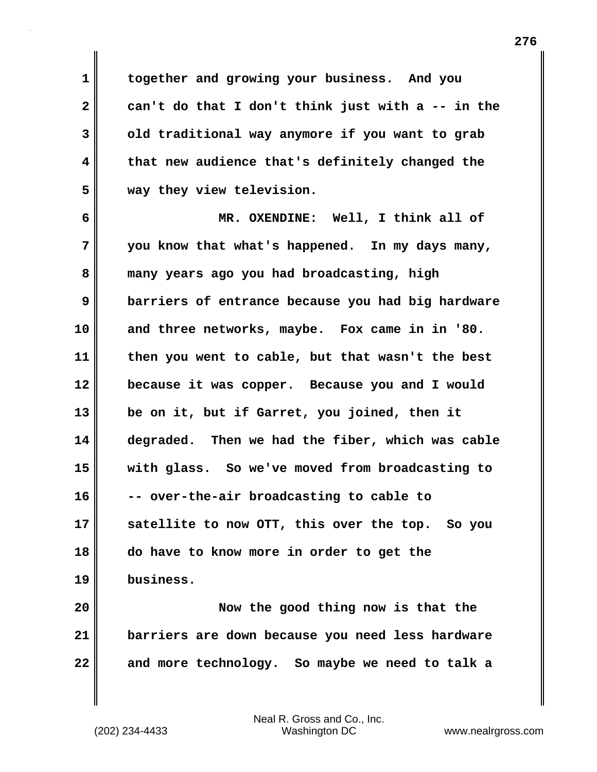**1 together and growing your business. And you 2 can't do that I don't think just with a -- in the 3 old traditional way anymore if you want to grab 4 that new audience that's definitely changed the 5 way they view television.**

**6 MR. OXENDINE: Well, I think all of 7 you know that what's happened. In my days many, 8 many years ago you had broadcasting, high 9 barriers of entrance because you had big hardware 10 and three networks, maybe. Fox came in in '80. 11 then you went to cable, but that wasn't the best 12 because it was copper. Because you and I would 13 be on it, but if Garret, you joined, then it 14 degraded. Then we had the fiber, which was cable 15 with glass. So we've moved from broadcasting to 16 -- over-the-air broadcasting to cable to 17 satellite to now OTT, this over the top. So you 18 do have to know more in order to get the 19 business.**

**20 Now the good thing now is that the 21 barriers are down because you need less hardware 22 and more technology. So maybe we need to talk a**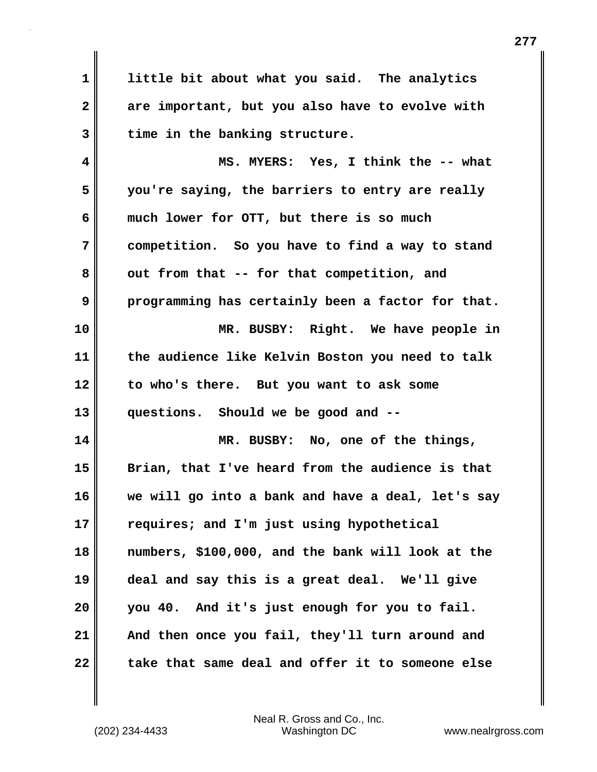**1 little bit about what you said. The analytics 2 are important, but you also have to evolve with 3 time in the banking structure.**

**4 MS. MYERS: Yes, I think the -- what 5 you're saying, the barriers to entry are really 6 much lower for OTT, but there is so much 7 competition. So you have to find a way to stand** 8 out from that -- for that competition, and **9 programming has certainly been a factor for that. 10 MR. BUSBY: Right. We have people in 11 the audience like Kelvin Boston you need to talk 12 to who's there. But you want to ask some 13 questions. Should we be good and -- 14 MR. BUSBY: No, one of the things, 15 Brian, that I've heard from the audience is that 16 we will go into a bank and have a deal, let's say 17 requires; and I'm just using hypothetical 18 numbers, \$100,000, and the bank will look at the 19 deal and say this is a great deal. We'll give 20 you 40. And it's just enough for you to fail.** 

22 take that same deal and offer it to someone else

(202) 234-4433 Washington DC www.nealrgross.com Neal R. Gross and Co., Inc.

**21 And then once you fail, they'll turn around and**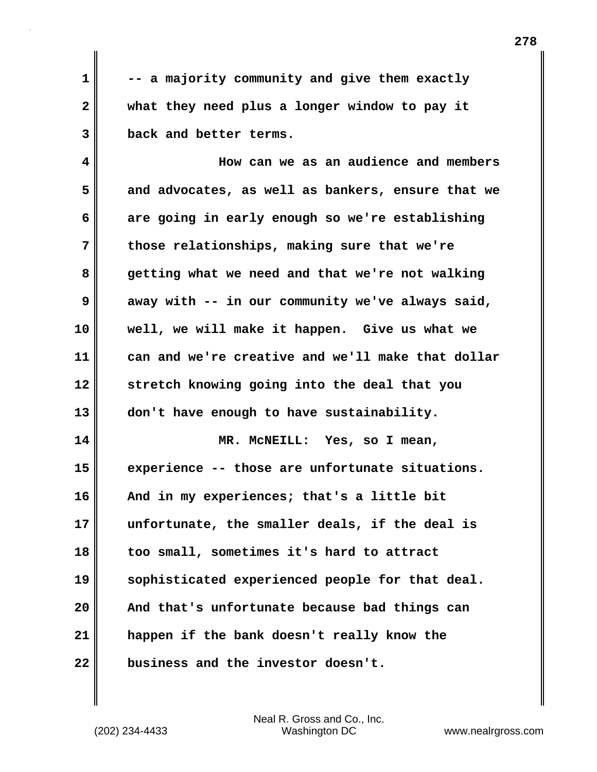**1 -- a majority community and give them exactly 2 what they need plus a longer window to pay it 3 back and better terms.** 

**4 How can we as an audience and members 5 and advocates, as well as bankers, ensure that we 6 are going in early enough so we're establishing 7 those relationships, making sure that we're 8 getting what we need and that we're not walking 9 away with -- in our community we've always said, 10 well, we will make it happen. Give us what we 11 can and we're creative and we'll make that dollar 12 stretch knowing going into the deal that you 13 don't have enough to have sustainability. 14 MR. McNEILL: Yes, so I mean, 15 experience -- those are unfortunate situations. 16 And in my experiences; that's a little bit 17 unfortunate, the smaller deals, if the deal is 18 too small, sometimes it's hard to attract 19 sophisticated experienced people for that deal. 20 And that's unfortunate because bad things can 21 happen if the bank doesn't really know the 22 business and the investor doesn't.**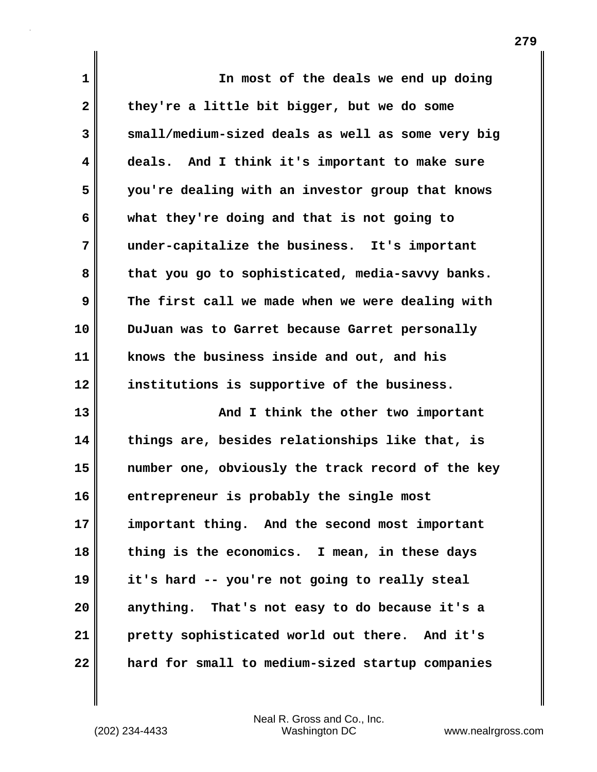| $\mathbf 1$  | In most of the deals we end up doing              |
|--------------|---------------------------------------------------|
| $\mathbf{2}$ | they're a little bit bigger, but we do some       |
| 3            | small/medium-sized deals as well as some very big |
| 4            | deals. And I think it's important to make sure    |
| 5            | you're dealing with an investor group that knows  |
| 6            | what they're doing and that is not going to       |
| 7            | under-capitalize the business. It's important     |
| 8            | that you go to sophisticated, media-savvy banks.  |
| 9            | The first call we made when we were dealing with  |
| 10           | DuJuan was to Garret because Garret personally    |
| 11           | knows the business inside and out, and his        |
| 12           | institutions is supportive of the business.       |
| 13           | And I think the other two important               |
| 14           | things are, besides relationships like that, is   |
| 15           | number one, obviously the track record of the key |
| 16           | entrepreneur is probably the single most          |
| 17           | important thing. And the second most important    |
| 18           | thing is the economics. I mean, in these days     |
| 19           | it's hard -- you're not going to really steal     |
| 20           | anything. That's not easy to do because it's a    |
| 21           | pretty sophisticated world out there. And it's    |
| 22           | hard for small to medium-sized startup companies  |

(202) 234-4433 Washington DC www.nealrgross.com Neal R. Gross and Co., Inc.

 $\mathbf{l}$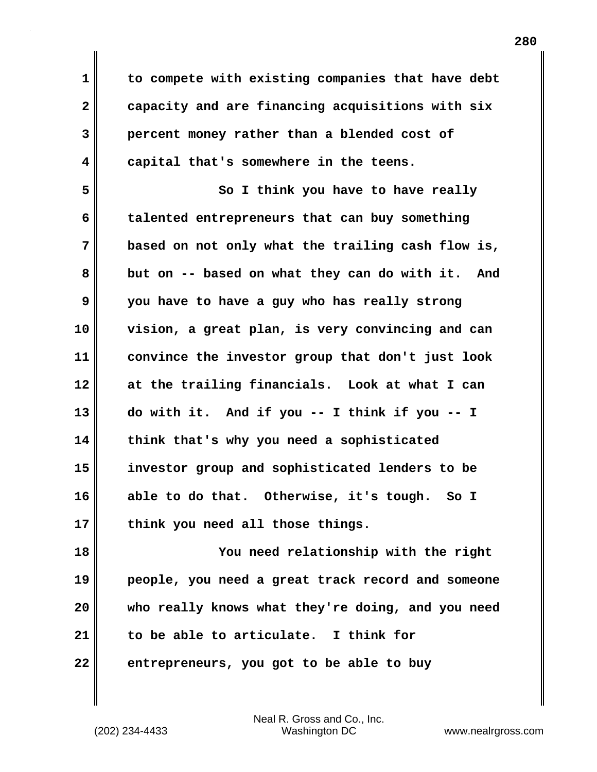**1 to compete with existing companies that have debt 2 capacity and are financing acquisitions with six 3 percent money rather than a blended cost of 4 capital that's somewhere in the teens.**

**5 So I think you have to have really 6 talented entrepreneurs that can buy something 7 based on not only what the trailing cash flow is, 8 but on -- based on what they can do with it. And 9 you have to have a guy who has really strong 10 vision, a great plan, is very convincing and can 11 convince the investor group that don't just look 12 at the trailing financials. Look at what I can 13 do with it. And if you -- I think if you -- I 14 think that's why you need a sophisticated 15 investor group and sophisticated lenders to be 16 able to do that. Otherwise, it's tough. So I 17 think you need all those things.** 

**18 You need relationship with the right 19 people, you need a great track record and someone 20 who really knows what they're doing, and you need 21 to be able to articulate. I think for 22 entrepreneurs, you got to be able to buy**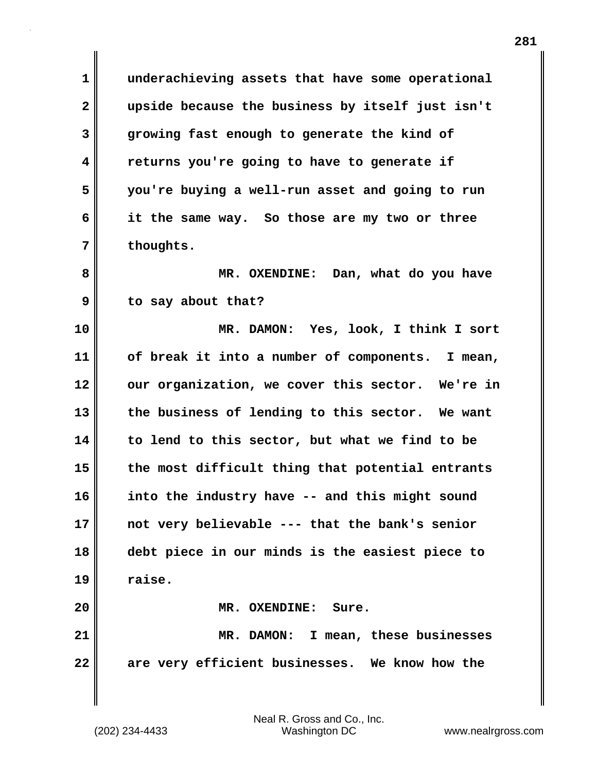**1 underachieving assets that have some operational 2 upside because the business by itself just isn't 3 growing fast enough to generate the kind of 4 returns you're going to have to generate if 5 you're buying a well-run asset and going to run 6 it the same way. So those are my two or three 7 thoughts.**

**8 MR. OXENDINE: Dan, what do you have 9 to say about that?**

**10 MR. DAMON: Yes, look, I think I sort 11 of break it into a number of components. I mean, 12 our organization, we cover this sector. We're in 13 the business of lending to this sector. We want 14 to lend to this sector, but what we find to be 15 the most difficult thing that potential entrants 16 into the industry have -- and this might sound 17 not very believable --- that the bank's senior 18 debt piece in our minds is the easiest piece to 19 raise. 20 MR. OXENDINE: Sure. 21 MR. DAMON: I mean, these businesses**

**22 are very efficient businesses. We know how the**

Neal R. Gross and Co., Inc.

(202) 234-4433 Washington DC www.nealrgross.com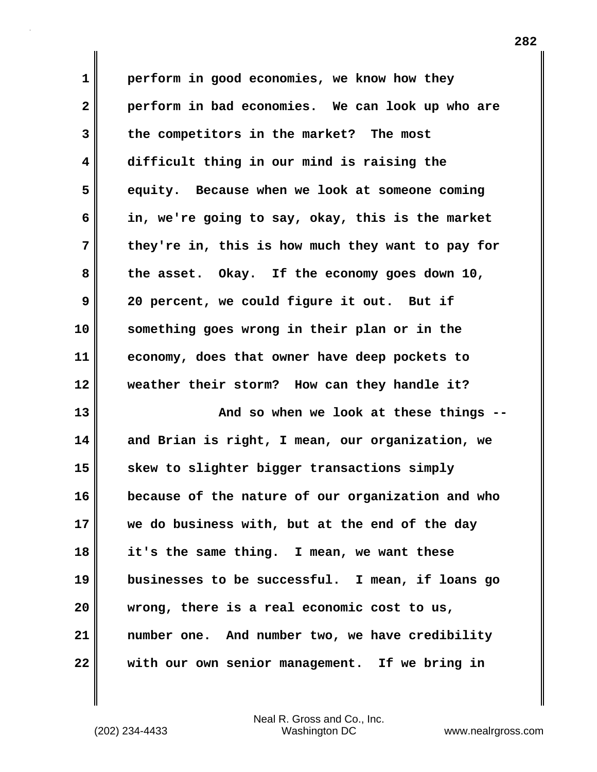**1 perform in good economies, we know how they 2 perform in bad economies. We can look up who are 3 the competitors in the market? The most 4 difficult thing in our mind is raising the 5 equity. Because when we look at someone coming 6 in, we're going to say, okay, this is the market 7 they're in, this is how much they want to pay for 8 the asset. Okay. If the economy goes down 10, 9 20 percent, we could figure it out. But if 10 something goes wrong in their plan or in the 11 economy, does that owner have deep pockets to 12 weather their storm? How can they handle it? 13 And so when we look at these things -- 14 and Brian is right, I mean, our organization, we 15 skew to slighter bigger transactions simply 16 because of the nature of our organization and who 17 we do business with, but at the end of the day 18 it's the same thing. I mean, we want these 19 businesses to be successful. I mean, if loans go 20 wrong, there is a real economic cost to us, 21 number one. And number two, we have credibility 22 with our own senior management. If we bring in**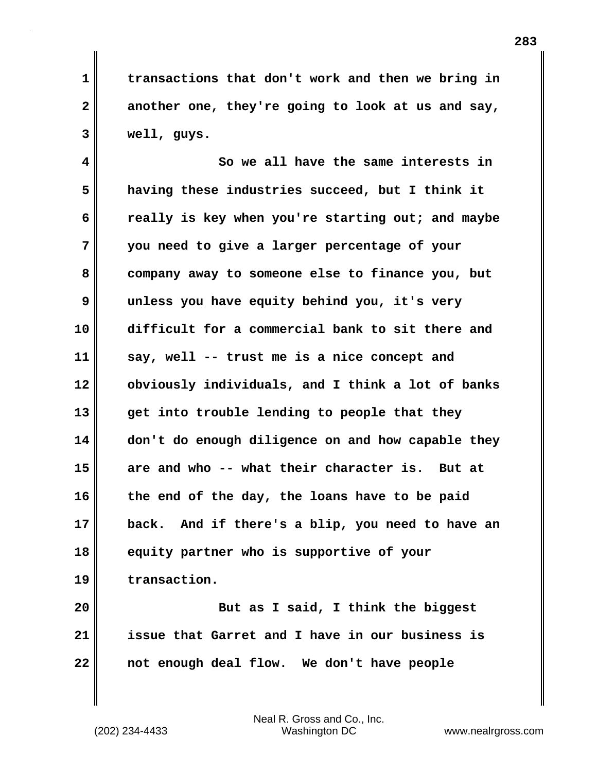**1 transactions that don't work and then we bring in 2 another one, they're going to look at us and say, 3 well, guys.** 

**4 So we all have the same interests in 5 having these industries succeed, but I think it 6 really is key when you're starting out; and maybe 7 you need to give a larger percentage of your 8 company away to someone else to finance you, but 9 unless you have equity behind you, it's very 10 difficult for a commercial bank to sit there and 11 say, well -- trust me is a nice concept and 12 obviously individuals, and I think a lot of banks 13 get into trouble lending to people that they 14 don't do enough diligence on and how capable they 15 are and who -- what their character is. But at 16 the end of the day, the loans have to be paid 17 back. And if there's a blip, you need to have an 18 equity partner who is supportive of your 19 transaction.**

**20 But as I said, I think the biggest 21 issue that Garret and I have in our business is 22 not enough deal flow. We don't have people**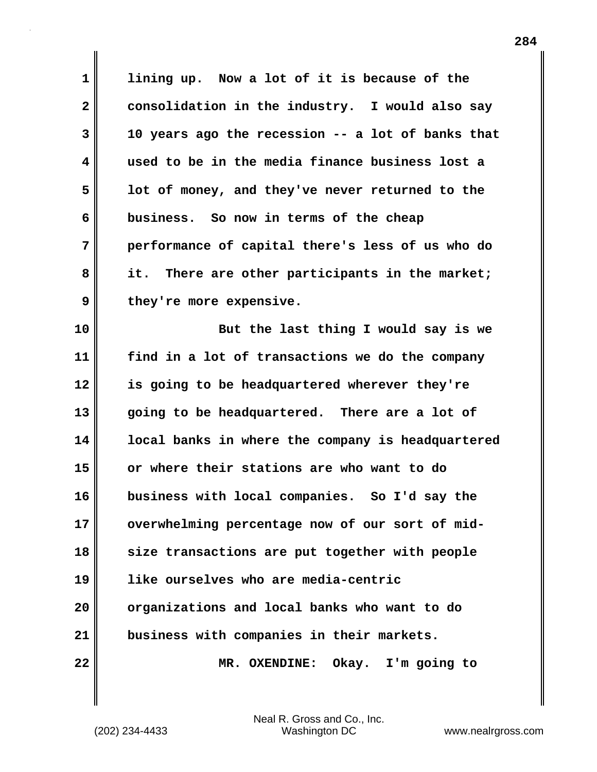**1 lining up. Now a lot of it is because of the 2 consolidation in the industry. I would also say 3 10 years ago the recession -- a lot of banks that 4 used to be in the media finance business lost a 5 lot of money, and they've never returned to the 6 business. So now in terms of the cheap 7 performance of capital there's less of us who do 8 it. There are other participants in the market;** 9 they're more expensive. **10 But the last thing I would say is we 11 find in a lot of transactions we do the company 12 is going to be headquartered wherever they're 13 going to be headquartered. There are a lot of 14 local banks in where the company is headquartered 15 or where their stations are who want to do 16 business with local companies. So I'd say the 17 overwhelming percentage now of our sort of mid-18 size transactions are put together with people 19 like ourselves who are media-centric 20 organizations and local banks who want to do 21 business with companies in their markets. 22 MR. OXENDINE: Okay. I'm going to**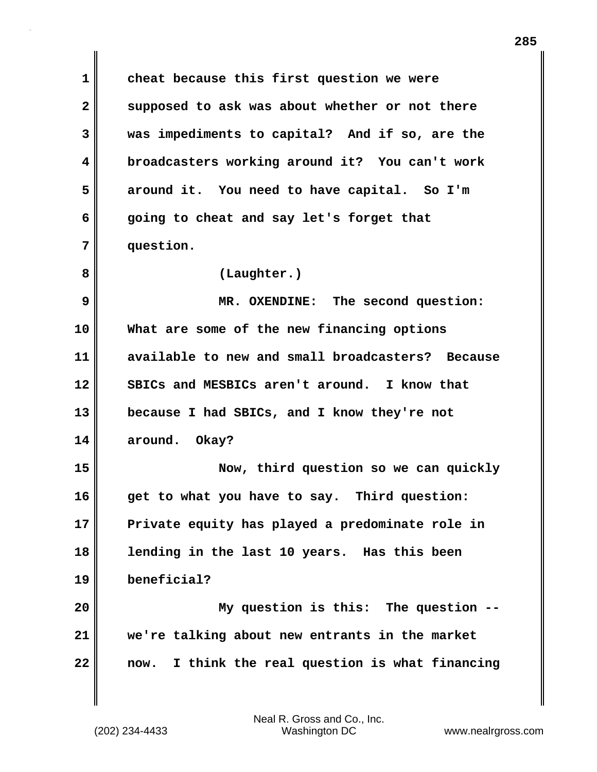**1 cheat because this first question we were** 2 supposed to ask was about whether or not there **3 was impediments to capital? And if so, are the 4 broadcasters working around it? You can't work 5 around it. You need to have capital. So I'm 6 going to cheat and say let's forget that 7 question. 8 (Laughter.) 9 MR. OXENDINE: The second question: 10 What are some of the new financing options 11 available to new and small broadcasters? Because 12 SBICs and MESBICs aren't around. I know that 13 because I had SBICs, and I know they're not 14 around. Okay? 15 Now, third question so we can quickly 16 get to what you have to say. Third question: 17 Private equity has played a predominate role in 18 lending in the last 10 years. Has this been 19 beneficial? 20 My question is this: The question -- 21 we're talking about new entrants in the market 22 now. I think the real question is what financing**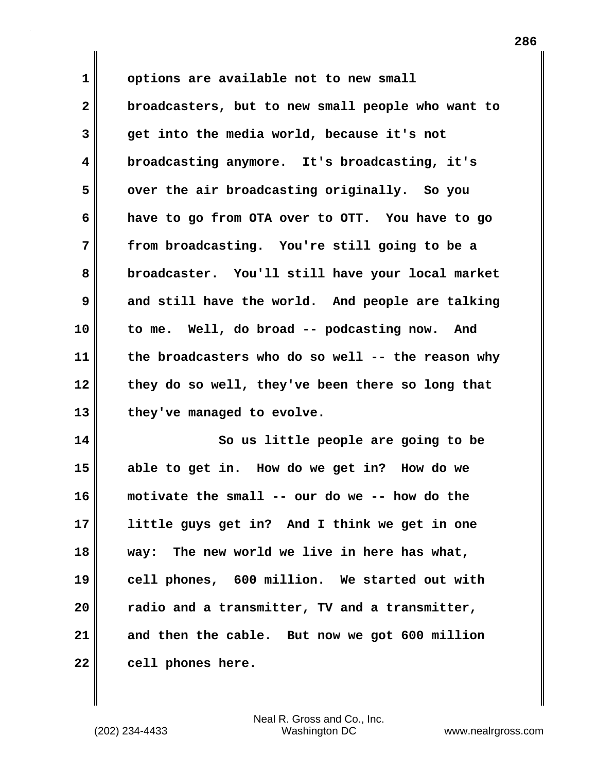**1 options are available not to new small 2 broadcasters, but to new small people who want to 3 get into the media world, because it's not 4 broadcasting anymore. It's broadcasting, it's 5 over the air broadcasting originally. So you 6 have to go from OTA over to OTT. You have to go 7 from broadcasting. You're still going to be a 8 broadcaster. You'll still have your local market 9** and still have the world. And people are talking **10 to me. Well, do broad -- podcasting now. And 11 the broadcasters who do so well -- the reason why 12 they do so well, they've been there so long that 13 they've managed to evolve. 14 So us little people are going to be 15 able to get in. How do we get in? How do we 16 motivate the small -- our do we -- how do the 17 little guys get in? And I think we get in one 18 way: The new world we live in here has what,**

**19 cell phones, 600 million. We started out with 20 radio and a transmitter, TV and a transmitter, 21 and then the cable. But now we got 600 million** 22 cell phones here.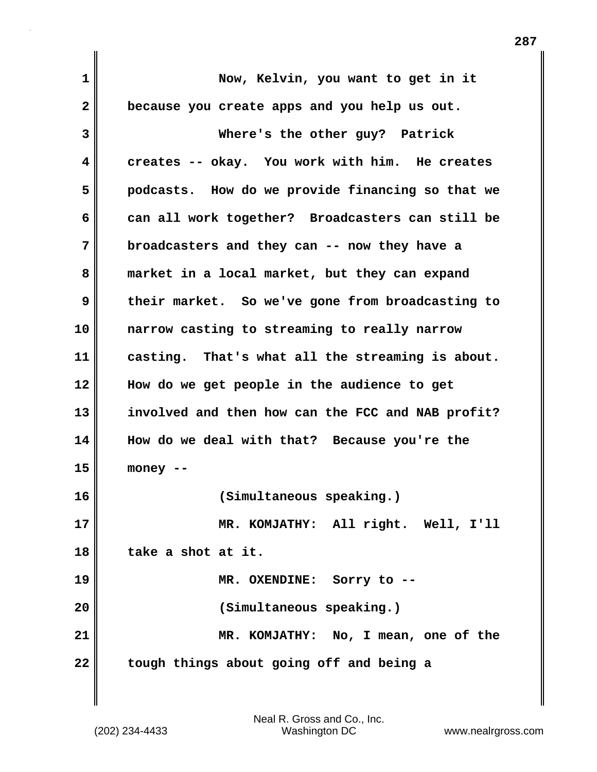| 1            | Now, Kelvin, you want to get in it                |
|--------------|---------------------------------------------------|
| $\mathbf{2}$ | because you create apps and you help us out.      |
| 3            | Where's the other guy? Patrick                    |
| 4            | creates -- okay. You work with him. He creates    |
| 5            | podcasts. How do we provide financing so that we  |
| 6            | can all work together? Broadcasters can still be  |
| 7            | broadcasters and they can -- now they have a      |
| 8            | market in a local market, but they can expand     |
| 9            | their market. So we've gone from broadcasting to  |
| 10           | narrow casting to streaming to really narrow      |
| 11           | casting. That's what all the streaming is about.  |
| 12           | How do we get people in the audience to get       |
| 13           | involved and then how can the FCC and NAB profit? |
| 14           | How do we deal with that? Because you're the      |
| 15           | money --                                          |
| 16           | (Simultaneous speaking.)                          |
| 17           | MR. KOMJATHY: All right. Well, I'll               |
| 18           | take a shot at it.                                |
| 19           | MR. OXENDINE: Sorry to --                         |
| 20           | (Simultaneous speaking.)                          |
| 21           | MR. KOMJATHY: No, I mean, one of the              |
| 22           | tough things about going off and being a          |

 $\mathbf{I}$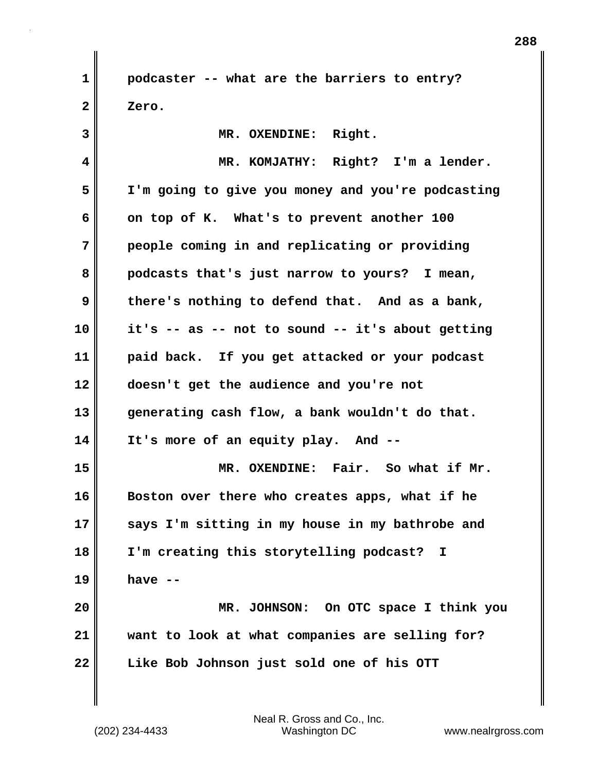**1 podcaster -- what are the barriers to entry? 2 Zero.**

| 3  | MR. OXENDINE: Right.                              |
|----|---------------------------------------------------|
| 4  | MR. KOMJATHY: Right? I'm a lender.                |
| 5  | I'm going to give you money and you're podcasting |
| 6  | on top of K. What's to prevent another 100        |
| 7  | people coming in and replicating or providing     |
| 8  | podcasts that's just narrow to yours? I mean,     |
| 9  | there's nothing to defend that. And as a bank,    |
| 10 | it's -- as -- not to sound -- it's about getting  |
| 11 | paid back. If you get attacked or your podcast    |
| 12 | doesn't get the audience and you're not           |
| 13 | generating cash flow, a bank wouldn't do that.    |
| 14 | It's more of an equity play. And --               |
| 15 | MR. OXENDINE: Fair. So what if Mr.                |
| 16 | Boston over there who creates apps, what if he    |
| 17 | says I'm sitting in my house in my bathrobe and   |
| 18 | I'm creating this storytelling podcast? I         |
| 19 | have $-$                                          |
| 20 | MR. JOHNSON: On OTC space I think you             |
| 21 | want to look at what companies are selling for?   |
| 22 | Like Bob Johnson just sold one of his OTT         |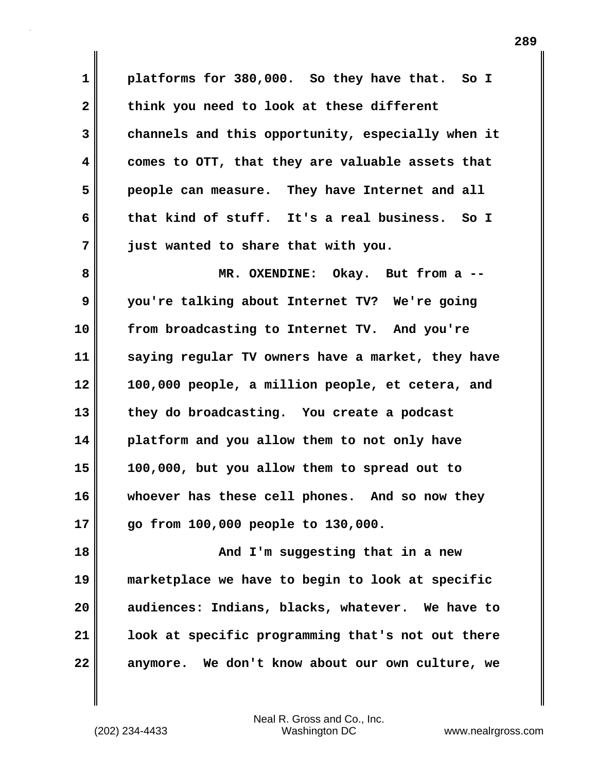**1 platforms for 380,000. So they have that. So I 2 think you need to look at these different 3 channels and this opportunity, especially when it 4 comes to OTT, that they are valuable assets that 5 people can measure. They have Internet and all 6 that kind of stuff. It's a real business. So I 7 just wanted to share that with you.**

**8 MR. OXENDINE: Okay. But from a -- 9 you're talking about Internet TV? We're going 10 from broadcasting to Internet TV. And you're 11 saying regular TV owners have a market, they have 12 100,000 people, a million people, et cetera, and 13 they do broadcasting. You create a podcast 14 platform and you allow them to not only have 15 100,000, but you allow them to spread out to 16 whoever has these cell phones. And so now they 17 go from 100,000 people to 130,000.** 

**18 And I'm suggesting that in a new 19 marketplace we have to begin to look at specific 20 audiences: Indians, blacks, whatever. We have to 21 look at specific programming that's not out there 22 anymore. We don't know about our own culture, we**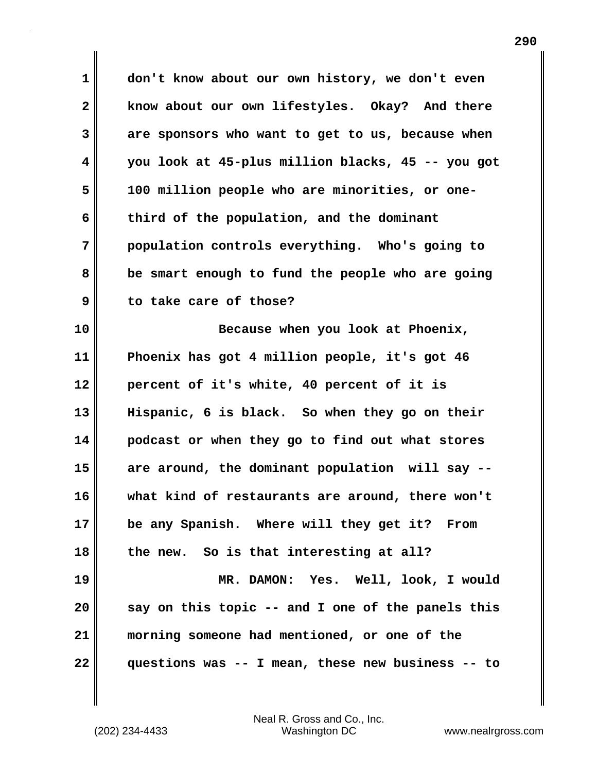**1 don't know about our own history, we don't even 2 know about our own lifestyles. Okay? And there 3 are sponsors who want to get to us, because when 4 you look at 45-plus million blacks, 45 -- you got 5 100 million people who are minorities, or one-6 third of the population, and the dominant 7 population controls everything. Who's going to 8 be smart enough to fund the people who are going 9 to take care of those?** 

**10 Because when you look at Phoenix, 11 Phoenix has got 4 million people, it's got 46 12 percent of it's white, 40 percent of it is 13 Hispanic, 6 is black. So when they go on their 14 podcast or when they go to find out what stores 15 are around, the dominant population will say -- 16 what kind of restaurants are around, there won't 17 be any Spanish. Where will they get it? From 18 the new. So is that interesting at all? 19 MR. DAMON: Yes. Well, look, I would 20 say on this topic -- and I one of the panels this 21 morning someone had mentioned, or one of the 22 questions was -- I mean, these new business -- to**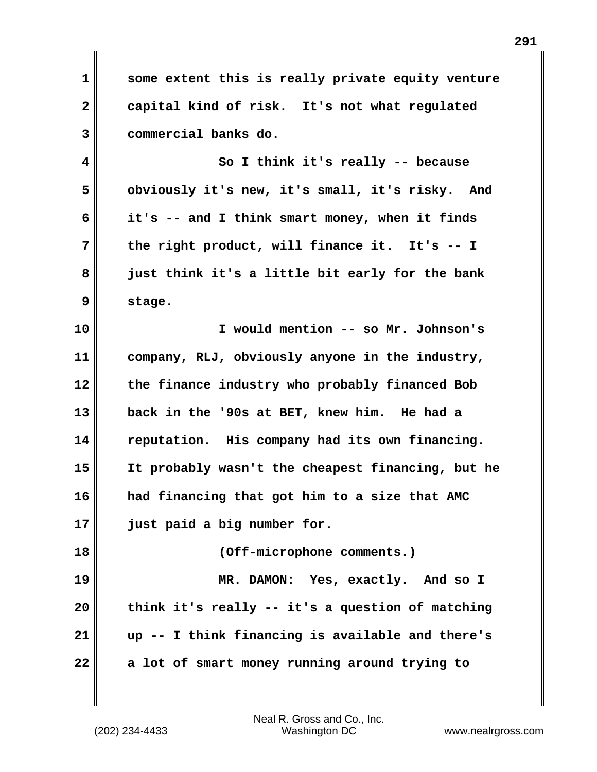**1 some extent this is really private equity venture 2 capital kind of risk. It's not what regulated 3 commercial banks do.** 

**4 So I think it's really -- because 5 obviously it's new, it's small, it's risky. And 6 it's -- and I think smart money, when it finds 7 the right product, will finance it. It's -- I 8 just think it's a little bit early for the bank 9 stage.** 

**10 I would mention -- so Mr. Johnson's 11 company, RLJ, obviously anyone in the industry, 12 the finance industry who probably financed Bob 13 back in the '90s at BET, knew him. He had a 14 reputation. His company had its own financing. 15 It probably wasn't the cheapest financing, but he 16 had financing that got him to a size that AMC 17 just paid a big number for. 18 (Off-microphone comments.) 19 MR. DAMON: Yes, exactly. And so I**

**20 think it's really -- it's a question of matching 21 up -- I think financing is available and there's 22 a lot of smart money running around trying to**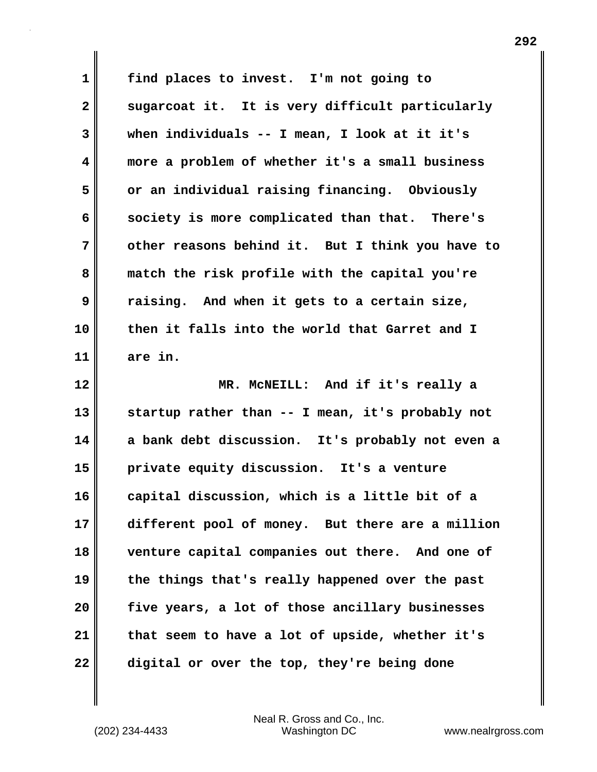**1 find places to invest. I'm not going to** 2 sugarcoat it. It is very difficult particularly **3 when individuals -- I mean, I look at it it's 4 more a problem of whether it's a small business 5 or an individual raising financing. Obviously 6 society is more complicated than that. There's 7 other reasons behind it. But I think you have to 8 match the risk profile with the capital you're 9 raising. And when it gets to a certain size, 10 then it falls into the world that Garret and I 11 are in. 12 MR. McNEILL: And if it's really a 13 startup rather than -- I mean, it's probably not 14 a bank debt discussion. It's probably not even a 15 private equity discussion. It's a venture 16 capital discussion, which is a little bit of a 17 different pool of money. But there are a million 18 venture capital companies out there. And one of 19 the things that's really happened over the past 20 five years, a lot of those ancillary businesses 21 that seem to have a lot of upside, whether it's 22 digital or over the top, they're being done**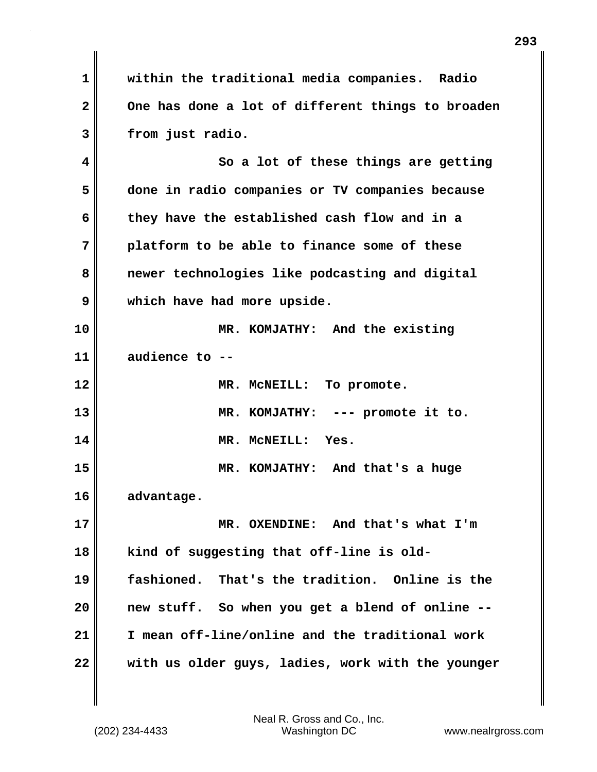**1 within the traditional media companies. Radio 2 One has done a lot of different things to broaden 3 from just radio. 4 So a lot of these things are getting 5 done in radio companies or TV companies because 6 they have the established cash flow and in a 7 platform to be able to finance some of these 8 newer technologies like podcasting and digital 9 which have had more upside. 10 MR. KOMJATHY: And the existing 11 audience to -- 12 MR. McNEILL: To promote. 13 MR. KOMJATHY: --- promote it to. 14 MR. McNEILL: Yes. 15 MR. KOMJATHY: And that's a huge 16 advantage. 17 MR. OXENDINE: And that's what I'm 18 kind of suggesting that off-line is old-19 fashioned. That's the tradition. Online is the 20 new stuff. So when you get a blend of online -- 21 I mean off-line/online and the traditional work 22 with us older guys, ladies, work with the younger**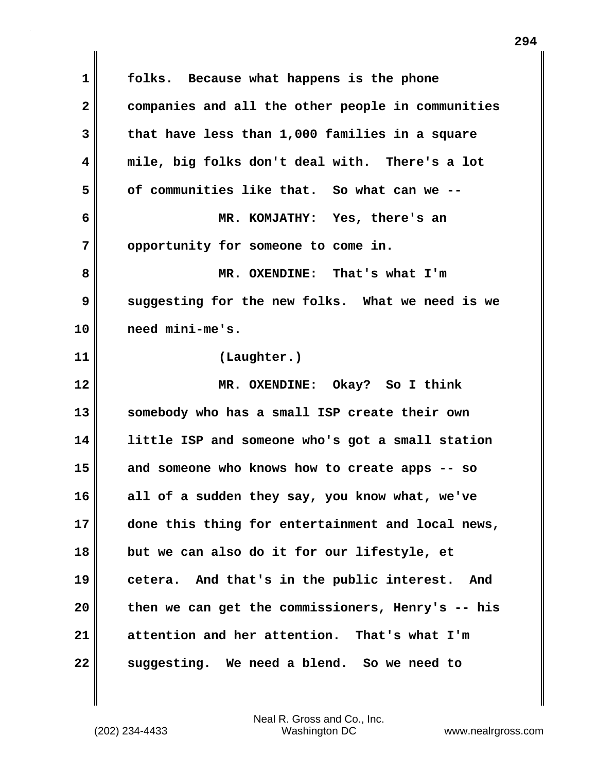**1 folks. Because what happens is the phone 2 companies and all the other people in communities 3 that have less than 1,000 families in a square 4 mile, big folks don't deal with. There's a lot 5 of communities like that. So what can we -- 6 MR. KOMJATHY: Yes, there's an 7 opportunity for someone to come in. 8 MR. OXENDINE: That's what I'm 9 suggesting for the new folks. What we need is we 10 need mini-me's. 11 (Laughter.) 12 MR. OXENDINE: Okay? So I think 13 somebody who has a small ISP create their own 14 little ISP and someone who's got a small station 15 and someone who knows how to create apps -- so 16 all of a sudden they say, you know what, we've 17 done this thing for entertainment and local news, 18 but we can also do it for our lifestyle, et 19 cetera. And that's in the public interest. And 20 then we can get the commissioners, Henry's -- his 21 attention and her attention. That's what I'm 22 suggesting. We need a blend. So we need to**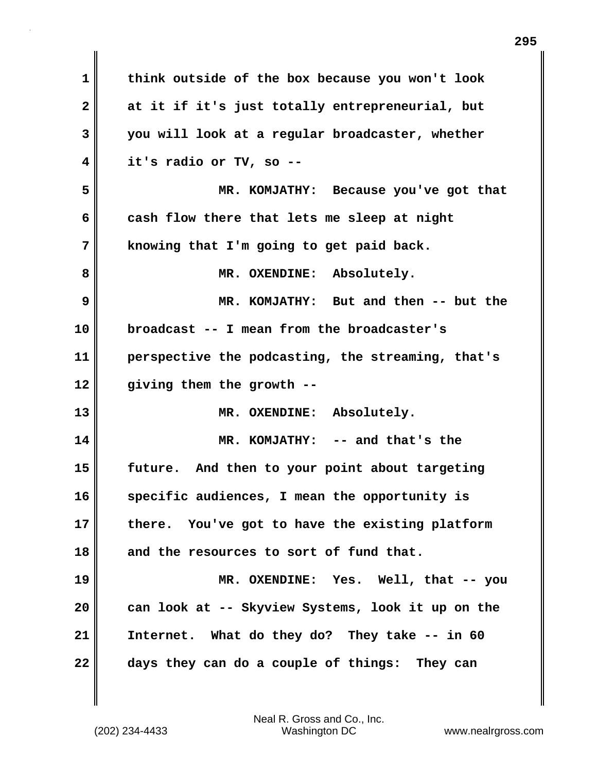| $\mathbf 1$  | think outside of the box because you won't look   |
|--------------|---------------------------------------------------|
| $\mathbf{2}$ | at it if it's just totally entrepreneurial, but   |
| 3            | you will look at a regular broadcaster, whether   |
| 4            | it's radio or TV, so --                           |
| 5            | MR. KOMJATHY: Because you've got that             |
| 6            | cash flow there that lets me sleep at night       |
| 7            | knowing that I'm going to get paid back.          |
| 8            | MR. OXENDINE: Absolutely.                         |
| 9            | MR. KOMJATHY: But and then -- but the             |
| 10           | broadcast -- I mean from the broadcaster's        |
| 11           | perspective the podcasting, the streaming, that's |
| 12           | giving them the growth --                         |
| 13           | MR. OXENDINE: Absolutely.                         |
| 14           | MR. KOMJATHY: -- and that's the                   |
| 15           | future. And then to your point about targeting    |
| 16           | specific audiences, I mean the opportunity is     |
| 17           | there. You've got to have the existing platform   |
| 18           | and the resources to sort of fund that.           |
| 19           | MR. OXENDINE: Yes. Well, that -- you              |
| 20           | can look at -- Skyview Systems, look it up on the |
| 21           | Internet. What do they do? They take -- in 60     |
| 22           | days they can do a couple of things: They can     |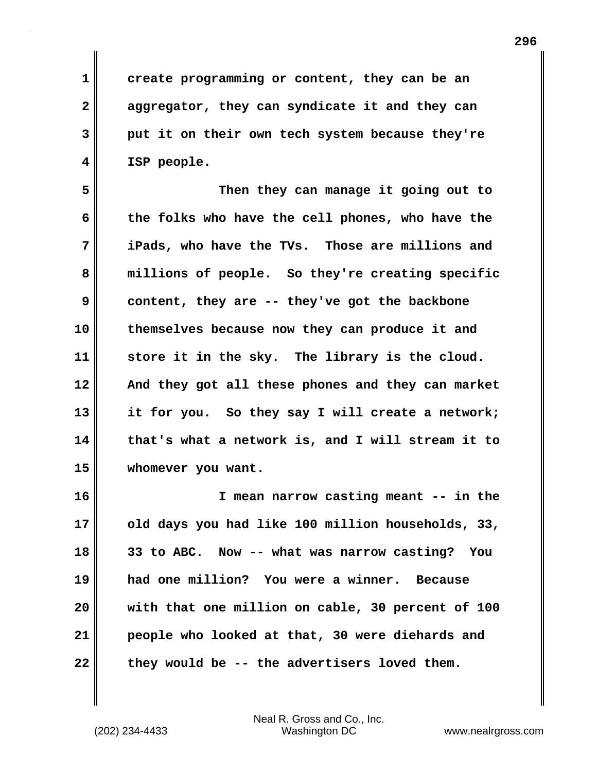**1 create programming or content, they can be an 2 aggregator, they can syndicate it and they can 3 put it on their own tech system because they're 4 ISP people.** 

**5 Then they can manage it going out to 6 the folks who have the cell phones, who have the 7 iPads, who have the TVs. Those are millions and 8 millions of people. So they're creating specific 9 content, they are -- they've got the backbone 10 themselves because now they can produce it and 11 store it in the sky. The library is the cloud. 12 And they got all these phones and they can market 13 it for you. So they say I will create a network; 14 that's what a network is, and I will stream it to 15 whomever you want.** 

**16 I mean narrow casting meant -- in the 17 old days you had like 100 million households, 33, 18 33 to ABC. Now -- what was narrow casting? You 19 had one million? You were a winner. Because 20 with that one million on cable, 30 percent of 100 21 people who looked at that, 30 were diehards and 22 they would be -- the advertisers loved them.**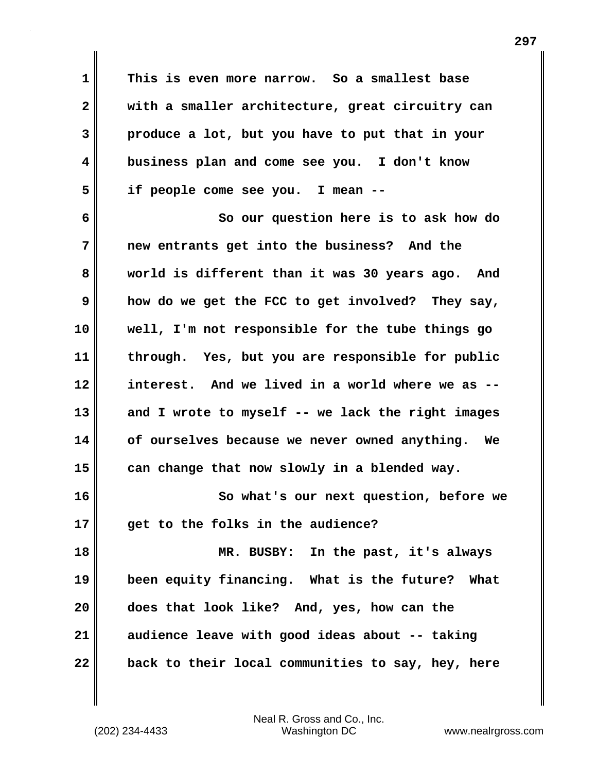**1 This is even more narrow. So a smallest base 2 with a smaller architecture, great circuitry can 3 produce a lot, but you have to put that in your 4 business plan and come see you. I don't know 5 if people come see you. I mean -- 6 So our question here is to ask how do 7 new entrants get into the business? And the 8 world is different than it was 30 years ago. And 9 how do we get the FCC to get involved? They say, 10 well, I'm not responsible for the tube things go 11 through. Yes, but you are responsible for public 12 interest. And we lived in a world where we as -- 13 and I wrote to myself -- we lack the right images 14 of ourselves because we never owned anything. We 15 can change that now slowly in a blended way. 16 So what's our next question, before we 17 get to the folks in the audience? 18 MR. BUSBY: In the past, it's always 19 been equity financing. What is the future? What**

(202) 234-4433 Washington DC www.nealrgross.com Neal R. Gross and Co., Inc.

**20 does that look like? And, yes, how can the**

**21 audience leave with good ideas about -- taking**

**22 back to their local communities to say, hey, here**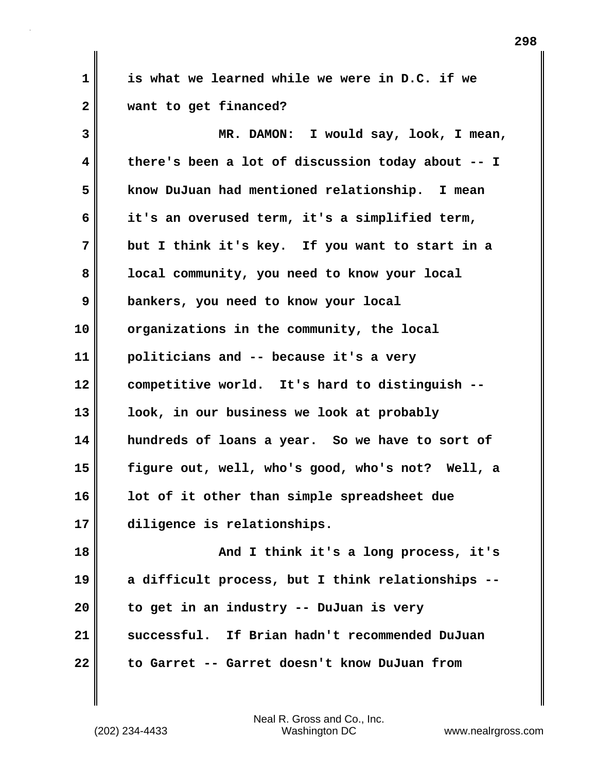**1 is what we learned while we were in D.C. if we 2 want to get financed?** 

**3 MR. DAMON: I would say, look, I mean, 4 there's been a lot of discussion today about -- I 5 know DuJuan had mentioned relationship. I mean 6 it's an overused term, it's a simplified term, 7 but I think it's key. If you want to start in a 8 local community, you need to know your local 9 bankers, you need to know your local 10 organizations in the community, the local 11 politicians and -- because it's a very 12 competitive world. It's hard to distinguish -- 13 look, in our business we look at probably 14 hundreds of loans a year. So we have to sort of 15 figure out, well, who's good, who's not? Well, a 16 lot of it other than simple spreadsheet due 17 diligence is relationships. 18 And I think it's a long process, it's 19 a difficult process, but I think relationships --**

**21 successful. If Brian hadn't recommended DuJuan 22 to Garret -- Garret doesn't know DuJuan from**

**20 to get in an industry -- DuJuan is very**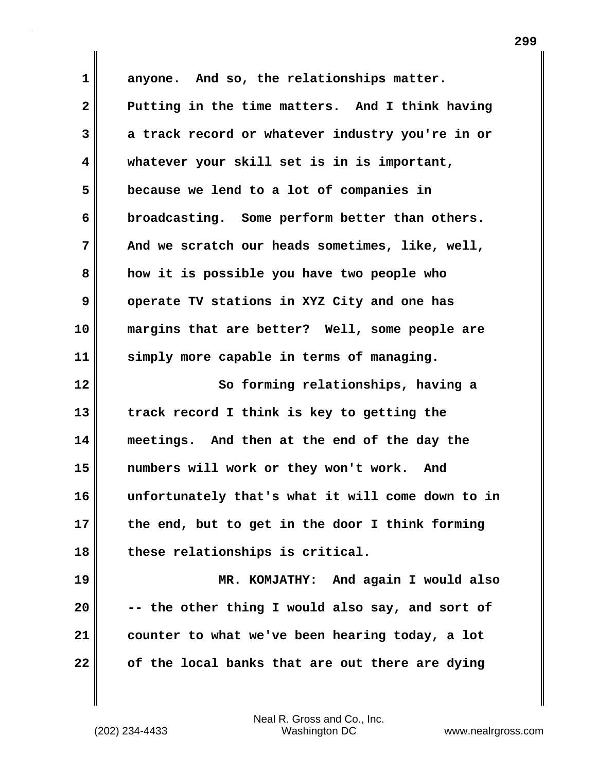**1 anyone. And so, the relationships matter. 2 Putting in the time matters. And I think having 3 a track record or whatever industry you're in or 4 whatever your skill set is in is important, 5 because we lend to a lot of companies in 6 broadcasting. Some perform better than others. 7 And we scratch our heads sometimes, like, well, 8 how it is possible you have two people who 9 operate TV stations in XYZ City and one has 10 margins that are better? Well, some people are 11 simply more capable in terms of managing. 12 So forming relationships, having a 13 track record I think is key to getting the 14 meetings. And then at the end of the day the 15 numbers will work or they won't work. And 16 unfortunately that's what it will come down to in 17 the end, but to get in the door I think forming 18 these relationships is critical. 19 MR. KOMJATHY: And again I would also 20 -- the other thing I would also say, and sort of 21 counter to what we've been hearing today, a lot 22 of the local banks that are out there are dying**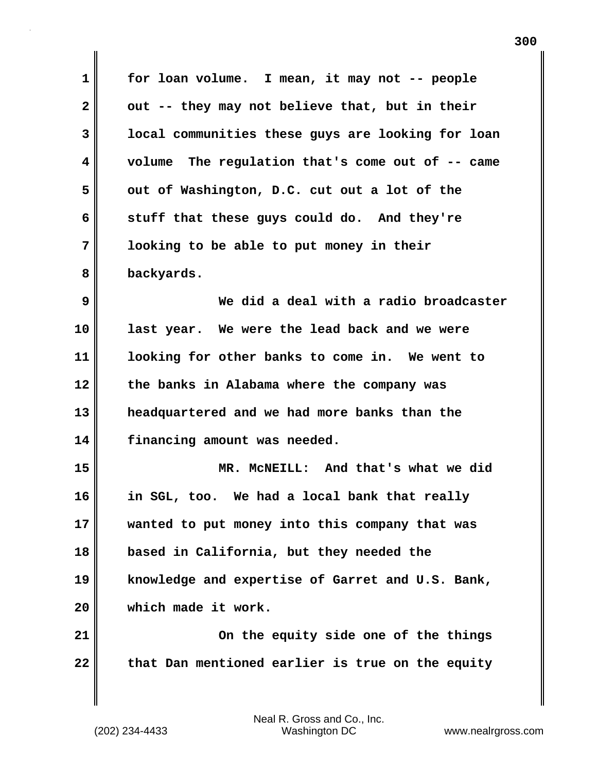| $\mathbf 1$  | for loan volume. I mean, it may not -- people     |
|--------------|---------------------------------------------------|
|              |                                                   |
| $\mathbf{2}$ | out -- they may not believe that, but in their    |
| 3            | local communities these guys are looking for loan |
| 4            | volume The regulation that's come out of -- came  |
| 5            | out of Washington, D.C. cut out a lot of the      |
| 6            | stuff that these guys could do. And they're       |
| 7            | looking to be able to put money in their          |
| 8            | backyards.                                        |
| 9            | We did a deal with a radio broadcaster            |
| 10           | last year. We were the lead back and we were      |
| 11           | looking for other banks to come in. We went to    |
| 12           | the banks in Alabama where the company was        |
| 13           | headquartered and we had more banks than the      |
| 14           | financing amount was needed.                      |
| 15           | MR. MCNEILL: And that's what we did               |
| 16           | in SGL, too. We had a local bank that really      |
| 17           | wanted to put money into this company that was    |
| 18           | based in California, but they needed the          |
| 19           | knowledge and expertise of Garret and U.S. Bank,  |
| 20           | which made it work.                               |
| 21           | On the equity side one of the things              |
| 22           | that Dan mentioned earlier is true on the equity  |
|              |                                                   |

Neal R. Gross and Co., Inc.

 $\mathbf{I}$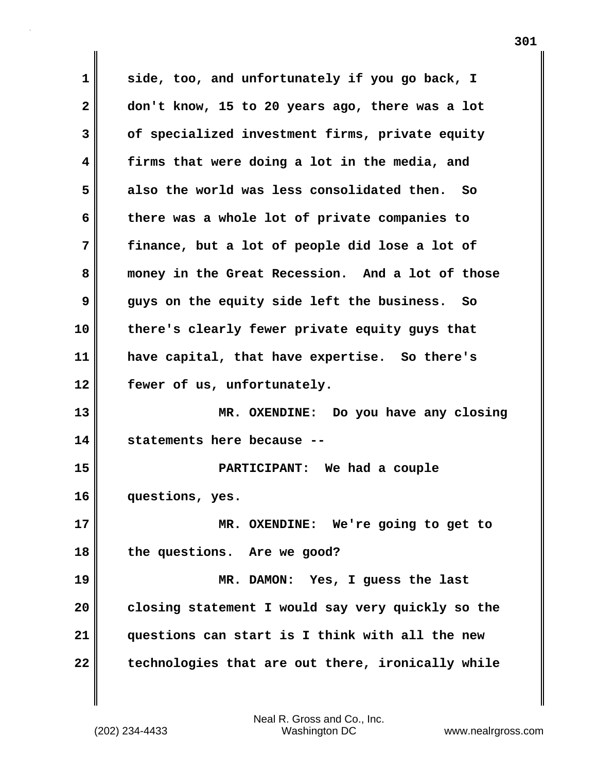**1 side, too, and unfortunately if you go back, I 2 don't know, 15 to 20 years ago, there was a lot 3 of specialized investment firms, private equity 4 firms that were doing a lot in the media, and 5 also the world was less consolidated then. So 6 there was a whole lot of private companies to 7 finance, but a lot of people did lose a lot of 8 money in the Great Recession. And a lot of those 9 guys on the equity side left the business. So 10 there's clearly fewer private equity guys that 11 have capital, that have expertise. So there's 12 fewer of us, unfortunately. 13 MR. OXENDINE: Do you have any closing 14 statements here because -- 15 PARTICIPANT: We had a couple 16 questions, yes. 17 MR. OXENDINE: We're going to get to 18 the questions. Are we good? 19 MR. DAMON: Yes, I guess the last 20 closing statement I would say very quickly so the 21 questions can start is I think with all the new 22 technologies that are out there, ironically while**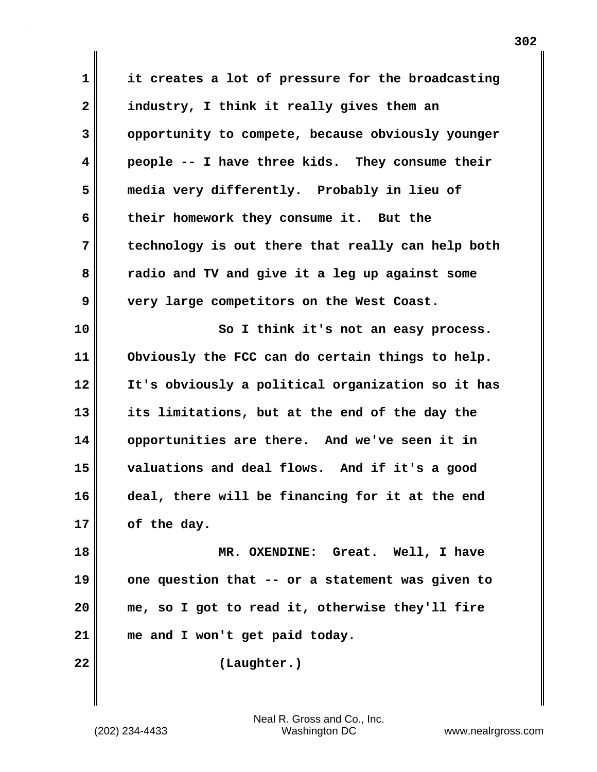**1 it creates a lot of pressure for the broadcasting 2 industry, I think it really gives them an 3 opportunity to compete, because obviously younger 4 people -- I have three kids. They consume their 5 media very differently. Probably in lieu of 6 their homework they consume it. But the 7 technology is out there that really can help both 8 radio and TV and give it a leg up against some 9 very large competitors on the West Coast. 10 So I think it's not an easy process. 11 Obviously the FCC can do certain things to help. 12 It's obviously a political organization so it has 13 its limitations, but at the end of the day the 14 opportunities are there. And we've seen it in 15 valuations and deal flows. And if it's a good 16 deal, there will be financing for it at the end 17 of the day. 18 MR. OXENDINE: Great. Well, I have 19 one question that -- or a statement was given to 20 me, so I got to read it, otherwise they'll fire 21 me and I won't get paid today. 22 (Laughter.)**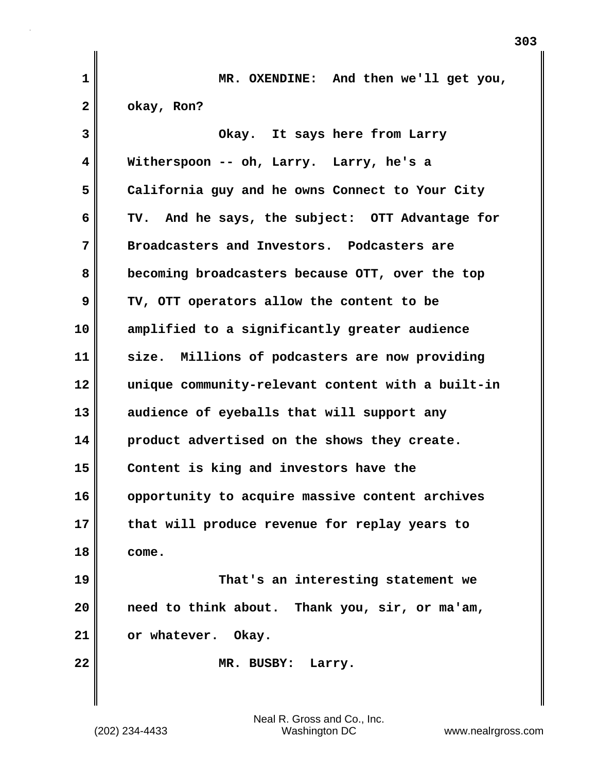| 1            | MR. OXENDINE: And then we'll get you,             |
|--------------|---------------------------------------------------|
| $\mathbf{2}$ | okay, Ron?                                        |
| 3            | Okay. It says here from Larry                     |
| 4            | Witherspoon -- oh, Larry. Larry, he's a           |
| 5            | California guy and he owns Connect to Your City   |
| 6            | TV. And he says, the subject: OTT Advantage for   |
| 7            | Broadcasters and Investors. Podcasters are        |
| 8            | becoming broadcasters because OTT, over the top   |
| 9            | TV, OTT operators allow the content to be         |
| 10           | amplified to a significantly greater audience     |
| 11           | size. Millions of podcasters are now providing    |
| 12           | unique community-relevant content with a built-in |
| 13           | audience of eyeballs that will support any        |
| 14           | product advertised on the shows they create.      |
| 15           | Content is king and investors have the            |
| 16           | opportunity to acquire massive content archives   |
| 17           | that will produce revenue for replay years to     |
| 18           | come.                                             |
| 19           | That's an interesting statement we                |
| 20           | need to think about. Thank you, sir, or ma'am,    |
| 21           | or whatever. Okay.                                |
| 22           | MR. BUSBY:<br>Larry.                              |
|              |                                                   |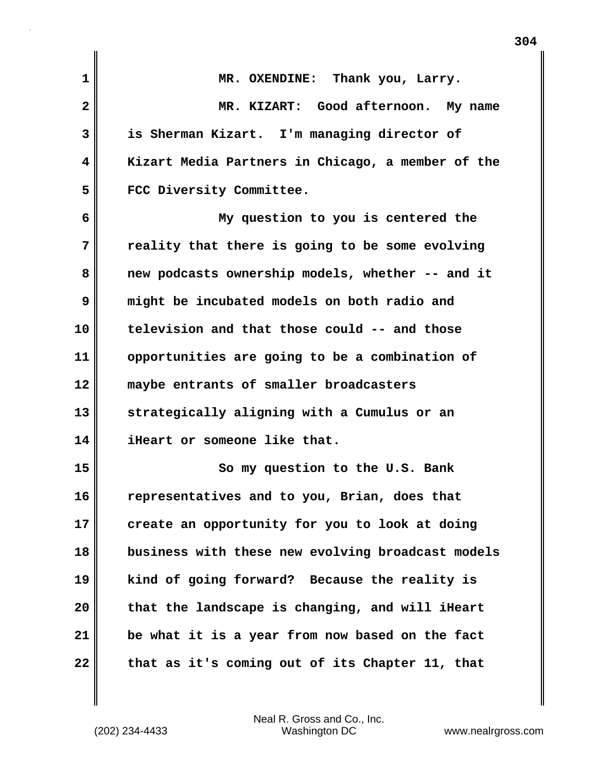| $\mathbf 1$  | MR. OXENDINE: Thank you, Larry.                   |
|--------------|---------------------------------------------------|
| $\mathbf{2}$ | MR. KIZART: Good afternoon. My name               |
| 3            | is Sherman Kizart. I'm managing director of       |
| 4            | Kizart Media Partners in Chicago, a member of the |
| 5            | FCC Diversity Committee.                          |
| 6            | My question to you is centered the                |
| 7            | reality that there is going to be some evolving   |
| 8            | new podcasts ownership models, whether -- and it  |
| 9            | might be incubated models on both radio and       |
| 10           | television and that those could -- and those      |
| 11           | opportunities are going to be a combination of    |
| 12           | maybe entrants of smaller broadcasters            |
| 13           | strategically aligning with a Cumulus or an       |
| 14           | iHeart or someone like that.                      |
| 15           | So my question to the U.S. Bank                   |
| 16           | representatives and to you, Brian, does that      |
| 17           | create an opportunity for you to look at doing    |
| 18           | business with these new evolving broadcast models |
| 19           | kind of going forward? Because the reality is     |
| 20           | that the landscape is changing, and will iHeart   |
| 21           | be what it is a year from now based on the fact   |
| 22           | that as it's coming out of its Chapter 11, that   |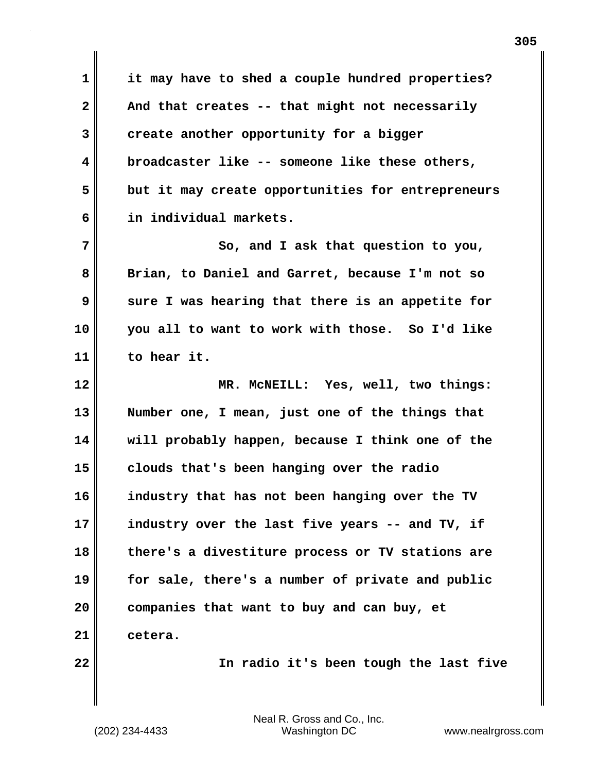**1 it may have to shed a couple hundred properties?**  2 **And that creates -- that might not necessarily 3 create another opportunity for a bigger 4 broadcaster like -- someone like these others, 5 but it may create opportunities for entrepreneurs 6 in individual markets.**

**7** So, and I ask that question to you, **8 Brian, to Daniel and Garret, because I'm not so 9 sure I was hearing that there is an appetite for 10 you all to want to work with those. So I'd like 11 to hear it.**

**12 MR. McNEILL: Yes, well, two things: 13 Number one, I mean, just one of the things that 14 will probably happen, because I think one of the 15 clouds that's been hanging over the radio 16 industry that has not been hanging over the TV 17 industry over the last five years -- and TV, if 18 there's a divestiture process or TV stations are 19 for sale, there's a number of private and public 20 companies that want to buy and can buy, et 21 cetera.**

**22 In radio it's been tough the last five**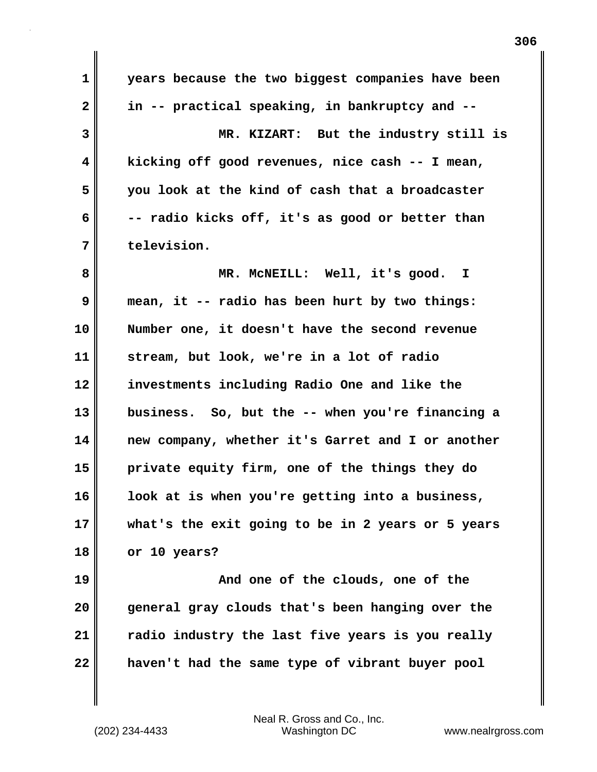**1 years because the two biggest companies have been 2 in -- practical speaking, in bankruptcy and -- 3 MR. KIZART: But the industry still is 4 kicking off good revenues, nice cash -- I mean, 5 you look at the kind of cash that a broadcaster 6 -- radio kicks off, it's as good or better than 7 television. 8 MR. McNEILL: Well, it's good. I 9 mean, it -- radio has been hurt by two things: 10 Number one, it doesn't have the second revenue 11 stream, but look, we're in a lot of radio 12 investments including Radio One and like the 13 business. So, but the -- when you're financing a 14 new company, whether it's Garret and I or another 15 private equity firm, one of the things they do 16 look at is when you're getting into a business, 17 what's the exit going to be in 2 years or 5 years 18 or 10 years? 19 And one of the clouds, one of the 20 general gray clouds that's been hanging over the 21 radio industry the last five years is you really 22 haven't had the same type of vibrant buyer pool**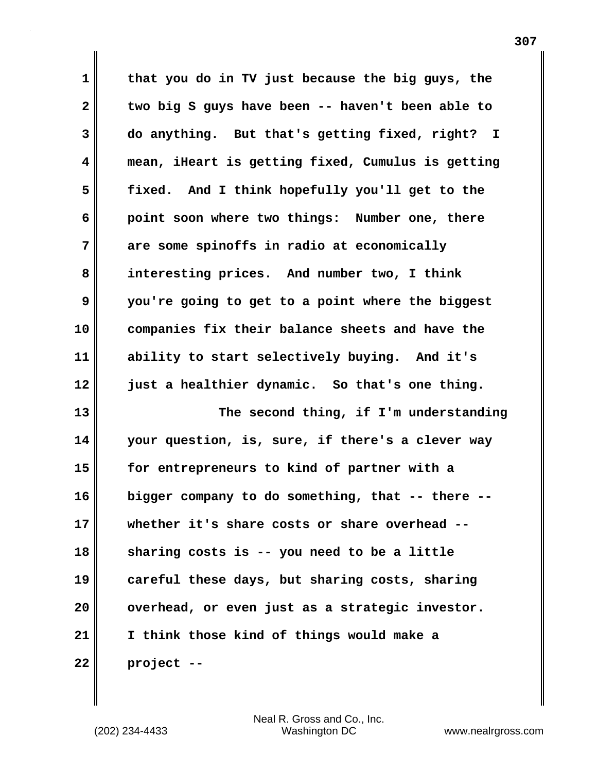**1 that you do in TV just because the big guys, the 2 two big S guys have been -- haven't been able to 3 do anything. But that's getting fixed, right? I 4 mean, iHeart is getting fixed, Cumulus is getting 5 fixed. And I think hopefully you'll get to the 6 point soon where two things: Number one, there 7 are some spinoffs in radio at economically 8 interesting prices. And number two, I think 9 you're going to get to a point where the biggest 10 companies fix their balance sheets and have the 11 ability to start selectively buying. And it's 12 just a healthier dynamic. So that's one thing. 13 The second thing, if I'm understanding 14 your question, is, sure, if there's a clever way 15 for entrepreneurs to kind of partner with a 16 bigger company to do something, that -- there -- 17 whether it's share costs or share overhead -- 18 sharing costs is -- you need to be a little 19 careful these days, but sharing costs, sharing 20 overhead, or even just as a strategic investor. 21 I think those kind of things would make a 22 project --**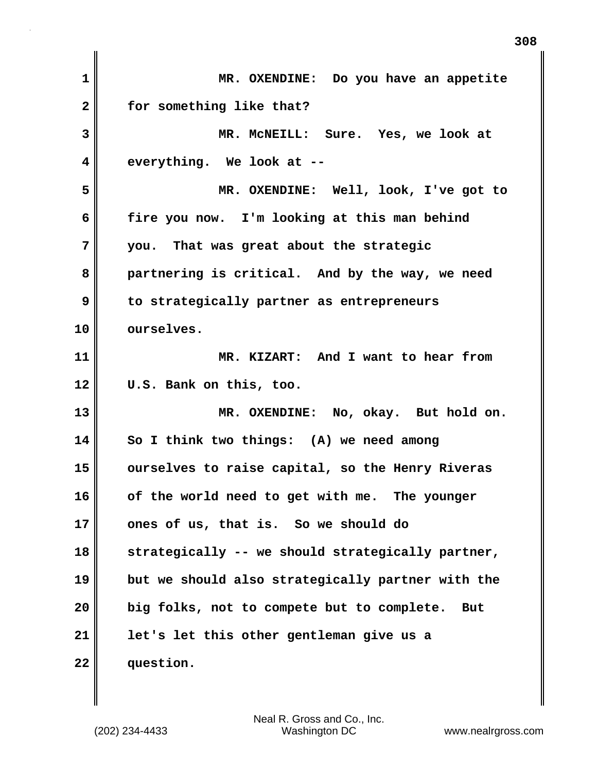| 1            | MR. OXENDINE: Do you have an appetite             |
|--------------|---------------------------------------------------|
| $\mathbf{2}$ | for something like that?                          |
| 3            | MR. MCNEILL: Sure. Yes, we look at                |
| 4            | everything. We look at --                         |
| 5            | MR. OXENDINE: Well, look, I've got to             |
| 6            | fire you now. I'm looking at this man behind      |
| 7            | you. That was great about the strategic           |
| 8            | partnering is critical. And by the way, we need   |
| 9            | to strategically partner as entrepreneurs         |
| 10           | ourselves.                                        |
| 11           | MR. KIZART: And I want to hear from               |
| 12           | U.S. Bank on this, too.                           |
| 13           | MR. OXENDINE: No, okay. But hold on.              |
| 14           | So I think two things: (A) we need among          |
| 15           | ourselves to raise capital, so the Henry Riveras  |
| 16           | of the world need to get with me. The younger     |
| 17           | ones of us, that is. So we should do              |
| 18           | strategically -- we should strategically partner, |
| 19           | but we should also strategically partner with the |
| 20           | big folks, not to compete but to complete.<br>But |
| 21           | let's let this other gentleman give us a          |
| 22           | question.                                         |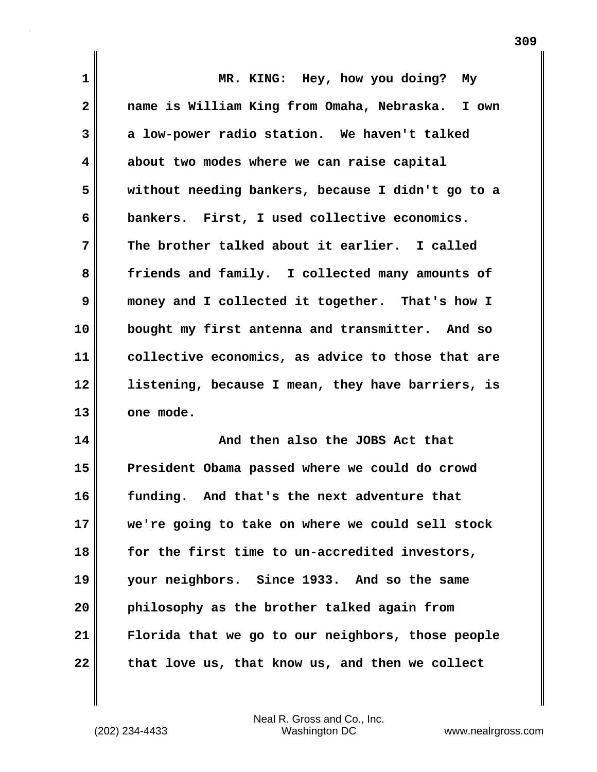| $\mathbf 1$  | MR. KING: Hey, how you doing? My                  |
|--------------|---------------------------------------------------|
| $\mathbf{2}$ | name is William King from Omaha, Nebraska. I own  |
| 3            | a low-power radio station. We haven't talked      |
| 4            | about two modes where we can raise capital        |
| 5            | without needing bankers, because I didn't go to a |
| 6            | bankers. First, I used collective economics.      |
| 7            | The brother talked about it earlier. I called     |
| 8            | friends and family. I collected many amounts of   |
| $\mathbf{9}$ | money and I collected it together. That's how I   |
| 10           | bought my first antenna and transmitter. And so   |
| 11           | collective economics, as advice to those that are |
| 12           | listening, because I mean, they have barriers, is |
| 13           | one mode.                                         |
| 14           | And then also the JOBS Act that                   |
| 15           | President Obama passed where we could do crowd    |
| 16           | funding and that's the next adventure that        |

**15 President Obama passed where we could do crowd 16 funding. And that's the next adventure that 17 we're going to take on where we could sell stock 18 for the first time to un-accredited investors, 19 your neighbors. Since 1933. And so the same 20 philosophy as the brother talked again from 21 Florida that we go to our neighbors, those people** 22 that love us, that know us, and then we collect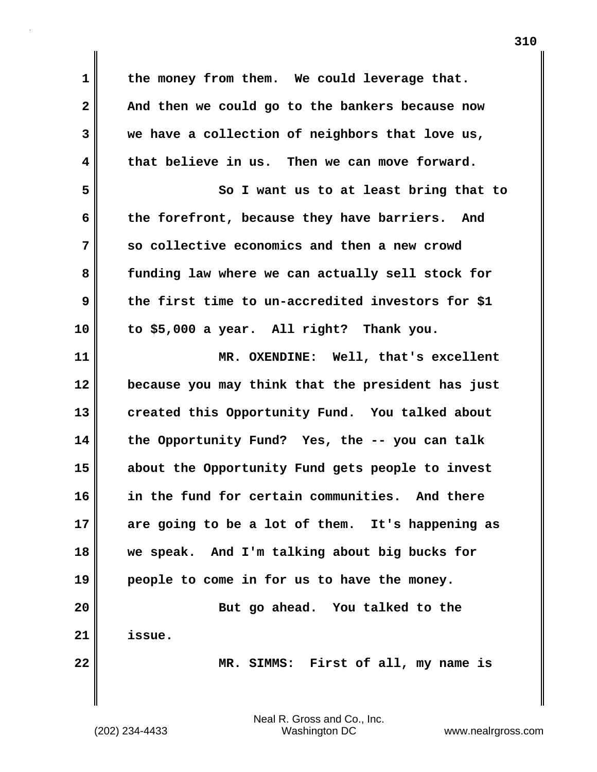**1 the money from them. We could leverage that. 2 And then we could go to the bankers because now 3 we have a collection of neighbors that love us, 4 that believe in us. Then we can move forward. 5 So I want us to at least bring that to 6 the forefront, because they have barriers. And 7 so collective economics and then a new crowd 8 funding law where we can actually sell stock for 9 the first time to un-accredited investors for \$1 10 to \$5,000 a year. All right? Thank you. 11 MR. OXENDINE: Well, that's excellent 12 because you may think that the president has just 13 created this Opportunity Fund. You talked about 14 the Opportunity Fund? Yes, the -- you can talk 15 about the Opportunity Fund gets people to invest 16 in the fund for certain communities. And there 17 are going to be a lot of them. It's happening as 18 we speak. And I'm talking about big bucks for 19 people to come in for us to have the money. 20 But go ahead. You talked to the 21 issue. 22 MR. SIMMS: First of all, my name is**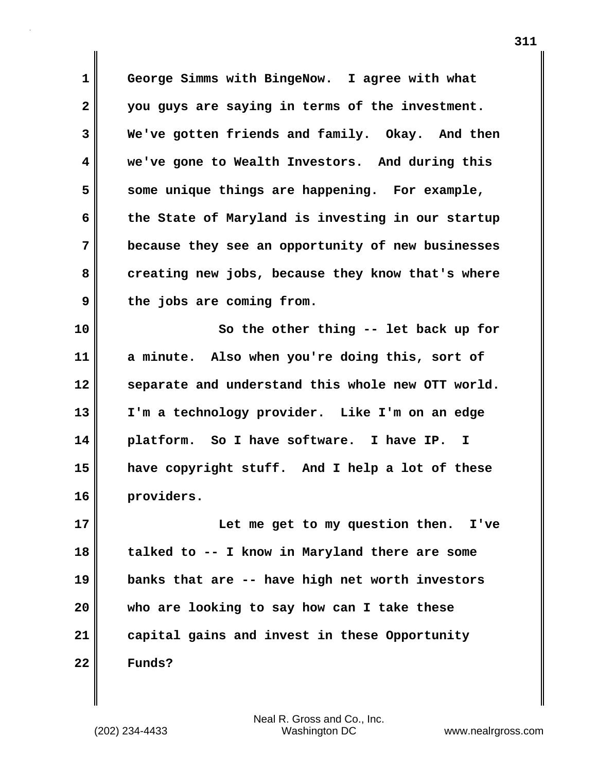**1 George Simms with BingeNow. I agree with what 2 you guys are saying in terms of the investment. 3 We've gotten friends and family. Okay. And then 4 we've gone to Wealth Investors. And during this 5 some unique things are happening. For example, 6 the State of Maryland is investing in our startup 7 because they see an opportunity of new businesses** 8 creating new jobs, because they know that's where **9 the jobs are coming from.** 

**10 So the other thing -- let back up for 11 a minute. Also when you're doing this, sort of 12 separate and understand this whole new OTT world. 13 I'm a technology provider. Like I'm on an edge 14 platform. So I have software. I have IP. I 15 have copyright stuff. And I help a lot of these 16 providers.**

**17 Let me get to my question then. I've 18 talked to -- I know in Maryland there are some 19 banks that are -- have high net worth investors 20 who are looking to say how can I take these 21 capital gains and invest in these Opportunity 22 Funds?**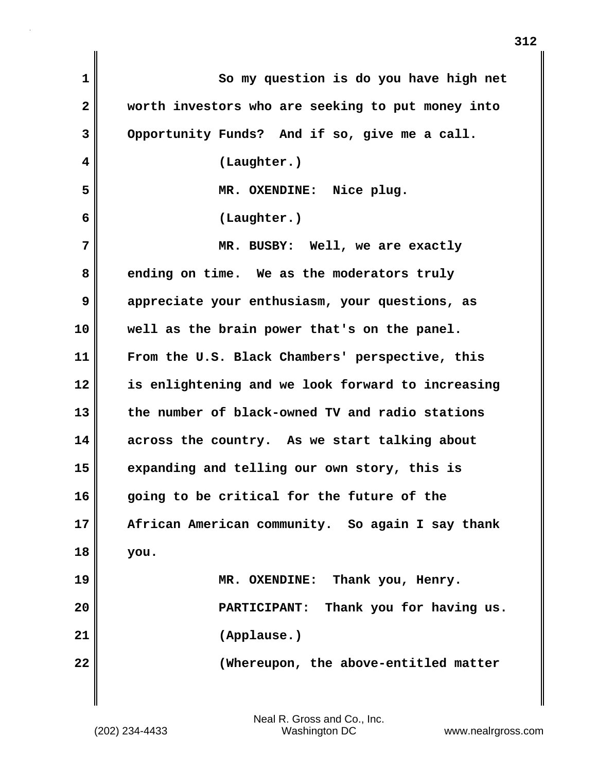| So my question is do you have high net            |
|---------------------------------------------------|
| worth investors who are seeking to put money into |
| Opportunity Funds? And if so, give me a call.     |
| (Laughter.)                                       |
| MR. OXENDINE: Nice plug.                          |
| (Laughter.)                                       |
| MR. BUSBY: Well, we are exactly                   |
| ending on time. We as the moderators truly        |
| appreciate your enthusiasm, your questions, as    |
| well as the brain power that's on the panel.      |
| From the U.S. Black Chambers' perspective, this   |
| is enlightening and we look forward to increasing |
| the number of black-owned TV and radio stations   |
| across the country. As we start talking about     |
| expanding and telling our own story, this is      |
| going to be critical for the future of the        |
| African American community. So again I say thank  |
| you.                                              |
| MR. OXENDINE: Thank you, Henry.                   |
| Thank you for having us.<br><b>PARTICIPANT:</b>   |
| (Applause.)                                       |
| (Whereupon, the above-entitled matter             |
|                                                   |

 $\mathbf{I}$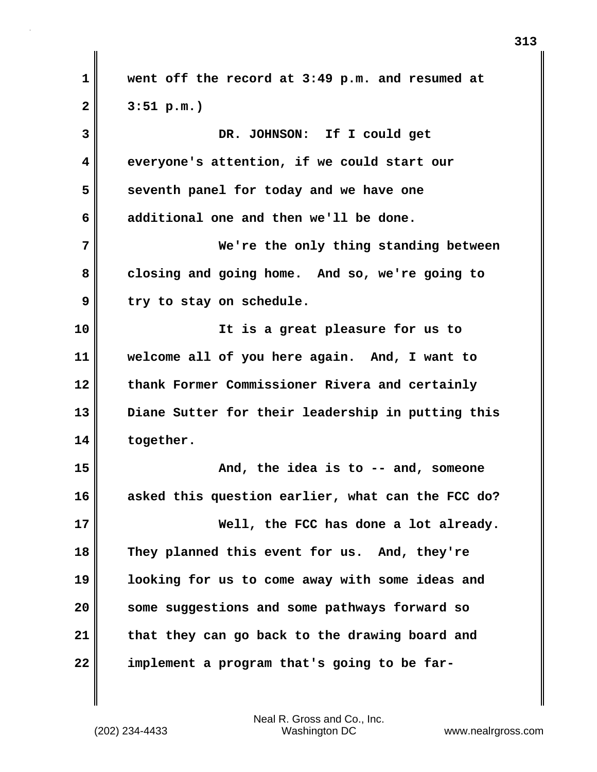**1 went off the record at 3:49 p.m. and resumed at 2 3:51 p.m.) 3 DR. JOHNSON: If I could get 4 everyone's attention, if we could start our 5** seventh panel for today and we have one **6 additional one and then we'll be done. 7 We're the only thing standing between 8 closing and going home. And so, we're going to 9 try to stay on schedule. 10 It is a great pleasure for us to 11 welcome all of you here again. And, I want to 12 thank Former Commissioner Rivera and certainly 13 Diane Sutter for their leadership in putting this 14 together. 15 And, the idea is to -- and, someone 16 asked this question earlier, what can the FCC do? 17 Well, the FCC has done a lot already. 18 They planned this event for us. And, they're 19 looking for us to come away with some ideas and 20 some suggestions and some pathways forward so 21 that they can go back to the drawing board and 22 implement a program that's going to be far-**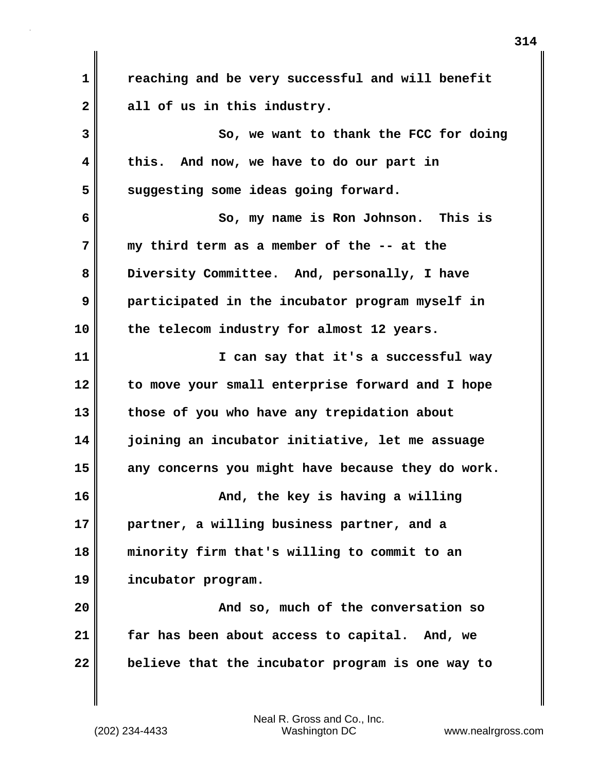**1 reaching and be very successful and will benefit 2 all of us in this industry. 3** So, we want to thank the FCC for doing **4 this. And now, we have to do our part in 5 suggesting some ideas going forward. 6 So, my name is Ron Johnson. This is 7 my third term as a member of the -- at the 8 Diversity Committee. And, personally, I have 9 participated in the incubator program myself in 10 the telecom industry for almost 12 years. 11 I can say that it's a successful way 12 to move your small enterprise forward and I hope 13 those of you who have any trepidation about 14 joining an incubator initiative, let me assuage 15 any concerns you might have because they do work. 16 And, the key is having a willing 17 partner, a willing business partner, and a 18 minority firm that's willing to commit to an 19 incubator program. 20 And so, much of the conversation so 21 far has been about access to capital. And, we 22 believe that the incubator program is one way to**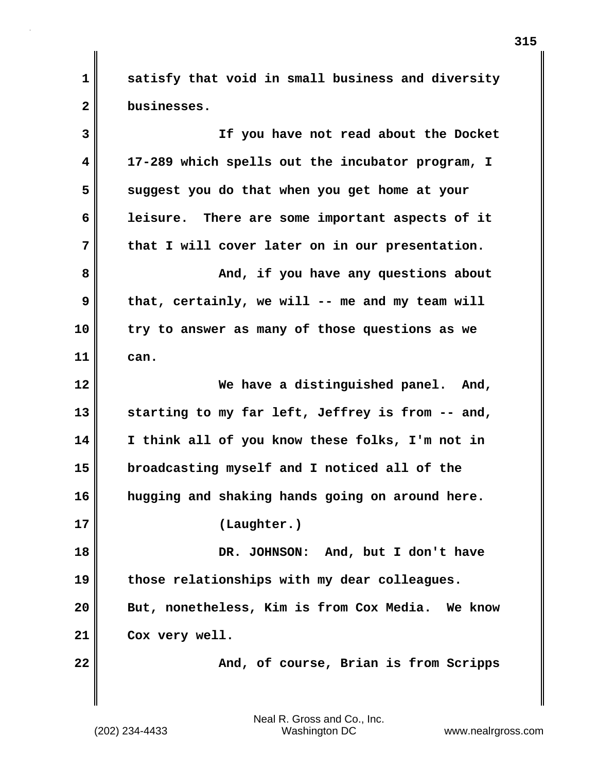**1 satisfy that void in small business and diversity 2 businesses.**

| 3  | If you have not read about the Docket            |
|----|--------------------------------------------------|
| 4  | 17-289 which spells out the incubator program, I |
| 5  | suggest you do that when you get home at your    |
| 6  | leisure. There are some important aspects of it  |
| 7  | that I will cover later on in our presentation.  |
| 8  | And, if you have any questions about             |
| 9  | that, certainly, we will -- me and my team will  |
| 10 | try to answer as many of those questions as we   |
| 11 | can.                                             |
| 12 | We have a distinguished panel. And,              |
| 13 | starting to my far left, Jeffrey is from -- and, |
| 14 | I think all of you know these folks, I'm not in  |
| 15 | broadcasting myself and I noticed all of the     |
| 16 | hugging and shaking hands going on around here.  |
| 17 | (Laughter.)                                      |
| 18 | DR. JOHNSON: And, but I don't have               |
| 19 | those relationships with my dear colleagues.     |
| 20 | But, nonetheless, Kim is from Cox Media. We know |
| 21 | Cox very well.                                   |
| 22 | And, of course, Brian is from Scripps            |
|    |                                                  |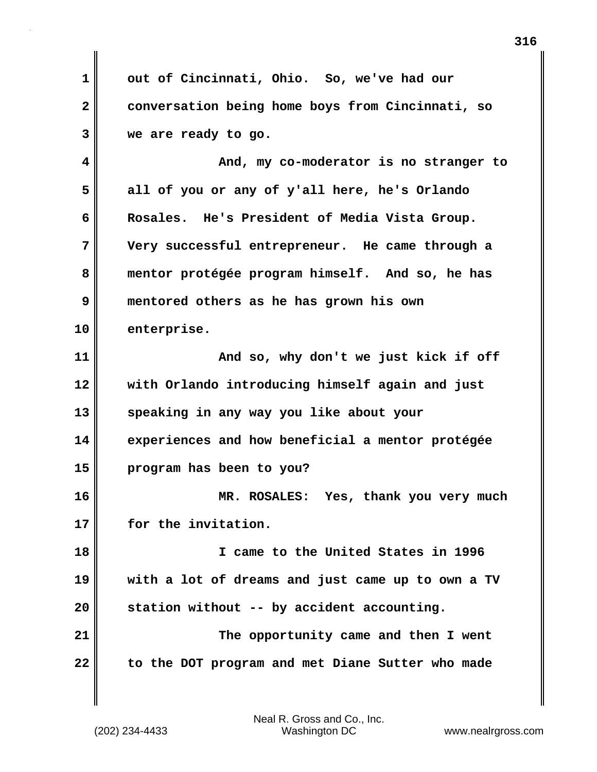**1 out of Cincinnati, Ohio. So, we've had our 2 conversation being home boys from Cincinnati, so 3 we are ready to go.**

**4 And, my co-moderator is no stranger to 5 all of you or any of y'all here, he's Orlando 6 Rosales. He's President of Media Vista Group. 7 Very successful entrepreneur. He came through a 8 mentor protégée program himself. And so, he has 9 mentored others as he has grown his own 10 enterprise. 11 And so, why don't we just kick if off 12 with Orlando introducing himself again and just 13 speaking in any way you like about your 14 experiences and how beneficial a mentor protégée 15 program has been to you?**

**16 MR. ROSALES: Yes, thank you very much 17 for the invitation.**

**18 I came to the United States in 1996 19 with a lot of dreams and just came up to own a TV 20 station without -- by accident accounting. 21** The opportunity came and then I went **22 to the DOT program and met Diane Sutter who made**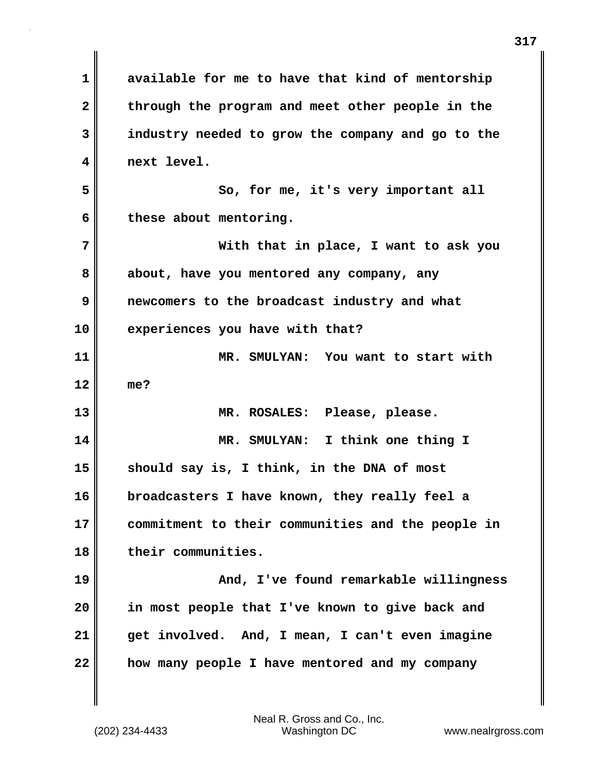**1 available for me to have that kind of mentorship** 2 through the program and meet other people in the **3 industry needed to grow the company and go to the 4 next level. 5 So, for me, it's very important all 6 these about mentoring. 7 With that in place, I want to ask you 8 about, have you mentored any company, any 9 newcomers to the broadcast industry and what 10 experiences you have with that? 11 MR. SMULYAN: You want to start with 12 me? 13 MR. ROSALES: Please, please. 14 MR. SMULYAN: I think one thing I 15 should say is, I think, in the DNA of most 16 broadcasters I have known, they really feel a 17 commitment to their communities and the people in 18 their communities. 19 And, I've found remarkable willingness 20 in most people that I've known to give back and 21 get involved. And, I mean, I can't even imagine 22 how many people I have mentored and my company**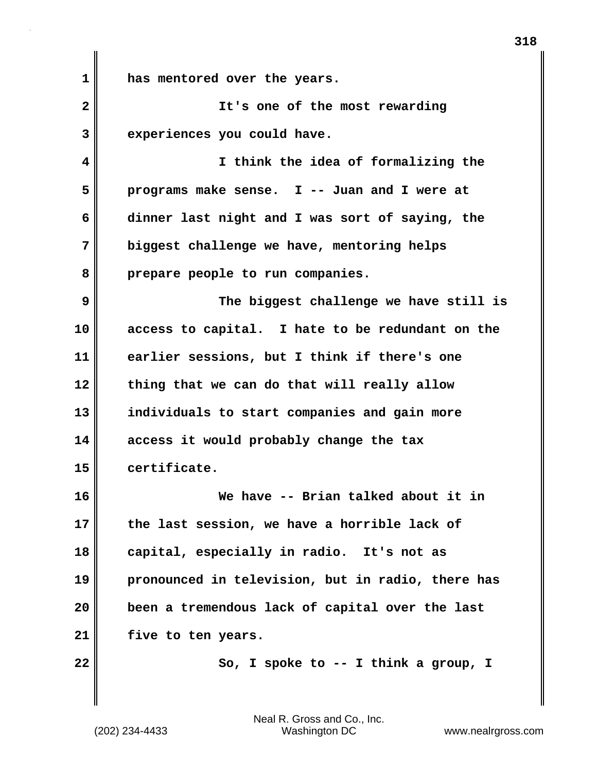**1 has mentored over the years. 2 It's one of the most rewarding 3 experiences you could have. 4 I think the idea of formalizing the 5 programs make sense. I -- Juan and I were at 6 dinner last night and I was sort of saying, the 7 biggest challenge we have, mentoring helps 8 prepare people to run companies. 9 The biggest challenge we have still is 10 access to capital. I hate to be redundant on the 11 earlier sessions, but I think if there's one 12 thing that we can do that will really allow 13 individuals to start companies and gain more 14 access it would probably change the tax 15 certificate. 16 We have -- Brian talked about it in 17 the last session, we have a horrible lack of 18 capital, especially in radio. It's not as 19 pronounced in television, but in radio, there has 20 been a tremendous lack of capital over the last 21 five to ten years. 22** So, I spoke to -- I think a group, I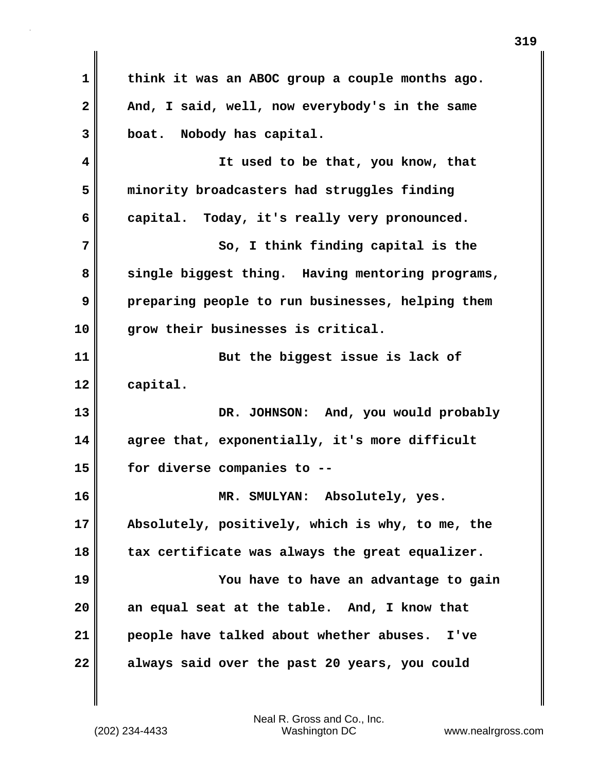| $\mathbf 1$ | think it was an ABOC group a couple months ago.  |
|-------------|--------------------------------------------------|
| 2           | And, I said, well, now everybody's in the same   |
| 3           | boat. Nobody has capital.                        |
| 4           | It used to be that, you know, that               |
| 5           | minority broadcasters had struggles finding      |
| 6           | capital. Today, it's really very pronounced.     |
| 7           | So, I think finding capital is the               |
| 8           | single biggest thing. Having mentoring programs, |
| 9           | preparing people to run businesses, helping them |
| 10          | grow their businesses is critical.               |
| 11          | But the biggest issue is lack of                 |
| 12          | capital.                                         |
| 13          | DR. JOHNSON: And, you would probably             |
| 14          | agree that, exponentially, it's more difficult   |
| 15          | for diverse companies to --                      |
| 16          | MR. SMULYAN: Absolutely, yes.                    |
| 17          | Absolutely, positively, which is why, to me, the |
| 18          | tax certificate was always the great equalizer.  |
| 19          | You have to have an advantage to gain            |
| 20          | an equal seat at the table. And, I know that     |
| 21          | people have talked about whether abuses.<br>I've |
| 22          | always said over the past 20 years, you could    |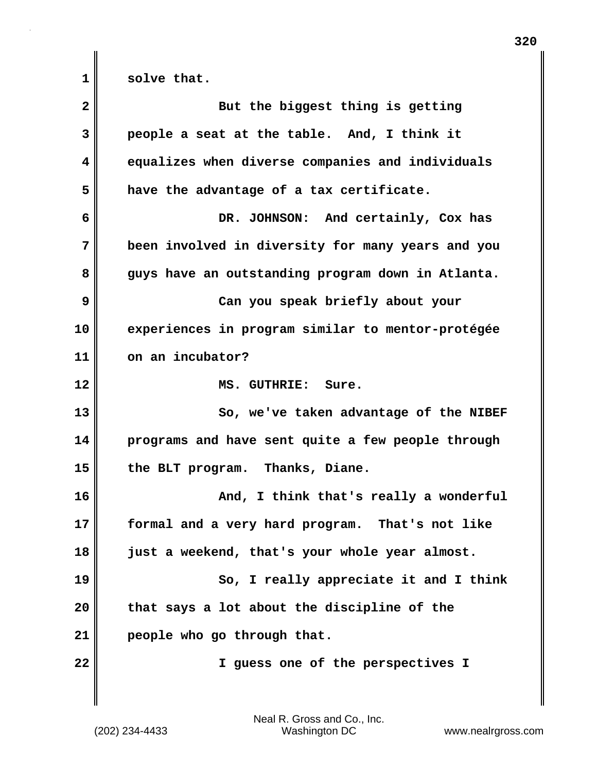1 solve that.

| $\mathbf{2}$ | But the biggest thing is getting                   |
|--------------|----------------------------------------------------|
| 3            | people a seat at the table. And, I think it        |
| 4            | equalizes when diverse companies and individuals   |
| 5            | have the advantage of a tax certificate.           |
| 6            | DR. JOHNSON: And certainly, Cox has                |
| 7            | been involved in diversity for many years and you  |
| 8            | guys have an outstanding program down in Atlanta.  |
| 9            | Can you speak briefly about your                   |
| 10           | experiences in program similar to mentor-protégée  |
| 11           | on an incubator?                                   |
| 12           | MS. GUTHRIE: Sure.                                 |
| 13           | So, we've taken advantage of the NIBEF             |
| 14           | programs and have sent quite a few people through  |
| 15           | the BLT program. Thanks, Diane.                    |
| 16           | And, I think that's really a wonderful             |
| 17           | formal and a very hard program.<br>That's not like |
| 18           | just a weekend, that's your whole year almost.     |
| 19           | So, I really appreciate it and I think             |
| 20           | that says a lot about the discipline of the        |
| 21           | people who go through that.                        |
| 22           | I guess one of the perspectives I                  |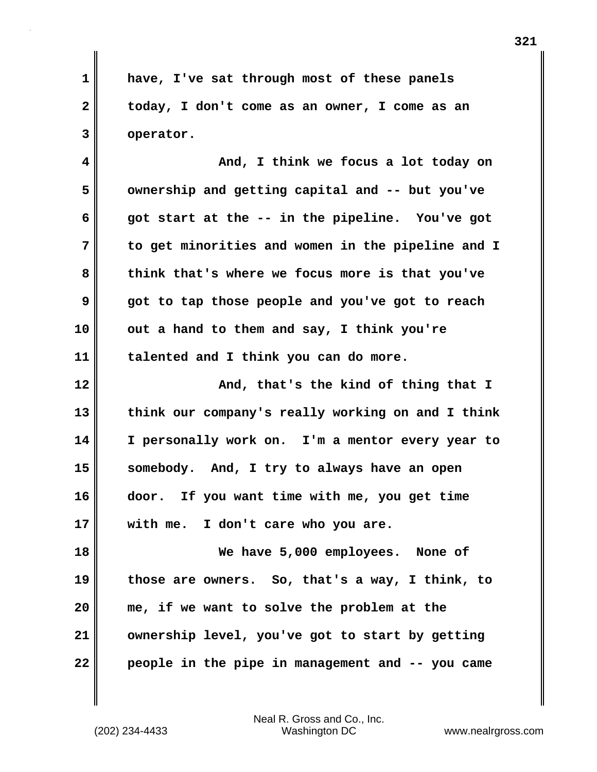**1 have, I've sat through most of these panels 2 today, I don't come as an owner, I come as an 3 operator.**

**4 And, I think we focus a lot today on 5 ownership and getting capital and -- but you've 6 got start at the -- in the pipeline. You've got 7 to get minorities and women in the pipeline and I 8 think that's where we focus more is that you've 9 got to tap those people and you've got to reach 10 out a hand to them and say, I think you're 11 talented and I think you can do more.**

**12 And, that's the kind of thing that I 13 think our company's really working on and I think 14 I personally work on. I'm a mentor every year to 15 somebody. And, I try to always have an open 16 door. If you want time with me, you get time 17 with me. I don't care who you are.**

**18 We have 5,000 employees. None of 19 those are owners. So, that's a way, I think, to 20 me, if we want to solve the problem at the 21 ownership level, you've got to start by getting 22 people in the pipe in management and -- you came**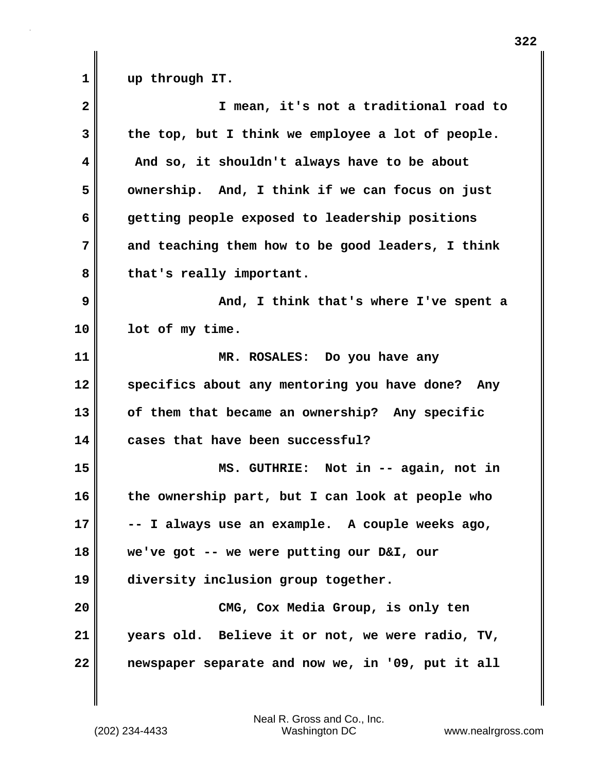1 up through IT.

| $\overline{\mathbf{2}}$ | I mean, it's not a traditional road to            |
|-------------------------|---------------------------------------------------|
| 3                       | the top, but I think we employee a lot of people. |
| 4                       | And so, it shouldn't always have to be about      |
| 5                       | ownership. And, I think if we can focus on just   |
| 6                       | getting people exposed to leadership positions    |
| 7                       | and teaching them how to be good leaders, I think |
| 8                       | that's really important.                          |
| 9                       | And, I think that's where I've spent a            |
| 10                      | lot of my time.                                   |
| 11                      | MR. ROSALES: Do you have any                      |
| 12                      | specifics about any mentoring you have done? Any  |
| 13                      | of them that became an ownership? Any specific    |
| 14                      | cases that have been successful?                  |
| 15                      | MS. GUTHRIE: Not in -- again, not in              |
| 16                      | the ownership part, but I can look at people who  |
| 17                      | -- I always use an example. A couple weeks ago,   |
| 18                      | we've got -- we were putting our D&I, our         |
| 19                      | diversity inclusion group together.               |
| 20                      | CMG, Cox Media Group, is only ten                 |
| 21                      | years old. Believe it or not, we were radio, TV,  |
| 22                      | newspaper separate and now we, in '09, put it all |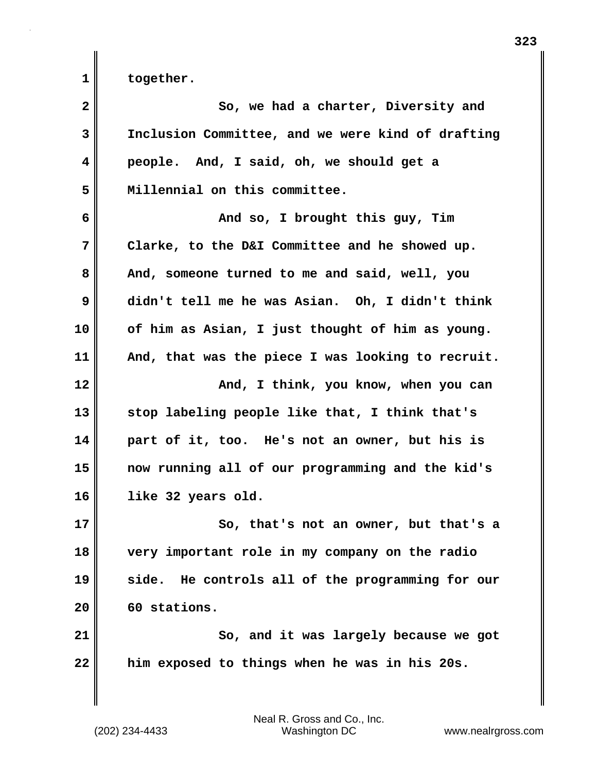1 together.

| $\overline{\mathbf{2}}$ | So, we had a charter, Diversity and               |
|-------------------------|---------------------------------------------------|
| 3                       | Inclusion Committee, and we were kind of drafting |
| 4                       | people. And, I said, oh, we should get a          |
| 5                       | Millennial on this committee.                     |
| 6                       | And so, I brought this guy, Tim                   |
| 7                       | Clarke, to the D&I Committee and he showed up.    |
| 8                       | And, someone turned to me and said, well, you     |
| 9                       | didn't tell me he was Asian. Oh, I didn't think   |
| 10                      | of him as Asian, I just thought of him as young.  |
| 11                      | And, that was the piece I was looking to recruit. |
| 12                      | And, I think, you know, when you can              |
| 13                      | stop labeling people like that, I think that's    |
| 14                      | part of it, too. He's not an owner, but his is    |
| 15                      | now running all of our programming and the kid's  |
| 16                      | like 32 years old.                                |
| 17                      | So, that's not an owner, but that's a             |
| 18                      | very important role in my company on the radio    |
| 19                      | side. He controls all of the programming for our  |
| 20                      | 60 stations.                                      |
| 21                      | So, and it was largely because we got             |
| 22                      | him exposed to things when he was in his 20s.     |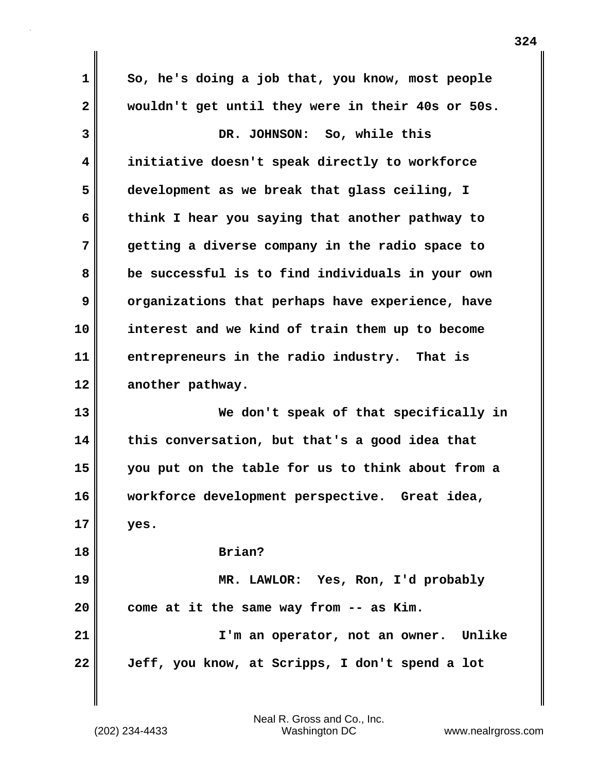**1 So, he's doing a job that, you know, most people 2 wouldn't get until they were in their 40s or 50s. 3 DR. JOHNSON: So, while this 4 initiative doesn't speak directly to workforce 5 development as we break that glass ceiling, I 6 think I hear you saying that another pathway to 7 getting a diverse company in the radio space to 8 be successful is to find individuals in your own 9** organizations that perhaps have experience, have **10 interest and we kind of train them up to become 11 entrepreneurs in the radio industry. That is 12 another pathway. 13 We don't speak of that specifically in 14 this conversation, but that's a good idea that 15 you put on the table for us to think about from a 16 workforce development perspective. Great idea, 17 yes. 18 Brian? 19 MR. LAWLOR: Yes, Ron, I'd probably 20 come at it the same way from -- as Kim. 21 I'm an operator, not an owner. Unlike 22 Jeff, you know, at Scripps, I don't spend a lot**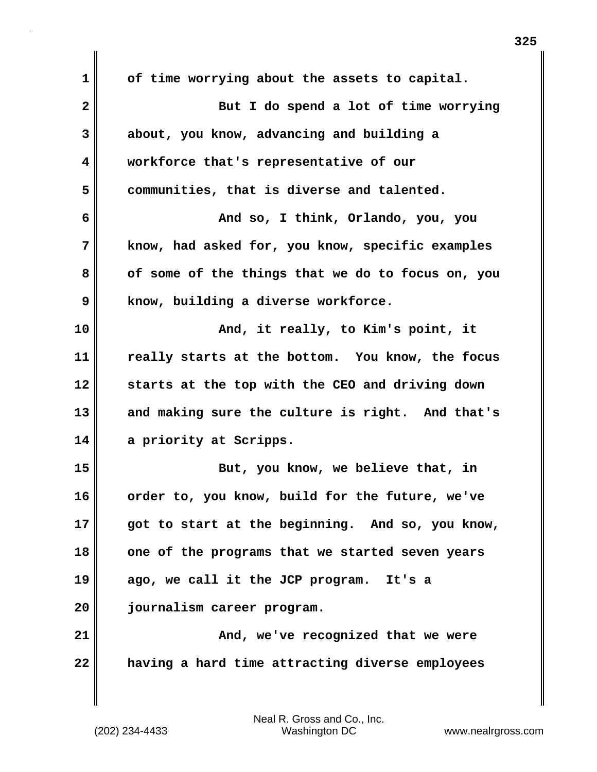**1 of time worrying about the assets to capital. 2 But I do spend a lot of time worrying 3 about, you know, advancing and building a 4 workforce that's representative of our 5 communities, that is diverse and talented. 6 And so, I think, Orlando, you, you 7 know, had asked for, you know, specific examples 8 of some of the things that we do to focus on, you 9 know, building a diverse workforce. 10 And, it really, to Kim's point, it 11 really starts at the bottom. You know, the focus 12 starts at the top with the CEO and driving down 13 and making sure the culture is right. And that's 14 a priority at Scripps. 15** But, you know, we believe that, in **16 order to, you know, build for the future, we've 17 got to start at the beginning. And so, you know, 18 one of the programs that we started seven years 19 ago, we call it the JCP program. It's a 20 journalism career program. 21 And, we've recognized that we were 22 having a hard time attracting diverse employees**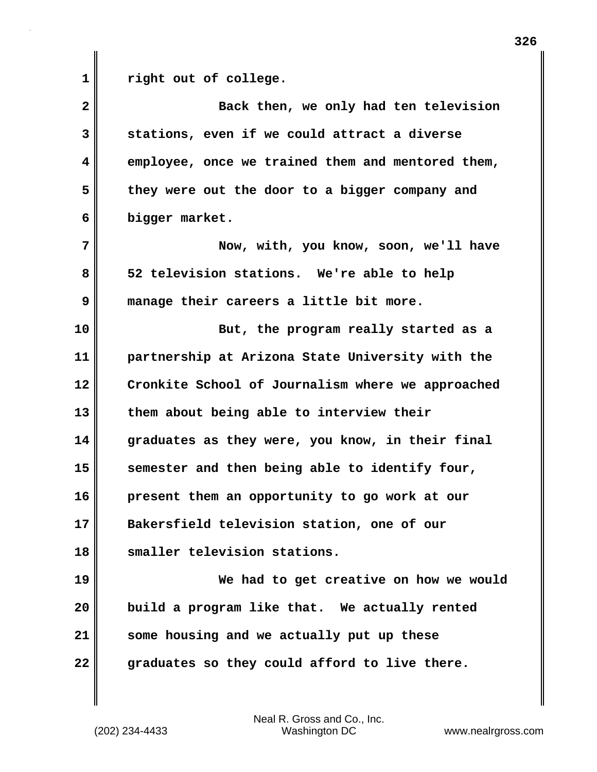**1 right out of college.**

**2 Back then, we only had ten television 3 stations, even if we could attract a diverse 4 employee, once we trained them and mentored them, 5 they were out the door to a bigger company and 6 bigger market. 7 Now, with, you know, soon, we'll have 8 52 television stations. We're able to help 9 manage their careers a little bit more. 10 But, the program really started as a 11 partnership at Arizona State University with the 12 Cronkite School of Journalism where we approached 13 them about being able to interview their 14 graduates as they were, you know, in their final 15 semester and then being able to identify four, 16 present them an opportunity to go work at our 17 Bakersfield television station, one of our 18 smaller television stations. 19 We had to get creative on how we would 20 build a program like that. We actually rented 21 some housing and we actually put up these 22 graduates so they could afford to live there.**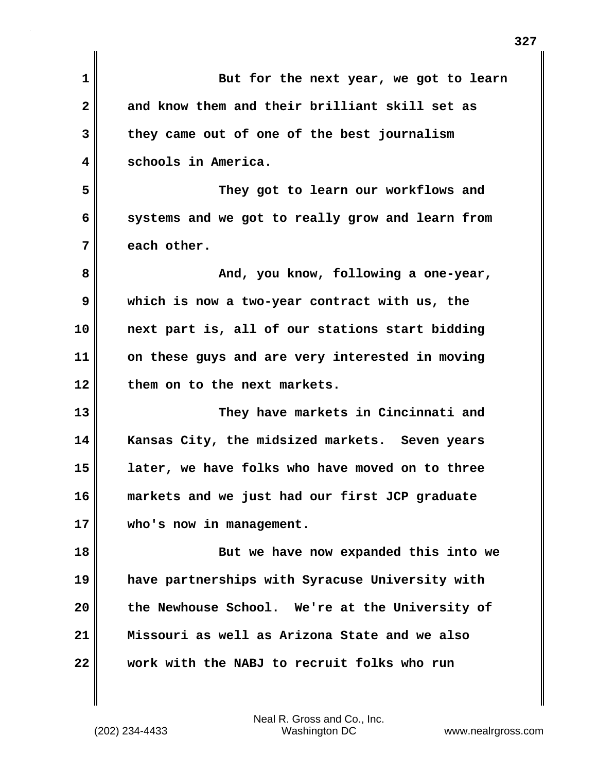| $\mathbf 1$  | But for the next year, we got to learn           |
|--------------|--------------------------------------------------|
| $\mathbf{2}$ | and know them and their brilliant skill set as   |
| 3            | they came out of one of the best journalism      |
| 4            | schools in America.                              |
| 5            | They got to learn our workflows and              |
| 6            | systems and we got to really grow and learn from |
| 7            | each other.                                      |
| 8            | And, you know, following a one-year,             |
| 9            | which is now a two-year contract with us, the    |
| 10           | next part is, all of our stations start bidding  |
| 11           | on these guys and are very interested in moving  |
| 12           | them on to the next markets.                     |
| 13           | They have markets in Cincinnati and              |
| 14           | Kansas City, the midsized markets. Seven years   |
| 15           | later, we have folks who have moved on to three  |
| 16           | markets and we just had our first JCP graduate   |
| 17           | who's now in management.                         |
| 18           | But we have now expanded this into we            |
| 19           | have partnerships with Syracuse University with  |
| 20           | the Newhouse School. We're at the University of  |
| 21           | Missouri as well as Arizona State and we also    |
| 22           | work with the NABJ to recruit folks who run      |
|              |                                                  |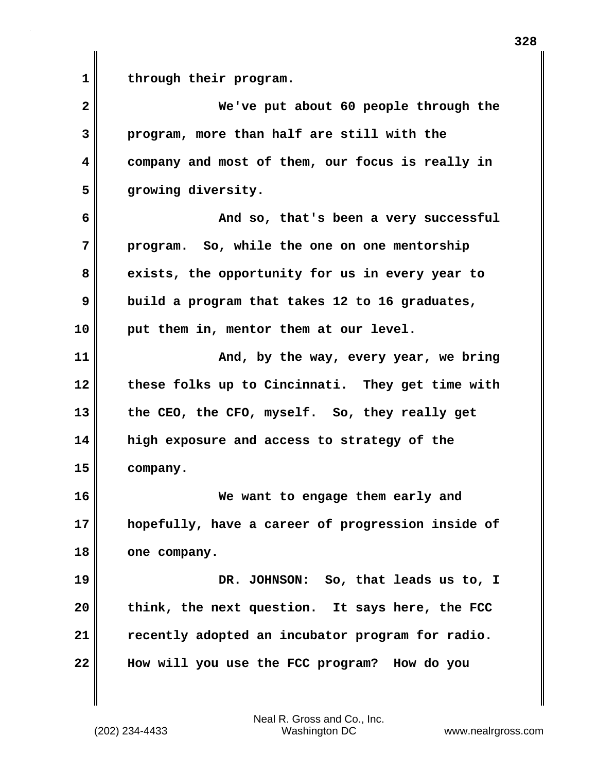**1 through their program.**

**2 We've put about 60 people through the 3 program, more than half are still with the 4 company and most of them, our focus is really in 5 growing diversity. 6 And so, that's been a very successful 7 program. So, while the one on one mentorship 8 exists, the opportunity for us in every year to 9 build a program that takes 12 to 16 graduates, 10 put them in, mentor them at our level. 11 And, by the way, every year, we bring 12 these folks up to Cincinnati. They get time with 13 the CEO, the CFO, myself. So, they really get 14 high exposure and access to strategy of the 15 company. 16 We want to engage them early and 17 hopefully, have a career of progression inside of 18 one company. 19 DR. JOHNSON: So, that leads us to, I 20 think, the next question. It says here, the FCC 21 recently adopted an incubator program for radio. 22 How will you use the FCC program? How do you**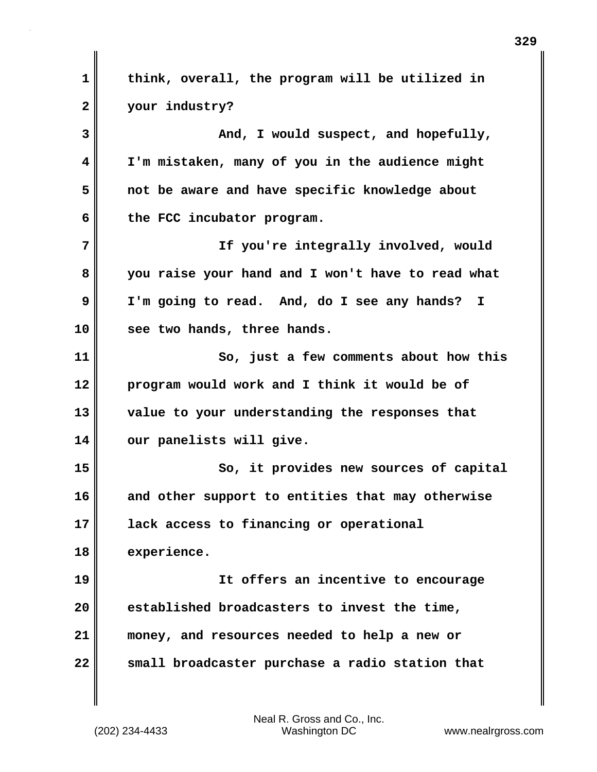**1 think, overall, the program will be utilized in 2 your industry? 3 And, I would suspect, and hopefully, 4 I'm mistaken, many of you in the audience might 5 not be aware and have specific knowledge about 6 the FCC incubator program. 7 If you're integrally involved, would 8 you raise your hand and I won't have to read what 9 I'm going to read. And, do I see any hands? I 10 see two hands, three hands. 11 So, just a few comments about how this 12 program would work and I think it would be of 13 value to your understanding the responses that 14 our panelists will give. 15 So, it provides new sources of capital 16 and other support to entities that may otherwise 17 lack access to financing or operational 18 experience. 19 It offers an incentive to encourage 20 established broadcasters to invest the time, 21 money, and resources needed to help a new or 22 small broadcaster purchase a radio station that**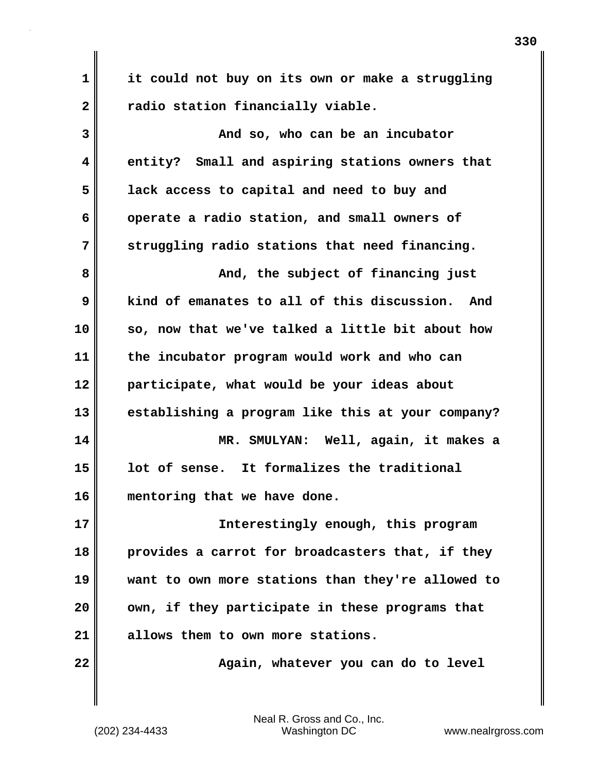**1 it could not buy on its own or make a struggling** 2 **The addicata radio station financially viable.** 

| 3  | And so, who can be an incubator                   |
|----|---------------------------------------------------|
| 4  | entity? Small and aspiring stations owners that   |
| 5  | lack access to capital and need to buy and        |
| 6  | operate a radio station, and small owners of      |
| 7  | struggling radio stations that need financing.    |
| 8  | And, the subject of financing just                |
| 9  | kind of emanates to all of this discussion. And   |
| 10 | so, now that we've talked a little bit about how  |
| 11 | the incubator program would work and who can      |
| 12 | participate, what would be your ideas about       |
| 13 | establishing a program like this at your company? |
| 14 | MR. SMULYAN: Well, again, it makes a              |
| 15 | lot of sense. It formalizes the traditional       |
| 16 | mentoring that we have done.                      |
| 17 | Interestingly enough, this program                |
| 18 | provides a carrot for broadcasters that, if they  |
| 19 | want to own more stations than they're allowed to |
| 20 | own, if they participate in these programs that   |
| 21 | allows them to own more stations.                 |
| 22 | Again, whatever you can do to level               |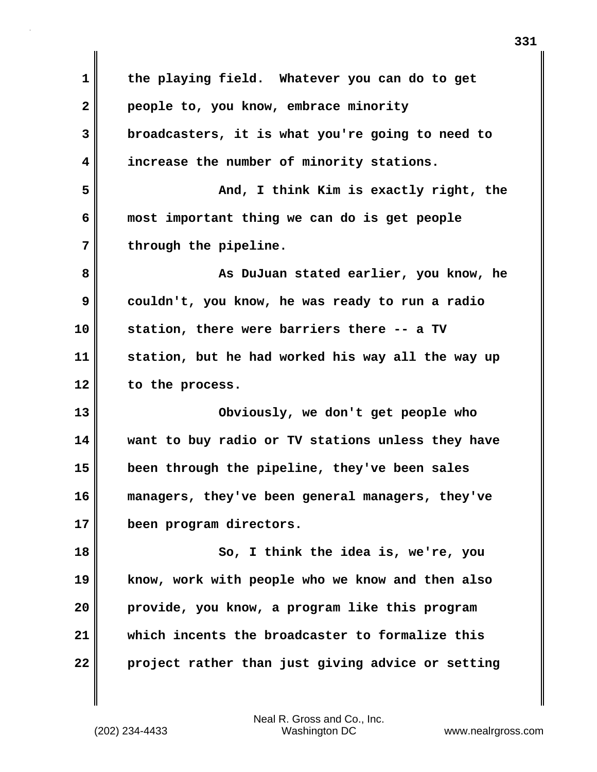| $\mathbf 1$  | the playing field. Whatever you can do to get     |
|--------------|---------------------------------------------------|
| $\mathbf{2}$ | people to, you know, embrace minority             |
| 3            | broadcasters, it is what you're going to need to  |
| 4            | increase the number of minority stations.         |
| 5            | And, I think Kim is exactly right, the            |
| 6            | most important thing we can do is get people      |
| 7            | through the pipeline.                             |
| 8            | As DuJuan stated earlier, you know, he            |
| 9            | couldn't, you know, he was ready to run a radio   |
| 10           | station, there were barriers there -- a TV        |
| 11           | station, but he had worked his way all the way up |
| 12           | to the process.                                   |
| 13           | Obviously, we don't get people who                |
| 14           | want to buy radio or TV stations unless they have |
| 15           | been through the pipeline, they've been sales     |
| 16           |                                                   |
|              | managers, they've been general managers, they've  |
| 17           | been program directors.                           |
| 18           | So, I think the idea is, we're, you               |
| 19           | know, work with people who we know and then also  |
| 20           | provide, you know, a program like this program    |
| 21           | which incents the broadcaster to formalize this   |

 $\mathbf{I}$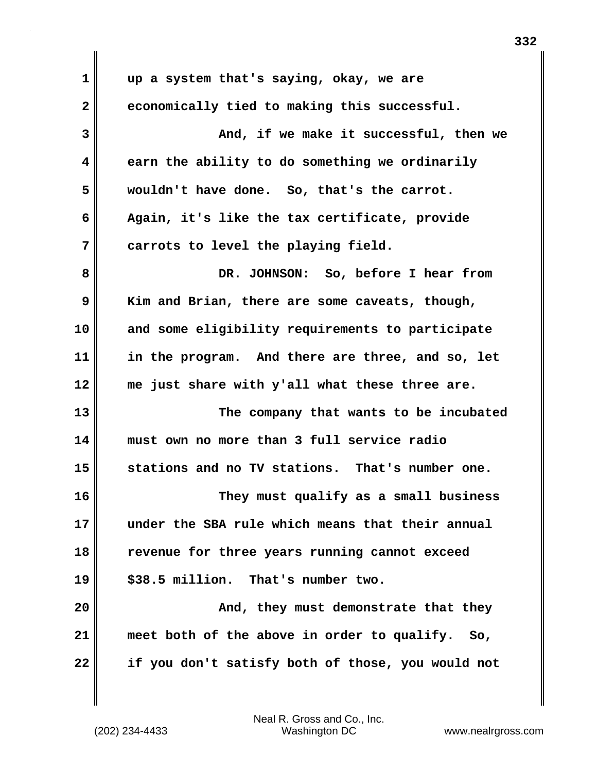**1 up a system that's saying, okay, we are 2 economically tied to making this successful. 3 And, if we make it successful, then we 4 earn the ability to do something we ordinarily 5 wouldn't have done. So, that's the carrot. 6 Again, it's like the tax certificate, provide 7 carrots to level the playing field. 8 DR. JOHNSON: So, before I hear from 9 Kim and Brian, there are some caveats, though, 10 and some eligibility requirements to participate 11 in the program. And there are three, and so, let 12 me just share with y'all what these three are. 13 The company that wants to be incubated 14 must own no more than 3 full service radio 15 stations and no TV stations. That's number one. 16 They must qualify as a small business 17 under the SBA rule which means that their annual 18 revenue for three years running cannot exceed 19 \$38.5 million. That's number two. 20 And, they must demonstrate that they 21 meet both of the above in order to qualify. So, 22 if you don't satisfy both of those, you would not**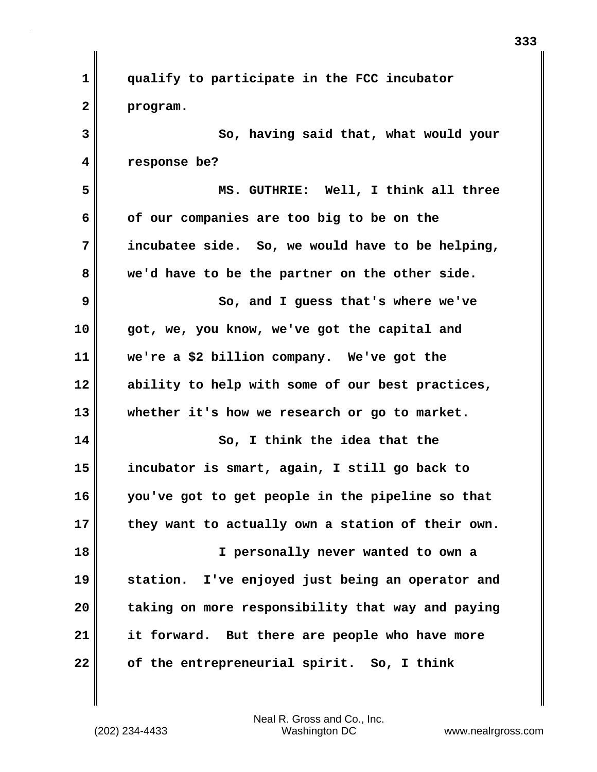| 1  | qualify to participate in the FCC incubator       |
|----|---------------------------------------------------|
| 2  | program.                                          |
| 3  | So, having said that, what would your             |
| 4  | response be?                                      |
| 5  | MS. GUTHRIE: Well, I think all three              |
| 6  | of our companies are too big to be on the         |
| 7  | incubatee side. So, we would have to be helping,  |
| 8  | we'd have to be the partner on the other side.    |
| 9  | So, and I guess that's where we've                |
| 10 | got, we, you know, we've got the capital and      |
| 11 | we're a \$2 billion company. We've got the        |
| 12 | ability to help with some of our best practices,  |
| 13 | whether it's how we research or go to market.     |
| 14 | So, I think the idea that the                     |
| 15 | incubator is smart, again, I still go back to     |
| 16 | you've got to get people in the pipeline so that  |
| 17 | they want to actually own a station of their own. |
| 18 | I personally never wanted to own a                |
| 19 | station. I've enjoyed just being an operator and  |
| 20 | taking on more responsibility that way and paying |
| 21 | it forward. But there are people who have more    |
| 22 | of the entrepreneurial spirit. So, I think        |

 $\mathbf{I}$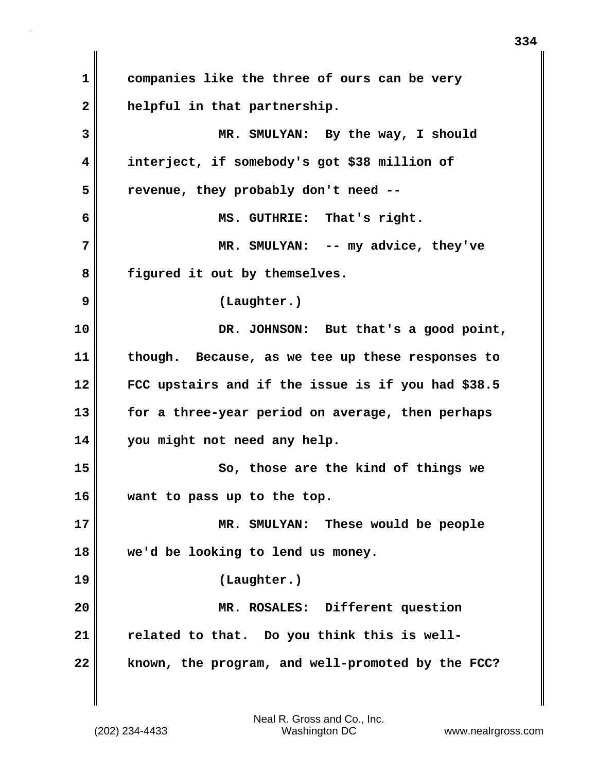**1 companies like the three of ours can be very 2 helpful in that partnership. 3 MR. SMULYAN: By the way, I should 4 interject, if somebody's got \$38 million of 5 revenue, they probably don't need -- 6 MS. GUTHRIE: That's right. 7 MR. SMULYAN: -- my advice, they've 8 figured it out by themselves. 9 (Laughter.) 10 DR. JOHNSON: But that's a good point, 11 though. Because, as we tee up these responses to 12 FCC upstairs and if the issue is if you had \$38.5 13 for a three-year period on average, then perhaps 14 you might not need any help. 15** So, those are the kind of things we **16 want to pass up to the top. 17 MR. SMULYAN: These would be people 18 we'd be looking to lend us money. 19 (Laughter.) 20 MR. ROSALES: Different question 21 related to that. Do you think this is well-22 known, the program, and well-promoted by the FCC?**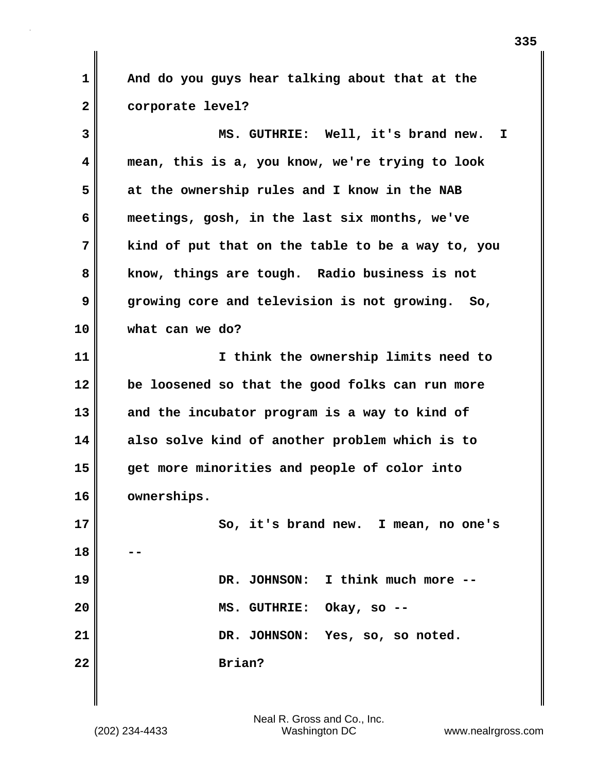**1 And do you guys hear talking about that at the 2 corporate level?**

**3 MS. GUTHRIE: Well, it's brand new. I 4 mean, this is a, you know, we're trying to look 5 at the ownership rules and I know in the NAB 6 meetings, gosh, in the last six months, we've 7 kind of put that on the table to be a way to, you 8 know, things are tough. Radio business is not 9 growing core and television is not growing. So, 10 what can we do? 11 I think the ownership limits need to 12 be loosened so that the good folks can run more 13 and the incubator program is a way to kind of 14 also solve kind of another problem which is to 15 get more minorities and people of color into 16 ownerships. 17 So, it's brand new. I mean, no one's 18 --**

| 19 |        | DR. JOHNSON: I think much more -- |
|----|--------|-----------------------------------|
| 20 |        | MS. GUTHRIE: Okay, so --          |
| 21 |        | DR. JOHNSON: Yes, so, so noted.   |
| 22 | Brian? |                                   |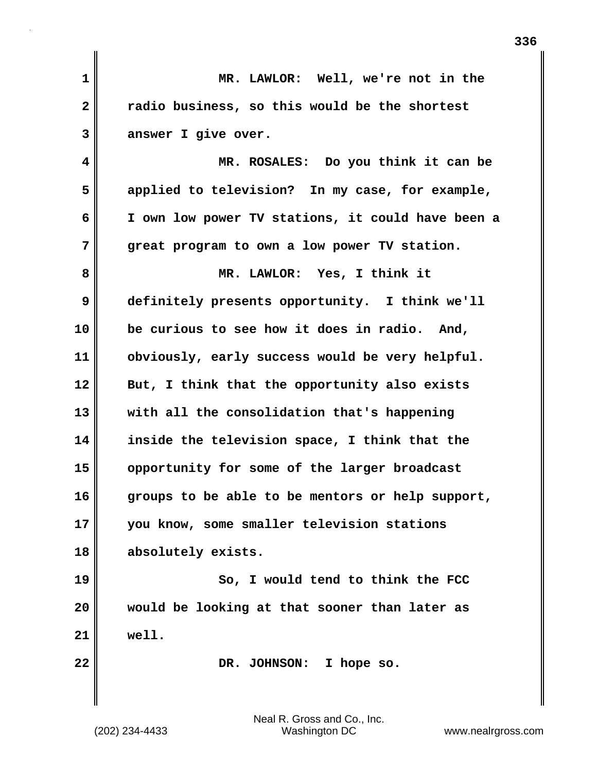**1 MR. LAWLOR: Well, we're not in the 2 radio business, so this would be the shortest 3 answer I give over. 4 MR. ROSALES: Do you think it can be 5 applied to television? In my case, for example, 6 I own low power TV stations, it could have been a 7 great program to own a low power TV station. 8 MR. LAWLOR: Yes, I think it 9 definitely presents opportunity. I think we'll 10 be curious to see how it does in radio. And, 11 obviously, early success would be very helpful. 12 But, I think that the opportunity also exists 13 with all the consolidation that's happening 14 inside the television space, I think that the 15 opportunity for some of the larger broadcast 16 groups to be able to be mentors or help support, 17 you know, some smaller television stations 18 absolutely exists. 19 So, I would tend to think the FCC 20 would be looking at that sooner than later as 21 well. 22** DR. JOHNSON: I hope so.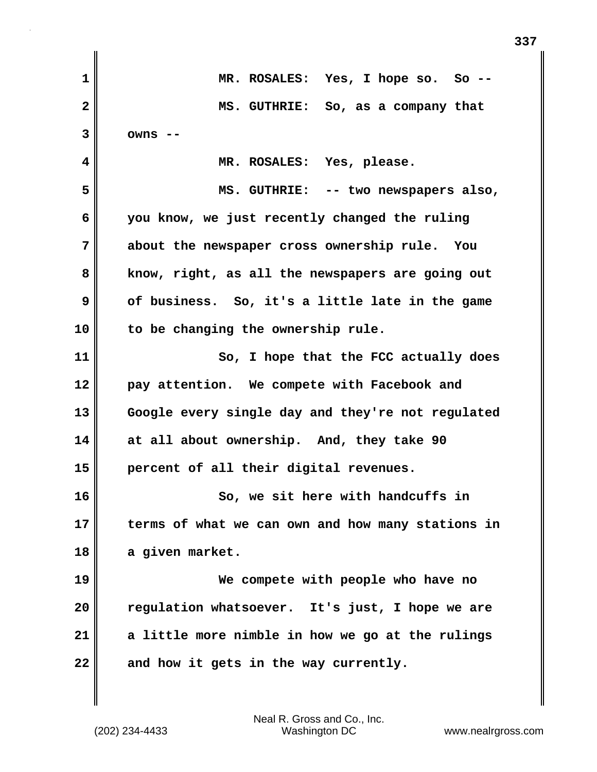| 1  | MR. ROSALES: Yes, I hope so. So --                |
|----|---------------------------------------------------|
| 2  | MS. GUTHRIE: So, as a company that                |
| 3  | $owns$ --                                         |
| 4  | MR. ROSALES: Yes, please.                         |
| 5  | MS. GUTHRIE: -- two newspapers also,              |
| 6  | you know, we just recently changed the ruling     |
| 7  | about the newspaper cross ownership rule. You     |
| 8  | know, right, as all the newspapers are going out  |
| 9  | of business. So, it's a little late in the game   |
| 10 | to be changing the ownership rule.                |
| 11 | So, I hope that the FCC actually does             |
| 12 | pay attention. We compete with Facebook and       |
| 13 | Google every single day and they're not regulated |
| 14 | at all about ownership. And, they take 90         |
| 15 | percent of all their digital revenues.            |
| 16 | So, we sit here with handcuffs in                 |
| 17 | terms of what we can own and how many stations in |
| 18 | a given market.                                   |
| 19 | We compete with people who have no                |
| 20 | regulation whatsoever. It's just, I hope we are   |
| 21 | a little more nimble in how we go at the rulings  |
| 22 | and how it gets in the way currently.             |

**337**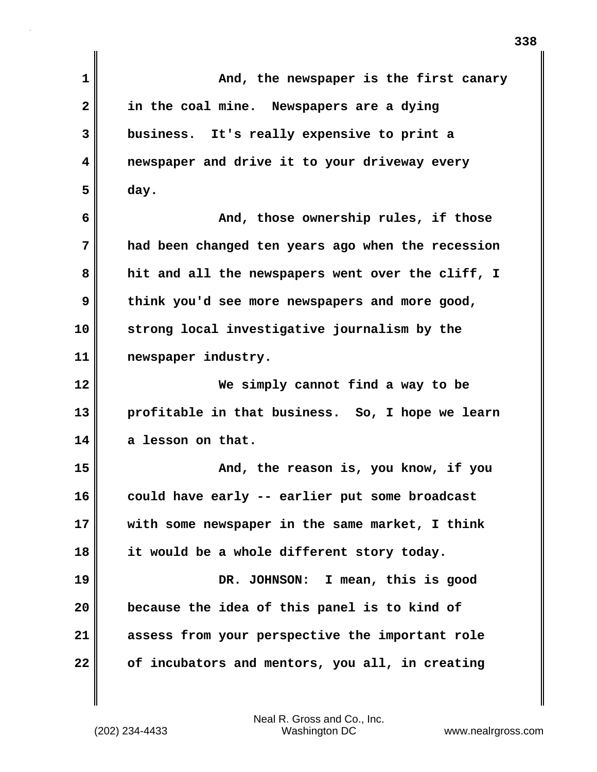| $\mathbf{1}$ | And, the newspaper is the first canary            |
|--------------|---------------------------------------------------|
| 2            | in the coal mine. Newspapers are a dying          |
| 3            | business. It's really expensive to print a        |
| 4            | newspaper and drive it to your driveway every     |
| 5            | day.                                              |
| 6            | And, those ownership rules, if those              |
| 7            | had been changed ten years ago when the recession |
| 8            | hit and all the newspapers went over the cliff, I |
| 9            | think you'd see more newspapers and more good,    |
| 10           | strong local investigative journalism by the      |
| 11           | newspaper industry.                               |
| 12           | We simply cannot find a way to be                 |
| 13           | profitable in that business. So, I hope we learn  |
| 14           | a lesson on that.                                 |
| 15           | And, the reason is, you know, if you              |
| 16           | could have early -- earlier put some broadcast    |
| 17           | with some newspaper in the same market, I think   |
| 18           | it would be a whole different story today.        |
| 19           | DR. JOHNSON: I mean, this is good                 |
| 20           | because the idea of this panel is to kind of      |
| 21           | assess from your perspective the important role   |
| 22           | of incubators and mentors, you all, in creating   |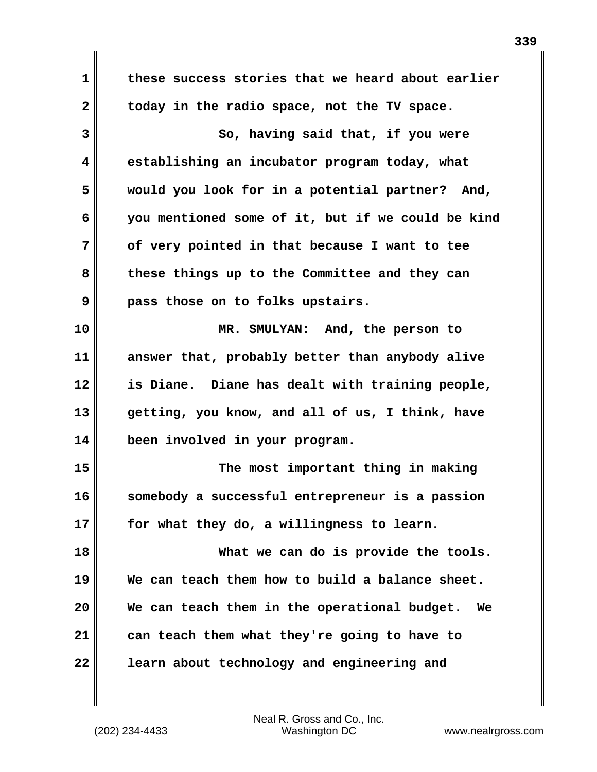**1 these success stories that we heard about earlier 2 today in the radio space, not the TV space. 3 So, having said that, if you were 4 establishing an incubator program today, what 5 would you look for in a potential partner? And, 6 you mentioned some of it, but if we could be kind 7 of very pointed in that because I want to tee 8 these things up to the Committee and they can 9 pass those on to folks upstairs. 10 MR. SMULYAN: And, the person to 11 answer that, probably better than anybody alive 12 is Diane. Diane has dealt with training people, 13 getting, you know, and all of us, I think, have 14 been involved in your program. 15 The most important thing in making 16 somebody a successful entrepreneur is a passion 17 for what they do, a willingness to learn. 18 What we can do is provide the tools. 19 We can teach them how to build a balance sheet. 20 We can teach them in the operational budget. We 21 can teach them what they're going to have to 22 learn about technology and engineering and**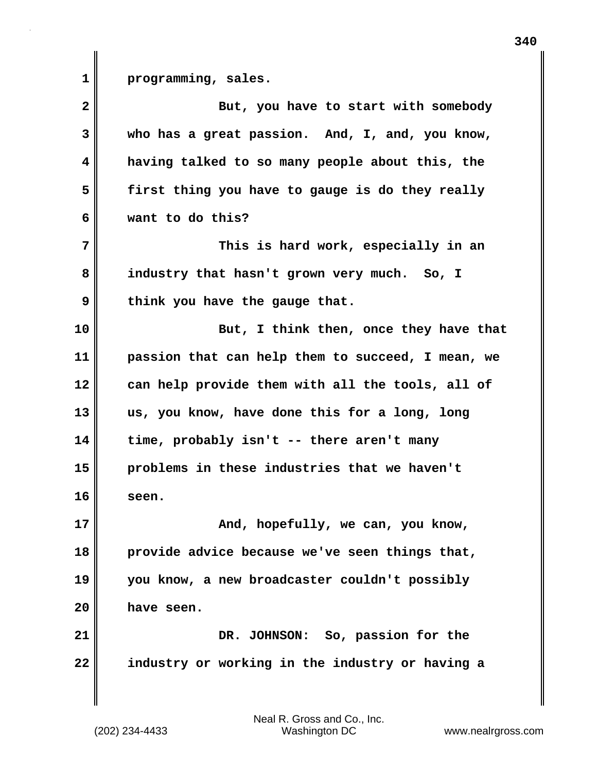1 **programming**, sales.

| $\overline{\mathbf{2}}$ | But, you have to start with somebody              |
|-------------------------|---------------------------------------------------|
| 3                       | who has a great passion. And, I, and, you know,   |
| 4                       | having talked to so many people about this, the   |
| 5                       | first thing you have to gauge is do they really   |
| 6                       | want to do this?                                  |
| 7                       | This is hard work, especially in an               |
| 8                       | industry that hasn't grown very much. So, I       |
| 9                       | think you have the gauge that.                    |
| 10                      | But, I think then, once they have that            |
| 11                      | passion that can help them to succeed, I mean, we |
| 12                      | can help provide them with all the tools, all of  |
| 13                      | us, you know, have done this for a long, long     |
| 14                      | time, probably isn't -- there aren't many         |
| 15                      | problems in these industries that we haven't      |
| 16                      | seen.                                             |
| 17                      | And, hopefully, we can, you know,                 |
| 18                      | provide advice because we've seen things that,    |
| 19                      | you know, a new broadcaster couldn't possibly     |
| 20                      | have seen.                                        |
| 21                      | DR. JOHNSON: So, passion for the                  |
| 22                      | industry or working in the industry or having a   |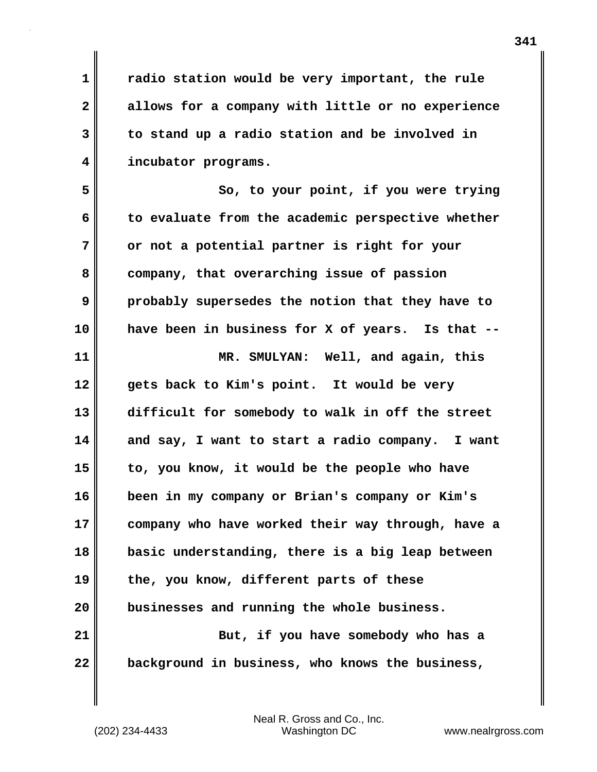**1 radio station would be very important, the rule 2 allows for a company with little or no experience 3 to stand up a radio station and be involved in 4 incubator programs.**

**5 So, to your point, if you were trying 6 to evaluate from the academic perspective whether 7 or not a potential partner is right for your 8 company, that overarching issue of passion 9 probably supersedes the notion that they have to 10 have been in business for X of years. Is that -- 11 MR. SMULYAN: Well, and again, this 12 gets back to Kim's point. It would be very 13 difficult for somebody to walk in off the street 14 and say, I want to start a radio company. I want**

**15 to, you know, it would be the people who have 16 been in my company or Brian's company or Kim's 17 company who have worked their way through, have a 18 basic understanding, there is a big leap between 19 the, you know, different parts of these 20 businesses and running the whole business. 21 But, if you have somebody who has a**

**22 background in business, who knows the business,**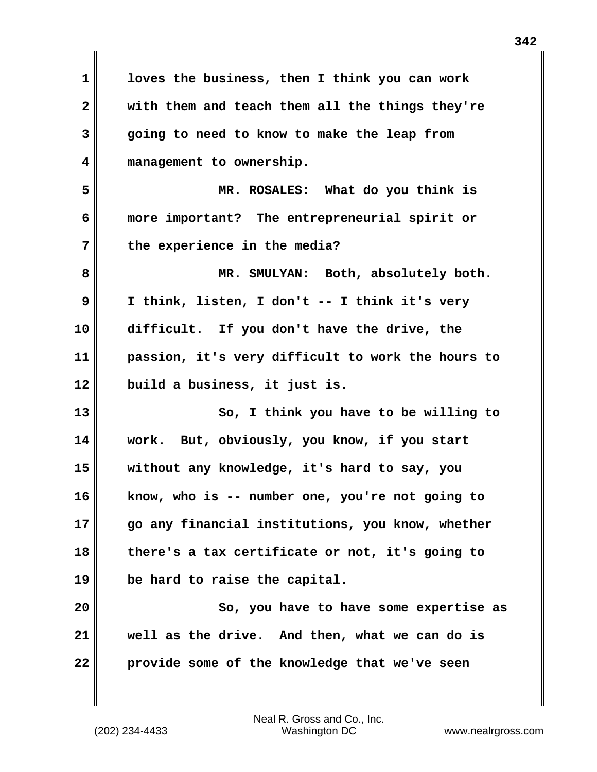**1 loves the business, then I think you can work 2 with them and teach them all the things they're 3 going to need to know to make the leap from 4 management to ownership. 5 MR. ROSALES: What do you think is 6 more important? The entrepreneurial spirit or 7 the experience in the media? 8 MR. SMULYAN: Both, absolutely both. 9 I think, listen, I don't -- I think it's very 10 difficult. If you don't have the drive, the 11 passion, it's very difficult to work the hours to 12 build a business, it just is. 13 So, I think you have to be willing to 14 work. But, obviously, you know, if you start 15 without any knowledge, it's hard to say, you 16 know, who is -- number one, you're not going to 17 go any financial institutions, you know, whether 18 there's a tax certificate or not, it's going to 19 be hard to raise the capital. 20 So, you have to have some expertise as 21 well as the drive. And then, what we can do is 22 provide some of the knowledge that we've seen**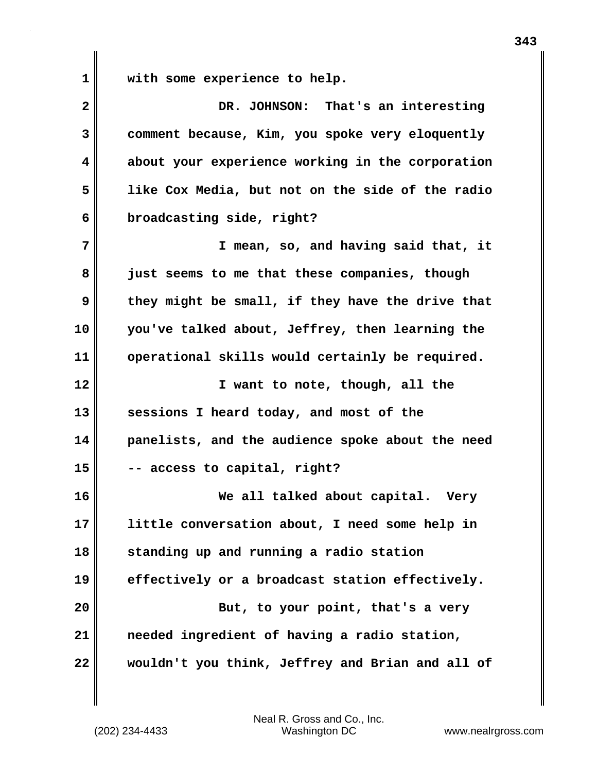**1 with some experience to help.**

| $\mathbf{2}$ | DR. JOHNSON: That's an interesting               |
|--------------|--------------------------------------------------|
| 3            | comment because, Kim, you spoke very eloquently  |
| 4            | about your experience working in the corporation |
| 5            | like Cox Media, but not on the side of the radio |
| 6            | broadcasting side, right?                        |
| 7            | I mean, so, and having said that, it             |
| 8            | just seems to me that these companies, though    |
| 9            | they might be small, if they have the drive that |
| 10           | you've talked about, Jeffrey, then learning the  |
| 11           | operational skills would certainly be required.  |
| 12           | I want to note, though, all the                  |
| 13           | sessions I heard today, and most of the          |
| 14           | panelists, and the audience spoke about the need |
| 15           | -- access to capital, right?                     |
| 16           | We all talked about capital. Very                |
| 17           | little conversation about, I need some help in   |
| 18           | standing up and running a radio station          |
| 19           | effectively or a broadcast station effectively.  |
| 20           | But, to your point, that's a very                |
| 21           | needed ingredient of having a radio station,     |
| 22           | wouldn't you think, Jeffrey and Brian and all of |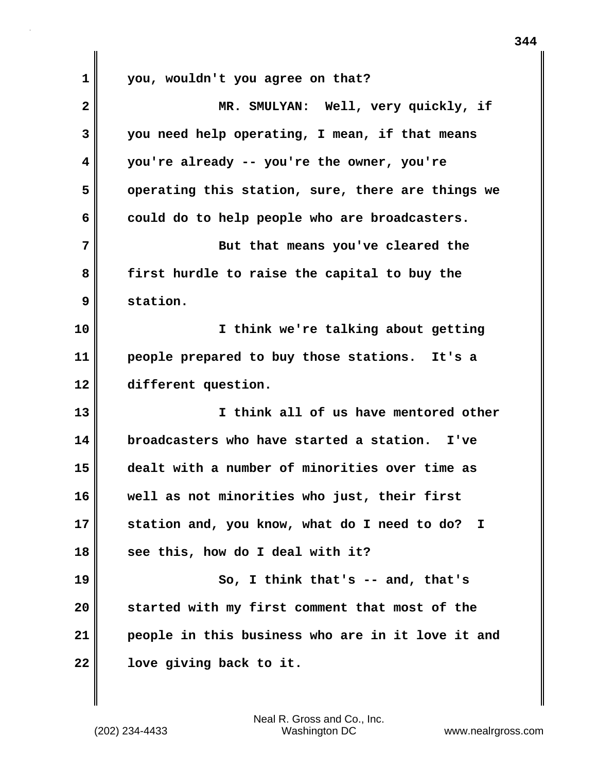**1 you, wouldn't you agree on that? 2 MR. SMULYAN: Well, very quickly, if 3 you need help operating, I mean, if that means 4 you're already -- you're the owner, you're 5 operating this station, sure, there are things we 6 could do to help people who are broadcasters. 7** But that means you've cleared the **8 first hurdle to raise the capital to buy the 9 station. 10 I think we're talking about getting 11 people prepared to buy those stations. It's a 12 different question. 13 I think all of us have mentored other 14 broadcasters who have started a station. I've 15 dealt with a number of minorities over time as 16 well as not minorities who just, their first 17 station and, you know, what do I need to do? I 18 see this, how do I deal with it? 19 So, I think that's -- and, that's 20 started with my first comment that most of the 21 people in this business who are in it love it and 22 love giving back to it.**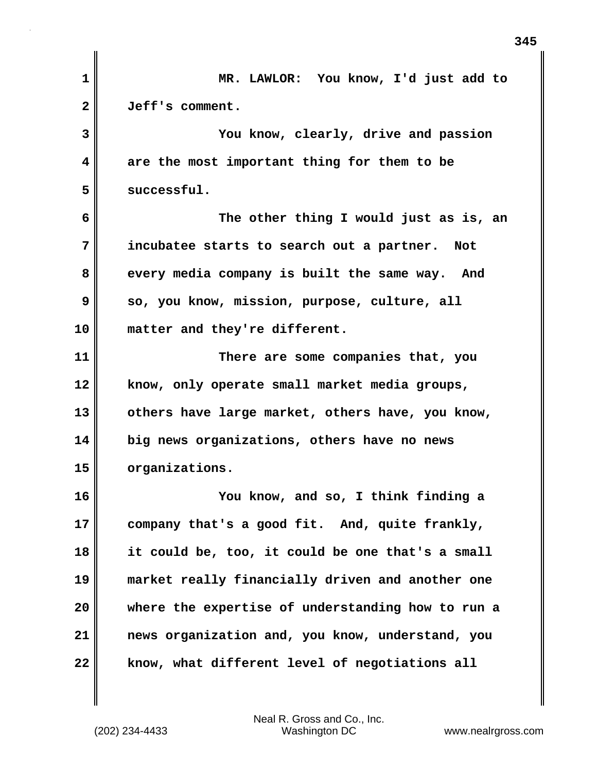| $\mathbf{1}$   | MR. LAWLOR: You know, I'd just add to             |
|----------------|---------------------------------------------------|
| $\overline{2}$ | Jeff's comment.                                   |
| 3              | You know, clearly, drive and passion              |
| 4              | are the most important thing for them to be       |
| 5              | successful.                                       |
| 6              | The other thing I would just as is, an            |
| 7              | incubatee starts to search out a partner. Not     |
| 8              | every media company is built the same way. And    |
| 9              | so, you know, mission, purpose, culture, all      |
| 10             | matter and they're different.                     |
| 11             | There are some companies that, you                |
| 12             | know, only operate small market media groups,     |
| 13             | others have large market, others have, you know,  |
| 14             | big news organizations, others have no news       |
| 15             | organizations.                                    |
| 16             | You know, and so, I think finding a               |
| 17             | company that's a good fit. And, quite frankly,    |
| 18             | it could be, too, it could be one that's a small  |
| 19             | market really financially driven and another one  |
| 20             | where the expertise of understanding how to run a |
| 21             | news organization and, you know, understand, you  |
| 22             | know, what different level of negotiations all    |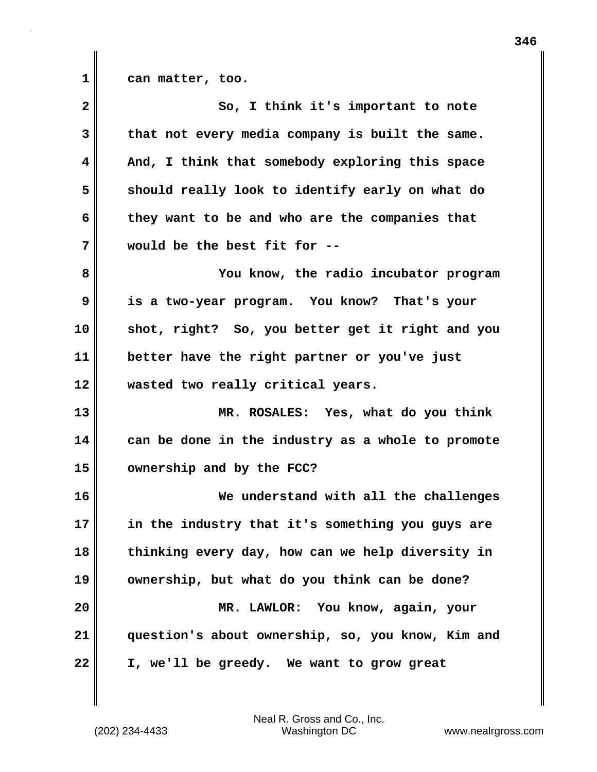| 1 |  |  | can matter, too. |
|---|--|--|------------------|
|---|--|--|------------------|

| $\overline{\mathbf{2}}$ | So, I think it's important to note                |
|-------------------------|---------------------------------------------------|
| 3                       | that not every media company is built the same.   |
| 4                       | And, I think that somebody exploring this space   |
| 5                       | should really look to identify early on what do   |
| 6                       | they want to be and who are the companies that    |
| 7                       | would be the best fit for --                      |
| 8                       | You know, the radio incubator program             |
| 9                       | is a two-year program. You know? That's your      |
| 10                      | shot, right? So, you better get it right and you  |
| 11                      | better have the right partner or you've just      |
| 12                      | wasted two really critical years.                 |
| 13                      | MR. ROSALES: Yes, what do you think               |
| 14                      | can be done in the industry as a whole to promote |
| 15                      | ownership and by the FCC?                         |
| 16                      | We understand with all the challenges             |
| 17                      | in the industry that it's something you guys are  |
| 18                      | thinking every day, how can we help diversity in  |
| 19                      | ownership, but what do you think can be done?     |
| 20                      | MR. LAWLOR: You know, again, your                 |
| 21                      | question's about ownership, so, you know, Kim and |
| 22                      | I, we'll be greedy. We want to grow great         |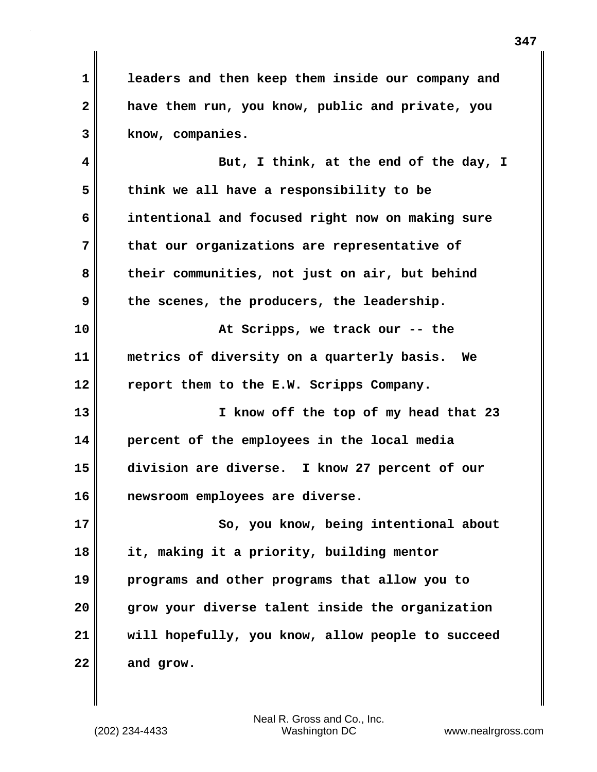**1 leaders and then keep them inside our company and 2 have them run, you know, public and private, you 3 know, companies.**

**4 But, I think, at the end of the day, I 5 think we all have a responsibility to be 6 intentional and focused right now on making sure 7 that our organizations are representative of 8 their communities, not just on air, but behind 9 the scenes, the producers, the leadership. 10 At Scripps, we track our -- the 11 metrics of diversity on a quarterly basis. We**

**12 report them to the E.W. Scripps Company. 13 I know off the top of my head that 23**

**14 percent of the employees in the local media 15 division are diverse. I know 27 percent of our 16 newsroom employees are diverse.**

**17 So, you know, being intentional about 18 it, making it a priority, building mentor 19 programs and other programs that allow you to 20 grow your diverse talent inside the organization 21 will hopefully, you know, allow people to succeed 22 and grow.**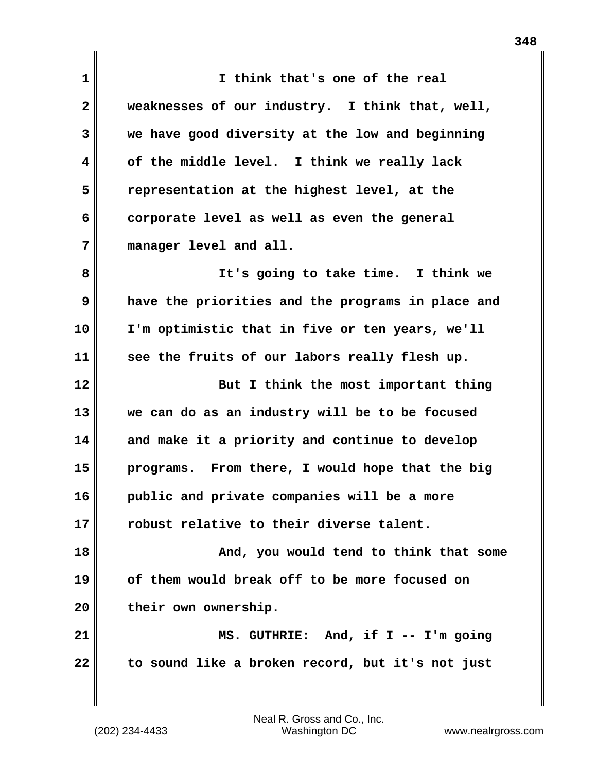**1 I think that's one of the real 2 weaknesses of our industry. I think that, well, 3 we have good diversity at the low and beginning 4 of the middle level. I think we really lack 5 representation at the highest level, at the 6 corporate level as well as even the general 7 manager level and all. 8 It's going to take time. I think we 9 have the priorities and the programs in place and 10 I'm optimistic that in five or ten years, we'll 11 see the fruits of our labors really flesh up. 12** But I think the most important thing **13 we can do as an industry will be to be focused 14 and make it a priority and continue to develop 15 programs. From there, I would hope that the big 16 public and private companies will be a more 17 robust relative to their diverse talent. 18 And, you would tend to think that some 19 of them would break off to be more focused on 20 their own ownership. 21 MS. GUTHRIE: And, if I -- I'm going 22 to sound like a broken record, but it's not just**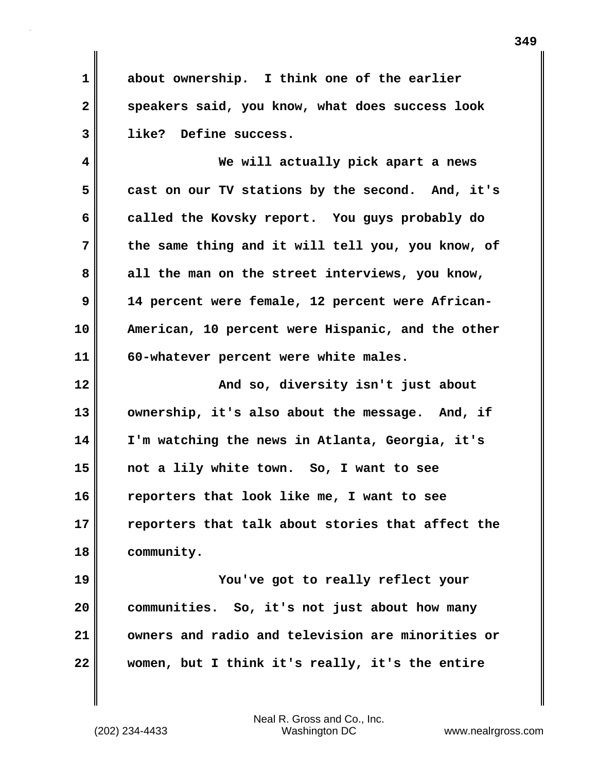**1 about ownership. I think one of the earlier 2 speakers said, you know, what does success look 3 like? Define success.**

**4 We will actually pick apart a news 5 cast on our TV stations by the second. And, it's 6 called the Kovsky report. You guys probably do 7 the same thing and it will tell you, you know, of 8 all the man on the street interviews, you know, 9 14 percent were female, 12 percent were African-10 American, 10 percent were Hispanic, and the other 11 60-whatever percent were white males.**

**12 And so, diversity isn't just about 13 ownership, it's also about the message. And, if 14 I'm watching the news in Atlanta, Georgia, it's 15 not a lily white town. So, I want to see 16 reporters that look like me, I want to see 17 reporters that talk about stories that affect the 18 community.**

**19 You've got to really reflect your 20 communities. So, it's not just about how many 21 owners and radio and television are minorities or 22 women, but I think it's really, it's the entire**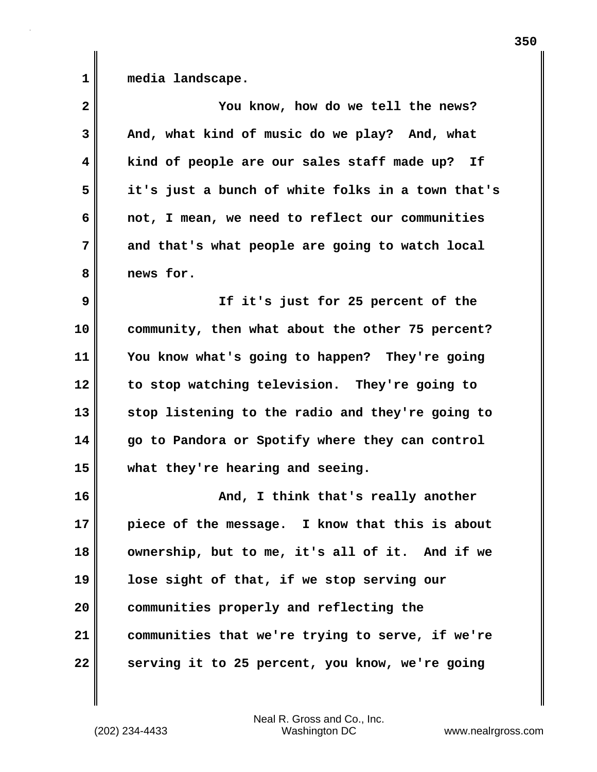**1 media landscape.**

| $\mathbf{2}$ | You know, how do we tell the news?                |
|--------------|---------------------------------------------------|
| 3            | And, what kind of music do we play? And, what     |
| 4            | kind of people are our sales staff made up? If    |
| 5            | it's just a bunch of white folks in a town that's |
| 6            | not, I mean, we need to reflect our communities   |
| 7            | and that's what people are going to watch local   |
| 8            | news for.                                         |
| 9            | If it's just for 25 percent of the                |
| 10           | community, then what about the other 75 percent?  |
| 11           | You know what's going to happen? They're going    |
| 12           | to stop watching television. They're going to     |
| 13           | stop listening to the radio and they're going to  |
| 14           | go to Pandora or Spotify where they can control   |
| 15           | what they're hearing and seeing.                  |
| 16           | And, I think that's really another                |
| 17           | piece of the message. I know that this is about   |
| 18           | ownership, but to me, it's all of it. And if we   |
| 19           | lose sight of that, if we stop serving our        |
| 20           | communities properly and reflecting the           |
| 21           | communities that we're trying to serve, if we're  |
| 22           | serving it to 25 percent, you know, we're going   |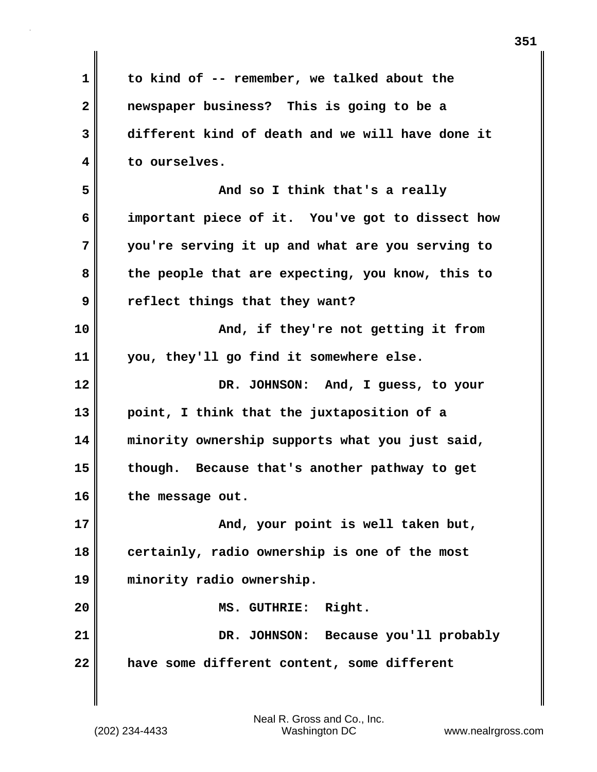| 1  | to kind of -- remember, we talked about the      |
|----|--------------------------------------------------|
| 2  | newspaper business? This is going to be a        |
| 3  | different kind of death and we will have done it |
| 4  | to ourselves.                                    |
| 5  | And so I think that's a really                   |
| 6  | important piece of it. You've got to dissect how |
| 7  | you're serving it up and what are you serving to |
| 8  | the people that are expecting, you know, this to |
| 9  | reflect things that they want?                   |
| 10 | And, if they're not getting it from              |
| 11 | you, they'll go find it somewhere else.          |
| 12 | DR. JOHNSON: And, I guess, to your               |
| 13 | point, I think that the juxtaposition of a       |
| 14 | minority ownership supports what you just said,  |
| 15 | though. Because that's another pathway to get    |
| 16 | the message out.                                 |
| 17 | And, your point is well taken but,               |
| 18 | certainly, radio ownership is one of the most    |
| 19 | minority radio ownership.                        |
| 20 | Right.<br>MS. GUTHRIE:                           |
| 21 | DR. JOHNSON: Because you'll probably             |
| 22 | have some different content, some different      |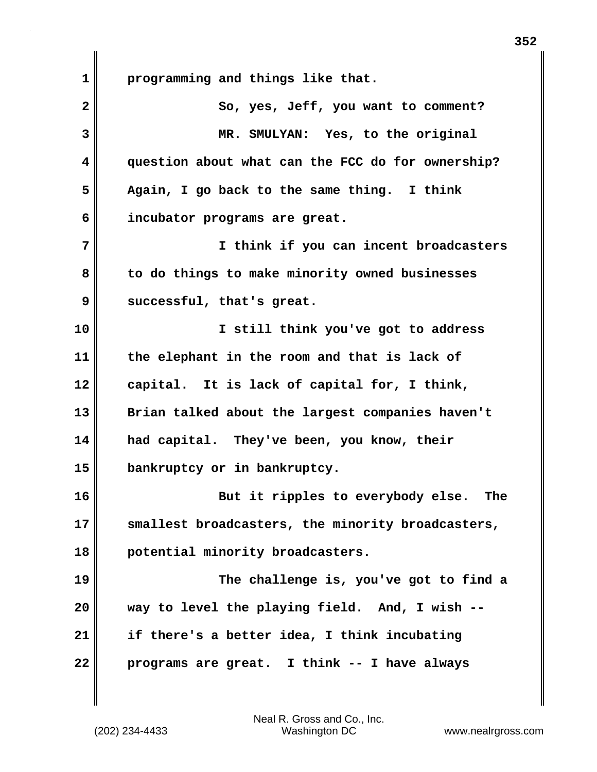**1 programming and things like that.** 2 || So, yes, Jeff, you want to comment? **3 MR. SMULYAN: Yes, to the original 4 question about what can the FCC do for ownership? 5 Again, I go back to the same thing. I think 6 incubator programs are great. 7 I think if you can incent broadcasters 8 to do things to make minority owned businesses 9 successful, that's great. 10 I still think you've got to address 11 the elephant in the room and that is lack of 12 capital. It is lack of capital for, I think, 13 Brian talked about the largest companies haven't 14 had capital. They've been, you know, their 15 bankruptcy or in bankruptcy. 16 But it ripples to everybody else. The 17 smallest broadcasters, the minority broadcasters, 18 potential minority broadcasters. 19 The challenge is, you've got to find a 20 way to level the playing field. And, I wish -- 21 if there's a better idea, I think incubating 22 programs are great. I think -- I have always**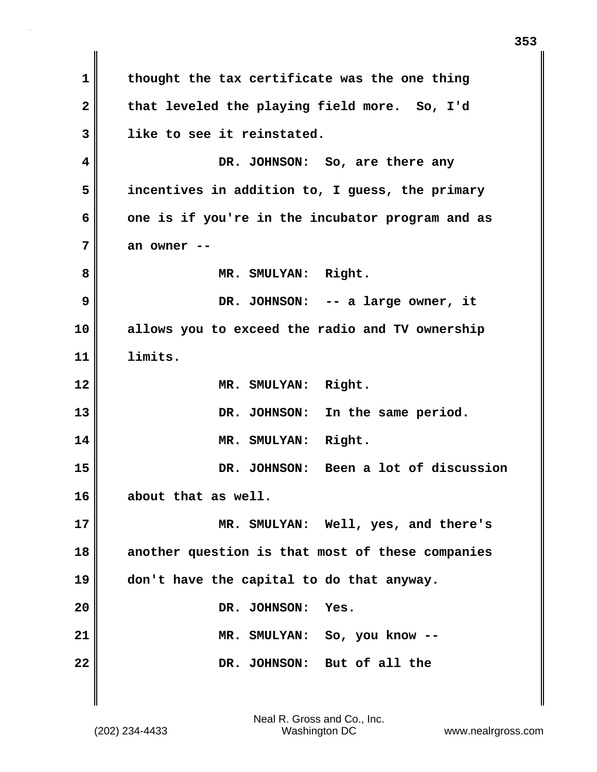**1 thought the tax certificate was the one thing 2 that leveled the playing field more. So, I'd 3 like to see it reinstated. 4 DR. JOHNSON: So, are there any 5 incentives in addition to, I guess, the primary 6 one is if you're in the incubator program and as 7 an owner --** 8 **MR. SMULYAN: Right. 9 DR. JOHNSON: -- a large owner, it 10 allows you to exceed the radio and TV ownership 11 limits. 12 MR. SMULYAN: Right. 13 DR. JOHNSON: In the same period. 14 MR. SMULYAN: Right. 15 DR. JOHNSON: Been a lot of discussion 16 about that as well. 17 MR. SMULYAN: Well, yes, and there's 18 another question is that most of these companies 19 don't have the capital to do that anyway.** 20 DR. JOHNSON: Yes. **21 MR. SMULYAN: So, you know -- 22** DR. JOHNSON: But of all the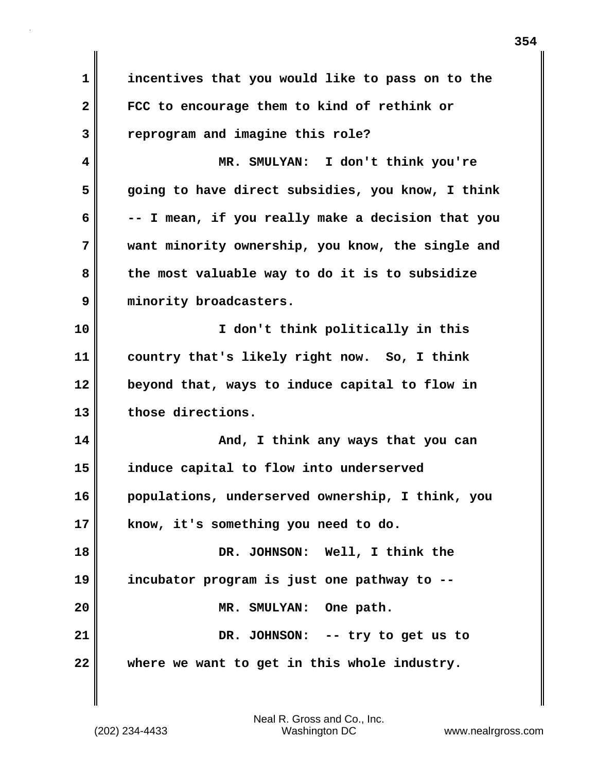**1 incentives that you would like to pass on to the 2 FCC to encourage them to kind of rethink or 3 reprogram and imagine this role? 4 MR. SMULYAN: I don't think you're 5 going to have direct subsidies, you know, I think 6 -- I mean, if you really make a decision that you 7 want minority ownership, you know, the single and 8 the most valuable way to do it is to subsidize 9 minority broadcasters. 10 I don't think politically in this 11 country that's likely right now. So, I think 12 beyond that, ways to induce capital to flow in 13 those directions. 14 And, I think any ways that you can 15 induce capital to flow into underserved 16 populations, underserved ownership, I think, you 17 know, it's something you need to do. 18 DR. JOHNSON: Well, I think the 19 incubator program is just one pathway to -- 20 MR. SMULYAN: One path. 21 DR. JOHNSON: -- try to get us to 22 where we want to get in this whole industry.**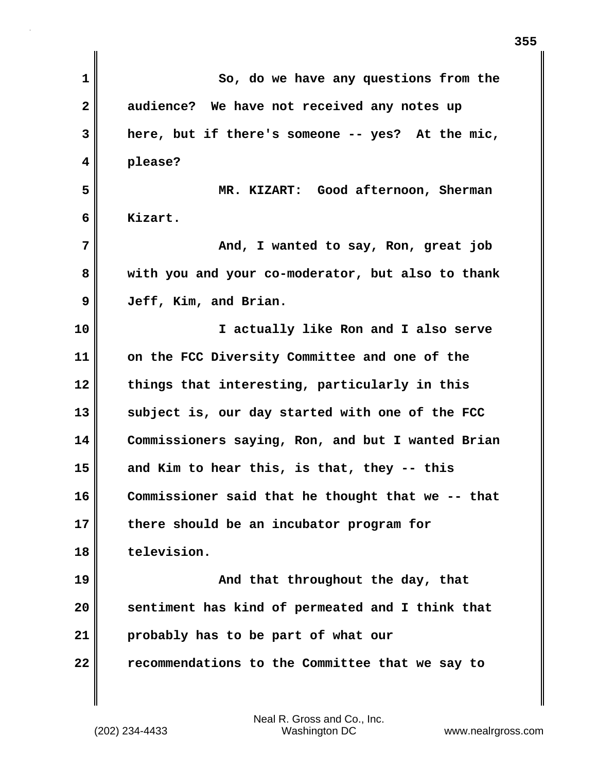| 1  | So, do we have any questions from the             |
|----|---------------------------------------------------|
| 2  | audience? We have not received any notes up       |
| 3  | here, but if there's someone -- yes? At the mic,  |
| 4  | please?                                           |
| 5  | MR. KIZART: Good afternoon, Sherman               |
| 6  | Kizart.                                           |
| 7  | And, I wanted to say, Ron, great job              |
| 8  | with you and your co-moderator, but also to thank |
| 9  | Jeff, Kim, and Brian.                             |
| 10 | I actually like Ron and I also serve              |
| 11 | on the FCC Diversity Committee and one of the     |
| 12 | things that interesting, particularly in this     |
| 13 | subject is, our day started with one of the FCC   |
| 14 | Commissioners saying, Ron, and but I wanted Brian |
| 15 | and Kim to hear this, is that, they -- this       |
| 16 | Commissioner said that he thought that we -- that |
| 17 | there should be an incubator program for          |
| 18 | television.                                       |
| 19 | And that throughout the day, that                 |
| 20 | sentiment has kind of permeated and I think that  |
| 21 | probably has to be part of what our               |
| 22 | recommendations to the Committee that we say to   |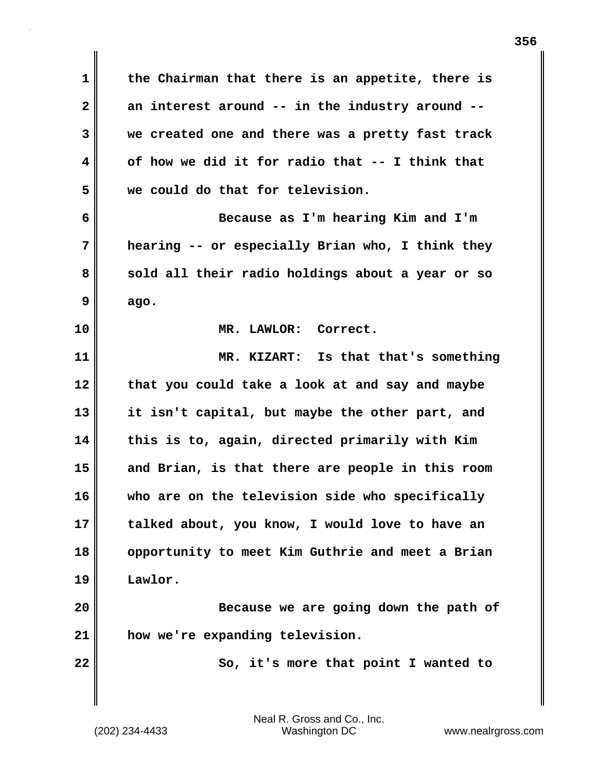**1 the Chairman that there is an appetite, there is 2 an interest around -- in the industry around -- 3 we created one and there was a pretty fast track 4 of how we did it for radio that -- I think that 5 we could do that for television. 6 Because as I'm hearing Kim and I'm 7 hearing -- or especially Brian who, I think they 8 sold all their radio holdings about a year or so 9 ago. 10 MR. LAWLOR: Correct. 11 MR. KIZART: Is that that's something 12 that you could take a look at and say and maybe 13 it isn't capital, but maybe the other part, and 14 this is to, again, directed primarily with Kim 15 and Brian, is that there are people in this room 16 who are on the television side who specifically 17 talked about, you know, I would love to have an 18 opportunity to meet Kim Guthrie and meet a Brian 19 Lawlor. 20 Because we are going down the path of 21 how we're expanding television. 22** So, it's more that point I wanted to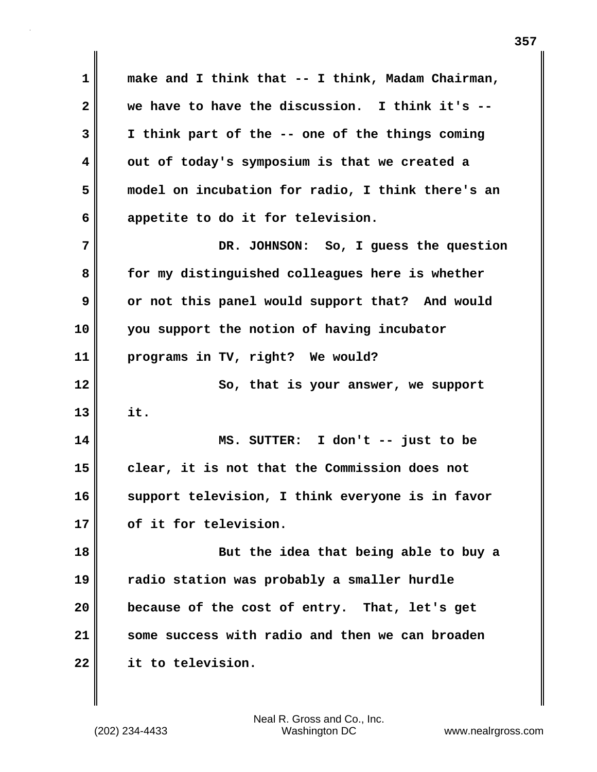**1 make and I think that -- I think, Madam Chairman, 2 we have to have the discussion. I think it's -- 3 I think part of the -- one of the things coming 4 out of today's symposium is that we created a 5 model on incubation for radio, I think there's an 6 appetite to do it for television. 7 DR. JOHNSON: So, I guess the question 8 for my distinguished colleagues here is whether 9 or not this panel would support that? And would 10 you support the notion of having incubator 11 programs in TV, right? We would? 12** So, that is your answer, we support **13 it. 14 MS. SUTTER: I don't -- just to be 15 clear, it is not that the Commission does not 16 support television, I think everyone is in favor 17 of it for television. 18 But the idea that being able to buy a 19 radio station was probably a smaller hurdle 20 because of the cost of entry. That, let's get 21 some success with radio and then we can broaden 22 it to television.**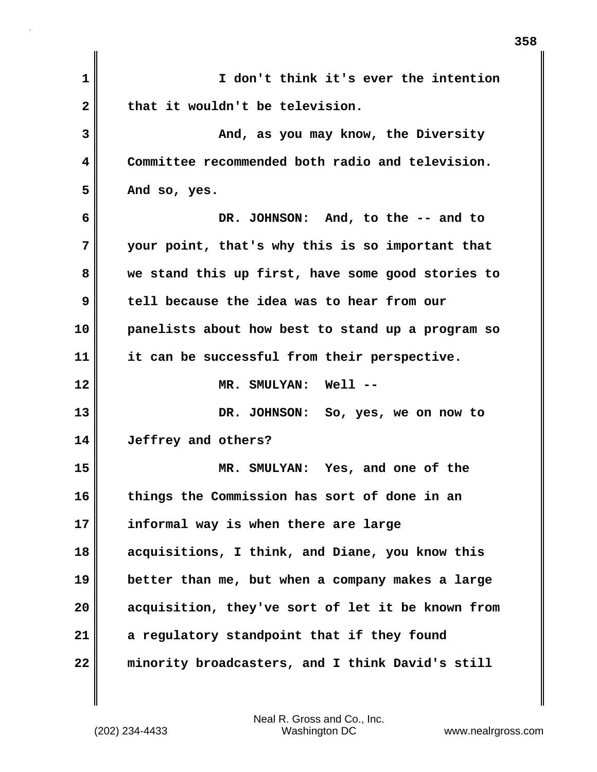| 1            | I don't think it's ever the intention             |
|--------------|---------------------------------------------------|
| $\mathbf{2}$ | that it wouldn't be television.                   |
| 3            | And, as you may know, the Diversity               |
| 4            | Committee recommended both radio and television.  |
| 5            | And so, yes.                                      |
| 6            | DR. JOHNSON: And, to the -- and to                |
| 7            | your point, that's why this is so important that  |
| 8            | we stand this up first, have some good stories to |
| 9            | tell because the idea was to hear from our        |
| 10           | panelists about how best to stand up a program so |
| 11           | it can be successful from their perspective.      |
| 12           | MR. SMULYAN: Well --                              |
| 13           | DR. JOHNSON: So, yes, we on now to                |
| 14           | Jeffrey and others?                               |
| 15           | MR. SMULYAN: Yes, and one of the                  |
| 16           | things the Commission has sort of done in an      |
| 17           | informal way is when there are large              |
| 18           | acquisitions, I think, and Diane, you know this   |
| 19           | better than me, but when a company makes a large  |
| 20           | acquisition, they've sort of let it be known from |
| 21           | a regulatory standpoint that if they found        |
| 22           | minority broadcasters, and I think David's still  |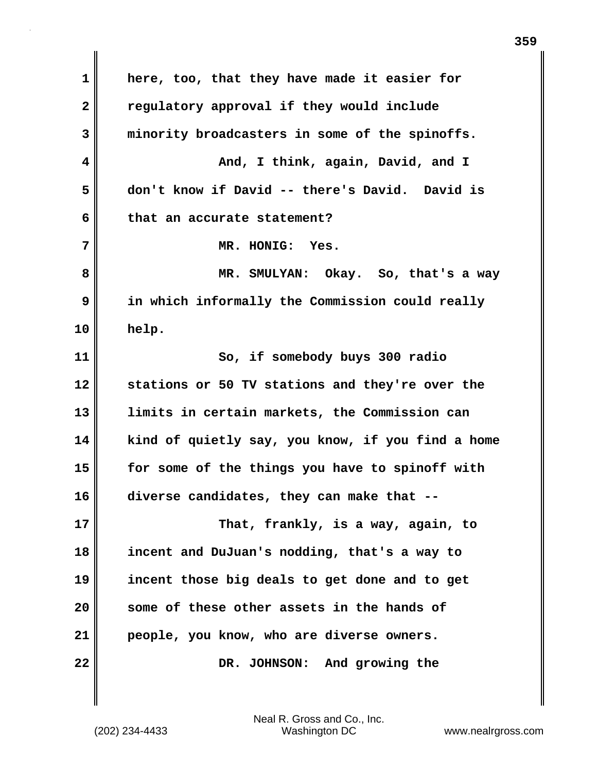**1 here, too, that they have made it easier for 2 regulatory approval if they would include 3 minority broadcasters in some of the spinoffs. 4 And, I think, again, David, and I 5 don't know if David -- there's David. David is 6 that an accurate statement? 7 MR. HONIG: Yes. 8 MR. SMULYAN: Okay. So, that's a way 9 in which informally the Commission could really 10 help. 11 So, if somebody buys 300 radio 12 stations or 50 TV stations and they're over the 13 limits in certain markets, the Commission can 14 kind of quietly say, you know, if you find a home 15 for some of the things you have to spinoff with 16 diverse candidates, they can make that -- 17 That, frankly, is a way, again, to 18 incent and DuJuan's nodding, that's a way to 19 incent those big deals to get done and to get 20 some of these other assets in the hands of 21 people, you know, who are diverse owners. 22** DR. JOHNSON: And growing the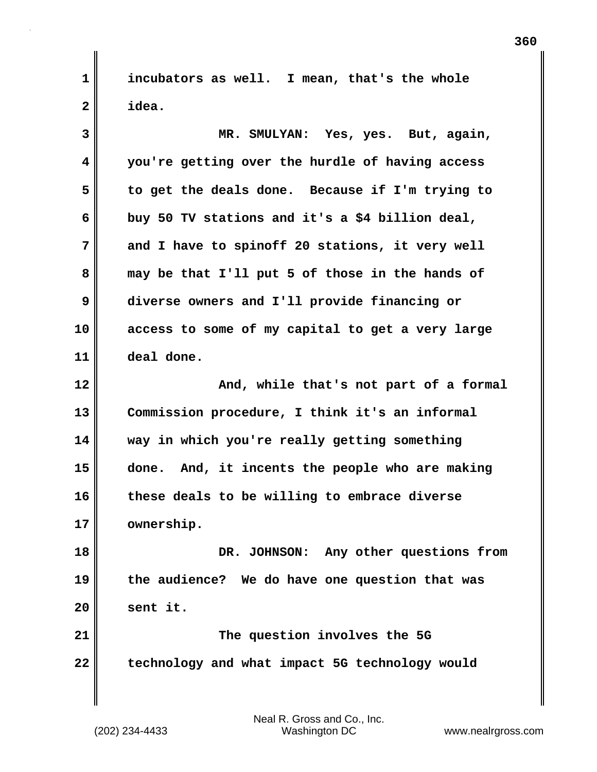**1 incubators as well. I mean, that's the whole 2 idea.**

**3 MR. SMULYAN: Yes, yes. But, again, 4 you're getting over the hurdle of having access 5 to get the deals done. Because if I'm trying to 6 buy 50 TV stations and it's a \$4 billion deal, 7 and I have to spinoff 20 stations, it very well 8 may be that I'll put 5 of those in the hands of 9 diverse owners and I'll provide financing or 10 access to some of my capital to get a very large 11 deal done. 12 And, while that's not part of a formal 13 Commission procedure, I think it's an informal 14 way in which you're really getting something 15 done. And, it incents the people who are making 16 these deals to be willing to embrace diverse 17 ownership. 18 DR. JOHNSON: Any other questions from 19 the audience? We do have one question that was 20 sent it. 21 The question involves the 5G 22 technology and what impact 5G technology would**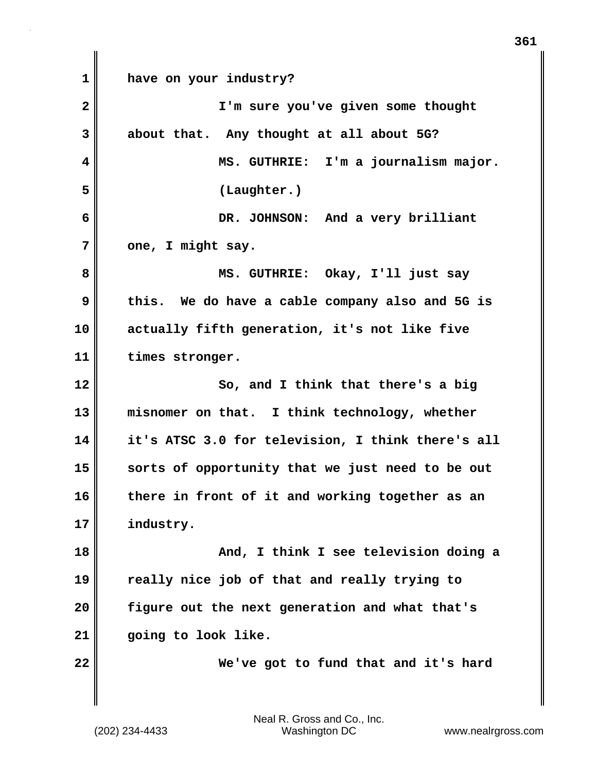**1 have on your industry? 2 I'm sure you've given some thought 3 about that. Any thought at all about 5G? 4 MS. GUTHRIE: I'm a journalism major. 5 (Laughter.) 6 DR. JOHNSON: And a very brilliant 7 one, I might say. 8 MS. GUTHRIE: Okay, I'll just say 9 this. We do have a cable company also and 5G is 10 actually fifth generation, it's not like five 11 times stronger. 12 So, and I think that there's a big 13 misnomer on that. I think technology, whether 14 it's ATSC 3.0 for television, I think there's all 15 sorts of opportunity that we just need to be out 16 there in front of it and working together as an 17 industry. 18 And, I think I see television doing a 19 really nice job of that and really trying to 20 figure out the next generation and what that's 21 going to look like. 22 We've got to fund that and it's hard**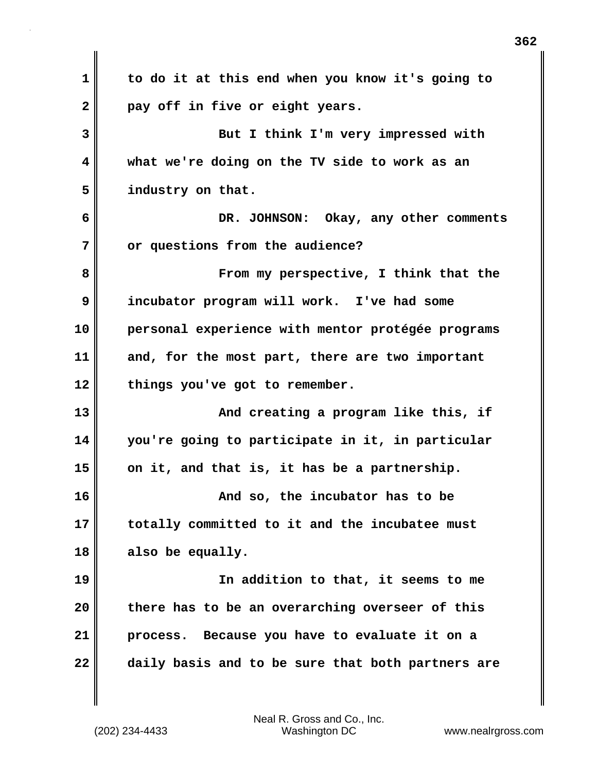| 1            | to do it at this end when you know it's going to  |
|--------------|---------------------------------------------------|
| $\mathbf{2}$ | pay off in five or eight years.                   |
| 3            | But I think I'm very impressed with               |
| 4            | what we're doing on the TV side to work as an     |
| 5            | industry on that.                                 |
| 6            | DR. JOHNSON: Okay, any other comments             |
| 7            | or questions from the audience?                   |
| 8            | From my perspective, I think that the             |
| 9            | incubator program will work. I've had some        |
| 10           | personal experience with mentor protégée programs |
| 11           | and, for the most part, there are two important   |
| 12           | things you've got to remember.                    |
| 13           | And creating a program like this, if              |
| 14           | you're going to participate in it, in particular  |
| 15           | on it, and that is, it has be a partnership.      |
| 16           | And so, the incubator has to be                   |
| 17           | totally committed to it and the incubatee must    |
| 18           | also be equally.                                  |
| 19           | In addition to that, it seems to me               |
| 20           | there has to be an overarching overseer of this   |
| 21           | Because you have to evaluate it on a<br>process.  |
| 22           | daily basis and to be sure that both partners are |

 $\mathbf{I}$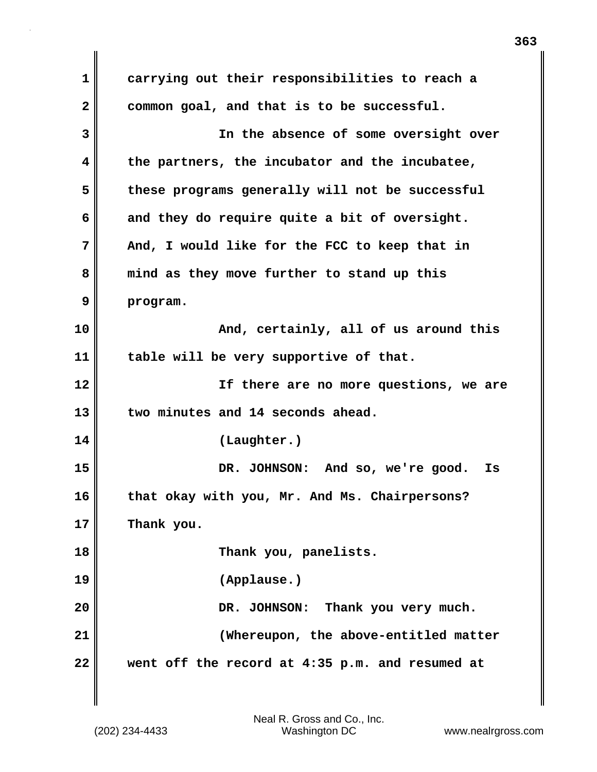**1 carrying out their responsibilities to reach a 2 common goal, and that is to be successful. 3 In the absence of some oversight over 4 the partners, the incubator and the incubatee, 5 these programs generally will not be successful 6 and they do require quite a bit of oversight. 7 And, I would like for the FCC to keep that in 8 mind as they move further to stand up this 9 program. 10 And, certainly, all of us around this 11 table will be very supportive of that. 12 If there are no more questions, we are 13 two minutes and 14 seconds ahead. 14 (Laughter.) 15 DR. JOHNSON: And so, we're good. Is 16 that okay with you, Mr. And Ms. Chairpersons? 17 Thank you. 18 Thank you, panelists. 19 (Applause.) 20 DR. JOHNSON: Thank you very much. 21 (Whereupon, the above-entitled matter 22 went off the record at 4:35 p.m. and resumed at**

Neal R. Gross and Co., Inc.

**363**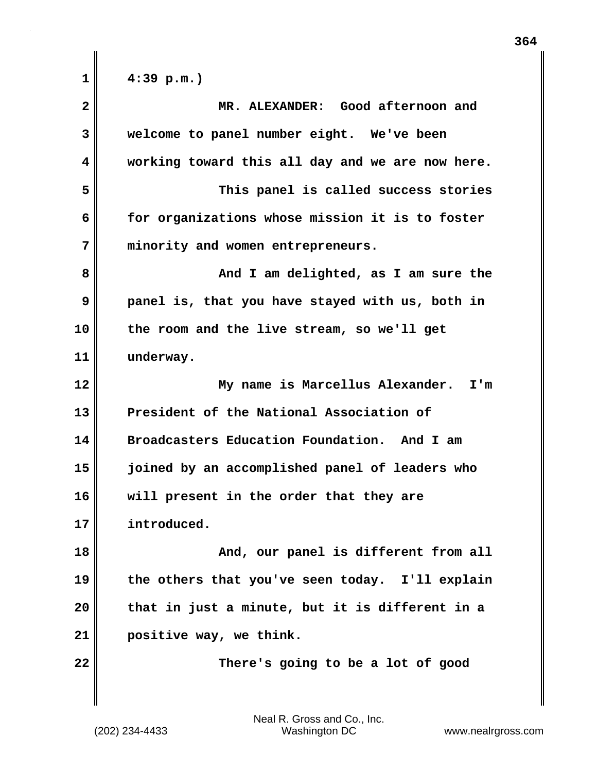| 1            | $4:39$ p.m.)                                     |
|--------------|--------------------------------------------------|
| $\mathbf{2}$ | MR. ALEXANDER: Good afternoon and                |
| 3            | welcome to panel number eight. We've been        |
| 4            | working toward this all day and we are now here. |
| 5            | This panel is called success stories             |
| 6            | for organizations whose mission it is to foster  |
| 7            | minority and women entrepreneurs.                |
| 8            | And I am delighted, as I am sure the             |
| 9            | panel is, that you have stayed with us, both in  |
| 10           | the room and the live stream, so we'll get       |
| 11           | underway.                                        |
| 12           | My name is Marcellus Alexander. I'm              |
| 13           | President of the National Association of         |
| 14           | Broadcasters Education Foundation. And I am      |
| 15           | joined by an accomplished panel of leaders who   |
| 16           | will present in the order that they are          |
| 17           | introduced.                                      |
| 18           | And, our panel is different from all             |
| 19           | the others that you've seen today. I'll explain  |
| 20           | that in just a minute, but it is different in a  |
| 21           | positive way, we think.                          |
| 22           | There's going to be a lot of good                |
|              |                                                  |

 $\mathbf{I}$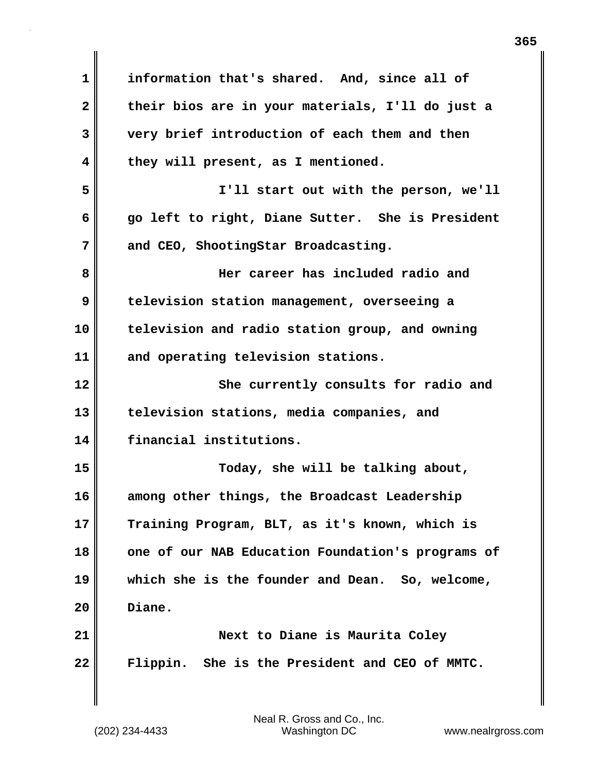**1 information that's shared. And, since all of 2 their bios are in your materials, I'll do just a 3 very brief introduction of each them and then 4 they will present, as I mentioned. 5 I'll start out with the person, we'll 6 go left to right, Diane Sutter. She is President 7 and CEO, ShootingStar Broadcasting. 8 Her career has included radio and 9 television station management, overseeing a 10 television and radio station group, and owning 11 and operating television stations. 12** She currently consults for radio and **13 television stations, media companies, and 14 financial institutions. 15 Today, she will be talking about, 16 among other things, the Broadcast Leadership 17 Training Program, BLT, as it's known, which is 18 one of our NAB Education Foundation's programs of 19 which she is the founder and Dean. So, welcome, 20 Diane. 21 Next to Diane is Maurita Coley 22 Flippin. She is the President and CEO of MMTC.**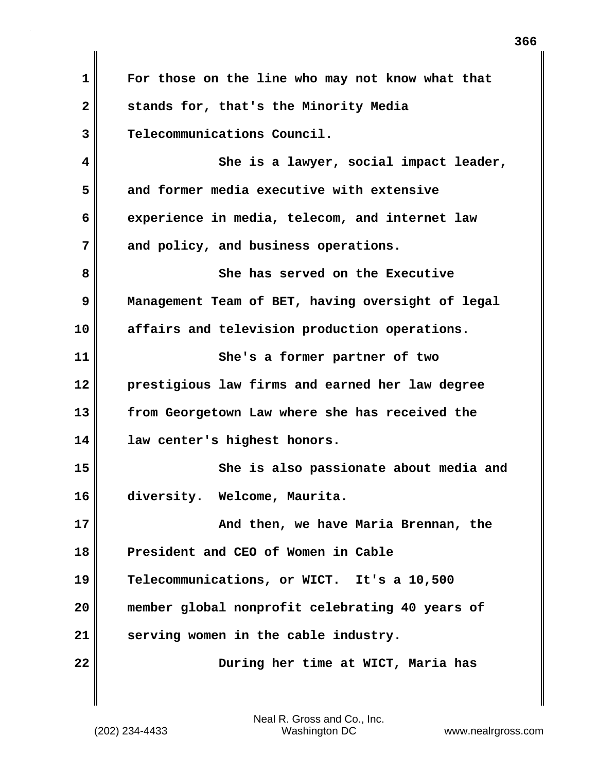**1 For those on the line who may not know what that 2 stands for, that's the Minority Media 3 Telecommunications Council. 4 She is a lawyer, social impact leader, 5 and former media executive with extensive 6 experience in media, telecom, and internet law 7 and policy, and business operations. 8 She has served on the Executive 9 Management Team of BET, having oversight of legal 10 affairs and television production operations. 11 She's a former partner of two 12 prestigious law firms and earned her law degree 13 from Georgetown Law where she has received the 14 law center's highest honors. 15 She is also passionate about media and 16 diversity. Welcome, Maurita. 17 And then, we have Maria Brennan, the 18 President and CEO of Women in Cable 19 Telecommunications, or WICT. It's a 10,500 20 member global nonprofit celebrating 40 years of 21 serving women in the cable industry. 22 During her time at WICT, Maria has**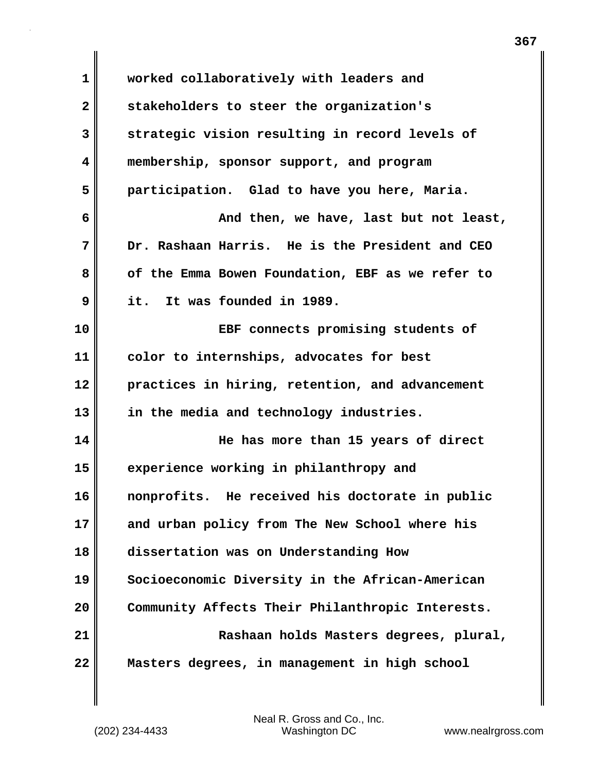| 1  | worked collaboratively with leaders and          |
|----|--------------------------------------------------|
| 2  | stakeholders to steer the organization's         |
| 3  | strategic vision resulting in record levels of   |
| 4  | membership, sponsor support, and program         |
| 5  | participation. Glad to have you here, Maria.     |
| 6  | And then, we have, last but not least,           |
| 7  | Dr. Rashaan Harris. He is the President and CEO  |
| 8  | of the Emma Bowen Foundation, EBF as we refer to |
| 9  | it. It was founded in 1989.                      |
| 10 | EBF connects promising students of               |
| 11 | color to internships, advocates for best         |
| 12 | practices in hiring, retention, and advancement  |
| 13 | in the media and technology industries.          |
| 14 | He has more than 15 years of direct              |
| 15 | experience working in philanthropy and           |
| 16 | nonprofits. He received his doctorate in public  |
| 17 | and urban policy from The New School where his   |
| 18 | dissertation was on Understanding How            |
| 19 | Socioeconomic Diversity in the African-American  |
| 20 | Community Affects Their Philanthropic Interests. |
| 21 | Rashaan holds Masters degrees, plural,           |
| 22 | Masters degrees, in management in high school    |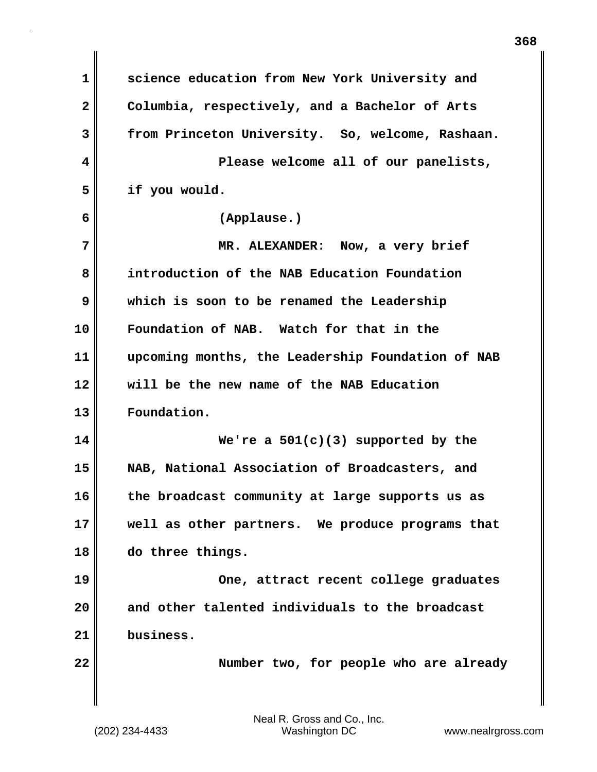| 1                       | science education from New York University and    |
|-------------------------|---------------------------------------------------|
| $\overline{\mathbf{2}}$ | Columbia, respectively, and a Bachelor of Arts    |
| 3                       | from Princeton University. So, welcome, Rashaan.  |
| 4                       | Please welcome all of our panelists,              |
| 5                       | if you would.                                     |
| 6                       | (Applause.)                                       |
| 7                       | MR. ALEXANDER: Now, a very brief                  |
| 8                       | introduction of the NAB Education Foundation      |
| 9                       | which is soon to be renamed the Leadership        |
| 10                      | Foundation of NAB. Watch for that in the          |
| 11                      | upcoming months, the Leadership Foundation of NAB |
| 12                      | will be the new name of the NAB Education         |
| 13                      | Foundation.                                       |
| 14                      | We're a $501(c)(3)$ supported by the              |
| 15                      | NAB, National Association of Broadcasters, and    |
| 16                      | the broadcast community at large supports us as   |
| 17                      | well as other partners. We produce programs that  |
| 18                      | do three things.                                  |
| 19                      | One, attract recent college graduates             |
| 20                      | and other talented individuals to the broadcast   |
| 21                      | business.                                         |
| 22                      | Number two, for people who are already            |
|                         |                                                   |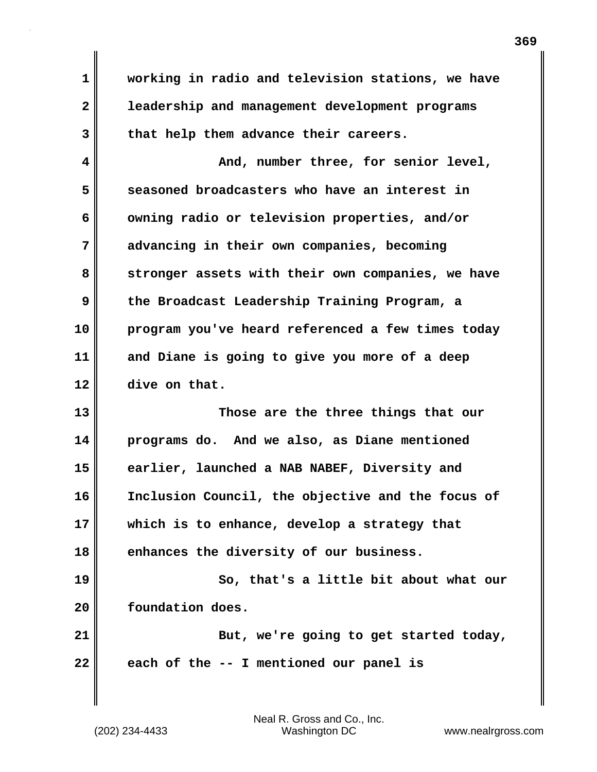**1 working in radio and television stations, we have 2 leadership and management development programs 3 that help them advance their careers.**

**4 And, number three, for senior level, 5 seasoned broadcasters who have an interest in 6 owning radio or television properties, and/or 7 advancing in their own companies, becoming 8 stronger assets with their own companies, we have 9 the Broadcast Leadership Training Program, a 10 program you've heard referenced a few times today 11 and Diane is going to give you more of a deep 12 dive on that.**

**13 Those are the three things that our 14 programs do. And we also, as Diane mentioned 15 earlier, launched a NAB NABEF, Diversity and 16 Inclusion Council, the objective and the focus of 17 which is to enhance, develop a strategy that 18 enhances the diversity of our business.**

**19 So, that's a little bit about what our 20 foundation does. 21** But, we're going to get started today,

**22 each of the -- I mentioned our panel is**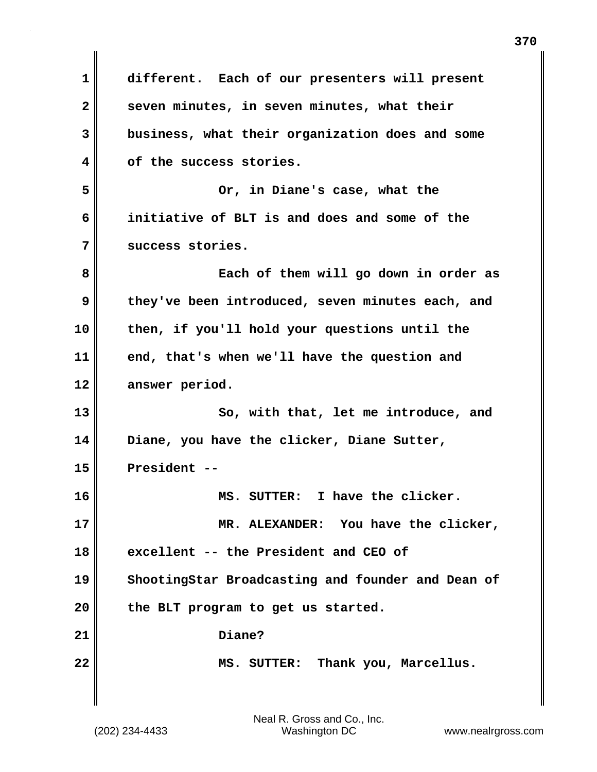| 1            | different. Each of our presenters will present    |
|--------------|---------------------------------------------------|
| $\mathbf{2}$ | seven minutes, in seven minutes, what their       |
| 3            | business, what their organization does and some   |
| 4            | of the success stories.                           |
| 5            | Or, in Diane's case, what the                     |
| 6            | initiative of BLT is and does and some of the     |
| 7            | success stories.                                  |
| 8            | Each of them will go down in order as             |
| 9            | they've been introduced, seven minutes each, and  |
| 10           | then, if you'll hold your questions until the     |
| 11           | end, that's when we'll have the question and      |
| 12           | answer period.                                    |
| 13           | So, with that, let me introduce, and              |
| 14           | Diane, you have the clicker, Diane Sutter,        |
| 15           | President --                                      |
| 16           | MS. SUTTER: I have the clicker.                   |
| 17           | MR. ALEXANDER: You have the clicker,              |
| 18           | excellent -- the President and CEO of             |
| 19           | ShootingStar Broadcasting and founder and Dean of |
| 20           | the BLT program to get us started.                |
| 21           | Diane?                                            |
| 22           | MS. SUTTER: Thank you, Marcellus.                 |
|              |                                                   |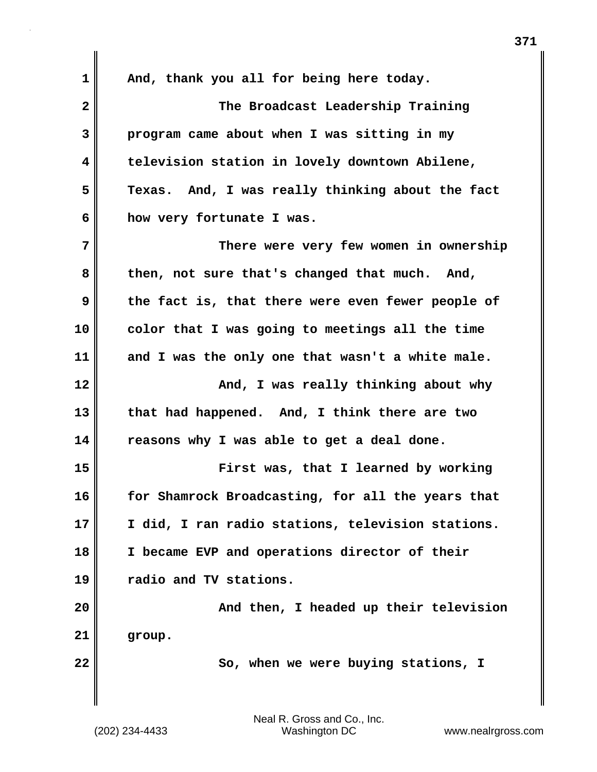1 || And, thank you all for being here today. **2 The Broadcast Leadership Training 3 program came about when I was sitting in my 4 television station in lovely downtown Abilene, 5 Texas. And, I was really thinking about the fact 6 how very fortunate I was. 7 There were very few women in ownership 8 then, not sure that's changed that much. And, 9 the fact is, that there were even fewer people of 10 color that I was going to meetings all the time 11 and I was the only one that wasn't a white male. 12 And, I was really thinking about why 13 that had happened. And, I think there are two 14 reasons why I was able to get a deal done. 15 First was, that I learned by working 16 for Shamrock Broadcasting, for all the years that 17 I did, I ran radio stations, television stations. 18 I became EVP and operations director of their 19 radio and TV stations. 20 And then, I headed up their television 21 group. 22** So, when we were buying stations, I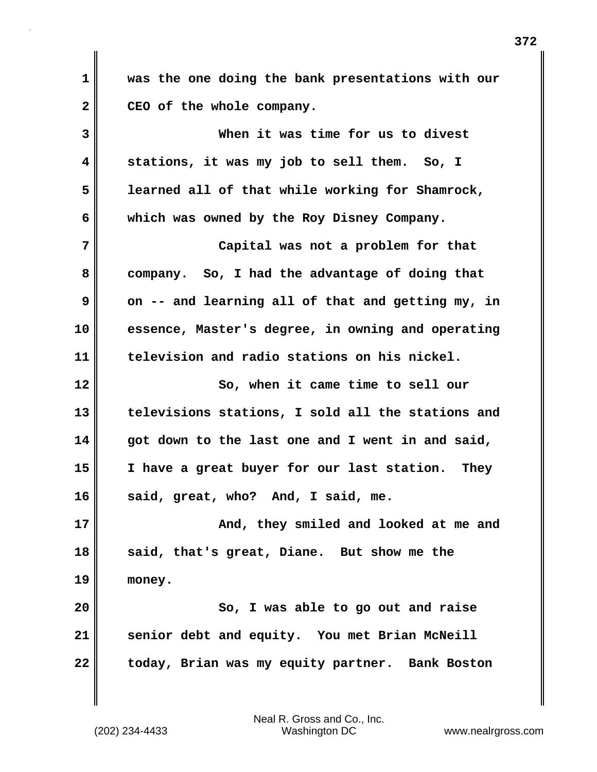**1 was the one doing the bank presentations with our** 2 CEO of the whole company.

**3 When it was time for us to divest 4 stations, it was my job to sell them. So, I 5 learned all of that while working for Shamrock, 6 which was owned by the Roy Disney Company. 7 Capital was not a problem for that 8 company. So, I had the advantage of doing that 9** on -- and learning all of that and getting my, in **10 essence, Master's degree, in owning and operating 11 television and radio stations on his nickel. 12 So, when it came time to sell our 13 televisions stations, I sold all the stations and 14 got down to the last one and I went in and said, 15 I have a great buyer for our last station. They 16 said, great, who? And, I said, me. 17 And, they smiled and looked at me and 18 said, that's great, Diane. But show me the 19 money. 20 So, I was able to go out and raise 21 senior debt and equity. You met Brian McNeill 22 today, Brian was my equity partner. Bank Boston**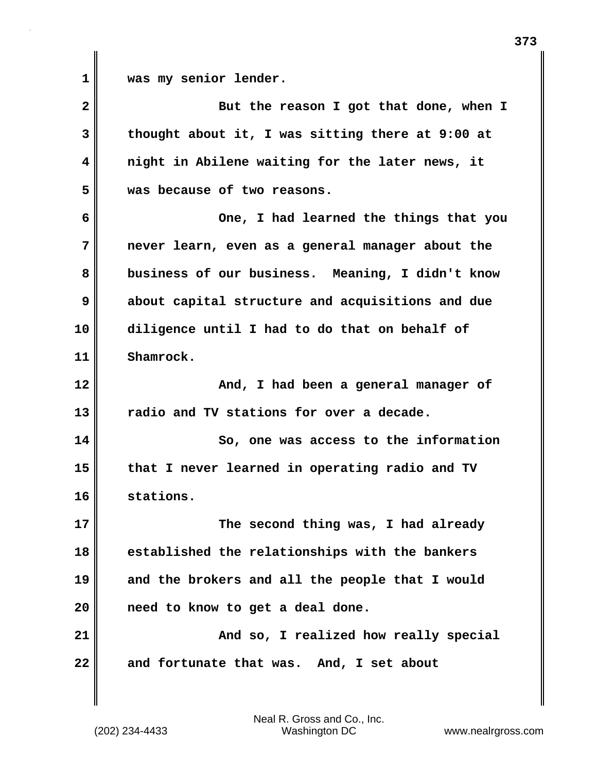**1 was my senior lender.**

**2** But the reason I got that done, when I **3 thought about it, I was sitting there at 9:00 at 4 night in Abilene waiting for the later news, it 5 was because of two reasons. 6 One, I had learned the things that you 7 never learn, even as a general manager about the 8 business of our business. Meaning, I didn't know 9 about capital structure and acquisitions and due 10 diligence until I had to do that on behalf of 11 Shamrock. 12 And, I had been a general manager of 13 radio and TV stations for over a decade. 14 So, one was access to the information 15 that I never learned in operating radio and TV 16 stations. 17** The second thing was, I had already **18 established the relationships with the bankers 19 and the brokers and all the people that I would 20 need to know to get a deal done. 21 And so, I realized how really special 22 and fortunate that was. And, I set about**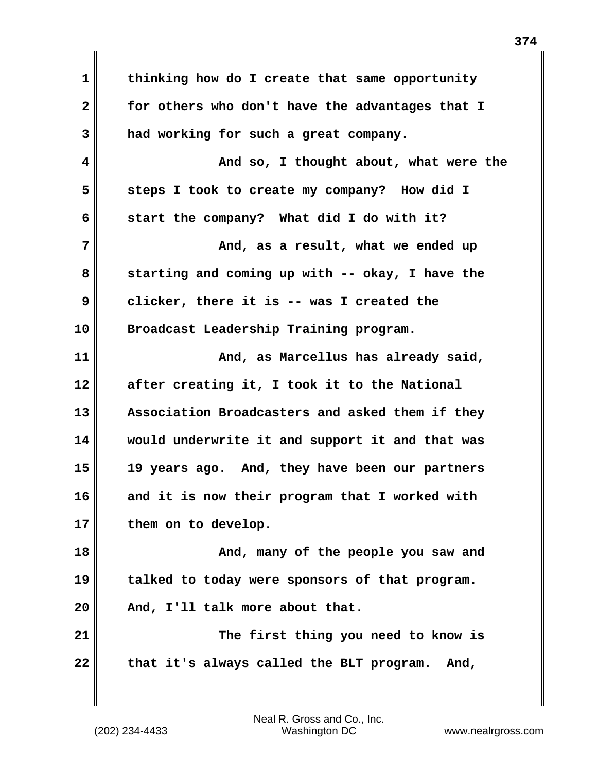**1 thinking how do I create that same opportunity 2 for others who don't have the advantages that I 3 had working for such a great company. 4 And so, I thought about, what were the 5 steps I took to create my company? How did I 6 start the company? What did I do with it? 7 And, as a result, what we ended up 8 starting and coming up with -- okay, I have the 9 clicker, there it is -- was I created the 10 Broadcast Leadership Training program. 11 And, as Marcellus has already said, 12 after creating it, I took it to the National 13 Association Broadcasters and asked them if they 14 would underwrite it and support it and that was 15 19 years ago. And, they have been our partners 16 and it is now their program that I worked with 17 them on to develop.** 18 **And, many of the people you saw and 19 talked to today were sponsors of that program. 20 And, I'll talk more about that. 21 The first thing you need to know is** 22 that it's always called the BLT program. And,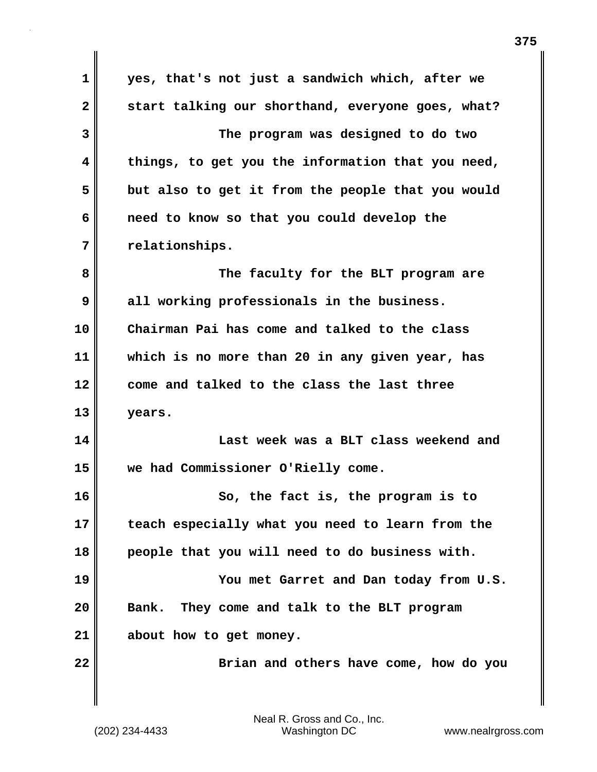**1 yes, that's not just a sandwich which, after we 2 start talking our shorthand, everyone goes, what? 3 The program was designed to do two 4 things, to get you the information that you need, 5 but also to get it from the people that you would 6 need to know so that you could develop the 7 relationships. 8 The faculty for the BLT program are 9 all working professionals in the business. 10 Chairman Pai has come and talked to the class 11 which is no more than 20 in any given year, has 12 come and talked to the class the last three 13 years. 14 Last week was a BLT class weekend and 15 we had Commissioner O'Rielly come. 16 So, the fact is, the program is to 17 teach especially what you need to learn from the 18 people that you will need to do business with. 19 You met Garret and Dan today from U.S. 20 Bank. They come and talk to the BLT program 21 about how to get money. 22 Brian and others have come, how do you**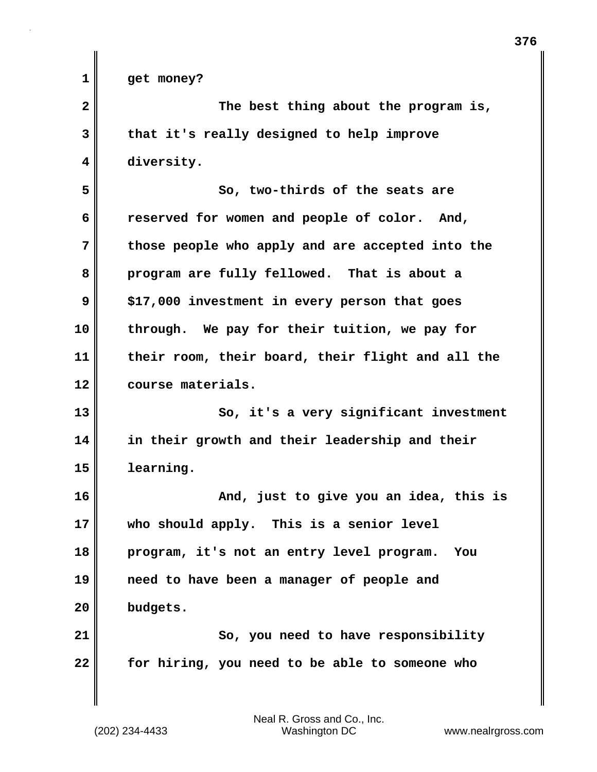| 1            | get money?                                        |
|--------------|---------------------------------------------------|
| $\mathbf{2}$ | The best thing about the program is,              |
| 3            | that it's really designed to help improve         |
| 4            | diversity.                                        |
| 5            | So, two-thirds of the seats are                   |
| 6            | reserved for women and people of color. And,      |
| 7            | those people who apply and are accepted into the  |
| 8            | program are fully fellowed. That is about a       |
| 9            | \$17,000 investment in every person that goes     |
| 10           | through. We pay for their tuition, we pay for     |
| 11           | their room, their board, their flight and all the |
| 12           | course materials.                                 |
| 13           | So, it's a very significant investment            |
| 14           | in their growth and their leadership and their    |
| 15           | learning.                                         |
| 16           | And, just to give you an idea, this is            |
| 17           | who should apply. This is a senior level          |
| 18           | program, it's not an entry level program.<br>You  |
| 19           | need to have been a manager of people and         |
| 20           | budgets.                                          |
| 21           | So, you need to have responsibility               |
| 22           | for hiring, you need to be able to someone who    |
|              |                                                   |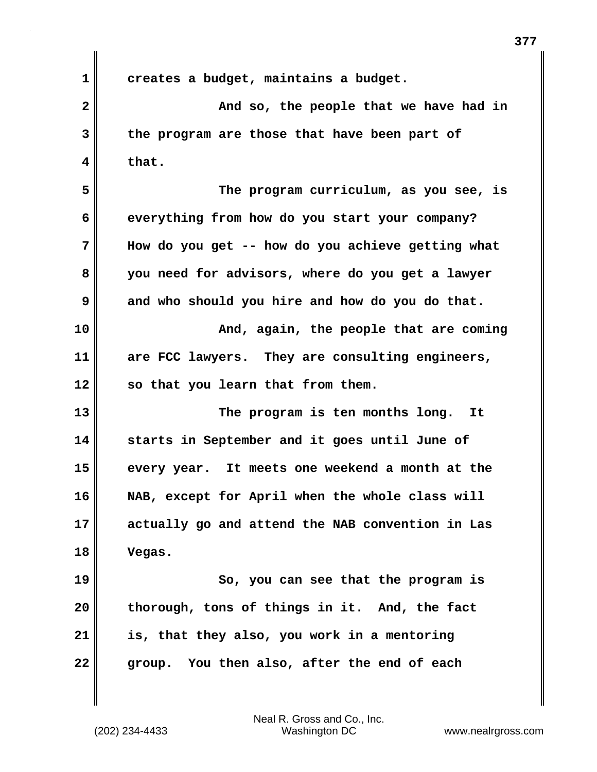**1 creates a budget, maintains a budget. 2** And so, the people that we have had in **3 the program are those that have been part of 4 that. 5 The program curriculum, as you see, is 6 everything from how do you start your company? 7 How do you get -- how do you achieve getting what 8 you need for advisors, where do you get a lawyer 9 and who should you hire and how do you do that. 10 And, again, the people that are coming 11 are FCC lawyers. They are consulting engineers, 12 so that you learn that from them. 13 The program is ten months long. It 14 starts in September and it goes until June of 15 every year. It meets one weekend a month at the 16 NAB, except for April when the whole class will 17 actually go and attend the NAB convention in Las 18 Vegas. 19 So, you can see that the program is 20 thorough, tons of things in it. And, the fact 21 is, that they also, you work in a mentoring**

**22 group. You then also, after the end of each**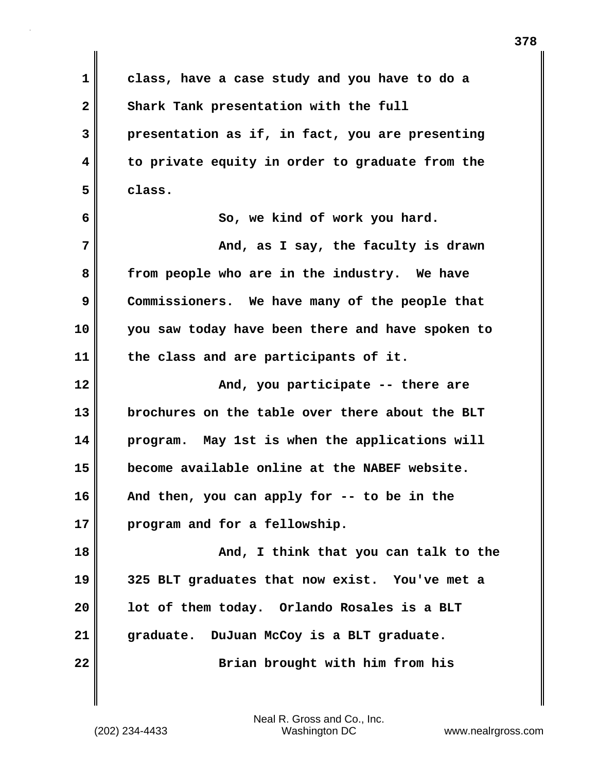**1 class, have a case study and you have to do a** 2 Shark Tank presentation with the full **3 presentation as if, in fact, you are presenting 4 to private equity in order to graduate from the 5 class. 6 So, we kind of work you hard. 7 And, as I say, the faculty is drawn 8 from people who are in the industry. We have 9 Commissioners. We have many of the people that 10 you saw today have been there and have spoken to 11 the class and are participants of it. 12 And, you participate -- there are 13 brochures on the table over there about the BLT 14 program. May 1st is when the applications will 15 become available online at the NABEF website. 16 And then, you can apply for -- to be in the 17 program and for a fellowship. 18 And, I think that you can talk to the**

**19 325 BLT graduates that now exist. You've met a 20 lot of them today. Orlando Rosales is a BLT 21 graduate. DuJuan McCoy is a BLT graduate. 22 Brian brought with him from his**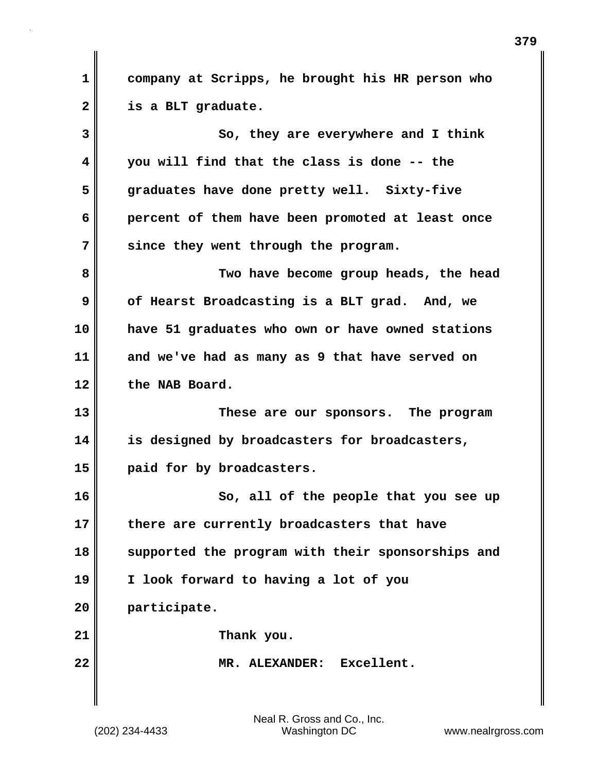**1 company at Scripps, he brought his HR person who 2 is a BLT graduate.**

**3** So, they are everywhere and I think **4 you will find that the class is done -- the 5 graduates have done pretty well. Sixty-five 6 percent of them have been promoted at least once 7 since they went through the program. 8 Two have become group heads, the head 9 of Hearst Broadcasting is a BLT grad. And, we 10 have 51 graduates who own or have owned stations 11 and we've had as many as 9 that have served on 12 the NAB Board. 13 These are our sponsors. The program 14 is designed by broadcasters for broadcasters, 15 paid for by broadcasters. 16 So, all of the people that you see up 17 there are currently broadcasters that have 18 supported the program with their sponsorships and 19 I look forward to having a lot of you 20 participate. 21 Thank you. 22 MR. ALEXANDER: Excellent.**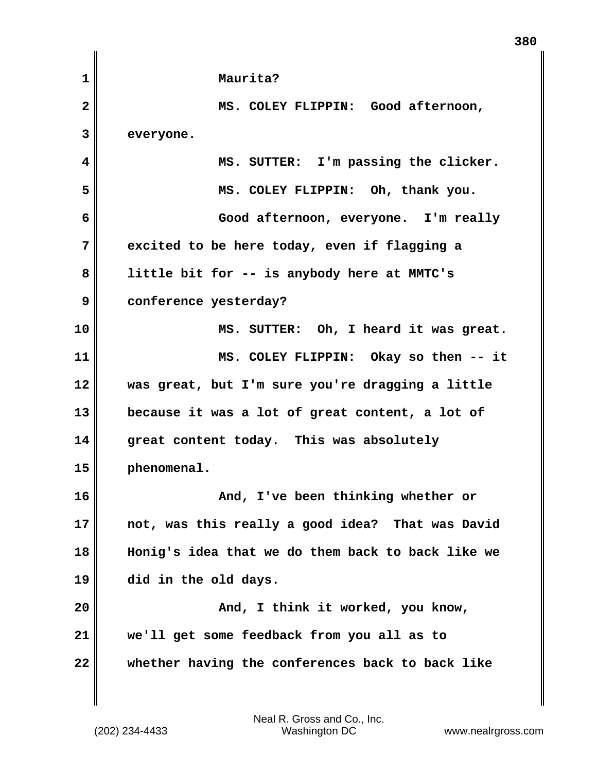| 1            | Maurita?                                          |
|--------------|---------------------------------------------------|
| $\mathbf{2}$ | MS. COLEY FLIPPIN: Good afternoon,                |
| 3            | everyone.                                         |
| 4            | MS. SUTTER: I'm passing the clicker.              |
| 5            | MS. COLEY FLIPPIN: Oh, thank you.                 |
| 6            | Good afternoon, everyone. I'm really              |
| 7            | excited to be here today, even if flagging a      |
| 8            | little bit for -- is anybody here at MMTC's       |
| 9            | conference yesterday?                             |
| 10           | MS. SUTTER: Oh, I heard it was great.             |
| 11           | MS. COLEY FLIPPIN: Okay so then -- it             |
| 12           | was great, but I'm sure you're dragging a little  |
| 13           | because it was a lot of great content, a lot of   |
| 14           | great content today. This was absolutely          |
| 15           | phenomenal.                                       |
| 16           | And, I've been thinking whether or                |
| 17           | not, was this really a good idea? That was David  |
| 18           | Honig's idea that we do them back to back like we |
| 19           | did in the old days.                              |
| 20           | And, I think it worked, you know,                 |
| 21           | we'll get some feedback from you all as to        |
| 22           | whether having the conferences back to back like  |
|              |                                                   |

**380**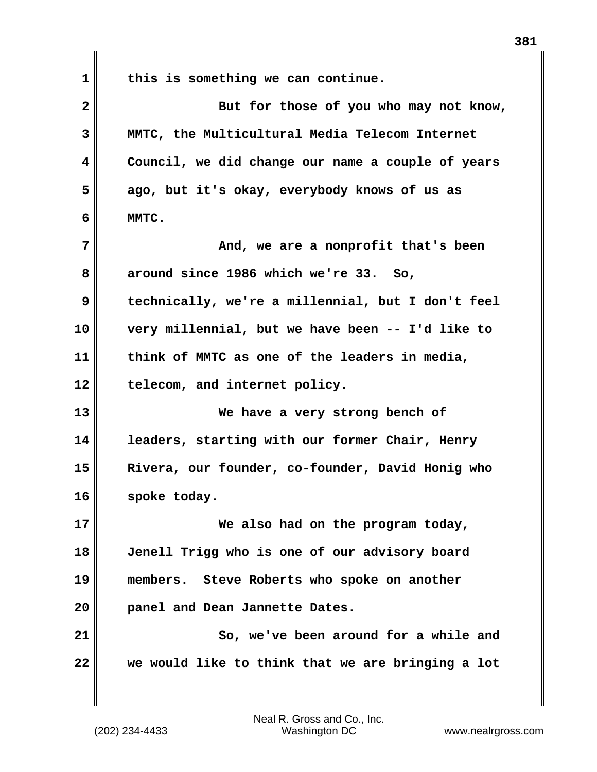**1 this is something we can continue. 2** But for those of you who may not know, **3 MMTC, the Multicultural Media Telecom Internet 4 Council, we did change our name a couple of years 5 ago, but it's okay, everybody knows of us as 6 MMTC. 7 And, we are a nonprofit that's been 8 around since 1986 which we're 33. So, 9 technically, we're a millennial, but I don't feel 10 very millennial, but we have been -- I'd like to 11 think of MMTC as one of the leaders in media, 12 telecom, and internet policy. 13 We have a very strong bench of 14 leaders, starting with our former Chair, Henry 15 Rivera, our founder, co-founder, David Honig who 16 spoke today. 17 We also had on the program today, 18 Jenell Trigg who is one of our advisory board 19 members. Steve Roberts who spoke on another 20 panel and Dean Jannette Dates. 21 So, we've been around for a while and 22 we would like to think that we are bringing a lot**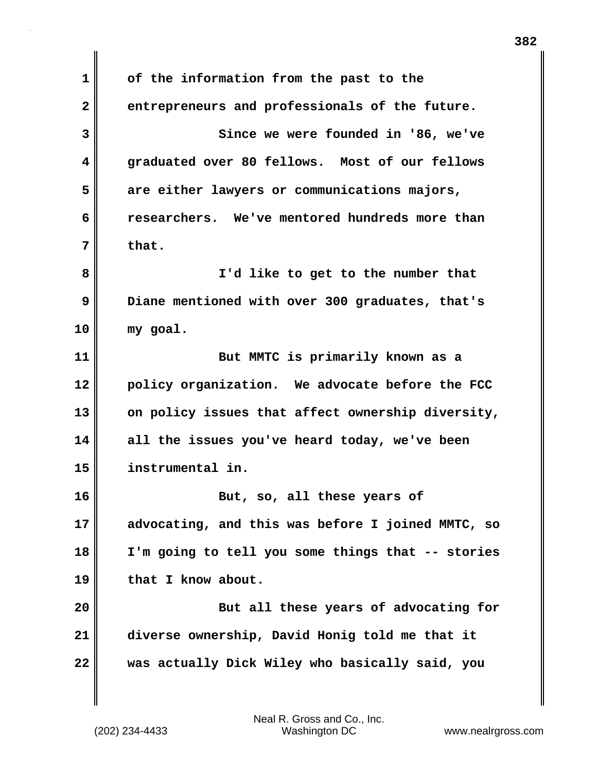**1 of the information from the past to the 2 entrepreneurs and professionals of the future. 3 Since we were founded in '86, we've 4 graduated over 80 fellows. Most of our fellows 5 are either lawyers or communications majors, 6 researchers. We've mentored hundreds more than 7 that. 8 I'd like to get to the number that 9 Diane mentioned with over 300 graduates, that's 10 my goal. 11 But MMTC is primarily known as a 12 policy organization. We advocate before the FCC 13 on policy issues that affect ownership diversity, 14 all the issues you've heard today, we've been 15 instrumental in. 16 But, so, all these years of 17 advocating, and this was before I joined MMTC, so 18 I'm going to tell you some things that -- stories 19 that I know about. 20 But all these years of advocating for 21 diverse ownership, David Honig told me that it 22 was actually Dick Wiley who basically said, you**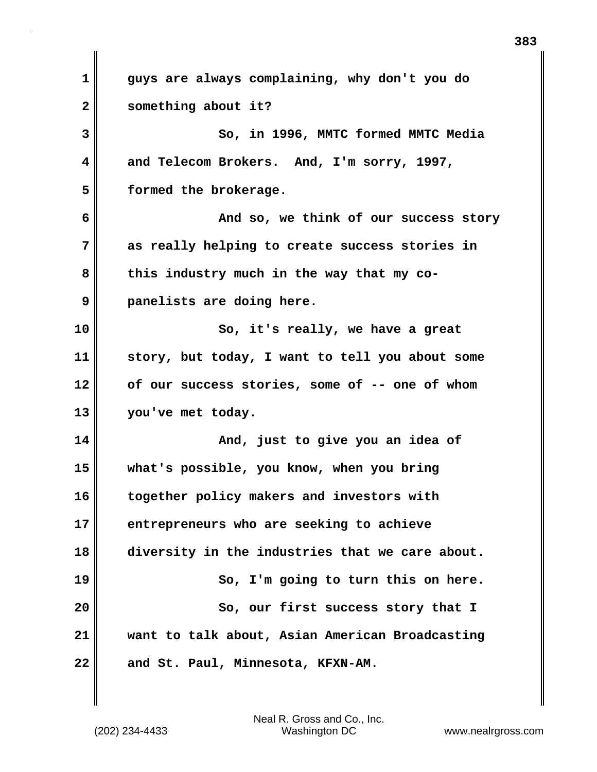**1 guys are always complaining, why don't you do 2 something about it? 3 So, in 1996, MMTC formed MMTC Media 4 and Telecom Brokers. And, I'm sorry, 1997, 5 formed the brokerage. 6 And so, we think of our success story 7 as really helping to create success stories in** 8 this industry much in the way that my co-**9 panelists are doing here. 10** So, it's really, we have a great **11 story, but today, I want to tell you about some 12 of our success stories, some of -- one of whom 13 you've met today. 14 And, just to give you an idea of 15 what's possible, you know, when you bring 16 together policy makers and investors with 17 entrepreneurs who are seeking to achieve 18 diversity in the industries that we care about. 19 So, I'm going to turn this on here. 20** So, our first success story that I **21 want to talk about, Asian American Broadcasting** 22 and St. Paul, Minnesota, KFXN-AM.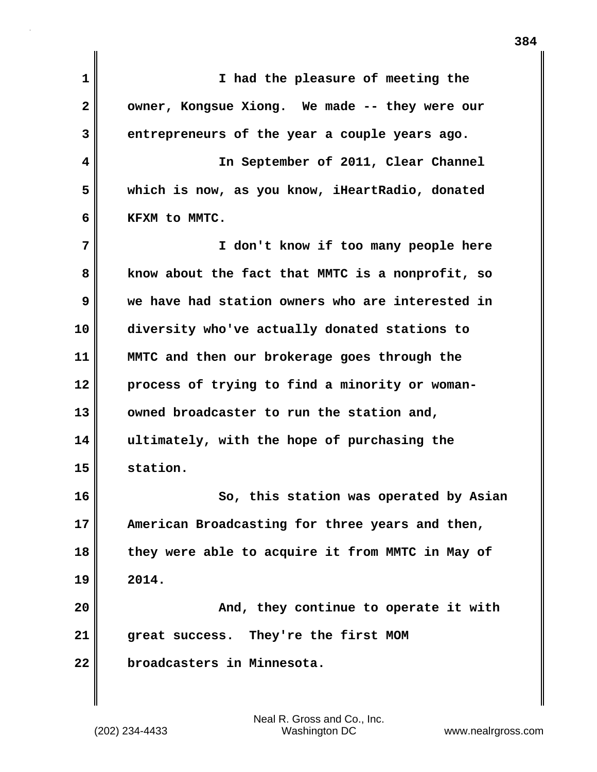**1 I had the pleasure of meeting the** 2 **owner, Kongsue Xiong.** We made -- they were our **3 entrepreneurs of the year a couple years ago. 4 In September of 2011, Clear Channel 5 which is now, as you know, iHeartRadio, donated 6 KFXM to MMTC. 7 I don't know if too many people here 8 know about the fact that MMTC is a nonprofit, so 9 we have had station owners who are interested in 10 diversity who've actually donated stations to 11 MMTC and then our brokerage goes through the 12 process of trying to find a minority or woman-13 owned broadcaster to run the station and, 14 ultimately, with the hope of purchasing the 15 station. 16 So, this station was operated by Asian 17 American Broadcasting for three years and then, 18 they were able to acquire it from MMTC in May of 19 2014. 20 And, they continue to operate it with 21 great success. They're the first MOM 22 broadcasters in Minnesota.**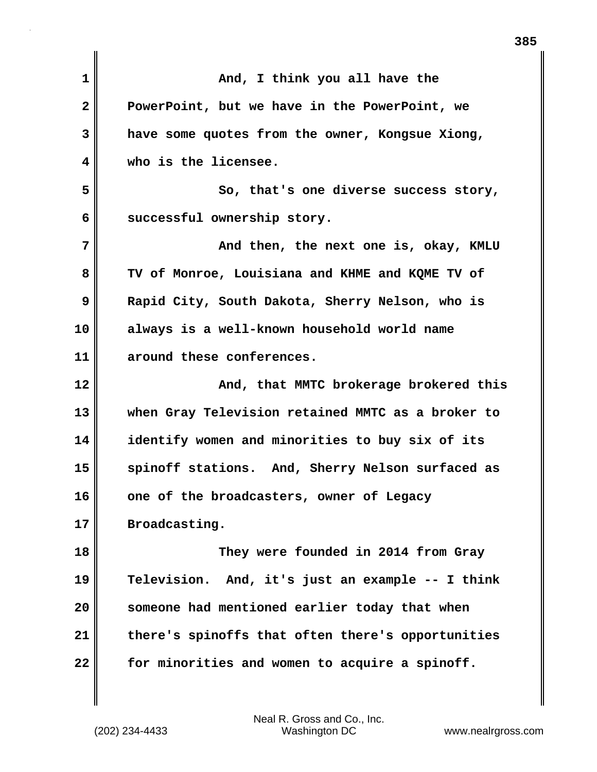| $\mathbf 1$  | And, I think you all have the                     |
|--------------|---------------------------------------------------|
| $\mathbf{2}$ | PowerPoint, but we have in the PowerPoint, we     |
| 3            | have some quotes from the owner, Kongsue Xiong,   |
| 4            | who is the licensee.                              |
| 5            | So, that's one diverse success story,             |
| 6            | successful ownership story.                       |
| 7            | And then, the next one is, okay, KMLU             |
| 8            | TV of Monroe, Louisiana and KHME and KQME TV of   |
| 9            | Rapid City, South Dakota, Sherry Nelson, who is   |
| 10           | always is a well-known household world name       |
| 11           | around these conferences.                         |
| 12           | And, that MMTC brokerage brokered this            |
| 13           | when Gray Television retained MMTC as a broker to |
| 14           | identify women and minorities to buy six of its   |
| 15           | spinoff stations. And, Sherry Nelson surfaced as  |
| 16           | one of the broadcasters, owner of Legacy          |
| 17           | Broadcasting.                                     |
| 18           | They were founded in 2014 from Gray               |
|              |                                                   |
| 19           | Television. And, it's just an example -- I think  |
| 20           | someone had mentioned earlier today that when     |
| 21           | there's spinoffs that often there's opportunities |
| 22           | for minorities and women to acquire a spinoff.    |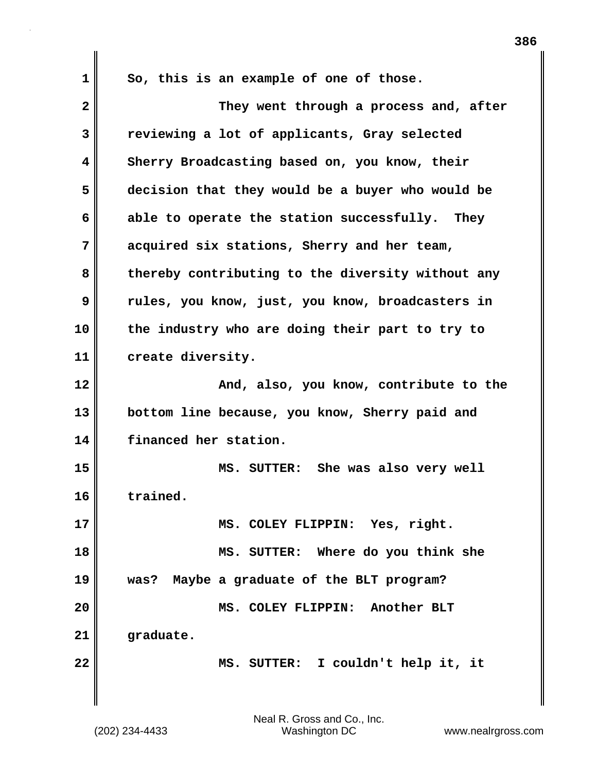**1 So, this is an example of one of those. 2 They went through a process and, after 3 reviewing a lot of applicants, Gray selected 4 Sherry Broadcasting based on, you know, their 5 decision that they would be a buyer who would be 6 able to operate the station successfully. They 7 acquired six stations, Sherry and her team, 8 thereby contributing to the diversity without any 9 rules, you know, just, you know, broadcasters in 10 the industry who are doing their part to try to 11 create diversity. 12 And, also, you know, contribute to the 13 bottom line because, you know, Sherry paid and 14 financed her station. 15 MS. SUTTER: She was also very well 16 trained. 17 MS. COLEY FLIPPIN: Yes, right. 18 MS. SUTTER: Where do you think she 19 was? Maybe a graduate of the BLT program? 20 MS. COLEY FLIPPIN: Another BLT 21 graduate. 22 MS. SUTTER: I couldn't help it, it**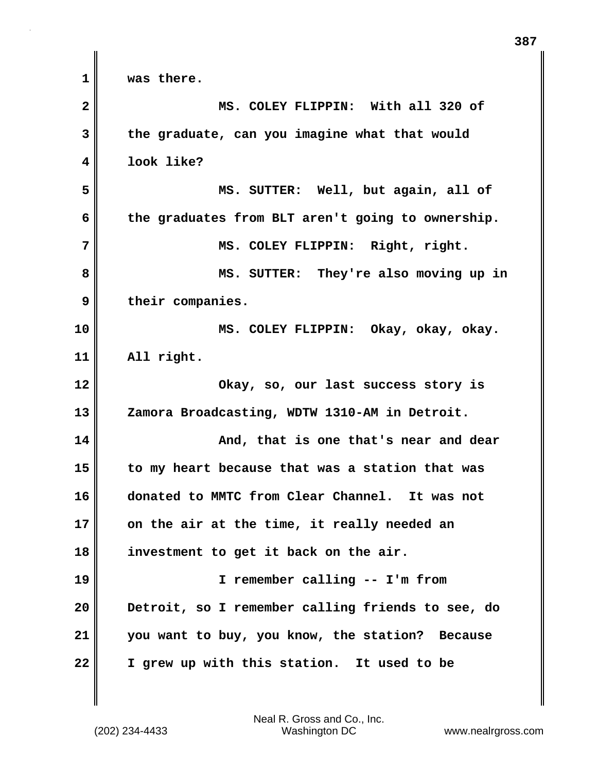**1 was there. 2 MS. COLEY FLIPPIN: With all 320 of 3 the graduate, can you imagine what that would 4 look like? 5 MS. SUTTER: Well, but again, all of 6 the graduates from BLT aren't going to ownership. 7 MS. COLEY FLIPPIN: Right, right. 8 MS. SUTTER: They're also moving up in 9 their companies. 10 MS. COLEY FLIPPIN: Okay, okay, okay. 11 All right. 12 Okay, so, our last success story is 13 Zamora Broadcasting, WDTW 1310-AM in Detroit. 14 And, that is one that's near and dear 15 to my heart because that was a station that was 16 donated to MMTC from Clear Channel. It was not 17 on the air at the time, it really needed an 18 investment to get it back on the air. 19 I remember calling -- I'm from 20 Detroit, so I remember calling friends to see, do 21 you want to buy, you know, the station? Because 22 I grew up with this station. It used to be**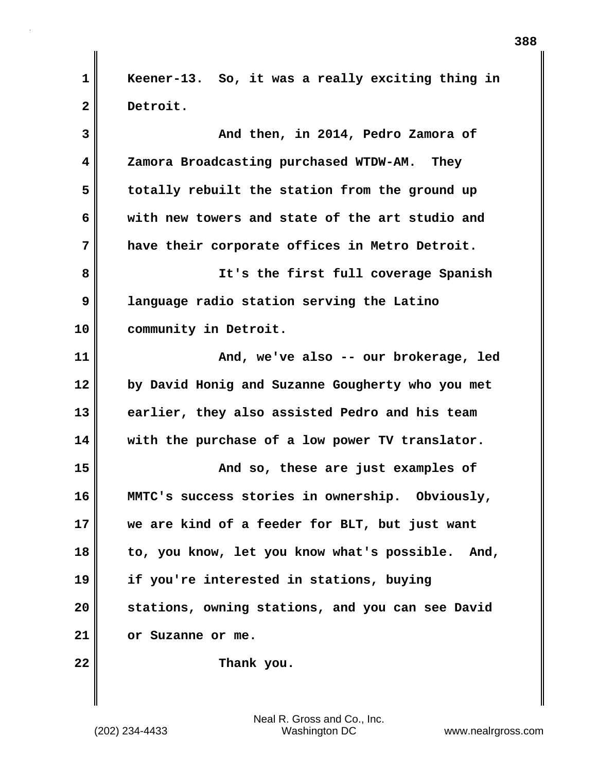**1 Keener-13. So, it was a really exciting thing in 2 Detroit.**

| 3  | And then, in 2014, Pedro Zamora of               |
|----|--------------------------------------------------|
| 4  | Zamora Broadcasting purchased WTDW-AM. They      |
| 5  | totally rebuilt the station from the ground up   |
| 6  | with new towers and state of the art studio and  |
| 7  | have their corporate offices in Metro Detroit.   |
| 8  | It's the first full coverage Spanish             |
| 9  | language radio station serving the Latino        |
| 10 | community in Detroit.                            |
| 11 | And, we've also -- our brokerage, led            |
| 12 | by David Honig and Suzanne Gougherty who you met |
| 13 | earlier, they also assisted Pedro and his team   |
| 14 | with the purchase of a low power TV translator.  |
| 15 | And so, these are just examples of               |
| 16 | MMTC's success stories in ownership. Obviously,  |
| 17 | we are kind of a feeder for BLT, but just want   |
| 18 | to, you know, let you know what's possible. And, |
| 19 | if you're interested in stations, buying         |
| 20 | stations, owning stations, and you can see David |
| 21 | or Suzanne or me.                                |
| 22 | Thank you.                                       |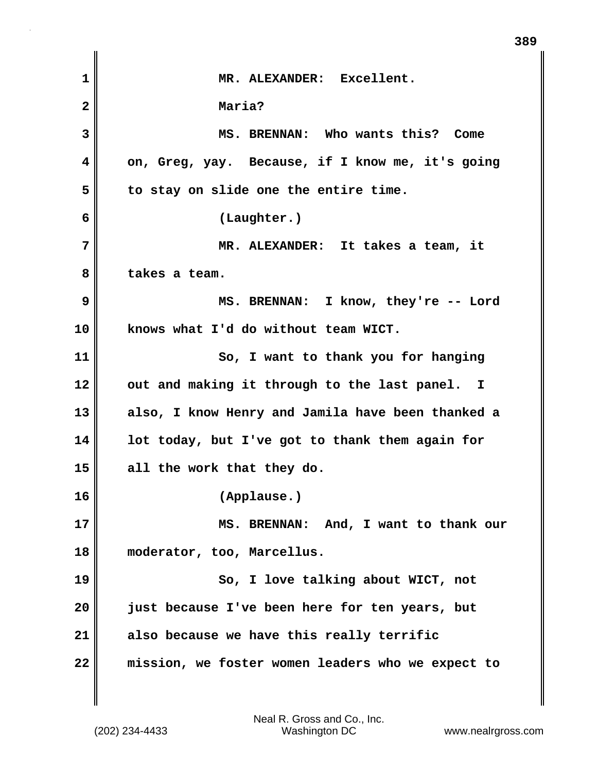| 1            | MR. ALEXANDER: Excellent.                         |
|--------------|---------------------------------------------------|
| $\mathbf{2}$ | Maria?                                            |
| 3            | MS. BRENNAN: Who wants this? Come                 |
| 4            | on, Greg, yay. Because, if I know me, it's going  |
| 5            | to stay on slide one the entire time.             |
| 6            | (Laughter.)                                       |
| 7            | MR. ALEXANDER: It takes a team, it                |
| 8            | takes a team.                                     |
| 9            | MS. BRENNAN: I know, they're -- Lord              |
| 10           | knows what I'd do without team WICT.              |
| 11           | So, I want to thank you for hanging               |
| 12           | out and making it through to the last panel. I    |
| 13           | also, I know Henry and Jamila have been thanked a |
| 14           | lot today, but I've got to thank them again for   |
| 15           | all the work that they do.                        |
| 16           | (Applause.)                                       |
| 17           | MS. BRENNAN: And, I want to thank our             |
| 18           | moderator, too, Marcellus.                        |
| 19           | So, I love talking about WICT, not                |
| 20           | just because I've been here for ten years, but    |
| 21           | also because we have this really terrific         |
| 22           | mission, we foster women leaders who we expect to |

 $\mathbf{I}$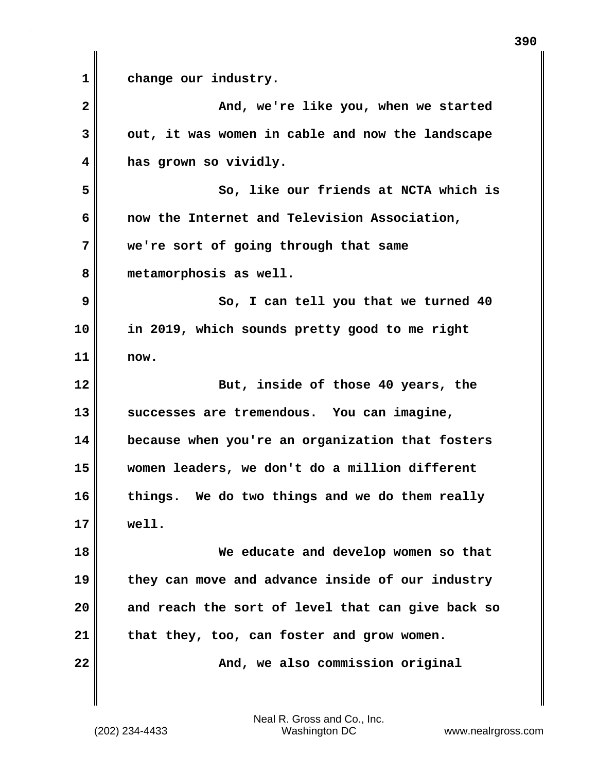**1 change our industry. 2 And, we're like you, when we started 3 out, it was women in cable and now the landscape 4 has grown so vividly. 5 So, like our friends at NCTA which is 6 now the Internet and Television Association, 7 we're sort of going through that same 8 metamorphosis as well. 9** So, I can tell you that we turned 40 **10 in 2019, which sounds pretty good to me right 11 now. 12** But, inside of those 40 years, the **13 successes are tremendous. You can imagine, 14 because when you're an organization that fosters 15 women leaders, we don't do a million different 16 things. We do two things and we do them really 17 well. 18 We educate and develop women so that 19 they can move and advance inside of our industry 20 and reach the sort of level that can give back so 21 that they, too, can foster and grow women. 22 And, we also commission original**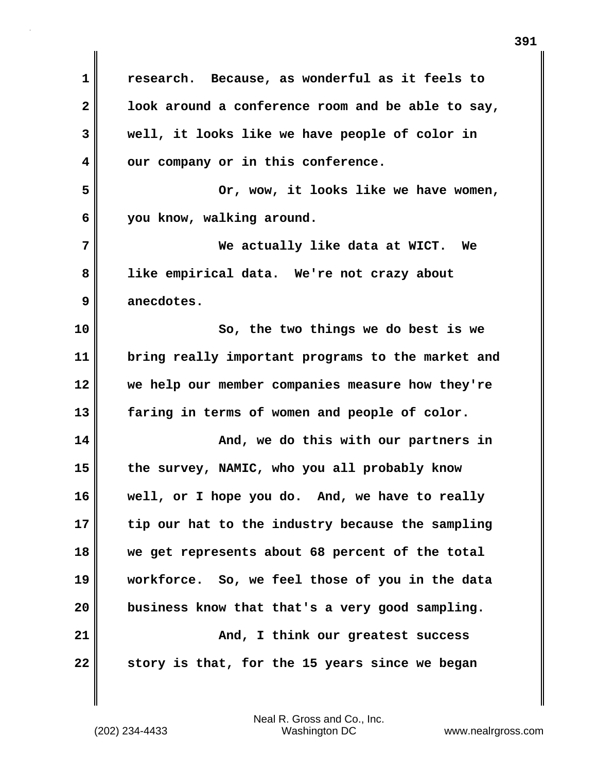**1 research. Because, as wonderful as it feels to 2 look around a conference room and be able to say, 3 well, it looks like we have people of color in 4 our company or in this conference. 5 Or, wow, it looks like we have women, 6 you know, walking around. 7 We actually like data at WICT. We 8 like empirical data. We're not crazy about 9 anecdotes. 10 So, the two things we do best is we 11 bring really important programs to the market and 12 we help our member companies measure how they're 13 faring in terms of women and people of color. 14 And, we do this with our partners in 15 the survey, NAMIC, who you all probably know 16 well, or I hope you do. And, we have to really 17 tip our hat to the industry because the sampling 18 we get represents about 68 percent of the total 19 workforce. So, we feel those of you in the data 20 business know that that's a very good sampling. 21 And, I think our greatest success 22 story is that, for the 15 years since we began**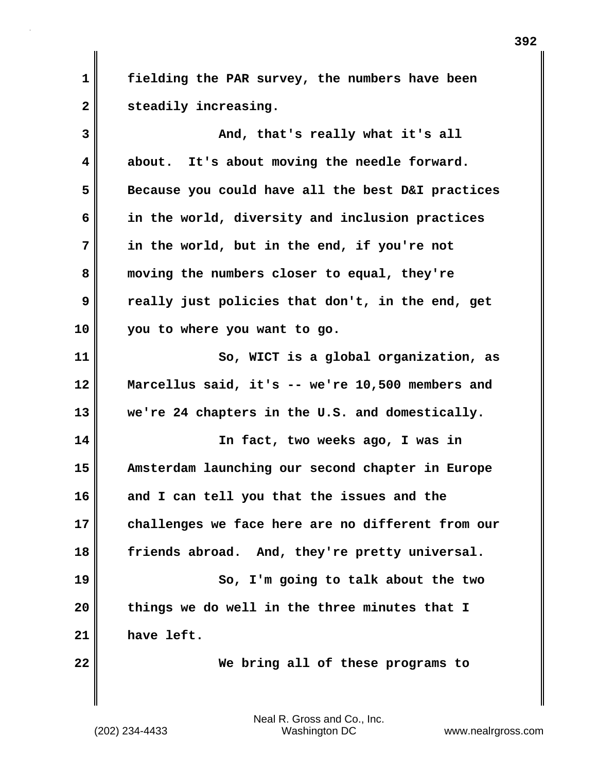**1 fielding the PAR survey, the numbers have been** 2 steadily increasing.

| 3  | And, that's really what it's all                  |
|----|---------------------------------------------------|
| 4  | about. It's about moving the needle forward.      |
| 5  | Because you could have all the best D&I practices |
| 6  | in the world, diversity and inclusion practices   |
| 7  | in the world, but in the end, if you're not       |
| 8  | moving the numbers closer to equal, they're       |
| 9  | really just policies that don't, in the end, get  |
| 10 | you to where you want to go.                      |
| 11 | So, WICT is a global organization, as             |
| 12 | Marcellus said, it's -- we're 10,500 members and  |
| 13 | we're 24 chapters in the U.S. and domestically.   |
| 14 | In fact, two weeks ago, I was in                  |
| 15 | Amsterdam launching our second chapter in Europe  |
| 16 | and I can tell you that the issues and the        |
| 17 | challenges we face here are no different from our |
| 18 | friends abroad. And, they're pretty universal.    |
| 19 | So, I'm going to talk about the two               |
| 20 | things we do well in the three minutes that I     |
| 21 | have left.                                        |
| 22 | We bring all of these programs to                 |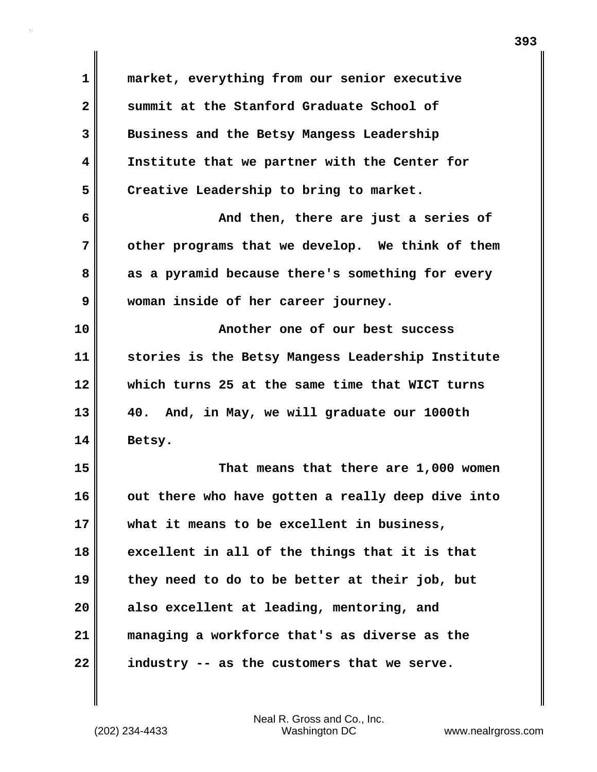| $\mathbf 1$  | market, everything from our senior executive      |
|--------------|---------------------------------------------------|
| $\mathbf{2}$ | summit at the Stanford Graduate School of         |
| 3            | Business and the Betsy Mangess Leadership         |
| 4            | Institute that we partner with the Center for     |
| 5            | Creative Leadership to bring to market.           |
| 6            | And then, there are just a series of              |
| 7            | other programs that we develop. We think of them  |
| 8            | as a pyramid because there's something for every  |
| 9            | woman inside of her career journey.               |
| 10           | Another one of our best success                   |
| 11           | stories is the Betsy Mangess Leadership Institute |
| 12           | which turns 25 at the same time that WICT turns   |
| 13           | 40. And, in May, we will graduate our 1000th      |
| 14           | Betsy.                                            |
| 15           | That means that there are 1,000 women             |
| 16           | out there who have gotten a really deep dive into |
| 17           | what it means to be excellent in business,        |
| 18           | excellent in all of the things that it is that    |
| 19           | they need to do to be better at their job, but    |
| 20           | also excellent at leading, mentoring, and         |
| 21           | managing a workforce that's as diverse as the     |
| 22           | industry -- as the customers that we serve.       |

 $\mathbf{I}$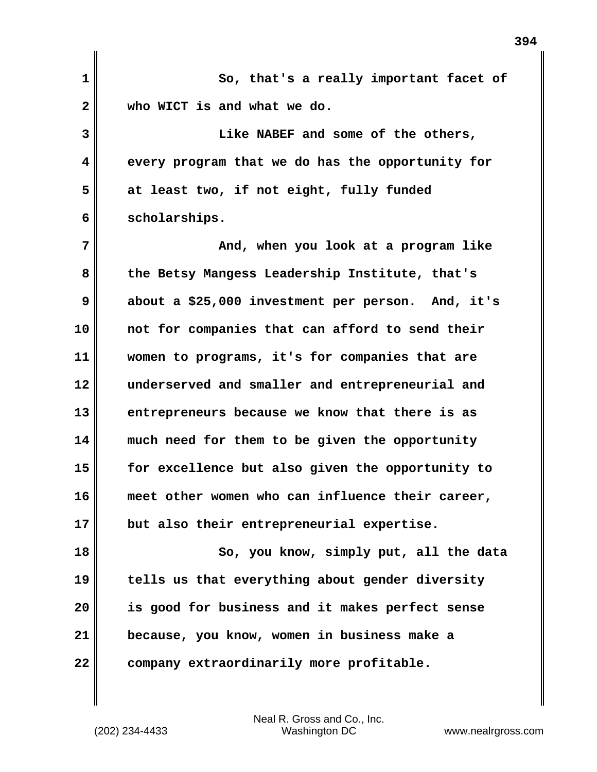| $\mathbf{1}$            | So, that's a really important facet of            |
|-------------------------|---------------------------------------------------|
| $\overline{\mathbf{2}}$ | who WICT is and what we do.                       |
| 3                       | Like NABEF and some of the others,                |
| 4                       | every program that we do has the opportunity for  |
| 5                       | at least two, if not eight, fully funded          |
| 6                       | scholarships.                                     |
| 7                       | And, when you look at a program like              |
| 8                       | the Betsy Mangess Leadership Institute, that's    |
| 9                       | about a \$25,000 investment per person. And, it's |
| 10                      | not for companies that can afford to send their   |
| 11                      | women to programs, it's for companies that are    |
| 12                      | underserved and smaller and entrepreneurial and   |
| 13                      | entrepreneurs because we know that there is as    |
| 14                      | much need for them to be given the opportunity    |
| 15                      | for excellence but also given the opportunity to  |
| 16                      | meet other women who can influence their career,  |
| 17                      | but also their entrepreneurial expertise.         |
| 18                      | So, you know, simply put, all the data            |
| 19                      | tells us that everything about gender diversity   |
| 20                      | is good for business and it makes perfect sense   |
| 21                      | because, you know, women in business make a       |
| 22                      | company extraordinarily more profitable.          |
|                         |                                                   |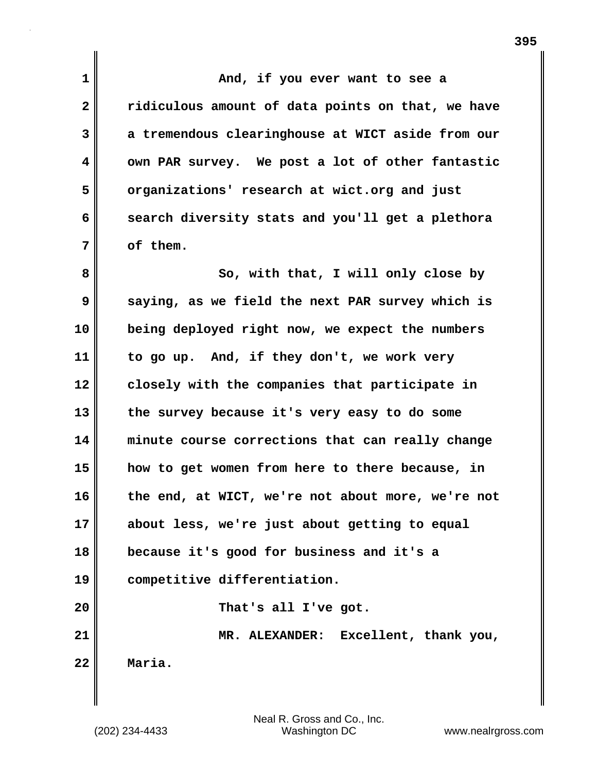**1 And, if you ever want to see a 2 ridiculous amount of data points on that, we have 3 a tremendous clearinghouse at WICT aside from our 4 own PAR survey. We post a lot of other fantastic 5 organizations' research at wict.org and just 6 search diversity stats and you'll get a plethora 7 of them. 8** So, with that, I will only close by **9 saying, as we field the next PAR survey which is 10 being deployed right now, we expect the numbers 11 to go up. And, if they don't, we work very 12 closely with the companies that participate in 13 the survey because it's very easy to do some 14 minute course corrections that can really change 15 how to get women from here to there because, in 16 the end, at WICT, we're not about more, we're not 17 about less, we're just about getting to equal 18 because it's good for business and it's a 19 competitive differentiation. 20 That's all I've got. 21 MR. ALEXANDER: Excellent, thank you, 22 Maria.**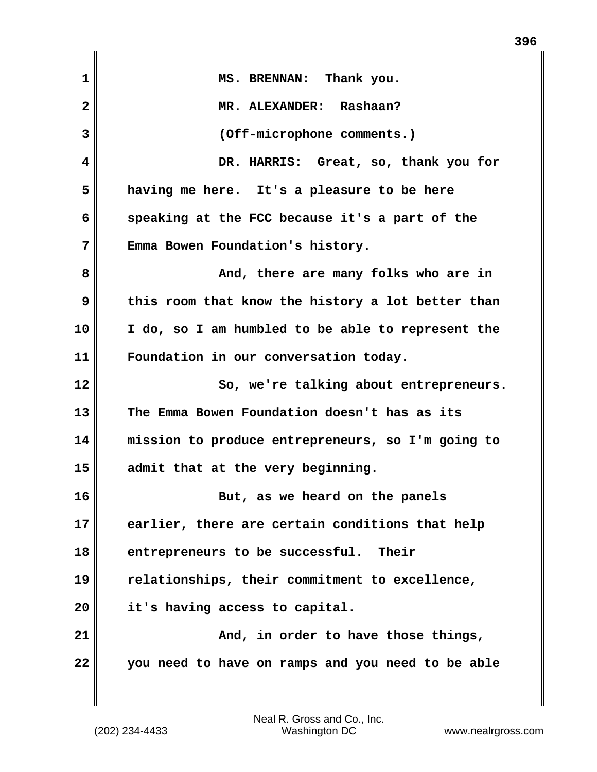| $\mathbf{1}$ | MS. BRENNAN: Thank you.                           |
|--------------|---------------------------------------------------|
| $\mathbf{2}$ | MR. ALEXANDER: Rashaan?                           |
| 3            | (Off-microphone comments.)                        |
| 4            | DR. HARRIS: Great, so, thank you for              |
| 5            | having me here. It's a pleasure to be here        |
| 6            | speaking at the FCC because it's a part of the    |
| 7            | Emma Bowen Foundation's history.                  |
| 8            | And, there are many folks who are in              |
| 9            | this room that know the history a lot better than |
| 10           | I do, so I am humbled to be able to represent the |
| 11           | Foundation in our conversation today.             |
| 12           | So, we're talking about entrepreneurs.            |
| 13           | The Emma Bowen Foundation doesn't has as its      |
| 14           | mission to produce entrepreneurs, so I'm going to |
| 15           | admit that at the very beginning.                 |
| 16           | But, as we heard on the panels                    |
| 17           | earlier, there are certain conditions that help   |
| 18           | entrepreneurs to be successful. Their             |
| 19           | relationships, their commitment to excellence,    |
| 20           | it's having access to capital.                    |
| 21           | And, in order to have those things,               |
| 22           | you need to have on ramps and you need to be able |
|              |                                                   |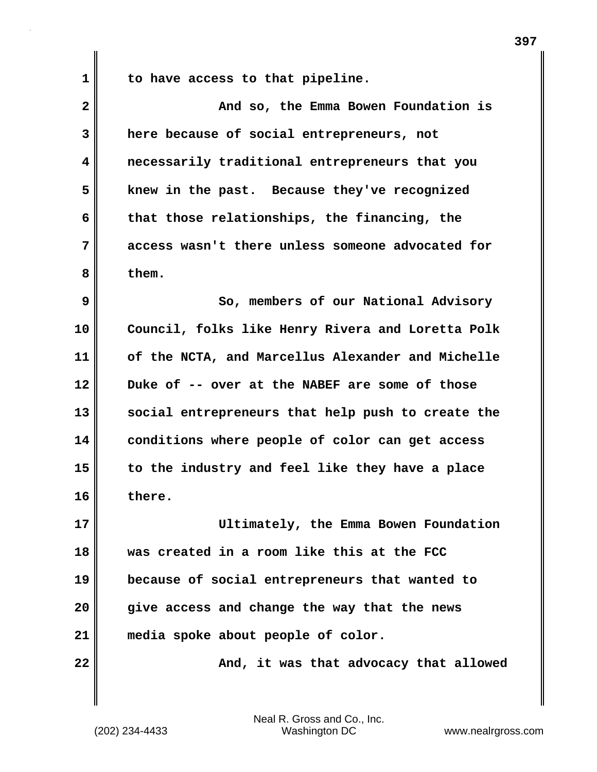**1 to have access to that pipeline.**

| $\overline{\mathbf{2}}$ | And so, the Emma Bowen Foundation is              |
|-------------------------|---------------------------------------------------|
| 3                       | here because of social entrepreneurs, not         |
| 4                       | necessarily traditional entrepreneurs that you    |
| 5                       | knew in the past. Because they've recognized      |
| 6                       | that those relationships, the financing, the      |
| 7                       | access wasn't there unless someone advocated for  |
| 8                       | them.                                             |
| 9                       | So, members of our National Advisory              |
| 10                      | Council, folks like Henry Rivera and Loretta Polk |
| 11                      | of the NCTA, and Marcellus Alexander and Michelle |
| 12                      | Duke of -- over at the NABEF are some of those    |
| 13                      | social entrepreneurs that help push to create the |
| 14                      | conditions where people of color can get access   |
| 15                      | to the industry and feel like they have a place   |
| 16                      | there.                                            |
| 17                      | Ultimately, the Emma Bowen Foundation             |
| 18                      | was created in a room like this at the FCC        |
| 19                      | because of social entrepreneurs that wanted to    |
| 20                      | give access and change the way that the news      |
| 21                      | media spoke about people of color.                |
| 22                      | And, it was that advocacy that allowed            |
|                         |                                                   |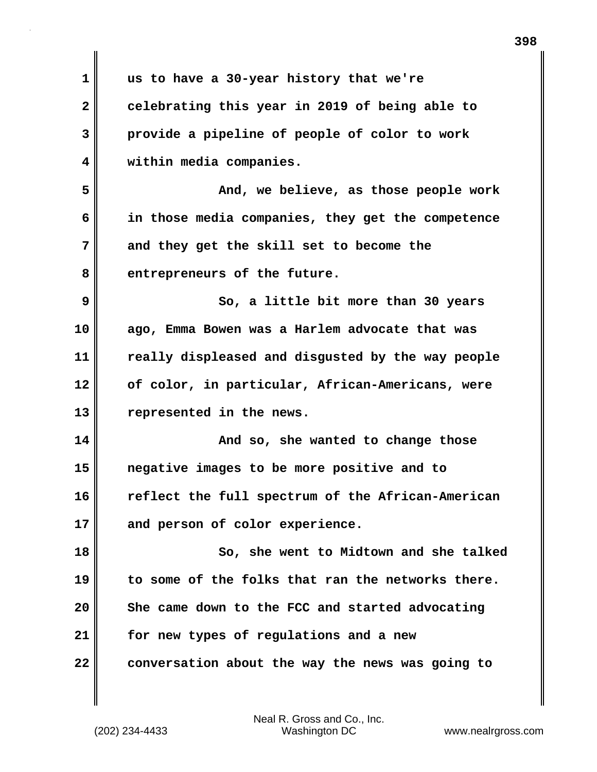| $\mathbf 1$  | us to have a 30-year history that we're           |
|--------------|---------------------------------------------------|
| $\mathbf{2}$ | celebrating this year in 2019 of being able to    |
| 3            | provide a pipeline of people of color to work     |
| 4            | within media companies.                           |
| 5            | And, we believe, as those people work             |
| 6            | in those media companies, they get the competence |
| 7            | and they get the skill set to become the          |
| 8            | entrepreneurs of the future.                      |
| 9            | So, a little bit more than 30 years               |
| 10           | ago, Emma Bowen was a Harlem advocate that was    |
| 11           | really displeased and disgusted by the way people |
| 12           | of color, in particular, African-Americans, were  |
| 13           | represented in the news.                          |
| 14           | And so, she wanted to change those                |
| 15           | negative images to be more positive and to        |
| 16           | reflect the full spectrum of the African-American |
| 17           | and person of color experience.                   |
| 18           | So, she went to Midtown and she talked            |
| 19           | to some of the folks that ran the networks there. |
| 20           | She came down to the FCC and started advocating   |
| 21           | for new types of regulations and a new            |
| 22           | conversation about the way the news was going to  |
|              |                                                   |

(202) 234-4433 Washington DC www.nealrgross.com Neal R. Gross and Co., Inc.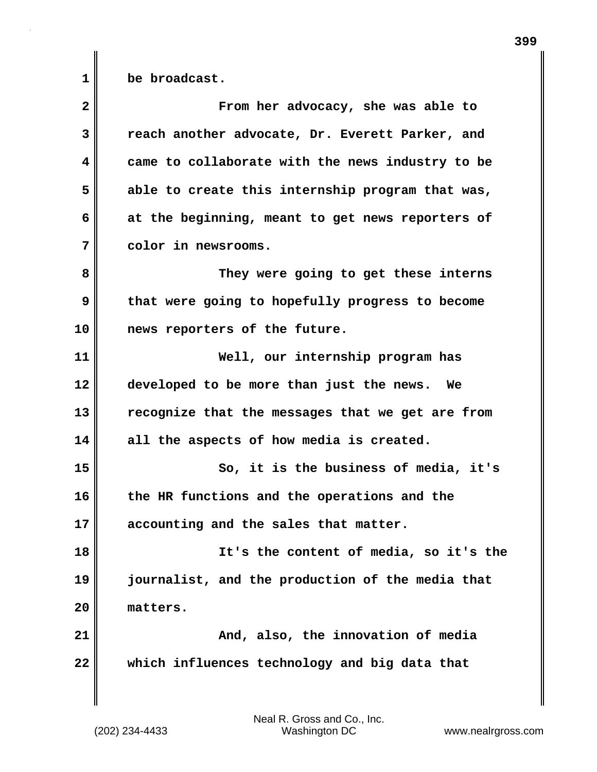**1 be broadcast.**

| $\overline{2}$ | From her advocacy, she was able to               |
|----------------|--------------------------------------------------|
| 3              | reach another advocate, Dr. Everett Parker, and  |
| 4              | came to collaborate with the news industry to be |
| 5              | able to create this internship program that was, |
| 6              | at the beginning, meant to get news reporters of |
| 7              | color in newsrooms.                              |
| 8              | They were going to get these interns             |
| 9              | that were going to hopefully progress to become  |
| 10             | news reporters of the future.                    |
| 11             | Well, our internship program has                 |
| 12             | developed to be more than just the news. We      |
| 13             | recognize that the messages that we get are from |
| 14             | all the aspects of how media is created.         |
| 15             | So, it is the business of media, it's            |
| 16             | the HR functions and the operations and the      |
| 17             | accounting and the sales that matter.            |
| 18             | It's the content of media, so it's the           |
| 19             | journalist, and the production of the media that |
| 20             | matters.                                         |
| 21             | And, also, the innovation of media               |
| 22             | which influences technology and big data that    |
|                |                                                  |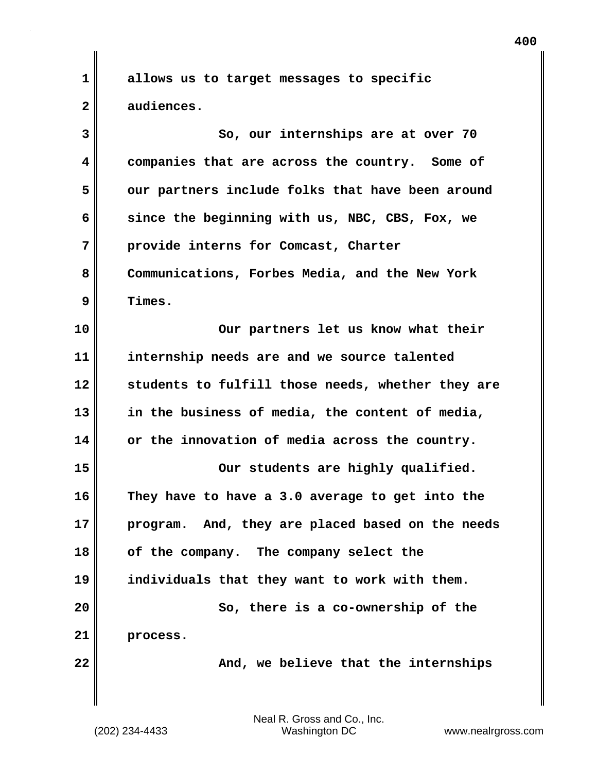**1 allows us to target messages to specific 2 audiences.**

**3** So, our internships are at over 70 **4 companies that are across the country. Some of 5 our partners include folks that have been around 6 since the beginning with us, NBC, CBS, Fox, we 7 provide interns for Comcast, Charter 8 Communications, Forbes Media, and the New York 9 Times. 10 Our partners let us know what their 11 internship needs are and we source talented 12 students to fulfill those needs, whether they are 13 in the business of media, the content of media, 14 or the innovation of media across the country. 15 Our students are highly qualified. 16 They have to have a 3.0 average to get into the 17 program. And, they are placed based on the needs 18 of the company. The company select the 19 individuals that they want to work with them. 20 So, there is a co-ownership of the 21 process. 22** Mand, we believe that the internships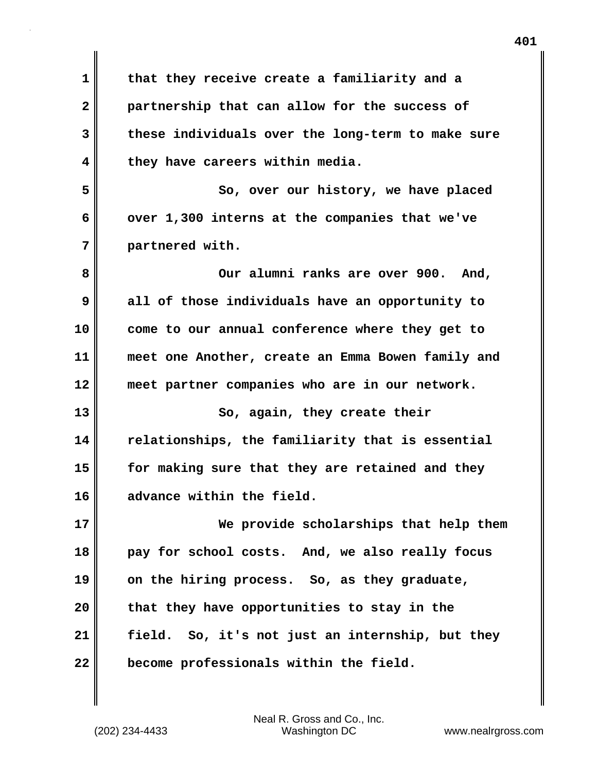**1 that they receive create a familiarity and a 2 partnership that can allow for the success of 3 these individuals over the long-term to make sure 4 they have careers within media. 5 So, over our history, we have placed** 6 over 1,300 interns at the companies that we've **7 partnered with.** 8 Our alumni ranks are over 900. And, **9 all of those individuals have an opportunity to 10 come to our annual conference where they get to 11 meet one Another, create an Emma Bowen family and 12 meet partner companies who are in our network. 13 So, again, they create their 14 relationships, the familiarity that is essential 15 for making sure that they are retained and they 16 advance within the field. 17 We provide scholarships that help them 18 pay for school costs. And, we also really focus 19 on the hiring process. So, as they graduate, 20 that they have opportunities to stay in the 21 field. So, it's not just an internship, but they 22 become professionals within the field.**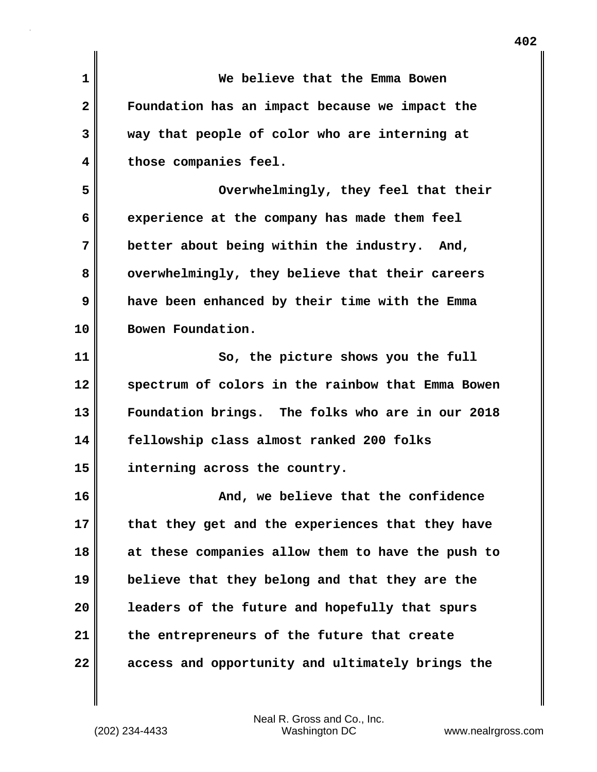| $\mathbf 1$  | We believe that the Emma Bowen                    |
|--------------|---------------------------------------------------|
| $\mathbf{2}$ | Foundation has an impact because we impact the    |
| 3            | way that people of color who are interning at     |
| 4            | those companies feel.                             |
| 5            | Overwhelmingly, they feel that their              |
| 6            | experience at the company has made them feel      |
| 7            | better about being within the industry. And,      |
| 8            | overwhelmingly, they believe that their careers   |
| 9            | have been enhanced by their time with the Emma    |
| 10           | Bowen Foundation.                                 |
| 11           | So, the picture shows you the full                |
| 12           | spectrum of colors in the rainbow that Emma Bowen |
| 13           | Foundation brings. The folks who are in our 2018  |
| 14           | fellowship class almost ranked 200 folks          |
| 15           | interning across the country.                     |
| 16           | And, we believe that the confidence               |
| 17           | that they get and the experiences that they have  |
| 18           | at these companies allow them to have the push to |
| 19           | believe that they belong and that they are the    |
| 20           | leaders of the future and hopefully that spurs    |
| 21           | the entrepreneurs of the future that create       |
| 22           | access and opportunity and ultimately brings the  |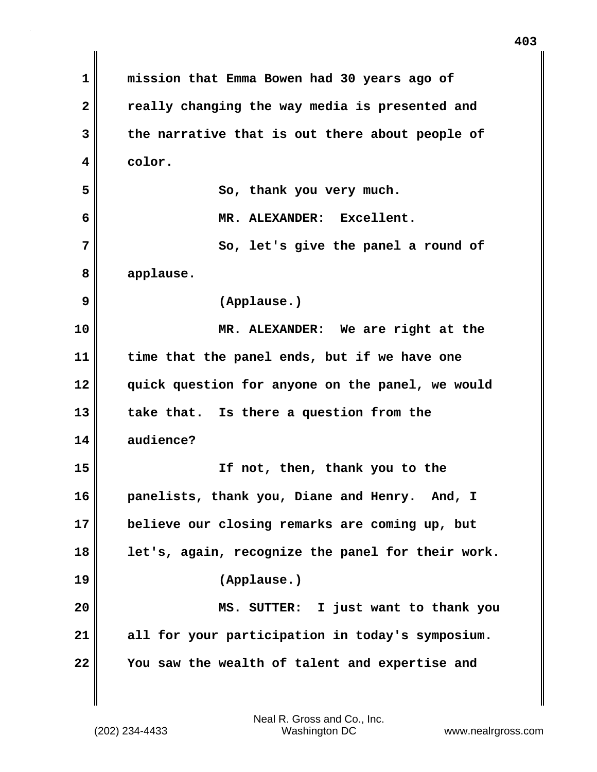| 1              | mission that Emma Bowen had 30 years ago of       |
|----------------|---------------------------------------------------|
| $\overline{2}$ | really changing the way media is presented and    |
| 3              | the narrative that is out there about people of   |
| 4              | color.                                            |
| 5              | So, thank you very much.                          |
| 6              | MR. ALEXANDER: Excellent.                         |
| 7              | So, let's give the panel a round of               |
| 8              | applause.                                         |
| 9              | (Applause.)                                       |
| 10             | MR. ALEXANDER: We are right at the                |
| 11             | time that the panel ends, but if we have one      |
| 12             | quick question for anyone on the panel, we would  |
| 13             | take that. Is there a question from the           |
| 14             | audience?                                         |
| 15             | If not, then, thank you to the                    |
| 16             | panelists, thank you, Diane and Henry.<br>And, I  |
| 17             | believe our closing remarks are coming up, but    |
| 18             | let's, again, recognize the panel for their work. |
| 19             | (Applause.)                                       |
| 20             | MS. SUTTER: I just want to thank you              |
| 21             | all for your participation in today's symposium.  |
| 22             | You saw the wealth of talent and expertise and    |

 $\mathbf{I}$ 

(202) 234-4433 Washington DC www.nealrgross.com Neal R. Gross and Co., Inc.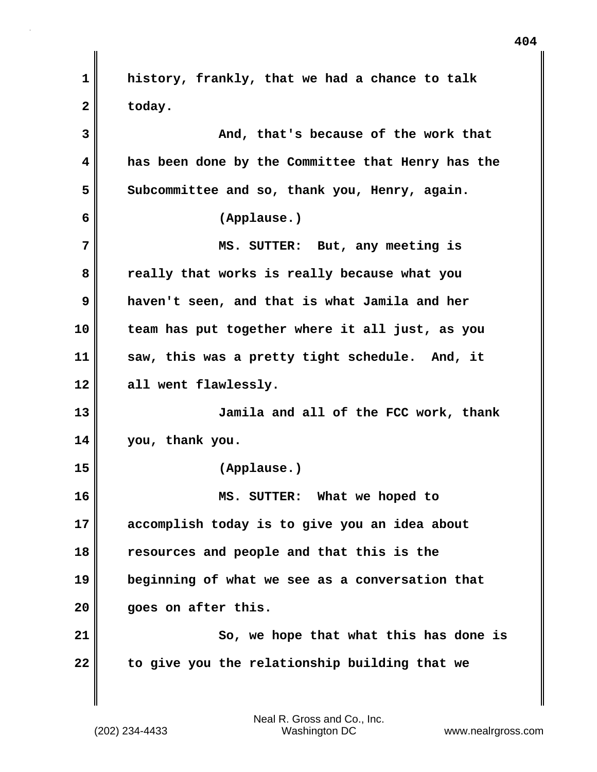**1 history, frankly, that we had a chance to talk 2 today. 3 And, that's because of the work that 4 has been done by the Committee that Henry has the** 5 Subcommittee and so, thank you, Henry, again. **6 (Applause.) 7 MS. SUTTER: But, any meeting is 8 really that works is really because what you 9 haven't seen, and that is what Jamila and her 10 team has put together where it all just, as you 11 saw, this was a pretty tight schedule. And, it 12 all went flawlessly. 13 Jamila and all of the FCC work, thank 14 you, thank you. 15 (Applause.) 16 MS. SUTTER: What we hoped to 17 accomplish today is to give you an idea about 18 resources and people and that this is the 19 beginning of what we see as a conversation that 20 goes on after this. 21 So, we hope that what this has done is 22 to give you the relationship building that we**

(202) 234-4433 Washington DC www.nealrgross.com Neal R. Gross and Co., Inc.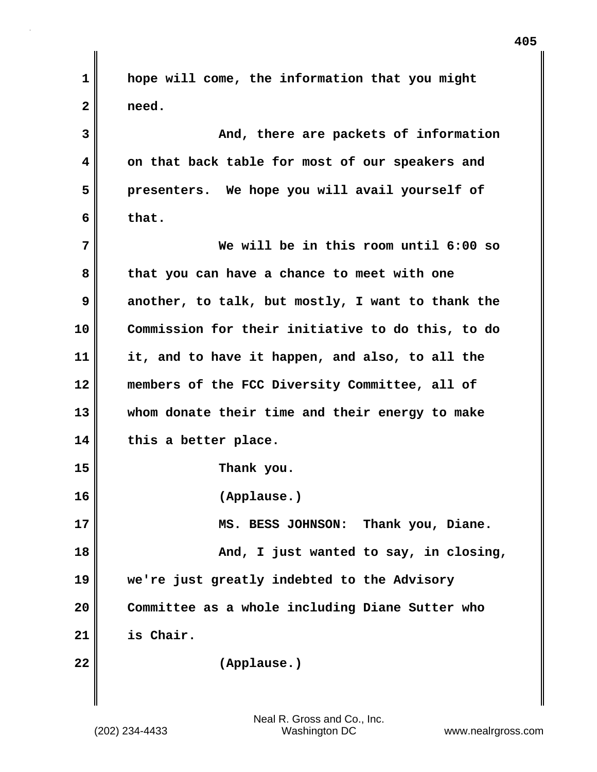| 1            | hope will come, the information that you might    |
|--------------|---------------------------------------------------|
| $\mathbf{2}$ | need.                                             |
| 3            | And, there are packets of information             |
| 4            | on that back table for most of our speakers and   |
| 5            | presenters. We hope you will avail yourself of    |
| 6            | that.                                             |
| 7            | We will be in this room until 6:00 so             |
| 8            | that you can have a chance to meet with one       |
| 9            | another, to talk, but mostly, I want to thank the |
| 10           | Commission for their initiative to do this, to do |
| 11           | it, and to have it happen, and also, to all the   |
| 12           | members of the FCC Diversity Committee, all of    |
| 13           | whom donate their time and their energy to make   |
| 14           | this a better place.                              |
| 15           | Thank you.                                        |
| 16           | (Applause.)                                       |
| 17           | MS. BESS JOHNSON: Thank you, Diane.               |
| 18           | And, I just wanted to say, in closing,            |
| 19           | we're just greatly indebted to the Advisory       |
| 20           | Committee as a whole including Diane Sutter who   |
| 21           | is Chair.                                         |
| 22           | (Applause.)                                       |
|              |                                                   |

 $\blacksquare$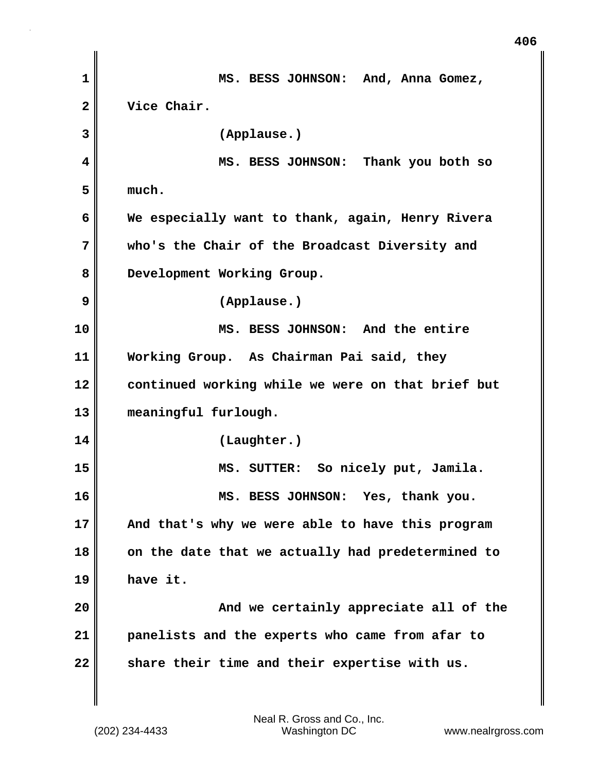**1 MS. BESS JOHNSON: And, Anna Gomez, 2 Vice Chair. 3 (Applause.) 4 MS. BESS JOHNSON: Thank you both so 5 much. 6 We especially want to thank, again, Henry Rivera 7 who's the Chair of the Broadcast Diversity and 8 Development Working Group. 9 (Applause.) 10 MS. BESS JOHNSON: And the entire 11 Working Group. As Chairman Pai said, they 12 continued working while we were on that brief but 13 meaningful furlough. 14 (Laughter.) 15 MS. SUTTER: So nicely put, Jamila. 16 MS. BESS JOHNSON: Yes, thank you. 17 And that's why we were able to have this program 18 on the date that we actually had predetermined to 19 have it. 20 And we certainly appreciate all of the 21 panelists and the experts who came from afar to** 22 share their time and their expertise with us.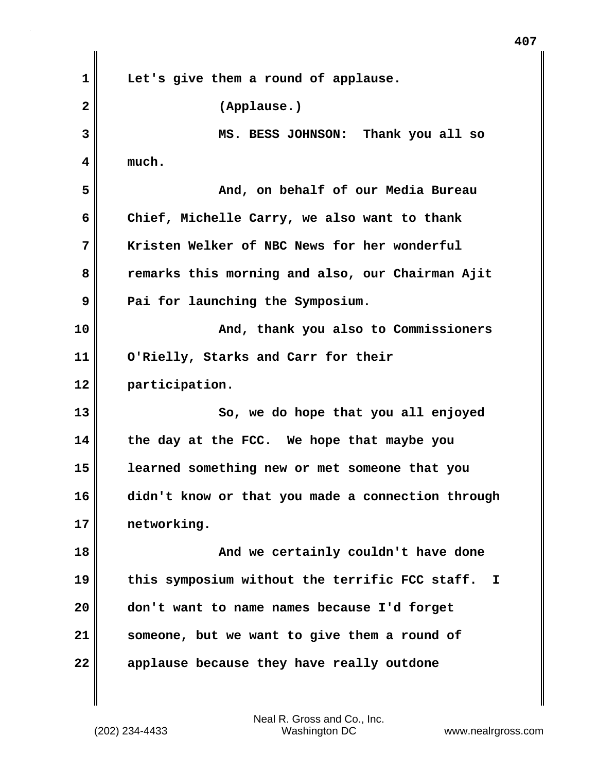| $\mathbf 1$  | Let's give them a round of applause.                |
|--------------|-----------------------------------------------------|
| $\mathbf{2}$ | (Applause.)                                         |
| 3            | MS. BESS JOHNSON: Thank you all so                  |
| 4            | much.                                               |
| 5            | And, on behalf of our Media Bureau                  |
| 6            | Chief, Michelle Carry, we also want to thank        |
| 7            | Kristen Welker of NBC News for her wonderful        |
| 8            | remarks this morning and also, our Chairman Ajit    |
| 9            | Pai for launching the Symposium.                    |
| 10           | And, thank you also to Commissioners                |
| 11           | O'Rielly, Starks and Carr for their                 |
| 12           | participation.                                      |
| 13           | So, we do hope that you all enjoyed                 |
| 14           | the day at the FCC. We hope that maybe you          |
| 15           | learned something new or met someone that you       |
| 16           | didn't know or that you made a connection through   |
| 17           | networking.                                         |
| 18           | And we certainly couldn't have done                 |
| 19           | this symposium without the terrific FCC staff.<br>I |
| 20           | don't want to name names because I'd forget         |
| 21           | someone, but we want to give them a round of        |
| 22           | applause because they have really outdone           |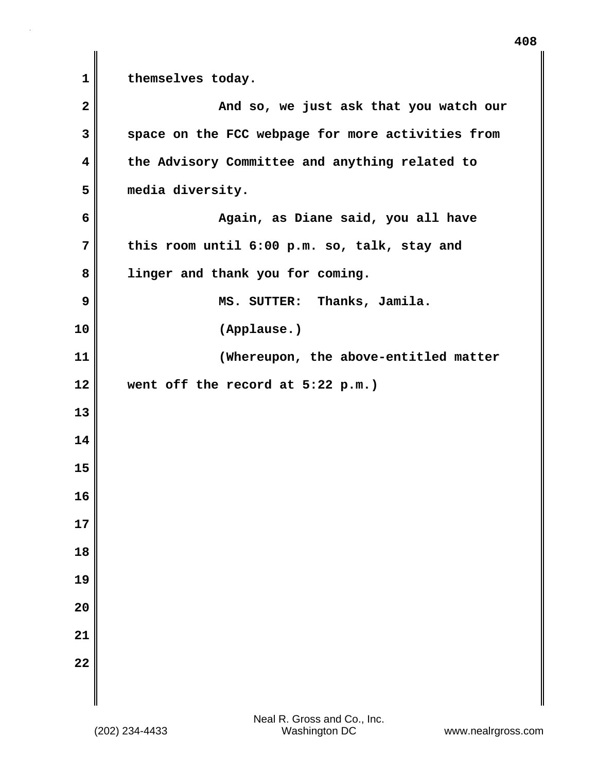1 **themselves** today. **2** And so, we just ask that you watch our **3 space on the FCC webpage for more activities from 4 the Advisory Committee and anything related to 5 media diversity. 6 Again, as Diane said, you all have 7 this room until 6:00 p.m. so, talk, stay and 8 linger and thank you for coming. 9 MS. SUTTER: Thanks, Jamila. 10 (Applause.) 11 (Whereupon, the above-entitled matter 12 went off the record at 5:22 p.m.) 13 14 15 16 17 18 19 20 21 22**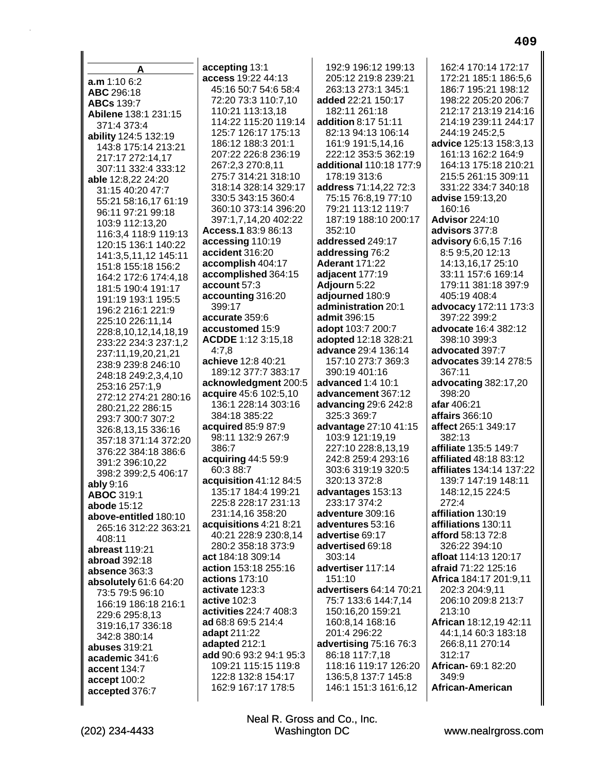| A                                         | accepting 13:1                          | 192:9 196:12 199:13               | 162:4 170:14 172:17                       |
|-------------------------------------------|-----------------------------------------|-----------------------------------|-------------------------------------------|
| a.m 1:10 6:2                              | access 19:22 44:13                      | 205:12 219:8 239:21               | 172:21 185:1 186:5,6                      |
| ABC 296:18                                | 45:16 50:7 54:6 58:4                    | 263:13 273:1 345:1                | 186:7 195:21 198:12                       |
| <b>ABCs</b> 139:7                         | 72:20 73:3 110:7,10                     | added 22:21 150:17                | 198:22 205:20 206:7                       |
| Abilene 138:1 231:15                      | 110:21 113:13,18                        | 182:11 261:18                     | 212:17 213:19 214:16                      |
| 371:4 373:4                               | 114:22 115:20 119:14                    | addition 8:17 51:11               | 214:19 239:11 244:17                      |
| ability 124:5 132:19                      | 125:7 126:17 175:13                     | 82:13 94:13 106:14                | 244:19 245:2,5                            |
| 143:8 175:14 213:21                       | 186:12 188:3 201:1                      | 161:9 191:5,14,16                 | advice 125:13 158:3,13                    |
| 217:17 272:14,17                          | 207:22 226:8 236:19                     | 222:12 353:5 362:19               | 161:13 162:2 164:9                        |
| 307:11 332:4 333:12                       | 267:2,3 270:8,11                        | additional 110:18 177:9           | 164:13 175:18 210:21                      |
| able 12:8,22 24:20                        | 275:7 314:21 318:10                     | 178:19 313:6                      | 215:5 261:15 309:11                       |
| 31:15 40:20 47:7                          | 318:14 328:14 329:17                    | address 71:14,22 72:3             | 331:22 334:7 340:18                       |
| 55:21 58:16,17 61:19                      | 330:5 343:15 360:4                      | 75:15 76:8,19 77:10               | advise 159:13,20                          |
| 96:11 97:21 99:18                         | 360:10 373:14 396:20                    | 79:21 113:12 119:7                | 160:16                                    |
| 103:9 112:13,20                           | 397:1,7,14,20 402:22                    | 187:19 188:10 200:17              | <b>Advisor 224:10</b>                     |
| 116:3,4 118:9 119:13                      | Access.183:986:13                       | 352:10                            | advisors 377:8                            |
| 120:15 136:1 140:22                       | accessing 110:19                        | addressed 249:17                  | advisory 6:6,15 7:16                      |
| 141:3,5,11,12 145:11                      | accident 316:20                         | addressing 76:2                   | 8:5 9:5,20 12:13                          |
| 151:8 155:18 156:2                        | accomplish 404:17                       | <b>Aderant 171:22</b>             | 14:13,16,17 25:10                         |
| 164:2 172:6 174:4,18                      | accomplished 364:15<br>account 57:3     | adjacent 177:19<br>Adjourn 5:22   | 33:11 157:6 169:14<br>179:11 381:18 397:9 |
| 181:5 190:4 191:17                        | accounting 316:20                       | adjourned 180:9                   | 405:19 408:4                              |
| 191:19 193:1 195:5                        | 399:17                                  | administration 20:1               | advocacy 172:11 173:3                     |
| 196:2 216:1 221:9                         | accurate 359:6                          | admit 396:15                      | 397:22 399:2                              |
| 225:10 226:11,14                          | accustomed 15:9                         | adopt 103:7 200:7                 | advocate 16:4 382:12                      |
| 228:8,10,12,14,18,19                      | ACDDE 1:12 3:15,18                      | adopted 12:18 328:21              | 398:10 399:3                              |
| 233:22 234:3 237:1,2                      | 4:7,8                                   | advance 29:4 136:14               | advocated 397:7                           |
| 237:11,19,20,21,21                        | achieve 12:8 40:21                      | 157:10 273:7 369:3                | advocates 39:14 278:5                     |
| 238:9 239:8 246:10<br>248:18 249:2,3,4,10 | 189:12 377:7 383:17                     | 390:19 401:16                     | 367:11                                    |
| 253:16 257:1,9                            | acknowledgment 200:5                    | advanced 1:4 10:1                 | advocating 382:17,20                      |
| 272:12 274:21 280:16                      | acquire 45:6 102:5,10                   | advancement 367:12                | 398:20                                    |
| 280:21,22 286:15                          | 136:1 228:14 303:16                     | <b>advancing 29:6 242:8</b>       | afar 406:21                               |
| 293:7 300:7 307:2                         | 384:18 385:22                           | 325:3 369:7                       | <b>affairs</b> 366:10                     |
| 326:8,13,15 336:16                        | acquired 85:9 87:9                      | advantage 27:10 41:15             | affect 265:1 349:17                       |
| 357:18 371:14 372:20                      | 98:11 132:9 267:9                       | 103:9 121:19,19                   | 382:13                                    |
| 376:22 384:18 386:6                       | 386:7                                   | 227:10 228:8,13,19                | affiliate 135:5 149:7                     |
| 391:2 396:10,22                           | acquiring 44:5 59:9                     | 242:8 259:4 293:16                | <b>affiliated</b> 48:18 83:12             |
| 398:2 399:2,5 406:17                      | 60:3 88:7                               | 303:6 319:19 320:5                | affiliates 134:14 137:22                  |
| <b>ably</b> 9:16                          | acquisition 41:12 84:5                  | 320:13 372:8                      | 139:7 147:19 148:11                       |
| <b>ABOC 319:1</b>                         | 135:17 184:4 199:21                     | advantages 153:13<br>233:17 374:2 | 148:12,15 224:5                           |
| abode 15:12                               | 225:8 228:17 231:13<br>231:14,16 358:20 | adventure 309:16                  | 272:4<br>affiliation 130:19               |
| above-entitled 180:10                     | acquisitions 4:21 8:21                  | adventures 53:16                  | affiliations 130:11                       |
| 265:16 312:22 363:21                      | 40:21 228:9 230:8,14                    | advertise 69:17                   | afford 58:13 72:8                         |
| 408:11                                    | 280:2 358:18 373:9                      | advertised 69:18                  | 326:22 394:10                             |
| abreast 119:21                            | act 184:18 309:14                       | 303:14                            | afloat 114:13 120:17                      |
| abroad 392:18<br>absence 363:3            | action 153:18 255:16                    | advertiser 117:14                 | afraid 71:22 125:16                       |
| absolutely 61:6 64:20                     | actions 173:10                          | 151:10                            | Africa 184:17 201:9,11                    |
| 73:5 79:5 96:10                           | activate 123:3                          | advertisers 64:14 70:21           | 202:3 204:9,11                            |
| 166:19 186:18 216:1                       | active 102:3                            | 75:7 133:6 144:7,14               | 206:10 209:8 213:7                        |
| 229:6 295:8,13                            | activities 224:7 408:3                  | 150:16,20 159:21                  | 213:10                                    |
| 319:16,17 336:18                          | ad 68:8 69:5 214:4                      | 160:8,14 168:16                   | African 18:12,19 42:11                    |
| 342:8 380:14                              | adapt 211:22                            | 201:4 296:22                      | 44:1,14 60:3 183:18                       |
| <b>abuses</b> 319:21                      | adapted 212:1                           | advertising 75:16 76:3            | 266:8,11 270:14                           |
| academic 341:6                            | add 90:6 93:2 94:1 95:3                 | 86:18 117:7,18                    | 312:17                                    |
| accent 134:7                              | 109:21 115:15 119:8                     | 118:16 119:17 126:20              | African- 69:1 82:20                       |
|                                           | 122:8 132:8 154:17                      | 136:5,8 137:7 145:8               | 349:9                                     |
|                                           |                                         |                                   |                                           |
| accept 100:2<br>accepted 376:7            | 162:9 167:17 178:5                      | 146:1 151:3 161:6,12              | <b>African-American</b>                   |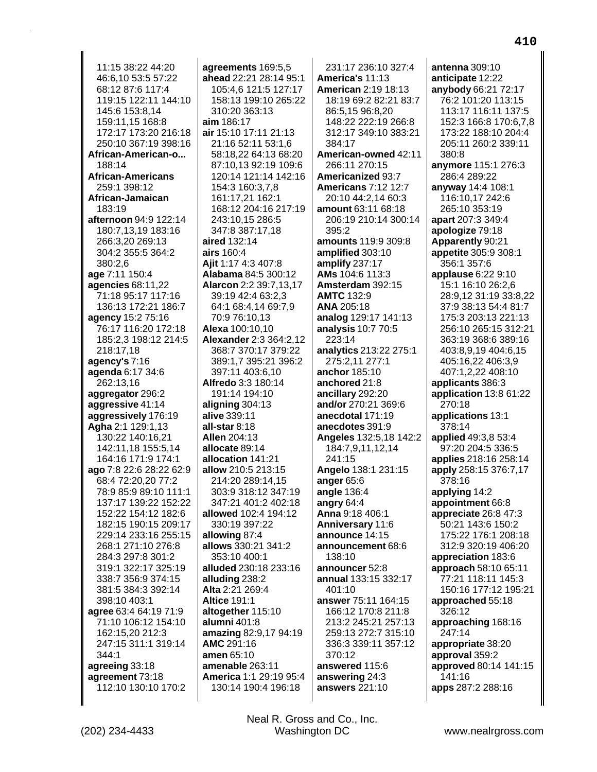11:15 38:22 44:20 46:6,10 53:5 57:22 68:12 87:6 117:4 119:15 122:11 144:10 145:6 153:8.14 159:11,15 168:8 172:17 173:20 216:18 250:10 367:19 398:16 African-American-o... 188:14 **African-Americans** 259:1 398:12 African-Jamaican 183:19 afternoon 94:9 122:14 180:7,13,19 183:16 266:3,20 269:13 304:2 355:5 364:2 380:2,6 age 7:11 150:4 agencies 68:11,22 71:18 95:17 117:16 136:13 172:21 186:7 agency 15:2 75:16 76:17 116:20 172:18 185:2.3 198:12 214:5 218:17,18 agency's  $7:16$ **agenda** 6:17 34:6 262:13.16 aggregator 296:2 aggressive 41:14 aggressively 176:19 Agha 2:1 129:1,13 130:22 140:16.21 142:11,18 155:5,14 164:16 171:9 174:1 ago 7:8 22:6 28:22 62:9 68:4 72:20,20 77:2 78:9 85:9 89:10 111:1 137:17 139:22 152:22 152:22 154:12 182:6 182:15 190:15 209:17 229:14 233:16 255:15 268:1 271:10 276:8 284:3 297:8 301:2 319:1 322:17 325:19 338:7 356:9 374:15 381:5 384:3 392:14 398:10 403:1 agree 63:4 64:19 71:9 71:10 106:12 154:10 162:15,20 212:3 247:15 311:1 319:14 344:1 agreeing 33:18 agreement 73:18 112:10 130:10 170:2

agreements 169:5,5 ahead 22:21 28:14 95:1 105:4.6 121:5 127:17 158:13 199:10 265:22 310:20 363:13 aim 186:17 air 15:10 17:11 21:13 21:16 52:11 53:1,6 58:18,22 64:13 68:20 87:10,13 92:19 109:6 120:14 121:14 142:16 154:3 160:3,7,8 161:17.21 162:1 168:12 204:16 217:19 243:10,15 286:5 347:8 387:17,18 aired 132:14 airs 160:4 Ajit 1:17 4:3 407:8 Alabama 84:5 300:12 **Alarcon** 2:2 39:7,13,17 39:19 42:4 63:2,3 64:1 68:4,14 69:7,9 70:9 76:10,13 **Alexa** 100:10.10 **Alexander 2:3 364:2.12** 368:7 370:17 379:22 389:1,7 395:21 396:2 397:11 403:6,10 **Alfredo** 3:3 180:14 191:14 194:10 aligning 304:13 alive 339:11 all-star 8:18 **Allen 204:13** allocate 89:14 allocation 141:21 allow 210:5 213:15 214:20 289:14,15 303:9 318:12 347:19 347:21 401:2 402:18 allowed 102:4 194:12 330:19 397:22 allowing 87:4 allows 330:21 341:2 353:10 400:1 alluded 230:18 233:16 alluding 238:2 Alta 2:21 269:4 **Altice 191:1** altogether 115:10 alumni 401:8 amazing 82:9,17 94:19 AMC 291:16 amen 65:10 amenable 263:11 America 1:1 29:19 95:4 130:14 190:4 196:18

231:17 236:10 327:4 America's 11:13 **American 2:19 18:13** 18:19 69:2 82:21 83:7 86:5,15 96:8,20 148:22 222:19 266:8 312:17 349:10 383:21 384:17 American-owned 42:11 266:11 270:15 **Americanized 93:7 Americans 7:12 12:7** 20:10 44:2,14 60:3 amount 63:11 68:18 206:19 210:14 300:14 395:2 amounts 119:9 309:8 amplified 303:10 amplify 237:17 AMs 104:6 113:3 Amsterdam 392:15 **AMTC 132:9 ANA 205:18** analog 129:17 141:13 **analysis 10:7 70:5** 223:14 analytics 213:22 275:1 275:2,11 277:1 anchor 185:10 anchored 21:8 ancillary 292:20 and/or 270:21 369:6 anecdotal 171:19 anecdotes 391:9 Angeles 132:5,18 142:2 184:7,9,11,12,14 241:15 Angelo 138:1 231:15 anger 65:6 angle 136:4 angry 64:4 Anna 9:18 406:1 Anniversary 11:6 announce 14:15 announcement 68:6 138:10 announcer 52:8 annual 133:15 332:17 401:10 answer 75:11 164:15 166:12 170:8 211:8 213:2 245:21 257:13 259:13 272:7 315:10 336:3 339:11 357:12  $370.12$ answered 115:6 answering 24:3 answers 221:10

antenna  $309:10$ anticipate 12:22 anybody 66:21 72:17 76:2 101:20 113:15 113:17 116:11 137:5 152:3 166:8 170:6.7.8 173:22 188:10 204:4 205:11 260:2 339:11 380:8 anymore 115:1 276:3 286:4 289:22 anyway 14:4 108:1 116:10,17 242:6 265:10 353:19 apart 207:3 349:4 apologize 79:18 Apparently 90:21 appetite 305:9 308:1 356:1 357:6 applause 6:22 9:10 15:1 16:10 26:2,6 28:9,12 31:19 33:8,22 37:9 38:13 54:4 81:7 175:3 203:13 221:13 256:10 265:15 312:21 363:19 368:6 389:16 403:8,9,19 404:6,15 405:16,22 406:3,9 407:1,2,22 408:10 applicants 386:3 application 13:8 61:22 270:18 applications 13:1 378:14 applied 49:3.8 53:4 97:20 204:5 336:5 applies 218:16 258:14 apply 258:15 376:7,17 378:16 applying 14:2 appointment 66:8 appreciate 26:8 47:3 50:21 143:6 150:2 175:22 176:1 208:18 312:9 320:19 406:20 appreciation 183:6 approach 58:10 65:11 77:21 118:11 145:3 150:16 177:12 195:21 approached 55:18 326:12 approaching 168:16 247:14 appropriate 38:20 approval 359:2 approved 80:14 141:15 141:16 apps 287:2 288:16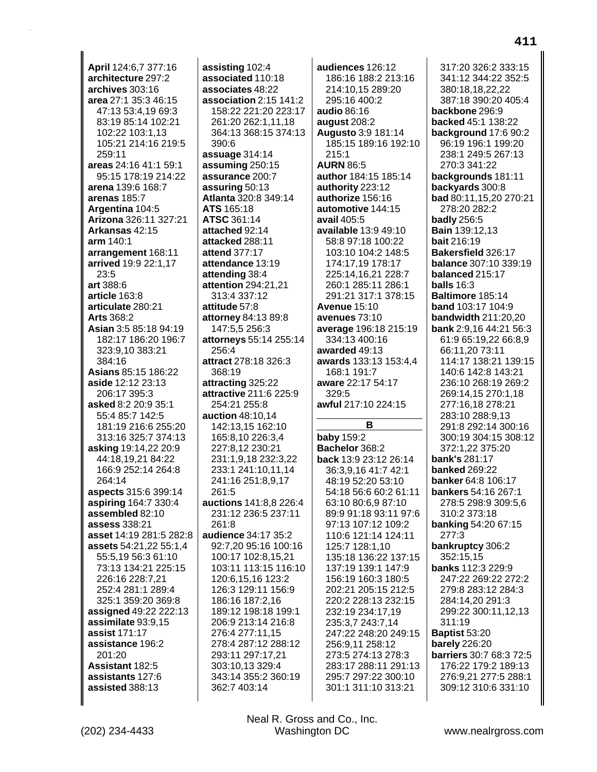April 124:6,7 377:16 architecture 297:2 archives 303:16 area 27:1 35:3 46:15 47:13 53:4.19 69:3 83:19 85:14 102:21 102:22 103:1,13 105:21 214:16 219:5 259:11 areas 24:16 41:1 59:1 95:15 178:19 214:22 arena 139:6 168:7 arenas 185:7 Argentina 104:5 Arizona 326:11 327:21 Arkansas 42:15 arm 140:1 arrangement 168:11 arrived 19:9 22:1,17 23:5 art 388:6 article 163:8 articulate 280:21 **Arts 368:2** Asian 3:5 85:18 94:19 182:17 186:20 196:7 323:9.10 383:21 384:16 **Asians 85:15 186:22** aside 12:12 23:13 206:17 395:3 asked 8:2 20:9 35:1 55:4 85:7 142:5 181:19 216:6 255:20 313:16 325:7 374:13 asking 19:14,22 20:9 44:18,19,21 84:22 166:9 252:14 264:8 264:14 aspects 315:6 399:14 aspiring 164:7 330:4 assembled 82:10 assess 338:21 asset 14:19 281:5 282:8 assets 54:21,22 55:1,4 55:5,19 56:3 61:10 73:13 134:21 225:15 226:16 228:7,21 252:4 281:1 289:4 325:1 359:20 369:8 assigned 49:22 222:13 assimilate 93:9,15 assist 171:17 assistance 196:2  $201:20$ Assistant 182:5 assistants 127:6 assisted 388:13

assisting 102:4 associated 110:18 associates 48:22 association 2:15 141:2 158:22 221:20 223:17 261:20 262:1,11,18 364:13 368:15 374:13 390:6 assuage 314:14 assuming 250:15 assurance 200:7 assuring 50:13 Atlanta 320:8 349:14 ATS 165:18 ATSC 361:14 attached 92:14 attacked 288:11 attend 377:17 attendance 13:19 attending 38:4 attention 294:21,21 313:4 337:12 attitude 57:8 attorney 84:13 89:8 147:5,5 256:3 attorneys 55:14 255:14 256:4 attract 278:18 326:3 368:19 attracting 325:22 attractive 211:6 225:9 254:21 255:8 auction 48:10,14 142:13,15 162:10 165:8,10 226:3,4 227:8,12 230:21 231:1,9,18 232:3,22 233:1 241:10,11,14 241:16 251:8,9,17 261:5 auctions 141:8.8 226:4 231:12 236:5 237:11 261:8 audience 34:17 35:2 92:7,20 95:16 100:16 100:17 102:8,15,21 103:11 113:15 116:10 120:6,15,16 123:2 126:3 129:11 156:9 186:16 187:2,16 189:12 198:18 199:1 206:9 213:14 216:8 276:4 277:11,15 278:4 287:12 288:12 293:11 297:17,21 303:10.13 329:4 343:14 355:2 360:19 362:7 403:14

audiences 126:12 186:16 188:2 213:16 214:10,15 289:20 295:16 400:2 audio 86:16 august 208:2 Augusto 3:9 181:14 185:15 189:16 192:10  $215:1$ **AURN 86:5** author 184:15 185:14 authority 223:12 authorize 156:16 automotive 144:15 avail  $405:5$ available 13:9 49:10 58:8 97:18 100:22 103:10 104:2 148:5 174:17,19 178:17 225:14,16,21 228:7 260:1 285:11 286:1 291:21 317:1 378:15 **Avenue 15:10** avenues 73:10 average 196:18 215:19 334:13 400:16 awarded 49:13 awards 133:13 153:4,4 168:1 191:7 aware 22:17 54:17  $329.5$ awful 217:10 224:15 В **baby 159:2** Bachelor 368:2 back 13:9 23:12 26:14 36:3,9,16 41:7 42:1 48:19 52:20 53:10 54:18 56:6 60:2 61:11 63:10 80:6,9 87:10 89:9 91:18 93:11 97:6 97:13 107:12 109:2 110:6 121:14 124:11 125:7 128:1,10 135:18 136:22 137:15 137:19 139:1 147:9 156:19 160:3 180:5 202:21 205:15 212:5 220:2 228:13 232:15 232:19 234:17,19 235:3,7 243:7,14 247:22 248:20 249:15 256:9,11 258:12 273:5 274:13 278:3 283:17 288:11 291:13 295:7 297:22 300:10 301:1 311:10 313:21

317:20 326:2 333:15 341:12 344:22 352:5 380:18,18,22,22 387:18 390:20 405:4 backbone 296:9 backed 45:1 138:22 background 17:6 90:2 96:19 196:1 199:20 238:1 249:5 267:13 270:3 341:22 backgrounds 181:11 backyards 300:8 bad 80:11,15,20 270:21 278:20 282:2 **badly** 256:5 **Bain 139:12,13 bait 216:19** Bakersfield 326:17 balance 307:10 339:19 balanced 215:17 **balls** 16:3 Baltimore 185:14 **band** 103:17 104:9 bandwidth 211:20,20 **bank** 2:9,16 44:21 56:3 61:9 65:19.22 66:8.9 66:11,20 73:11 114:17 138:21 139:15 140:6 142:8 143:21 236:10 268:19 269:2 269:14.15 270:1.18 277:16,18 278:21 283:10 288:9,13 291:8 292:14 300:16 300:19 304:15 308:12 372:1.22 375:20 **bank's 281:17 banked 269:22** banker 64:8 106:17 bankers 54:16 267:1 278:5 298:9 309:5,6 310:2 373:18 **banking 54:20 67:15** 277:3 bankruptcy 306:2 352:15,15 banks 112:3 229:9 247:22 269:22 272:2 279:8 283:12 284:3 284:14,20 291:3 299:22 300:11,12,13 311:19 **Baptist 53:20 barely** 226:20 barriers 30:7 68:3 72:5 176:22 179:2 189:13 276:9,21 277:5 288:1 309:12 310:6 331:10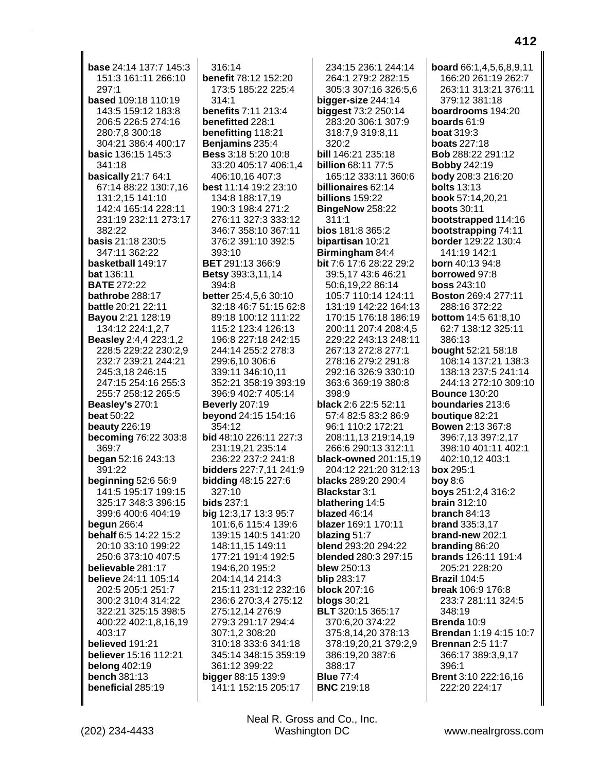base 24:14 137:7 145:3 151:3 161:11 266:10 297:1 based 109:18 110:19 143:5 159:12 183:8 206:5 226:5 274:16 280:7,8 300:18 304:21 386:4 400:17 basic 136:15 145:3 341:18 **basically** 21:7 64:1 67:14 88:22 130:7,16 131:2,15 141:10 142:4 165:14 228:11 231:19 232:11 273:17 382:22 basis 21:18 230:5 347:11 362:22 basketball 149:17 bat 136:11 **BATE 272:22** bathrobe 288:17 battle 20:21 22:11 Bayou 2:21 128:19 134:12 224:1,2,7 **Beasley** 2:4,4 223:1,2 228:5 229:22 230:2.9 232:7 239:21 244:21 245:3,18 246:15 247:15 254:16 255:3 255:7 258:12 265:5 Beasley's 270:1 **beat 50:22** beauty  $226:19$ **becoming 76:22 303:8** 369:7 began 52:16 243:13 391:22 **beginning 52:6 56:9** 141:5 195:17 199:15 325:17 348:3 396:15 399:6 400:6 404:19 begun  $266:4$ behalf 6:5 14:22 15:2 20:10 33:10 199:22 250:6 373:10 407:5 believable 281:17 believe 24:11 105:14 202:5 205:1 251:7 300:2 310:4 314:22 322:21 325:15 398:5 400:22 402:1,8,16,19 403:17 believed 191:21 believer 15:16 112:21 belong  $402:19$ **bench 381:13** beneficial 285:19

 $316:14$ benefit 78:12 152:20 173:5 185:22 225:4  $314.1$ benefits 7:11 213:4 benefitted 228:1 benefitting 118:21 Benjamins 235:4 Bess 3:18 5:20 10:8 33:20 405:17 406:1,4 406:10,16 407:3 best 11:14 19:2 23:10 134:8 188:17,19 190:3 198:4 271:2 276:11 327:3 333:12 346:7 358:10 367:11 376:2 391:10 392:5 393:10 **BET** 291:13 366:9 **Betsy** 393:3,11,14 394:8 better 25:4,5,6 30:10 32:18 46:7 51:15 62:8 89:18 100:12 111:22 115:2 123:4 126:13 196:8 227:18 242:15 244:14 255:2 278:3 299:6,10 306:6 339:11 346:10,11 352:21 358:19 393:19 396:9 402:7 405:14 **Beverly 207:19 beyond** 24:15 154:16 354:12 bid 48:10 226:11 227:3 231:19,21 235:14 236:22 237:2 241:8 bidders 227:7,11 241:9 **bidding 48:15 227:6** 327:10 **bids 237:1** big 12:3,17 13:3 95:7 101:6,6 115:4 139:6 139:15 140:5 141:20 148:11,15 149:11 177:21 191:4 192:5 194:6.20 195:2 204:14.14 214:3 215:11 231:12 232:16 236:6 270:3,4 275:12 275:12,14 276:9 279:3 291:17 294:4 307:1,2 308:20 310:18 333:6 341:18 345:14 348:15 359:19 361:12 399:22 bigger 88:15 139:9 141:1 152:15 205:17

234:15 236:1 244:14 264:1 279:2 282:15 305:3 307:16 326:5,6 bigger-size 244:14 biggest 73:2 250:14 283:20 306:1 307:9 318:7,9 319:8,11 320:2 bill 146:21 235:18 billion 68:11 77:5 165:12 333:11 360:6 billionaires 62:14 billions 159:22 BingeNow 258:22  $311:1$ bios 181:8 365:2 bipartisan 10:21 Birmingham 84:4 bit 7:6 17:6 28:22 29:2 39:5,17 43:6 46:21 50:6,19,22 86:14 105:7 110:14 124:11 131:19 142:22 164:13 170:15 176:18 186:19 200:11 207:4 208:4.5 229:22 243:13 248:11 267:13 272:8 277:1 278:16 279:2 291:8 292:16 326:9 330:10 363:6 369:19 380:8  $398.9$ black 2:6 22:5 52:11 57:4 82:5 83:2 86:9 96:1 110:2 172:21 208:11.13 219:14.19 266:6 290:13 312:11 black-owned 201:15,19 204:12 221:20 312:13 blacks 289:20 290:4 **Blackstar 3:1** blathering 14:5 blazed 46:14 blazer 169:1 170:11 blazing 51:7 blend 293:20 294:22 blended 280:3 297:15 blew 250:13 blip 283:17 **block 207:16 blogs** 30:21 **BLT** 320:15 365:17 370:6,20 374:22 375:8,14,20 378:13 378:19,20,21 379:2,9 386:19,20 387:6 388:17 **Blue 77:4 BNC 219:18** 

board 66:1.4.5.6.8.9.11 166:20 261:19 262:7 263:11 313:21 376:11 379:12 381:18 boardrooms 194:20 boards  $61:9$ **boat 319:3 boats 227:18** Bob 288:22 291:12 **Bobby 242:19** body 208:3 216:20 **bolts** 13:13 book 57:14,20,21 **boots** 30:11 bootstrapped 114:16 **bootstrapping 74:11** border 129:22 130:4 141:19 142:1 **born** 40:13 94:8 borrowed 97:8 **boss 243:10 Boston 269:4 277:11** 288:16 372:22 **bottom** 14:5 61:8,10 62:7 138:12 325:11 386:13 bought 52:21 58:18 108:14 137:21 138:3 138:13 237:5 241:14 244:13 272:10 309:10 **Bounce 130:20** boundaries 213:6 **boutique 82:21 Bowen 2:13 367:8** 396:7,13 397:2,17 398:10 401:11 402:1 402:10,12 403:1 box 295:1 **boy 8:6** boys 251:2,4 316:2  $brain 312:10$ branch  $84:13$ brand 335:3,17 brand-new 202:1 branding 86:20 brands 126:11 191:4 205:21 228:20 **Brazil 104:5 break** 106:9 176:8 233:7 281:11 324:5 348:19 Brenda 10:9 Brendan 1:19 4:15 10:7 **Brennan 2:5 11:7** 366:17 389:3,9,17 396:1 Brent 3:10 222:16,16 222:20 224:17

Washington DC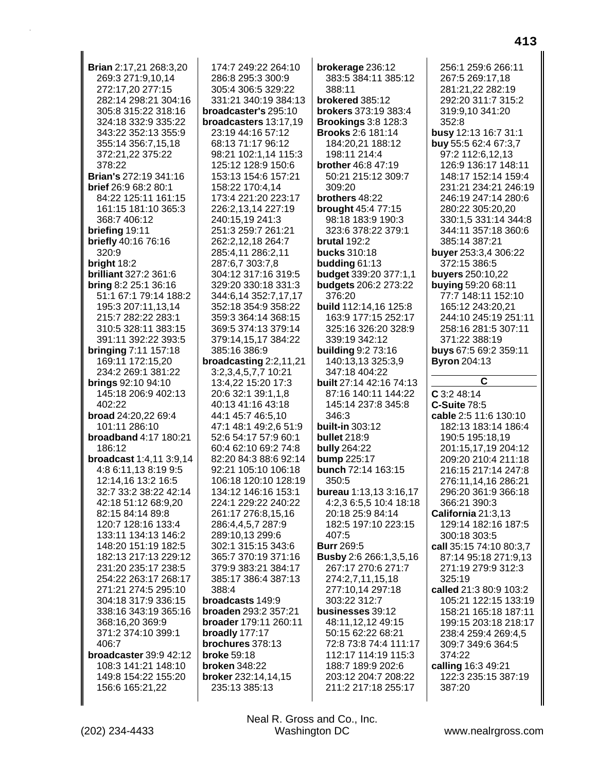| Brian 2:17,21 268:3,20                  | 174:7 249:22 264:10                       | brokerage 236:12                           | 256:1 259:6 266:11                                                             |
|-----------------------------------------|-------------------------------------------|--------------------------------------------|--------------------------------------------------------------------------------|
| 269:3 271:9,10,14                       | 286:8 295:3 300:9                         | 383:5 384:11 385:12                        | 267:5 269:17,18                                                                |
| 272:17,20 277:15                        | 305:4 306:5 329:22                        | 388:11                                     | 281:21,22 282:19                                                               |
| 282:14 298:21 304:16                    | 331:21 340:19 384:13                      | brokered 385:12                            | 292:20 311:7 315:2                                                             |
| 305:8 315:22 318:16                     | broadcaster's 295:10                      | brokers 373:19 383:4                       | 319:9,10 341:20                                                                |
| 324:18 332:9 335:22                     | broadcasters 13:17,19                     | <b>Brookings 3:8 128:3</b>                 | 352:8                                                                          |
| 343:22 352:13 355:9                     | 23:19 44:16 57:12                         | <b>Brooks 2:6 181:14</b>                   | busy 12:13 16:7 31:1                                                           |
| 355:14 356:7,15,18                      | 68:13 71:17 96:12                         | 184:20,21 188:12                           | buy 55:5 62:4 67:3,7                                                           |
| 372:21,22 375:22                        | 98:21 102:1,14 115:3                      | 198:11 214:4                               | 97:2 112:6,12,13                                                               |
| 378:22                                  | 125:12 128:9 150:6                        | <b>brother</b> 46:8 47:19                  | 126:9 136:17 148:11                                                            |
| <b>Brian's 272:19 341:16</b>            | 153:13 154:6 157:21                       | 50:21 215:12 309:7                         | 148:17 152:14 159:4                                                            |
| brief 26:9 68:2 80:1                    | 158:22 170:4,14                           | 309:20                                     | 231:21 234:21 246:19                                                           |
| 84:22 125:11 161:15                     | 173:4 221:20 223:17                       | brothers 48:22                             | 246:19 247:14 280:6                                                            |
| 161:15 181:10 365:3                     | 226:2,13,14 227:19                        | brought 45:4 77:15                         | 280:22 305:20,20                                                               |
| 368:7 406:12                            | 240:15,19 241:3                           | 98:18 183:9 190:3                          | 330:1,5 331:14 344:8                                                           |
| briefing 19:11                          | 251:3 259:7 261:21                        | 323:6 378:22 379:1                         | 344:11 357:18 360:6                                                            |
| briefly 40:16 76:16                     | 262:2,12,18 264:7                         | brutal 192:2                               | 385:14 387:21                                                                  |
| 320:9                                   | 285:4,11 286:2,11                         | <b>bucks</b> 310:18                        | buyer 253:3,4 306:22                                                           |
| bright 18:2                             | 287:6,7 303:7,8                           | budding 61:13                              | 372:15 386:5                                                                   |
| brilliant 327:2 361:6                   | 304:12 317:16 319:5                       | budget 339:20 377:1,1                      | buyers 250:10,22                                                               |
| bring 8:2 25:1 36:16                    | 329:20 330:18 331:3                       | budgets 206:2 273:22                       | buying 59:20 68:11                                                             |
| 51:1 67:1 79:14 188:2                   | 344:6,14 352:7,17,17                      | 376:20                                     | 77:7 148:11 152:10                                                             |
| 195:3 207:11,13,14                      | 352:18 354:9 358:22                       | build 112:14,16 125:8                      | 165:12 243:20,21                                                               |
| 215:7 282:22 283:1                      | 359:3 364:14 368:15                       | 163:9 177:15 252:17                        | 244:10 245:19 251:11                                                           |
| 310:5 328:11 383:15                     | 369:5 374:13 379:14                       | 325:16 326:20 328:9                        | 258:16 281:5 307:11                                                            |
| 391:11 392:22 393:5                     | 379:14,15,17 384:22                       | 339:19 342:12                              | 371:22 388:19                                                                  |
| bringing 7:11 157:18                    | 385:16 386:9                              | <b>building 9:2 73:16</b>                  | buys 67:5 69:2 359:11                                                          |
| 169:11 172:15,20                        | broadcasting 2:2,11,21                    | 140:13,13 325:3,9                          | <b>Byron</b> 204:13                                                            |
| 234:2 269:1 381:22                      | 3:2,3,4,5,7,7 10:21<br>13:4,22 15:20 17:3 | 347:18 404:22                              | С                                                                              |
|                                         |                                           |                                            |                                                                                |
| brings 92:10 94:10                      |                                           | <b>built</b> 27:14 42:16 74:13             |                                                                                |
| 145:18 206:9 402:13                     | 20:6 32:1 39:1,1,8                        | 87:16 140:11 144:22                        | $C$ 3:2 48:14                                                                  |
| 402:22                                  | 40:13 41:16 43:18                         | 145:14 237:8 345:8                         | <b>C-Suite 78:5</b>                                                            |
| broad 24:20,22 69:4                     | 44:1 45:7 46:5,10                         | 346:3                                      | cable 2:5 11:6 130:10                                                          |
| 101:11 286:10                           | 47:1 48:1 49:2,6 51:9                     | built-in 303:12                            | 182:13 183:14 186:4                                                            |
| <b>broadband 4:17 180:21</b>            | 52:6 54:17 57:9 60:1                      | <b>bullet</b> 218:9                        | 190:5 195:18,19                                                                |
| 186:12                                  | 60:4 62:10 69:2 74:8                      | <b>bully 264:22</b>                        | 201:15,17,19 204:12                                                            |
| broadcast 1:4,11 3:9,14                 | 82:20 84:3 88:6 92:14                     | bump 225:17                                | 209:20 210:4 211:18                                                            |
| 4:8 6:11,13 8:19 9:5                    | 92:21 105:10 106:18                       | bunch 72:14 163:15                         | 216:15 217:14 247:8                                                            |
| 12:14,16 13:2 16:5                      | 106:18 120:10 128:19                      | 350:5                                      | 276:11,14,16 286:21                                                            |
| 32:7 33:2 38:22 42:14                   | 134:12 146:16 153:1                       | bureau 1:13,13 3:16,17                     | 296:20 361:9 366:18                                                            |
| 42:18 51:12 68:9,20<br>82:15 84:14 89:8 | 224:1 229:22 240:22<br>261:17 276:8,15,16 | 4:2,3 6:5,5 10:4 18:18<br>20:18 25:9 84:14 | 366:21 390:3                                                                   |
| 120:7 128:16 133:4                      | 286:4,4,5,7 287:9                         | 182:5 197:10 223:15                        | California 21:3,13<br>129:14 182:16 187:5                                      |
| 133:11 134:13 146:2                     | 289:10,13 299:6                           | 407:5                                      | 300:18 303:5                                                                   |
| 148:20 151:19 182:5                     | 302:1 315:15 343:6                        | <b>Burr 269:5</b>                          | call 35:15 74:10 80:3,7                                                        |
| 182:13 217:13 229:12                    | 365:7 370:19 371:16                       | <b>Busby</b> 2:6 266:1,3,5,16              | 87:14 95:18 271:9,13                                                           |
| 231:20 235:17 238:5                     | 379:9 383:21 384:17                       | 267:17 270:6 271:7                         | 271:19 279:9 312:3                                                             |
| 254:22 263:17 268:17                    | 385:17 386:4 387:13                       | 274:2,7,11,15,18                           | 325:19                                                                         |
| 271:21 274:5 295:10                     | 388:4                                     | 277:10,14 297:18                           | called 21:3 80:9 103:2                                                         |
| 304:18 317:9 336:15                     | broadcasts 149:9                          | 303:22 312:7                               |                                                                                |
| 338:16 343:19 365:16                    | broaden 293:2 357:21                      | businesses 39:12                           |                                                                                |
| 368:16,20 369:9                         | broader 179:11 260:11                     | 48:11,12,12 49:15                          |                                                                                |
| 371:2 374:10 399:1                      | broadly 177:17                            | 50:15 62:22 68:21                          | 238:4 259:4 269:4,5                                                            |
| 406:7                                   | brochures 378:13                          | 72:8 73:8 74:4 111:17                      | 309:7 349:6 364:5                                                              |
| broadcaster 39:9 42:12                  | <b>broke 59:18</b>                        | 112:17 114:19 115:3                        | 374:22                                                                         |
| 108:3 141:21 148:10                     | <b>broken</b> 348:22                      | 188:7 189:9 202:6                          | calling 16:3 49:21                                                             |
| 149:8 154:22 155:20                     | broker 232:14,14,15                       | 203:12 204:7 208:22                        | 122:3 235:15 387:19                                                            |
| 156:6 165:21,22                         | 235:13 385:13                             | 211:2 217:18 255:17                        | 105:21 122:15 133:19<br>158:21 165:18 187:11<br>199:15 203:18 218:17<br>387:20 |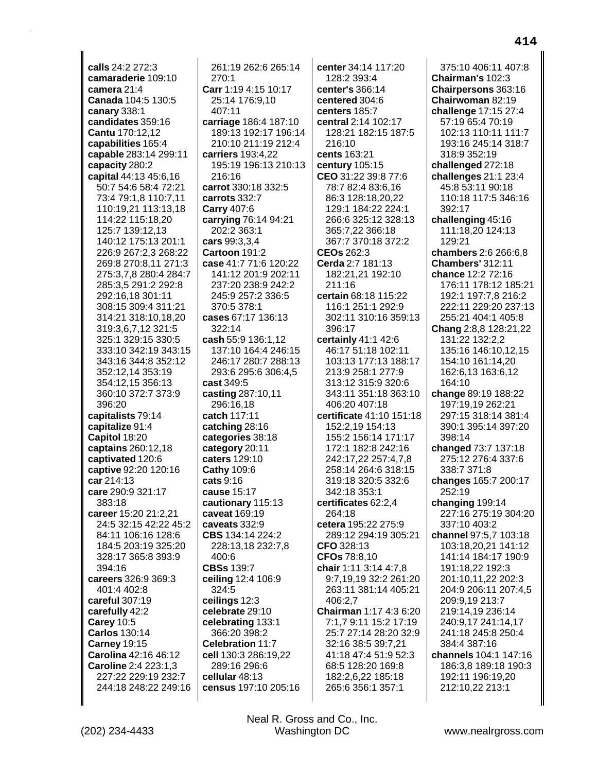calls 24:2 272:3 camaraderie 109:10 camera 21:4 Canada 104:5 130:5 canary 338:1 candidates 359:16 Cantu 170:12,12 capabilities 165:4 capable 283:14 299:11 capacity 280:2 capital 44:13 45:6,16 50:7 54:6 58:4 72:21 73:4 79:1.8 110:7.11 110:19,21 113:13,18 114:22 115:18,20 125:7 139:12,13 140:12 175:13 201:1 226:9 267:2,3 268:22 269:8 270:8,11 271:3 275:3,7,8 280:4 284:7 285:3,5 291:2 292:8 292:16,18 301:11 308:15 309:4 311:21 314:21 318:10,18,20 319:3,6,7,12 321:5 325:1 329:15 330:5 333:10 342:19 343:15 343:16 344:8 352:12 352:12,14 353:19 354:12,15 356:13 360:10 372:7 373:9 396:20 capitalists 79:14 capitalize 91:4 Capitol 18:20 captains 260:12,18 captivated 120:6 captive 92:20 120:16 car 214:13 care 290:9 321:17  $383:18$ career 15:20 21:2,21 24:5 32:15 42:22 45:2 84:11 106:16 128:6 184:5 203:19 325:20 328:17 365:8 393:9  $394.16$ careers 326:9 369:3 401:4 402:8 careful 307:19 carefully 42:2 **Carey 10:5 Carlos 130:14 Carney 19:15** Carolina 42:16 46:12 **Caroline 2:4 223:1.3** 227:22 229:19 232:7 244:18 248:22 249:16

261:19 262:6 265:14  $270:1$ Carr 1:19 4:15 10:17 25:14 176:9,10 407:11 carriage 186:4 187:10 189:13 192:17 196:14 210:10 211:19 212:4 carriers 193:4.22 195:19 196:13 210:13 216:16 carrot 330:18 332:5 carrots 332:7 Carry 407:6 carrying 76:14 94:21 202:2 363:1 cars 99:3,3,4 Cartoon 191:2 case 41:7 71:6 120:22 141:12 201:9 202:11 237:20 238:9 242:2 245:9 257:2 336:5 370:5 378:1 cases 67:17 136:13 322:14 cash 55:9 136:1.12 137:10 164:4 246:15 246:17 280:7 288:13 293:6 295:6 306:4,5 cast 349:5 casting 287:10.11 296:16.18 catch 117:11 catching  $28:16$ categories 38:18 category 20:11 caters 129:10 **Cathy 109:6** cats 9:16 cause 15:17 cautionary 115:13 caveat 169:19 caveats 332:9 CBS 134:14 224:2 228:13,18 232:7,8 400:6 **CBSs 139:7** ceiling 12:4 106:9 324:5 ceilings 12:3 celebrate 29:10 celebrating 133:1 366:20 398:2 Celebration 11:7 cell 130:3 286:19,22 289:16 296:6 cellular 48:13 census 197:10 205:16

center 34:14 117:20 128:2 393:4 center's 366:14 centered 304:6 centers 185:7 central 2:14 102:17 128:21 182:15 187:5 216:10 cents 163:21 century 105:15 CEO 31:22 39:8 77:6 78:7 82:4 83:6,16 86:3 128:18,20,22 129:1 184:22 224:1 266:6 325:12 328:13 365:7,22 366:18 367:7 370:18 372:2 CEOs 262:3 Cerda 2:7 181:13 182:21,21 192:10 211:16 certain 68:18 115:22 116:1 251:1 292:9 302:11 310:16 359:13 396:17 certainly 41:1 42:6 46:17 51:18 102:11 103:13 177:13 188:17 213:9 258:1 277:9 313:12 315:9 320:6 343:11 351:18 363:10 406:20 407:18 certificate 41:10 151:18 152:2,19 154:13 155:2 156:14 171:17 172:1 182:8 242:16 242:17,22 257:4,7,8 258:14 264:6 318:15 319:18 320:5 332:6 342:18 353:1 certificates 62:2,4 264:18 cetera 195:22 275:9 289:12 294:19 305:21 CFO 328:13 CFOs 78:8,10 chair 1:11 3:14 4:7,8 9:7.19.19 32:2 261:20 263:11 381:14 405:21 406:2.7 Chairman 1:17 4:3 6:20 7:1,7 9:11 15:2 17:19 25:7 27:14 28:20 32:9 32:16 38:5 39:7,21 41:18 47:4 51:9 52:3 68:5 128:20 169:8 182:2,6,22 185:18 265:6 356:1 357:1

375:10 406:11 407:8 Chairman's 102:3 Chairpersons 363:16 Chairwoman 82:19 challenge 17:15 27:4 57:19 65:4 70:19 102:13 110:11 111:7 193:16 245:14 318:7 318:9 352:19 challenged 272:18 challenges 21:1 23:4 45:8 53:11 90:18 110:18 117:5 346:16 392:17 challenging 45:16 111:18,20 124:13 129:21 chambers 2:6 266:6,8 **Chambers' 312:11** chance 12:2 72:16 176:11 178:12 185:21 192:1 197:7,8 216:2 222:11 229:20 237:13 255:21 404:1 405:8 Chang 2:8,8 128:21,22 131:22 132:2.2 135:16 146:10.12.15 154:10 161:14,20 162:6,13 163:6,12 164:10 change 89:19 188:22 197:19.19 262:21 297:15 318:14 381:4 390:1 395:14 397:20 398:14 changed 73:7 137:18 275:12 276:4 337:6 338:7 371:8 changes 165:7 200:17 252:19 changing 199:14 227:16 275:19 304:20 337:10 403:2 channel 97:5,7 103:18 103:18,20,21 141:12 141:14 184:17 190:9 191:18.22 192:3 201:10,11,22 202:3 204:9 206:11 207:4,5 209:9,19 213:7 219:14,19 236:14 240:9,17 241:14,17 241:18 245:8 250:4 384:4 387:16 channels 104:1 147:16 186:3,8 189:18 190:3 192:11 196:19,20 212:10,22 213:1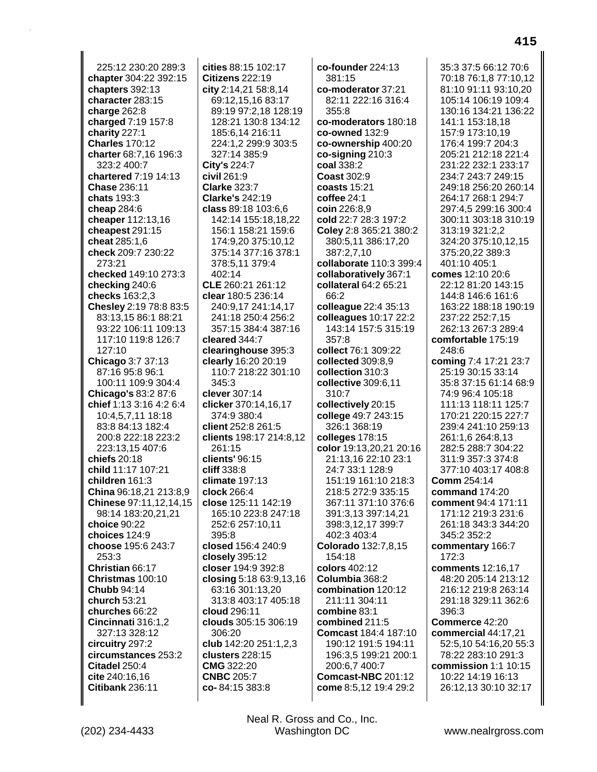225:12 230:20 289:3 **chapter** 304:22 392:15 **chapters** 392:13 **character** 283:15 **charge** 262:8 **charged** 7:19 157:8 **charity** 227:1 **Charles** 170:12 **charter** 68:7,16 196:3 323:2 400:7 **chartered** 7:19 14:13 **Chase** 236:11 **chats** 193:3 **cheap** 284:6 **cheaper** 112:13,16 **cheapest** 291:15 **cheat** 285:1,6 **check** 209:7 230:22 273:21 **checked** 149:10 273:3 **checking** 240:6 **checks** 163:2,3 **Chesley** 2:19 78:8 83:5 83:13,15 86:1 88:21 93:22 106:11 109:13 117:10 119:8 126:7 127:10 **Chicago** 3:7 37:13 87:16 95:8 96:1 100:11 109:9 304:4 **Chicago's** 83:2 87:6 **chief** 1:13 3:16 4:2 6:4 10:4,5,7,11 18:18 83:8 84:13 182:4 200:8 222:18 223:2 223:13,15 407:6 **chiefs** 20:18 **child** 11:17 107:21 **children** 161:3 **China** 96:18,21 213:8,9 **Chinese** 97:11,12,14,15 98:14 183:20,21,21 **choice** 90:22 **choices** 124:9 **choose** 195:6 243:7 253:3 **Christian** 66:17 **Christmas** 100:10 **Chubb** 94:14 **church** 53:21 **churches** 66:22 **Cincinnati** 316:1,2 327:13 328:12 **circuitry** 297:2 **circumstances** 253:2 **Citadel** 250:4 **cite** 240:16,16 **Citibank** 236:11

**cities** 88:15 102:17 **Citizens** 222:19 **city** 2:14,21 58:8,14 69:12,15,16 83:17 89:19 97:2,18 128:19 128:21 130:8 134:12 185:6,14 216:11 224:1,2 299:9 303:5 327:14 385:9 **City's** 224:7 **civil** 261:9 **Clarke** 323:7 **Clarke's** 242:19 **class** 89:18 103:6,6 142:14 155:18,18,22 156:1 158:21 159:6 174:9,20 375:10,12 375:14 377:16 378:1 378:5,11 379:4 402:14 **CLE** 260:21 261:12 **clear** 180:5 236:14 240:9,17 241:14,17 241:18 250:4 256:2 357:15 384:4 387:16 **cleared** 344:7 **clearinghouse** 395:3 **clearly** 16:20 20:19 110:7 218:22 301:10 345:3 **clever** 307:14 **clicker** 370:14,16,17 374:9 380:4 **client** 252:8 261:5 **clients** 198:17 214:8,12 261:15 **clients'** 96:15 **cliff** 338:8 **climate** 197:13 **clock** 266:4 **close** 125:11 142:19 165:10 223:8 247:18 252:6 257:10,11 395:8 **closed** 156:4 240:9 **closely** 395:12 **closer** 194:9 392:8 **closing** 5:18 63:9,13,16 63:16 301:13,20 313:8 403:17 405:18 **cloud** 296:11 **clouds** 305:15 306:19 306:20 **club** 142:20 251:1,2,3 **clusters** 228:15 **CMG** 322:20 **CNBC** 205:7 **co-** 84:15 383:8

**co-founder** 224:13 381:15 **co-moderator** 37:21 82:11 222:16 316:4 355:8 **co-moderators** 180:18 **co-owned** 132:9 **co-ownership** 400:20 **co-signing** 210:3 **coal** 338:2 **Coast** 302:9 **coasts** 15:21 **coffee** 24:1 **coin** 226:8,9 **cold** 22:7 28:3 197:2 **Coley** 2:8 365:21 380:2 380:5,11 386:17,20 387:2,7,10 **collaborate** 110:3 399:4 **collaboratively** 367:1 **collateral** 64:2 65:21 66:2 **colleague** 22:4 35:13 **colleagues** 10:17 22:2 143:14 157:5 315:19 357:8 **collect** 76:1 309:22 **collected** 309:8,9 **collection** 310:3 **collective** 309:6,11 310:7 **collectively** 20:15 **college** 49:7 243:15 326:1 368:19 **colleges** 178:15 **color** 19:13,20,21 20:16 21:13,16 22:10 23:1 24:7 33:1 128:9 151:19 161:10 218:3 218:5 272:9 335:15 367:11 371:10 376:6 391:3,13 397:14,21 398:3,12,17 399:7 402:3 403:4 **Colorado** 132:7,8,15 154:18 **colors** 402:12 **Columbia** 368:2 **combination** 120:12 211:11 304:11 **combine** 83:1 **combined** 211:5 **Comcast** 184:4 187:10 190:12 191:5 194:11 196:3,5 199:21 200:1 200:6,7 400:7 **Comcast-NBC** 201:12 **come** 8:5,12 19:4 29:2

35:3 37:5 66:12 70:6 70:18 76:1,8 77:10,12 81:10 91:11 93:10,20 105:14 106:19 109:4 130:16 134:21 136:22 141:1 153:18,18 157:9 173:10,19 176:4 199:7 204:3 205:21 212:18 221:4 231:22 232:1 233:17 234:7 243:7 249:15 249:18 256:20 260:14 264:17 268:1 294:7 297:4,5 299:16 300:4 300:11 303:18 310:19 313:19 321:2,2 324:20 375:10,12,15 375:20,22 389:3 401:10 405:1 **comes** 12:10 20:6 22:12 81:20 143:15 144:8 146:6 161:6 163:22 188:18 190:19 237:22 252:7,15 262:13 267:3 289:4 **comfortable** 175:19 248:6 **coming** 7:4 17:21 23:7 25:19 30:15 33:14 35:8 37:15 61:14 68:9 74:9 96:4 105:18 111:13 118:11 125:7 170:21 220:15 227:7 239:4 241:10 259:13 261:1,6 264:8,13 282:5 288:7 304:22 311:9 357:3 374:8 377:10 403:17 408:8 **Comm** 254:14 **command** 174:20 **comment** 94:4 171:11 171:12 219:3 231:6 261:18 343:3 344:20 345:2 352:2 **commentary** 166:7 172:3 **comments** 12:16,17 48:20 205:14 213:12 216:12 219:8 263:14 291:18 329:11 362:6 396:3 **Commerce** 42:20 **commercial** 44:17,21 52:5,10 54:16,20 55:3 78:22 283:10 291:3 **commission** 1:1 10:15 10:22 14:19 16:13 26:12,13 30:10 32:17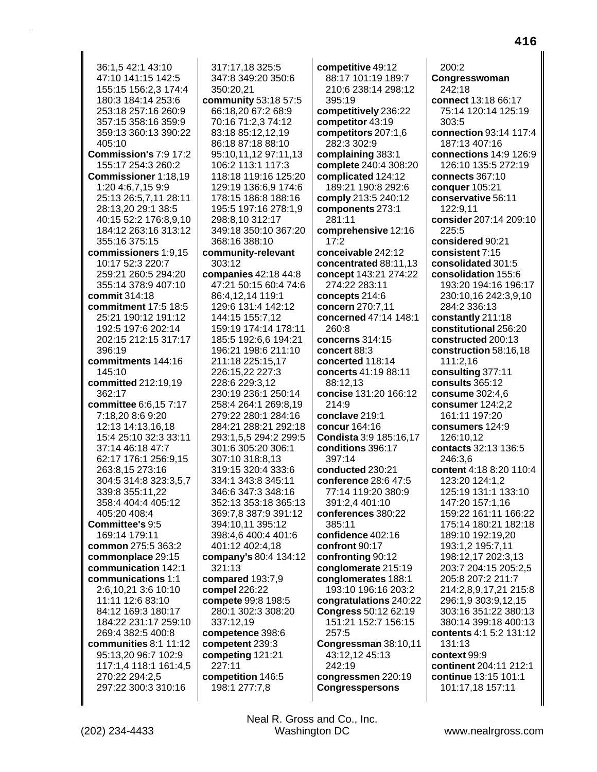36:1.5 42:1 43:10 47:10 141:15 142:5 155:15 156:2,3 174:4 180:3 184:14 253:6 253:18 257:16 260:9 357:15 358:16 359:9 359:13 360:13 390:22 405:10 Commission's 7:9 17:2 155:17 254:3 260:2 Commissioner 1:18,19 1:20 4:6,7,15 9:9 25:13 26:5,7,11 28:11 28:13,20 29:1 38:5 40:15 52:2 176:8,9,10 184:12 263:16 313:12 355:16 375:15 commissioners 1:9.15 10:17 52:3 220:7 259:21 260:5 294:20 355:14 378:9 407:10 commit 314:18 commitment 17:5 18:5 25:21 190:12 191:12 192:5 197:6 202:14 202:15 212:15 317:17 396:19 commitments 144:16 145:10 **committed 212:19.19**  $362.17$ committee 6:6.15 7:17 7:18,20 8:6 9:20 12:13 14:13.16.18 15:4 25:10 32:3 33:11 37:14 46:18 47:7 62:17 176:1 256:9,15 263:8,15 273:16 304:5 314:8 323:3.5.7 339:8 355:11.22 358:4 404:4 405:12 405:20 408:4 Committee's 9:5 169:14 179:11 common 275:5 363:2 commonplace 29:15 communication 142:1 communications 1:1 2:6.10.21 3:6 10:10 11:11 12:6 83:10 84:12 169:3 180:17 184:22 231:17 259:10 269:4 382:5 400:8 communities 8:1 11:12 95:13,20 96:7 102:9 117:1,4 118:1 161:4,5 270:22 294:2,5 297:22 300:3 310:16

317:17,18 325:5 347:8 349:20 350:6 350:20,21 community 53:18 57:5 66:18,20 67:2 68:9 70:16 71:2.3 74:12 83:18 85:12,12,19 86:18 87:18 88:10 95:10,11,12 97:11,13 106:2 113:1 117:3 118:18 119:16 125:20 129:19 136:6,9 174:6 178:15 186:8 188:16 195:5 197:16 278:1.9 298:8,10 312:17 349:18 350:10 367:20 368:16 388:10 community-relevant 303:12 companies 42:18 44:8 47:21 50:15 60:4 74:6 86:4,12,14 119:1 129:6 131:4 142:12 144:15 155:7,12 159:19 174:14 178:11 185:5 192:6.6 194:21 196:21 198:6 211:10 211:18 225:15,17 226:15,22 227:3 228:6 229:3,12 230:19 236:1 250:14 258:4 264:1 269:8.19 279:22 280:1 284:16 284:21 288:21 292:18 293:1,5,5 294:2 299:5 301:6 305:20 306:1 307:10 318:8,13 319:15 320:4 333:6 334:1 343:8 345:11 346:6 347:3 348:16 352:13 353:18 365:13 369:7,8 387:9 391:12 394:10,11 395:12 398:4,6 400:4 401:6 401:12 402:4,18 company's 80:4 134:12 321:13 compared 193:7,9 compel 226:22 compete 99:8 198:5 280:1 302:3 308:20 337:12,19 competence 398:6 competent 239:3 competing 121:21 227:11 competition 146:5 198:1 277:7,8

competitive 49:12 88:17 101:19 189:7 210:6 238:14 298:12 395:19 competitively 236:22 competitor 43:19 competitors 207:1,6 282:3 302:9 complaining 383:1 complete 240:4 308:20 complicated 124:12 189:21 190:8 292:6 comply 213:5 240:12 components 273:1 281:11 comprehensive 12:16  $17:2$ conceivable 242:12 concentrated 88:11,13 concept 143:21 274:22 274:22 283:11 concepts 214:6 concern 270:7.11 concerned 47:14 148:1  $260:8$ concerns 314:15 concert 88:3 concerted 118:14 concerts 41:19 88:11 88:12.13 concise 131:20 166:12  $214:9$ conclave 219:1 concur 164:16 **Condista** 3:9 185:16.17 conditions 396:17 397:14 conducted 230:21 conference 28:6 47:5 77:14 119:20 380:9 391:2.4 401:10 conferences 380:22 385:11 confidence 402:16 confront 90:17 confronting 90:12 conglomerate 215:19 conglomerates 188:1 193:10 196:16 203:2 congratulations 240:22 **Congress 50:12 62:19** 151:21 152:7 156:15 257:5 Congressman 38:10,11 43:12,12 45:13 242:19 congressmen 220:19 **Congresspersons** 

 $200:2$ Congresswoman 242:18 connect 13:18 66:17 75:14 120:14 125:19  $303.5$ connection 93:14 117:4 187:13 407:16 connections 14:9 126:9 126:10 135:5 272:19 connects 367:10 conquer 105:21 conservative 56:11 122:9.11 consider 207:14 209:10 225:5 considered 90:21 consistent 7:15 consolidated 301:5 consolidation 155:6 193:20 194:16 196:17 230:10,16 242:3,9,10 284:2 336:13 constantly 211:18 constitutional 256:20 constructed 200:13 construction 58:16.18 111:2,16 consulting 377:11 consults  $365:12$ consume 302:4.6 consumer 124:2.2 161:11 197:20 consumers 124:9 126:10.12 contacts 32:13 136:5 246:3,6 content 4:18 8:20 110:4 123:20 124:1.2 125:19 131:1 133:10 147:20 157:1,16 159:22 161:11 166:22 175:14 180:21 182:18 189:10 192:19,20 193:1,2 195:7,11 198:12,17 202:3,13 203:7 204:15 205:2,5 205:8 207:2 211:7 214:2,8,9,17,21 215:8 296:1,9 303:9,12,15 303:16 351:22 380:13 380:14 399:18 400:13 contents 4:1 5:2 131:12 131:13 context 99:9 continent 204:11 212:1 continue 13:15 101:1 101:17,18 157:11

416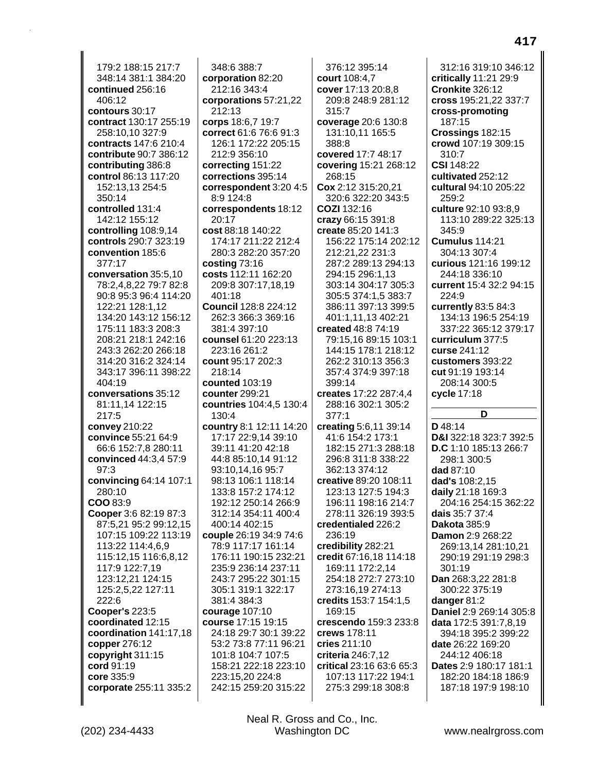179:2 188:15 217:7 348:14 381:1 384:20 **continued** 256:16 406:12 **contours** 30:17 **contract** 130:17 255:19 258:10,10 327:9 **contracts** 147:6 210:4 **contribute** 90:7 386:12 **contributing** 386:8 **control** 86:13 117:20 152:13,13 254:5 350:14 **controlled** 131:4 142:12 155:12 **controlling** 108:9,14 **controls** 290:7 323:19 **convention** 185:6 377:17 **conversation** 35:5,10 78:2,4,8,22 79:7 82:8 90:8 95:3 96:4 114:20 122:21 128:1,12 134:20 143:12 156:12 175:11 183:3 208:3 208:21 218:1 242:16 243:3 262:20 266:18 314:20 316:2 324:14 343:17 396:11 398:22 404:19 **conversations** 35:12 81:11,14 122:15 217:5 **convey** 210:22 **convince** 55:21 64:9 66:6 152:7,8 280:11 **convinced** 44:3,4 57:9 97:3 **convincing** 64:14 107:1 280:10 **COO** 83:9 **Cooper** 3:6 82:19 87:3 87:5,21 95:2 99:12,15 107:15 109:22 113:19 113:22 114:4,6,9 115:12,15 116:6,8,12 117:9 122:7,19 123:12,21 124:15 125:2,5,22 127:11 222:6 **Cooper's** 223:5 **coordinated** 12:15 **coordination** 141:17,18 **copper** 276:12 **copyright** 311:15 **cord** 91:19 **core** 335:9 **corporate** 255:11 335:2

348:6 388:7 **corporation** 82:20 212:16 343:4 **corporations** 57:21,22 212:13 **corps** 18:6,7 19:7 **correct** 61:6 76:6 91:3 126:1 172:22 205:15 212:9 356:10 **correcting** 151:22 **corrections** 395:14 **correspondent** 3:20 4:5 8:9 124:8 **correspondents** 18:12 20:17 **cost** 88:18 140:22 174:17 211:22 212:4 280:3 282:20 357:20 **costing** 73:16 **costs** 112:11 162:20 209:8 307:17,18,19 401:18 **Council** 128:8 224:12 262:3 366:3 369:16 381:4 397:10 **counsel** 61:20 223:13 223:16 261:2 **count** 95:17 202:3 218:14 **counted** 103:19 **counter** 299:21 **countries** 104:4,5 130:4 130:4 **country** 8:1 12:11 14:20 17:17 22:9,14 39:10 39:11 41:20 42:18 44:8 85:10,14 91:12 93:10,14,16 95:7 98:13 106:1 118:14 133:8 157:2 174:12 192:12 250:14 266:9 312:14 354:11 400:4 400:14 402:15 **couple** 26:19 34:9 74:6 78:9 117:17 161:14 176:11 190:15 232:21 235:9 236:14 237:11 243:7 295:22 301:15 305:1 319:1 322:17 381:4 384:3 **courage** 107:10 **course** 17:15 19:15 24:18 29:7 30:1 39:22 53:2 73:8 77:11 96:21 101:8 104:7 107:5 158:21 222:18 223:10 223:15,20 224:8 242:15 259:20 315:22

376:12 395:14 **court** 108:4,7 **cover** 17:13 20:8,8 209:8 248:9 281:12 315:7 **coverage** 20:6 130:8 131:10,11 165:5 388:8 **covered** 17:7 48:17 **covering** 15:21 268:12 268:15 **Cox** 2:12 315:20,21 320:6 322:20 343:5 **COZI** 132:16 **crazy** 66:15 391:8 **create** 85:20 141:3 156:22 175:14 202:12 212:21,22 231:3 287:2 289:13 294:13 294:15 296:1,13 303:14 304:17 305:3 305:5 374:1,5 383:7 386:11 397:13 399:5 401:1,11,13 402:21 **created** 48:8 74:19 79:15,16 89:15 103:1 144:15 178:1 218:12 262:2 310:13 356:3 357:4 374:9 397:18 399:14 **creates** 17:22 287:4,4 288:16 302:1 305:2 377:1 **creating** 5:6,11 39:14 41:6 154:2 173:1 182:15 271:3 288:18 296:8 311:8 338:22 362:13 374:12 **creative** 89:20 108:11 123:13 127:5 194:3 196:11 198:16 214:7 278:11 326:19 393:5 **credentialed** 226:2 236:19 **credibility** 282:21 **credit** 67:16,18 114:18 169:11 172:2,14 254:18 272:7 273:10 273:16,19 274:13 **credits** 153:7 154:1,5 169:15 **crescendo** 159:3 233:8 **crews** 178:11 **cries** 211:10 **criteria** 246:7,12 **critical** 23:16 63:6 65:3 107:13 117:22 194:1 275:3 299:18 308:8

312:16 319:10 346:12 **critically** 11:21 29:9 **Cronkite** 326:12 **cross** 195:21,22 337:7 **cross-promoting** 187:15 **Crossings** 182:15 **crowd** 107:19 309:15 310:7 **CSI** 148:22 **cultivated** 252:12 **cultural** 94:10 205:22 259:2 **culture** 92:10 93:8,9 113:10 289:22 325:13 345:9 **Cumulus** 114:21 304:13 307:4 **curious** 121:16 199:12 244:18 336:10 **current** 15:4 32:2 94:15 224:9 **currently** 83:5 84:3 134:13 196:5 254:19 337:22 365:12 379:17 **curriculum** 377:5 **curse** 241:12 **customers** 393:22 **cut** 91:19 193:14 208:14 300:5 **cycle** 17:18 **D D** 48:14 **D&I** 322:18 323:7 392:5 **D.C** 1:10 185:13 266:7 298:1 300:5 **dad** 87:10 **dad's** 108:2,15 **daily** 21:18 169:3 204:16 254:15 362:22 **dais** 35:7 37:4 **Dakota** 385:9 **Damon** 2:9 268:22 269:13,14 281:10,21 290:19 291:19 298:3 301:19 **Dan** 268:3,22 281:8 300:22 375:19 **danger** 81:2 **Daniel** 2:9 269:14 305:8 **data** 172:5 391:7,8,19 394:18 395:2 399:22

**date** 26:22 169:20 244:12 406:18 **Dates** 2:9 180:17 181:1 182:20 184:18 186:9 187:18 197:9 198:10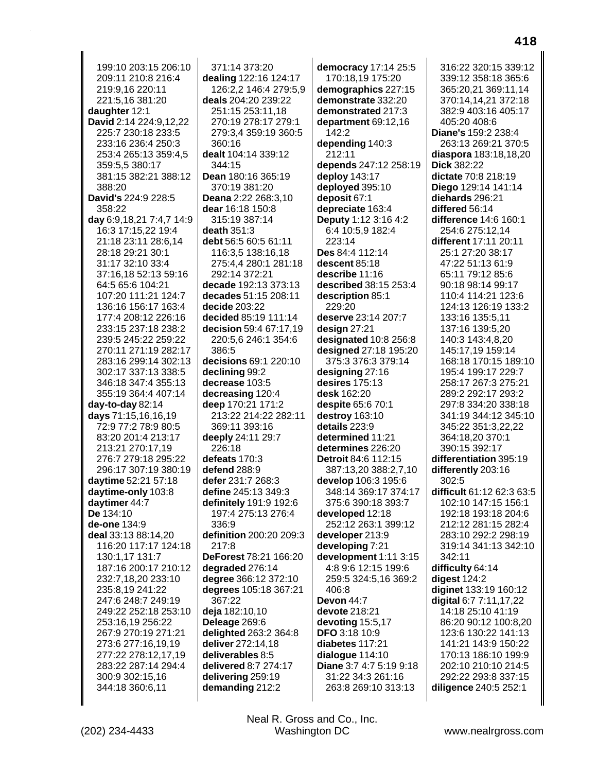199:10 203:15 206:10 209:11 210:8 216:4 219:9,16 220:11 221:5.16 381:20 daughter 12:1 David 2:14 224:9,12,22 225:7 230:18 233:5 233:16 236:4 250:3 253:4 265:13 359:4.5 359:5,5 380:17 381:15 382:21 388:12 388:20 David's 224:9 228:5 358:22 day 6:9,18,21 7:4,7 14:9 16:3 17:15,22 19:4 21:18 23:11 28:6,14 28:18 29:21 30:1 31:17 32:10 33:4 37:16,18 52:13 59:16 64:5 65:6 104:21 107:20 111:21 124:7 136:16 156:17 163:4 177:4 208:12 226:16 233:15 237:18 238:2 239:5 245:22 259:22 270:11 271:19 282:17 283:16 299:14 302:13 302:17 337:13 338:5 346:18 347:4 355:13 355:19 364:4 407:14 day-to-day  $82:14$ days 71:15,16,16,19 72:9 77:2 78:9 80:5 83:20 201:4 213:17 213:21 270:17,19 276:7 279:18 295:22 296:17 307:19 380:19 daytime 52:21 57:18 daytime-only 103:8 daytimer 44:7 De 134:10 de-one 134:9 deal 33:13 88:14.20 116:20 117:17 124:18 130:1,17 131:7 187:16 200:17 210:12 232:7,18,20 233:10 235:8,19 241:22 247:6 248:7 249:19 249:22 252:18 253:10 253:16,19 256:22 267:9 270:19 271:21 273:6 277:16,19,19 277:22 278:12,17,19 283:22 287:14 294:4 300:9 302:15,16 344:18 360:6,11

371:14 373:20 dealing 122:16 124:17 126:2,2 146:4 279:5,9 deals 204:20 239:22 251:15 253:11.18 270:19 278:17 279:1 279:3.4 359:19 360:5 360:16 dealt 104:14 339:12 344:15 Dean 180:16 365:19 370:19 381:20 Deana 2:22 268:3.10 dear 16:18 150:8 315:19 387:14 death  $351:3$ debt 56:5 60:5 61:11 116:3,5 138:16,18 275:4,4 280:1 281:18 292:14 372:21 decade 192:13 373:13 decades 51:15 208:11 decide 203:22 decided 85:19 111:14 decision 59:4 67:17.19 220:5.6 246:1 354:6 386:5 decisions 69:1 220:10 declining 99:2 decrease 103:5 decreasing 120:4 deep 170:21 171:2 213:22 214:22 282:11 369:11 393:16 deeply 24:11 29:7 226:18 defeats 170:3 defend 288:9 defer 231:7 268:3 define 245:13 349:3 definitely 191:9 192:6 197:4 275:13 276:4 336:9 definition 200:20 209:3 217:8 DeForest 78:21 166:20 degraded 276:14 degree 366:12 372:10 degrees 105:18 367:21 367:22 deja 182:10,10 Deleage 269:6 delighted 263:2 364:8 deliver 272:14,18 deliverables 8:5 delivered 8:7 274:17 delivering 259:19 demanding 212:2

democracy 17:14 25:5 170:18,19 175:20 demographics 227:15 demonstrate 332:20 demonstrated 217:3 department 69:12,16 142:2 depending 140:3 212:11 depends 247:12 258:19 deploy 143:17 deployed 395:10 deposit 67:1 depreciate 163:4 Deputy 1:12 3:16 4:2 6:4 10:5,9 182:4 223:14 Des 84:4 112:14 descent 85:18 describe 11:16 described 38:15 253:4 description 85:1 229:20 deserve 23:14 207:7 design  $27:21$ designated 10:8 256:8 designed 27:18 195:20 375:3 376:3 379:14 designing  $27:16$ desires  $175:13$ desk 162:20 despite 65:6 70:1 destroy 163:10 details 223:9 determined 11:21 determines 226:20 Detroit 84:6 112:15 387:13,20 388:2,7,10 develop 106:3 195:6 348:14 369:17 374:17 375:6 390:18 393:7 developed 12:18 252:12 263:1 399:12 developer 213:9 developing 7:21 development 1:11 3:15 4:8 9:6 12:15 199:6 259:5 324:5,16 369:2 406:8 Devon 44:7 devote 218:21 devoting 15:5,17 **DFO 3:18 10:9** diabetes 117:21 dialogue 114:10 Diane 3:7 4:7 5:19 9:18 31:22 34:3 261:16 263:8 269:10 313:13

316:22 320:15 339:12 339:12 358:18 365:6 365:20,21 369:11,14 370:14,14,21 372:18 382:9 403:16 405:17 405:20 408:6 Diane's 159:2 238:4 263:13 269:21 370:5 diaspora 183:18,18,20 **Dick 382:22** dictate 70:8 218:19 Diego 129:14 141:14 diehards 296:21 differed 56:14 difference 14:6 160:1 254:6 275:12,14 different 17:11 20:11 25:1 27:20 38:17 47:22 51:13 61:9 65:11 79:12 85:6 90:18 98:14 99:17 110:4 114:21 123:6 124:13 126:19 133:2 133:16 135:5,11 137:16 139:5.20 140:3 143:4.8.20 145:17.19 159:14 168:18 170:15 189:10 195:4 199:17 229:7 258:17 267:3 275:21 289:2 292:17 293:2 297:8 334:20 338:18 341:19 344:12 345:10 345:22 351:3,22,22 364:18.20 370:1 390:15 392:17 differentiation 395:19 differently 203:16  $302:5$ difficult 61:12 62:3 63:5 102:10 147:15 156:1 192:18 193:18 204:6 212:12 281:15 282:4 283:10 292:2 298:19 319:14 341:13 342:10 342:11 difficulty 64:14 digest 124:2 diginet 133:19 160:12 digital 6:7 7:11,17,22 14:18 25:10 41:19 86:20 90:12 100:8,20 123:6 130:22 141:13 141:21 143:9 150:22 170:13 186:10 199:9 202:10 210:10 214:5 292:22 293:8 337:15 diligence 240:5 252:1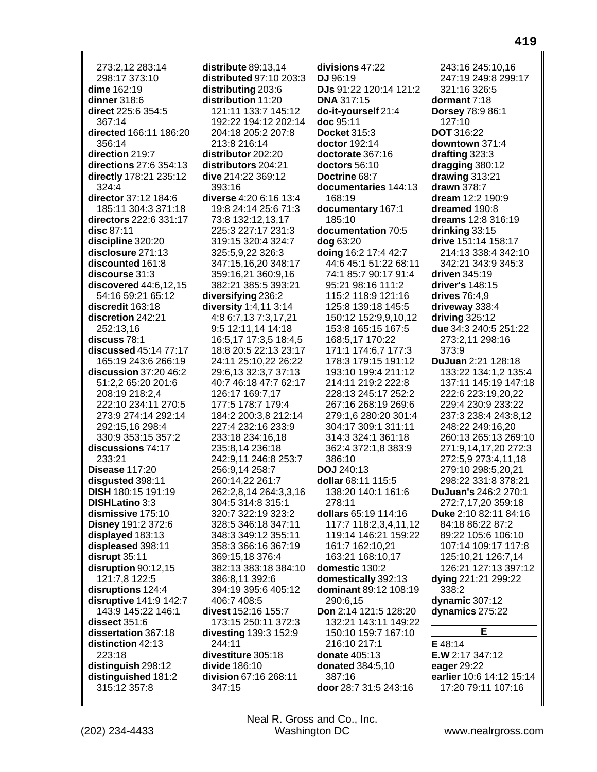273:2.12.283:14 298:17 373:10 dime 162:19 dinner 318:6 direct 225:6 354:5  $367.14$ directed 166:11 186:20 356:14 direction 219:7 directions 27:6 354:13 directly 178:21 235:12 324:4 director 37:12 184:6 185:11 304:3 371:18 directors 222:6 331:17 disc 87:11 discipline 320:20 disclosure 271:13 discounted 161:8 discourse 31:3 discovered  $44:6,12,15$ 54:16 59:21 65:12 discredit 163:18 discretion 242:21 252:13.16 discuss 78:1 discussed 45:14 77:17 165:19 243:6 266:19  $disclusion$  37:20 46:2 51:2,2 65:20 201:6 208:19 218:2.4 222:10 234:11 270:5 273:9 274:14 292:14 292:15.16 298:4 330:9 353:15 357:2 discussions 74:17 233:21 **Disease 117:20** disqusted 398:11 **DISH 180:15 191:19 DISHLatino 3:3** dismissive 175:10 Disney 191:2 372:6 displayed 183:13 displeased 398:11 disrupt 35:11 disruption 90:12,15 121:7.8 122:5 disruptions 124:4 disruptive 141:9 142:7 143:9 145:22 146:1 dissect 351:6 dissertation 367:18 distinction 42:13 223:18 distinguish 298:12 distinguished 181:2 315:12 357:8

distribute 89:13.14 distributed 97:10 203:3 distributing 203:6 distribution 11:20 121:11 133:7 145:12 192:22 194:12 202:14 204:18 205:2 207:8 213:8 216:14 distributor 202:20 distributors 204:21 dive 214:22 369:12 393:16 diverse 4:20 6:16 13:4 19:8 24:14 25:6 71:3 73:8 132:12,13,17 225:3 227:17 231:3 319:15 320:4 324:7 325:5,9,22 326:3 347:15,16,20 348:17 359:16,21 360:9,16 382:21 385:5 393:21 diversifying 236:2 diversity 1:4,11 3:14 4:8 6:7,13 7:3,17,21 9:5 12:11,14 14:18 16:5.17 17:3.5 18:4.5 18:8 20:5 22:13 23:17 24:11 25:10,22 26:22 29:6,13 32:3,7 37:13 40:7 46:18 47:7 62:17 126:17 169:7.17 177:5 178:7 179:4 184:2 200:3,8 212:14 227:4 232:16 233:9 233:18 234:16.18 235:8,14 236:18 242:9,11 246:8 253:7 256:9,14 258:7 260:14.22 261:7 262:2,8,14 264:3,3,16 304:5 314:8 315:1 320:7 322:19 323:2 328:5 346:18 347:11 348:3 349:12 355:11 358:3 366:16 367:19 369:15,18 376:4 382:13 383:18 384:10 386:8,11 392:6 394:19 395:6 405:12 406:7 408:5 divest 152:16 155:7 173:15 250:11 372:3 divesting 139:3 152:9 244:11 divestiture 305:18 divide 186:10 division 67:16 268:11 347:15

divisions 47:22 DJ 96:19 DJs 91:22 120:14 121:2 **DNA 317:15** do-it-yourself 21:4 doc 95:11 **Docket 315:3** doctor 192:14 doctorate 367:16 doctors 56:10 Doctrine 68:7 documentaries 144:13 168:19 documentary 167:1 185:10 documentation 70:5 dog 63:20 doing 16:2 17:4 42:7 44:6 45:1 51:22 68:11 74:1 85:7 90:17 91:4 95:21 98:16 111:2 115:2 118:9 121:16 125:8 139:18 145:5 150:12 152:9,9,10,12 153:8 165:15 167:5 168:5.17 170:22 171:1 174:6.7 177:3 178:3 179:15 191:12 193:10 199:4 211:12 214:11 219:2 222:8 228:13 245:17 252:2 267:16 268:19 269:6 279:1,6 280:20 301:4 304:17 309:1 311:11 314:3 324:1 361:18 362:4 372:1,8 383:9 386:10 **DOJ** 240:13 dollar 68:11 115:5 138:20 140:1 161:6 278:11 dollars 65:19 114:16 117:7 118:2,3,4,11,12 119:14 146:21 159:22 161:7 162:10,21 163:21 168:10,17 domestic 130:2 domestically 392:13 dominant 89:12 108:19 290:6.15 Don 2:14 121:5 128:20 132:21 143:11 149:22 150:10 159:7 167:10 216:10 217:1 donate 405:13 donated 384:5,10 387:16 door 28:7 31:5 243:16

243:16 245:10.16 247:19 249:8 299:17 321:16 326:5 dormant 7:18 Dorsey 78:9 86:1  $127:10$ **DOT** 316:22 downtown 371:4 drafting 323:3 dragging 380:12 drawing 313:21 drawn 378:7 dream 12:2 190:9 dreamed 190:8 dreams 12:8 316:19 drinking 33:15 drive 151:14 158:17 214:13 338:4 342:10 342:21 343:9 345:3 driven 345:19 driver's 148:15 drives 76:4.9 driveway 338:4 driving  $325:12$ due 34:3 240:5 251:22 273:2.11 298:16  $373:9$ DuJuan 2:21 128:18 133:22 134:1,2 135:4 137:11 145:19 147:18 222:6 223:19.20.22 229:4 230:9 233:22 237:3 238:4 243:8,12 248:22 249:16.20 260:13 265:13 269:10 271:9,14,17,20 272:3 272:5,9 273:4,11,18 279:10 298:5,20,21 298:22 331:8 378:21 DuJuan's 246:2 270:1 272:7,17,20 359:18 Duke 2:10 82:11 84:16 84:18 86:22 87:2 89:22 105:6 106:10 107:14 109:17 117:8 125:10,21 126:7,14 126:21 127:13 397:12 dying 221:21 299:22 338:2 dynamic 307:12 dynamics 275:22 Е E 48:14 E.W 2:17 347:12 eager 29:22 earlier 10:6 14:12 15:14 17:20 79:11 107:16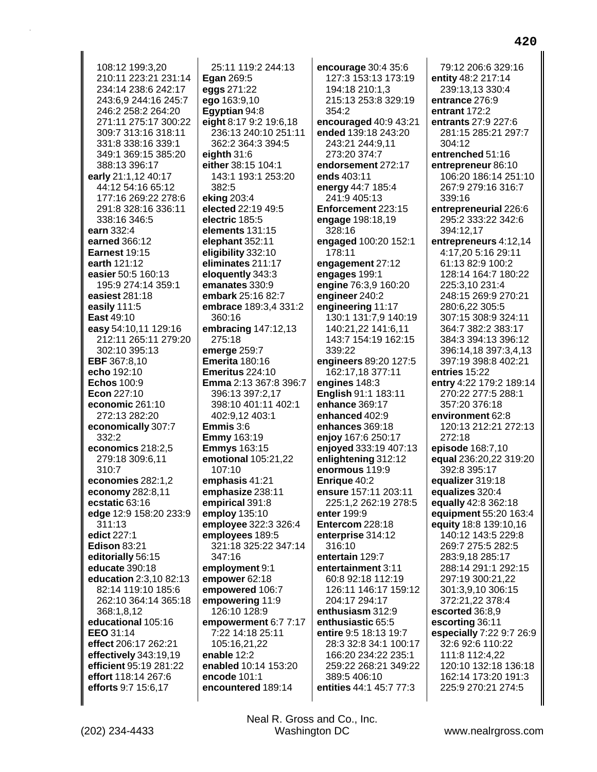108:12 199:3.20 210:11 223:21 231:14 234:14 238:6 242:17 243:6.9 244:16 245:7 246:2 258:2 264:20 271:11 275:17 300:22 309:7 313:16 318:11 331:8 338:16 339:1 349:1 369:15 385:20 388:13 396:17 early 21:1,12 40:17 44:12 54:16 65:12 177:16 269:22 278:6 291:8 328:16 336:11 338:16 346:5 earn 332:4 earned 366:12 **Earnest 19:15** earth 121:12 easier 50:5 160:13 195:9 274:14 359:1 easiest 281:18 easily 111:5 **East 49:10** easy 54:10,11 129:16 212:11 265:11 279:20 302:10 395:13 **EBF** 367:8,10 echo 192:10 **Echos 100:9** Econ 227:10 economic  $261:10$ 272:13 282:20 economically 307:7 332:2 economics 218:2,5 279:18 309:6,11 310:7 economies 282:1,2 economy 282:8,11 ecstatic 63:16 edge 12:9 158:20 233:9  $311:13$ edict 227:1 **Edison 83:21** editorially 56:15 educate 390:18 education 2:3,10 82:13 82:14 119:10 185:6 262:10 364:14 365:18 368:1,8,12 educational 105:16 EEO 31:14 effect 206:17 262:21 effectively 343:19,19 efficient 95:19 281:22 effort 118:14 267:6 efforts 9:7 15:6,17

25:11 119:2 244:13 **Egan 269:5** eggs 271:22 ego 163:9,10 Eqyptian 94:8 eight 8:17 9:2 19:6,18 236:13 240:10 251:11 362:2 364:3 394:5 eighth  $31:6$ either 38:15 104:1 143:1 193:1 253:20 382:5 eking 203:4 elected 22:19 49:5 electric 185:5 elements 131:15 elephant 352:11 eligibility 332:10 eliminates 211:17 eloquently 343:3 emanates 330:9 embark 25:16 82:7 embrace 189:3,4 331:2 360:16 embracing  $147:12,13$ 275:18 emerge 259:7 **Emerita** 180:16 **Emeritus** 224:10 Emma 2:13 367:8 396:7 396:13 397:2.17 398:10 401:11 402:1 402:9,12 403:1 **Emmis**  $3:6$ **Emmy** 163:19 **Emmys** 163:15 emotional 105:21,22 107:10 emphasis 41:21 emphasize 238:11 empirical 391:8 employ 135:10 employee 322:3 326:4 employees 189:5 321:18 325:22 347:14 347:16 employment 9:1 empower 62:18 empowered 106:7 empowering 11:9 126:10 128:9 empowerment 6:7 7:17 7:22 14:18 25:11 105:16,21,22 enable 12:2 enabled 10:14 153:20 encode 101:1 encountered 189:14

encourage 30:4 35:6 127:3 153:13 173:19 194:18 210:1,3 215:13 253:8 329:19 354:2 encouraged 40:9 43:21 ended 139:18 243:20 243:21 244:9,11 273:20 374:7 endorsement 272:17 ends 403:11 energy 44:7 185:4 241:9 405:13 Enforcement 223:15 engage 198:18,19 328:16 engaged 100:20 152:1 178:11 engagement 27:12 engages 199:1 engine 76:3,9 160:20 engineer 240:2 engineering 11:17 130:1 131:7,9 140:19 140:21,22 141:6,11 143:7 154:19 162:15 339:22 engineers 89:20 127:5 162:17,18 377:11 engines 148:3 English 91:1 183:11 enhance 369:17 enhanced 402:9 enhances 369:18 enjoy 167:6 250:17 enjoyed 333:19 407:13 enlightening 312:12 enormous 119:9 Enrique 40:2 ensure 157:11 203:11 225:1,2 262:19 278:5 enter 199:9 Entercom 228:18 enterprise 314:12 316:10 entertain 129:7 entertainment 3:11 60:8 92:18 112:19 126:11 146:17 159:12 204:17 294:17 enthusiasm 312:9 enthusiastic 65:5 entire 9:5 18:13 19:7 28:3 32:8 34:1 100:17 166:20 234:22 235:1 259:22 268:21 349:22 389:5 406:10 entities 44:1 45:7 77:3

79:12 206:6 329:16 entity 48:2 217:14 239:13,13 330:4 entrance 276:9 entrant 172:2 entrants 27:9 227:6 281:15 285:21 297:7 304:12 entrenched 51:16 entrepreneur 86:10 106:20 186:14 251:10 267:9 279:16 316:7 339:16 entrepreneurial 226:6 295:2 333:22 342:6 394:12,17 entrepreneurs 4:12,14 4:17,20 5:16 29:11 61:13 82:9 100:2 128:14 164:7 180:22 225:3,10 231:4 248:15 269:9 270:21 280:6,22 305:5 307:15 308:9 324:11 364:7 382:2 383:17 384:3 394:13 396:12 396:14.18 397:3.4.13 397:19 398:8 402:21 entries 15:22 entry 4:22 179:2 189:14 270:22 277:5 288:1  $357.20376.18$ environment 62:8 120:13 212:21 272:13 272:18 episode 168:7,10 equal 236:20,22 319:20 392:8 395:17 equalizer 319:18 equalizes 320:4 equally 42:8 362:18 equipment 55:20 163:4 equity 18:8 139:10,16 140:12 143:5 229:8 269:7 275:5 282:5 283:9,18 285:17 288:14 291:1 292:15 297:19 300:21,22 301:3.9.10 306:15 372:21,22 378:4 escorted 36:8,9 escorting 36:11 especially 7:22 9:7 26:9 32:6 92:6 110:22 111:8 112:4,22 120:10 132:18 136:18 162:14 173:20 191:3 225:9 270:21 274:5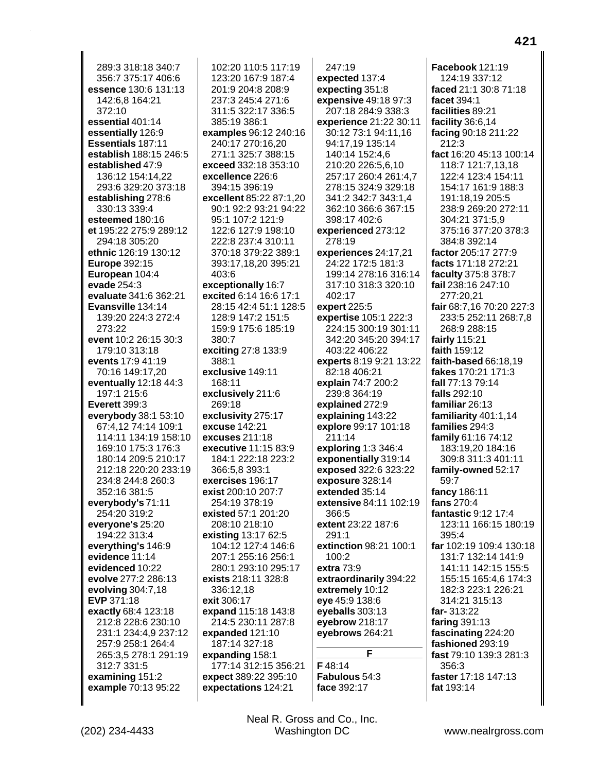289:3 318:18 340:7 356:7 375:17 406:6 essence 130:6 131:13 142:6.8 164:21 372:10 essential 401:14 essentially 126:9 Essentials 187:11 establish 188:15 246:5 established 47:9 136:12 154:14,22 293:6 329:20 373:18 establishing 278:6 330:13 339:4 esteemed 180:16 et 195:22 275:9 289:12 294:18 305:20 ethnic 126:19 130:12 **Europe 392:15** European 104:4 evade 254:3 evaluate 341:6 362:21 Evansville 134:14 139:20 224:3 272:4 273:22 event 10:2 26:15 30:3 179:10 313:18 events 17:9 41:19 70:16 149:17,20 eventually  $12:18$  44:3 197:1 215:6 **Everett 399:3** everybody 38:1 53:10 67:4.12 74:14 109:1 114:11 134:19 158:10 169:10 175:3 176:3 180:14 209:5 210:17 212:18 220:20 233:19 234:8 244:8 260:3 352:16 381:5 everybody's 71:11 254:20 319:2 everyone's 25:20 194:22 313:4 everything's 146:9 evidence 11:14 evidenced 10:22 evolve 277:2 286:13 evolving 304:7,18 EVP 371:18 exactly 68:4 123:18 212:8 228:6 230:10 231:1 234:4,9 237:12 257:9 258:1 264:4 265:3,5 278:1 291:19 312:7 331:5 examining 151:2 example 70:13 95:22

102:20 110:5 117:19 123:20 167:9 187:4 201:9 204:8 208:9 237:3 245:4 271:6 311:5 322:17 336:5 385:19 386:1 examples 96:12 240:16 240:17 270:16,20 271:1 325:7 388:15 exceed 332:18 353:10 excellence 226:6 394:15 396:19 excellent 85:22 87:1,20 90:1 92:2 93:21 94:22 95:1 107:2 121:9 122:6 127:9 198:10 222:8 237:4 310:11 370:18 379:22 389:1 393:17,18,20 395:21 403:6 exceptionally 16:7 excited 6:14 16:6 17:1 28:15 42:4 51:1 128:5 128:9 147:2 151:5 159:9 175:6 185:19 380:7 exciting 27:8 133:9 388:1 exclusive 149:11 168:11 exclusively 211:6 269:18 exclusivity 275:17 excuse 142:21 excuses 211:18 executive 11:15 83:9 184:1 222:18 223:2 366:5,8 393:1 exercises 196:17 exist 200:10 207:7 254:19 378:19 existed 57:1 201:20 208:10 218:10 existing 13:17 62:5 104:12 127:4 146:6 207:1 255:16 256:1 280:1 293:10 295:17 exists 218:11 328:8 336:12.18 exit 306:17 expand 115:18 143:8 214:5 230:11 287:8 expanded 121:10 187:14 327:18 expanding 158:1 177:14 312:15 356:21 expect 389:22 395:10 expectations 124:21

 $247:19$ expected 137:4 expecting 351:8 expensive 49:18 97:3 207:18 284:9 338:3 experience 21:22 30:11 30:12 73:1 94:11,16 94:17,19 135:14 140:14 152:4.6 210:20 226:5,6,10 257:17 260:4 261:4,7 278:15 324:9 329:18 341:2 342:7 343:1.4 362:10 366:6 367:15 398:17 402:6 experienced 273:12 278:19 experiences 24:17,21 24:22 172:5 181:3 199:14 278:16 316:14 317:10 318:3 320:10 402:17 expert 225:5 expertise 105:1 222:3 224:15 300:19 301:11 342:20 345:20 394:17 403:22 406:22 experts 8:19 9:21 13:22 82:18 406:21 explain 74:7 200:2 239:8 364:19 explained 272:9 explaining 143:22 explore 99:17 101:18 211:14 exploring 1:3 346:4 exponentially 319:14 exposed 322:6 323:22 exposure 328:14 extended 35:14 extensive 84:11 102:19 366:5 extent 23:22 187:6  $291.1$ extinction 98:21 100:1 100:2 extra 73:9 extraordinarily 394:22 extremely 10:12 eye 45:9 138:6 eyeballs  $303:13$ eyebrow 218:17 eyebrows 264:21 F F48:14 **Fabulous** 54:3 face 392:17

Facebook 121:19 124:19 337:12 faced 21:1 30:8 71:18 facet 394:1 facilities 89:21 facility 36:6,14 facing 90:18 211:22 212:3 fact 16:20 45:13 100:14 118:7 121:7,13,18 122:4 123:4 154:11 154:17 161:9 188:3 191:18.19 205:5 238:9 269:20 272:11 304:21 371:5,9 375:16 377:20 378:3 384:8 392:14 factor 205:17 277:9 facts 171:18 272:21 faculty 375:8 378:7 fail 238:16 247:10 277:20,21 fair 68:7,16 70:20 227:3 233:5 252:11 268:7,8 268:9 288:15 fairly 115:21 faith 159:12 faith-based 66:18.19 **fakes** 170:21 171:3 fall 77:13 79:14 falls 292:10 familiar 26:13 familiarity 401:1,14 families 294:3 family 61:16 74:12 183:19,20 184:16 309:8 311:3 401:11 family-owned 52:17 59:7 fancy 186:11 fans 270:4 fantastic 9:12 17:4 123:11 166:15 180:19 395:4 far 102:19 109:4 130:18 131:7 132:14 141:9 141:11 142:15 155:5 155:15 165:4,6 174:3 182:3 223:1 226:21 314:21 315:13 far-313:22 faring  $391:13$ fascinating 224:20 fashioned 293:19 fast 79:10 139:3 281:3  $356.3$ faster 17:18 147:13 fat 193:14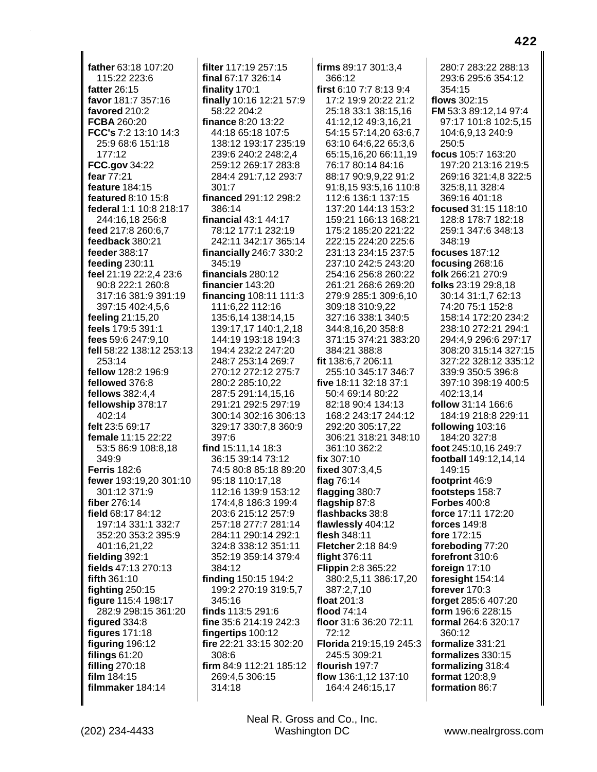**father** 63:18 107:20 115:22 223:6 **fatter** 26:15 **favor** 181:7 357:16 **favored** 210:2 **FCBA** 260:20 **FCC's** 7:2 13:10 14:3 25:9 68:6 151:18 177:12 **FCC.gov** 34:22 **fear** 77:21 **feature** 184:15 **featured** 8:10 15:8 **federal** 1:1 10:8 218:17 244:16,18 256:8 **feed** 217:8 260:6,7 **feedback** 380:21 **feeder** 388:17 **feeding** 230:11 **feel** 21:19 22:2,4 23:6 90:8 222:1 260:8 317:16 381:9 391:19 397:15 402:4,5,6 **feeling** 21:15,20 **feels** 179:5 391:1 **fees** 59:6 247:9,10 **fell** 58:22 138:12 253:13 253:14 **fellow** 128:2 196:9 **fellowed** 376:8 **fellows** 382:4,4 **fellowship** 378:17 402:14 **felt** 23:5 69:17 **female** 11:15 22:22 53:5 86:9 108:8,18 349:9 **Ferris** 182:6 **fewer** 193:19,20 301:10 301:12 371:9 **fiber** 276:14 **field** 68:17 84:12 197:14 331:1 332:7 352:20 353:2 395:9 401:16,21,22 **fielding** 392:1 **fields** 47:13 270:13 **fifth** 361:10 **fighting** 250:15 **figure** 115:4 198:17 282:9 298:15 361:20 **figured** 334:8 **figures** 171:18 **figuring** 196:12 **filings** 61:20 **filling** 270:18 **film** 184:15 **filmmaker** 184:14

**filter** 117:19 257:15 **final** 67:17 326:14 **finality** 170:1 **finally** 10:16 12:21 57:9 58:22 204:2 **finance** 8:20 13:22 44:18 65:18 107:5 138:12 193:17 235:19 239:6 240:2 248:2,4 259:12 269:17 283:8 284:4 291:7,12 293:7 301:7 **financed** 291:12 298:2 386:14 **financial** 43:1 44:17 78:12 177:1 232:19 242:11 342:17 365:14 **financially** 246:7 330:2 345:19 **financials** 280:12 **financier** 143:20 **financing** 108:11 111:3 111:6,22 112:16 135:6,14 138:14,15 139:17,17 140:1,2,18 144:19 193:18 194:3 194:4 232:2 247:20 248:7 253:14 269:7 270:12 272:12 275:7 280:2 285:10,22 287:5 291:14,15,16 291:21 292:5 297:19 300:14 302:16 306:13 329:17 330:7,8 360:9 397:6 **find** 15:11,14 18:3 36:15 39:14 73:12 74:5 80:8 85:18 89:20 95:18 110:17,18 112:16 139:9 153:12 174:4,8 186:3 199:4 203:6 215:12 257:9 257:18 277:7 281:14 284:11 290:14 292:1 324:8 338:12 351:11 352:19 359:14 379:4 384:12 **finding** 150:15 194:2 199:2 270:19 319:5,7 345:16 **finds** 113:5 291:6 **fine** 35:6 214:19 242:3 **fingertips** 100:12 **fire** 22:21 33:15 302:20 308:6 **firm** 84:9 112:21 185:12 269:4,5 306:15 314:18

**firms** 89:17 301:3,4 366:12 **first** 6:10 7:7 8:13 9:4 17:2 19:9 20:22 21:2 25:18 33:1 38:15,16 41:12,12 49:3,16,21 54:15 57:14,20 63:6,7 63:10 64:6,22 65:3,6 65:15,16,20 66:11,19 76:17 80:14 84:16 88:17 90:9,9,22 91:2 91:8,15 93:5,16 110:8 112:6 136:1 137:15 137:20 144:13 153:2 159:21 166:13 168:21 175:2 185:20 221:22 222:15 224:20 225:6 231:13 234:15 237:5 237:10 242:5 243:20 254:16 256:8 260:22 261:21 268:6 269:20 279:9 285:1 309:6,10 309:18 310:9,22 327:16 338:1 340:5 344:8,16,20 358:8 371:15 374:21 383:20 384:21 388:8 **fit** 138:6,7 206:11 255:10 345:17 346:7 **five** 18:11 32:18 37:1 50:4 69:14 80:22 82:18 90:4 134:13 168:2 243:17 244:12 292:20 305:17,22 306:21 318:21 348:10 361:10 362:2 **fix** 307:10 **fixed** 307:3,4,5 **flag** 76:14 **flagging** 380:7 **flagship** 87:8 **flashbacks** 38:8 **flawlessly** 404:12 **flesh** 348:11 **Fletcher** 2:18 84:9 **flight** 376:11 **Flippin** 2:8 365:22 380:2,5,11 386:17,20 387:2,7,10 **float** 201:3 **flood** 74:14 **floor** 31:6 36:20 72:11 72:12 **Florida** 219:15,19 245:3 245:5 309:21 **flourish** 197:7 **flow** 136:1,12 137:10 164:4 246:15,17

280:7 283:22 288:13 293:6 295:6 354:12 354:15 **flows** 302:15 **FM** 53:3 89:12,14 97:4 97:17 101:8 102:5,15 104:6,9,13 240:9 250:5 **focus** 105:7 163:20 197:20 213:16 219:5 269:16 321:4,8 322:5 325:8,11 328:4 369:16 401:18 **focused** 31:15 118:10 128:8 178:7 182:18 259:1 347:6 348:13 348:19 **focuses** 187:12 **focusing** 268:16 **folk** 266:21 270:9 **folks** 23:19 29:8,18 30:14 31:1,7 62:13 74:20 75:1 152:8 158:14 172:20 234:2 238:10 272:21 294:1 294:4,9 296:6 297:17 308:20 315:14 327:15 327:22 328:12 335:12 339:9 350:5 396:8 397:10 398:19 400:5 402:13,14 **follow** 31:14 166:6 184:19 218:8 229:11 **following** 103:16 184:20 327:8 **foot** 245:10,16 249:7 **football** 149:12,14,14 149:15 **footprint** 46:9 **footsteps** 158:7 **Forbes** 400:8 **force** 17:11 172:20 **forces** 149:8 **fore** 172:15 **foreboding** 77:20 **forefront** 310:6 **foreign** 17:10 **foresight** 154:14 **forever** 170:3 **forget** 285:6 407:20 **form** 196:6 228:15 **formal** 264:6 320:17 360:12 **formalize** 331:21 **formalizes** 330:15

Neal R. Gross and Co., Inc.

**formalizing** 318:4 **format** 120:8,9 **formation** 86:7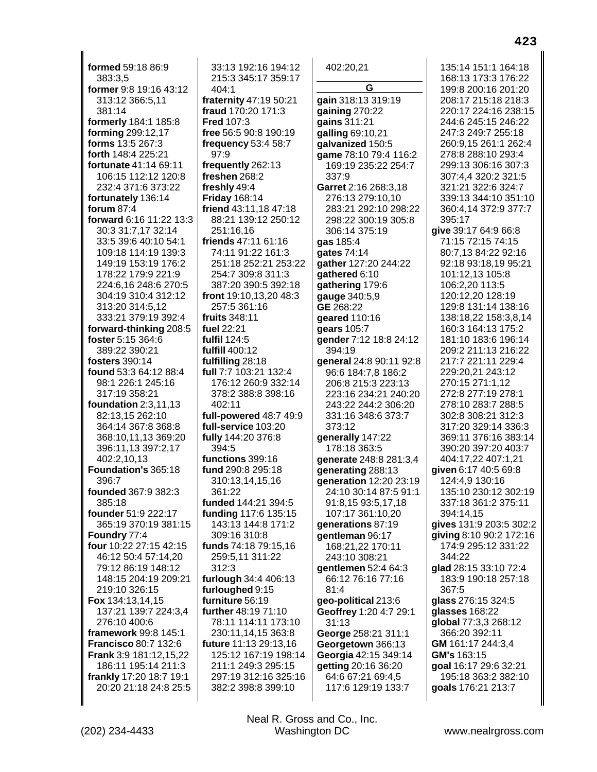**formed** 59:18 86:9 383:3,5 **former** 9:8 19:16 43:12 313:12 366:5,11 381:14 **formerly** 184:1 185:8 **forming** 299:12,17 **forms** 13:5 267:3 **forth** 148:4 225:21 **fortunate** 41:14 69:11 106:15 112:12 120:8 232:4 371:6 373:22 **fortunately** 136:14 **forum** 87:4 **forward** 6:16 11:22 13:3 30:3 31:7,17 32:14 33:5 39:6 40:10 54:1 109:18 114:19 139:3 149:19 153:19 176:2 178:22 179:9 221:9 224:6,16 248:6 270:5 304:19 310:4 312:12 313:20 314:5,12 333:21 379:19 392:4 **forward-thinking** 208:5 **foster** 5:15 364:6 389:22 390:21 **fosters** 390:14 **found** 53:3 64:12 88:4 98:1 226:1 245:16 317:19 358:21 **foundation** 2:3,11,13 82:13,15 262:10 364:14 367:8 368:8 368:10,11,13 369:20 396:11,13 397:2,17 402:2,10,13 **Foundation's** 365:18 396:7 **founded** 367:9 382:3 385:18 **founder** 51:9 222:17 365:19 370:19 381:15 **Foundry** 77:4 **four** 10:22 27:15 42:15 46:12 50:4 57:14,20 79:12 86:19 148:12 148:15 204:19 209:21 219:10 326:15 **Fox** 134:13,14,15 137:21 139:7 224:3,4 276:10 400:6 **framework** 99:8 145:1 **Francisco** 80:7 132:6 **Frank** 3:9 181:12,15,22 186:11 195:14 211:3 **frankly** 17:20 18:7 19:1 20:20 21:18 24:8 25:5

33:13 192:16 194:12 215:3 345:17 359:17 404:1 **fraternity** 47:19 50:21 **fraud** 170:20 171:3 **Fred** 107:3 **free** 56:5 90:8 190:19 **frequency** 53:4 58:7 97:9 **frequently** 262:13 **freshen** 268:2 **freshly** 49:4 **Friday** 168:14 **friend** 43:11,18 47:18 88:21 139:12 250:12 251:16,16 **friends** 47:11 61:16 74:11 91:22 161:3 251:18 252:21 253:22 254:7 309:8 311:3 387:20 390:5 392:18 **front** 19:10,13,20 48:3 257:5 361:16 **fruits** 348:11 **fuel** 22:21 **fulfil** 124:5 **fulfill** 400:12 **fulfilling** 28:18 **full** 7:7 103:21 132:4 176:12 260:9 332:14 378:2 388:8 398:16 402:11 **full-powered** 48:7 49:9 **full-service** 103:20 **fully** 144:20 376:8 394:5 **functions** 399:16 **fund** 290:8 295:18 310:13,14,15,16 361:22 **funded** 144:21 394:5 **funding** 117:6 135:15 143:13 144:8 171:2 309:16 310:8 **funds** 74:18 79:15,16 259:5,11 311:22 312:3 **furlough** 34:4 406:13 **furloughed** 9:15 **furniture** 56:19 **further** 48:19 71:10 78:11 114:11 173:10 230:11,14,15 363:8 **future** 11:13 29:13,16 125:12 167:19 198:14 211:1 249:3 295:15 297:19 312:16 325:16 382:2 398:8 399:10

402:20,21 **G gain** 318:13 319:19 **gaining** 270:22 **gains** 311:21 **galling** 69:10,21 **galvanized** 150:5 **game** 78:10 79:4 116:2 169:19 235:22 254:7 337:9 **Garret** 2:16 268:3,18 276:13 279:10,10 283:21 292:10 298:22 298:22 300:19 305:8 306:14 375:19 **gas** 185:4 **gates** 74:14 **gather** 127:20 244:22 **gathered** 6:10 **gathering** 179:6 **gauge** 340:5,9 **GE** 268:22 **geared** 110:16 **gears** 105:7 **gender** 7:12 18:8 24:12 394:19 **general** 24:8 90:11 92:8 96:6 184:7,8 186:2 206:8 215:3 223:13 223:16 234:21 240:20 243:22 244:2 306:20 331:16 348:6 373:7 373:12 **generally** 147:22 178:18 363:5 **generate** 248:8 281:3,4 **generating** 288:13 **generation** 12:20 23:19 24:10 30:14 87:5 91:1 91:8,15 93:5,17,18 107:17 361:10,20 **generations** 87:19 **gentleman** 96:17 168:21,22 170:11 243:10 308:21 **gentlemen** 52:4 64:3 66:12 76:16 77:16 81:4 **geo-political** 213:6 **Geoffrey** 1:20 4:7 29:1 31:13 **George** 258:21 311:1 **Georgetown** 366:13 **Georgia** 42:15 349:14 **getting** 20:16 36:20 64:6 67:21 69:4,5 117:6 129:19 133:7

135:14 151:1 164:18 168:13 173:3 176:22 199:8 200:16 201:20 208:17 215:18 218:3 220:17 224:16 238:15 244:6 245:15 246:22 247:3 249:7 255:18 260:9,15 261:1 262:4 278:8 288:10 293:4 299:13 306:16 307:3 307:4,4 320:2 321:5 321:21 322:6 324:7 339:13 344:10 351:10 360:4,14 372:9 377:7 395:17 **give** 39:17 64:9 66:8 71:15 72:15 74:15 80:7,13 84:22 92:16 92:18 93:18,19 95:21 101:12,13 105:8 106:2,20 113:5 120:12,20 128:19 129:8 131:14 138:16 138:18,22 158:3,8,14 160:3 164:13 175:2 181:10 183:6 196:14 209:2 211:13 216:22 217:7 221:11 229:4 229:20,21 243:12 270:15 271:1,12 272:8 277:19 278:1 278:10 283:7 288:5 302:8 308:21 312:3 317:20 329:14 336:3 369:11 376:16 383:14 390:20 397:20 403:7 404:17,22 407:1,21 **given** 6:17 40:5 69:8 124:4,9 130:16 135:10 230:12 302:19 337:18 361:2 375:11 394:14,15 **gives** 131:9 203:5 302:2 **giving** 8:10 90:2 172:16 174:9 295:12 331:22 344:22 **glad** 28:15 33:10 72:4 183:9 190:18 257:18 367:5 **glass** 276:15 324:5 **glasses** 168:22 **global** 77:3,3 268:12 366:20 392:11 **GM** 161:17 244:3,4 **GM's** 163:15 **goal** 16:17 29:6 32:21 195:18 363:2 382:10 **goals** 176:21 213:7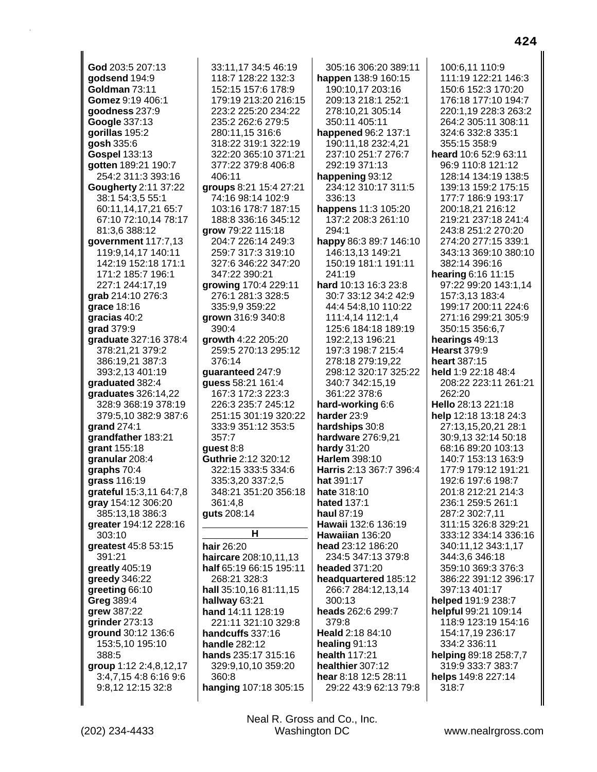God 203:5 207:13 godsend 194:9 Goldman 73:11 Gomez 9:19 406:1 goodness 237:9 Google 337:13 gorillas 195:2 gosh 335:6 **Gospel 133:13** gotten 189:21 190:7 254:2 311:3 393:16 **Gougherty 2:11 37:22** 38:1 54:3.5 55:1 60:11.14.17.21 65:7 67:10 72:10,14 78:17 81:3,6 388:12 government 117:7,13 119:9,14,17 140:11 142:19 152:18 171:1 171:2 185:7 196:1 227:1 244:17,19 grab 214:10 276:3 grace 18:16 gracias 40:2 **arad** 379:9 graduate 327:16 378:4 378:21,21 379:2 386:19,21 387:3 393:2,13 401:19 qraduated 382:4 araduates  $326:14.22$ 328:9 368:19 378:19 379:5,10 382:9 387:6 grand 274:1 grandfather 183:21 grant 155:18 granular 208:4 graphs 70:4 grass 116:19 grateful 15:3,11 64:7,8 gray 154:12 306:20 385:13,18 386:3 greater 194:12 228:16 303:10 greatest 45:8 53:15 391:21 greatly 405:19 greedy 346:22 greeting 66:10 Greg 389:4 grew 387:22 grinder 273:13 ground 30:12 136:6 153:5,10 195:10 388:5 group 1:12 2:4,8,12,17 3:4,7,15 4:8 6:16 9:6 9:8,12 12:15 32:8

(202) 234-4433

33:11.17 34:5 46:19 118:7 128:22 132:3 152:15 157:6 178:9 179:19 213:20 216:15 223:2 225:20 234:22 235:2 262:6 279:5 280:11.15 316:6 318:22 319:1 322:19 322:20 365:10 371:21 377:22 379:8 406:8 406:11 groups 8:21 15:4 27:21 74:16 98:14 102:9 103:16 178:7 187:15 188:8 336:16 345:12 grow 79:22 115:18 204:7 226:14 249:3 259:7 317:3 319:10 327:6 346:22 347:20 347:22 390:21 growing 170:4 229:11 276:1 281:3 328:5 335:9.9 359:22 grown 316:9 340:8 390:4 arowth 4:22 205:20 259:5 270:13 295:12 376:14 quaranteed 247:9 quess 58:21 161:4 167:3 172:3 223:3 226:3 235:7 245:12 251:15 301:19 320:22 333:9 351:12 353:5 357:7 guest  $8:8$ Guthrie 2:12 320:12 322:15 333:5 334:6 335:3,20 337:2,5 348:21 351:20 356:18 361:4.8 guts 208:14 н hair 26:20 haircare 208:10,11,13 half 65:19 66:15 195:11 268:21 328:3 hall 35:10,16 81:11,15 hallway 63:21 hand 14:11 128:19 221:11 321:10 329:8 handcuffs 337:16 handle 282:12 hands 235:17 315:16 329:9,10,10 359:20

305:16 306:20 389:11 happen 138:9 160:15 190:10,17 203:16 209:13 218:1 252:1 278:10.21 305:14 350:11 405:11 happened 96:2 137:1 190:11,18 232:4,21 237:10 251:7 276:7 292:19 371:13 happening 93:12 234:12 310:17 311:5 336:13 happens 11:3 105:20 137:2 208:3 261:10 294:1 happy 86:3 89:7 146:10 146:13,13 149:21 150:19 181:1 191:11 241:19 hard 10:13 16:3 23:8 30:7 33:12 34:2 42:9 44:4 54:8,10 110:22 111:4,14 112:1,4 125:6 184:18 189:19 192:2.13 196:21 197:3 198:7 215:4 278:18 279:19,22 298:12 320:17 325:22 340:7 342:15,19 361:22 378:6 hard-working 6:6 harder 23:9 hardships 30:8 hardware 276:9,21 hardy 31:20 Harlem 398:10 Harris 2:13 367:7 396:4 hat 391:17 hate 318:10 hated 137:1 haul 87:19 Hawaii 132:6 136:19 Hawaiian 136:20 head 23:12 186:20 234:5 347:13 379:8 headed 371:20 headquartered 185:12 266:7 284:12,13,14  $300:13$ heads 262:6 299:7 379:8 Heald 2:18 84:10 healing 91:13 health 117:21 healthier 307:12 hear 8:18 12:5 28:11 29:22 43:9 62:13 79:8

100:6.11 110:9 111:19 122:21 146:3 150:6 152:3 170:20 176:18 177:10 194:7 220:1.19 228:3 263:2 264:2 305:11 308:11 324:6 332:8 335:1 355:15 358:9 heard 10:6 52:9 63:11 96:9 110:8 121:12 128:14 134:19 138:5 139:13 159:2 175:15 177:7 186:9 193:17 200:18,21 216:12 219:21 237:18 241:4 243:8 251:2 270:20 274:20 277:15 339:1 343:13 369:10 380:10 382:14 396:16 hearing 6:16 11:15 97:22 99:20 143:1,14 157:3,13 183:4 199:17 200:11 224:6 271:16 299:21 305:9 350:15 356:6,7 hearings 49:13 **Hearst 379:9** heart 387:15 held 1:9 22:18 48:4 208:22 223:11 261:21  $262.20$ Hello 28:13 221:18 help 12:18 13:18 24:3 27:13,15,20,21 28:1 30:9.13 32:14 50:18 68:16 89:20 103:13 140:7 153:13 163:9 177:9 179:12 191:21 192:6 197:6 198:7 201:8 212:21 214:3 236:1 259:5 261:1 287:2 302:7,11 311:15 326:8 329:21 333:12 334:14 336:16 340:11,12 343:1,17 344:3,6 346:18 359:10 369:3 376:3 386:22 391:12 396:17 397:13 401:17 helped 191:9 238:7 helpful 99:21 109:14 118:9 123:19 154:16 154:17,19 236:17 334:2 336:11 helping 89:18 258:7,7 319:9 333:7 383:7 helps 149:8 227:14 318:7

www.nealrgross.com

hanging 107:18 305:15

360:8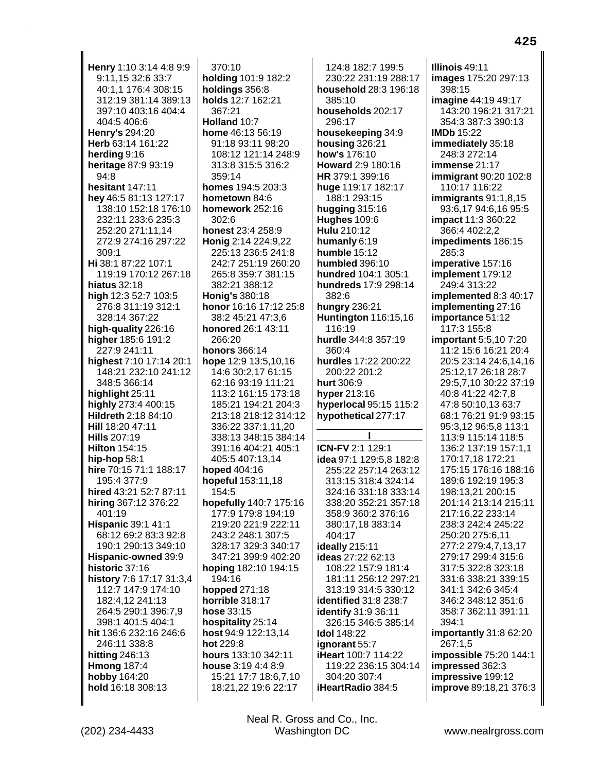Henry 1:10 3:14 4:8 9:9 9:11,15 32:6 33:7 40:1,1 176:4 308:15 312:19 381:14 389:13 397:10 403:16 404:4 404:5 406:6 Henry's 294:20 Herb 63:14 161:22 herding 9:16 heritage 87:9 93:19 94:8 hesitant 147:11 hey 46:5 81:13 127:17 138:10 152:18 176:10 232:11 233:6 235:3 252:20 271:11,14 272:9 274:16 297:22 309:1 Hi 38:1 87:22 107:1 119:19 170:12 267:18 hiatus 32:18 high 12:3 52:7 103:5 276:8 311:19 312:1 328:14 367:22 high-quality 226:16 higher 185:6 191:2 227:9 241:11 highest 7:10 17:14 20:1 148:21 232:10 241:12 348:5 366:14 highlight 25:11 highly 273:4 400:15 Hildreth 2:18 84:10 Hill 18:20 47:11 **Hills 207:19 Hilton 154:15** hip-hop  $58:1$ hire 70:15 71:1 188:17 195:4 377:9 hired 43:21 52:7 87:11 hiring 367:12 376:22 401:19 **Hispanic 39:1 41:1** 68:12 69:2 83:3 92:8 190:1 290:13 349:10 Hispanic-owned 39:9 historic 37:16 history 7:6 17:17 31:3,4 112:7 147:9 174:10 182:4,12 241:13 264:5 290:1 396:7,9 398:1 401:5 404:1 hit 136:6 232:16 246:6 246:11 338:8 hitting  $246:13$ **Hmong 187:4** hobby 164:20 hold 16:18 308:13

 $370:10$ holding 101:9 182:2 holdings 356:8 holds 12:7 162:21 367:21 Holland  $10.7$ home 46:13 56:19 91:18 93:11 98:20 108:12 121:14 248:9 313:8 315:5 316:2 359:14 homes 194:5 203:3 hometown 84:6 homework 252:16  $302.6$ honest 23:4 258:9 Honig 2:14 224:9,22 225:13 236:5 241:8 242:7 251:19 260:20 265:8 359:7 381:15 382:21 388:12 **Honig's 380:18** honor 16:16 17:12 25:8 38:2 45:21 47:3,6 honored 26:1 43:11 266:20 honors 366:14 hope  $12:9$  13:5,10,16 14:6 30:2,17 61:15 62:16 93:19 111:21 113:2 161:15 173:18 185:21 194:21 204:3 213:18 218:12 314:12 336:22 337:1,11,20 338:13 348:15 384:14 391:16 404:21 405:1 405:5 407:13,14 hoped 404:16 hopeful 153:11,18 154:5 hopefully 140:7 175:16 177:9 179:8 194:19 219:20 221:9 222:11 243:2 248:1 307:5 328:17 329:3 340:17 347:21 399:9 402:20 hoping 182:10 194:15 194:16 hopped 271:18 horrible 318:17 hose 33:15 hospitality 25:14 host 94:9 122:13,14 hot 229:8 hours 133:10 342:11 house 3:19 4:4 8:9 15:21 17:7 18:6,7,10 18:21,22 19:6 22:17

124:8 182:7 199:5 230:22 231:19 288:17 household 28:3 196:18  $385.10$ households 202:17 296:17 housekeeping 34:9 housing 326:21 how's 176:10 Howard 2:9 180:16 HR 379:1 399:16 huge 119:17 182:17 188:1 293:15 hugging 315:16 **Hughes 109:6** Hulu 210:12 humanly 6:19 humble 15:12 humbled 396:10 hundred 104:1 305:1 hundreds 17:9 298:14 382:6 hungry 236:21 **Huntington** 116:15,16 116:19 hurdle 344:8 357:19 360:4 hurdles 17:22 200:22 200:22 201:2 hurt 306:9 hyper 213:16 hyperlocal 95:15 115:2 hypothetical 277:17 **ICN-FV 2:1 129:1** idea 97:1 129:5,8 182:8 255:22 257:14 263:12 313:15 318:4 324:14 324:16 331:18 333:14 338:20 352:21 357:18 358:9 360:2 376:16 380:17,18 383:14 404:17 ideally 215:11 ideas 27:22 62:13 108:22 157:9 181:4 181:11 256:12 297:21 313:19 314:5 330:12 identified 31:8 238:7 **identify** 31:9 36:11 326:15 346:5 385:14 **Idol** 148:22 ignorant 55:7 iHeart 100:7 114:22 119:22 236:15 304:14 304:20 307:4 iHeartRadio 384:5

Illinois 49:11 images 175:20 297:13 398:15 **imagine** 44:19 49:17 143:20 196:21 317:21 354:3 387:3 390:13 **IMDb** 15:22 immediately 35:18 248:3 272:14 immense 21:17 **immigrant** 90:20 102:8 110:17 116:22 immigrants  $91:1,8,15$ 93:6,17 94:6,16 95:5 impact 11:3 360:22 366:4 402:2,2 impediments 186:15 285:3 imperative 157:16 implement 179:12 249:4 313:22 implemented 8:3 40:17 implementing 27:16 importance 51:12 117:3 155:8 **important** 5:5.10 7:20 11:2 15:6 16:21 20:4 20:5 23:14 24:6,14,16 25:12,17 26:18 28:7 29:5,7,10 30:22 37:19 40:8 41:22 42:7.8 47:8 50:10,13 63:7 68:1 76:21 91:9 93:15 95:3,12 96:5,8 113:1 113:9 115:14 118:5 136:2 137:19 157:1,1 170:17,18 172:21 175:15 176:16 188:16 189:6 192:19 195:3 198:13,21 200:15 201:14 213:14 215:11 217:16,22 233:14 238:3 242:4 245:22 250:20 275:6.11 277:2 279:4,7,13,17 279:17 299:4 315:6 317:5 322:8 323:18 331:6 338:21 339:15 341:1 342:6 345:4 346:2 348:12 351:6 358:7 362:11 391:11 394:1 importantly 31:8 62:20 267:1,5 impossible 75:20 144:1 impressed 362:3 impressive 199:12 improve 89:18,21 376:3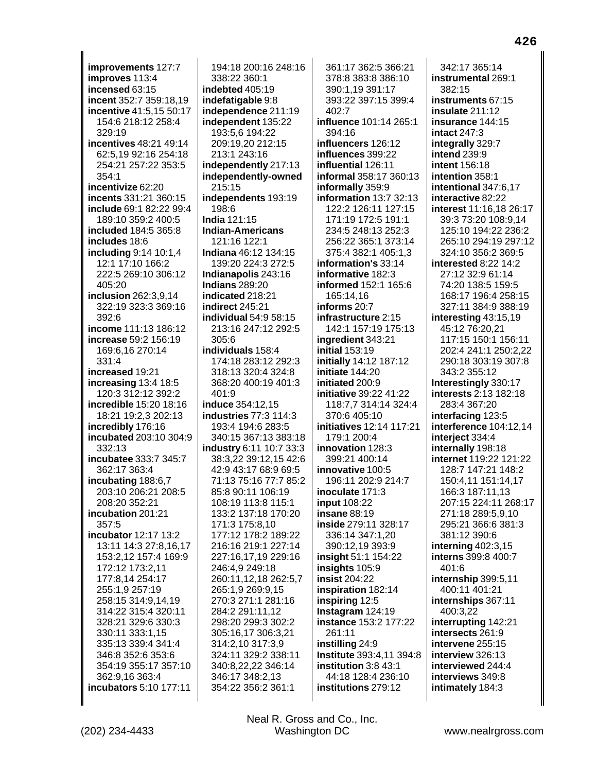improvements 127:7 improves 113:4 incensed 63:15 incent 352:7 359:18,19 incentive 41:5.15 50:17 154:6 218:12 258:4 329:19 incentives 48:21 49:14 62:5.19 92:16 254:18 254:21 257:22 353:5 354:1 incentivize 62:20 incents 331:21 360:15 include 69:1 82:22 99:4 189:10 359:2 400:5 included 184:5 365:8 includes 18:6 including 9:14 10:1,4 12:1 17:10 166:2 222:5 269:10 306:12 405:20 inclusion 262:3,9,14 322:19 323:3 369:16  $392:6$ income 111:13 186:12 increase 59:2 156:19 169:6.16 270:14 331:4 increased 19:21 increasing  $13:4$  18:5 120:3 312:12 392:2 incredible 15:20 18:16 18:21 19:2,3 202:13 incredibly 176:16 incubated 203:10 304:9  $332:13$ incubatee 333:7 345:7 362:17 363:4 incubating 188:6,7 203:10 206:21 208:5 208:20 352:21 incubation 201:21 357:5 incubator 12:17 13:2 13:11 14:3 27:8,16,17 153:2,12 157:4 169:9 172:12 173:2.11 177:8,14 254:17 255:1,9 257:19 258:15 314:9,14,19 314:22 315:4 320:11 328:21 329:6 330:3 330:11 333:1,15 335:13 339:4 341:4 346:8 352:6 353:6 354:19 355:17 357:10 362:9,16 363:4 incubators 5:10 177:11

194:18 200:16 248:16 338:22 360:1 indebted 405:19 indefatigable 9:8 independence 211:19 independent 135:22 193:5,6 194:22 209:19,20 212:15 213:1 243:16 independently 217:13 independently-owned 215:15 independents 193:19 198:6 **India 121:15 Indian-Americans** 121:16 122:1 Indiana 46:12 134:15 139:20 224:3 272:5 Indianapolis 243:16 **Indians 289:20** indicated 218:21 indirect 245:21 individual 54:9 58:15 213:16 247:12 292:5 305:6 individuals 158:4 174:18 283:12 292:3 318:13 320:4 324:8 368:20 400:19 401:3  $401.9$ induce 354:12.15 **industries 77:3 114:3** 193:4 194:6 283:5 340:15 367:13 383:18 industry 6:11 10:7 33:3 38:3,22 39:12,15 42:6 42:9 43:17 68:9 69:5 71:13 75:16 77:7 85:2 85:8 90:11 106:19 108:19 113:8 115:1 133:2 137:18 170:20 171:3 175:8,10 177:12 178:2 189:22 216:16 219:1 227:14 227:16,17,19 229:16 246:4,9 249:18 260:11.12.18 262:5.7 265:1,9 269:9,15 270:3 271:1 281:16 284:2 291:11,12 298:20 299:3 302:2 305:16,17 306:3,21 314:2,10 317:3,9 324:11 329:2 338:11 340:8,22,22 346:14 346:17 348:2,13 354:22 356:2 361:1

361:17 362:5 366:21 378:8 383:8 386:10 390:1,19 391:17 393:22 397:15 399:4 402:7 influence 101:14 265:1 394:16 influencers 126:12 influences 399:22 influential 126:11 informal 358:17 360:13 informally 359:9 information 13:7 32:13 122:2 126:11 127:15 171:19 172:5 191:1 234:5 248:13 252:3 256:22 365:1 373:14 375:4 382:1 405:1,3 information's 33:14 informative 182:3 informed 152:1 165:6 165:14.16 informs 20:7 infrastructure 2:15 142:1 157:19 175:13 ingredient 343:21 **initial 153:19** initially 14:12 187:12 initiate 144:20 initiated 200:9 initiative 39:22 41:22 118:7.7 314:14 324:4 370:6 405:10 initiatives 12:14 117:21 179:1 200:4 innovation 128:3 399:21 400:14 innovative 100:5 196:11 202:9 214:7 inoculate 171:3 **input** 108:22 insane 88:19 inside 279:11 328:17 336:14 347:1.20 390:12,19 393:9 insight 51:1 154:22 insights 105:9 insist 204:22 inspiration 182:14 inspiring 12:5 Instagram 124:19 instance 153:2 177:22 261:11 instilling 24:9 Institute 393:4,11 394:8 institution 3:8 43:1 44:18 128:4 236:10 institutions 279:12

342:17 365:14 instrumental 269:1 382:15 instruments 67:15 insulate 211:12 insurance 144:15 intact 247:3 integrally 329:7 **intend 239:9** intent 156:18 intention 358:1 intentional 347:6,17 interactive 82:22 interest 11:16,18 26:17 39:3 73:20 108:9,14 125:10 194:22 236:2 265:10 294:19 297:12 324:10 356:2 369:5 interested 8:22 14:2 27:12 32:9 61:14 74:20 138:5 159:5 168:17 196:4 258:15 327:11 384:9 388:19 interesting 43:15,19 45:12 76:20,21 117:15 150:1 156:11 202:4 241:1 250:2.22 290:18 303:19 307:8 343:2 355:12 Interestingly 330:17 interests 2:13 182:18 283:4 367:20 interfacing 123:5 **interference** 104:12,14 interiect 334:4 internally 198:18 internet 119:22 121:22 128:7 147:21 148:2 150:4,11 151:14,17 166:3 187:11.13 207:15 224:11 268:17 271:18 289:5,9,10 295:21 366:6 381:3 381:12 390:6 interning 402:3,15 interns 399:8 400:7 401:6 internship 399:5,11 400:11 401:21 internships 367:11 400:3,22 interrupting 142:21 intersects 261:9 intervene 255:15 interview 326:13 interviewed 244:4 interviews 349:8 intimately 184:3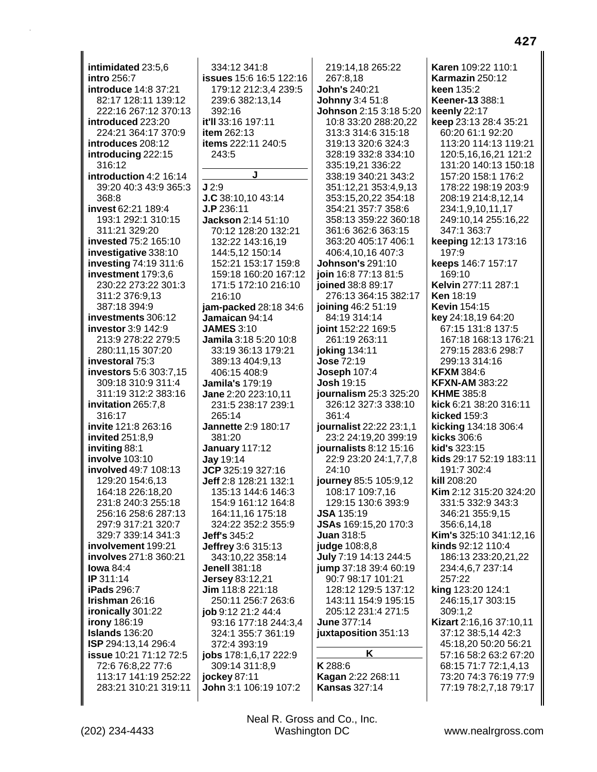**intimidated** 23:5,6 **intro** 256:7 **introduce** 14:8 37:21 82:17 128:11 139:12 222:16 267:12 370:13 **introduced** 223:20 224:21 364:17 370:9 **introduces** 208:12 **introducing** 222:15 316:12 **introduction** 4:2 16:14 39:20 40:3 43:9 365:3 368:8 **invest** 62:21 189:4 193:1 292:1 310:15 311:21 329:20 **invested** 75:2 165:10 **investigative** 338:10 **investing** 74:19 311:6 **investment** 179:3,6 230:22 273:22 301:3 311:2 376:9,13 387:18 394:9 **investments** 306:12 **investor** 3:9 142:9 213:9 278:22 279:5 280:11,15 307:20 **investoral** 75:3 **investors** 5:6 303:7,15 309:18 310:9 311:4 311:19 312:2 383:16 **invitation** 265:7,8 316:17 **invite** 121:8 263:16 **invited** 251:8,9 **inviting** 88:1 **involve** 103:10 **involved** 49:7 108:13 129:20 154:6,13 164:18 226:18,20 231:8 240:3 255:18 256:16 258:6 287:13 297:9 317:21 320:7 329:7 339:14 341:3 **involvement** 199:21 **involves** 271:8 360:21 **Iowa** 84:4 **IP** 311:14 **iPads** 296:7 **Irishman** 26:16 **ironically** 301:22 **irony** 186:19 **Islands** 136:20 **ISP** 294:13,14 296:4 **issue** 10:21 71:12 72:5 72:6 76:8,22 77:6 113:17 141:19 252:22 283:21 310:21 319:11

334:12 341:8 **issues** 15:6 16:5 122:16 179:12 212:3,4 239:5 239:6 382:13,14 392:16 **it'll** 33:16 197:11 **item** 262:13 **items** 222:11 240:5 243:5 **J J** 2:9 **J.C** 38:10,10 43:14 **J.P** 236:11 **Jackson** 2:14 51:10 70:12 128:20 132:21 132:22 143:16,19 144:5,12 150:14 152:21 153:17 159:8 159:18 160:20 167:12 171:5 172:10 216:10 216:10 **jam-packed** 28:18 34:6 **Jamaican** 94:14 **JAMES** 3:10 **Jamila** 3:18 5:20 10:8 33:19 36:13 179:21 389:13 404:9,13 406:15 408:9 **Jamila's** 179:19 **Jane** 2:20 223:10,11 231:5 238:17 239:1 265:14 **Jannette** 2:9 180:17 381:20 **January** 117:12 **Jay** 19:14 **JCP** 325:19 327:16 **Jeff** 2:8 128:21 132:1 135:13 144:6 146:3 154:9 161:12 164:8 164:11,16 175:18 324:22 352:2 355:9 **Jeff's** 345:2 **Jeffrey** 3:6 315:13 343:10,22 358:14 **Jenell** 381:18 **Jersey** 83:12,21 **Jim** 118:8 221:18 250:11 256:7 263:6 **job** 9:12 21:2 44:4 93:16 177:18 244:3,4 324:1 355:7 361:19 372:4 393:19 **jobs** 178:1,6,17 222:9 309:14 311:8,9 **jockey** 87:11 **John** 3:1 106:19 107:2

219:14,18 265:22 267:8,18 **John's** 240:21 **Johnny** 3:4 51:8 **Johnson** 2:15 3:18 5:20 10:8 33:20 288:20,22 313:3 314:6 315:18 319:13 320:6 324:3 328:19 332:8 334:10 335:19,21 336:22 338:19 340:21 343:2 351:12,21 353:4,9,13 353:15,20,22 354:18 354:21 357:7 358:6 358:13 359:22 360:18 361:6 362:6 363:15 363:20 405:17 406:1 406:4,10,16 407:3 **Johnson's** 291:10 **join** 16:8 77:13 81:5 **joined** 38:8 89:17 276:13 364:15 382:17 **joining** 46:2 51:19 84:19 314:14 **joint** 152:22 169:5 261:19 263:11 **joking** 134:11 **Jose** 72:19 **Joseph** 107:4 **Josh** 19:15 **journalism** 25:3 325:20 326:12 327:3 338:10 361:4 **journalist** 22:22 23:1,1 23:2 24:19,20 399:19 **journalists** 8:12 15:16 22:9 23:20 24:1,7,7,8 24:10 **journey** 85:5 105:9,12 108:17 109:7,16 129:15 130:6 393:9 **JSA** 135:19 **JSAs** 169:15,20 170:3 **Juan** 318:5 **judge** 108:8,8 **July** 7:19 14:13 244:5 **jump** 37:18 39:4 60:19 90:7 98:17 101:21 128:12 129:5 137:12 143:11 154:9 195:15 205:12 231:4 271:5 **June** 377:14 **juxtaposition** 351:13 **K K** 288:6

**Karen** 109:22 110:1 **Karmazin** 250:12 **keen** 135:2 **Keener-13** 388:1 **keenly** 22:17 **keep** 23:13 28:4 35:21 60:20 61:1 92:20 113:20 114:13 119:21 120:5,16,16,21 121:2 131:20 140:13 150:18 157:20 158:1 176:2 178:22 198:19 203:9 208:19 214:8,12,14 234:1,9,10,11,17 249:10,14 255:16,22 347:1 363:7 **keeping** 12:13 173:16 197:9 **keeps** 146:7 157:17 169:10 **Kelvin** 277:11 287:1 **Ken** 18:19 **Kevin** 154:15 **key** 24:18,19 64:20 67:15 131:8 137:5 167:18 168:13 176:21 279:15 283:6 298:7 299:13 314:16 **KFXM** 384:6 **KFXN-AM** 383:22 **KHME** 385:8 **kick** 6:21 38:20 316:11 **kicked** 159:3 **kicking** 134:18 306:4 **kicks** 306:6 **kid's** 323:15 **kids** 29:17 52:19 183:11 191:7 302:4 **kill** 208:20 **Kim** 2:12 315:20 324:20 331:5 332:9 343:3 346:21 355:9,15 356:6,14,18 **Kim's** 325:10 341:12,16 **kinds** 92:12 110:4 186:13 233:20,21,22 234:4,6,7 237:14 257:22 **king** 123:20 124:1 246:15,17 303:15 309:1,2 **Kizart** 2:16,16 37:10,11 37:12 38:5,14 42:3 45:18,20 50:20 56:21 57:16 58:2 63:2 67:20 68:15 71:7 72:1,4,13 73:20 74:3 76:19 77:9 77:19 78:2,7,18 79:17

(202) 234-4433 Washington DC www.nealrgross.com Neal R. Gross and Co., Inc.

**Kagan** 2:22 268:11 **Kansas** 327:14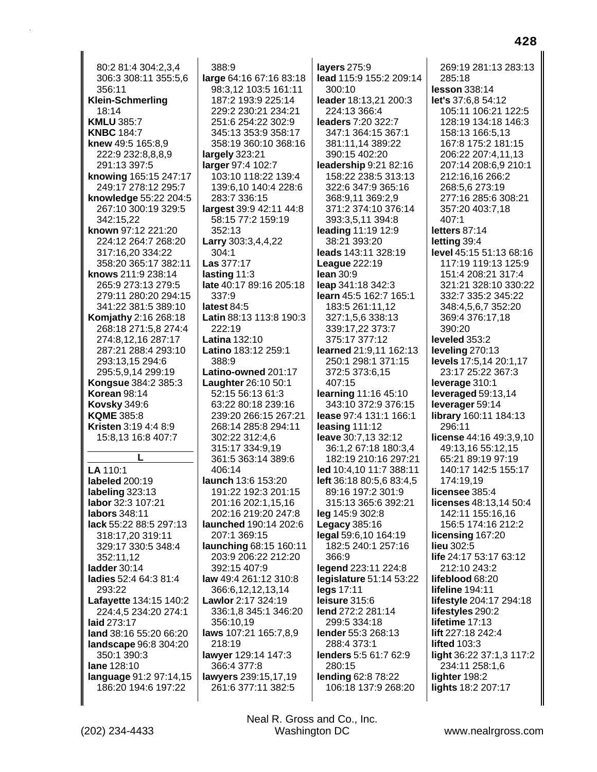80:2 81:4 304:2.3.4 306:3 308:11 355:5,6 356:11 **Klein-Schmerling** 18:14 **KMLU 385:7 KNBC 184:7** knew 49:5 165:8,9 222:9 232:8,8,8,9 291:13 397:5 knowing 165:15 247:17 249:17 278:12 295:7 knowledge 55:22 204:5 267:10 300:19 329:5 342:15.22 known 97:12 221:20 224:12 264:7 268:20 317:16,20 334:22 358:20 365:17 382:11 knows 211:9 238:14 265:9 273:13 279:5 279:11 280:20 294:15 341:22 381:5 389:10 **Komjathy 2:16 268:18** 268:18 271:5,8 274:4 274:8.12.16 287:17 287:21 288:4 293:10 293:13,15 294:6 295:5,9,14 299:19 **Kongsue 384:2 385:3 Korean 98:14 Kovsky 349:6 KQME 385:8 Kristen 3:19 4:4 8:9** 15:8.13 16:8 407:7 LA 110:1 labeled 200:19 labeling 323:13 labor 32:3 107:21 labors 348:11 lack 55:22 88:5 297:13 318:17,20 319:11 329:17 330:5 348:4 352:11,12 ladder 30:14 ladies 52:4 64:3 81:4 293:22 Lafayette 134:15 140:2 224:4.5 234:20 274:1 laid 273:17 land 38:16 55:20 66:20 landscape 96:8 304:20 350:1 390:3 lane 128:10 language 91:2 97:14,15 186:20 194:6 197:22

388:9 large 64:16 67:16 83:18 98:3,12 103:5 161:11 187:2 193:9 225:14 229:2 230:21 234:21 251:6 254:22 302:9 345:13 353:9 358:17 358:19 360:10 368:16 largely 323:21 larger 97:4 102:7 103:10 118:22 139:4 139:6,10 140:4 228:6 283:7 336:15 largest 39:9 42:11 44:8 58:15 77:2 159:19 352:13 Larry 303:3,4,4,22 304:1 **Las** 377:17 lasting  $11:3$ late 40:17 89:16 205:18 337:9 latest 84:5 Latin 88:13 113:8 190:3 222:19 **Latina 132:10** Latino 183:12 259:1 388:9 Latino-owned 201:17 **Laughter** 26:10 50:1 52:15 56:13 61:3 63:22 80:18 239:16 239:20 266:15 267:21 268:14 285:8 294:11 302:22 312:4.6 315:17 334:9,19 361:5 363:14 389:6 406:14 launch 13:6 153:20 191:22 192:3 201:15 201:16 202:1,15,16 202:16 219:20 247:8 launched 190:14 202:6 207:1 369:15 launching 68:15 160:11 203:9 206:22 212:20 392:15 407:9 law 49:4 261:12 310:8 366:6.12.12.13.14 Lawlor 2:17 324:19 336:1,8 345:1 346:20 356:10,19 laws 107:21 165:7,8,9 218:19 lawyer 129:14 147:3 366:4 377:8 lawyers 239:15,17,19 261:6 377:11 382:5

layers 275:9 lead 115:9 155:2 209:14 300:10 leader 18:13,21 200:3 224:13 366:4 leaders 7:20 322:7 347:1 364:15 367:1 381:11,14 389:22 390:15 402:20 leadership 9:21 82:16 158:22 238:5 313:13 322:6 347:9 365:16 368:9,11 369:2,9 371:2 374:10 376:14 393:3,5,11 394:8 leading 11:19 12:9 38:21 393:20 leads 143:11 328:19 League 222:19  $lean 30:9$ leap 341:18 342:3 learn 45:5 162:7 165:1 183:5 261:11,12 327:1,5,6 338:13 339:17,22 373:7 375:17 377:12 learned 21:9.11 162:13 250:1 298:1 371:15 372:5 373:6,15 407:15 **learning 11:16 45:10** 343:10 372:9 376:15 lease 97:4 131:1 166:1 leasing  $111:12$ leave 30:7,13 32:12 36:1,2 67:18 180:3,4 182:19 210:16 297:21 led 10:4,10 11:7 388:11 left 36:18 80:5,6 83:4,5 89:16 197:2 301:9 315:13 365:6 392:21 leg 145:9 302:8 Legacy 385:16 legal 59:6,10 164:19 182:5 240:1 257:16 366:9 legend 223:11 224:8 legislature 51:14 53:22 legs 17:11 leisure 315:6 lend 272:2 281:14 299:5 334:18 lender 55:3 268:13 288:4 373:1 lenders 5:5 61:7 62:9 280:15 lending 62:8 78:22 106:18 137:9 268:20

269:19 281:13 283:13 285:18 lesson 338:14 let's 37:6.8 54:12 105:11 106:21 122:5 128:19 134:18 146:3 158:13 166:5,13 167:8 175:2 181:15 206:22 207:4,11,13 207:14 208:6,9 210:1 212:16,16 266:2 268:5,6 273:19 277:16 285:6 308:21 357:20 403:7,18 407:1 letters 87:14 letting 39:4 level 45:15 51:13 68:16 117:19 119:13 125:9 151:4 208:21 317:4 321:21 328:10 330:22 332:7 335:2 345:22 348:4,5,6,7 352:20 369:4 376:17,18 390:20 leveled 353:2 leveling 270:13 **levels** 17:5,14 20:1,17 23:17 25:22 367:3 leverage 310:1 leveraged  $59:13.14$ leverager 59:14 **library** 160:11 184:13 296:11 license 44:16 49:3.9.10 49:13,16 55:12,15 65:21 89:19 97:19 140:17 142:5 155:17 174:19.19 licensee 385:4 licenses 48:13,14 50:4 142:11 155:16,16 156:5 174:16 212:2 licensing 167:20 lieu 302:5 life 24:17 53:17 63:12 212:10 243:2 lifeblood 68:20 lifeline 194:11 lifestyle 204:17 294:18 lifestyles 290:2 lifetime 17:13 lift 227:18 242:4 **lifted 103:3** light 36:22 37:1,3 117:2 234:11 258:1,6 lighter 198:2 lights 18:2 207:17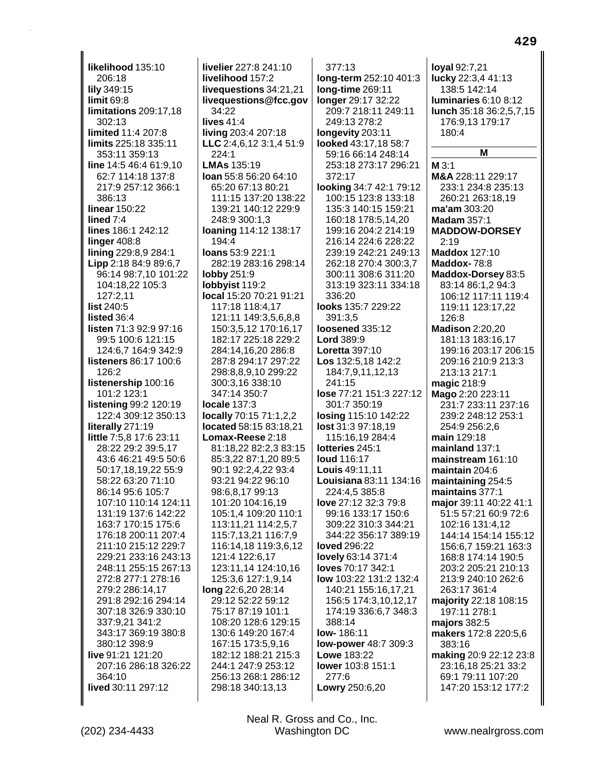**likelihood** 135:10 206:18 **lily** 349:15 **limit** 69:8 **limitations** 209:17,18 302:13 **limited** 11:4 207:8 **limits** 225:18 335:11 353:11 359:13 **line** 14:5 46:4 61:9,10 62:7 114:18 137:8 217:9 257:12 366:1 386:13 **linear** 150:22 **lined** 7:4 **lines** 186:1 242:12 **linger** 408:8 **lining** 229:8,9 284:1 **Lipp** 2:18 84:9 89:6,7 96:14 98:7,10 101:22 104:18,22 105:3 127:2,11 **list** 240:5 **listed** 36:4 **listen** 71:3 92:9 97:16 99:5 100:6 121:15 124:6,7 164:9 342:9 **listeners** 86:17 100:6 126:2 **listenership** 100:16 101:2 123:1 **listening** 99:2 120:19 122:4 309:12 350:13 **literally** 271:19 **little** 7:5,8 17:6 23:11 28:22 29:2 39:5,17 43:6 46:21 49:5 50:6 50:17,18,19,22 55:9 58:22 63:20 71:10 86:14 95:6 105:7 107:10 110:14 124:11 131:19 137:6 142:22 163:7 170:15 175:6 176:18 200:11 207:4 211:10 215:12 229:7 229:21 233:16 243:13 248:11 255:15 267:13 272:8 277:1 278:16 279:2 286:14,17 291:8 292:16 294:14 307:18 326:9 330:10 337:9,21 341:2 343:17 369:19 380:8 380:12 398:9 **live** 91:21 121:20 207:16 286:18 326:22 364:10 **lived** 30:11 297:12

**livelier** 227:8 241:10 **livelihood** 157:2 **livequestions** 34:21,21 **livequestions@fcc.gov** 34:22 **lives** 41:4 **living** 203:4 207:18 **LLC** 2:4,6,12 3:1,4 51:9 224:1 **LMAs** 135:19 **loan** 55:8 56:20 64:10 65:20 67:13 80:21 111:15 137:20 138:22 139:21 140:12 229:9 248:9 300:1,3 **loaning** 114:12 138:17 194:4 **loans** 53:9 221:1 282:19 283:16 298:14 **lobby** 251:9 **lobbyist** 119:2 **local** 15:20 70:21 91:21 117:18 118:4,17 121:11 149:3,5,6,8,8 150:3,5,12 170:16,17 182:17 225:18 229:2 284:14,16,20 286:8 287:8 294:17 297:22 298:8,8,9,10 299:22 300:3,16 338:10 347:14 350:7 **locale** 137:3 **locally** 70:15 71:1,2,2 **located** 58:15 83:18,21 **Lomax-Reese** 2:18 81:18,22 82:2,3 83:15 85:3,22 87:1,20 89:5 90:1 92:2,4,22 93:4 93:21 94:22 96:10 98:6,8,17 99:13 101:20 104:16,19 105:1,4 109:20 110:1 113:11,21 114:2,5,7 115:7,13,21 116:7,9 116:14,18 119:3,6,12 121:4 122:6,17 123:11,14 124:10,16 125:3,6 127:1,9,14 **long** 22:6,20 28:14 29:12 52:22 59:12 75:17 87:19 101:1 108:20 128:6 129:15 130:6 149:20 167:4 167:15 173:5,9,16 182:12 188:21 215:3 244:1 247:9 253:12 256:13 268:1 286:12 298:18 340:13,13

377:13 **long-term** 252:10 401:3 **long-time** 269:11 **longer** 29:17 32:22 209:7 218:11 249:11 249:13 278:2 **longevity** 203:11 **looked** 43:17,18 58:7 59:16 66:14 248:14 253:18 273:17 296:21 372:17 **looking** 34:7 42:1 79:12 100:15 123:8 133:18 135:3 140:15 159:21 160:18 178:5,14,20 199:16 204:2 214:19 216:14 224:6 228:22 239:19 242:21 249:13 262:18 270:4 300:3,7 300:11 308:6 311:20 313:19 323:11 334:18 336:20 **looks** 135:7 229:22 391:3,5 **loosened** 335:12 **Lord** 389:9 **Loretta** 397:10 **Los** 132:5,18 142:2 184:7,9,11,12,13 241:15 **lose** 77:21 151:3 227:12 301:7 350:19 **losing** 115:10 142:22 **lost** 31:3 97:18,19 115:16,19 284:4 **lotteries** 245:1 **loud** 116:17 **Louis** 49:11,11 **Louisiana** 83:11 134:16 224:4,5 385:8 **love** 27:12 32:3 79:8 99:16 133:17 150:6 309:22 310:3 344:21 344:22 356:17 389:19 **loved** 296:22 **lovely** 63:14 371:4 **loves** 70:17 342:1 **low** 103:22 131:2 132:4 140:21 155:16,17,21 156:5 174:3,10,12,17 174:19 336:6,7 348:3 388:14 **low-** 186:11 **low-power** 48:7 309:3 **Lowe** 183:22 **lower** 103:8 151:1 277:6 **Lowry** 250:6,20

**loyal** 92:7,21 **lucky** 22:3,4 41:13 138:5 142:14 **luminaries** 6:10 8:12 **lunch** 35:18 36:2,5,7,15 176:9,13 179:17 180:4 **M M** 3:1 **M&A** 228:11 229:17 233:1 234:8 235:13 260:21 263:18,19 **ma'am** 303:20 **Madam** 357:1 **MADDOW-DORSEY** 2:19 **Maddox** 127:10 **Maddox-** 78:8 **Maddox-Dorsey** 83:5 83:14 86:1,2 94:3 106:12 117:11 119:4 119:11 123:17,22 126:8 **Madison** 2:20,20 181:13 183:16,17 199:16 203:17 206:15 209:16 210:9 213:3 213:13 217:1 **magic** 218:9 **Mago** 2:20 223:11 231:7 233:11 237:16 239:2 248:12 253:1 254:9 256:2,6 **main** 129:18 **mainland** 137:1 **mainstream** 161:10 **maintain** 204:6 **maintaining** 254:5 **maintains** 377:1 **major** 39:11 40:22 41:1 51:5 57:21 60:9 72:6 102:16 131:4,12 144:14 154:14 155:12 156:6,7 159:21 163:3 168:8 174:14 190:5 203:2 205:21 210:13 213:9 240:10 262:6 263:17 361:4 **majority** 22:18 108:15 197:11 278:1 **majors** 382:5 **makers** 172:8 220:5,6 383:16 **making** 20:9 22:12 23:8 23:16,18 25:21 33:2 69:1 79:11 107:20 147:20 153:12 177:2

(202) 234-4433 Washington DC www.nealrgross.com Neal R. Gross and Co., Inc.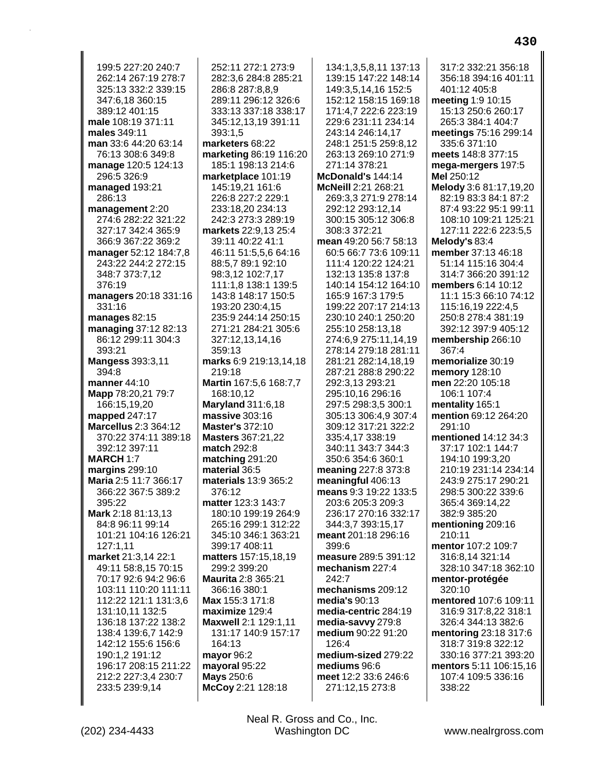199:5 227:20 240:7 262:14 267:19 278:7 325:13 332:2 339:15 347:6.18 360:15 389:12 401:15 male 108:19 371:11 males 349:11 man 33:6 44:20 63:14 76:13 308:6 349:8 manage 120:5 124:13 296:5 326:9 managed 193:21 286:13 management 2:20 274:6 282:22 321:22 327:17 342:4 365:9 366:9 367:22 369:2 manager 52:12 184:7,8 243:22 244:2 272:15 348:7 373:7,12 376:19 managers 20:18 331:16 331:16 manages  $82:15$ managing 37:12 82:13 86:12 299:11 304:3 393:21 **Mangess** 393:3,11 394:8 manner 44:10 Mapp 78:20,21 79:7 166:15,19,20 mapped 247:17 **Marcellus** 2:3 364:12 370:22 374:11 389:18 392:12 397:11 **MARCH 1:7** margins 299:10 Maria 2:5 11:7 366:17 366:22 367:5 389:2 395:22 Mark 2:18 81:13,13 84:8 96:11 99:14 101:21 104:16 126:21 127:1.11 market 21:3,14 22:1 49:11 58:8,15 70:15 70:17 92:6 94:2 96:6 103:11 110:20 111:11 112:22 121:1 131:3,6 131:10,11 132:5 136:18 137:22 138:2 138:4 139:6,7 142:9 142:12 155:6 156:6 190:1,2 191:12 196:17 208:15 211:22 212:2 227:3,4 230:7 233:5 239:9,14

252:11 272:1 273:9 282:3,6 284:8 285:21 286:8 287:8,8,9 289:11 296:12 326:6 333:13 337:18 338:17 345:12,13,19 391:11 393:1,5 marketers 68:22 marketing 86:19 116:20 185:1 198:13 214:6 marketplace 101:19 145:19,21 161:6 226:8 227:2 229:1 233:18.20 234:13 242:3 273:3 289:19 markets 22:9,13 25:4 39:11 40:22 41:1 46:11 51:5,5,6 64:16 88:5,7 89:1 92:10 98:3,12 102:7,17 111:1,8 138:1 139:5 143:8 148:17 150:5 193:20 230:4,15 235:9 244:14 250:15 271:21 284:21 305:6 327:12.13.14.16 359:13 marks 6:9 219:13,14,18 219:18 Martin 167:5,6 168:7,7 168:10.12 **Maryland** 311:6,18 massive 303:16 **Master's 372:10 Masters 367:21.22** match 292:8 matching 291:20 material 36:5 materials 13:9 365:2 376:12 matter 123:3 143:7 180:10 199:19 264:9 265:16 299:1 312:22 345:10 346:1 363:21 399:17 408:11 matters 157:15,18,19 299:2 399:20 Maurita 2:8 365:21 366:16 380:1 Max 155:3 171:8 maximize 129:4 Maxwell 2:1 129:1,11 131:17 140:9 157:17 164:13 mayor 96:2 mayoral 95:22 Mays 250:6 McCoy 2:21 128:18

134:1,3,5,8,11 137:13 139:15 147:22 148:14 149:3,5,14,16 152:5 152:12 158:15 169:18 171:4.7 222:6 223:19 229:6 231:11 234:14 243:14 246:14,17 248:1 251:5 259:8,12 263:13 269:10 271:9 271:14 378:21 McDonald's 144:14 McNeill 2:21 268:21 269:3.3 271:9 278:14 292:12 293:12,14 300:15 305:12 306:8 308:3 372:21 mean 49:20 56:7 58:13 60:5 66:7 73:6 109:11 111:4 120:22 124:21 132:13 135:8 137:8 140:14 154:12 164:10 165:9 167:3 179:5 199:22 207:17 214:13 230:10 240:1 250:20 255:10 258:13,18 274:6.9 275:11.14.19 278:14 279:18 281:11 281:21 282:14,18,19 287:21 288:8 290:22 292:3,13 293:21 295:10.16 296:16 297:5 298:3,5 300:1 305:13 306:4,9 307:4 309:12 317:21 322:2 335:4,17 338:19 340:11 343:7 344:3 350:6 354:6 360:1 meaning 227:8 373:8 meaningful 406:13 means 9:3 19:22 133:5 203:6 205:3 209:3 236:17 270:16 332:17 344:3,7 393:15,17 meant 201:18 296:16 399:6 measure 289:5 391:12 mechanism 227:4 242:7 mechanisms 209:12 media's 90:13 media-centric 284:19 media-savvy 279:8 medium 90:22 91:20 126:4 medium-sized 279:22 mediums 96:6 meet 12:2 33:6 246:6 271:12,15 273:8

317:2 332:21 356:18 356:18 394:16 401:11 401:12 405:8 meeting 1:9 10:15 15:13 250:6 260:17 265:3 384:1 404:7 meetings 75:16 299:14 335:6 371:10 meets 148:8 377:15 mega-mergers 197:5 Mel 250:12 Melody 3:6 81:17,19,20 82:19 83:3 84:1 87:2 87:4 93:22 95:1 99:11 108:10 109:21 125:21 127:11 222:6 223:5,5 Melody's 83:4 member 37:13 46:18 51:14 115:16 304:4 314:7 366:20 391:12 members 6:14 10:12 11:1 15:3 66:10 74:12 115:16,19 222:4,5 250:8 278:4 381:19 392:12 397:9 405:12 membership 266:10 367:4 memorialize 30:19 **memory** 128:10 men 22:20 105:18 106:1 107:4 mentality 165:1 mention 69:12 264:20 291:10 mentioned 14:12 34:3 37:17 102:1 144:7 194:10 199:3,20 210:19 231:14 234:14 243:9 275:17 290:21 298:5 300:22 339:6 365:4 369:14,22 382:9 385:20 mentioning 209:16 210:11 mentor 107:2 109:7 316:8,14 321:14 328:10 347:18 362:10 mentor-protégée 320:10 mentored 107:6 109:11 316:9 317:8,22 318:1 326:4 344:13 382:6 mentoring 23:18 317:6 318:7 319:8 322:12 330:16 377:21 393:20 mentors 5:11 106:15.16 107:4 109:5 336:16 338:22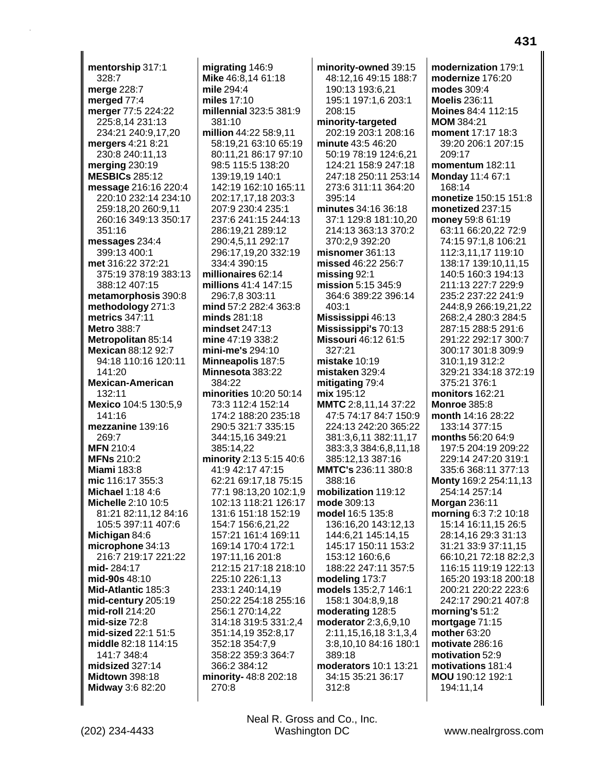**mentorship** 317:1 328:7 **merge** 228:7 **merged** 77:4 **merger** 77:5 224:22 225:8,14 231:13 234:21 240:9,17,20 **mergers** 4:21 8:21 230:8 240:11,13 **merging** 230:19 **MESBICs** 285:12 **message** 216:16 220:4 220:10 232:14 234:10 259:18,20 260:9,11 260:16 349:13 350:17 351:16 **messages** 234:4 399:13 400:1 **met** 316:22 372:21 375:19 378:19 383:13 388:12 407:15 **metamorphosis** 390:8 **methodology** 271:3 **metrics** 347:11 **Metro** 388:7 **Metropolitan** 85:14 **Mexican** 88:12 92:7 94:18 110:16 120:11 141:20 **Mexican-American** 132:11 **Mexico** 104:5 130:5,9 141:16 **mezzanine** 139:16 269:7 **MFN** 210:4 **MFNs** 210:2 **Miami** 183:8 **mic** 116:17 355:3 **Michael** 1:18 4:6 **Michelle** 2:10 10:5 81:21 82:11,12 84:16 105:5 397:11 407:6 **Michigan** 84:6 **microphone** 34:13 216:7 219:17 221:22 **mid-** 284:17 **mid-90s** 48:10 **Mid-Atlantic** 185:3 **mid-century** 205:19 **mid-roll** 214:20 **mid-size** 72:8 **mid-sized** 22:1 51:5 **middle** 82:18 114:15 141:7 348:4 **midsized** 327:14 **Midtown** 398:18 **Midway** 3:6 82:20

**migrating** 146:9 **Mike** 46:8,14 61:18 **mile** 294:4 **miles** 17:10 **millennial** 323:5 381:9 381:10 **million** 44:22 58:9,11 58:19,21 63:10 65:19 80:11,21 86:17 97:10 98:5 115:5 138:20 139:19,19 140:1 142:19 162:10 165:11 202:17,17,18 203:3 207:9 230:4 235:1 237:6 241:15 244:13 286:19,21 289:12 290:4,5,11 292:17 296:17,19,20 332:19 334:4 390:15 **millionaires** 62:14 **millions** 41:4 147:15 296:7,8 303:11 **mind** 57:2 282:4 363:8 **minds** 281:18 **mindset** 247:13 **mine** 47:19 338:2 **mini-me's** 294:10 **Minneapolis** 187:5 **Minnesota** 383:22 384:22 **minorities** 10:20 50:14 73:3 112:4 152:14 174:2 188:20 235:18 290:5 321:7 335:15 344:15,16 349:21 385:14,22 **minority** 2:13 5:15 40:6 41:9 42:17 47:15 62:21 69:17,18 75:15 77:1 98:13,20 102:1,9 102:13 118:21 126:17 131:6 151:18 152:19 154:7 156:6,21,22 157:21 161:4 169:11 169:14 170:4 172:1 197:11,16 201:8 212:15 217:18 218:10 225:10 226:1,13 233:1 240:14,19 250:22 254:18 255:16 256:1 270:14,22 314:18 319:5 331:2,4 351:14,19 352:8,17 352:18 354:7,9 358:22 359:3 364:7 366:2 384:12 **minority-** 48:8 202:18 270:8

**minority-owned** 39:15 48:12,16 49:15 188:7 190:13 193:6,21 195:1 197:1,6 203:1 208:15 **minority-targeted** 202:19 203:1 208:16 **minute** 43:5 46:20 50:19 78:19 124:6,21 124:21 158:9 247:18 247:18 250:11 253:14 273:6 311:11 364:20 395:14 **minutes** 34:16 36:18 37:1 129:8 181:10,20 214:13 363:13 370:2 370:2,9 392:20 **misnomer** 361:13 **missed** 46:22 256:7 **missing** 92:1 **mission** 5:15 345:9 364:6 389:22 396:14 403:1 **Mississippi** 46:13 **Mississippi's** 70:13 **Missouri** 46:12 61:5 327:21 **mistake** 10:19 **mistaken** 329:4 **mitigating** 79:4 **mix** 195:12 **MMTC** 2:8,11,14 37:22 47:5 74:17 84:7 150:9 224:13 242:20 365:22 381:3,6,11 382:11,17 383:3,3 384:6,8,11,18 385:12,13 387:16 **MMTC's** 236:11 380:8 388:16 **mobilization** 119:12 **mode** 309:13 **model** 16:5 135:8 136:16,20 143:12,13 144:6,21 145:14,15 145:17 150:11 153:2 153:12 160:6,6 188:22 247:11 357:5 **modeling** 173:7 **models** 135:2,7 146:1 158:1 304:8,9,18 **moderating** 128:5 **moderator** 2:3,6,9,10 2:11,15,16,18 3:1,3,4 3:8,10,10 84:16 180:1 389:18 **moderators** 10:1 13:21 34:15 35:21 36:17 312:8

**modernization** 179:1 **modernize** 176:20 **modes** 309:4 **Moelis** 236:11 **Moines** 84:4 112:15 **MOM** 384:21 **moment** 17:17 18:3 39:20 206:1 207:15 209:17 **momentum** 182:11 **Monday** 11:4 67:1 168:14 **monetize** 150:15 151:8 **monetized** 237:15 **money** 59:8 61:19 63:11 66:20,22 72:9 74:15 97:1,8 106:21 112:3,11,17 119:10 138:17 139:10,11,15 140:5 160:3 194:13 211:13 227:7 229:9 235:2 237:22 241:9 244:8,9 266:19,21,22 268:2,4 280:3 284:5 287:15 288:5 291:6 291:22 292:17 300:7 300:17 301:8 309:9 310:1,19 312:2 329:21 334:18 372:19 375:21 376:1 **monitors** 162:21 **Monroe** 385:8 **month** 14:16 28:22 133:14 377:15 **months** 56:20 64:9 197:5 204:19 209:22 229:14 247:20 319:1 335:6 368:11 377:13 **Monty** 169:2 254:11,13 254:14 257:14 **Morgan** 236:11 **morning** 6:3 7:2 10:18 15:14 16:11,15 26:5 28:14,16 29:3 31:13 31:21 33:9 37:11,15 66:10,21 72:18 82:2,3 116:15 119:19 122:13 165:20 193:18 200:18 200:21 220:22 223:6 242:17 290:21 407:8 **morning's** 51:2 **mortgage** 71:15 **mother** 63:20 **motivate** 286:16 **motivation** 52:9 **motivations** 181:4 **MOU** 190:12 192:1 194:11,14

(202) 234-4433 Washington DC www.nealrgross.com Neal R. Gross and Co., Inc.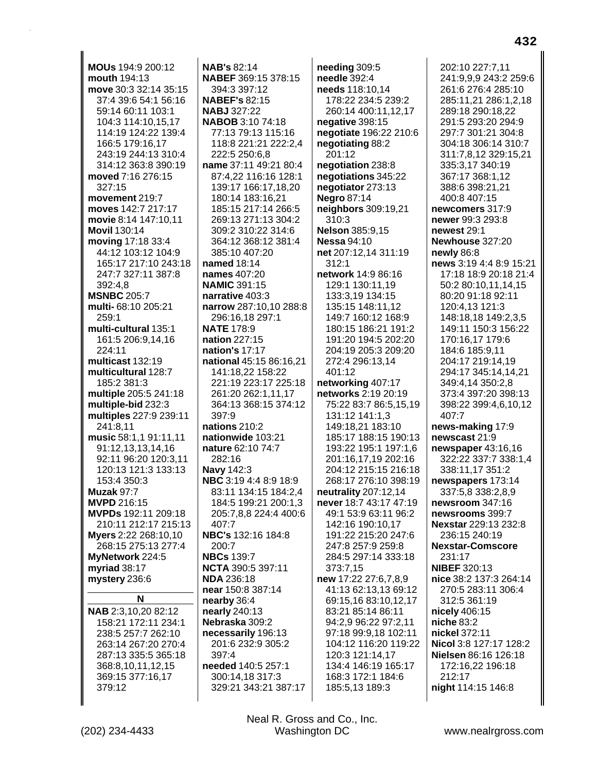**MOUs** 194:9 200:12 **mouth** 194:13 **move** 30:3 32:14 35:15 37:4 39:6 54:1 56:16 59:14 60:11 103:1 104:3 114:10,15,17 114:19 124:22 139:4 166:5 179:16,17 243:19 244:13 310:4 314:12 363:8 390:19 **moved** 7:16 276:15 327:15 **movement** 219:7 **moves** 142:7 217:17 **movie** 8:14 147:10,11 **Movil** 130:14 **moving** 17:18 33:4 44:12 103:12 104:9 165:17 217:10 243:18 247:7 327:11 387:8 392:4,8 **MSNBC** 205:7 **multi-** 68:10 205:21 259:1 **multi-cultural** 135:1 161:5 206:9,14,16 224:11 **multicast** 132:19 **multicultural** 128:7 185:2 381:3 **multiple** 205:5 241:18 **multiple-bid** 232:3 **multiples** 227:9 239:11 241:8,11 **music** 58:1,1 91:11,11 91:12,13,13,14,16 92:11 96:20 120:3,11 120:13 121:3 133:13 153:4 350:3 **Muzak** 97:7 **MVPD** 216:15 **MVPDs** 192:11 209:18 210:11 212:17 215:13 **Myers** 2:22 268:10,10 268:15 275:13 277:4 **MyNetwork** 224:5 **myriad** 38:17 **mystery** 236:6 **N NAB** 2:3,10,20 82:12 158:21 172:11 234:1 238:5 257:7 262:10 263:14 267:20 270:4 287:13 335:5 365:18 368:8,10,11,12,15 369:15 377:16,17 379:12

**NAB's** 82:14 **NABEF** 369:15 378:15 394:3 397:12 **NABEF's** 82:15 **NABJ** 327:22 **NABOB** 3:10 74:18 77:13 79:13 115:16 118:8 221:21 222:2,4 222:5 250:6,8 **name** 37:11 49:21 80:4 87:4,22 116:16 128:1 139:17 166:17,18,20 180:14 183:16,21 185:15 217:14 266:5 269:13 271:13 304:2 309:2 310:22 314:6 364:12 368:12 381:4 385:10 407:20 **named** 18:14 **names** 407:20 **NAMIC** 391:15 **narrative** 403:3 **narrow** 287:10,10 288:8 296:16,18 297:1 **NATE** 178:9 **nation** 227:15 **nation's** 17:17 **national** 45:15 86:16,21 141:18,22 158:22 221:19 223:17 225:18 261:20 262:1,11,17 364:13 368:15 374:12 397:9 **nations** 210:2 **nationwide** 103:21 **nature** 62:10 74:7 282:16 **Navy** 142:3 **NBC** 3:19 4:4 8:9 18:9 83:11 134:15 184:2,4 184:5 199:21 200:1,3 205:7,8,8 224:4 400:6 407:7 **NBC's** 132:16 184:8 200:7 **NBCs** 139:7 **NCTA** 390:5 397:11 **NDA** 236:18 **near** 150:8 387:14 **nearby** 36:4 **nearly** 240:13 **Nebraska** 309:2 **necessarily** 196:13 201:6 232:9 305:2 397:4 **needed** 140:5 257:1 300:14,18 317:3 329:21 343:21 387:17

**needing** 309:5 **needle** 392:4 **needs** 118:10,14 178:22 234:5 239:2 260:14 400:11,12,17 **negative** 398:15 **negotiate** 196:22 210:6 **negotiating** 88:2 201:12 **negotiation** 238:8 **negotiations** 345:22 **negotiator** 273:13 **Negro** 87:14 **neighbors** 309:19,21 310:3 **Nelson** 385:9,15 **Nessa** 94:10 **net** 207:12,14 311:19 312:1 **network** 14:9 86:16 129:1 130:11,19 133:3,19 134:15 135:15 148:11,12 149:7 160:12 168:9 180:15 186:21 191:2 191:20 194:5 202:20 204:19 205:3 209:20 272:4 296:13,14 401:12 **networking** 407:17 **networks** 2:19 20:19 75:22 83:7 86:5,15,19 131:12 141:1,3 149:18,21 183:10 185:17 188:15 190:13 193:22 195:1 197:1,6 201:16,17,19 202:16 204:12 215:15 216:18 268:17 276:10 398:19 **neutrality** 207:12,14 **never** 18:7 43:17 47:19 49:1 53:9 63:11 96:2 142:16 190:10,17 191:22 215:20 247:6 247:8 257:9 259:8 284:5 297:14 333:18 373:7,15 **new** 17:22 27:6,7,8,9 41:13 62:13,13 69:12 69:15,16 83:10,12,17 83:21 85:14 86:11 94:2,9 96:22 97:2,11 97:18 99:9,18 102:11 104:12 116:20 119:22 120:3 121:14,17 134:4 146:19 165:17 168:3 172:1 184:6 185:5,13 189:3

202:10 227:7,11 241:9,9,9 243:2 259:6 261:6 276:4 285:10 285:11,21 286:1,2,18 289:18 290:18,22 291:5 293:20 294:9 297:7 301:21 304:8 304:18 306:14 310:7 311:7,8,12 329:15,21 335:3,17 340:19 367:17 368:1,12 388:6 398:21,21 400:8 407:15 **newcomers** 317:9 **newer** 99:3 293:8 **newest** 29:1 **Newhouse** 327:20 **newly** 86:8 **news** 3:19 4:4 8:9 15:21 17:18 18:9 20:18 21:4 50:2 80:10,11,14,15 80:20 91:18 92:11 120:4,13 121:3 148:18,18 149:2,3,5 149:11 150:3 156:22 170:16,17 179:6 184:6 185:9,11 204:17 219:14,19 294:17 345:14,14,21 349:4,14 350:2,8 373:4 397:20 398:13 398:22 399:4,6,10,12 407:7 **news-making** 17:9 **newscast** 21:9 **newspaper** 43:16,16 322:22 337:7 338:1,4 338:11,17 351:2 **newspapers** 173:14 337:5,8 338:2,8,9 **newsroom** 347:16 **newsrooms** 399:7 **Nexstar** 229:13 232:8 236:15 240:19 **Nexstar-Comscore** 231:17 **NIBEF** 320:13 **nice** 38:2 137:3 264:14 270:5 283:11 306:4 312:5 361:19 **nicely** 406:15 **niche** 83:2 **nickel** 372:11 **Nicol** 3:8 127:17 128:2 **Nielsen** 86:16 126:18 172:16,22 196:18 212:17 **night** 114:15 146:8

(202) 234-4433 Washington DC www.nealrgross.com Neal R. Gross and Co., Inc.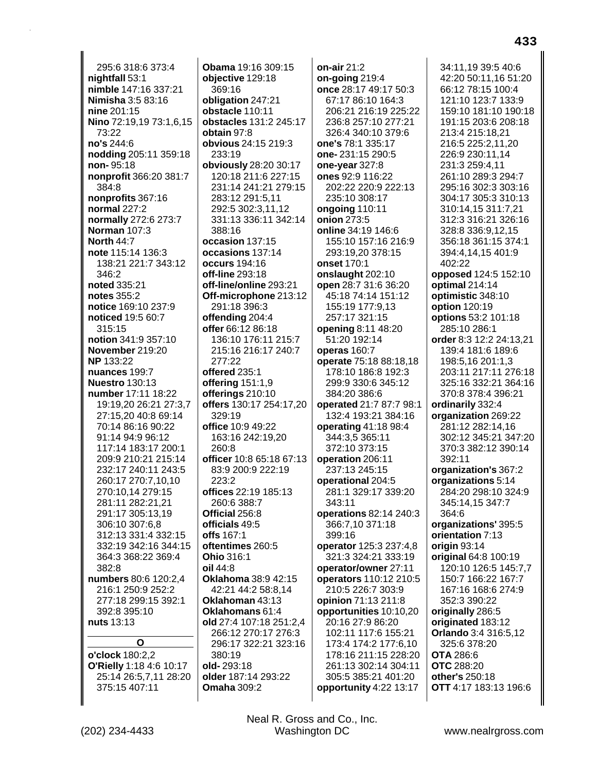295:6318:6373:4 nightfall 53:1 nimble 147:16 337:21 **Nimisha** 3:5 83:16 nine 201:15 Nino 72:19.19 73:1.6.15 73:22 no's 244:6 nodding 205:11 359:18 non-95:18 nonprofit 366:20 381:7 384:8 nonprofits 367:16 normal 227:2 normally 272:6 273:7 Norman 107:3 **North 44:7** note 115:14 136:3 138:21 221:7 343:12 346:2 noted 335:21 notes 355:2 notice 169:10 237:9 noticed 19:5 60:7 315:15 notion 341:9 357:10 November 219:20 **NP** 133:22 nuances 199:7 **Nuestro** 130:13 number 17:11 18:22 19:19.20 26:21 27:3.7 27:15,20 40:8 69:14 70:14 86:16 90:22 91:14 94:9 96:12 117:14 183:17 200:1 209:9 210:21 215:14 232:17 240:11 243:5 260:17 270:7,10,10 270:10.14 279:15 281:11 282:21,21 291:17 305:13,19 306:10 307:6,8 312:13 331:4 332:15 332:19 342:16 344:15 364:3 368:22 369:4  $382.8$ numbers 80:6 120:2,4 216:1 250:9 252:2 277:18 299:15 392:1 392:8 395:10 nuts 13:13 O o'clock 180:2,2 **O'Rielly 1:18 4:6 10:17** 25:14 26:5,7,11 28:20 375:15 407:11

Obama 19:16 309:15 objective 129:18 369:16 obligation 247:21 obstacle 110:11 obstacles 131:2 245:17 obtain 97:8 obvious 24:15 219:3 233:19 obviously 28:20 30:17 120:18 211:6 227:15 231:14 241:21 279:15 283:12 291:5,11 292:5 302:3,11,12 331:13 336:11 342:14 388:16 occasion 137:15 occasions 137:14 occurs 194:16 off-line 293:18 off-line/online 293:21 Off-microphone 213:12 291:18 396:3 offending 204:4 offer 66:12 86:18 136:10 176:11 215:7 215:16 216:17 240:7 277:22 offered 235:1 offering  $151:1.9$ offerings 210:10 offers 130:17 254:17,20  $329:19$ office 10:9 49:22 163:16 242:19.20  $260:8$ officer 10:8 65:18 67:13 83:9 200:9 222:19  $223:2$ offices 22:19 185:13 260:6 388:7 Official 256:8 officials 49:5 offs 167:1 oftentimes 260:5 **Ohio 316:1** oil 44:8 Oklahoma 38:9 42:15 42:21 44:2 58:8.14 Oklahoman 43:13 Oklahomans 61:4 old 27:4 107:18 251:2,4 266:12 270:17 276:3 296:17 322:21 323:16 380:19 old-293:18 older 187:14 293:22 **Omaha 309:2** 

on-air  $21:2$ on-going  $219:4$ once 28:17 49:17 50:3 67:17 86:10 164:3 206:21 216:19 225:22 236:8 257:10 277:21 326:4 340:10 379:6 one's 78:1 335:17 one-231:15 290:5 one-year 327:8 ones 92:9 116:22 202:22 220:9 222:13 235:10 308:17 ongoing 110:11 onion 273:5 online 34:19 146:6 155:10 157:16 216:9 293:19,20 378:15 onset 170:1 onslaught 202:10 open 28:7 31:6 36:20 45:18 74:14 151:12 155:19 177:9.13 257:17 321:15 opening 8:11 48:20 51:20 192:14 operas 160:7 operate 75:18 88:18,18 178:10 186:8 192:3 299:9 330:6 345:12 384:20 386:6 operated 21:7 87:7 98:1 132:4 193:21 384:16 operating  $41:1898:4$ 344:3,5 365:11 372:10 373:15 operation 206:11 237:13 245:15 operational 204:5 281:1 329:17 339:20  $343:11$ operations 82:14 240:3 366:7,10 371:18 399:16 operator 125:3 237:4,8 321:3 324:21 333:19 operator/owner 27:11 operators 110:12 210:5 210:5 226:7 303:9 opinion 71:13 211:8 opportunities 10:10,20 20:16 27:9 86:20 102:11 117:6 155:21 173:4 174:2 177:6,10 178:16 211:15 228:20 261:13 302:14 304:11 305:5 385:21 401:20 opportunity 4:22 13:17

34:11.19 39:5 40:6 42:20 50:11,16 51:20 66:12 78:15 100:4 121:10 123:7 133:9 159:10 181:10 190:18 191:15 203:6 208:18 213:4 215:18.21 216:5 225:2,11,20 226:9 230:11.14 231:3 259:4.11 261:10 289:3 294:7 295:16 302:3 303:16 304:17 305:3 310:13 310:14.15 311:7.21 312:3 316:21 326:16 328:8 336:9,12,15 356:18 361:15 374:1 394:4,14,15 401:9 402:22 opposed 124:5 152:10 optimal 214:14 optimistic 348:10 option 120:19 options 53:2 101:18 285:10 286:1 order 8:3 12:2 24:13.21 139:4 181:6 189:6 198:5,16 201:1,3 203:11 217:11 276:18 325:16 332:21 364:16 370:8 378:4 396:21 ordinarily 332:4 organization 269:22 281:12 282:14,16 302:12 345:21 347:20 370:3 382:12 390:14 392:11 organization's 367:2 organizations 5:14 284:20 298:10 324:9 345:14,15 347:7 364:6 organizations' 395:5 orientation 7:13 origin  $93:14$ original 64:8 100:19 120:10 126:5 145:7,7 150:7 166:22 167:7 167:16 168:6 274:9 352:3 390:22 originally 286:5 originated 183:12 **Orlando** 3:4 316:5,12 325:6 378:20 **OTA 286:6 OTC** 288:20 other's 250:18 OTT 4:17 183:13 196:6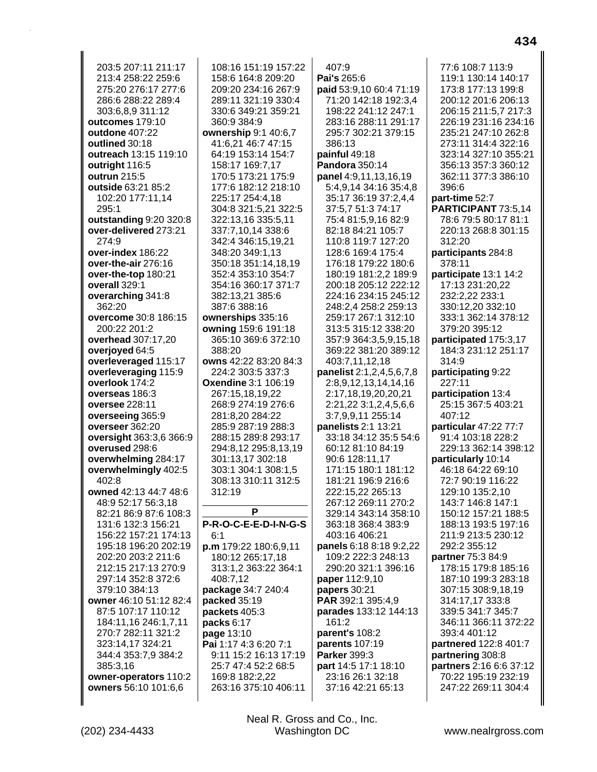203:5 207:11 211:17 213:4 258:22 259:6 275:20 276:17 277:6 286:6 288:22 289:4 303:6,8,9 311:12 **outcomes** 179:10 **outdone** 407:22 **outlined** 30:18 **outreach** 13:15 119:10 **outright** 116:5 **outrun** 215:5 **outside** 63:21 85:2 102:20 177:11,14 295:1 **outstanding** 9:20 320:8 **over-delivered** 273:21 274:9 **over-index** 186:22 **over-the-air** 276:16 **over-the-top** 180:21 **overall** 329:1 **overarching** 341:8 362:20 **overcome** 30:8 186:15 200:22 201:2 **overhead** 307:17,20 **overjoyed** 64:5 **overleveraged** 115:17 **overleveraging** 115:9 **overlook** 174:2 **overseas** 186:3 **oversee** 228:11 **overseeing** 365:9 **overseer** 362:20 **oversight** 363:3,6 366:9 **overused** 298:6 **overwhelming** 284:17 **overwhelmingly** 402:5 402:8 **owned** 42:13 44:7 48:6 48:9 52:17 56:3,18 82:21 86:9 87:6 108:3 131:6 132:3 156:21 156:22 157:21 174:13 195:18 196:20 202:19 202:20 203:2 211:6 212:15 217:13 270:9 297:14 352:8 372:6 379:10 384:13 **owner** 46:10 51:12 82:4 87:5 107:17 110:12 184:11,16 246:1,7,11 270:7 282:11 321:2 323:14,17 324:21 344:4 353:7,9 384:2 385:3,16 **owner-operators** 110:2 **owners** 56:10 101:6,6 108:16 151:19 157:22 158:6 164:8 209:20 209:20 234:16 267:9 289:11 321:19 330:4 330:6 349:21 359:21 360:9 384:9 **ownership** 9:1 40:6,7 41:6,21 46:7 47:15 64:19 153:14 154:7 158:17 169:7,17 170:5 173:21 175:9 177:6 182:12 218:10 225:17 254:4,18 304:8 321:5,21 322:5 322:13,16 335:5,11 337:7,10,14 338:6 342:4 346:15,19,21 348:20 349:1,13 350:18 351:14,18,19 352:4 353:10 354:7 354:16 360:17 371:7 382:13,21 385:6 387:6 388:16 **ownerships** 335:16 **owning** 159:6 191:18 365:10 369:6 372:10 388:20 **owns** 42:22 83:20 84:3 224:2 303:5 337:3 **Oxendine** 3:1 106:19 267:15,18,19,22 268:9 274:19 276:6 281:8,20 284:22 285:9 287:19 288:3 288:15 289:8 293:17 294:8,12 295:8,13,19 301:13,17 302:18 303:1 304:1 308:1,5 308:13 310:11 312:5 312:19 **P P-R-O-C-E-E-D-I-N-G-S** 6:1 **p.m** 179:22 180:6,9,11 180:12 265:17,18 313:1,2 363:22 364:1 408:7,12 **package** 34:7 240:4 **packed** 35:19 **packets** 405:3 **packs** 6:17 **page** 13:10 **Pai** 1:17 4:3 6:20 7:1 9:11 15:2 16:13 17:19 25:7 47:4 52:2 68:5 169:8 182:2,22 263:16 375:10 406:11 407:9 **Pai's** 265:6 **paid** 53:9,10 60:4 71:19 71:20 142:18 192:3,4 198:22 241:12 247:1 283:16 288:11 291:17 295:7 302:21 379:15 386:13 **painful** 49:18 **Pandora** 350:14 **panel** 4:9,11,13,16,19 5:4,9,14 34:16 35:4,8 35:17 36:19 37:2,4,4 37:5,7 51:3 74:17 75:4 81:5,9,16 82:9 82:18 84:21 105:7 110:8 119:7 127:20 128:6 169:4 175:4 176:18 179:22 180:6 180:19 181:2,2 189:9 200:18 205:12 222:12 224:16 234:15 245:12 248:2,4 258:2 259:13 259:17 267:1 312:10 313:5 315:12 338:20 357:9 364:3,5,9,15,18 369:22 381:20 389:12 403:7,11,12,18 **panelist** 2:1,2,4,5,6,7,8 2:8,9,12,13,14,14,16 2:17,18,19,20,20,21 2:21,22 3:1,2,4,5,6,6 3:7,9,9,11 255:14 **panelists** 2:1 13:21 33:18 34:12 35:5 54:6 60:12 81:10 84:19 90:6 128:11,17 171:15 180:1 181:12 181:21 196:9 216:6 222:15,22 265:13 267:12 269:11 270:2 329:14 343:14 358:10 363:18 368:4 383:9 403:16 406:21 **panels** 6:18 8:18 9:2,22 109:2 222:3 248:13 290:20 321:1 396:16 **paper** 112:9,10 **papers** 30:21 **PAR** 392:1 395:4,9 **parades** 133:12 144:13 161:2 **parent's** 108:2 **parents** 107:19 **Parker** 399:3 **part** 14:5 17:1 18:10 23:16 26:1 32:18 37:16 42:21 65:13

77:6 108:7 113:9 119:1 130:14 140:17 173:8 177:13 199:8 200:12 201:6 206:13 206:15 211:5,7 217:3 226:19 231:16 234:16 235:21 247:10 262:8 273:11 314:4 322:16 323:14 327:10 355:21 356:13 357:3 360:12 362:11 377:3 386:10 396:6 **part-time** 52:7 **PARTICIPANT** 73:5,14 78:6 79:5 80:17 81:1 220:13 268:8 301:15 312:20 **participants** 284:8 378:11 **participate** 13:1 14:2 17:13 231:20,22 232:2,22 233:1 330:12,20 332:10 333:1 362:14 378:12 379:20 395:12 **participated** 175:3,17 184:3 231:12 251:17 314:9 **participating** 9:22 227:11 **participation** 13:4 25:15 367:5 403:21 407:12 **particular** 47:22 77:7 91:4 103:18 228:2 229:13 362:14 398:12 **particularly** 10:14 46:18 64:22 69:10 72:7 90:19 116:22 129:10 135:2,10 143:7 146:8 147:1 150:12 157:21 188:5 188:13 193:5 197:16 211:9 213:5 230:12 292:2 355:12 **partner** 75:3 84:9 178:15 179:8 185:16 187:10 199:3 283:18 307:15 308:9,18,19 314:17,17 333:8 339:5 341:7 345:7 346:11 366:11 372:22 393:4 401:12 **partnered** 122:8 401:7 **partnering** 308:8 **partners** 2:16 6:6 37:12 70:22 195:19 232:19 247:22 269:11 304:4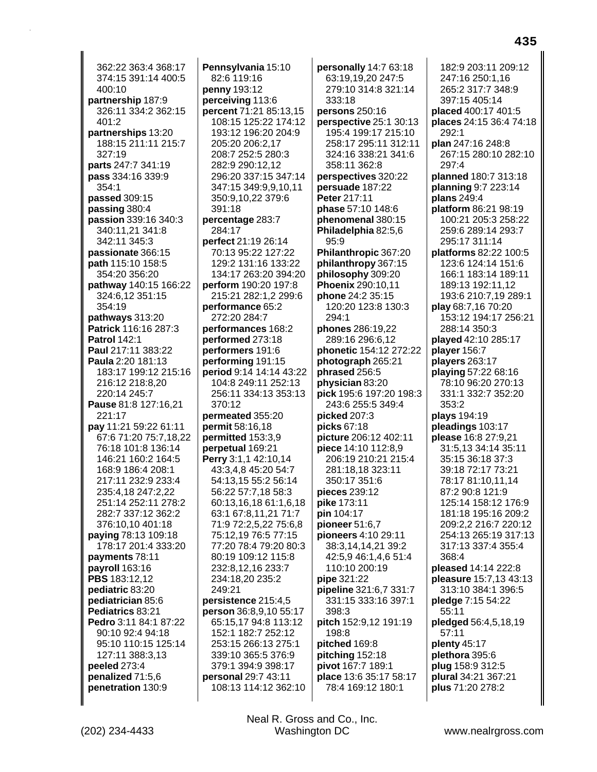362:22 363:4 368:17 374:15 391:14 400:5 400:10 **partnership** 187:9 326:11 334:2 362:15 401:2 **partnerships** 13:20 188:15 211:11 215:7 327:19 **parts** 247:7 341:19 **pass** 334:16 339:9 354:1 **passed** 309:15 **passing** 380:4 **passion** 339:16 340:3 340:11,21 341:8 342:11 345:3 **passionate** 366:15 **path** 115:10 158:5 354:20 356:20 **pathway** 140:15 166:22 324:6,12 351:15 354:19 **pathways** 313:20 **Patrick** 116:16 287:3 **Patrol** 142:1 **Paul** 217:11 383:22 **Paula** 2:20 181:13 183:17 199:12 215:16 216:12 218:8,20 220:14 245:7 **Pause** 81:8 127:16,21 221:17 **pay** 11:21 59:22 61:11 67:6 71:20 75:7,18,22 76:18 101:8 136:14 146:21 160:2 164:5 168:9 186:4 208:1 217:11 232:9 233:4 235:4,18 247:2,22 251:14 252:11 278:2 282:7 337:12 362:2 376:10,10 401:18 **paying** 78:13 109:18 178:17 201:4 333:20 **payments** 78:11 **payroll** 163:16 **PBS** 183:12,12 **pediatric** 83:20 **pediatrician** 85:6 **Pediatrics** 83:21 **Pedro** 3:11 84:1 87:22 90:10 92:4 94:18 95:10 110:15 125:14 127:11 388:3,13 **peeled** 273:4 **penalized** 71:5,6 **penetration** 130:9

**Pennsylvania** 15:10 82:6 119:16 **penny** 193:12 **perceiving** 113:6 **percent** 71:21 85:13,15 108:15 125:22 174:12 193:12 196:20 204:9 205:20 206:2,17 208:7 252:5 280:3 282:9 290:12,12 296:20 337:15 347:14 347:15 349:9,9,10,11 350:9,10,22 379:6 391:18 **percentage** 283:7 284:17 **perfect** 21:19 26:14 70:13 95:22 127:22 129:2 131:16 133:22 134:17 263:20 394:20 **perform** 190:20 197:8 215:21 282:1,2 299:6 **performance** 65:2 272:20 284:7 **performances** 168:2 **performed** 273:18 **performers** 191:6 **performing** 191:15 **period** 9:14 14:14 43:22 104:8 249:11 252:13 256:11 334:13 353:13 370:12 **permeated** 355:20 **permit** 58:16,18 **permitted** 153:3,9 **perpetual** 169:21 **Perry** 3:1,1 42:10,14 43:3,4,8 45:20 54:7 54:13,15 55:2 56:14 56:22 57:7,18 58:3 60:13,16,18 61:1,6,18 63:1 67:8,11,21 71:7 71:9 72:2,5,22 75:6,8 75:12,19 76:5 77:15 77:20 78:4 79:20 80:3 80:19 109:12 115:8 232:8,12,16 233:7 234:18,20 235:2 249:21 **persistence** 215:4,5 **person** 36:8,9,10 55:17 65:15,17 94:8 113:12 152:1 182:7 252:12 253:15 266:13 275:1 339:10 365:5 376:9 379:1 394:9 398:17 **personal** 29:7 43:11 108:13 114:12 362:10

**personally** 14:7 63:18 63:19,19,20 247:5 279:10 314:8 321:14 333:18 **persons** 250:16 **perspective** 25:1 30:13 195:4 199:17 215:10 258:17 295:11 312:11 324:16 338:21 341:6 358:11 362:8 **perspectives** 320:22 **persuade** 187:22 **Peter** 217:11 **phase** 57:10 148:6 **phenomenal** 380:15 **Philadelphia** 82:5,6 95:9 **Philanthropic** 367:20 **philanthropy** 367:15 **philosophy** 309:20 **Phoenix** 290:10,11 **phone** 24:2 35:15 120:20 123:8 130:3 294:1 **phones** 286:19,22 289:16 296:6,12 **phonetic** 154:12 272:22 **photograph** 265:21 **phrased** 256:5 **physician** 83:20 **pick** 195:6 197:20 198:3 243:6 255:5 349:4 **picked** 207:3 **picks** 67:18 **picture** 206:12 402:11 **piece** 14:10 112:8,9 206:19 210:21 215:4 281:18,18 323:11 350:17 351:6 **pieces** 239:12 **pike** 173:11 **pin** 104:17 **pioneer** 51:6,7 **pioneers** 4:10 29:11 38:3,14,14,21 39:2 42:5,9 46:1,4,6 51:4 110:10 200:19 **pipe** 321:22 **pipeline** 321:6,7 331:7 331:15 333:16 397:1 398:3 **pitch** 152:9,12 191:19 198:8 **pitched** 169:8 **pitching** 152:18 **pivot** 167:7 189:1 **place** 13:6 35:17 58:17 78:4 169:12 180:1

182:9 203:11 209:12 247:16 250:1,16 265:2 317:7 348:9 397:15 405:14 **placed** 400:17 401:5 **places** 24:15 36:4 74:18 292:1 **plan** 247:16 248:8 267:15 280:10 282:10 297:4 **planned** 180:7 313:18 **planning** 9:7 223:14 **plans** 249:4 **platform** 86:21 98:19 100:21 205:3 258:22 259:6 289:14 293:7 295:17 311:14 **platforms** 82:22 100:5 123:6 124:14 151:6 166:1 183:14 189:11 189:13 192:11,12 193:6 210:7,19 289:1 **play** 68:7,16 70:20 153:12 194:17 256:21 288:14 350:3 **played** 42:10 285:17 **player** 156:7 **players** 263:17 **playing** 57:22 68:16 78:10 96:20 270:13 331:1 332:7 352:20 353:2 **plays** 194:19 **pleadings** 103:17 **please** 16:8 27:9,21 31:5,13 34:14 35:11 35:15 36:18 37:3 39:18 72:17 73:21 78:17 81:10,11,14 87:2 90:8 121:9 125:14 158:12 176:9 181:18 195:16 209:2 209:2,2 216:7 220:12 254:13 265:19 317:13 317:13 337:4 355:4 368:4 **pleased** 14:14 222:8 **pleasure** 15:7,13 43:13 313:10 384:1 396:5 **pledge** 7:15 54:22 55:11 **pledged** 56:4,5,18,19 57:11 **plenty** 45:17 **plethora** 395:6 **plug** 158:9 312:5 **plural** 34:21 367:21 **plus** 71:20 278:2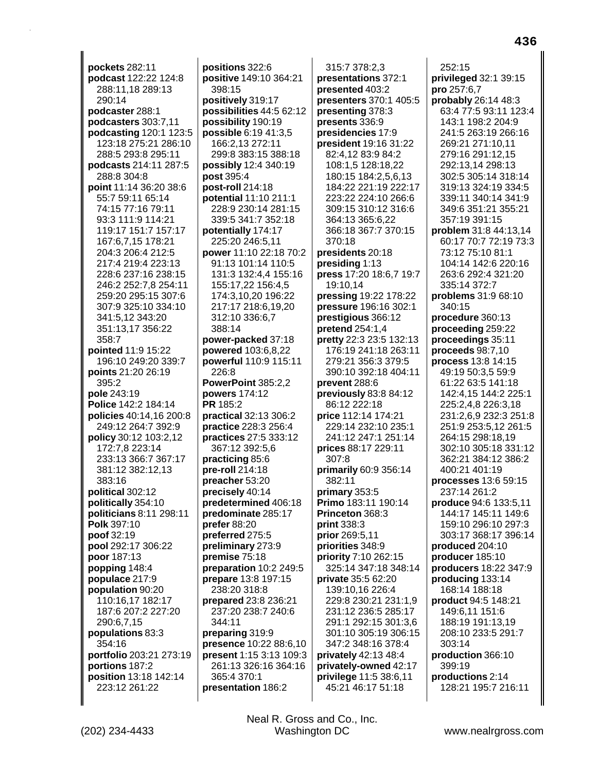pockets 282:11 podcast 122:22 124:8 288:11,18 289:13 290:14 podcaster 288:1 podcasters 303:7,11 podcasting 120:1 123:5 123:18 275:21 286:10 288:5 293:8 295:11 podcasts 214:11 287:5 288:8 304:8 point 11:14 36:20 38:6 55:7 59:11 65:14 74:15 77:16 79:11 93:3 111:9 114:21 119:17 151:7 157:17 167:6,7,15 178:21 204:3 206:4 212:5 217:4 219:4 223:13 228:6 237:16 238:15 246:2 252:7,8 254:11 259:20 295:15 307:6 307:9 325:10 334:10 341:5,12 343:20 351:13.17 356:22 358:7 pointed 11:9 15:22 196:10 249:20 339:7 **points** 21:20 26:19 395:2 pole 243:19 Police 142:2 184:14 policies 40:14,16 200:8 249:12 264:7 392:9 policy 30:12 103:2,12 172:7,8 223:14 233:13 366:7 367:17 381:12 382:12,13 383:16 political 302:12 politically 354:10 politicians 8:11 298:11 Polk 397:10 poof 32:19 pool 292:17 306:22 poor 187:13 popping 148:4 populace 217:9 population 90:20 110:16,17 182:17 187:6 207:2 227:20 290:6,7,15 populations 83:3 354:16 portfolio 203:21 273:19 portions 187:2 position 13:18 142:14 223:12 261:22

positions 322:6 positive 149:10 364:21 398:15 positively 319:17 possibilities 44:5 62:12 possibility 190:19 possible 6:19 41:3,5 166:2,13 272:11 299:8 383:15 388:18 possibly 12:4 340:19 post 395:4 post-roll 214:18 potential 11:10 211:1 228:9 230:14 281:15 339:5 341:7 352:18 potentially 174:17 225:20 246:5,11 power 11:10 22:18 70:2 91:13 101:14 110:5 131:3 132:4,4 155:16 155:17,22 156:4,5 174:3,10,20 196:22 217:17 218:6,19,20 312:10 336:6,7 388:14 power-packed 37:18 powered 103:6,8,22 powerful 110:9 115:11 226:8 PowerPoint 385:2.2 powers 174:12 PR 185:2 **practical 32:13 306:2 practice** 228:3 256:4 practices 27:5 333:12 367:12 392:5,6 practicing 85:6 pre-roll  $214:18$ preacher 53:20 precisely 40:14 predetermined 406:18 predominate 285:17 prefer 88:20 preferred 275:5 preliminary 273:9 premise 75:18 preparation 10:2 249:5 prepare 13:8 197:15 238:20 318:8 prepared 23:8 236:21 237:20 238:7 240:6 344:11 preparing 319:9 presence 10:22 88:6,10 present 1:15 3:13 109:3 261:13 326:16 364:16 365:4 370:1 presentation 186:2

315:7 378:2.3 presentations 372:1 presented 403:2 presenters 370:1 405:5 presenting 378:3 presents 336:9 presidencies 17:9 president 19:16 31:22 82:4,12 83:9 84:2 108:1,5 128:18,22 180:15 184:2,5,6,13 184:22 221:19 222:17 223:22 224:10 266:6 309:15 310:12 316:6 364:13 365:6,22 366:18 367:7 370:15 370:18 presidents 20:18 presiding 1:13 press 17:20 18:6,7 19:7 19:10,14 pressing 19:22 178:22 pressure 196:16 302:1 prestigious 366:12 pretend  $254:1,4$ pretty 22:3 23:5 132:13 176:19 241:18 263:11 279:21 356:3 379:5 390:10 392:18 404:11 prevent 288:6 previously 83:8 84:12 86:12 222:18 price 112:14 174:21 229:14 232:10 235:1 241:12 247:1 251:14 prices 88:17 229:11 307:8 primarily 60:9 356:14 382:11 primary 353:5 Primo 183:11 190:14 Princeton 368:3 print 338:3 prior 269:5,11 priorities 348:9 priority 7:10 262:15 325:14 347:18 348:14 private 35:5 62:20 139:10.16 226:4 229:8 230:21 231:1,9 231:12 236:5 285:17 291:1 292:15 301:3,6 301:10 305:19 306:15 347:2 348:16 378:4 privately 42:13 48:4 privately-owned 42:17 privilege 11:5 38:6,11 45:21 46:17 51:18

 $252:15$ privileged 32:1 39:15 pro 257:6,7 probably 26:14 48:3 63:4 77:5 93:11 123:4 143:1 198:2 204:9 241:5 263:19 266:16 269:21 271:10,11 279:16 291:12,15 292:13,14 298:13 302:5 305:14 318:14 319:13 324:19 334:5 339:11 340:14 341:9 349:6 351:21 355:21 357:19 391:15 **problem** 31:8 44:13,14 60:17 70:7 72:19 73:3 73:12 75:10 81:1 104:14 142:6 220:16 263:6 292:4 321:20 335:14 372:7 problems 31:9 68:10 340:15 procedure 360:13 proceeding 259:22 proceedings 35:11 proceeds 98:7.10 **process**  $13:8$   $14:15$ 49:19 50:3,5 59:9 61:22 63:5 141:18 142:4.15 144:2 225:1 225:2,4,8 226:3,18 231:2,6,9 232:3 251:8 251:9 253:5,12 261:5 264:15 298:18.19 302:10 305:18 331:12 362:21 384:12 386:2 400:21 401:19 processes 13:6 59:15 237:14 261:2 produce 94:6 133:5.11 144:17 145:11 149:6 159:10 296:10 297:3 303:17 368:17 396:14 produced 204:10 producer 185:10 producers 18:22 347:9 producing 133:14 168:14 188:18 product 94:5 148:21 149:6,11 151:6 188:19 191:13,19 208:10 233:5 291:7 303:14 production 366:10 399:19 productions 2:14 128:21 195:7 216:11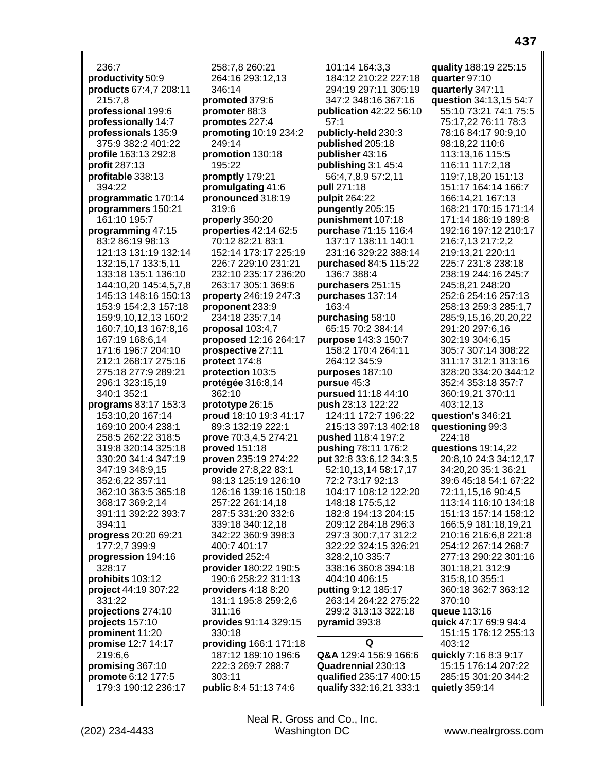236:7 **productivity** 50:9 **products** 67:4,7 208:11 215:7,8 **professional** 199:6 **professionally** 14:7 **professionals** 135:9 375:9 382:2 401:22 **profile** 163:13 292:8 **profit** 287:13 **profitable** 338:13 394:22 **programmatic** 170:14 **programmers** 150:21 161:10 195:7 **programming** 47:15 83:2 86:19 98:13 121:13 131:19 132:14 132:15,17 133:5,11 133:18 135:1 136:10 144:10,20 145:4,5,7,8 145:13 148:16 150:13 153:9 154:2,3 157:18 159:9,10,12,13 160:2 160:7,10,13 167:8,16 167:19 168:6,14 171:6 196:7 204:10 212:1 268:17 275:16 275:18 277:9 289:21 296:1 323:15,19 340:1 352:1 **programs** 83:17 153:3 153:10,20 167:14 169:10 200:4 238:1 258:5 262:22 318:5 319:8 320:14 325:18 330:20 341:4 347:19 347:19 348:9,15 352:6,22 357:11 362:10 363:5 365:18 368:17 369:2,14 391:11 392:22 393:7 394:11 **progress** 20:20 69:21 177:2,7 399:9 **progression** 194:16 328:17 **prohibits** 103:12 **project** 44:19 307:22 331:22 **projections** 274:10 **projects** 157:10 **prominent** 11:20 **promise** 12:7 14:17 219:6,6 **promising** 367:10 **promote** 6:12 177:5 179:3 190:12 236:17

258:7,8 260:21 264:16 293:12,13 346:14 **promoted** 379:6 **promoter** 88:3 **promotes** 227:4 **promoting** 10:19 234:2 249:14 **promotion** 130:18 195:22 **promptly** 179:21 **promulgating** 41:6 **pronounced** 318:19 319:6 **properly** 350:20 **properties** 42:14 62:5 70:12 82:21 83:1 152:14 173:17 225:19 226:7 229:10 231:21 232:10 235:17 236:20 263:17 305:1 369:6 **property** 246:19 247:3 **proponent** 233:9 234:18 235:7,14 **proposal** 103:4,7 **proposed** 12:16 264:17 **prospective** 27:11 **protect** 174:8 **protection** 103:5 **protégée** 316:8,14 362:10 **prototype** 26:15 **proud** 18:10 19:3 41:17 89:3 132:19 222:1 **prove** 70:3,4,5 274:21 **proved** 151:18 **proven** 235:19 274:22 **provide** 27:8,22 83:1 98:13 125:19 126:10 126:16 139:16 150:18 257:22 261:14,18 287:5 331:20 332:6 339:18 340:12,18 342:22 360:9 398:3 400:7 401:17 **provided** 252:4 **provider** 180:22 190:5 190:6 258:22 311:13 **providers** 4:18 8:20 131:1 195:8 259:2,6 311:16 **provides** 91:14 329:15 330:18 **providing** 166:1 171:18 187:12 189:10 196:6 222:3 269:7 288:7 303:11 **public** 8:4 51:13 74:6

101:14 164:3,3 184:12 210:22 227:18 294:19 297:11 305:19 347:2 348:16 367:16 **publication** 42:22 56:10 57:1 **publicly-held** 230:3 **published** 205:18 **publisher** 43:16 **publishing** 3:1 45:4 56:4,7,8,9 57:2,11 **pull** 271:18 **pulpit** 264:22 **pungently** 205:15 **punishment** 107:18 **purchase** 71:15 116:4 137:17 138:11 140:1 231:16 329:22 388:14 **purchased** 84:5 115:22 136:7 388:4 **purchasers** 251:15 **purchases** 137:14 163:4 **purchasing** 58:10 65:15 70:2 384:14 **purpose** 143:3 150:7 158:2 170:4 264:11 264:12 345:9 **purposes** 187:10 **pursue** 45:3 **pursued** 11:18 44:10 **push** 23:13 122:22 124:11 172:7 196:22 215:13 397:13 402:18 **pushed** 118:4 197:2 **pushing** 78:11 176:2 **put** 32:8 33:6,12 34:3,5 52:10,13,14 58:17,17 72:2 73:17 92:13 104:17 108:12 122:20 148:18 175:5,12 182:8 194:13 204:15 209:12 284:18 296:3 297:3 300:7,17 312:2 322:22 324:15 326:21 328:2,10 335:7 338:16 360:8 394:18 404:10 406:15 **putting** 9:12 185:17 263:14 264:22 275:22 299:2 313:13 322:18 **pyramid** 393:8 **Q Q&A** 129:4 156:9 166:6 **Quadrennial** 230:13 **qualified** 235:17 400:15 **qualify** 332:16,21 333:1

**quality** 188:19 225:15 **quarter** 97:10 **quarterly** 347:11 **question** 34:13,15 54:7 55:10 73:21 74:1 75:5 75:17,22 76:11 78:3 78:16 84:17 90:9,10 98:18,22 110:6 113:13,16 115:5 116:11 117:2,18 119:7,18,20 151:13 151:17 164:14 166:7 166:14,21 167:13 168:21 170:15 171:14 171:14 186:19 189:8 192:16 197:12 210:17 216:7,13 217:2,2 219:13,21 220:11 225:7 231:8 238:18 238:19 244:16 245:7 245:8,21 248:20 252:6 254:16 257:13 258:13 259:3 285:1,7 285:9,15,16,20,20,22 291:20 297:6,16 302:19 304:6,15 305:7 307:14 308:22 311:17 312:1 313:16 328:20 334:20 344:12 352:4 353:18 357:7 360:19,21 370:11 403:12,13 **question's** 346:21 **questioning** 99:3 224:18 **questions** 19:14,22 20:8,10 24:3 34:12,17 34:20,20 35:1 36:21 39:6 45:18 54:1 67:22 72:11,15,16 90:4,5 113:14 116:10 134:18 151:13 157:14 158:12 166:5,9 181:18,19,21 210:16 216:6,8 221:8 254:12 267:14 268:7 277:13 290:22 301:16 301:18,21 312:9 315:8,10 355:1 360:18 362:7 363:12 370:10 **queue** 113:16 **quick** 47:17 69:9 94:4 151:15 176:12 255:13 403:12 **quickly** 7:16 8:3 9:17 15:15 176:14 207:22 285:15 301:20 344:2 **quietly** 359:14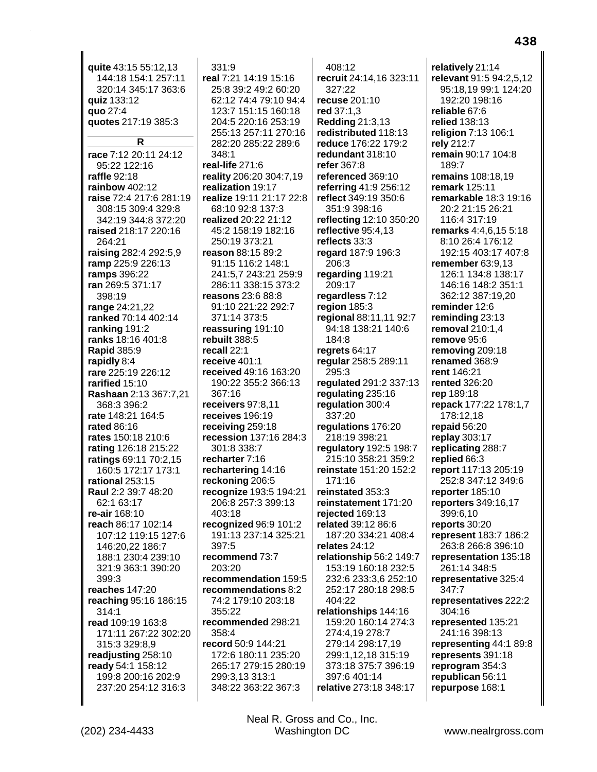| quite 43:15 55:12,13             | 331:9                                | 408:12                                      | relatively 21:14                          |
|----------------------------------|--------------------------------------|---------------------------------------------|-------------------------------------------|
| 144:18 154:1 257:11              | real 7:21 14:19 15:16                | recruit 24:14,16 323:11                     | relevant 91:5 94:2,5,12                   |
| 320:14 345:17 363:6              | 25:8 39:2 49:2 60:20                 | 327:22                                      | 95:18,19 99:1 124:20                      |
| quiz 133:12                      | 62:12 74:4 79:10 94:4                | <b>recuse 201:10</b>                        | 192:20 198:16                             |
| quo 27:4                         | 123:7 151:15 160:18                  | red 37:1,3                                  | reliable 67:6                             |
| quotes 217:19 385:3              | 204:5 220:16 253:19                  | Redding 21:3,13                             | <b>relied</b> 138:13                      |
|                                  | 255:13 257:11 270:16                 | redistributed 118:13                        | religion 7:13 106:1                       |
| R                                | 282:20 285:22 289:6                  | reduce 176:22 179:2                         | rely 212:7                                |
| race 7:12 20:11 24:12            | 348:1                                | redundant 318:10                            | remain 90:17 104:8                        |
| 95:22 122:16                     | real-life 271:6                      | refer 367:8                                 | 189:7                                     |
| raffle 92:18                     | reality 206:20 304:7,19              | referenced 369:10                           | remains 108:18,19                         |
| rainbow 402:12                   | realization 19:17                    | referring 41:9 256:12                       | <b>remark</b> 125:11                      |
| raise 72:4 217:6 281:19          | realize 19:11 21:17 22:8             | reflect 349:19 350:6                        | <b>remarkable 18:3 19:16</b>              |
| 308:15 309:4 329:8               | 68:10 92:8 137:3                     | 351:9 398:16                                | 20:2 21:15 26:21                          |
| 342:19 344:8 372:20              | realized 20:22 21:12                 | reflecting 12:10 350:20                     | 116:4 317:19                              |
| raised 218:17 220:16<br>264:21   | 45:2 158:19 182:16<br>250:19 373:21  | reflective 95:4,13<br>reflects 33:3         | remarks 4:4,6,15 5:18<br>8:10 26:4 176:12 |
| raising 282:4 292:5,9            | reason 88:15 89:2                    | regard 187:9 196:3                          | 192:15 403:17 407:8                       |
| ramp 225:9 226:13                | 91:15 116:2 148:1                    | 206:3                                       | remember 63:9,13                          |
| ramps 396:22                     | 241:5,7 243:21 259:9                 | regarding 119:21                            | 126:1 134:8 138:17                        |
| ran 269:5 371:17                 | 286:11 338:15 373:2                  | 209:17                                      | 146:16 148:2 351:1                        |
| 398:19                           | reasons 23:6 88:8                    | regardless 7:12                             | 362:12 387:19,20                          |
| range 24:21,22                   | 91:10 221:22 292:7                   | region 185:3                                | reminder 12:6                             |
| ranked 70:14 402:14              | 371:14 373:5                         | regional 88:11,11 92:7                      | reminding 23:13                           |
| ranking 191:2                    | reassuring 191:10                    | 94:18 138:21 140:6                          | removal 210:1,4                           |
| ranks 18:16 401:8                | rebuilt 388:5                        | 184:8                                       | remove 95:6                               |
| <b>Rapid 385:9</b>               | recall 22:1                          | regrets 64:17                               | removing 209:18                           |
| rapidly 8:4                      | receive $401:1$                      | regular 258:5 289:11                        | renamed 368:9                             |
| rare 225:19 226:12               | received 49:16 163:20                | 295:3                                       | rent 146:21                               |
| rarified 15:10                   | 190:22 355:2 366:13                  | regulated 291:2 337:13                      | <b>rented</b> 326:20                      |
| Rashaan 2:13 367:7,21            | 367:16                               | regulating 235:16                           | rep 189:18                                |
| 368:3 396:2<br>rate 148:21 164:5 | receivers 97:8,11<br>receives 196:19 | regulation 300:4<br>337:20                  | repack 177:22 178:1,7<br>178:12,18        |
| <b>rated 86:16</b>               | receiving 259:18                     | regulations 176:20                          | repaid 56:20                              |
| rates 150:18 210:6               | recession 137:16 284:3               | 218:19 398:21                               | replay 303:17                             |
| rating 126:18 215:22             | 301:8 338:7                          | regulatory 192:5 198:7                      | replicating 288:7                         |
| ratings 69:11 70:2,15            | recharter 7:16                       | 215:10 358:21 359:2                         | replied 66:3                              |
| 160:5 172:17 173:1               | rechartering 14:16                   | reinstate 151:20 152:2                      | report 117:13 205:19                      |
| rational 253:15                  | reckoning 206:5                      | 171:16                                      | 252:8 347:12 349:6                        |
| Raul 2:2 39:7 48:20              | recognize 193:5 194:21               | reinstated 353:3                            | reporter 185:10                           |
| 62:1 63:17                       | 206:8 257:3 399:13                   | reinstatement 171:20                        | reporters 349:16,17                       |
| re-air 168:10                    | 403:18                               | rejected 169:13                             | 399:6,10                                  |
| reach 86:17 102:14               | recognized 96:9 101:2                | related 39:12 86:6                          | reports 30:20                             |
| 107:12 119:15 127:6              | 191:13 237:14 325:21                 | 187:20 334:21 408:4                         | represent 183:7 186:2                     |
| 146:20,22 186:7                  | 397:5                                | relates 24:12                               | 263:8 266:8 396:10                        |
| 188:1 230:4 239:10               | recommend 73:7                       | relationship 56:2 149:7                     | representation 135:18                     |
| 321:9 363:1 390:20<br>399:3      | 203:20<br>recommendation 159:5       | 153:19 160:18 232:5<br>232:6 233:3,6 252:10 | 261:14 348:5<br>representative 325:4      |
| reaches 147:20                   | recommendations 8:2                  | 252:17 280:18 298:5                         | 347:7                                     |
| reaching 95:16 186:15            | 74:2 179:10 203:18                   | 404:22                                      | representatives 222:2                     |
| 314:1                            | 355:22                               | relationships 144:16                        | 304:16                                    |
| read 109:19 163:8                | recommended 298:21                   | 159:20 160:14 274:3                         | represented 135:21                        |
| 171:11 267:22 302:20             | 358:4                                | 274:4,19 278:7                              | 241:16 398:13                             |
| 315:3 329:8,9                    | record 50:9 144:21                   | 279:14 298:17,19                            | representing 44:1 89:8                    |
| readjusting 258:10               | 172:6 180:11 235:20                  | 299:1,12,18 315:19                          | represents 391:18                         |
| ready 54:1 158:12                | 265:17 279:15 280:19                 | 373:18 375:7 396:19                         | reprogram 354:3                           |
| 199:8 200:16 202:9               | 299:3,13 313:1                       | 397:6 401:14                                | republican 56:11                          |
| 237:20 254:12 316:3              | 348:22 363:22 367:3                  | relative 273:18 348:17                      | repurpose 168:1                           |
|                                  |                                      |                                             |                                           |

Neal R. Gross and Co., Inc.<br>Washington DC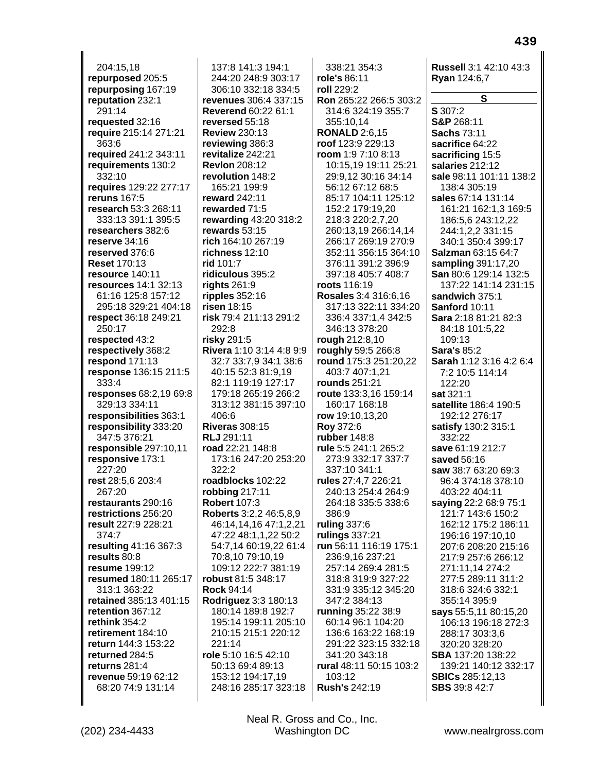204:15,18 **repurposed** 205:5 **repurposing** 167:19 **reputation** 232:1 291:14 **requested** 32:16 **require** 215:14 271:21 363:6 **required** 241:2 343:11 **requirements** 130:2 332:10 **requires** 129:22 277:17 **reruns** 167:5 **research** 53:3 268:11 333:13 391:1 395:5 **researchers** 382:6 **reserve** 34:16 **reserved** 376:6 **Reset** 170:13 **resource** 140:11 **resources** 14:1 32:13 61:16 125:8 157:12 295:18 329:21 404:18 **respect** 36:18 249:21 250:17 **respected** 43:2 **respectively** 368:2 **respond** 171:13 **response** 136:15 211:5 333:4 **responses** 68:2,19 69:8 329:13 334:11 **responsibilities** 363:1 **responsibility** 333:20 347:5 376:21 **responsible** 297:10,11 **responsive** 173:1 227:20 **rest** 28:5,6 203:4 267:20 **restaurants** 290:16 **restrictions** 256:20 **result** 227:9 228:21 374:7 **resulting** 41:16 367:3 **results** 80:8 **resume** 199:12 **resumed** 180:11 265:17 313:1 363:22 **retained** 385:13 401:15 **retention** 367:12 **rethink** 354:2 **retirement** 184:10 **return** 144:3 153:22 **returned** 284:5 **returns** 281:4 **revenue** 59:19 62:12 68:20 74:9 131:14

137:8 141:3 194:1 244:20 248:9 303:17 306:10 332:18 334:5 **revenues** 306:4 337:15 **Reverend** 60:22 61:1 **reversed** 55:18 **Review** 230:13 **reviewing** 386:3 **revitalize** 242:21 **Revlon** 208:12 **revolution** 148:2 165:21 199:9 **reward** 242:11 **rewarded** 71:5 **rewarding** 43:20 318:2 **rewards** 53:15 **rich** 164:10 267:19 **richness** 12:10 **rid** 101:7 **ridiculous** 395:2 **rights** 261:9 **ripples** 352:16 **risen** 18:15 **risk** 79:4 211:13 291:2 292:8 **risky** 291:5 **Rivera** 1:10 3:14 4:8 9:9 32:7 33:7,9 34:1 38:6 40:15 52:3 81:9,19 82:1 119:19 127:17 179:18 265:19 266:2 313:12 381:15 397:10 406:6 **Riveras** 308:15 **RLJ** 291:11 **road** 22:21 148:8 173:16 247:20 253:20 322:2 **roadblocks** 102:22 **robbing** 217:11 **Robert** 107:3 **Roberts** 3:2,2 46:5,8,9 46:14,14,16 47:1,2,21 47:22 48:1,1,22 50:2 54:7,14 60:19,22 61:4 70:8,10 79:10,19 109:12 222:7 381:19 **robust** 81:5 348:17 **Rock** 94:14 **Rodriguez** 3:3 180:13 180:14 189:8 192:7 195:14 199:11 205:10 210:15 215:1 220:12 221:14 **role** 5:10 16:5 42:10 50:13 69:4 89:13 153:12 194:17,19 248:16 285:17 323:18

338:21 354:3 **role's** 86:11 **roll** 229:2 **Ron** 265:22 266:5 303:2 314:6 324:19 355:7 355:10,14 **RONALD** 2:6,15 **roof** 123:9 229:13 **room** 1:9 7:10 8:13 10:15,19 19:11 25:21 29:9,12 30:16 34:14 56:12 67:12 68:5 85:17 104:11 125:12 152:2 179:19,20 218:3 220:2,7,20 260:13,19 266:14,14 266:17 269:19 270:9 352:11 356:15 364:10 376:11 391:2 396:9 397:18 405:7 408:7 **roots** 116:19 **Rosales** 3:4 316:6,16 317:13 322:11 334:20 336:4 337:1,4 342:5 346:13 378:20 **rough** 212:8,10 **roughly** 59:5 266:8 **round** 175:3 251:20,22 403:7 407:1,21 **rounds** 251:21 **route** 133:3,16 159:14 160:17 168:18 **row** 19:10,13,20 **Roy** 372:6 **rubber** 148:8 **rule** 5:5 241:1 265:2 273:9 332:17 337:7 337:10 341:1 **rules** 27:4,7 226:21 240:13 254:4 264:9 264:18 335:5 338:6 386:9 **ruling** 337:6 **rulings** 337:21 **run** 56:11 116:19 175:1 236:9,16 237:21 257:14 269:4 281:5 318:8 319:9 327:22 331:9 335:12 345:20 347:2 384:13 **running** 35:22 38:9 60:14 96:1 104:20 136:6 163:22 168:19 291:22 323:15 332:18 341:20 343:18 **rural** 48:11 50:15 103:2 103:12 **Rush's** 242:19

**Russell** 3:1 42:10 43:3 **Ryan** 124:6,7 **S S** 307:2 **S&P** 268:11 **Sachs** 73:11 **sacrifice** 64:22 **sacrificing** 15:5 **salaries** 212:12 **sale** 98:11 101:11 138:2 138:4 305:19 **sales** 67:14 131:14 161:21 162:1,3 169:5 186:5,6 243:12,22 244:1,2,2 331:15 340:1 350:4 399:17 **Salzman** 63:15 64:7 **sampling** 391:17,20 **San** 80:6 129:14 132:5 137:22 141:14 231:15 **sandwich** 375:1 **Sanford** 10:11 **Sara** 2:18 81:21 82:3 84:18 101:5,22 109:13 **Sara's** 85:2 **Sarah** 1:12 3:16 4:2 6:4 7:2 10:5 114:14 122:20 **sat** 321:1 **satellite** 186:4 190:5 192:12 276:17 **satisfy** 130:2 315:1 332:22 **save** 61:19 212:7 **saved** 56:16 **saw** 38:7 63:20 69:3 96:4 374:18 378:10 403:22 404:11 **saying** 22:2 68:9 75:1 121:7 143:6 150:2 162:12 175:2 186:11 196:16 197:10,10 207:6 208:20 215:16 217:9 257:6 266:12 271:11,14 274:2 277:5 289:11 311:2 318:6 324:6 332:1 355:14 395:9 **says** 55:5,11 80:15,20 106:13 196:18 272:3 288:17 303:3,6 320:20 328:20 **SBA** 137:20 138:22 139:21 140:12 332:17 **SBICs** 285:12,13 **SBS** 39:8 42:7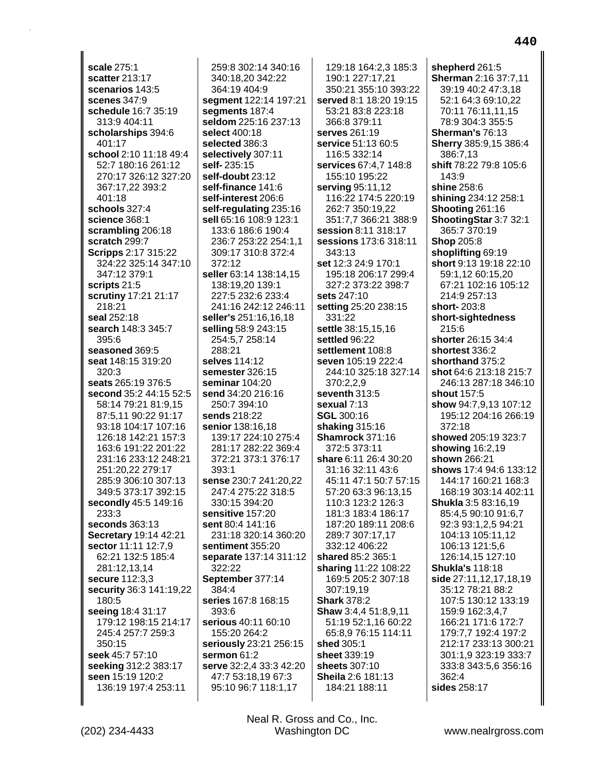**scale** 275:1 **scatter** 213:17 **scenarios** 143:5 **scenes** 347:9 **schedule** 16:7 35:19 313:9 404:11 **scholarships** 394:6 401:17 **school** 2:10 11:18 49:4 52:7 180:16 261:12 270:17 326:12 327:20 367:17,22 393:2 401:18 **schools** 327:4 **science** 368:1 **scrambling** 206:18 **scratch** 299:7 **Scripps** 2:17 315:22 324:22 325:14 347:10 347:12 379:1 **scripts** 21:5 **scrutiny** 17:21 21:17 218:21 **seal** 252:18 **search** 148:3 345:7 395:6 **seasoned** 369:5 **seat** 148:15 319:20 320:3 **seats** 265:19 376:5 **second** 35:2 44:15 52:5 58:14 79:21 81:9,15 87:5,11 90:22 91:17 93:18 104:17 107:16 126:18 142:21 157:3 163:6 191:22 201:22 231:16 233:12 248:21 251:20,22 279:17 285:9 306:10 307:13 349:5 373:17 392:15 **secondly** 45:5 149:16 233:3 **seconds** 363:13 **Secretary** 19:14 42:21 **sector** 11:11 12:7,9 62:21 132:5 185:4 281:12,13,14 **secure** 112:3,3 **security** 36:3 141:19,22 180:5 **seeing** 18:4 31:17 179:12 198:15 214:17 245:4 257:7 259:3 350:15 **seek** 45:7 57:10 **seeking** 312:2 383:17 **seen** 15:19 120:2 136:19 197:4 253:11

259:8 302:14 340:16 340:18,20 342:22 364:19 404:9 **segment** 122:14 197:21 **segments** 187:4 **seldom** 225:16 237:13 **select** 400:18 **selected** 386:3 **selectively** 307:11 **self-** 235:15 **self-doubt** 23:12 **self-finance** 141:6 **self-interest** 206:6 **self-regulating** 235:16 **sell** 65:16 108:9 123:1 133:6 186:6 190:4 236:7 253:22 254:1,1 309:17 310:8 372:4 372:12 **seller** 63:14 138:14,15 138:19,20 139:1 227:5 232:6 233:4 241:16 242:12 246:11 **seller's** 251:16,16,18 **selling** 58:9 243:15 254:5,7 258:14 288:21 **selves** 114:12 **semester** 326:15 **seminar** 104:20 **send** 34:20 216:16 250:7 394:10 **sends** 218:22 **senior** 138:16,18 139:17 224:10 275:4 281:17 282:22 369:4 372:21 373:1 376:17 393:1 **sense** 230:7 241:20,22 247:4 275:22 318:5 330:15 394:20 **sensitive** 157:20 **sent** 80:4 141:16 231:18 320:14 360:20 **sentiment** 355:20 **separate** 137:14 311:12 322:22 **September** 377:14 384:4 **series** 167:8 168:15 393:6 **serious** 40:11 60:10 155:20 264:2 **seriously** 23:21 256:15 **sermon** 61:2 **serve** 32:2,4 33:3 42:20 47:7 53:18,19 67:3 95:10 96:7 118:1,17

129:18 164:2,3 185:3 190:1 227:17,21 350:21 355:10 393:22 **served** 8:1 18:20 19:15 53:21 83:8 223:18 366:8 379:11 **serves** 261:19 **service** 51:13 60:5 116:5 332:14 **services** 67:4,7 148:8 155:10 195:22 **serving** 95:11,12 116:22 174:5 220:19 262:7 350:19,22 351:7,7 366:21 388:9 **session** 8:11 318:17 **sessions** 173:6 318:11 343:13 **set** 12:3 24:9 170:1 195:18 206:17 299:4 327:2 373:22 398:7 **sets** 247:10 **setting** 25:20 238:15 331:22 **settle** 38:15,15,16 **settled** 96:22 **settlement** 108:8 **seven** 105:19 222:4 244:10 325:18 327:14 370:2,2,9 **seventh** 313:5 **sexual** 7:13 **SGL** 300:16 **shaking** 315:16 **Shamrock** 371:16 372:5 373:11 **share** 6:11 26:4 30:20 31:16 32:11 43:6 45:11 47:1 50:7 57:15 57:20 63:3 96:13,15 110:3 123:2 126:3 181:3 183:4 186:17 187:20 189:11 208:6 289:7 307:17,17 332:12 406:22 **shared** 85:2 365:1 **sharing** 11:22 108:22 169:5 205:2 307:18 307:19,19 **Shark** 378:2 **Shaw** 3:4,4 51:8,9,11 51:19 52:1,16 60:22 65:8,9 76:15 114:11 **shed** 305:1 **sheet** 339:19 **sheets** 307:10 **Sheila** 2:6 181:13 184:21 188:11

**shepherd** 261:5 **Sherman** 2:16 37:7,11 39:19 40:2 47:3,18 52:1 64:3 69:10,22 70:11 76:11,11,15 78:9 304:3 355:5 **Sherman's** 76:13 **Sherry** 385:9,15 386:4 386:7,13 **shift** 78:22 79:8 105:6 143:9 **shine** 258:6 **shining** 234:12 258:1 **Shooting** 261:16 **ShootingStar** 3:7 32:1 365:7 370:19 **Shop** 205:8 **shoplifting** 69:19 **short** 9:13 19:18 22:10 59:1,12 60:15,20 67:21 102:16 105:12 214:9 257:13 **short-** 203:8 **short-sightedness** 215:6 **shorter** 26:15 34:4 **shortest** 336:2 **shorthand** 375:2 **shot** 64:6 213:18 215:7 246:13 287:18 346:10 **shout** 157:5 **show** 94:7,9,13 107:12 195:12 204:16 266:19 372:18 **showed** 205:19 323:7 **showing** 16:2,19 **shown** 266:21 **shows** 17:4 94:6 133:12 144:17 160:21 168:3 168:19 303:14 402:11 **Shukla** 3:5 83:16,19 85:4,5 90:10 91:6,7 92:3 93:1,2,5 94:21 104:13 105:11,12 106:13 121:5,6 126:14,15 127:10 **Shukla's** 118:18 **side** 27:11,12,17,18,19 35:12 78:21 88:2 107:5 130:12 133:19 159:9 162:3,4,7 166:21 171:6 172:7 179:7,7 192:4 197:2 212:17 233:13 300:21 301:1,9 323:19 333:7 333:8 343:5,6 356:16 362:4 **sides** 258:17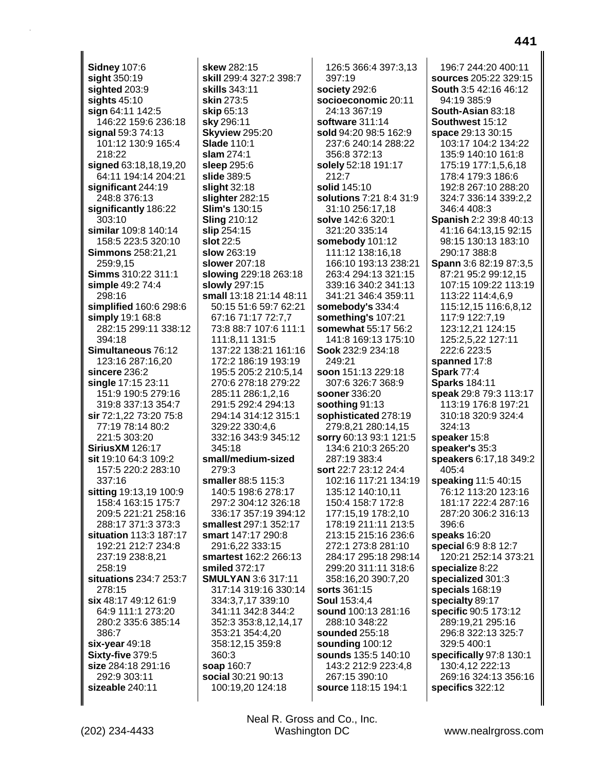**Sidney 107:6** sight 350:19 sighted 203:9 sights  $45:10$ sign 64:11 142:5 146:22 159:6 236:18 signal 59:3 74:13 101:12 130:9 165:4 218:22 signed 63:18,18,19,20 64:11 194:14 204:21 significant 244:19 248:8 376:13 significantly 186:22 303:10 similar 109:8 140:14 158:5 223:5 320:10 **Simmons** 258:21,21 259:9,15 Simms 310:22 311:1 simple 49:2 74:4 298:16 simplified 160:6 298:6 simply 19:1 68:8 282:15 299:11 338:12 394:18 Simultaneous 76:12 123:16 287:16,20 sincere 236:2 single 17:15 23:11 151:9 190:5 279:16 319:8 337:13 354:7 sir 72:1,22 73:20 75:8 77:19 78:14 80:2 221:5 303:20 **SiriusXM 126:17** sit 19:10 64:3 109:2 157:5 220:2 283:10 337:16 sitting 19:13,19 100:9 158:4 163:15 175:7 209:5 221:21 258:16 288:17 371:3 373:3 situation 113:3 187:17 192:21 212:7 234:8 237:19 238:8,21 258:19 situations 234:7 253:7 278:15 six 48:17 49:12 61:9 64:9 111:1 273:20 280:2 335:6 385:14 386:7  $six-year$  49:18 Sixty-five 379:5 size 284:18 291:16 292:9 303:11 sizeable 240:11

skew 282:15 skill 299:4 327:2 398:7 skills 343:11 skin 273:5 skip 65:13 sky 296:11 **Skyview 295:20 Slade 110:1**  $slam 274:1$ sleep 295:6 slide 389:5 slight  $32:18$ slighter 282:15 **Slim's 130:15 Sling 210:12** slip 254:15 slot 22:5 slow 263:19 slower 207:18 slowing 229:18 263:18 slowly 297:15 small 13:18 21:14 48:11 50:15 51:6 59:7 62:21 67:16 71:17 72:7,7 73:8 88:7 107:6 111:1 111:8.11 131:5 137:22 138:21 161:16 172:2 186:19 193:19 195:5 205:2 210:5,14 270:6 278:18 279:22 285:11 286:1.2.16 291:5 292:4 294:13 294:14 314:12 315:1 329:22 330:4.6 332:16 343:9 345:12  $345:18$ small/medium-sized 279:3 smaller 88:5 115:3 140:5 198:6 278:17 297:2 304:12 326:18 336:17 357:19 394:12 smallest 297:1 352:17 smart 147:17 290:8 291:6,22 333:15 smartest 162:2 266:13 smiled 372:17 **SMULYAN 3:6 317:11** 317:14 319:16 330:14 334:3,7,17 339:10 341:11 342:8 344:2 352:3 353:8,12,14,17 353:21 354:4,20 358:12,15 359:8 360:3 soap 160:7 social 30:21 90:13 100:19,20 124:18

126:5 366:4 397:3.13 397:19 society 292:6 socioeconomic 20:11 24:13 367:19 software 311:14 sold 94:20 98:5 162:9 237:6 240:14 288:22 356:8 372:13 solely 52:18 191:17 212:7 solid 145:10 solutions 7:21 8:4 31:9 31:10 256:17,18 solve 142:6 320:1 321:20 335:14 somebody 101:12 111:12 138:16,18 166:10 193:13 238:21 263:4 294:13 321:15 339:16 340:2 341:13 341:21 346:4 359:11 somebody's 334:4 something's 107:21 somewhat 55:17 56:2 141:8 169:13 175:10 Sook 232:9 234:18 249:21 soon 151:13 229:18 307:6 326:7 368:9 sooner 336:20 soothing 91:13 sophisticated 278:19 279:8,21 280:14,15 sorry 60:13 93:1 121:5 134:6 210:3 265:20 287:19 383:4 sort 22:7 23:12 24:4 102:16 117:21 134:19 135:12 140:10.11 150:4 158:7 172:8 177:15,19 178:2,10 178:19 211:11 213:5 213:15 215:16 236:6 272:1 273:8 281:10 284:17 295:18 298:14 299:20 311:11 318:6 358:16,20 390:7,20 sorts 361:15 **Soul 153:4,4** sound 100:13 281:16 288:10 348:22 sounded 255:18 sounding 100:12 sounds 135:5 140:10 143:2 212:9 223:4,8 267:15 390:10 source 118:15 194:1

196:7 244:20 400:11 sources 205:22 329:15 **South 3:5 42:16 46:12** 94:19 385:9 South-Asian 83:18 Southwest 15:12 space 29:13 30:15 103:17 104:2 134:22 135:9 140:10 161:8 175:19 177:1,5,6,18 178:4 179:3 186:6 192:8 267:10 288:20 324:7 336:14 339:2,2 346:4 408:3 Spanish 2:2 39:8 40:13 41:16 64:13,15 92:15 98:15 130:13 183:10 290:17 388:8 Spann 3:6 82:19 87:3,5 87:21 95:2 99:12,15 107:15 109:22 113:19 113:22 114:4,6,9 115:12,15 116:6,8,12 117:9 122:7,19 123:12.21 124:15 125:2,5,22 127:11 222:6 223:5 spanned 17:8 **Spark** 77:4 **Sparks 184:11** speak 29:8 79:3 113:17 113:19 176:8 197:21 310:18 320:9 324:4 324:13 speaker 15:8 speaker's 35:3 speakers 6:17,18 349:2 405:4 speaking 11:5 40:15 76:12 113:20 123:16 181:17 222:4 287:16 287:20 306:2 316:13 396:6 speaks 16:20 special 6:9 8:8 12:7 120:21 252:14 373:21 specialize 8:22 specialized 301:3 specials 168:19 specialty 89:17 specific 90:5 173:12 289:19,21 295:16 296:8 322:13 325:7 329:5 400:1 specifically 97:8 130:1 130:4,12 222:13 269:16 324:13 356:16 specifics 322:12

Neal R. Gross and Co., Inc. Washington DC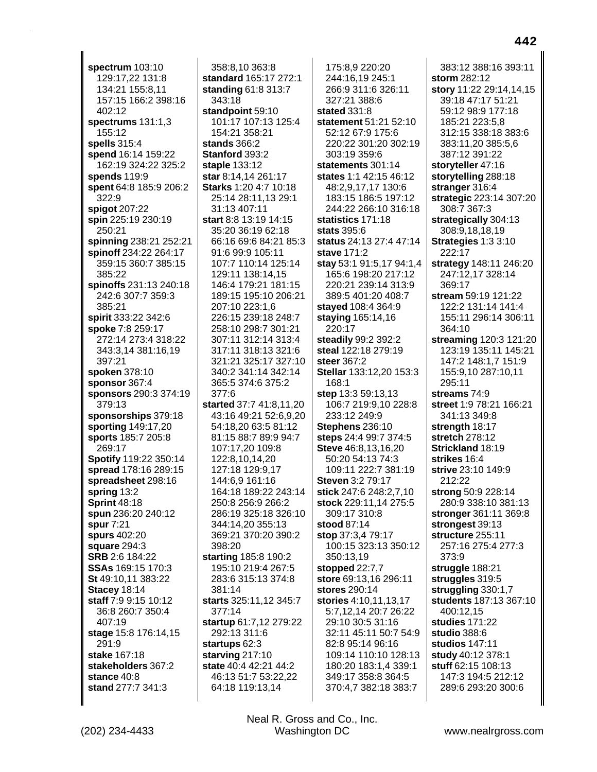**spectrum** 103:10 129:17,22 131:8 134:21 155:8,11 157:15 166:2 398:16 402:12 **spectrums** 131:1,3 155:12 **spells** 315:4 **spend** 16:14 159:22 162:19 324:22 325:2 **spends** 119:9 **spent** 64:8 185:9 206:2 322:9 **spigot** 207:22 **spin** 225:19 230:19 250:21 **spinning** 238:21 252:21 **spinoff** 234:22 264:17 359:15 360:7 385:15 385:22 **spinoffs** 231:13 240:18 242:6 307:7 359:3 385:21 **spirit** 333:22 342:6 **spoke** 7:8 259:17 272:14 273:4 318:22 343:3,14 381:16,19 397:21 **spoken** 378:10 **sponsor** 367:4 **sponsors** 290:3 374:19 379:13 **sponsorships** 379:18 **sporting** 149:17,20 **sports** 185:7 205:8 269:17 **Spotify** 119:22 350:14 **spread** 178:16 289:15 **spreadsheet** 298:16 **spring** 13:2 **Sprint** 48:18 **spun** 236:20 240:12 **spur** 7:21 **spurs** 402:20 **square** 294:3 **SRB** 2:6 184:22 **SSAs** 169:15 170:3 **St** 49:10,11 383:22 **Stacey** 18:14 **staff** 7:9 9:15 10:12 36:8 260:7 350:4 407:19 **stage** 15:8 176:14,15 291:9 **stake** 167:18 **stakeholders** 367:2 **stance** 40:8 **stand** 277:7 341:3

358:8,10 363:8 **standard** 165:17 272:1 **standing** 61:8 313:7 343:18 **standpoint** 59:10 101:17 107:13 125:4 154:21 358:21 **stands** 366:2 **Stanford** 393:2 **staple** 133:12 **star** 8:14,14 261:17 **Starks** 1:20 4:7 10:18 25:14 28:11,13 29:1 31:13 407:11 **start** 8:8 13:19 14:15 35:20 36:19 62:18 66:16 69:6 84:21 85:3 91:6 99:9 105:11 107:7 110:14 125:14 129:11 138:14,15 146:4 179:21 181:15 189:15 195:10 206:21 207:10 223:1,6 226:15 239:18 248:7 258:10 298:7 301:21 307:11 312:14 313:4 317:11 318:13 321:6 321:21 325:17 327:10 340:2 341:14 342:14 365:5 374:6 375:2 377:6 **started** 37:7 41:8,11,20 43:16 49:21 52:6,9,20 54:18,20 63:5 81:12 81:15 88:7 89:9 94:7 107:17,20 109:8 122:8,10,14,20 127:18 129:9,17 144:6,9 161:16 164:18 189:22 243:14 250:8 256:9 266:2 286:19 325:18 326:10 344:14,20 355:13 369:21 370:20 390:2 398:20 **starting** 185:8 190:2 195:10 219:4 267:5 283:6 315:13 374:8 381:14 **starts** 325:11,12 345:7 377:14 **startup** 61:7,12 279:22 292:13 311:6 **startups** 62:3 **starving** 217:10 **state** 40:4 42:21 44:2 46:13 51:7 53:22,22 64:18 119:13,14

175:8,9 220:20 244:16,19 245:1 266:9 311:6 326:11 327:21 388:6 **stated** 331:8 **statement** 51:21 52:10 52:12 67:9 175:6 220:22 301:20 302:19 303:19 359:6 **statements** 301:14 **states** 1:1 42:15 46:12 48:2,9,17,17 130:6 183:15 186:5 197:12 244:22 266:10 316:18 **statistics** 171:18 **stats** 395:6 **status** 24:13 27:4 47:14 **stave** 171:2 **stay** 53:1 91:5,17 94:1,4 165:6 198:20 217:12 220:21 239:14 313:9 389:5 401:20 408:7 **stayed** 108:4 364:9 **staying** 165:14,16 220:17 **steadily** 99:2 392:2 **steal** 122:18 279:19 **steer** 367:2 **Stellar** 133:12,20 153:3 168:1 **step** 13:3 59:13,13 106:7 219:9,10 228:8 233:12 249:9 **Stephens** 236:10 **steps** 24:4 99:7 374:5 **Steve** 46:8,13,16,20 50:20 54:13 74:3 109:11 222:7 381:19 **Steven** 3:2 79:17 **stick** 247:6 248:2,7,10 **stock** 229:11,14 275:5 309:17 310:8 **stood** 87:14 **stop** 37:3,4 79:17 100:15 323:13 350:12 350:13,19 **stopped** 22:7,7 **store** 69:13,16 296:11 **stores** 290:14 **stories** 4:10,11,13,17 5:7,12,14 20:7 26:22 29:10 30:5 31:16 32:11 45:11 50:7 54:9 82:8 95:14 96:16 109:14 110:10 128:13 180:20 183:1,4 339:1 349:17 358:8 364:5 370:4,7 382:18 383:7

383:12 388:16 393:11 **storm** 282:12 **story** 11:22 29:14,14,15 39:18 47:17 51:21 59:12 98:9 177:18 185:21 223:5,8 312:15 338:18 383:6 383:11,20 385:5,6 387:12 391:22 **storyteller** 47:16 **storytelling** 288:18 **stranger** 316:4 **strategic** 223:14 307:20 308:7 367:3 **strategically** 304:13 308:9,18,18,19 **Strategies** 1:3 3:10 222:17 **strategy** 148:11 246:20 247:12,17 328:14 369:17 **stream** 59:19 121:22 122:2 131:14 141:4 155:11 296:14 306:11 364:10 **streaming** 120:3 121:20 123:19 135:11 145:21 147:2 148:1,7 151:9 155:9,10 287:10,11 295:11 **streams** 74:9 **street** 1:9 78:21 166:21 341:13 349:8 **strength** 18:17 **stretch** 278:12 **Strickland** 18:19 **strikes** 16:4 **strive** 23:10 149:9 212:22 **strong** 50:9 228:14 280:9 338:10 381:13 **stronger** 361:11 369:8 **strongest** 39:13 **structure** 255:11 257:16 275:4 277:3 373:9 **struggle** 188:21 **struggles** 319:5 **struggling** 330:1,7 **students** 187:13 367:10 400:12,15 **studies** 171:22 **studio** 388:6 **studios** 147:11 **study** 40:12 378:1 **stuff** 62:15 108:13 147:3 194:5 212:12 289:6 293:20 300:6

(202) 234-4433 Washington DC www.nealrgross.com Neal R. Gross and Co., Inc.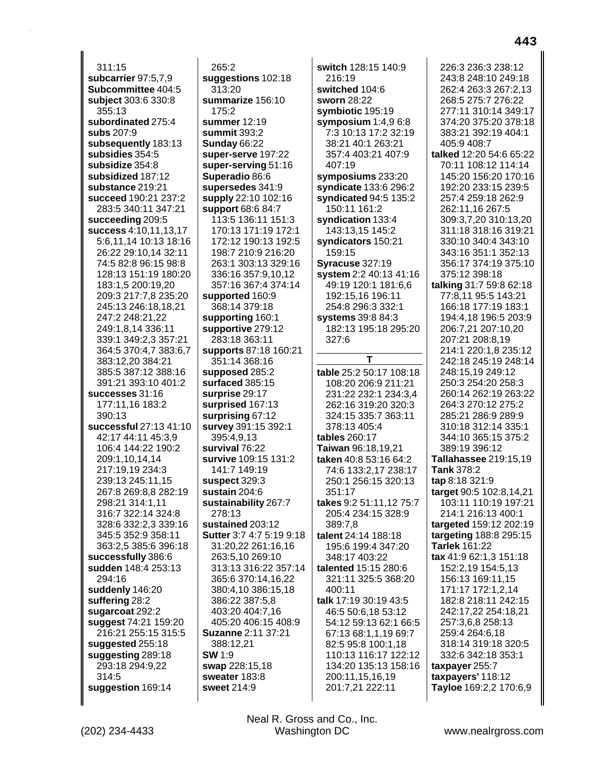311:15 **subcarrier** 97:5,7,9 **Subcommittee** 404:5 **subject** 303:6 330:8 355:13 **subordinated** 275:4 **subs** 207:9 **subsequently** 183:13 **subsidies** 354:5 **subsidize** 354:8 **subsidized** 187:12 **substance** 219:21 **succeed** 190:21 237:2 283:5 340:11 347:21 **succeeding** 209:5 **success** 4:10,11,13,17 5:6,11,14 10:13 18:16 26:22 29:10,14 32:11 74:5 82:8 96:15 98:8 128:13 151:19 180:20 183:1,5 200:19,20 209:3 217:7,8 235:20 245:13 246:18,18,21 247:2 248:21,22 249:1,8,14 336:11 339:1 349:2,3 357:21 364:5 370:4,7 383:6,7 383:12,20 384:21 385:5 387:12 388:16 391:21 393:10 401:2 **successes** 31:16 177:11,16 183:2 390:13 **successful** 27:13 41:10 42:17 44:11 45:3,9 106:4 144:22 190:2 209:1,10,14,14 217:19,19 234:3 239:13 245:11,15 267:8 269:8,8 282:19 298:21 314:1,11 316:7 322:14 324:8 328:6 332:2,3 339:16 345:5 352:9 358:11 363:2,5 385:6 396:18 **successfully** 386:6 **sudden** 148:4 253:13 294:16 **suddenly** 146:20 **suffering** 28:2 **sugarcoat** 292:2 **suggest** 74:21 159:20 216:21 255:15 315:5 **suggested** 255:18 **suggesting** 289:18 293:18 294:9,22 314:5 **suggestion** 169:14

265:2 **suggestions** 102:18 313:20 **summarize** 156:10 175:2 **summer** 12:19 **summit** 393:2 **Sunday** 66:22 **super-serve** 197:22 **super-serving** 51:16 **Superadio** 86:6 **supersedes** 341:9 **supply** 22:10 102:16 **support** 68:6 84:7 113:5 136:11 151:3 170:13 171:19 172:1 172:12 190:13 192:5 198:7 210:9 216:20 263:1 303:13 329:16 336:16 357:9,10,12 357:16 367:4 374:14 **supported** 160:9 368:14 379:18 **supporting** 160:1 **supportive** 279:12 283:18 363:11 **supports** 87:18 160:21 351:14 368:16 **supposed** 285:2 **surfaced** 385:15 **surprise** 29:17 **surprised** 167:13 **surprising** 67:12 **survey** 391:15 392:1 395:4,9,13 **survival** 76:22 **survive** 109:15 131:2 141:7 149:19 **suspect** 329:3 **sustain** 204:6 **sustainability** 267:7 278:13 **sustained** 203:12 **Sutter** 3:7 4:7 5:19 9:18 31:20,22 261:16,16 263:5,10 269:10 313:13 316:22 357:14 365:6 370:14,16,22 380:4,10 386:15,18 386:22 387:5,8 403:20 404:7,16 405:20 406:15 408:9 **Suzanne** 2:11 37:21 388:12,21 **SW** 1:9 **swap** 228:15,18 **sweater** 183:8 **sweet** 214:9

**switch** 128:15 140:9 216:19 **switched** 104:6 **sworn** 28:22 **symbiotic** 195:19 **symposium** 1:4,9 6:8 7:3 10:13 17:2 32:19 38:21 40:1 263:21 357:4 403:21 407:9 407:19 **symposiums** 233:20 **syndicate** 133:6 296:2 **syndicated** 94:5 135:2 150:11 161:2 **syndication** 133:4 143:13,15 145:2 **syndicators** 150:21 159:15 **Syracuse** 327:19 **system** 2:2 40:13 41:16 49:19 120:1 181:6,6 192:15,16 196:11 254:8 296:3 332:1 **systems** 39:8 84:3 182:13 195:18 295:20 327:6 **T table** 25:2 50:17 108:18 108:20 206:9 211:21 231:22 232:1 234:3,4 262:16 319:20 320:3 324:15 335:7 363:11 378:13 405:4 **tables** 260:17 **Taiwan** 96:18,19,21 **taken** 40:8 53:16 64:2 74:6 133:2,17 238:17 250:1 256:15 320:13 351:17 **takes** 9:2 51:11,12 75:7 205:4 234:15 328:9 389:7,8 **talent** 24:14 188:18 195:6 199:4 347:20 348:17 403:22 **talented** 15:15 280:6 321:11 325:5 368:20 400:11 **talk** 17:19 30:19 43:5 46:5 50:6,18 53:12 54:12 59:13 62:1 66:5 67:13 68:1,1,19 69:7 82:5 95:8 100:1,18 110:13 116:17 122:12 134:20 135:13 158:16 200:11,15,16,19 201:7,21 222:11

226:3 236:3 238:12 243:8 248:10 249:18 262:4 263:3 267:2,13 268:5 275:7 276:22 277:11 310:14 349:17 374:20 375:20 378:18 383:21 392:19 404:1 405:9 408:7 **talked** 12:20 54:6 65:22 70:11 108:12 114:14 145:20 156:20 170:16 192:20 233:15 239:5 257:4 259:18 262:9 262:11,16 267:5 309:3,7,20 310:13,20 311:18 318:16 319:21 330:10 340:4 343:10 343:16 351:1 352:13 356:17 374:19 375:10 375:12 398:18 **talking** 31:7 59:8 62:18 77:8,11 95:5 143:21 166:18 177:19 183:1 194:4,18 196:5 203:9 206:7,21 207:10,20 207:21 208:8,19 214:1 220:1,8 235:12 242:18 245:19 248:14 248:15,19 249:12 250:3 254:20 258:3 260:14 262:19 263:22 264:3 270:12 275:2 285:21 286:9 289:9 310:18 312:14 335:1 344:10 365:15 375:2 389:19 396:12 **Tallahassee** 219:15,19 **Tank** 378:2 **tap** 8:18 321:9 **target** 90:5 102:8,14,21 103:11 110:19 197:21 214:1 216:13 400:1 **targeted** 159:12 202:19 **targeting** 188:8 295:15 **Tarlek** 161:22 **tax** 41:9 62:1,3 151:18 152:2,19 154:5,13 156:13 169:11,15 171:17 172:1,2,14 182:8 218:11 242:15 242:17,22 254:18,21 257:3,6,8 258:13 259:4 264:6,18 318:14 319:18 320:5 332:6 342:18 353:1 **taxpayer** 255:7 **taxpayers'** 118:12 **Tayloe** 169:2,2 170:6,9

(202) 234-4433 Washington DC www.nealrgross.com Neal R. Gross and Co., Inc.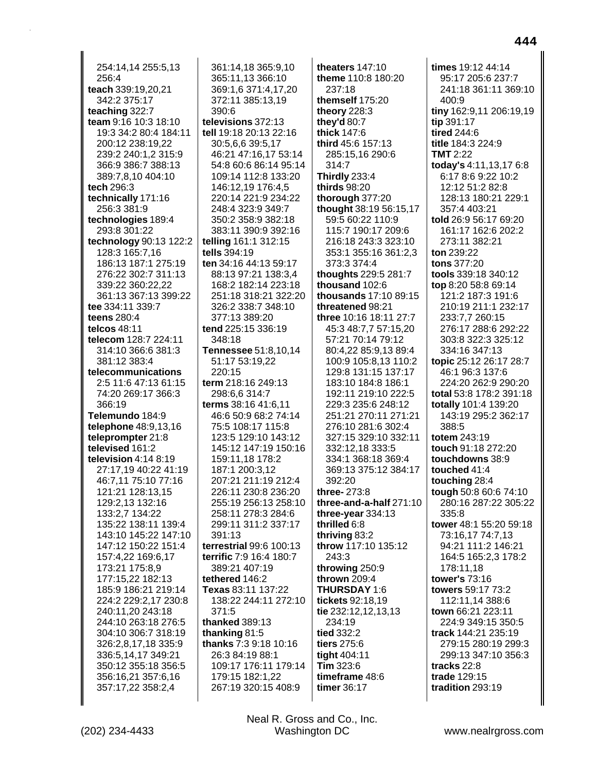254:14,14 255:5,13 256:4 teach 339:19,20,21 342:2 375:17 teaching 322:7 team 9:16 10:3 18:10 19:3 34:2 80:4 184:11 200:12 238:19,22 239:2 240:1,2 315:9 366:9 386:7 388:13 389:7,8,10 404:10 tech 296:3 technically 171:16 256:3 381:9 technologies 189:4 293:8 301:22 technology 90:13 122:2 128:3 165:7,16 186:13 187:1 275:19 276:22 302:7 311:13 339:22 360:22,22 361:13 367:13 399:22 tee 334:11 339:7 teens 280:4 telcos 48:11 telecom 128:7 224:11 314:10 366:6 381:3 381:12 383:4 telecommunications 2:5 11:6 47:13 61:15 74:20 269:17 366:3 366:19 Telemundo 184:9 **telephone** 48:9,13,16 teleprompter 21:8 televised 161:2 television  $4:14$  8:19 27:17,19 40:22 41:19 46:7.11 75:10 77:16 121:21 128:13.15 129:2,13 132:16 133:2,7 134:22 135:22 138:11 139:4 143:10 145:22 147:10 147:12 150:22 151:4 157:4,22 169:6,17 173:21 175:8,9 177:15,22 182:13 185:9 186:21 219:14 224:2 229:2,17 230:8 240:11,20 243:18 244:10 263:18 276:5 304:10 306:7 318:19 326:2,8,17,18 335:9 336:5,14,17 349:21 350:12 355:18 356:5 356:16,21 357:6,16 357:17,22 358:2,4

361:14,18 365:9,10 365:11,13 366:10 369:1,6 371:4,17,20 372:11 385:13,19 390:6 televisions 372:13 tell 19:18 20:13 22:16 30:5,6,6 39:5,17 46:21 47:16,17 53:14 54:8 60:6 86:14 95:14 109:14 112:8 133:20 146:12,19 176:4,5 220:14 221:9 234:22 248:4 323:9 349:7 350:2 358:9 382:18 383:11 390:9 392:16 telling 161:1 312:15 tells 394:19 ten 34:16 44:13 59:17 88:13 97:21 138:3,4 168:2 182:14 223:18 251:18 318:21 322:20 326:2 338:7 348:10 377:13 389:20 tend 225:15 336:19 348:18 Tennessee 51:8,10,14 51:17 53:19,22 220:15 term 218:16 249:13 298:6.6 314:7 terms 38:16 41:6.11 46:6 50:9 68:2 74:14 75:5 108:17 115:8 123:5 129:10 143:12 145:12 147:19 150:16 159:11,18 178:2 187:1 200:3,12 207:21 211:19 212:4 226:11 230:8 236:20 255:19 256:13 258:10 258:11 278:3 284:6 299:11 311:2 337:17 391:13 terrestrial 99:6 100:13 terrific 7:9 16:4 180:7 389:21 407:19 tethered 146:2 Texas 83:11 137:22 138:22 244:11 272:10 371:5 thanked 389:13 thanking  $81:5$ thanks 7:3 9:18 10:16 26:3 84:19 88:1 109:17 176:11 179:14 179:15 182:1,22 267:19 320:15 408:9

theaters  $147:10$ theme 110:8 180:20 237:18 themself 175:20 theory 228:3 they'd 80:7 thick 147:6 third 45:6 157:13 285:15,16 290:6 314:7 **Thirdly 233:4** thirds 98:20 thorough 377:20 thought 38:19 56:15,17 59:5 60:22 110:9 115:7 190:17 209:6 216:18 243:3 323:10 353:1 355:16 361:2,3 373:3 374:4 thoughts 229:5 281:7 thousand 102:6 thousands 17:10 89:15 threatened 98:21 three 10:16 18:11 27:7 45:3 48:7.7 57:15.20 57:21 70:14 79:12 80:4.22 85:9.13 89:4 100:9 105:8,13 110:2 129:8 131:15 137:17 183:10 184:8 186:1 192:11 219:10 222:5 229:3 235:6 248:12 251:21 270:11 271:21 276:10 281:6 302:4 327:15 329:10 332:11 332:12,18 333:5 334:1 368:18 369:4 369:13 375:12 384:17 392:20 three-273:8 three-and-a-half 271:10 three-year 334:13 thrilled 6:8 thriving 83:2 throw 117:10 135:12 243:3 throwing 250:9 thrown 209:4 **THURSDAY 1:6** tickets 92:18.19 tie 232:12,12,13,13 234:19 tied 332:2 tiers 275:6 tight 404:11 Tim  $323:6$ timeframe 48:6 timer 36:17

times 19:12 44:14 95:17 205:6 237:7 241:18 361:11 369:10 400:9 tiny 162:9,11 206:19,19 tip 391:17 tired 244:6 title 184:3 224:9 **TMT** 2:22 today's 4:11,13,17 6:8 6:17 8:6 9:22 10:2 12:12 51:2 82:8 128:13 180:21 229:1 357:4 403:21 told 26:9 56:17 69:20 161:17 162:6 202:2 273:11 382:21 ton 239:22 tons 377:20 tools 339:18 340:12 top 8:20 58:8 69:14 121:2 187:3 191:6 210:19 211:1 232:17 233:7,7 260:15 276:17 288:6 292:22 303:8 322:3 325:12 334:16 347:13 topic 25:12 26:17 28:7 46:1 96:3 137:6 224:20 262:9 290:20 total 53:8 178:2 391:18 totally 101:4 139:20 143:19 295:2 362:17 388:5 totem 243:19 touch 91:18 272:20 touchdowns 38:9 touched 41:4 touching 28:4 tough 50:8 60:6 74:10 280:16 287:22 305:22 335:8 tower 48:1 55:20 59:18 73:16,17 74:7,13 94:21 111:2 146:21 164:5 165:2,3 178:2 178:11,18 tower's 73:16 towers 59:17 73:2 112:11,14 388:6 town 66:21 223:11 224:9 349:15 350:5 track 144:21 235:19 279:15 280:19 299:3 299:13 347:10 356:3 tracks 22:8 trade 129:15 tradition 293:19

Neal R. Gross and Co., Inc. Washington DC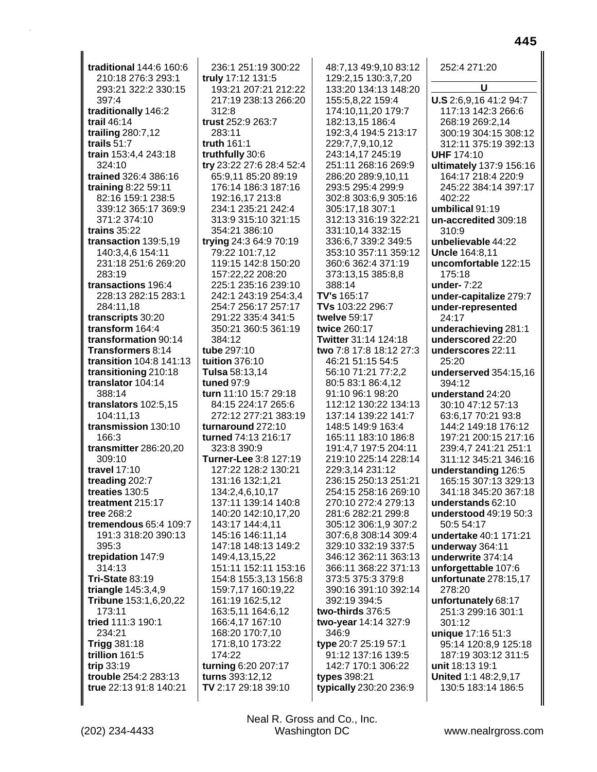| traditional 144:6 160:6         | 236:1 251:19 300:22      |  |  |
|---------------------------------|--------------------------|--|--|
| 210:18 276:3 293:1              | truly 17:12 131:5        |  |  |
| 293:21 322:2 330:15             | 193:21 207:21 212:22     |  |  |
|                                 |                          |  |  |
| 397:4                           | 217:19 238:13 266:20     |  |  |
| traditionally 146:2             | 312:8                    |  |  |
| trail 46:14                     | trust 252:9 263:7        |  |  |
| trailing 280:7,12               | 283:11                   |  |  |
| trails 51:7                     | truth $161:1$            |  |  |
| train 153:4,4 243:18            | truthfully 30:6          |  |  |
| 324:10                          | try 23:22 27:6 28:4 52:4 |  |  |
| trained 326:4 386:16            | 65:9,11 85:20 89:19      |  |  |
|                                 |                          |  |  |
| training 8:22 59:11             | 176:14 186:3 187:16      |  |  |
| 82:16 159:1 238:5               | 192:16,17 213:8          |  |  |
| 339:12 365:17 369:9             | 234:1 235:21 242:4       |  |  |
| 371:2 374:10                    | 313:9 315:10 321:15      |  |  |
| trains 35:22                    | 354:21 386:10            |  |  |
| transaction 139:5,19            | trying 24:3 64:9 70:19   |  |  |
| 140:3,4,6 154:11                | 79:22 101:7,12           |  |  |
| 231:18 251:6 269:20             | 119:15 142:8 150:20      |  |  |
| 283:19                          | 157:22,22 208:20         |  |  |
|                                 |                          |  |  |
| transactions 196:4              | 225:1 235:16 239:10      |  |  |
| 228:13 282:15 283:1             | 242:1 243:19 254:3.4     |  |  |
| 284:11,18                       | 254:7 256:17 257:17      |  |  |
| transcripts 30:20               | 291:22 335:4 341:5       |  |  |
| transform 164:4                 | 350:21 360:5 361:19      |  |  |
| transformation 90:14            | 384:12                   |  |  |
| Transformers 8:14               | tube 297:10              |  |  |
| transition 104:8 141:13         | tuition 376:10           |  |  |
| transitioning 210:18            | Tulsa 58:13,14           |  |  |
| translator 104:14               | tuned 97:9               |  |  |
|                                 |                          |  |  |
| 388:14                          | turn 11:10 15:7 29:18    |  |  |
| translators 102:5,15            | 84:15 224:17 265:6       |  |  |
| 104:11,13                       | 272:12 277:21 383:19     |  |  |
| transmission 130:10             | turnaround 272:10        |  |  |
| 166:3                           | turned 74:13 216:17      |  |  |
| transmitter 286:20,20           | 323:8 390:9              |  |  |
| 309:10                          | Turner-Lee 3:8 127:19    |  |  |
| travel 17:10                    | 127:22 128:2 130:21      |  |  |
| treading 202:7                  | 131:16 132:1,21          |  |  |
| treaties 130:5                  | 134:2,4,6,10,17          |  |  |
| treatment 215:17                | 137:11 139:14 140:8      |  |  |
| tree 268:2                      |                          |  |  |
|                                 | 140:20 142:10,17,20      |  |  |
| tremendous 65:4 109:7           | 143:17 144:4,11          |  |  |
| 191:3 318:20 390:13             | 145:16 146:11,14         |  |  |
| 395:3                           | 147:18 148:13 149:2      |  |  |
|                                 |                          |  |  |
| trepidation 147:9               | 149:4,13,15,22           |  |  |
| 314:13                          | 151:11 152:11 153:16     |  |  |
| <b>Tri-State 83:19</b>          | 154:8 155:3,13 156:8     |  |  |
|                                 | 159:7,17 160:19,22       |  |  |
| triangle 145:3,4,9              |                          |  |  |
| Tribune 153:1,6,20,22<br>173:11 | 161:19 162:5,12          |  |  |
|                                 | 163:5,11 164:6,12        |  |  |
| tried 111:3 190:1               | 166:4,17 167:10          |  |  |
| 234:21                          | 168:20 170:7,10          |  |  |
| <b>Trigg 381:18</b>             | 171:8,10 173:22          |  |  |
| trillion 161:5                  | 174:22                   |  |  |
| trip 33:19                      | turning 6:20 207:17      |  |  |
| trouble 254:2 283:13            | turns 393:12,12          |  |  |
| true 22:13 91:8 140:21          | TV 2:17 29:18 39:10      |  |  |
|                                 |                          |  |  |

 $\mathbf{I}$ 

48:7,13 49:9,10 83:12 129:2,15 130:3,7,20 133:20 134:13 148:20 155:5,8,22 159:4 174:10,11,20 179:7 182:13,15 186:4 192:3,4 194:5 213:17 229:7,7,9,10,12 243:14,17 245:19 251:11 268:16 269:9 286:20 289:9,10,11 293:5 295:4 299:9 302:8 303:6,9 305:16 305:17,18 307:1 312:13 316:19 322:21 331:10,14 332:15 336:6,7 339:2 349:5 353:10 357:11 359:12 360:6 362:4 371:19 373:13,15 385:8,8 388:14 **TV's** 165:17 **TVs** 103:22 296:7 **twelve** 59:17 **twice** 260:17 **Twitter** 31:14 124:18 **two** 7:8 17:8 18:12 27:3 46:21 51:15 54:5 56:10 71:21 77:2,2 80:5 83:1 86:4,12 91:10 96:1 98:20 112:12 130:22 134:13 137:14 139:22 141:7 148:5 149:9 163:4 165:11 183:10 186:8 191:4,7 197:5 204:11 219:10 225:14 228:14 229:3,14 231:12 236:15 250:13 251:21 254:15 258:16 269:10 270:10 272:4 279:13 281:6 282:21 299:8 305:12 306:1,9 307:2 307:6,8 308:14 309:4 329:10 332:19 337:5 346:12 362:11 363:13 366:11 368:22 371:13 373:5 375:3 379:8 390:16 391:10 392:14 392:19 394:5 **two-thirds** 376:5 **two-year** 14:14 327:9 346:9 **type** 20:7 25:19 57:1 91:12 137:16 139:5 142:7 170:1 306:22 **types** 398:21 **typically** 230:20 236:9

252:4 271:20 **U U.S** 2:6,9,16 41:2 94:7 117:13 142:3 266:6 268:19 269:2,14 300:19 304:15 308:12 312:11 375:19 392:13 **UHF** 174:10 **ultimately** 137:9 156:16 164:17 218:4 220:9 245:22 384:14 397:17 402:22 **umbilical** 91:19 **un-accredited** 309:18 310:9 **unbelievable** 44:22 **Uncle** 164:8,11 **uncomfortable** 122:15 175:18 **under-** 7:22 **under-capitalize** 279:7 **under-represented** 24:17 **underachieving** 281:1 **underscored** 22:20 **underscores** 22:11 25:20 **underserved** 354:15,16 394:12 **understand** 24:20 30:10 47:12 57:13 63:6,17 70:21 93:8 144:2 149:18 176:12 197:21 200:15 217:16 239:4,7 241:21 251:1 311:12 345:21 346:16 **understanding** 126:5 165:15 307:13 329:13 341:18 345:20 367:18 **understands** 62:10 **understood** 49:19 50:3 50:5 54:17 **undertake** 40:1 171:21 **underway** 364:11 **underwrite** 374:14 **unforgettable** 107:6 **unfortunate** 278:15,17 278:20 **unfortunately** 68:17 251:3 299:16 301:1 301:12 **unique** 17:16 51:3 95:14 120:8,9 125:18 187:19 303:12 311:5 **unit** 18:13 19:1 **United** 1:1 48:2,9,17 130:5 183:14 186:5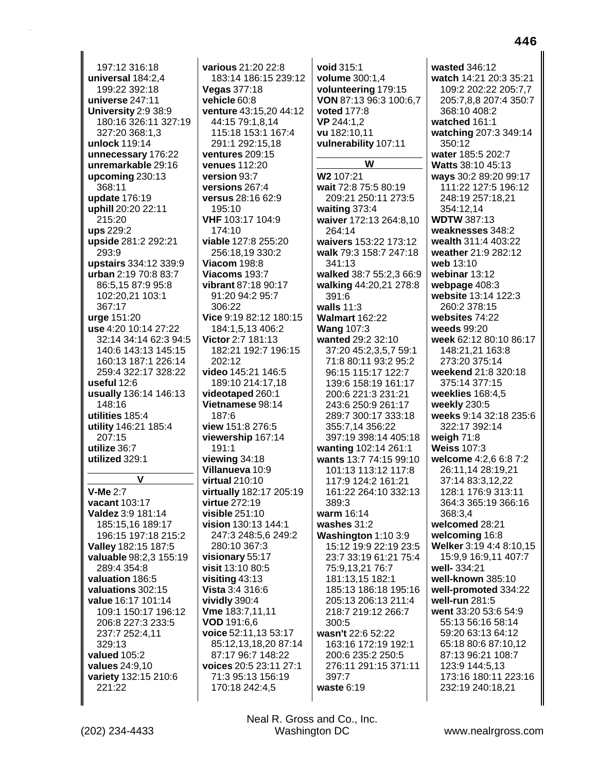197:12 316:18 universal 184:2,4 199:22 392:18 universe  $247:11$ University 2:9 38:9 180:16 326:11 327:19 327:20 368:1,3 unlock 119:14 unnecessary 176:22 unremarkable 29:16 upcoming 230:13 368:11 update 176:19 uphill 20:20 22:11 215:20 ups 229:2 upside 281:2 292:21 293:9 upstairs 334:12 339:9 urban 2:19 70:8 83:7 86:5,15 87:9 95:8 102:20.21 103:1 367:17 urge 151:20 use 4:20 10:14 27:22 32:14 34:14 62:3 94:5 140:6 143:13 145:15 160:13 187:1 226:14 259:4 322:17 328:22 useful  $12:6$ usually 136:14 146:13 148:16 utilities 185:4 utility 146:21 185:4 207:15 utilize 36:7 utilized 329:1 V

**V-Me 2:7** vacant 103:17 Valdez 3:9 181:14 185:15,16 189:17 196:15 197:18 215:2 Valley 182:15 187:5 valuable 98:2,3 155:19 289:4 354:8 valuation 186:5 valuations 302:15 value 16:17 101:14 109:1 150:17 196:12 206:8 227:3 233:5 237:7 252:4,11 329:13 valued 105:2 values 24:9,10 variety 132:15 210:6 221:22

various 21:20 22:8 183:14 186:15 239:12 **Vegas 377:18** vehicle 60:8 venture 43:15.20 44:12 44:15 79:1.8.14 115:18 153:1 167:4 291:1 292:15,18 ventures 209:15 venues 112:20 version 93:7 versions 267:4 versus 28:16 62:9 195:10 VHF 103:17 104:9 174:10 viable 127:8 255:20 256:18.19 330:2 **Viacom 198:8** Viacoms 193:7 vibrant 87:18 90:17 91:20 94:2 95:7 306:22 Vice 9:19 82:12 180:15 184:1,5,13 406:2 Victor 2:7 181:13 182:21 192:7 196:15 202:12 video 145:21 146:5 189:10 214:17.18 videotaped 260:1 Vietnamese 98:14  $187:6$ view 151:8 276:5 viewership 167:14 191:1 viewing  $34:18$ Villanueva 10:9 virtual 210:10 virtually 182:17 205:19 virtue 272:19  $visible 251:10$ vision 130:13 144:1 247:3 248:5,6 249:2 280:10 367:3 visionary 55:17 visit 13:10 80:5  $visiting 43:13$ Vista 3:4 316:6 vividly 390:4 Vme 183:7,11,11 VOD 191:6,6 voice 52:11,13 53:17 85:12,13,18,20 87:14 87:17 96:7 148:22 voices 20:5 23:11 27:1 71:3 95:13 156:19 170:18 242:4,5

void 315:1 volume 300:1,4 volunteering 179:15 VON 87:13 96:3 100:6.7 **voted 177:8** VP 244:1.2 vu 182:10,11 vulnerability 107:11 W W2 107:21 wait 72:8 75:5 80:19 209:21 250:11 273:5 waiting 373:4 waiver 172:13 264:8,10 264:14 waivers 153:22 173:12 walk 79:3 158:7 247:18 341:13 walked 38:7 55:2,3 66:9 walking 44:20,21 278:8 391:6 walls  $11:3$ **Walmart 162:22 Wang 107:3** wanted 29:2 32:10 37:20 45:2,3,5,7 59:1 71:8 80:11 93:2 95:2 96:15 115:17 122:7 139:6 158:19 161:17 200:6 221:3 231:21 243:6 250:9 261:17 289:7 300:17 333:18 355:7,14 356:22 397:19 398:14 405:18 wanting 102:14 261:1 wants 13:7 74:15 99:10 101:13 113:12 117:8 117:9 124:2 161:21 161:22 264:10 332:13  $389.3$ warm 16:14 washes  $31:2$ Washington 1:10 3:9 15:12 19:9 22:19 23:5 23:7 33:19 61:21 75:4 75:9,13,21 76:7 181:13,15 182:1 185:13 186:18 195:16 205:13 206:13 211:4 218:7 219:12 266:7 300:5 wasn't 22:6 52:22 163:16 172:19 192:1 200:6 235:2 250:5 276:11 291:15 371:11 397:7 waste  $6:19$ 

wasted 346:12 watch 14:21 20:3 35:21 109:2 202:22 205:7,7 205:7.8.8 207:4 350:7 368:10 408:2 watched 161:1 watching 207:3 349:14 350:12 water 185:5 202:7 Watts 38:10 45:13 ways 30:2 89:20 99:17 111:22 127:5 196:12 248:19 257:18.21 354:12.14 **WDTW 387:13** weaknesses 348:2 wealth 311:4 403:22 weather 21:9 282:12 web 13:10 webinar 13:12 webpage 408:3 website 13:14 122:3 260:2 378:15 websites 74:22 weeds 99:20 week 62:12 80:10 86:17 148:21,21 163:8 273:20 375:14 weekend 21:8 320:18 375:14 377:15 weeklies 168:4.5 weekly 230:5 weeks 9:14 32:18 235:6 322:17 392:14 weigh  $71:8$ **Weiss 107:3** welcome 4:2,6 6:8 7:2 26:11.14 28:19.21 37:14 83:3,12,22 128:1 176:9 313:11 364:3 365:19 366:16 368:3.4 welcomed 28:21 welcoming 16:8 Welker 3:19 4:4 8:10,15 15:9,9 16:9,11 407:7 well-334:21 well-known 385:10 well-promoted 334:22 well-run 281:5 went 33:20 53:6 54:9 55:13 56:16 58:14 59:20 63:13 64:12 65:18 80:6 87:10,12 87:13 96:21 108:7 123:9 144:5,13 173:16 180:11 223:16 232:19 240:18,21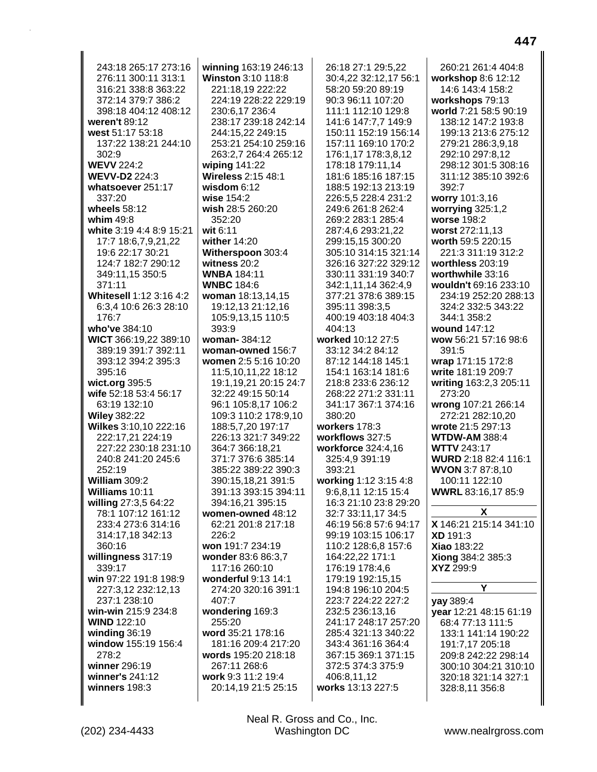| 243:18 265:17 273:16     | winning 163:19 246:13                 | 26:18 27:1 29:5,22    | 260:21 261:4 404:8          |
|--------------------------|---------------------------------------|-----------------------|-----------------------------|
| 276:11 300:11 313:1      | Winston 3:10 118:8                    | 30:4,22 32:12,17 56:1 | workshop 8:6 12:12          |
| 316:21 338:8 363:22      | 221:18,19 222:22                      |                       |                             |
|                          |                                       | 58:20 59:20 89:19     | 14:6 143:4 158:2            |
| 372:14 379:7 386:2       | 224:19 228:22 229:19                  | 90:3 96:11 107:20     | workshops 79:13             |
| 398:18 404:12 408:12     | 230:6,17 236:4                        | 111:1 112:10 129:8    | world 7:21 58:5 90:19       |
| weren't 89:12            | 238:17 239:18 242:14                  | 141:6 147:7,7 149:9   | 138:12 147:2 193:8          |
| west 51:17 53:18         | 244:15,22 249:15                      | 150:11 152:19 156:14  | 199:13 213:6 275:12         |
| 137:22 138:21 244:10     | 253:21 254:10 259:16                  | 157:11 169:10 170:2   | 279:21 286:3,9,18           |
| 302:9                    | 263:2,7 264:4 265:12                  | 176:1,17 178:3,8,12   | 292:10 297:8,12             |
| <b>WEVV 224:2</b>        | wiping 141:22                         | 178:18 179:11,14      | 298:12 301:5 308:16         |
| <b>WEVV-D2 224:3</b>     | Wireless 2:15 48:1                    | 181:6 185:16 187:15   | 311:12 385:10 392:6         |
| whatsoever 251:17        | wisdom $6:12$                         | 188:5 192:13 213:19   | 392:7                       |
| 337:20                   | wise 154:2                            | 226:5,5 228:4 231:2   | worry 101:3,16              |
| wheels 58:12             | wish 28:5 260:20                      | 249:6 261:8 262:4     | worrying 325:1,2            |
| whim $49:8$              | 352:20                                | 269:2 283:1 285:4     | worse 198:2                 |
| white 3:19 4:4 8:9 15:21 | wit 6:11                              | 287:4,6 293:21,22     | worst 272:11,13             |
|                          | wither 14:20                          |                       |                             |
| 17:7 18:6,7,9,21,22      |                                       | 299:15,15 300:20      | worth 59:5 220:15           |
| 19:6 22:17 30:21         | Witherspoon 303:4                     | 305:10 314:15 321:14  | 221:3 311:19 312:2          |
| 124:7 182:7 290:12       | witness $20:2$                        | 326:16 327:22 329:12  | worthless 203:19            |
| 349:11,15 350:5          | <b>WNBA</b> 184:11                    | 330:11 331:19 340:7   | worthwhile 33:16            |
| 371:11                   | <b>WNBC 184:6</b>                     | 342:1,11,14 362:4,9   | wouldn't 69:16 233:10       |
| Whitesell 1:12 3:16 4:2  | woman 18:13,14,15                     | 377:21 378:6 389:15   | 234:19 252:20 288:13        |
| 6:3,4 10:6 26:3 28:10    | 19:12,13 21:12,16                     | 395:11 398:3,5        | 324:2 332:5 343:22          |
| 176:7                    | 105:9,13,15 110:5                     | 400:19 403:18 404:3   | 344:1 358:2                 |
| who've 384:10            | 393:9                                 | 404:13                | wound 147:12                |
| WICT 366:19,22 389:10    | woman-384:12                          | worked 10:12 27:5     | wow 56:21 57:16 98:6        |
| 389:19 391:7 392:11      | woman-owned 156:7                     | 33:12 34:2 84:12      | 391:5                       |
| 393:12 394:2 395:3       | women 2:5 5:16 10:20                  | 87:12 144:18 145:1    | wrap 171:15 172:8           |
| 395:16                   | 11:5,10,11,22 18:12                   | 154:1 163:14 181:6    | write 181:19 209:7          |
| wict.org 395:5           | 19:1,19,21 20:15 24:7                 | 218:8 233:6 236:12    | writing 163:2,3 205:11      |
| wife 52:18 53:4 56:17    | 32:22 49:15 50:14                     | 268:22 271:2 331:11   | 273:20                      |
| 63:19 132:10             | 96:1 105:8,17 106:2                   | 341:17 367:1 374:16   | wrong 107:21 266:14         |
| <b>Wiley 382:22</b>      | 109:3 110:2 178:9,10                  | 380:20                | 272:21 282:10,20            |
| Wilkes 3:10,10 222:16    | 188:5,7,20 197:17                     | workers 178:3         | wrote 21:5 297:13           |
| 222:17,21 224:19         | 226:13 321:7 349:22                   | workflows 327:5       | <b>WTDW-AM 388:4</b>        |
| 227:22 230:18 231:10     |                                       | workforce 324:4,16    | <b>WTTV 243:17</b>          |
|                          | 364:7 366:18,21<br>371:7 376:6 385:14 |                       |                             |
| 240:8 241:20 245:6       |                                       | 325:4,9 391:19        | <b>WURD</b> 2:18 82:4 116:1 |
| 252:19                   | 385:22 389:22 390:3                   | 393:21                | WVON 3:7 87:8,10            |
| William 309:2            | 390:15,18,21 391:5                    | working 1:12 3:15 4:8 | 100:11 122:10               |
| Williams 10:11           | 391:13 393:15 394:11                  | 9:6,8,11 12:15 15:4   | WWRL 83:16,17 85:9          |
| willing 27:3,5 64:22     | 394:16,21 395:15                      | 16:3 21:10 23:8 29:20 |                             |
| 78:1 107:12 161:12       | women-owned 48:12                     | 32:7 33:11,17 34:5    | X                           |
| 233:4 273:6 314:16       | 62:21 201:8 217:18                    | 46:19 56:8 57:6 94:17 | X 146:21 215:14 341:10      |
| 314:17,18 342:13         | 226:2                                 | 99:19 103:15 106:17   | <b>XD</b> 191:3             |
| 360:16                   | won 191:7 234:19                      | 110:2 128:6,8 157:6   | <b>Xiao 183:22</b>          |
| willingness 317:19       | wonder 83:6 86:3,7                    | 164:22,22 171:1       | Xiong 384:2 385:3           |
| 339:17                   | 117:16 260:10                         | 176:19 178:4,6        | XYZ 299:9                   |
| win 97:22 191:8 198:9    | wonderful 9:13 14:1                   | 179:19 192:15,15      |                             |
| 227:3,12 232:12,13       | 274:20 320:16 391:1                   | 194:8 196:10 204:5    | Y                           |
| 237:1 238:10             | 407:7                                 | 223:7 224:22 227:2    | yay 389:4                   |
| win-win 215:9 234:8      | wondering 169:3                       | 232:5 236:13,16       | year 12:21 48:15 61:19      |
| <b>WIND 122:10</b>       | 255:20                                | 241:17 248:17 257:20  | 68:4 77:13 111:5            |
| winding 36:19            | word 35:21 178:16                     | 285:4 321:13 340:22   | 133:1 141:14 190:22         |
| window 155:19 156:4      | 181:16 209:4 217:20                   | 343:4 361:16 364:4    | 191:7,17 205:18             |
| 278:2                    | words 195:20 218:18                   | 367:15 369:1 371:15   | 209:8 242:22 298:14         |
| winner 296:19            | 267:11 268:6                          | 372:5 374:3 375:9     | 300:10 304:21 310:10        |
| winner's 241:12          | work 9:3 11:2 19:4                    | 406:8,11,12           | 320:18 321:14 327:1         |
| winners 198:3            | 20:14,19 21:5 25:15                   | works 13:13 227:5     | 328:8,11 356:8              |
|                          |                                       |                       |                             |
|                          |                                       |                       |                             |

Neal R. Gross and Co., Inc.<br>Washington DC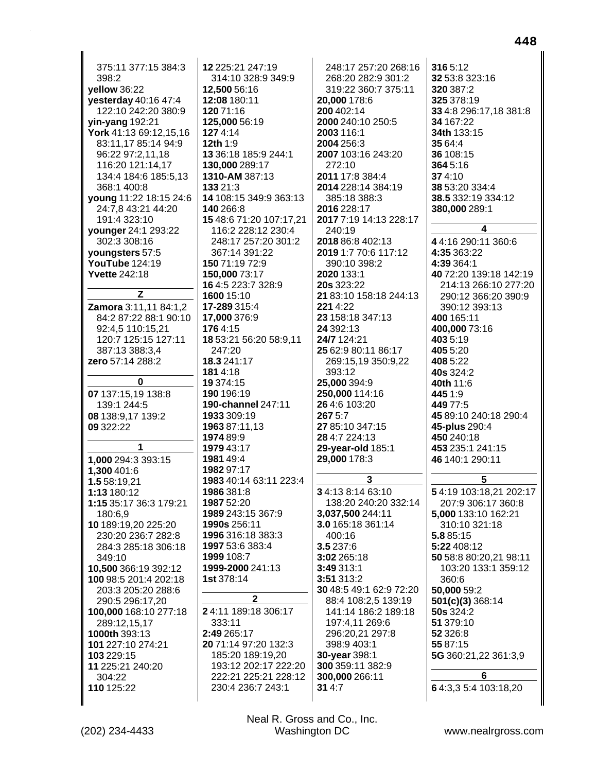375:11 377:15 384:3 12 225:21 247:19 248:17 257:20 268:16 398:2 314:10 328:9 349:9 268:20 282:9 301:2 yellow 36:22 12,500 56:16 319:22 360:7 375:11 yesterday 40:16 47:4 12:08 180:11 20,000 178:6 122:10 242:20 380:9 120 71:16 200 402:14 yin-yang 192:21 125.000 56:19 2000 240:10 250:5 2003 116:1 York 41:13 69:12,15,16 1274:14 83:11,17 85:14 94:9 12th 1:9 2004 256:3 13 36:18 185:9 244:1 2007 103:16 243:20 96:22 97:2,11,18 116:20 121:14,17 130.000 289:17  $272.10$ 134:4 184:6 185:5,13 1310-AM 387:13 2011 17:8 384:4 368:1 400:8 133 21:3 2014 228:14 384:19 14 108:15 349:9 363:13 young 11:22 18:15 24:6 385:18 388:3 24:7.8 43:21 44:20 140 266:8 2016 228:17 15 48:6 71:20 107:17,21 2017 7:19 14:13 228:17 191:4 323:10 younger 24:1 293:22 116:2 228:12 230:4 240:19 302:3 308:16 248:17 257:20 301:2 2018 86:8 402:13 youngsters 57:5 367:14 391:22 2019 1:7 70:6 117:12 YouTube 124:19 150 71:19 72:9 390:10 398:2 2020 133:1 **Yvette 242:18** 150,000 73:17 16 4:5 223:7 328:9 **20s** 323:22 Z 1600 15:10 21 83:10 158:18 244:13 Zamora 3:11,11 84:1,2 17-289 315:4 221 4:22 17,000 376:9 23 158:18 347:13 84:2 87:22 88:1 90:10 24 392:13 92:4.5 110:15.21 1764:15 120:7 125:15 127:11 18 53:21 56:20 58:9.11 24/7 124:21 387:13 388:3.4  $247:20$ 25 62:9 80:11 86:17 zero 57:14 288:2 18.3 241:17 269:15,19 350:9,22 **181** 4:18 393:12 0 19 374:15 25.000 394:9 07 137:15.19 138:8 190 196:19 250.000 114:16 139:1 244:5 190-channel 247:11 26 4:6 103:20 267 5:7 08 138:9.17 139:2 1933 309:19 09 322:22 1963 87:11.13 27 85:10 347:15 1974 89:9 28 4:7 224:13  $\overline{\mathbf{1}}$ 1979 43:17 29-year-old 185:1 1,000 294:3 393:15 1981 49:4 29,000 178:3 1.300 401:6 1982 97:17 3 1.5 58:19.21 1983 40:14 63:11 223:4 1:13 180:12 1986 381:8 34:138:1463:10 1:15 35:17 36:3 179:21 1987 52:20 138:20 240:20 332:14 1989 243:15 367:9 3,037,500 244:11 180:6.9 10 189:19.20 225:20 1990s 256:11 3.0 165:18 361:14 230:20 236:7 282:8 1996 316:18 383:3 400:16 1997 53:6 383:4 3.5 237:6 284:3 285:18 306:18 1999 108:7 3:02 265:18 349:10 1999-2000 241:13 10,500 366:19 392:12 3:49 313:1 1st 378:14 100 98:5 201:4 202:18 3:51 313:2 203:3 205:20 288:6 30 48:5 49:1 62:9 72:20  $\mathbf{2}$ 88:4 108:2,5 139:19 290:5 296:17,20 141:14 186:2 189:18 24:11 189:18 306:17 100,000 168:10 277:18 333:11 197:4,11 269:6 289:12,15,17 2:49 265:17 296:20,21 297:8 1000th 393:13 20 71:14 97:20 132:3 398:9 403:1 101 227:10 274:21 103 229:15 30-year 398:1 185:20 189:19,20 11 225:21 240:20 193:12 202:17 222:20 300 359:11 382:9 304:22 222:21 225:21 228:12 300,000 266:11 110 125:22 230:4 236:7 243:1  $314:7$ 

316 5:12 32 53:8 323:16 320 387:2 325 378:19 33 4:8 296:17.18 381:8 34 167:22 34th 133:15 35 64:4 36 108:15 364 5:16 374:10 38 53:20 334:4 38.5 332:19 334:12 380,000 289:1 4 44:16 290:11 360:6 4:35 363:22 4:39 364:1 40 72:20 139:18 142:19 214:13 266:10 277:20 290:12 366:20 390:9 390:12 393:13 400 165:11 400.000 73:16 403 5:19 405 5:20 408 5:22 **40s** 324:2 40th 11:6 445 1:9 449 77:5 45 89:10 240:18 290:4 45-plus 290:4 450 240:18 453 235:1 241:15 46 140:1 290:11 5 54:19 103:18.21 202:17 207:9 306:17 360:8 5,000 133:10 162:21 310:10 321:18 5.8 85:15 5:22 408:12 50 58:8 80:20,21 98:11 103:20 133:1 359:12 360:6 50,000 59:2 **501(c)(3)** 368:14 50s 324:2 51 379:10 52 326:8 55 87:15 5G 360:21,22 361:3,9 6 64:3,35:4103:18,20

Neal R. Gross and Co., Inc. **Washington DC**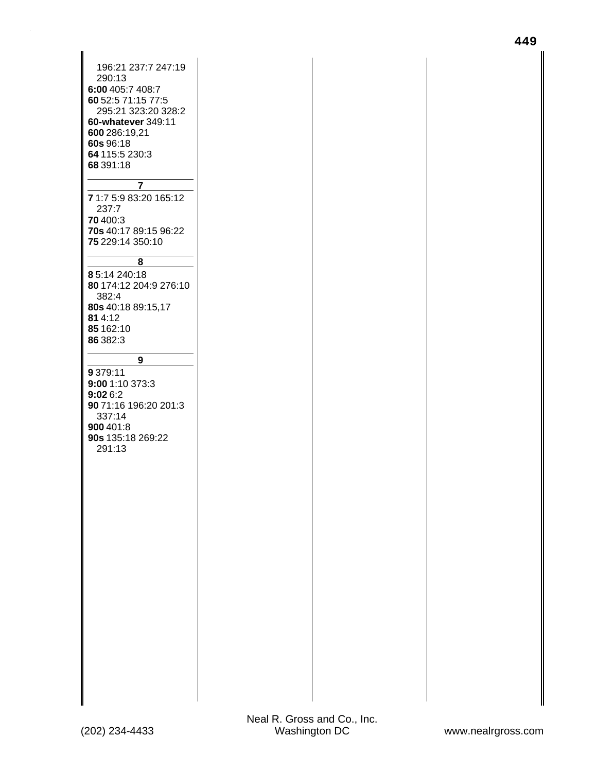| 196:21 237:7 247:19<br>290:13<br>6:00 405:7 408:7<br>60 52:5 71:15 77:5<br>295:21 323:20 328:2<br>60-whatever 349:11<br>600 286:19,21<br>60s 96:18<br>64 115:5 230:3<br>68 391:18 |  |
|-----------------------------------------------------------------------------------------------------------------------------------------------------------------------------------|--|
| 7                                                                                                                                                                                 |  |
| 71:75:983:20165:12<br>237:7                                                                                                                                                       |  |
| <b>70</b> 400:3<br>70s 40:17 89:15 96:22<br>75 229:14 350:10                                                                                                                      |  |
| 8                                                                                                                                                                                 |  |
| 85:14 240:18<br>80 174:12 204:9 276:10<br>382:4                                                                                                                                   |  |
| 80s 40:18 89:15,17<br>81 4:12<br>85 162:10<br>86 382:3                                                                                                                            |  |
| 9                                                                                                                                                                                 |  |
| 9 379:11<br>9:00 1:10 373:3<br>9:026:2<br>90 71:16 196:20 201:3<br>337:14<br><b>900</b> 401:8<br>90s 135:18 269:22<br>291:13                                                      |  |